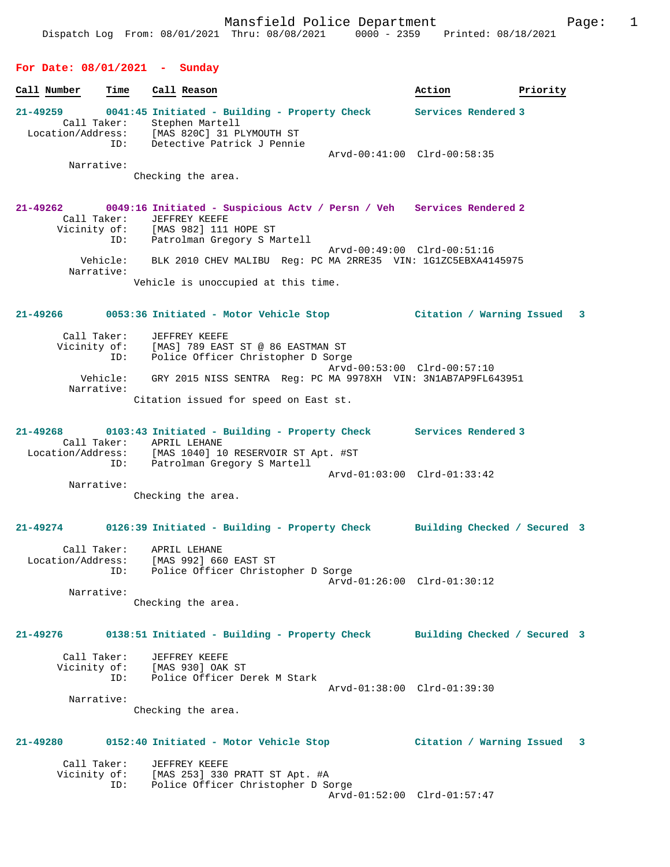#### **For Date: 08/01/2021 - Sunday**

| Call Number       | Time        | Call Reason                                   | Action                      | Priority |
|-------------------|-------------|-----------------------------------------------|-----------------------------|----------|
| $21 - 49259$      |             | 0041:45 Initiated - Building - Property Check | Services Rendered 3         |          |
|                   | Call Taker: | Stephen Martell                               |                             |          |
| Location/Address: |             | [MAS 820C] 31 PLYMOUTH ST                     |                             |          |
|                   | ID:         | Detective Patrick J Pennie                    |                             |          |
|                   |             |                                               | Arvd-00:41:00 Clrd-00:58:35 |          |
|                   | Narrative:  |                                               |                             |          |

Checking the area.

#### **21-49262 0049:16 Initiated - Suspicious Actv / Persn / Veh Services Rendered 2**  Call Taker: JEFFREY KEEFE Vicinity of: [MAS 982] 111 HOPE ST ID: Patrolman Gregory S Martell Arvd-00:49:00 Clrd-00:51:16 Vehicle: BLK 2010 CHEV MALIBU Reg: PC MA 2RRE35 VIN: 1G1ZC5EBXA4145975 Narrative: Vehicle is unoccupied at this time.

**21-49266 0053:36 Initiated - Motor Vehicle Stop Citation / Warning Issued 3**

| Call Taker:            | JEFFREY KEEFE                                                 |
|------------------------|---------------------------------------------------------------|
| Vicinity of:           | [MAS] 789 EAST ST @ 86 EASTMAN ST                             |
| ID:                    | Police Officer Christopher D Sorge                            |
|                        | Arvd-00:53:00 Clrd-00:57:10                                   |
| Vehicle:<br>Narrative: | GRY 2015 NISS SENTRA Req: PC MA 9978XH VIN: 3N1AB7AP9FL643951 |
|                        | Citation issued for speed on East st.                         |

**21-49268 0103:43 Initiated - Building - Property Check Services Rendered 3**  Call Taker: APRIL LEHANE<br>Location/Address: [MAS 1040] 10 [MAS 1040] 10 RESERVOIR ST Apt. #ST ID: Patrolman Gregory S Martell Arvd-01:03:00 Clrd-01:33:42 Narrative:

Checking the area.

#### **21-49274 0126:39 Initiated - Building - Property Check Building Checked / Secured 3**

| Call Taker:       | APRIL LEHANE                       |                             |
|-------------------|------------------------------------|-----------------------------|
| Location/Address: | [MAS 992] 660 EAST ST              |                             |
| ID:               | Police Officer Christopher D Sorge |                             |
|                   |                                    | Arvd-01:26:00 Clrd-01:30:12 |
| Narrative:        |                                    |                             |

Checking the area.

## **21-49276 0138:51 Initiated - Building - Property Check Building Checked / Secured 3**

| Call Taker:  | JEFFREY KEEFE                |                             |  |
|--------------|------------------------------|-----------------------------|--|
| Vicinity of: | [MAS 930] OAK ST             |                             |  |
| TD:          | Police Officer Derek M Stark |                             |  |
|              |                              | Arvd-01:38:00 Clrd-01:39:30 |  |
| Narrative:   |                              |                             |  |

Checking the area.

# **21-49280 0152:40 Initiated - Motor Vehicle Stop Citation / Warning Issued 3**

| Call Taker:  | JEFFREY KEEFE                      |  |
|--------------|------------------------------------|--|
| Vicinity of: | [MAS 253] 330 PRATT ST Apt. #A     |  |
| ID:          | Police Officer Christopher D Sorge |  |
|              | Arvd-01:52:00 Clrd-01:57:47        |  |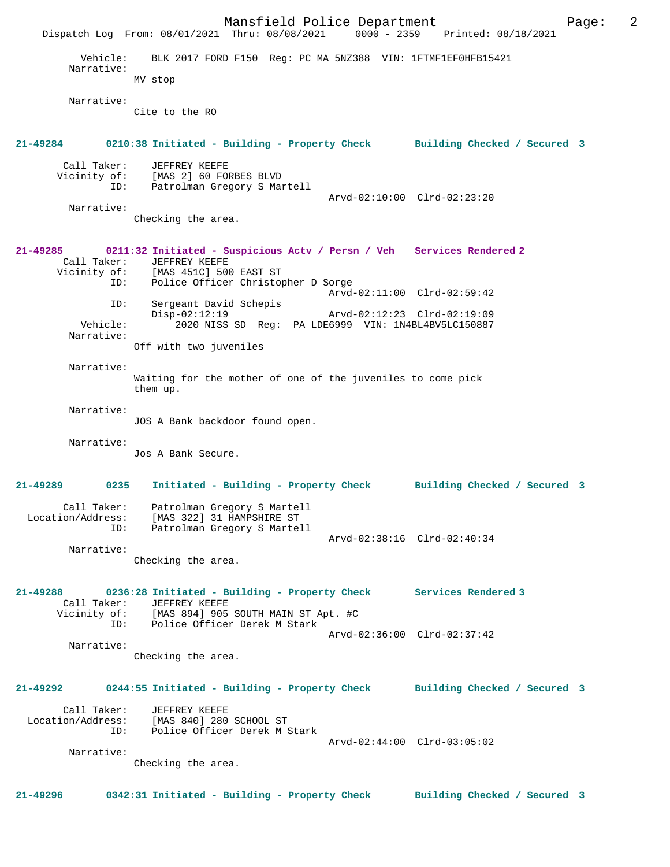Mansfield Police Department Fage: 2 Dispatch Log From: 08/01/2021 Thru: 08/08/2021 0000 - 2359 Printed: 08/18/2021 Vehicle: BLK 2017 FORD F150 Reg: PC MA 5NZ388 VIN: 1FTMF1EF0HFB15421 Narrative: MV stop Narrative: Cite to the RO **21-49284 0210:38 Initiated - Building - Property Check Building Checked / Secured 3** Call Taker: JEFFREY KEEFE Vicinity of: [MAS 2] 60 FORBES BLVD ID: Patrolman Gregory S Martell Arvd-02:10:00 Clrd-02:23:20 Narrative: Checking the area. **21-49285 0211:32 Initiated - Suspicious Actv / Persn / Veh Services Rendered 2**  Call Taker: JEFFREY KEEFE<br>Vicinity of: [MAS 451C] 500 Vicinity of: [MAS 451C] 500 EAST ST ID: Police Officer Christopher D Sorge ID: Police Officer Christopher D Sorge<br>Arvd-02:11:00 Clrd-02:59:42 ID: Sergeant David Schepis<br>Disp-02:12:19 Disp-02:12:19 Arvd-02:12:23 Clrd-02:19:09 Vehicle: 2020 NISS SD Reg: PA LDE6999 VIN: 1N4BL4BV5LC150887 Narrative: Off with two juveniles Narrative: Waiting for the mother of one of the juveniles to come pick them up. Narrative: JOS A Bank backdoor found open. Narrative: Jos A Bank Secure. **21-49289 0235 Initiated - Building - Property Check Building Checked / Secured 3** Call Taker: Patrolman Gregory S Martell Location/Address: [MAS 322] 31 HAMPSHIRE ST ID: Patrolman Gregory S Martell Arvd-02:38:16 Clrd-02:40:34 Narrative: Checking the area. **21-49288 0236:28 Initiated - Building - Property Check Services Rendered 3**  Call Taker: JEFFREY KEEFE<br>Vicinity of: [MAS 894] 905 Vicinity of: [MAS 894] 905 SOUTH MAIN ST Apt. #C ID: Police Officer Derek M Stark Arvd-02:36:00 Clrd-02:37:42 Narrative: Checking the area. **21-49292 0244:55 Initiated - Building - Property Check Building Checked / Secured 3** Call Taker: JEFFREY KEEFE Location/Address: [MAS 840] 280 SCHOOL ST ID: Police Officer Derek M Stark Arvd-02:44:00 Clrd-03:05:02 Narrative: Checking the area. **21-49296 0342:31 Initiated - Building - Property Check Building Checked / Secured 3**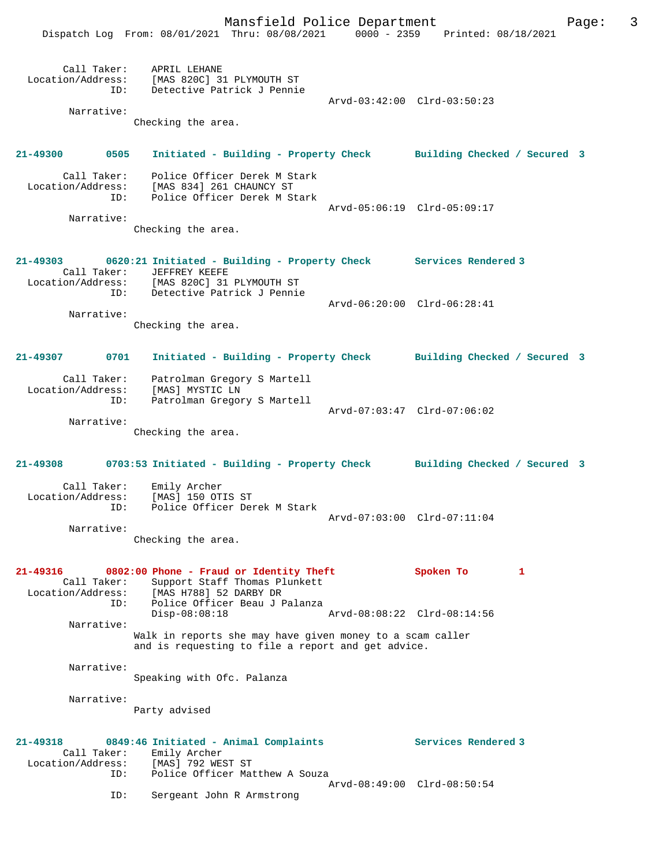|                                                         | Mansfield Police Department<br>Dispatch Log From: 08/01/2021 Thru: 08/08/2021 0000 - 2359 Printed: 08/18/2021                                                            |                             | Page: | 3 |
|---------------------------------------------------------|--------------------------------------------------------------------------------------------------------------------------------------------------------------------------|-----------------------------|-------|---|
| ID:<br>Narrative:                                       | Call Taker: APRIL LEHANE<br>Location/Address: [MAS 820C] 31 PLYMOUTH ST<br>Detective Patrick J Pennie                                                                    | Arvd-03:42:00 Clrd-03:50:23 |       |   |
|                                                         | Checking the area.                                                                                                                                                       |                             |       |   |
| 21-49300 0505                                           | Initiated - Building - Property Check Building Checked / Secured 3                                                                                                       |                             |       |   |
| Call Taker:<br>ID:                                      | Police Officer Derek M Stark<br>Location/Address: [MAS 834] 261 CHAUNCY ST<br>Police Officer Derek M Stark                                                               | Arvd-05:06:19 Clrd-05:09:17 |       |   |
| Narrative:                                              | Checking the area.                                                                                                                                                       |                             |       |   |
| Call Taker:<br>ID:                                      | 21-49303 0620:21 Initiated - Building - Property Check Services Rendered 3<br>JEFFREY KEEFE<br>Location/Address: [MAS 820C] 31 PLYMOUTH ST<br>Detective Patrick J Pennie |                             |       |   |
| Narrative:                                              | Checking the area.                                                                                                                                                       | Arvd-06:20:00 Clrd-06:28:41 |       |   |
| 0701<br>21-49307                                        | Initiated - Building - Property Check Building Checked / Secured 3                                                                                                       |                             |       |   |
| Call Taker:<br>Location/Address:<br>ID:                 | Patrolman Gregory S Martell<br>[MAS] MYSTIC LN<br>Patrolman Gregory S Martell                                                                                            | Arvd-07:03:47 Clrd-07:06:02 |       |   |
| Narrative:                                              | Checking the area.                                                                                                                                                       |                             |       |   |
|                                                         | 21-49308 0703:53 Initiated - Building - Property Check Building Checked / Secured 3                                                                                      |                             |       |   |
| Call Taker:<br>Location/Address:<br>ID:                 | Emily Archer<br>[MAS] 150 OTIS ST<br>Police Officer Derek M Stark                                                                                                        | Arvd-07:03:00 Clrd-07:11:04 |       |   |
| Narrative:                                              | Checking the area.                                                                                                                                                       |                             |       |   |
| 21-49316<br>Call Taker:<br>Location/Address:<br>ID:     | 0802:00 Phone - Fraud or Identity Theft<br>Support Staff Thomas Plunkett<br>[MAS H788] 52 DARBY DR<br>Police Officer Beau J Palanza                                      | Spoken To<br>1              |       |   |
| Narrative:                                              | $Disp-08:08:18$<br>Walk in reports she may have given money to a scam caller<br>and is requesting to file a report and get advice.                                       | Arvd-08:08:22 Clrd-08:14:56 |       |   |
| Narrative:                                              | Speaking with Ofc. Palanza                                                                                                                                               |                             |       |   |
| Narrative:                                              | Party advised                                                                                                                                                            |                             |       |   |
| $21 - 49318$<br>Call Taker:<br>Location/Address:<br>ID: | 0849:46 Initiated - Animal Complaints<br>Emily Archer<br>[MAS] 792 WEST ST<br>Police Officer Matthew A Souza                                                             | Services Rendered 3         |       |   |
| ID:                                                     | Sergeant John R Armstrong                                                                                                                                                | Arvd-08:49:00 Clrd-08:50:54 |       |   |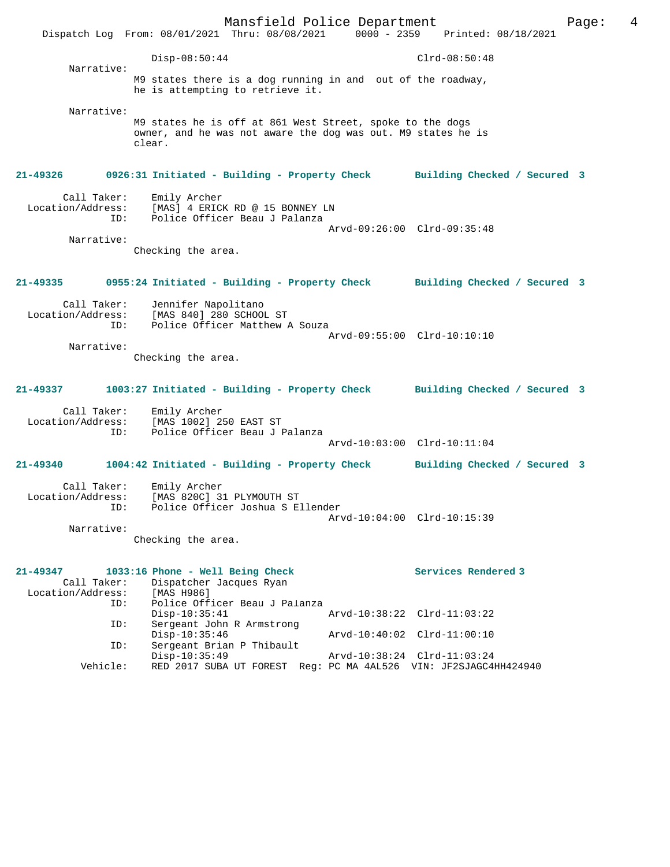|                                                                                       | Dispatch Log From: 08/01/2021 Thru: 08/08/2021 0000 - 2359 Printed: 08/18/2021                                                      | Mansfield Police Department                                      |                             |                     | Page: | 4 |
|---------------------------------------------------------------------------------------|-------------------------------------------------------------------------------------------------------------------------------------|------------------------------------------------------------------|-----------------------------|---------------------|-------|---|
|                                                                                       | $Disp-08:50:44$                                                                                                                     |                                                                  |                             | $Clrd-08:50:48$     |       |   |
| Narrative:                                                                            | M9 states there is a dog running in and out of the roadway,<br>he is attempting to retrieve it.                                     |                                                                  |                             |                     |       |   |
| Narrative:                                                                            | M9 states he is off at 861 West Street, spoke to the dogs<br>owner, and he was not aware the dog was out. M9 states he is<br>clear. |                                                                  |                             |                     |       |   |
| 21-49326 0926:31 Initiated - Building - Property Check Building Checked / Secured 3   |                                                                                                                                     |                                                                  |                             |                     |       |   |
| Call Taker:<br>Location/Address: [MAS] 4 ERICK RD @ 15 BONNEY LN<br>ID:<br>Narrative: | Emily Archer                                                                                                                        | Police Officer Beau J Palanza                                    | Arvd-09:26:00 Clrd-09:35:48 |                     |       |   |
|                                                                                       | Checking the area.                                                                                                                  |                                                                  |                             |                     |       |   |
| 21-49335 0955:24 Initiated - Building - Property Check Building Checked / Secured 3   |                                                                                                                                     |                                                                  |                             |                     |       |   |
| Call Taker:<br>ID:                                                                    | Jennifer Napolitano<br>Location/Address: [MAS 840] 280 SCHOOL ST                                                                    | Police Officer Matthew A Souza                                   | Arvd-09:55:00 Clrd-10:10:10 |                     |       |   |
| Narrative:                                                                            | Checking the area.                                                                                                                  |                                                                  |                             |                     |       |   |
| 21-49337 1003:27 Initiated - Building - Property Check Building Checked / Secured 3   |                                                                                                                                     |                                                                  |                             |                     |       |   |
| Location/Address:<br>ID:                                                              | Call Taker: Emily Archer<br>[MAS 1002] 250 EAST ST                                                                                  | Police Officer Beau J Palanza                                    | Arvd-10:03:00 Clrd-10:11:04 |                     |       |   |
| 21-49340                                                                              | 1004:42 Initiated - Building - Property Check Building Checked / Secured 3                                                          |                                                                  |                             |                     |       |   |
| Call Taker:<br>Location/Address:<br>Narrative:                                        | Emily Archer<br>[MAS 820C] 31 PLYMOUTH ST<br>ID: Police Officer Joshua S Ellender                                                   |                                                                  | Arvd-10:04:00 Clrd-10:15:39 |                     |       |   |
|                                                                                       | Checking the area.                                                                                                                  |                                                                  |                             |                     |       |   |
| 21-49347<br>Call Taker:<br>Location/Address:<br>ID:                                   | 1033:16 Phone - Well Being Check<br>Dispatcher Jacques Ryan<br>[MAS H986]                                                           | Police Officer Beau J Palanza                                    |                             | Services Rendered 3 |       |   |
| ID:                                                                                   | $Disp-10:35:41$<br>Sergeant John R Armstrong                                                                                        |                                                                  | Arvd-10:38:22 Clrd-11:03:22 |                     |       |   |
| ID:                                                                                   | $Disp-10:35:46$<br>Sergeant Brian P Thibault                                                                                        |                                                                  | Arvd-10:40:02 Clrd-11:00:10 |                     |       |   |
| Vehicle:                                                                              | $Disp-10:35:49$                                                                                                                     | RED 2017 SUBA UT FOREST Reg: PC MA 4AL526 VIN: JF2SJAGC4HH424940 | Arvd-10:38:24 Clrd-11:03:24 |                     |       |   |
|                                                                                       |                                                                                                                                     |                                                                  |                             |                     |       |   |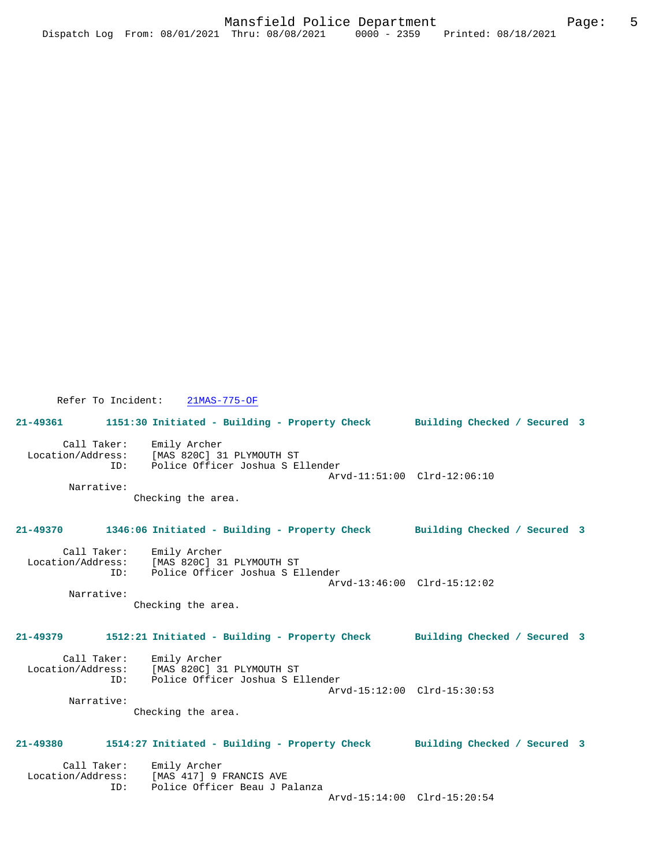Refer To Incident: 21MAS-775-OF

**21-49361 1151:30 Initiated - Building - Property Check Building Checked / Secured 3** Call Taker: Emily Archer

 Location/Address: [MAS 820C] 31 PLYMOUTH ST ID: Police Officer Joshua S Ellender Arvd-11:51:00 Clrd-12:06:10 Narrative:

Checking the area.

## **21-49370 1346:06 Initiated - Building - Property Check Building Checked / Secured 3**

 Call Taker: Emily Archer Location/Address: [MAS 820C] 31 PLYMOUTH ST<br>ID: Police Officer Joshua S E Police Officer Joshua S Ellender Arvd-13:46:00 Clrd-15:12:02

 Narrative: Checking the area.

# **21-49379 1512:21 Initiated - Building - Property Check Building Checked / Secured 3**

| Call Taker:       | Emily Archer                     |  |
|-------------------|----------------------------------|--|
| Location/Address: | [MAS 820C] 31 PLYMOUTH ST        |  |
| TD:               | Police Officer Joshua S Ellender |  |
|                   | Arvd-15:12:00 Clrd-15:30:53      |  |
| Narrative:        |                                  |  |

Checking the area.

## **21-49380 1514:27 Initiated - Building - Property Check Building Checked / Secured 3**

| Call Taker:       | Emily Archer                  |
|-------------------|-------------------------------|
| Location/Address: | [MAS 417] 9 FRANCIS AVE       |
| ID:               | Police Officer Beau J Palanza |
|                   |                               |

Arvd-15:14:00 Clrd-15:20:54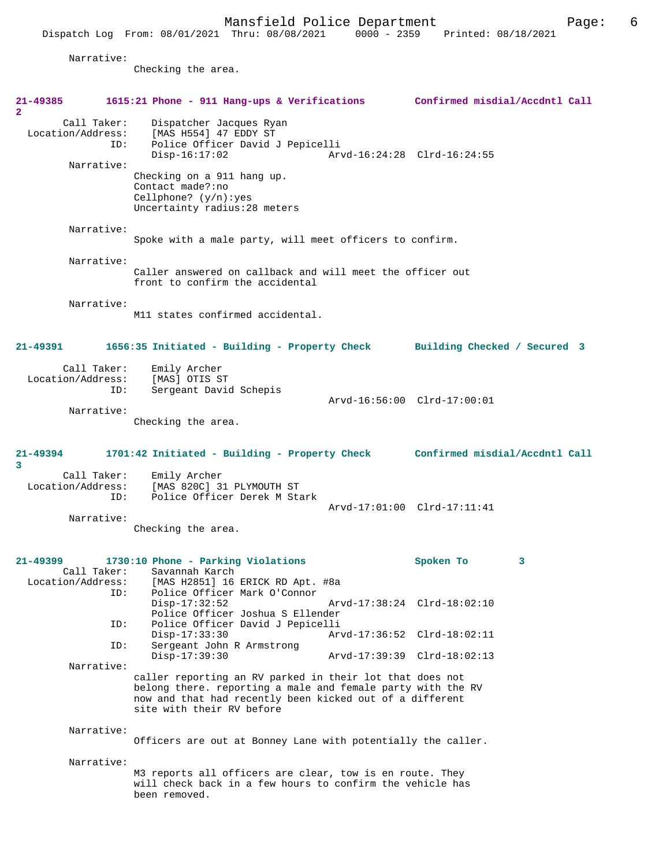Narrative:

Checking the area.

| 21-49385<br>$\mathbf{2}$                              | 1615:21 Phone - 911 Hang-ups & Verifications                                                                                                                                                                                      | Confirmed misdial/Accdntl Call |
|-------------------------------------------------------|-----------------------------------------------------------------------------------------------------------------------------------------------------------------------------------------------------------------------------------|--------------------------------|
| Call Taker:<br>Location/Address:<br>ID:<br>Narrative: | Dispatcher Jacques Ryan<br>[MAS H554] 47 EDDY ST<br>Police Officer David J Pepicelli<br>$Disp-16:17:02$                                                                                                                           | Arvd-16:24:28 Clrd-16:24:55    |
|                                                       | Checking on a 911 hang up.<br>Contact made?:no<br>Cellphone? $(y/n):yes$<br>Uncertainty radius: 28 meters                                                                                                                         |                                |
| Narrative:                                            | Spoke with a male party, will meet officers to confirm.                                                                                                                                                                           |                                |
| Narrative:                                            | Caller answered on callback and will meet the officer out<br>front to confirm the accidental                                                                                                                                      |                                |
| Narrative:                                            | M11 states confirmed accidental.                                                                                                                                                                                                  |                                |
| 21-49391                                              | 1656:35 Initiated - Building - Property Check Building Checked / Secured 3                                                                                                                                                        |                                |
| Call Taker:<br>Location/Address:<br>ID:               | Emily Archer<br>[MAS] OTIS ST<br>Sergeant David Schepis                                                                                                                                                                           |                                |
| Narrative:                                            | Checking the area.                                                                                                                                                                                                                | Arvd-16:56:00 Clrd-17:00:01    |
|                                                       |                                                                                                                                                                                                                                   |                                |
| 21-49394<br>3                                         | 1701:42 Initiated - Building - Property Check Confirmed misdial/Accdntl Call                                                                                                                                                      |                                |
| Call Taker:<br>Location/Address:<br>ID:               | Emily Archer<br>[MAS 820C] 31 PLYMOUTH ST<br>Police Officer Derek M Stark                                                                                                                                                         |                                |
| Narrative:                                            | Checking the area.                                                                                                                                                                                                                | Arvd-17:01:00 Clrd-17:11:41    |
| 21-49399<br>Call Taker:                               | 1730:10 Phone - Parking Violations<br>Savannah Karch<br>Location/Address: [MAS H2851] 16 ERICK RD Apt. #8a                                                                                                                        | Spoken To<br>3                 |
| ID:<br>ID:                                            | Police Officer Mark O'Connor<br>$Disp-17:32:52$<br>Police Officer Joshua S Ellender<br>Police Officer David J Pepicelli                                                                                                           | Arvd-17:38:24 Clrd-18:02:10    |
| ID:                                                   | $Disp-17:33:30$<br>Sergeant John R Armstrong                                                                                                                                                                                      | Arvd-17:36:52 Clrd-18:02:11    |
| Narrative:                                            | Disp-17:39:30<br>caller reporting an RV parked in their lot that does not<br>belong there. reporting a male and female party with the RV<br>now and that had recently been kicked out of a different<br>site with their RV before | Arvd-17:39:39 Clrd-18:02:13    |
| Narrative:                                            | Officers are out at Bonney Lane with potentially the caller.                                                                                                                                                                      |                                |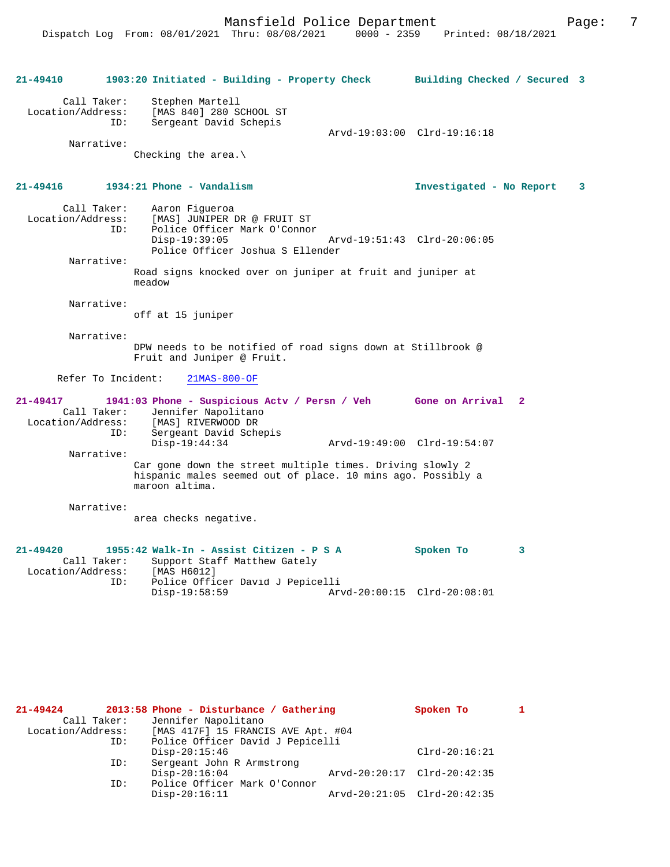| 21-49410                                                                                     | 1903:20 Initiated - Building - Property Check Building Checked / Secured 3                                                                       |                                               |   |
|----------------------------------------------------------------------------------------------|--------------------------------------------------------------------------------------------------------------------------------------------------|-----------------------------------------------|---|
| Call Taker:<br>ID:                                                                           | Stephen Martell<br>Location/Address: [MAS 840] 280 SCHOOL ST<br>Sergeant David Schepis                                                           | Arvd-19:03:00 Clrd-19:16:18                   |   |
| Narrative:                                                                                   | Checking the area. $\setminus$                                                                                                                   |                                               |   |
| $21 - 49416$                                                                                 | 1934:21 Phone - Vandalism                                                                                                                        | Investigated - No Report                      | 3 |
| Call Taker:<br>Location/Address:<br>TD:                                                      | Aaron Fiqueroa<br>[MAS] JUNIPER DR @ FRUIT ST<br>Police Officer Mark O'Connor<br>$Disp-19:39:05$                                                 | Arvd-19:51:43 Clrd-20:06:05                   |   |
| Narrative:                                                                                   | Police Officer Joshua S Ellender                                                                                                                 |                                               |   |
|                                                                                              | Road signs knocked over on juniper at fruit and juniper at<br>meadow                                                                             |                                               |   |
| Narrative:                                                                                   | off at 15 juniper                                                                                                                                |                                               |   |
| Narrative:                                                                                   | DPW needs to be notified of road signs down at Stillbrook @<br>Fruit and Juniper @ Fruit.                                                        |                                               |   |
| Refer To Incident:                                                                           | $21MAS-800-OF$                                                                                                                                   |                                               |   |
| $21 - 49417$<br>Location/Address:<br>TD:                                                     | 1941:03 Phone - Suspicious Actv / Persn / Veh Gone on Arrival<br>Call Taker: Jennifer Napolitano<br>[MAS] RIVERWOOD DR<br>Sergeant David Schepis | $\mathbf{2}$                                  |   |
| Narrative:                                                                                   | $Disp-19:44:34$                                                                                                                                  | Arvd-19:49:00 Clrd-19:54:07                   |   |
|                                                                                              | Car gone down the street multiple times. Driving slowly 2<br>hispanic males seemed out of place. 10 mins ago. Possibly a<br>maroon altima.       |                                               |   |
| Narrative:                                                                                   | area checks negative.                                                                                                                            |                                               |   |
| $21 - 49420$<br>Call Taker: Support Sta:<br>[MAS H6012] Location/Address: [MAS H6012]<br>ID: | 1955:42 Walk-In - Assist Citizen - P S A<br>Support Staff Matthew Gately<br>Police Officer David J Pepicelli<br>$Disp-19:58:59$                  | Spoken To<br>3<br>Arvd-20:00:15 Clrd-20:08:01 |   |

| $21 - 49424$      |             | 2013:58 Phone - Disturbance / Gathering | Spoken To                   |  |
|-------------------|-------------|-----------------------------------------|-----------------------------|--|
|                   | Call Taker: | Jennifer Napolitano                     |                             |  |
| Location/Address: |             | [MAS 417F] 15 FRANCIS AVE Apt. #04      |                             |  |
|                   | ID:         | Police Officer David J Pepicelli        |                             |  |
|                   |             | $Disp-20:15:46$                         | $Clrd-20:16:21$             |  |
|                   | ID:         | Sergeant John R Armstrong               |                             |  |
|                   |             | $Disp-20:16:04$                         | Arvd-20:20:17 Clrd-20:42:35 |  |
|                   | ID:         | Police Officer Mark O'Connor            |                             |  |
|                   |             | $Disp-20:16:11$                         | Arvd-20:21:05 Clrd-20:42:35 |  |
|                   |             |                                         |                             |  |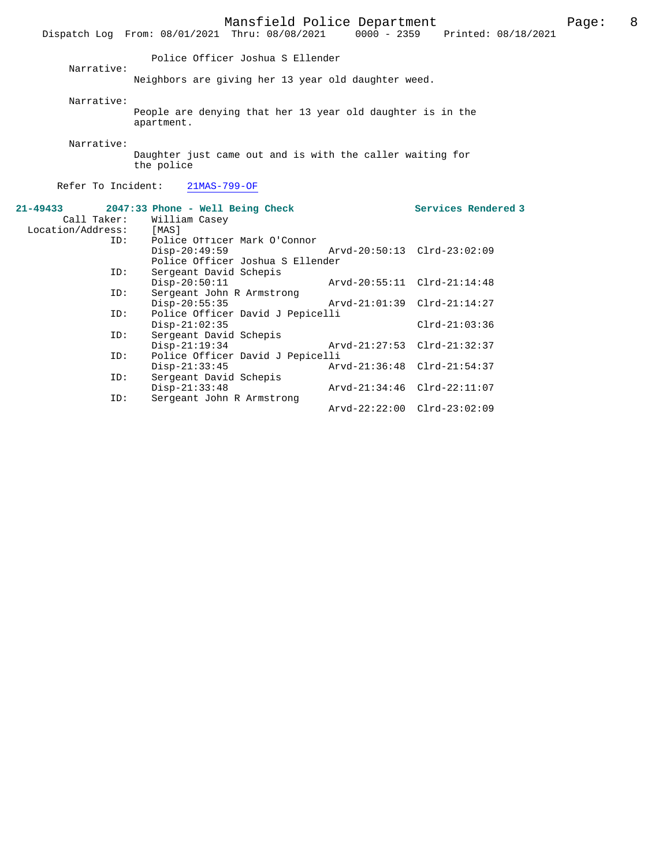|                    | Dispatch Log From: 08/01/2021 Thru: 08/08/2021             | Mansfield Police Department |                             | 0000 - 2359 Printed: 08/18/2021 | Page: | 8 |
|--------------------|------------------------------------------------------------|-----------------------------|-----------------------------|---------------------------------|-------|---|
|                    | Police Officer Joshua S Ellender                           |                             |                             |                                 |       |   |
| Narrative:         |                                                            |                             |                             |                                 |       |   |
|                    | Neighbors are giving her 13 year old daughter weed.        |                             |                             |                                 |       |   |
| Narrative:         |                                                            |                             |                             |                                 |       |   |
|                    | People are denying that her 13 year old daughter is in the |                             |                             |                                 |       |   |
|                    | apartment.                                                 |                             |                             |                                 |       |   |
| Narrative:         |                                                            |                             |                             |                                 |       |   |
|                    | Daughter just came out and is with the caller waiting for  |                             |                             |                                 |       |   |
|                    | the police                                                 |                             |                             |                                 |       |   |
|                    |                                                            |                             |                             |                                 |       |   |
| Refer To Incident: | 21MAS-799-OF                                               |                             |                             |                                 |       |   |
| $21 - 49433$       | 2047:33 Phone - Well Being Check                           |                             |                             | Services Rendered 3             |       |   |
| Call Taker:        | William Casey                                              |                             |                             |                                 |       |   |
| Location/Address:  | [MAS]                                                      |                             |                             |                                 |       |   |
| ID:                | Police Officer Mark O'Connor                               |                             |                             |                                 |       |   |
|                    | $Disp-20:49:59$                                            |                             | Arvd-20:50:13 Clrd-23:02:09 |                                 |       |   |
|                    | Police Officer Joshua S Ellender                           |                             |                             |                                 |       |   |
| ID:                | Sergeant David Schepis                                     |                             |                             |                                 |       |   |
|                    | $Disp-20:50:11$                                            |                             | Arvd-20:55:11 Clrd-21:14:48 |                                 |       |   |
| ID:                | Sergeant John R Armstrong                                  |                             |                             |                                 |       |   |
|                    | $Disp-20:55:35$                                            |                             | Arvd-21:01:39 Clrd-21:14:27 |                                 |       |   |
| ID:                | Police Officer David J Pepicelli                           |                             |                             |                                 |       |   |
|                    | $Disp-21:02:35$                                            |                             |                             | $Clrd-21:03:36$                 |       |   |
| ID:                | Sergeant David Schepis<br>$Disp-21:19:34$                  |                             | Arvd-21:27:53 Clrd-21:32:37 |                                 |       |   |
| ID:                | Police Officer David J Pepicelli                           |                             |                             |                                 |       |   |
|                    | $Disp-21:33:45$                                            |                             | Arvd-21:36:48 Clrd-21:54:37 |                                 |       |   |
| ID:                | Sergeant David Schepis                                     |                             |                             |                                 |       |   |
|                    | $Disp-21:33:48$                                            |                             | Arvd-21:34:46 Clrd-22:11:07 |                                 |       |   |
| ID:                | Sergeant John R Armstrong                                  |                             |                             |                                 |       |   |
|                    |                                                            |                             | Arvd-22:22:00 Clrd-23:02:09 |                                 |       |   |
|                    |                                                            |                             |                             |                                 |       |   |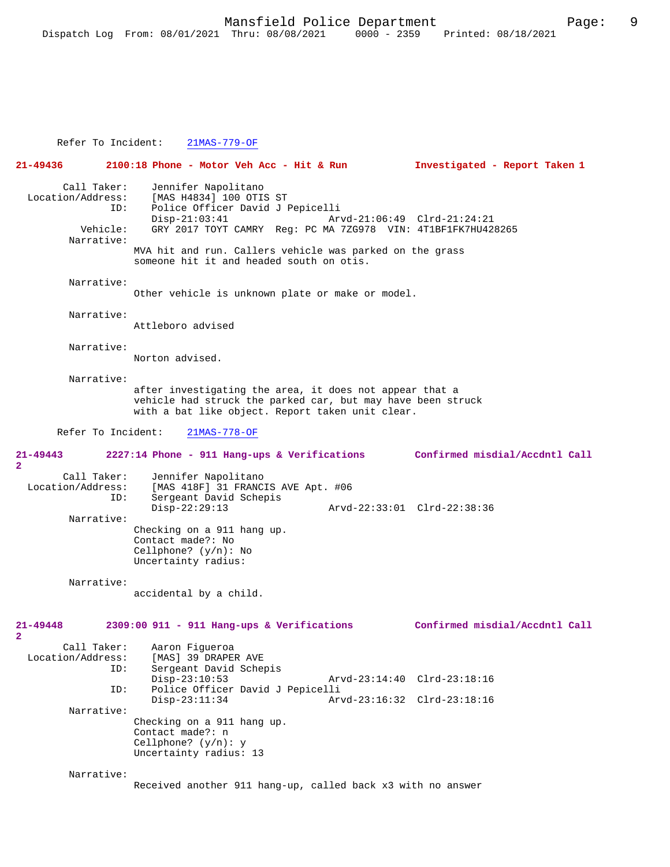Refer To Incident: 21MAS-779-OF

**21-49436 2100:18 Phone - Motor Veh Acc - Hit & Run Investigated - Report Taken 1** Call Taker: Jennifer Napolitano<br>Location/Address: [MAS H4834] 100 OTI [MAS H4834] 100 OTIS ST ID: Police Officer David J Pepicelli Disp-21:03:41 Arvd-21:06:49 Clrd-21:24:21<br>Vehicle: GRY 2017 TOYT CAMRY Reg: PC MA 7ZG978 VIN: 4T1BF1FK7HU42 GRY 2017 TOYT CAMRY Reg: PC MA 7ZG978 VIN: 4T1BF1FK7HU428265 Narrative: MVA hit and run. Callers vehicle was parked on the grass someone hit it and headed south on otis. Narrative: Other vehicle is unknown plate or make or model. Narrative: Attleboro advised Narrative: Norton advised. Narrative: after investigating the area, it does not appear that a vehicle had struck the parked car, but may have been struck with a bat like object. Report taken unit clear. Refer To Incident: 21MAS-778-OF **21-49443 2227:14 Phone - 911 Hang-ups & Verifications Confirmed misdial/Accdntl Call 2**  Call Taker: Jennifer Napolitano<br>Location/Address: [MAS 418F] 31 FRANC ess: [MAS 418F] 31 FRANCIS AVE Apt. #06<br>ID: Sergeant David Schepis Sergeant David Schepis<br>Disp-22:29:13 Disp-22:29:13 Arvd-22:33:01 Clrd-22:38:36 Narrative: Checking on a 911 hang up. Contact made?: No Cellphone? (y/n): No Uncertainty radius: Narrative: accidental by a child. **21-49448 2309:00 911 - 911 Hang-ups & Verifications Confirmed misdial/Accdntl Call 2**  Call Taker: Aaron Figueroa Location/Address: [MAS] 39 DRAPER AVE<br>TD: Sergeant David Scher Sergeant David Schepis<br>Disp-23:10:53 Disp-23:10:53 Arvd-23:14:40 Clrd-23:18:16 ID: Police Officer David J Pepicelli Disp-23:11:34 Arvd-23:16:32 Clrd-23:18:16 Narrative: Checking on a 911 hang up. Contact made?: n Cellphone? (y/n): y Uncertainty radius: 13 Narrative: Received another 911 hang-up, called back x3 with no answer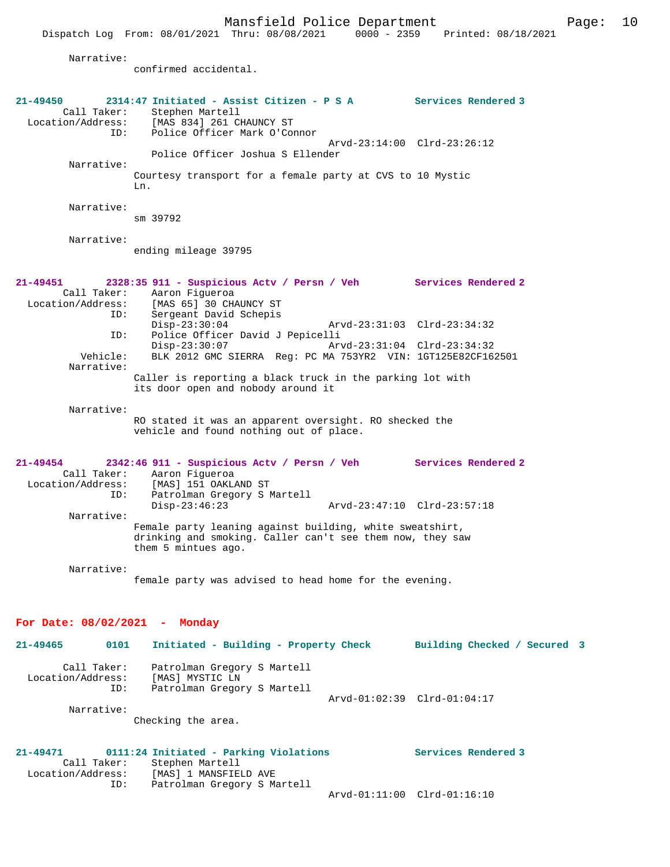Narrative:

confirmed accidental.

| 21-49450<br>Call Taker:<br>Location/Address:<br>ID:     | 2314:47 Initiated - Assist Citizen - P S A Services Rendered 3<br>Stephen Martell<br>[MAS 834] 261 CHAUNCY ST<br>Police Officer Mark O'Connor                       |                              |
|---------------------------------------------------------|---------------------------------------------------------------------------------------------------------------------------------------------------------------------|------------------------------|
|                                                         | Police Officer Joshua S Ellender                                                                                                                                    | Arvd-23:14:00 Clrd-23:26:12  |
| Narrative:                                              | Courtesy transport for a female party at CVS to 10 Mystic<br>Ln.                                                                                                    |                              |
| Narrative:                                              | sm 39792                                                                                                                                                            |                              |
| Narrative:                                              | ending mileage 39795                                                                                                                                                |                              |
| 21-49451<br>ID:                                         | 2328:35 911 - Suspicious Actv / Persn / Veh Services Rendered 2<br>Call Taker: Aaron Figueroa<br>Location/Address: [MAS 65] 30 CHAUNCY ST<br>Sergeant David Schepis |                              |
| ID:                                                     | $Disp-23:30:04$<br>Police Officer David J Pepicelli                                                                                                                 | Arvd-23:31:03 Clrd-23:34:32  |
| Vehicle:                                                | $Disp-23:30:07$<br>Arvd-23:31:04 Clrd-23:34:32<br>BLK 2012 GMC SIERRA Req: PC MA 753YR2 VIN: 1GT125E82CF162501                                                      |                              |
| Narrative:                                              | Caller is reporting a black truck in the parking lot with<br>its door open and nobody around it                                                                     |                              |
| Narrative:                                              | RO stated it was an apparent oversight. RO shecked the<br>vehicle and found nothing out of place.                                                                   |                              |
| $21 - 49454$<br>Call Taker:<br>Location/Address:<br>ID: | 2342:46 911 - Suspicious Actv / Persn / Veh<br>Aaron Fiqueroa<br>[MAS] 151 OAKLAND ST<br>Patrolman Gregory S Martell                                                | <b>Services Rendered 2</b>   |
| Narrative:                                              | $Disp-23:46:23$<br>Arvd-23:47:10 Clrd-23:57:18                                                                                                                      |                              |
|                                                         | Female party leaning against building, white sweatshirt,<br>drinking and smoking. Caller can't see them now, they saw<br>them 5 mintues ago.                        |                              |
| Narrative:                                              | female party was advised to head home for the evening.                                                                                                              |                              |
| For Date: $08/02/2021$ - Monday                         |                                                                                                                                                                     |                              |
| 21-49465<br>0101                                        | Initiated - Building - Property Check                                                                                                                               | Building Checked / Secured 3 |
| Call Taker:<br>Location/Address:<br>ID:                 | Patrolman Gregory S Martell<br>[MAS] MYSTIC LN<br>Patrolman Gregory S Martell                                                                                       |                              |
| Narrative:                                              | Checking the area.                                                                                                                                                  | Arvd-01:02:39 Clrd-01:04:17  |
| 21-49471<br>Call Taker:<br>Location/Address:<br>ID:     | 0111:24 Initiated - Parking Violations<br>Stephen Martell<br>[MAS] 1 MANSFIELD AVE<br>Patrolman Gregory S Martell                                                   | Services Rendered 3          |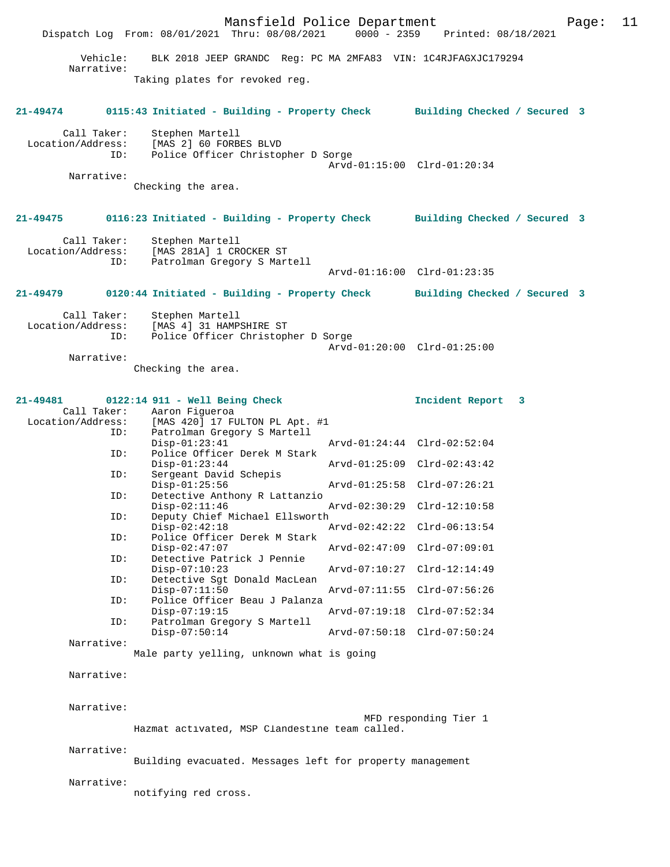Mansfield Police Department Page: 11 Dispatch Log From: 08/01/2021 Thru: 08/08/2021 Vehicle: BLK 2018 JEEP GRANDC Reg: PC MA 2MFA83 VIN: 1C4RJFAGXJC179294 Narrative: Taking plates for revoked reg. **21-49474 0115:43 Initiated - Building - Property Check Building Checked / Secured 3** Call Taker: Stephen Martell Location/Address: [MAS 2] 60 FORBES BLVD ID: Police Officer Christopher D Sorge Arvd-01:15:00 Clrd-01:20:34 Narrative: Checking the area. **21-49475 0116:23 Initiated - Building - Property Check Building Checked / Secured 3** Call Taker: Stephen Martell<br>Location/Address: [MAS 281A] 1 CR [MAS 281A] 1 CROCKER ST ID: Patrolman Gregory S Martell Arvd-01:16:00 Clrd-01:23:35 **21-49479 0120:44 Initiated - Building - Property Check Building Checked / Secured 3** Call Taker: Stephen Martell<br>Location/Address: [MAS 4] 31 HAMP ess: [MAS 4] 31 HAMPSHIRE ST<br>ID: Police Officer Christopl Police Officer Christopher D Sorge Arvd-01:20:00 Clrd-01:25:00 Narrative: Checking the area. **21-49481 0122:14 911 - Well Being Check Incident Report 3**  Call Taker: Aaron Figueroa<br>Location/Address: [MAS 420] 17 FU ess: [MAS 420] 17 FULTON PL Apt. #1<br>ID: Patrolman Gregory S Martell Patrolman Gregory S Martell<br>Disp-01:23:41 Disp-01:23:41 Arvd-01:24:44 Clrd-02:52:04<br>ID: Police Officer Derek M Stark Police Officer Derek M Stark<br>Disp-01:23:44 Disp-01:23:44 Arvd-01:25:09 Clrd-02:43:42<br>ID: Sergeant David Schepis Sergeant David Schepis<br>Disp-01:25:56 Disp-01:25:56 Arvd-01:25:58 Clrd-07:26:21 ID: Detective Anthony R Lattanzio Disp-02:11:46 Arvd-02:30:29 Clrd-12:10:58<br>ID: Deputy Chief Michael Ellsworth Deputy Chief Michael Ellsworth<br>Disp-02:42:18 Disp-02:42:18 Arvd-02:42:22 Clrd-06:13:54<br>ID: Police Officer Derek M Stark Police Officer Derek M Stark Disp-02:47:07 Arvd-02:47:09 Clrd-07:09:01<br>TD: Detective Patrick J Pennie Detective Patrick J Pennie<br>Disp-07:10:23 Disp-07:10:23 Arvd-07:10:27 Clrd-12:14:49 ID: Detective Sgt Donald MacLean Arvd-07:11:55 Clrd-07:56:26 ID: Police Officer Beau J Palanza Disp-07:19:15 Arvd-07:19:18 Clrd-07:52:34<br>ID: Patrolman Gregory S Martell Patrolman Gregory S Martell<br>Disp-07:50:14 Disp-07:50:14 Arvd-07:50:18 Clrd-07:50:24 Narrative: Male party yelling, unknown what is going Narrative: Narrative: MFD responding Tier 1 Hazmat activated, MSP Clandestine team called. Narrative: Building evacuated. Messages left for property management Narrative: notifying red cross.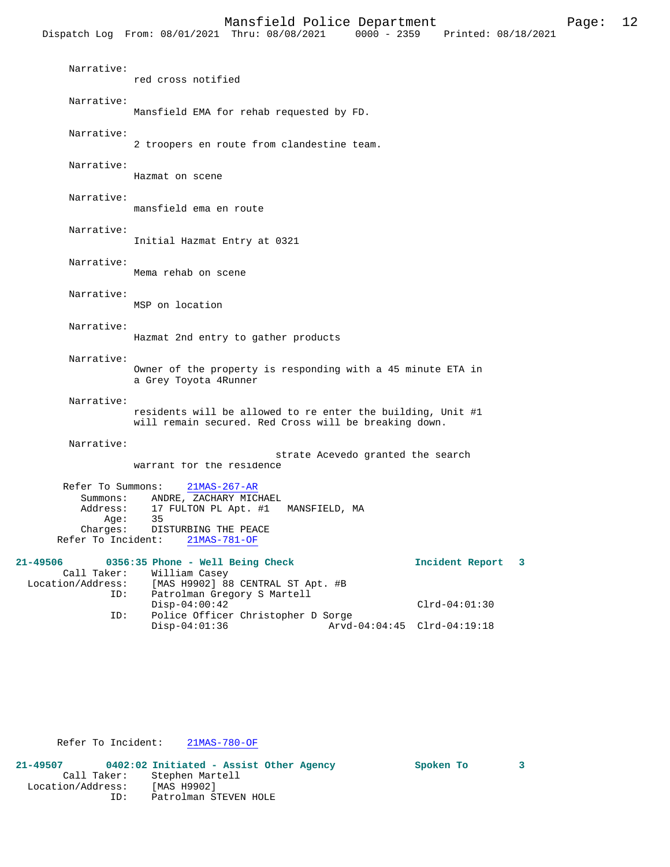|                                                                                     |                                                                                                                | Mansfield Police Department<br>Dispatch Log From: 08/01/2021 Thru: 08/08/2021                                        | $0000 - 2359$                     | Printed: 08/18/2021 | Page: | 12 |
|-------------------------------------------------------------------------------------|----------------------------------------------------------------------------------------------------------------|----------------------------------------------------------------------------------------------------------------------|-----------------------------------|---------------------|-------|----|
|                                                                                     |                                                                                                                |                                                                                                                      |                                   |                     |       |    |
| Narrative:                                                                          | red cross notified                                                                                             |                                                                                                                      |                                   |                     |       |    |
| Narrative:                                                                          |                                                                                                                | Mansfield EMA for rehab requested by FD.                                                                             |                                   |                     |       |    |
| Narrative:                                                                          |                                                                                                                | 2 troopers en route from clandestine team.                                                                           |                                   |                     |       |    |
| Narrative:                                                                          | Hazmat on scene                                                                                                |                                                                                                                      |                                   |                     |       |    |
| Narrative:                                                                          | mansfield ema en route                                                                                         |                                                                                                                      |                                   |                     |       |    |
| Narrative:                                                                          | Initial Hazmat Entry at 0321                                                                                   |                                                                                                                      |                                   |                     |       |    |
| Narrative:                                                                          | Mema rehab on scene                                                                                            |                                                                                                                      |                                   |                     |       |    |
| Narrative:                                                                          | MSP on location                                                                                                |                                                                                                                      |                                   |                     |       |    |
| Narrative:                                                                          |                                                                                                                | Hazmat 2nd entry to gather products                                                                                  |                                   |                     |       |    |
| Narrative:                                                                          | a Grey Toyota 4Runner                                                                                          | Owner of the property is responding with a 45 minute ETA in                                                          |                                   |                     |       |    |
| Narrative:                                                                          |                                                                                                                | residents will be allowed to re enter the building, Unit #1<br>will remain secured. Red Cross will be breaking down. |                                   |                     |       |    |
| Narrative:                                                                          | warrant for the residence                                                                                      |                                                                                                                      | strate Acevedo granted the search |                     |       |    |
| Refer To Summons:<br>Summons:<br>Address:<br>Age:<br>Charges:<br>Refer To Incident: | $21MAS-267-AR$<br>ANDRE, ZACHARY MICHAEL<br>17 FULTON PL Apt. #1<br>35<br>DISTURBING THE PEACE<br>21MAS-781-OF | MANSFIELD, MA                                                                                                        |                                   |                     |       |    |
| 21-49506<br>Call Taker:<br>Location/Address:<br>ID:                                 | 0356:35 Phone - Well Being Check<br>William Casey                                                              | [MAS H9902] 88 CENTRAL ST Apt. #B<br>Patrolman Gregory S Martell                                                     |                                   | Incident Report 3   |       |    |
|                                                                                     | $Disp-04:00:42$                                                                                                |                                                                                                                      |                                   | $Clrd-04:01:30$     |       |    |

 ID: Police Officer Christopher D Sorge Disp-04:01:36 Arvd-04:04:45 Clrd-04:19:18

Refer To Incident: 21MAS-780-OF

**21-49507 0402:02 Initiated - Assist Other Agency Spoken To 3**  Call Taker: Stephen Martell Location/Address: [MAS H9902] ID: Patrolman STEVEN HOLE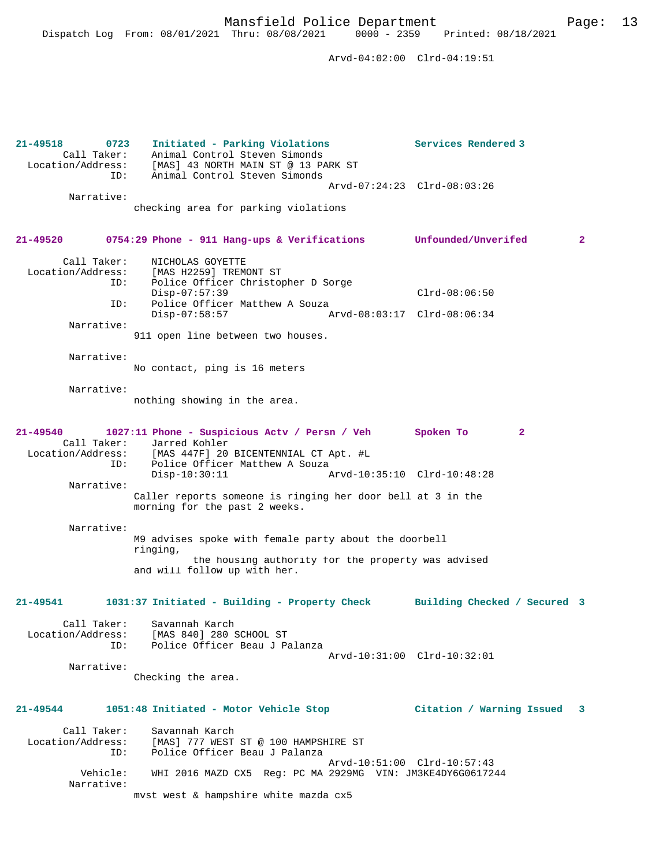Dispatch Log From: 08/01/2021 Thru: 08/08/2021 0000 - 2359 Printed: 08/18/2021

 Arvd-04:02:00 Clrd-04:19:51 **21-49518 0723 Initiated - Parking Violations Services Rendered 3**  Call Taker: Animal Control Steven Simonds Location/Address: [MAS] 43 NORTH MAIN ST @ 13 PARK ST ID: Animal Control Steven Simonds Arvd-07:24:23 Clrd-08:03:26 Narrative: checking area for parking violations **21-49520 0754:29 Phone - 911 Hang-ups & Verifications Unfounded/Unverifed 2** Call Taker: NICHOLAS GOYETTE Location/Address: [MAS H2259] TREMONT ST ID: Police Officer Christopher D Sorge Disp-07:57:39 Clrd-08:06:50 ID: Police Officer Matthew A Souza<br>Disp-07:58:57 A Disp-07:58:57 Arvd-08:03:17 Clrd-08:06:34 Narrative: 911 open line between two houses. Narrative: No contact, ping is 16 meters Narrative: nothing showing in the area. **21-49540 1027:11 Phone - Suspicious Actv / Persn / Veh Spoken To 2**  Call Taker: Jarred Kohler<br>Location/Address: [MAS 447F] 20 [MAS 447F] 20 BICENTENNIAL CT Apt. #L ID: Police Officer Matthew A Souza<br>Disp-10:30:11 Disp-10:30:11 Arvd-10:35:10 Clrd-10:48:28 Narrative: Caller reports someone is ringing her door bell at 3 in the morning for the past 2 weeks. Narrative: M9 advises spoke with female party about the doorbell ringing, the housing authority for the property was advised and will follow up with her. **21-49541 1031:37 Initiated - Building - Property Check Building Checked / Secured 3** Call Taker: Savannah Karch Location/Address: [MAS 840] 280 SCHOOL ST<br>ID: Police Officer Beau J Pa Police Officer Beau J Palanza Arvd-10:31:00 Clrd-10:32:01 Narrative: Checking the area. **21-49544 1051:48 Initiated - Motor Vehicle Stop Citation / Warning Issued 3** Call Taker: Savannah Karch<br>Location/Address: [MAS] 777 WEST ess: [MAS] 777 WEST ST @ 100 HAMPSHIRE ST<br>TD: Police Officer Beau J Palanza Police Officer Beau J Palanza Arvd-10:51:00 Clrd-10:57:43 Vehicle: WHI 2016 MAZD CX5 Reg: PC MA 2929MG VIN: JM3KE4DY6G0617244 Narrative: mvst west & hampshire white mazda cx5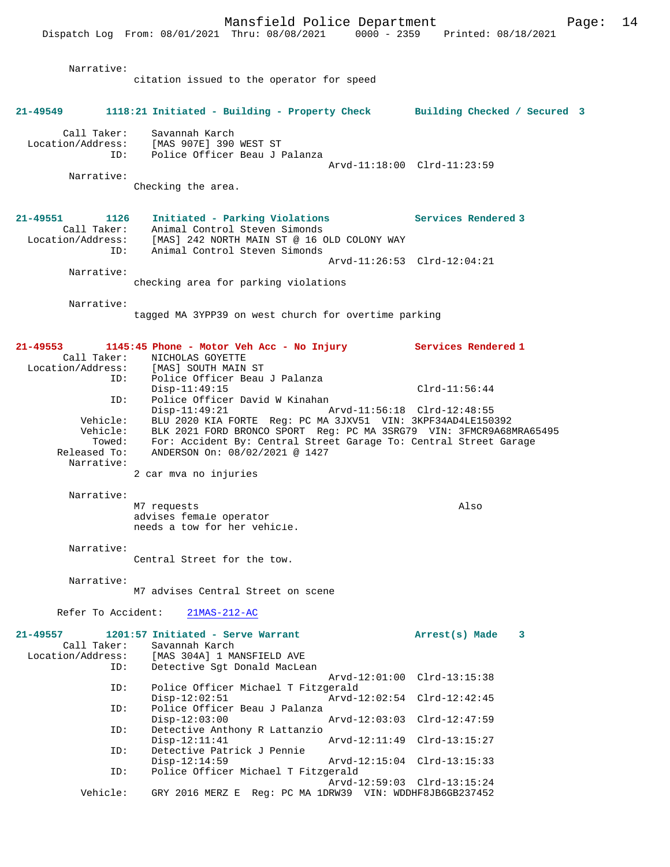Dispatch Log From: 08/01/2021 Thru: 08/08/2021 0000 - 2359 Printed: 08/18/2021 Narrative: citation issued to the operator for speed **21-49549 1118:21 Initiated - Building - Property Check Building Checked / Secured 3** Call Taker: Savannah Karch Location/Address: [MAS 907E] 390 WEST ST ID: Police Officer Beau J Palanza Arvd-11:18:00 Clrd-11:23:59 Narrative: Checking the area. **21-49551 1126 Initiated - Parking Violations Services Rendered 3**  Call Taker: Animal Control Steven Simonds Location/Address: [MAS] 242 NORTH MAIN ST @ 16 OLD COLONY WAY ID: Animal Control Steven Simonds Arvd-11:26:53 Clrd-12:04:21 Narrative: checking area for parking violations Narrative: tagged MA 3YPP39 on west church for overtime parking **21-49553 1145:45 Phone - Motor Veh Acc - No Injury Services Rendered 1**  Call Taker: NICHOLAS GOYETTE Location/Address: [MAS] SOUTH MAIN ST ID: Police Officer Beau J Palanza Disp-11:49:15 Clrd-11:56:44 ID: Police Officer David W Kinahan Disp-11:49:21 Arvd-11:56:18 Clrd-12:48:55 Vehicle: BLU 2020 KIA FORTE Reg: PC MA 3JXV51 VIN: 3KPF34AD4LE150392 Vehicle: BLK 2021 FORD BRONCO SPORT Reg: PC MA 3SRG79 VIN: 3FMCR9A68MRA65495 Towed: For: Accident By: Central Street Garage To: Central Street Garage Released To: ANDERSON On: 08/02/2021 @ 1427 Narrative: 2 car mva no injuries Narrative: M7 requests Also advises female operator needs a tow for her vehicle. Narrative: Central Street for the tow. Narrative: M7 advises Central Street on scene Refer To Accident: 21MAS-212-AC **21-49557 1201:57 Initiated - Serve Warrant Arrest(s) Made 3**  Call Taker: Savannah Karch<br>Location/Address: [MAS 304A] 1 MA [MAS 304A] 1 MANSFIELD AVE ID: Detective Sgt Donald MacLean Arvd-12:01:00 Clrd-13:15:38 ID: Police Officer Michael T Fitzgerald Disp-12:02:51 Arvd-12:02:54 Clrd-12:42:45<br>ID: Police Officer Beau J Palanza Police Officer Beau J Palanza Disp-12:03:00 Arvd-12:03:03 Clrd-12:47:59 ID: Detective Anthony R Lattanzio<br>Disp-12:11:41 Disp-12:11:41 Arvd-12:11:49 Clrd-13:15:27<br>TD: Detective Patrick J Pennie Detective Patrick J Pennie<br>Disp-12:14:59 Disp-12:14:59 Arvd-12:15:04 Clrd-13:15:33<br>TD: Police Officer Michael T Fitzgerald Police Officer Michael T Fitzgerald Arvd-12:59:03 Clrd-13:15:24<br>Vehicle: GRY 2016 MERZ E Reg: PC MA 1DRW39 VIN: WDDHF8JB6GB237452 Vehicle: GRY 2016 MERZ E Reg: PC MA 1DRW39 VIN: WDDHF8JB6GB237452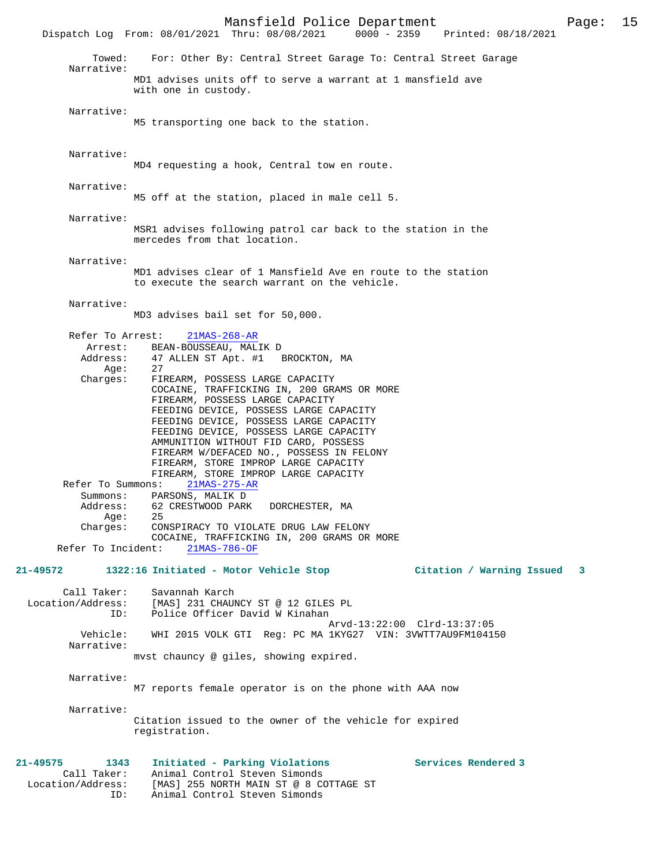Mansfield Police Department Page: 15 Dispatch Log From: 08/01/2021 Thru: 08/08/2021 Towed: For: Other By: Central Street Garage To: Central Street Garage Narrative: MD1 advises units off to serve a warrant at 1 mansfield ave with one in custody. Narrative: M5 transporting one back to the station. Narrative: MD4 requesting a hook, Central tow en route. Narrative: M5 off at the station, placed in male cell 5. Narrative: MSR1 advises following patrol car back to the station in the mercedes from that location. Narrative: MD1 advises clear of 1 Mansfield Ave en route to the station to execute the search warrant on the vehicle. Narrative: MD3 advises bail set for 50,000. Refer To Arrest: 21MAS-268-AR Arrest: BEAN-BOUSSEAU, MALIK D Address: 47 ALLEN ST Apt. #1 BROCKTON, MA Age: 27 Charges: FIREARM, POSSESS LARGE CAPACITY COCAINE, TRAFFICKING IN, 200 GRAMS OR MORE FIREARM, POSSESS LARGE CAPACITY FEEDING DEVICE, POSSESS LARGE CAPACITY FEEDING DEVICE, POSSESS LARGE CAPACITY FEEDING DEVICE, POSSESS LARGE CAPACITY AMMUNITION WITHOUT FID CARD, POSSESS FIREARM W/DEFACED NO., POSSESS IN FELONY FIREARM, STORE IMPROP LARGE CAPACITY FIREARM, STORE IMPROP LARGE CAPACITY Refer To Summons: 21MAS-275-AR Summons: PARSONS, MALIK D Address: 62 CRESTWOOD PARK DORCHESTER, MA<br>Aqe: 25 Age: Charges: CONSPIRACY TO VIOLATE DRUG LAW FELONY COCAINE, TRAFFICKING IN, 200 GRAMS OR MORE<br>ht: 21MAS-786-OF Refer To Incident: **21-49572 1322:16 Initiated - Motor Vehicle Stop Citation / Warning Issued 3** Call Taker: Savannah Karch Location/Address: [MAS] 231 CHAUNCY ST @ 12 GILES PL Police Officer David W Kinahan Arvd-13:22:00 Clrd-13:37:05 Vehicle: WHI 2015 VOLK GTI Reg: PC MA 1KYG27 VIN: 3VWTT7AU9FM104150 Narrative: mvst chauncy @ giles, showing expired. Narrative: M7 reports female operator is on the phone with AAA now Narrative: Citation issued to the owner of the vehicle for expired registration. **21-49575 1343 Initiated - Parking Violations Services Rendered 3**  Call Taker: Animal Control Steven Simonds Location/Address: [MAS] 255 NORTH MAIN ST @ 8 COTTAGE ST ID: Animal Control Steven Simonds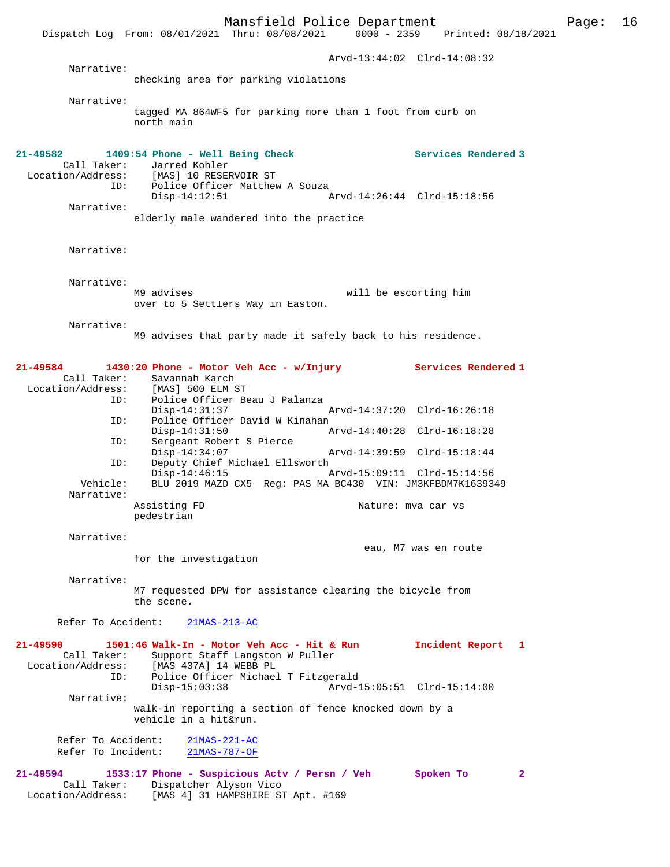Mansfield Police Department Page: 16 Dispatch Log From: 08/01/2021 Thru: 08/08/2021 Arvd-13:44:02 Clrd-14:08:32 Narrative: checking area for parking violations Narrative: tagged MA 864WF5 for parking more than 1 foot from curb on north main **21-49582 1409:54 Phone - Well Being Check Services Rendered 3**  Call Taker: Jarred Kohler<br>Location/Address: [MAS] 10 RESE [MAS] 10 RESERVOIR ST ID: Police Officer Matthew A Souza<br>Disp-14:12:51 Disp-14:12:51 Arvd-14:26:44 Clrd-15:18:56 Narrative: elderly male wandered into the practice Narrative: Narrative:<br>M9 advises will be escorting him over to 5 Settlers Way in Easton. Narrative: M9 advises that party made it safely back to his residence. **21-49584 1430:20 Phone - Motor Veh Acc - w/Injury Services Rendered 1**  Call Taker: Savannah Karch<br>.on/Address: [MAS] 500 ELM ST Location/Address:<br>ID: Police Officer Beau J Palanza<br>Disp-14:31:37 Disp-14:31:37 Arvd-14:37:20 Clrd-16:26:18 ID: Police Officer David W Kinahan<br>Disp-14:31:50 A Disp-14:31:50 Arvd-14:40:28 Clrd-16:18:28 ID: Sergeant Robert S Pierce Disp-14:34:07 Arvd-14:39:59 Clrd-15:18:44 ID: Deputy Chief Michael Ellsworth Disp-14:46:15 Arvd-15:09:11 Clrd-15:14:56 Vehicle: BLU 2019 MAZD CX5 Reg: PAS MA BC430 VIN: JM3KFBDM7K1639349 Narrative: Assisting FD 1999 Mature: mva car vs pedestrian Narrative: eau, M7 was en route for the investigation Narrative: M7 requested DPW for assistance clearing the bicycle from the scene. Refer To Accident: 21MAS-213-AC **21-49590 1501:46 Walk-In - Motor Veh Acc - Hit & Run Incident Report 1**  Call Taker: Support Staff Langston W Puller<br>Location/Address: [MAS 437A] 14 WEBB PL ess: [MAS 437A] 14 WEBB PL<br>ID: Police Officer Michael Police Officer Michael T Fitzgerald<br>Disp-15:03:38 Arvd-1 Disp-15:03:38 Arvd-15:05:51 Clrd-15:14:00 Narrative: walk-in reporting a section of fence knocked down by a vehicle in a hit&run. Refer To Accident: 21MAS-221-AC<br>Refer To Incident: 21MAS-787-OF Refer To Incident: **21-49594 1533:17 Phone - Suspicious Actv / Persn / Veh Spoken To 2**  Call Taker: Dispatcher Alyson Vico Location/Address: [MAS 4] 31 HAMPSHIRE ST Apt. #169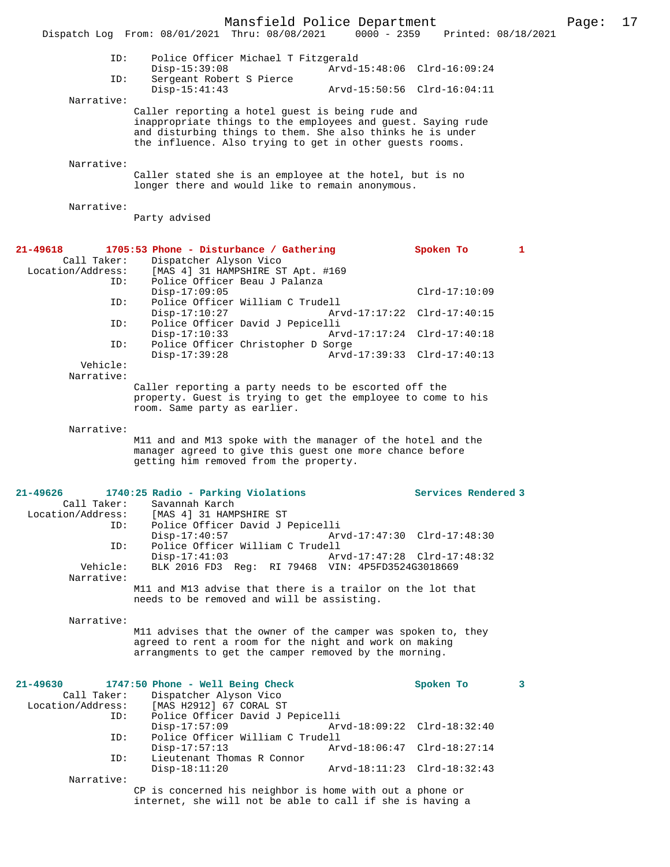Mansfield Police Department Page: 17 Dispatch Log From: 08/01/2021 Thru: 08/08/2021 ID: Police Officer Michael T Fitzgerald Disp-15:39:08 Arvd-15:48:06 Clrd-16:09:24<br>TD: Sergeant Robert S Pierce Sergeant Robert S Pierce<br>Disp-15:41:43 Arvd-15:50:56 Clrd-16:04:11 Narrative: Caller reporting a hotel guest is being rude and inappropriate things to the employees and guest. Saying rude and disturbing things to them. She also thinks he is under the influence. Also trying to get in other guests rooms. Narrative: Caller stated she is an employee at the hotel, but is no longer there and would like to remain anonymous. Narrative: Party advised **21-49618 1705:53 Phone - Disturbance / Gathering Spoken To 1**  Call Taker: Dispatcher Alyson Vico<br>Location/Address: [MAS 4] 31 HAMPSHIRE ST ess: [MAS 4] 31 HAMPSHIRE ST Apt. #169<br>ID: Police Officer Beau J Palanza Police Officer Beau J Palanza Disp-17:09:05 <br>Disp-17:09:05 Clrd-17:10:09 Clrd-17:10:09 Police Officer William C Trudell<br>Disp-17:10:27 Arv Disp-17:10:27 Arvd-17:17:22 Clrd-17:40:15<br>TD: Police Officer David J Pepicelli Police Officer David J Pepicelli Disp-17:10:33 Arvd-17:17:24 Clrd-17:40:18 ID: Police Officer Christopher D Sorge Disp-17:39:28 Arvd-17:39:33 Clrd-17:40:13  $V \triangle A \cap I \triangle B$ : Narrative: Caller reporting a party needs to be escorted off the property. Guest is trying to get the employee to come to his room. Same party as earlier. Narrative: M11 and and M13 spoke with the manager of the hotel and the manager agreed to give this guest one more chance before getting him removed from the property. **21-49626 1740:25 Radio - Parking Violations Services Rendered 3**  Call Taker: Savannah Karch<br>Location/Address: [MAS 4] 31 HAMP [MAS 4] 31 HAMPSHIRE ST ID: Police Officer David J Pepicelli Disp-17:40:57 Arvd-17:47:30 Clrd-17:48:30<br>ID: Police Officer William C Trudell Police Officer William C Trudell Disp-17:41:03 Arvd-17:47:28 Clrd-17:48:32<br>Vehicle: BLK 2016 FD3 Reg: RI 79468 VIN: 4P5FD3524G3018669 BLK 2016 FD3 Reg: RI 79468 VIN: 4P5FD3524G3018669 Narrative: M11 and M13 advise that there is a trailor on the lot that needs to be removed and will be assisting. Narrative: M11 advises that the owner of the camper was spoken to, they agreed to rent a room for the night and work on making arrangments to get the camper removed by the morning. **21-49630 1747:50 Phone - Well Being Check Spoken To 3**  Call Taker: Dispatcher Alyson Vico Location/Address: [MAS H2912] 67 CORAL ST Police Officer David J Pepicelli<br>Disp-17:57:09 Arv Disp-17:57:09 Arvd-18:09:22 Clrd-18:32:40<br>ID: Police Officer William C Trudell Police Officer William C Trudell<br>Disp-17:57:13 Arv Arvd-18:06:47 Clrd-18:27:14 ID: Lieutenant Thomas R Connor

Narrative:

CP is concerned his neighbor is home with out a phone or internet, she will not be able to call if she is having a

Disp-18:11:20 Arvd-18:11:23 Clrd-18:32:43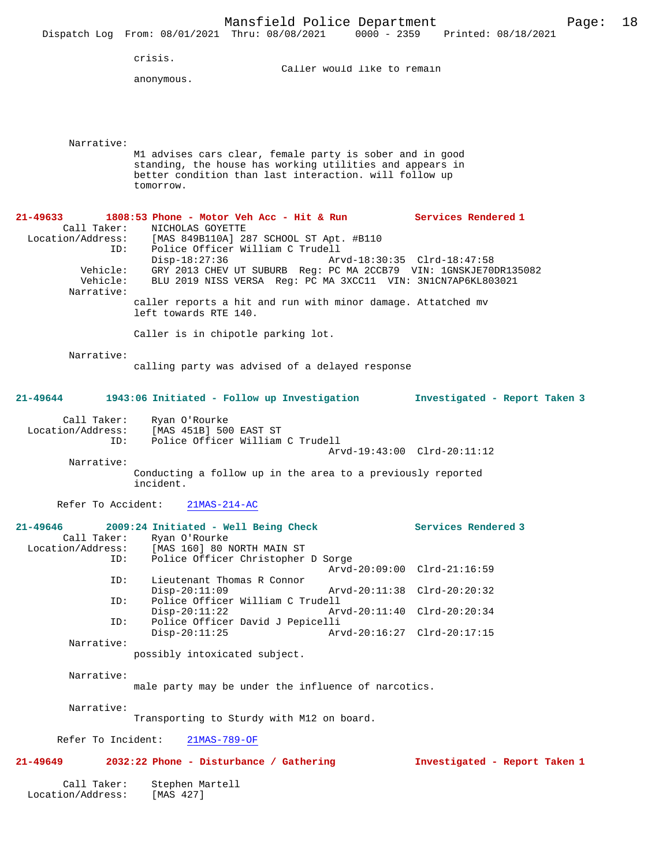|                                                                      |                                                              | Mansfield Police Department<br>Dispatch Log From: 08/01/2021 Thru: 08/08/2021 0000 - 2359 Printed: 08/18/2021                                                                                                                                                                                                                                                                                            |                                                                                                                          |                               | 18<br>Page: |
|----------------------------------------------------------------------|--------------------------------------------------------------|----------------------------------------------------------------------------------------------------------------------------------------------------------------------------------------------------------------------------------------------------------------------------------------------------------------------------------------------------------------------------------------------------------|--------------------------------------------------------------------------------------------------------------------------|-------------------------------|-------------|
|                                                                      | crisis.<br>anonymous.                                        |                                                                                                                                                                                                                                                                                                                                                                                                          | Caller would like to remain                                                                                              |                               |             |
| Narrative:                                                           | tomorrow.                                                    | M1 advises cars clear, female party is sober and in good<br>standing, the house has working utilities and appears in<br>better condition than last interaction. will follow up                                                                                                                                                                                                                           |                                                                                                                          |                               |             |
| 21-49633<br>Call Taker:<br>ID:<br>Vehicle:<br>Vehicle:<br>Narrative: | NICHOLAS GOYETTE<br>$Disp-18:27:36$<br>left towards RTE 140. | 1808:53 Phone - Motor Veh Acc - Hit & Run Services Rendered 1<br>Location/Address: [MAS 849B110A] 287 SCHOOL ST Apt. #B110<br>Police Officer William C Trudell<br>GRY 2013 CHEV UT SUBURB Req: PC MA 2CCB79 VIN: 1GNSKJE70DR135082<br>BLU 2019 NISS VERSA Reg: PC MA 3XCC11 VIN: 3N1CN7AP6KL803021<br>caller reports a hit and run with minor damage. Attatched mv<br>Caller is in chipotle parking lot. | Arvd-18:30:35 Clrd-18:47:58                                                                                              |                               |             |
| Narrative:                                                           |                                                              | calling party was advised of a delayed response                                                                                                                                                                                                                                                                                                                                                          |                                                                                                                          |                               |             |
| 21-49644                                                             |                                                              | 1943:06 Initiated - Follow up Investigation                                                                                                                                                                                                                                                                                                                                                              |                                                                                                                          | Investigated - Report Taken 3 |             |
| Call Taker:<br>Location/Address:<br>ID:<br>Narrative:                | Ryan O'Rourke<br>[MAS 451B] 500 EAST ST<br>incident.         | Police Officer William C Trudell<br>Conducting a follow up in the area to a previously reported                                                                                                                                                                                                                                                                                                          | Arvd-19:43:00 Clrd-20:11:12                                                                                              |                               |             |
| Refer To Accident:                                                   |                                                              | $21MAS-214-AC$                                                                                                                                                                                                                                                                                                                                                                                           |                                                                                                                          |                               |             |
| 21-49646<br>Call Taker:<br>Location/Address:<br>ID:                  | Ryan O'Rourke                                                | 2009:24 Initiated - Well Being Check<br>[MAS 160] 80 NORTH MAIN ST<br>Police Officer Christopher D Sorge                                                                                                                                                                                                                                                                                                 |                                                                                                                          | Services Rendered 3           |             |
| ID:<br>ID:<br>ID:                                                    | $Disp-20:11:09$<br>$Disp-20:11:22$<br>$Disp-20:11:25$        | Lieutenant Thomas R Connor<br>Police Officer William C Trudell<br>Police Officer David J Pepicelli                                                                                                                                                                                                                                                                                                       | Arvd-20:09:00 Clrd-21:16:59<br>Arvd-20:11:38 Clrd-20:20:32<br>Arvd-20:11:40 Clrd-20:20:34<br>Arvd-20:16:27 Clrd-20:17:15 |                               |             |
| Narrative:                                                           | possibly intoxicated subject.                                |                                                                                                                                                                                                                                                                                                                                                                                                          |                                                                                                                          |                               |             |
| Narrative:<br>Narrative:                                             |                                                              | male party may be under the influence of narcotics.                                                                                                                                                                                                                                                                                                                                                      |                                                                                                                          |                               |             |
| Refer To Incident:                                                   |                                                              | Transporting to Sturdy with M12 on board.<br>21MAS-789-OF                                                                                                                                                                                                                                                                                                                                                |                                                                                                                          |                               |             |
| 21-49649                                                             |                                                              | 2032:22 Phone - Disturbance / Gathering                                                                                                                                                                                                                                                                                                                                                                  |                                                                                                                          | Investigated - Report Taken 1 |             |
| Call Taker:<br>Location/Address:                                     | Stephen Martell<br>[MAS 427]                                 |                                                                                                                                                                                                                                                                                                                                                                                                          |                                                                                                                          |                               |             |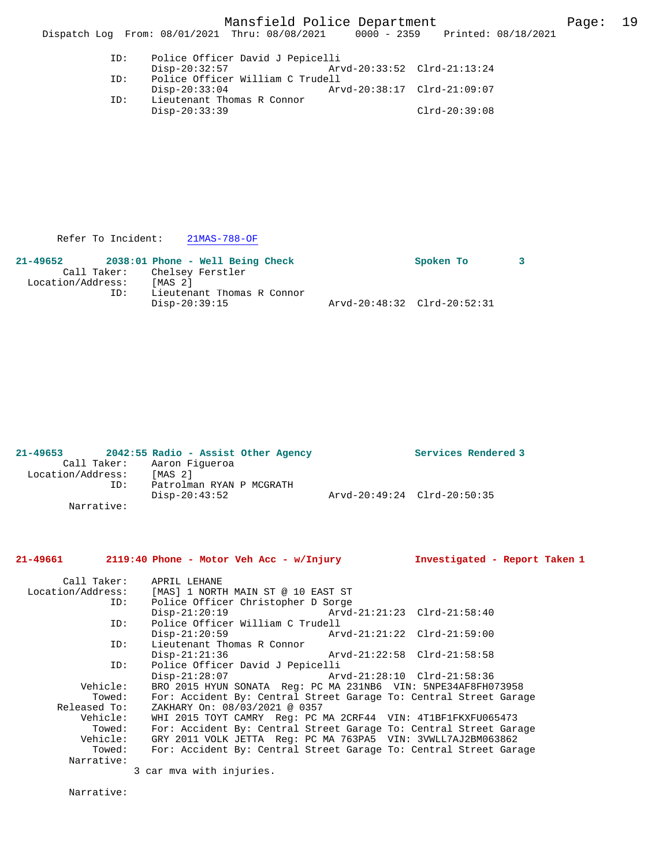Mansfield Police Department Page: 19 Dispatch Log From: 08/01/2021 Thru: 08/08/2021 0000 - 2359 Printed: 08/18/2021 ID: Police Officer David J Pepicelli Disp-20:32:57 Arvd-20:33:52 Clrd-21:13:24<br>TD: Police Officer William C Trudell Police Officer William C Trudell<br>Disp-20:33:04 Ar Disp-20:33:04 Arvd-20:38:17 Clrd-21:09:07<br>TD: Lieutenant Thomas R Connor

Lieutenant Thomas R Connor Disp-20:33:39 Clrd-20:39:08

Refer To Incident: 21MAS-788-OF

| 21-49652          |                              | $2038:01$ Phone - Well Being Check          |  |                             | Spoken To |  |
|-------------------|------------------------------|---------------------------------------------|--|-----------------------------|-----------|--|
|                   | Call Taker: Chelsey Ferstler |                                             |  |                             |           |  |
| Location/Address: |                              | [MAS 2]                                     |  |                             |           |  |
|                   | ID:                          | Lieutenant Thomas R Connor<br>Disp-20:39:15 |  | Arvd-20:48:32 Clrd-20:52:31 |           |  |

| $21 - 49653$      |             | 2042:55 Radio - Assist Other Agency       |                             | Services Rendered 3 |
|-------------------|-------------|-------------------------------------------|-----------------------------|---------------------|
|                   | Call Taker: | Aaron Figueroa                            |                             |                     |
| Location/Address: |             | [MAS <sub>2</sub> ]                       |                             |                     |
|                   | ID:         | Patrolman RYAN P MCGRATH<br>Disp-20:43:52 | Arvd-20:49:24 Clrd-20:50:35 |                     |
|                   | Narrative:  |                                           |                             |                     |

# **21-49661 2119:40 Phone - Motor Veh Acc - w/Injury Investigated - Report Taken 1**

Call Taker: APRIL LEHANE<br>Location/Address: [MAS] 1 NORT [MAS] 1 NORTH MAIN ST @ 10 EAST ST ID: Police Officer Christopher D Sorge Disp-21:20:19 Arvd-21:21:23 Clrd-21:58:40 ID: Police Officer William C Trudell Disp-21:20:59 <br>
D: Lieutenant Thomas R Connor<br>
D: Lieutenant Thomas R Connor Lieutenant Thomas R Connor<br>Disp-21:21:36 Disp-21:21:36 Arvd-21:22:58 Clrd-21:58:58<br>ID: Police Officer David J Pepicelli ID: Police Officer David J Pepicelli Disp-21:28:07 Arvd-21:28:10 Clrd-21:58:36 Vehicle: BRO 2015 HYUN SONATA Reg: PC MA 231NB6 VIN: 5NPE34AF8FH073958 Towed: For: Accident By: Central Street Garage To: Central Street Garage Released To: ZAKHARY On: 08/03/2021 @ 0357<br>Vehicle: WHI 2015 TOYT CAMRY Reg: PC N ehicle: WHI 2015 TOYT CAMRY Reg: PC MA 2CRF44 VIN: 4T1BF1FKXFU065473<br>Towed: For: Accident By: Central Street Garage To: Central Street Gara Towed: For: Accident By: Central Street Garage To: Central Street Garage Vehicle: GRY 2011 VOLK JETTA Reg: PC MA 763PA5 VIN: 3VWLL7AJ2BM063862 Towed: For: Accident By: Central Street Garage To: Central Street Garage Narrative: 3 car mva with injuries.

Narrative: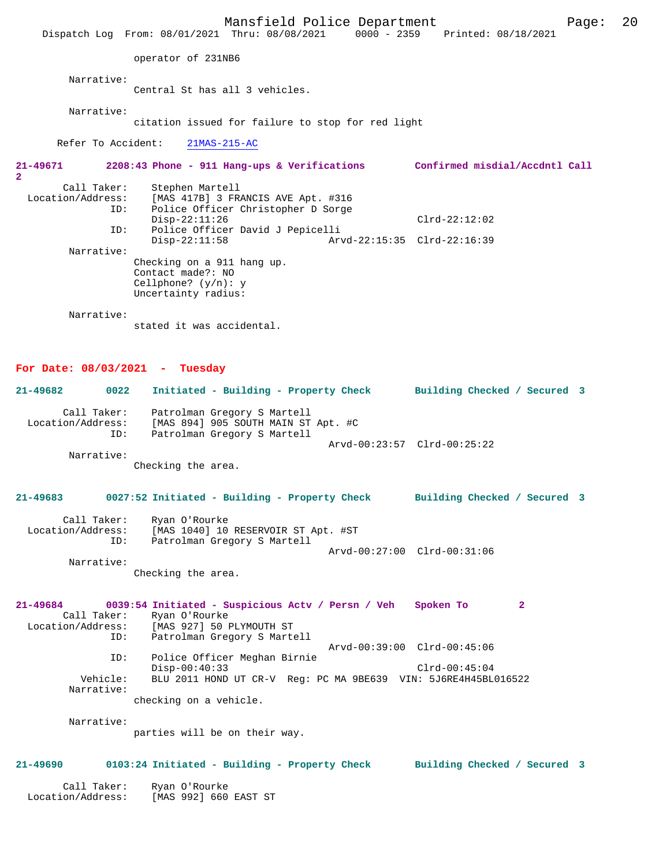Mansfield Police Department Form Page: 20 Dispatch Log From: 08/01/2021 Thru: 08/08/2021 0000 - 2359 Printed: 08/18/2021 operator of 231NB6 Narrative: Central St has all 3 vehicles. Narrative: citation issued for failure to stop for red light Refer To Accident: 21MAS-215-AC **21-49671 2208:43 Phone - 911 Hang-ups & Verifications Confirmed misdial/Accdntl Call 2**  Call Taker: Stephen Martell Location/Address: [MAS 417B] 3 FRANCIS AVE Apt. #316 Police Officer Christopher D Sorge Disp-22:11:26 Clrd-22:12:02<br>ID: Police Officer David J Pepicelli ID: Police Officer David J Pepicelli Disp-22:11:58 Arvd-22:15:35 Clrd-22:16:39 Narrative: Checking on a 911 hang up. Contact made?: NO Cellphone? (y/n): y Uncertainty radius: Narrative: stated it was accidental.

### **For Date: 08/03/2021 - Tuesday**

| 21-49682          | 0022        | Initiated - Building - Property Check |  | Building Checked / Secured 3 |  |
|-------------------|-------------|---------------------------------------|--|------------------------------|--|
|                   | Call Taker: | Patrolman Gregory S Martell           |  |                              |  |
| Location/Address: |             | [MAS 894] 905 SOUTH MAIN ST Apt. #C   |  |                              |  |
|                   | ID:         | Patrolman Gregory S Martell           |  |                              |  |
|                   |             |                                       |  | Arvd-00:23:57 Clrd-00:25:22  |  |
|                   | Narrative:  |                                       |  |                              |  |

Checking the area.

# **21-49683 0027:52 Initiated - Building - Property Check Building Checked / Secured 3** Call Taker: Ryan O'Rourke Location/Address: [MAS 1040] 10 RESERVOIR ST Apt. #ST ID: Patrolman Gregory S Martell Arvd-00:27:00 Clrd-00:31:06 Narrative:

Checking the area.

### **21-49684 0039:54 Initiated - Suspicious Actv / Persn / Veh Spoken To 2**  Call Taker: Ryan O'Rourke<br>Location/Address: [MAS 927] 50 1 [MAS 927] 50 PLYMOUTH ST ID: Patrolman Gregory S Martell Arvd-00:39:00 Clrd-00:45:06 ID: Police Officer Meghan Birnie Disp-00:40:33 Clrd-00:45:04<br>Vehicle: BLU 2011 HOND UT CR-V Req: PC MA 9BE639 VIN: 5J6RE4H45BL Vehicle: BLU 2011 HOND UT CR-V Reg: PC MA 9BE639 VIN: 5J6RE4H45BL016522 Narrative:

checking on a vehicle.

Narrative:

parties will be on their way.

#### **21-49690 0103:24 Initiated - Building - Property Check Building Checked / Secured 3**

|  | $D_{\text{trans}}$ $\bigcap_{n=1}^{n}$ |  |  |  |
|--|----------------------------------------|--|--|--|

Call Taker: Ryan O'Rourke<br>ion/Address: [MAS 992] 660 EAST ST Location/Address: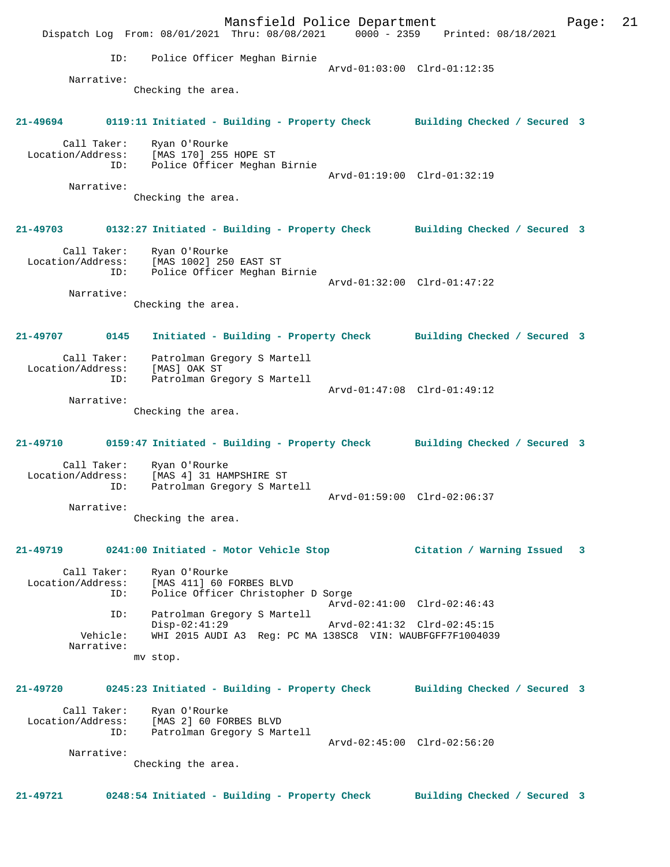Mansfield Police Department Form Page: 21 Dispatch Log From: 08/01/2021 Thru: 08/08/2021 0000 - 2359 Printed: 08/18/2021 ID: Police Officer Meghan Birnie Arvd-01:03:00 Clrd-01:12:35 Narrative: Checking the area. **21-49694 0119:11 Initiated - Building - Property Check Building Checked / Secured 3** Call Taker: Ryan O'Rourke Location/Address: [MAS 170] 255 HOPE ST ID: Police Officer Meghan Birnie Arvd-01:19:00 Clrd-01:32:19 Narrative: Checking the area. **21-49703 0132:27 Initiated - Building - Property Check Building Checked / Secured 3** Call Taker: Ryan O'Rourke Location/Address: [MAS 1002] 250 EAST ST ID: Police Officer Meghan Birnie Arvd-01:32:00 Clrd-01:47:22 Narrative: Checking the area. **21-49707 0145 Initiated - Building - Property Check Building Checked / Secured 3** Call Taker: Patrolman Gregory S Martell Location/Address: [MAS] OAK ST ID: Patrolman Gregory S Martell Arvd-01:47:08 Clrd-01:49:12 Narrative: Checking the area. **21-49710 0159:47 Initiated - Building - Property Check Building Checked / Secured 3** Call Taker: Ryan O'Rourke Location/Address: [MAS 4] 31 HAMPSHIRE ST Patrolman Gregory S Martell Arvd-01:59:00 Clrd-02:06:37 Narrative: Checking the area. **21-49719 0241:00 Initiated - Motor Vehicle Stop Citation / Warning Issued 3** Call Taker: Ryan O'Rourke<br>Location/Address: [MAS 411] 60 I ess: [MAS 411] 60 FORBES BLVD<br>ID: Police Officer Christophe Police Officer Christopher D Sorge Arvd-02:41:00 Clrd-02:46:43 ID: Patrolman Gregory S Martell Disp-02:41:29 <br>Vehicle: WHI 2015 AUDI A3 Req: PC MA 138SC8 VIN: WAUBFGFF7F1004039 WHI 2015 AUDI A3 Reg: PC MA 138SC8 VIN: WAUBFGFF7F1004039 Narrative: mv stop. **21-49720 0245:23 Initiated - Building - Property Check Building Checked / Secured 3** Call Taker: Ryan O'Rourke<br>Location/Address: [MAS 2] 60 FOI [MAS 2] 60 FORBES BLVD ID: Patrolman Gregory S Martell Arvd-02:45:00 Clrd-02:56:20 Narrative: Checking the area. **21-49721 0248:54 Initiated - Building - Property Check Building Checked / Secured 3**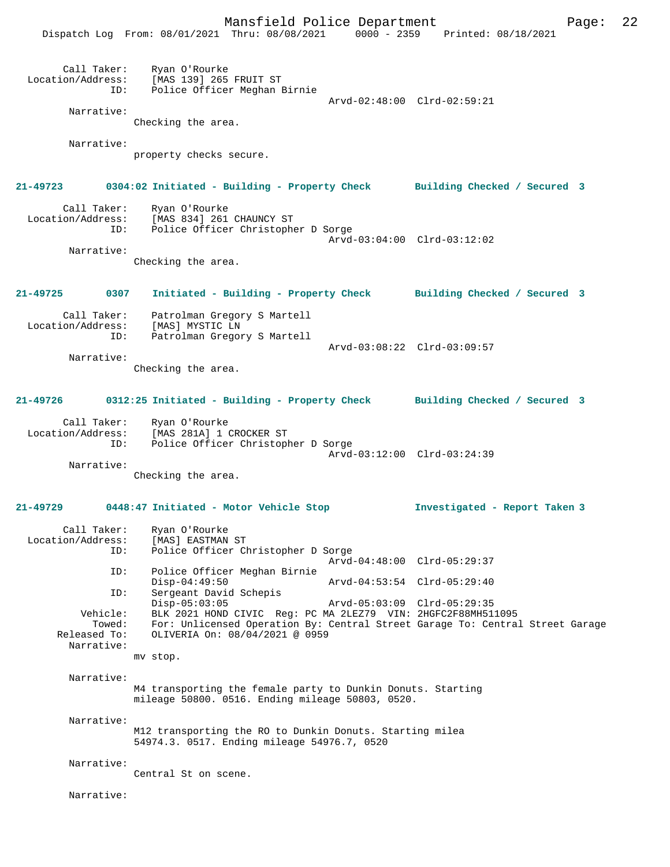Mansfield Police Department Page: 22 Dispatch Log From: 08/01/2021 Thru: 08/08/2021 0000 - 2359 Printed: 08/18/2021 Call Taker: Ryan O'Rourke Location/Address: [MAS 139] 265 FRUIT ST ID: Police Officer Meghan Birnie Arvd-02:48:00 Clrd-02:59:21 Narrative: Checking the area. Narrative: property checks secure. **21-49723 0304:02 Initiated - Building - Property Check Building Checked / Secured 3** Call Taker: Ryan O'Rourke<br>Location/Address: [MAS 834] 261 [MAS 834] 261 CHAUNCY ST ID: Police Officer Christopher D Sorge Arvd-03:04:00 Clrd-03:12:02 Narrative: Checking the area. **21-49725 0307 Initiated - Building - Property Check Building Checked / Secured 3** Call Taker: Patrolman Gregory S Martell Location/Address: [MAS] MYSTIC LN ID: Patrolman Gregory S Martell Arvd-03:08:22 Clrd-03:09:57 Narrative: Checking the area. **21-49726 0312:25 Initiated - Building - Property Check Building Checked / Secured 3** Call Taker: Ryan O'Rourke Location/Address: [MAS 281A] 1 CROCKER ST ID: Police Officer Christopher D Sorge Arvd-03:12:00 Clrd-03:24:39 Narrative: Checking the area. **21-49729 0448:47 Initiated - Motor Vehicle Stop Investigated - Report Taken 3** Call Taker: Ryan O'Rourke Location/Address: [MAS] EASTMAN ST ID: Police Officer Christopher D Sorge Arvd-04:48:00 Clrd-05:29:37 ID: Police Officer Meghan Birnie Disp-04:49:50 <br>
Disp-04:49:50 <br>
Diverse ant David Schepis <br>
Diverse arrow Arvd-04:53:54 <br>
Clrd-05:29:40 Sergeant David Schepis<br>Disp-05:03:05 Disp-05:03:05 Arvd-05:03:09 Clrd-05:29:35<br>Vehicle: BLK 2021 HOND CIVIC Reg: PC MA 2LEZ79 VIN: 2HGFC2F88MH51 ehicle: BLK 2021 HOND CIVIC Reg: PC MA 2LEZ79 VIN: 2HGFC2F88MH511095<br>Towed: For: Unlicensed Operation By: Central Street Garage To: Central Towed: For: Unlicensed Operation By: Central Street Garage To: Central Street Garage Released To: OLIVERIA On: 08/04/2021 @ 0959 OLIVERIA On: 08/04/2021 @ 0959 Narrative: mv stop. Narrative: M4 transporting the female party to Dunkin Donuts. Starting mileage 50800. 0516. Ending mileage 50803, 0520. Narrative: M12 transporting the RO to Dunkin Donuts. Starting milea 54974.3. 0517. Ending mileage 54976.7, 0520 Narrative: Central St on scene. Narrative: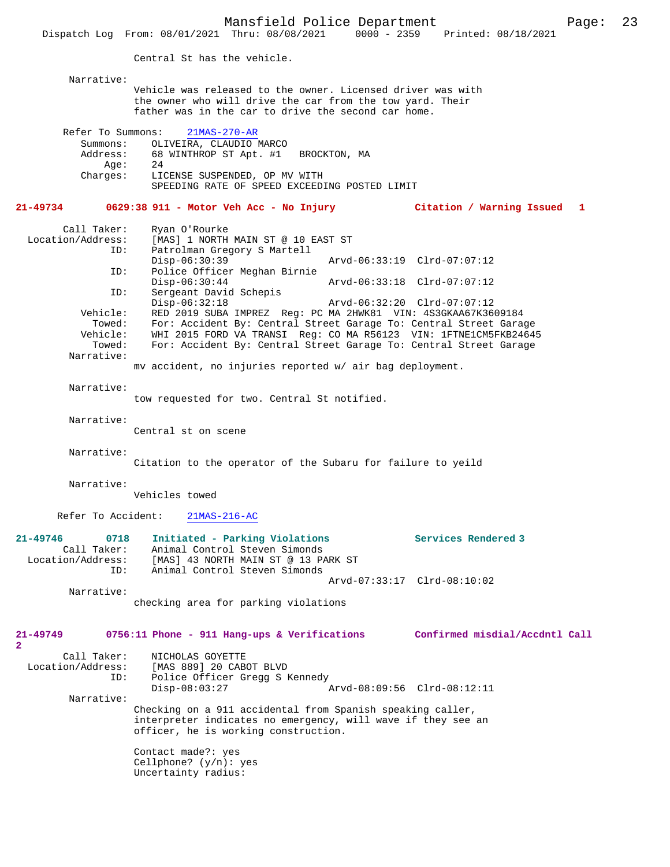Mansfield Police Department Page: 23 Dispatch Log From: 08/01/2021 Thru: 08/08/2021 0000 - 2359 Central St has the vehicle. Narrative: Vehicle was released to the owner. Licensed driver was with the owner who will drive the car from the tow yard. Their father was in the car to drive the second car home. Refer To Summons: 21MAS-270-AR Summons: OLIVEIRA, CLAUDIO MARCO<br>Address: 68 WINTHROP ST Apt. #1 68 WINTHROP ST Apt. #1 BROCKTON, MA<br>24 Age: Charges: LICENSE SUSPENDED, OP MV WITH SPEEDING RATE OF SPEED EXCEEDING POSTED LIMIT **21-49734 0629:38 911 - Motor Veh Acc - No Injury Citation / Warning Issued 1** Call Taker: Ryan O'Rourke Location/Address: [MAS] 1 NORTH MAIN ST @ 10 EAST ST Patrolman Gregory S Martell<br>Disp-06:30:39 Disp-06:30:39 Arvd-06:33:19 Clrd-07:07:12<br>ID: Police Officer Meghan Birnie Disp-00:50:52<br>Police Officer Meghan Birnie<br>Disp-06:30:44 Disp-06:30:44 Arvd-06:33:18 Clrd-07:07:12<br>ID: Sergeant David Schepis Sergeant David Schepis<br>Disp-06:32:18 Disp-06:32:18 Arvd-06:32:20 Clrd-07:07:12<br>Vehicle: RED 2019 SUBA IMPREZ Reg: PC MA 2HWK81 VIN: 4S3GKAA67K36 Vehicle: RED 2019 SUBA IMPREZ Reg: PC MA 2HWK81 VIN: 4S3GKAA67K3609184 For: Accident By: Central Street Garage To: Central Street Garage Vehicle: WHI 2015 FORD VA TRANSI Reg: CO MA R56123 VIN: 1FTNE1CM5FKB24645<br>Towed: For: Accident By: Central Street Garage To: Central Street Garage For: Accident By: Central Street Garage To: Central Street Garage Narrative: mv accident, no injuries reported w/ air bag deployment. Narrative: tow requested for two. Central St notified. Narrative: Central st on scene Narrative: Citation to the operator of the Subaru for failure to yeild Narrative: Vehicles towed Refer To Accident: 21MAS-216-AC **21-49746 0718 Initiated - Parking Violations Services Rendered 3**  Call Taker: Animal Control Steven Simonds Location/Address: [MAS] 43 NORTH MAIN ST @ 13 PARK ST ID: Animal Control Steven Simonds Arvd-07:33:17 Clrd-08:10:02 Narrative: checking area for parking violations **21-49749 0756:11 Phone - 911 Hang-ups & Verifications Confirmed misdial/Accdntl Call** Call Taker: NICHOLAS GOYETTE<br>Location/Address: [MAS 889] 20 CAB ess: [MAS 889] 20 CABOT BLVD<br>ID: Police Officer Gregg S } Police Officer Gregg S Kennedy<br>Disp-08:03:27 Disp-08:03:27 Arvd-08:09:56 Clrd-08:12:11 Narrative: Checking on a 911 accidental from Spanish speaking caller, interpreter indicates no emergency, will wave if they see an officer, he is working construction. Contact made?: yes Cellphone? (y/n): yes Uncertainty radius:

**2**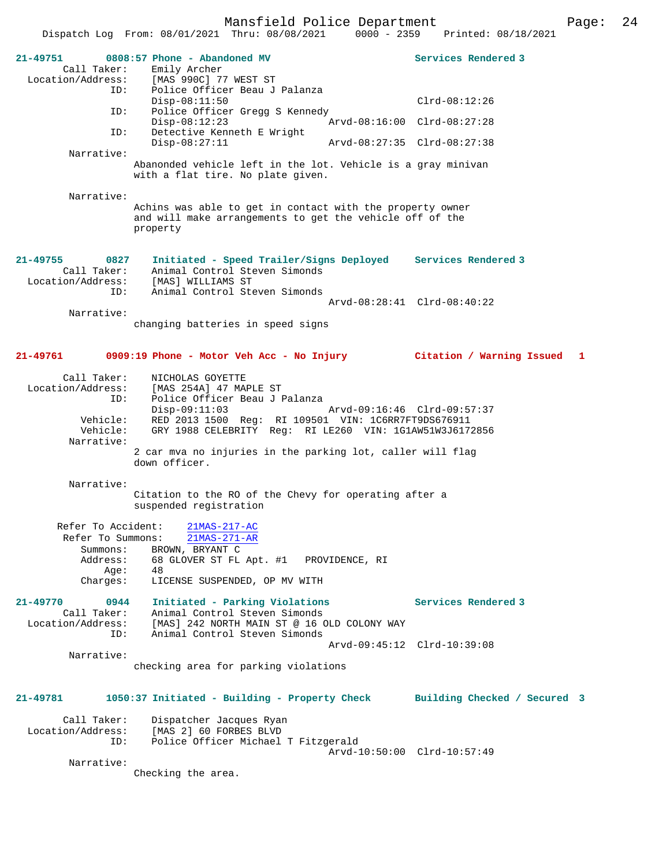|                                                          | Dispatch Log From: 08/01/2021 Thru: 08/08/2021<br>$0000 - 2359$                                                    | Printed: 08/18/2021                       |
|----------------------------------------------------------|--------------------------------------------------------------------------------------------------------------------|-------------------------------------------|
| 21-49751<br>Call Taker:                                  | 0808:57 Phone - Abandoned MV<br>Emily Archer                                                                       | Services Rendered 3                       |
| Location/Address:<br>ID:                                 | [MAS 990C] 77 WEST ST<br>Police Officer Beau J Palanza                                                             |                                           |
|                                                          | $Disp-08:11:50$                                                                                                    | $Clrd-08:12:26$                           |
| ID:                                                      | Police Officer Gregg S Kennedy<br>$Disp-08:12:23$                                                                  | Arvd-08:16:00 Clrd-08:27:28               |
| ID:                                                      | Detective Kenneth E Wright<br>$Disp-08:27:11$                                                                      | Arvd-08:27:35 Clrd-08:27:38               |
| Narrative:                                               |                                                                                                                    |                                           |
|                                                          | Abanonded vehicle left in the lot. Vehicle is a gray minivan<br>with a flat tire. No plate given.                  |                                           |
| Narrative:                                               | Achins was able to get in contact with the property owner                                                          |                                           |
|                                                          | and will make arrangements to get the vehicle off of the<br>property                                               |                                           |
| $21 - 49755$<br>0827<br>Call Taker:<br>Location/Address: | Initiated - Speed Trailer/Signs Deployed Services Rendered 3<br>Animal Control Steven Simonds<br>[MAS] WILLIAMS ST |                                           |
| ID:                                                      | Animal Control Steven Simonds                                                                                      | Arvd-08:28:41 Clrd-08:40:22               |
| Narrative:                                               |                                                                                                                    |                                           |
|                                                          | changing batteries in speed signs                                                                                  |                                           |
| 21-49761                                                 | 0909:19 Phone - Motor Veh Acc - No Injury                                                                          | Citation / Warning Issued<br>$\mathbf{1}$ |
| Call Taker:<br>Location/Address:                         | NICHOLAS GOYETTE<br>[MAS 254A] 47 MAPLE ST                                                                         |                                           |
| ID:                                                      | Police Officer Beau J Palanza                                                                                      |                                           |
| Vehicle:                                                 | $Disp-09:11:03$<br>RED 2013 1500 Reg: RI 109501 VIN: 1C6RR7FT9DS676911                                             |                                           |
| Vehicle:<br>Narrative:                                   | GRY 1988 CELEBRITY Req: RI LE260 VIN: 1G1AW51W3J6172856                                                            |                                           |
|                                                          | 2 car mva no injuries in the parking lot, caller will flag                                                         |                                           |
|                                                          | down officer.                                                                                                      |                                           |
| Narrative:                                               |                                                                                                                    |                                           |
|                                                          | Citation to the RO of the Chevy for operating after a<br>suspended registration                                    |                                           |
| Refer To Accident:<br>Refer To Summons:                  | 21MAS-217-AC<br>21MAS-271-AR                                                                                       |                                           |
| Summons:                                                 | BROWN, BRYANT C                                                                                                    |                                           |
| Address:<br>Age:                                         | 68 GLOVER ST FL Apt. #1<br>PROVIDENCE, RI<br>48                                                                    |                                           |
| Charges:                                                 | LICENSE SUSPENDED, OP MV WITH                                                                                      |                                           |
| 21-49770<br>0944                                         | Initiated - Parking Violations                                                                                     | Services Rendered 3                       |
| Call Taker:                                              | Animal Control Steven Simonds                                                                                      |                                           |
| Location/Address:<br>ID:                                 | [MAS] 242 NORTH MAIN ST @ 16 OLD COLONY WAY<br>Animal Control Steven Simonds                                       |                                           |
|                                                          |                                                                                                                    | Arvd-09:45:12 Clrd-10:39:08               |
| Narrative:                                               | checking area for parking violations                                                                               |                                           |
| 21-49781                                                 | 1050:37 Initiated - Building - Property Check                                                                      | Building Checked / Secured 3              |
| Call Taker:                                              | Dispatcher Jacques Ryan                                                                                            |                                           |
| Location/Address:                                        | [MAS 2] 60 FORBES BLVD                                                                                             |                                           |
| ID:                                                      | Police Officer Michael T Fitzgerald                                                                                | Arvd-10:50:00 Clrd-10:57:49               |
| Narrative:                                               |                                                                                                                    |                                           |
|                                                          | Checking the area.                                                                                                 |                                           |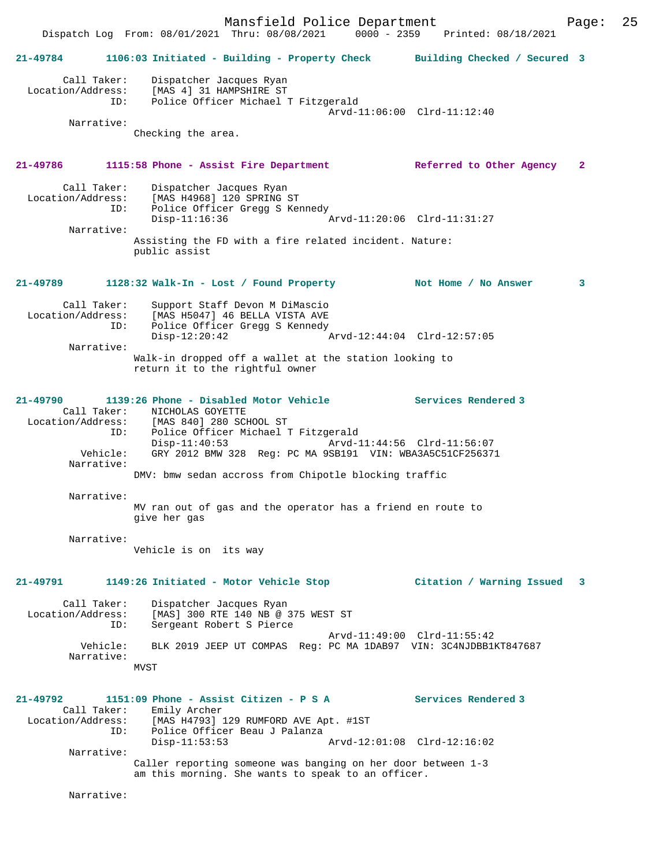Mansfield Police Department Form Page: 25 Dispatch Log From: 08/01/2021 Thru: 08/08/2021 0000 - 2359 Printed: 08/18/2021 **21-49784 1106:03 Initiated - Building - Property Check Building Checked / Secured 3** Call Taker: Dispatcher Jacques Ryan Location/Address: [MAS 4] 31 HAMPSHIRE ST ID: Police Officer Michael T Fitzgerald Arvd-11:06:00 Clrd-11:12:40 Narrative: Checking the area. **21-49786 1115:58 Phone - Assist Fire Department Referred to Other Agency 2** Call Taker: Dispatcher Jacques Ryan<br>Location/Address: [MAS H4968] 120 SPRING ; ess: [MAS H4968] 120 SPRING ST<br>ID: Police Officer Gregg S Ker Police Officer Gregg S Kennedy<br>Disp-11:16:36 Arvd-11:20:06 Clrd-11:31:27 Narrative: Assisting the FD with a fire related incident. Nature: public assist **21-49789 1128:32 Walk-In - Lost / Found Property Not Home / No Answer 3** Call Taker: Support Staff Devon M DiMascio Location/Address: [MAS H5047] 46 BELLA VISTA AVE ID: Police Officer Gregg S Kennedy<br>Disp-12:20:42 Disp-12:20:42 Arvd-12:44:04 Clrd-12:57:05 Narrative: Walk-in dropped off a wallet at the station looking to return it to the rightful owner **21-49790 1139:26 Phone - Disabled Motor Vehicle Services Rendered 3**  Call Taker: NICHOLAS GOYETTE<br>Location/Address: [MAS 840] 280 SCH Location/Address: [MAS 840] 280 SCHOOL ST ID: Police Officer Michael T Fitzgerald Disp-11:40:53 Arvd-11:44:56 Clrd-11:56:07 Vehicle: GRY 2012 BMW 328 Reg: PC MA 9SB191 VIN: WBA3A5C51CF256371 Narrative: DMV: bmw sedan accross from Chipotle blocking traffic Narrative: MV ran out of gas and the operator has a friend en route to give her gas Narrative: Vehicle is on its way **21-49791 1149:26 Initiated - Motor Vehicle Stop Citation / Warning Issued 3** Call Taker: Dispatcher Jacques Ryan Location/Address: [MAS] 300 RTE 140 NB @ 375 WEST ST Sergeant Robert S Pierce Arvd-11:49:00 Clrd-11:55:42 Vehicle: BLK 2019 JEEP UT COMPAS Reg: PC MA 1DAB97 VIN: 3C4NJDBB1KT847687 Narrative: MVST **21-49792 1151:09 Phone - Assist Citizen - P S A Services Rendered 3**  Call Taker: Emily Archer Location/Address: [MAS H4793] 129 RUMFORD AVE Apt. #1ST ID: Police Officer Beau J Palanza Disp-11:53:53 Arvd-12:01:08 Clrd-12:16:02 Narrative: Caller reporting someone was banging on her door between 1-3 am this morning. She wants to speak to an officer. Narrative: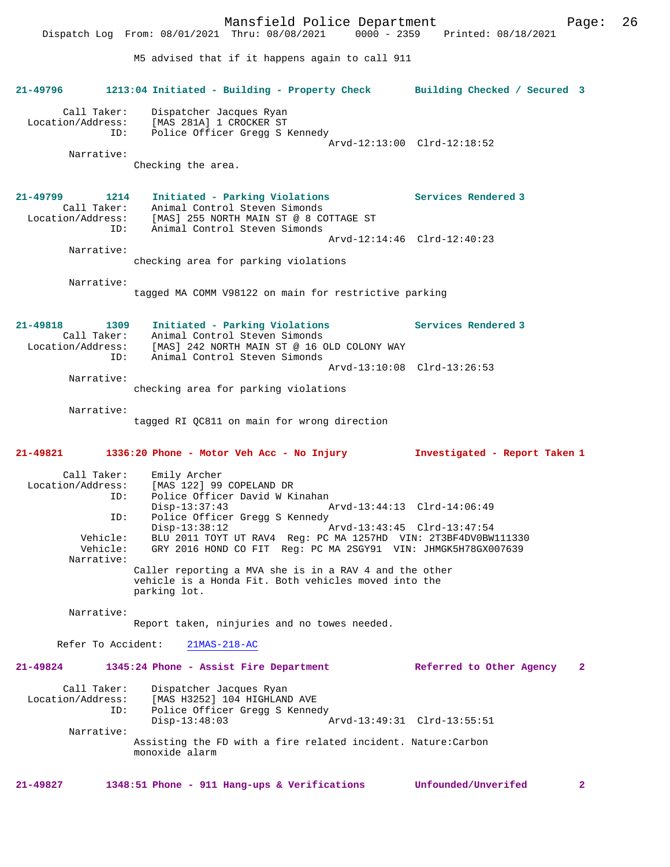Mansfield Police Department Page: 26 Dispatch Log From: 08/01/2021 Thru: 08/08/2021 M5 advised that if it happens again to call 911 **21-49796 1213:04 Initiated - Building - Property Check Building Checked / Secured 3** Call Taker: Dispatcher Jacques Ryan Location/Address: [MAS 281A] 1 CROCKER ST<br>TD: Police Officer Gregg S 1 Police Officer Gregg S Kennedy Arvd-12:13:00 Clrd-12:18:52 Narrative: Checking the area. **21-49799 1214 Initiated - Parking Violations Services Rendered 3**  Call Takering violations<br>Animal Control Steven Simonds<br>EMACL OFF WARE Location/Address: [MAS] 255 NORTH MAIN ST @ 8 COTTAGE ST ID: Animal Control Steven Simonds Arvd-12:14:46 Clrd-12:40:23 Narrative: checking area for parking violations Narrative: tagged MA COMM V98122 on main for restrictive parking **21-49818 1309 Initiated - Parking Violations Services Rendered 3**  Call Taker: Animal Control Steven Simonds<br>Location/Address: [MAS] 242 NORTH MAIN ST @ 16 O ess: [MAS] 242 NORTH MAIN ST @ 16 OLD COLONY WAY<br>ID: Animal Control Steven Simonds Animal Control Steven Simonds Arvd-13:10:08 Clrd-13:26:53 Narrative: checking area for parking violations Narrative: tagged RI QC811 on main for wrong direction **21-49821 1336:20 Phone - Motor Veh Acc - No Injury Investigated - Report Taken 1** Call Taker: Emily Archer<br>Location/Address: [MAS 122] 99 [MAS 122] 99 COPELAND DR ID: Police Officer David W Kinahan Disp-13:37:43 Arvd-13:44:13 Clrd-14:06:49<br>TD: Police Officer Gregg S Kennedy Police Officer Gregg S Kennedy<br>Disp-13:38:12 Disp-13:38:12 Arvd-13:43:45 Clrd-13:47:54 Vehicle: BLU 2011 TOYT UT RAV4 Reg: PC MA 1257HD VIN: 2T3BF4DV0BW111330 Vehicle: GRY 2016 HOND CO FIT Reg: PC MA 2SGY91 VIN: JHMGK5H78GX007639 Narrative: Caller reporting a MVA she is in a RAV 4 and the other vehicle is a Honda Fit. Both vehicles moved into the parking lot. Narrative: Report taken, ninjuries and no towes needed. Refer To Accident: 21MAS-218-AC **21-49824 1345:24 Phone - Assist Fire Department Referred to Other Agency 2** Call Taker: Dispatcher Jacques Ryan<br>Location/Address: [MAS H3252] 104 HIGHLANI ess: [MAS H3252] 104 HIGHLAND AVE<br>TD: Police Officer Gregg S Kenned Police Officer Gregg S Kennedy Disp-13:48:03 Arvd-13:49:31 Clrd-13:55:51 Narrative: Assisting the FD with a fire related incident. Nature:Carbon monoxide alarm **21-49827 1348:51 Phone - 911 Hang-ups & Verifications Unfounded/Unverifed 2**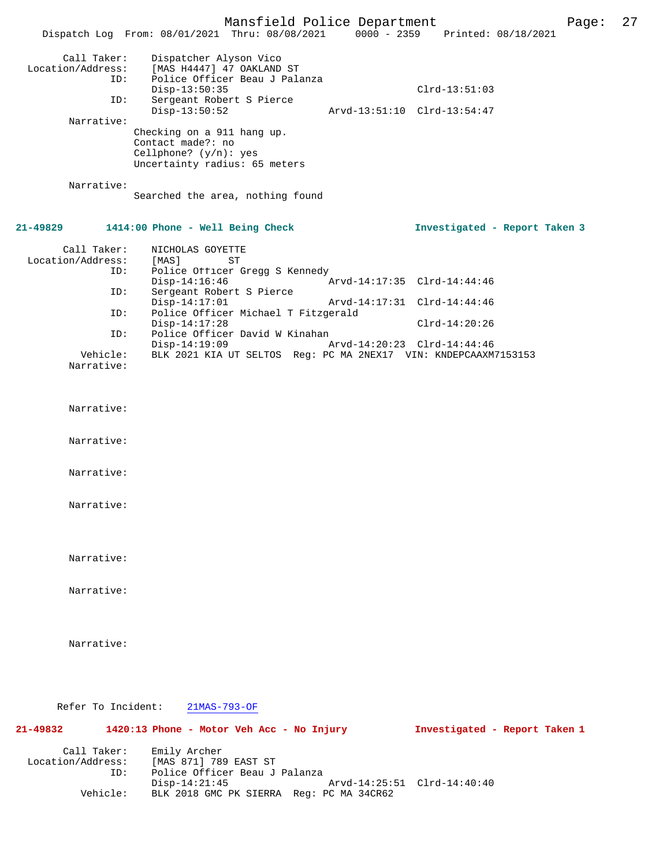|                                                              | Mansfield Police Department<br>Dispatch Log From: 08/01/2021 Thru: 08/08/2021                                                                          |                             | 0000 - 2359 Printed: 08/18/2021                | Page: | 27 |
|--------------------------------------------------------------|--------------------------------------------------------------------------------------------------------------------------------------------------------|-----------------------------|------------------------------------------------|-------|----|
| Call Taker:<br>Location/Address:<br>ID:<br>ID:<br>Narrative: | Dispatcher Alyson Vico<br>[MAS H4447] 47 OAKLAND ST<br>Police Officer Beau J Palanza<br>$Disp-13:50:35$<br>Sergeant Robert S Pierce<br>$Disp-13:50:52$ |                             | $Clrd-13:51:03$<br>Arvd-13:51:10 Clrd-13:54:47 |       |    |
| Narrative:                                                   | Checking on a 911 hang up.<br>Contact made?: no<br>Cellphone? $(y/n):$ yes<br>Uncertainty radius: 65 meters                                            |                             |                                                |       |    |
|                                                              | Searched the area, nothing found                                                                                                                       |                             |                                                |       |    |
| 21-49829                                                     | 1414:00 Phone - Well Being Check                                                                                                                       |                             | Investigated - Report Taken 3                  |       |    |
| Call Taker:<br>Location/Address:<br>ID:                      | NICHOLAS GOYETTE<br>[MAS]<br>ST<br>Police Officer Gregg S Kennedy                                                                                      |                             |                                                |       |    |
| ID:                                                          | $Disp-14:16:46$<br>Sergeant Robert S Pierce                                                                                                            |                             | Arvd-14:17:35 Clrd-14:44:46                    |       |    |
| ID:                                                          | $Disp-14:17:01$<br>Police Officer Michael T Fitzgerald                                                                                                 | Arvd-14:17:31 Clrd-14:44:46 |                                                |       |    |
| ID:                                                          | $Disp-14:17:28$<br>Police Officer David W Kinahan                                                                                                      |                             | $Clrd-14:20:26$                                |       |    |
|                                                              | $Disp-14:19:09$                                                                                                                                        | Arvd-14:20:23 Clrd-14:44:46 |                                                |       |    |
| Vehicle:<br>Narrative:                                       | BLK 2021 KIA UT SELTOS Reg: PC MA 2NEX17 VIN: KNDEPCAAXM7153153                                                                                        |                             |                                                |       |    |
| Narrative:                                                   |                                                                                                                                                        |                             |                                                |       |    |
| Narrative:                                                   |                                                                                                                                                        |                             |                                                |       |    |
| Narrative:                                                   |                                                                                                                                                        |                             |                                                |       |    |
| Narrative:                                                   |                                                                                                                                                        |                             |                                                |       |    |
| Narrative:                                                   |                                                                                                                                                        |                             |                                                |       |    |
| Narrative:                                                   |                                                                                                                                                        |                             |                                                |       |    |
| Narrative:                                                   |                                                                                                                                                        |                             |                                                |       |    |
| Refer To Incident:                                           | $21MAS-793-OF$                                                                                                                                         |                             |                                                |       |    |
| 21-49832                                                     | 1420:13 Phone - Motor Veh Acc - No Injury                                                                                                              |                             | Investigated - Report Taken 1                  |       |    |
| Call Taker:<br>Location/Address:<br>ID:                      | Emily Archer<br>[MAS 871] 789 EAST ST<br>Police Officer Beau J Palanza<br>$Disp-14:21:45$                                                              |                             | Arvd-14:25:51 Clrd-14:40:40                    |       |    |
| Vehicle:                                                     | BLK 2018 GMC PK SIERRA Reg: PC MA 34CR62                                                                                                               |                             |                                                |       |    |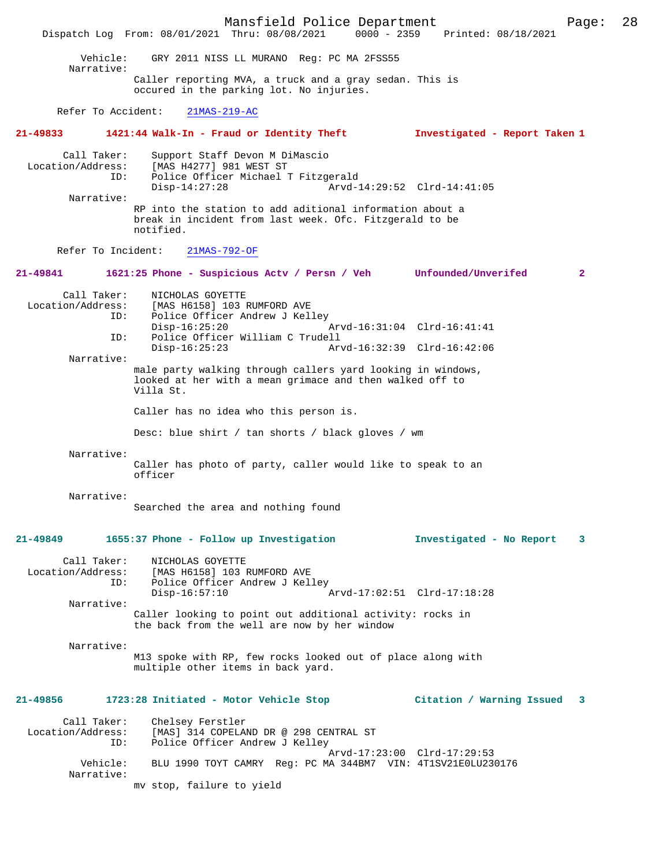Mansfield Police Department Page: 28 Dispatch Log From: 08/01/2021 Thru: 08/08/2021 Vehicle: GRY 2011 NISS LL MURANO Reg: PC MA 2FSS55 Narrative: Caller reporting MVA, a truck and a gray sedan. This is occured in the parking lot. No injuries. Refer To Accident: 21MAS-219-AC **21-49833 1421:44 Walk-In - Fraud or Identity Theft Investigated - Report Taken 1** Call Taker: Support Staff Devon M DiMascio Location/Address: [MAS H4277] 981 WEST ST Police Officer Michael T Fitzgerald<br>Disp-14:27:28 Arvd-1 Disp-14:27:28 Arvd-14:29:52 Clrd-14:41:05 Narrative: RP into the station to add aditional information about a break in incident from last week. Ofc. Fitzgerald to be notified. Refer To Incident: 21MAS-792-OF **21-49841 1621:25 Phone - Suspicious Actv / Persn / Veh Unfounded/Unverifed 2** Call Taker: NICHOLAS GOYETTE<br>Location/Address: [MAS H6158] 103 I [MAS H6158] 103 RUMFORD AVE ID: Police Officer Andrew J Kelley Disp-16:25:20 Arvd-16:31:04 Clrd-16:41:41<br>TD: Police Officer William C Trudell Police Officer William C Trudell<br>Disp-16:25:23 Arv Disp-16:25:23 Arvd-16:32:39 Clrd-16:42:06 Narrative: male party walking through callers yard looking in windows, looked at her with a mean grimace and then walked off to Villa St. Caller has no idea who this person is. Desc: blue shirt / tan shorts / black gloves / wm Narrative: Caller has photo of party, caller would like to speak to an officer Narrative: Searched the area and nothing found **21-49849 1655:37 Phone - Follow up Investigation Investigated - No Report 3** Call Taker: NICHOLAS GOYETTE<br>Location/Address: [MAS H6158] 103 I ESS: [MAS H6158] 103 RUMFORD AVE Police Officer Andrew J Kelley<br>Disp-16:57:10 Disp-16:57:10 Arvd-17:02:51 Clrd-17:18:28 Narrative: Caller looking to point out additional activity: rocks in the back from the well are now by her window Narrative: M13 spoke with RP, few rocks looked out of place along with multiple other items in back yard. **21-49856 1723:28 Initiated - Motor Vehicle Stop Citation / Warning Issued 3** Call Taker: Chelsey Ferstler<br>Location/Address: [MAS] 314 COPELA [MAS] 314 COPELAND DR @ 298 CENTRAL ST ID: Police Officer Andrew J Kelley Arvd-17:23:00 Clrd-17:29:53<br>Vehicle: BLU 1990 TOYT CAMRY Reg: PC MA 344BM7 VIN: 4T1SV21E0LU23 BLU 1990 TOYT CAMRY Reg: PC MA 344BM7 VIN: 4T1SV21E0LU230176 Narrative: mv stop, failure to yield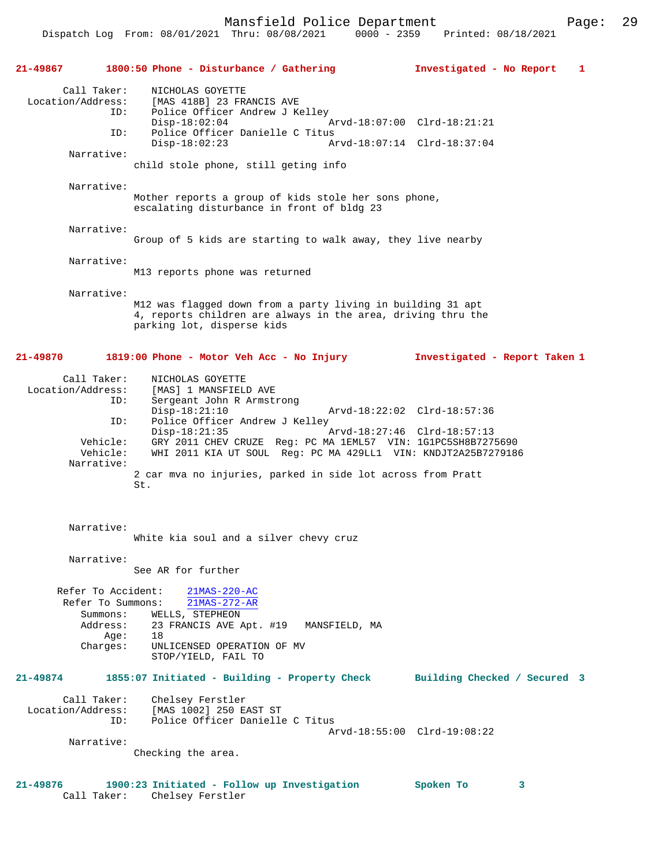Dispatch Log From: 08/01/2021 Thru: 08/08/2021 0000 - 2359 Printed: 08/18/2021

**21-49867 1800:50 Phone - Disturbance / Gathering Investigated - No Report 1** Call Taker: NICHOLAS GOYETTE Location/Address: [MAS 418B] 23 FRANCIS AVE ID: Police Officer Andrew J Kelley Disp-18:02:04 Arvd-18:07:00 Clrd-18:21:21<br>TD: Police Officer Danielle C Titus ID: Police Officer Danielle C Titus Disp-18:02:23 Arvd-18:07:14 Clrd-18:37:04 Narrative: child stole phone, still geting info Narrative: Mother reports a group of kids stole her sons phone, escalating disturbance in front of bldg 23 Narrative: Group of 5 kids are starting to walk away, they live nearby Narrative: M13 reports phone was returned Narrative: M12 was flagged down from a party living in building 31 apt 4, reports children are always in the area, driving thru the parking lot, disperse kids **21-49870 1819:00 Phone - Motor Veh Acc - No Injury Investigated - Report Taken 1** Call Taker: NICHOLAS GOYETTE Location/Address: [MAS] 1 MANSFIELD AVE ID: Sergeant John R Armstrong Disp-18:21:10 Arvd-18:22:02 Clrd-18:57:36<br>ID: Police Officer Andrew J Kelley Police Officer Andrew J Kelley<br>Disp-18:21:35 Disp-18:21:35 Arvd-18:27:46 Clrd-18:57:13 Vehicle: GRY 2011 CHEV CRUZE Reg: PC MA 1EML57 VIN: 1G1PC5SH8B7275690 Vehicle: WHI 2011 KIA UT SOUL Reg: PC MA 429LL1 VIN: KNDJT2A25B7279186 Narrative: 2 car mva no injuries, parked in side lot across from Pratt St. Narrative: White kia soul and a silver chevy cruz Narrative: See AR for further Refer To Accident: 21MAS-220-AC Refer To Summons: 21MAS-272-AR Summons: WELLS, STEPHEON<br>Address: 23 FRANCIS AVE A 23 FRANCIS AVE Apt. #19 MANSFIELD, MA Age: 18<br>Charges: UN UNLICENSED OPERATION OF MV STOP/YIELD, FAIL TO **21-49874 1855:07 Initiated - Building - Property Check Building Checked / Secured 3** Call Taker: Chelsey Ferstler<br>Location/Address: [MAS 1002] 250 E ess: [MAS 1002] 250 EAST ST<br>ID: Police Officer Daniell Police Officer Danielle C Titus Arvd-18:55:00 Clrd-19:08:22 Narrative: Checking the area.

**21-49876 1900:23 Initiated - Follow up Investigation Spoken To 3**  Call Taker: Chelsey Ferstler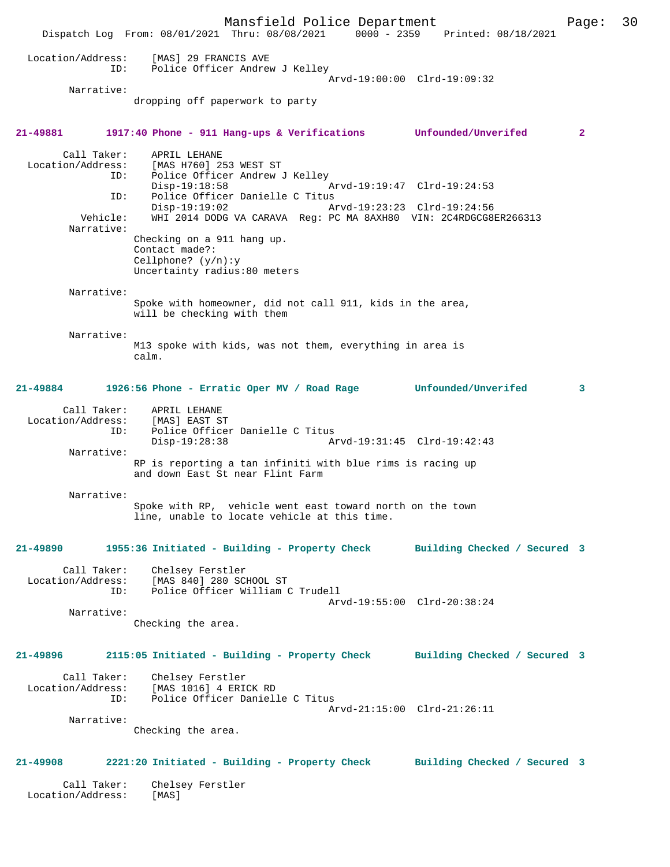Mansfield Police Department Page: 30 Dispatch Log From: 08/01/2021 Thru: 08/08/2021 0000 - 2359 Printed: 08/18/2021 Location/Address: [MAS] 29 FRANCIS AVE ID: Police Officer Andrew J Kelley Arvd-19:00:00 Clrd-19:09:32 Narrative: dropping off paperwork to party **21-49881 1917:40 Phone - 911 Hang-ups & Verifications Unfounded/Unverifed 2** Call Taker: APRIL LEHANE Location/Address: [MAS H760] 253 WEST ST ID: Police Officer Andrew J Kelley Disp-19:18:58 Arvd-19:19:47 Clrd-19:24:53<br>ID: Police Officer Danielle C Titus Police Officer Danielle C Titus Disp-19:19:02 Arvd-19:23:23 Clrd-19:24:56<br>Vehicle: WHI 2014 DODG VA CARAVA Req: PC MA 8AXH80 VIN: 2C4RDGCG81 WHI 2014 DODG VA CARAVA Reg: PC MA 8AXH80 VIN: 2C4RDGCG8ER266313 Narrative: Checking on a 911 hang up. Contact made?: Cellphone? (y/n):y Uncertainty radius:80 meters Narrative: Spoke with homeowner, did not call 911, kids in the area, will be checking with them Narrative: M13 spoke with kids, was not them, everything in area is calm. **21-49884 1926:56 Phone - Erratic Oper MV / Road Rage Unfounded/Unverifed 3** Call Taker: APRIL LEHANE Location/Address: [MAS] EAST ST ID: Police Officer Danielle C Titus<br>Disp-19:28:38 A Disp-19:28:38 Arvd-19:31:45 Clrd-19:42:43 Narrative: RP is reporting a tan infiniti with blue rims is racing up and down East St near Flint Farm Narrative: Spoke with RP, vehicle went east toward north on the town line, unable to locate vehicle at this time. **21-49890 1955:36 Initiated - Building - Property Check Building Checked / Secured 3** Call Taker: Chelsey Ferstler Location/Address: [MAS 840] 280 SCHOOL ST ID: Police Officer William C Trudell Arvd-19:55:00 Clrd-20:38:24 Narrative: Checking the area. **21-49896 2115:05 Initiated - Building - Property Check Building Checked / Secured 3** Call Taker: Chelsey Ferstler<br>Location/Address: [MAS 1016] 4 ERI ess: [MAS 1016] 4 ERICK RD<br>Location: Police Officer Daniel Police Officer Danielle C Titus Arvd-21:15:00 Clrd-21:26:11 Narrative: Checking the area. **21-49908 2221:20 Initiated - Building - Property Check Building Checked / Secured 3** Call Taker: Chelsey Ferstler Location/Address: [MAS]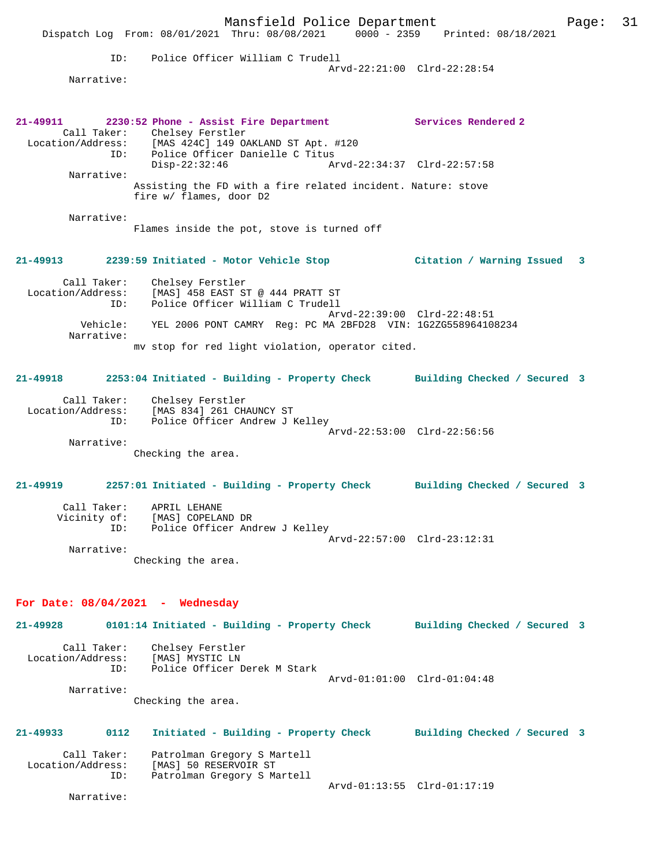|                                                  | Mansfield Police Department<br>Dispatch Log From: 08/01/2021 Thru: 08/08/2021 0000 - 2359 Printed: 08/18/2021                                                                                       |                             |                              | Page: | 31 |
|--------------------------------------------------|-----------------------------------------------------------------------------------------------------------------------------------------------------------------------------------------------------|-----------------------------|------------------------------|-------|----|
| ID:<br>Narrative:                                | Police Officer William C Trudell                                                                                                                                                                    | Arvd-22:21:00 Clrd-22:28:54 |                              |       |    |
|                                                  | 21-49911 2230:52 Phone - Assist Fire Department Services Rendered 2<br>Call Taker: Chelsey Ferstler<br>Location/Address: [MAS 424C] 149 OAKLAND ST Apt. #120<br>ID: Police Officer Danielle C Titus | Arvd-22:34:37 Clrd-22:57:58 |                              |       |    |
| Narrative:                                       | $Disp-22:32:46$<br>Assisting the FD with a fire related incident. Nature: stove<br>fire w/ flames, door D2                                                                                          |                             |                              |       |    |
| Narrative:                                       | Flames inside the pot, stove is turned off                                                                                                                                                          |                             |                              |       |    |
|                                                  | 21-49913 2239:59 Initiated - Motor Vehicle Stop                                                                                                                                                     |                             | Citation / Warning Issued    | 3     |    |
| ID:                                              | Call Taker: Chelsey Ferstler<br>Location/Address: [MAS] 458 EAST ST @ 444 PRATT ST<br>Police Officer William C Trudell                                                                              | Arvd-22:39:00 Clrd-22:48:51 |                              |       |    |
| Vehicle:<br>Narrative:                           | YEL 2006 PONT CAMRY Reg: PC MA 2BFD28 VIN: 1G2ZG558964108234<br>my stop for red light violation, operator cited.                                                                                    |                             |                              |       |    |
|                                                  | 21-49918 2253:04 Initiated - Building - Property Check Building Checked / Secured 3                                                                                                                 |                             |                              |       |    |
| ID:                                              | Call Taker: Chelsey Ferstler<br>Location/Address: [MAS 834] 261 CHAUNCY ST<br>Police Officer Andrew J Kelley                                                                                        | Arvd-22:53:00 Clrd-22:56:56 |                              |       |    |
| Narrative:                                       | Checking the area.                                                                                                                                                                                  |                             |                              |       |    |
| 21-49919                                         | 2257:01 Initiated - Building - Property Check Building Checked / Secured 3                                                                                                                          |                             |                              |       |    |
| Call Taker:<br>Vicinity of:<br>ID:<br>Narrative: | APRIL LEHANE<br>[MAS] COPELAND DR<br>Police Officer Andrew J Kelley<br>Checking the area.                                                                                                           | Arvd-22:57:00 Clrd-23:12:31 |                              |       |    |
|                                                  | For Date: $08/04/2021$ - Wednesday                                                                                                                                                                  |                             |                              |       |    |
| 21-49928                                         | 0101:14 Initiated - Building - Property Check Building Checked / Secured 3                                                                                                                          |                             |                              |       |    |
| Call Taker:<br>Location/Address:<br>ID:          | Chelsey Ferstler<br>[MAS] MYSTIC LN<br>Police Officer Derek M Stark                                                                                                                                 | Arvd-01:01:00 Clrd-01:04:48 |                              |       |    |
| Narrative:                                       | Checking the area.                                                                                                                                                                                  |                             |                              |       |    |
| 21-49933<br>0112                                 | Initiated - Building - Property Check                                                                                                                                                               |                             | Building Checked / Secured 3 |       |    |
| Call Taker:<br>Location/Address:<br>ID:          | Patrolman Gregory S Martell<br>[MAS] 50 RESERVOIR ST<br>Patrolman Gregory S Martell                                                                                                                 | Arvd-01:13:55 Clrd-01:17:19 |                              |       |    |
| Narrative:                                       |                                                                                                                                                                                                     |                             |                              |       |    |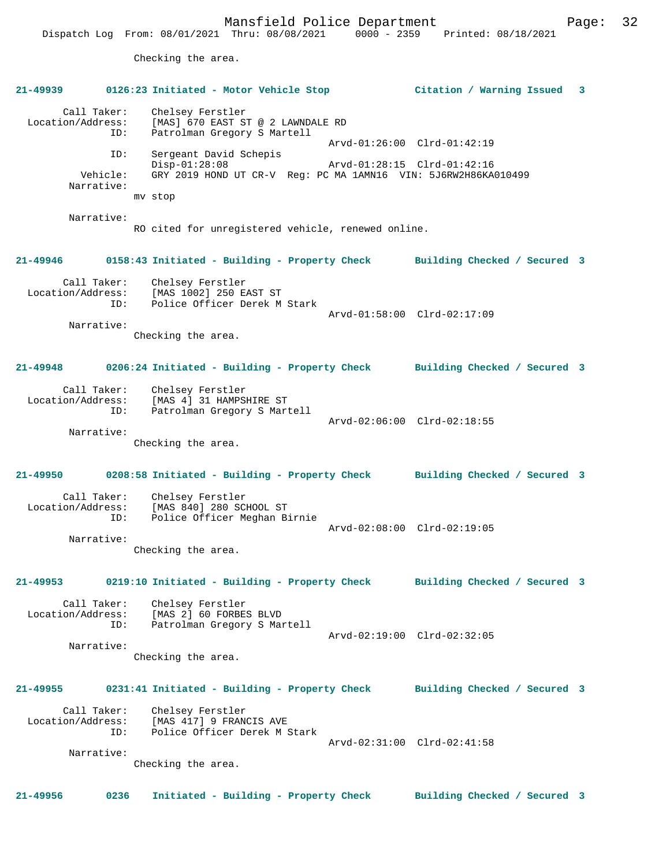Checking the area. **21-49939 0126:23 Initiated - Motor Vehicle Stop Citation / Warning Issued 3** Call Taker: Chelsey Ferstler<br>Location/Address: [MAS] 670 EAST ST ess: [MAS] 670 EAST ST @ 2 LAWNDALE RD<br>ID: Patrolman Gregory S Martell Patrolman Gregory S Martell Arvd-01:26:00 Clrd-01:42:19 ID: Sergeant David Schepis Disp-01:28:08 Arvd-01:28:15 Clrd-01:42:16<br>Vehicle: GRY 2019 HOND UT CR-V Req: PC MA 1AMN16 VIN: 5J6RW2H86KA Vehicle: GRY 2019 HOND UT CR-V Reg: PC MA 1AMN16 VIN: 5J6RW2H86KA010499 Narrative: mv stop Narrative: RO cited for unregistered vehicle, renewed online. **21-49946 0158:43 Initiated - Building - Property Check Building Checked / Secured 3** Call Taker: Chelsey Ferstler Location/Address: [MAS 1002] 250 EAST ST ID: Police Officer Derek M Stark Arvd-01:58:00 Clrd-02:17:09 Narrative: Checking the area. **21-49948 0206:24 Initiated - Building - Property Check Building Checked / Secured 3** Call Taker: Chelsey Ferstler Location/Address: [MAS 4] 31 HAMPSHIRE ST Patrolman Gregory S Martell Arvd-02:06:00 Clrd-02:18:55 Narrative: Checking the area. **21-49950 0208:58 Initiated - Building - Property Check Building Checked / Secured 3** Call Taker: Chelsey Ferstler Location/Address: [MAS 840] 280 SCHOOL ST ID: Police Officer Meghan Birnie Arvd-02:08:00 Clrd-02:19:05 Narrative: Checking the area. **21-49953 0219:10 Initiated - Building - Property Check Building Checked / Secured 3** Call Taker: Chelsey Ferstler Location/Address: [MAS 2] 60 FORBES BLVD Patrolman Gregory S Martell Arvd-02:19:00 Clrd-02:32:05 Narrative: Checking the area. **21-49955 0231:41 Initiated - Building - Property Check Building Checked / Secured 3** Call Taker: Chelsey Ferstler<br>Location/Address: [MAS 417] 9 FRAN ess: [MAS 417] 9 FRANCIS AVE<br>ID: Police Officer Derek M : Police Officer Derek M Stark Arvd-02:31:00 Clrd-02:41:58 Narrative: Checking the area. **21-49956 0236 Initiated - Building - Property Check Building Checked / Secured 3**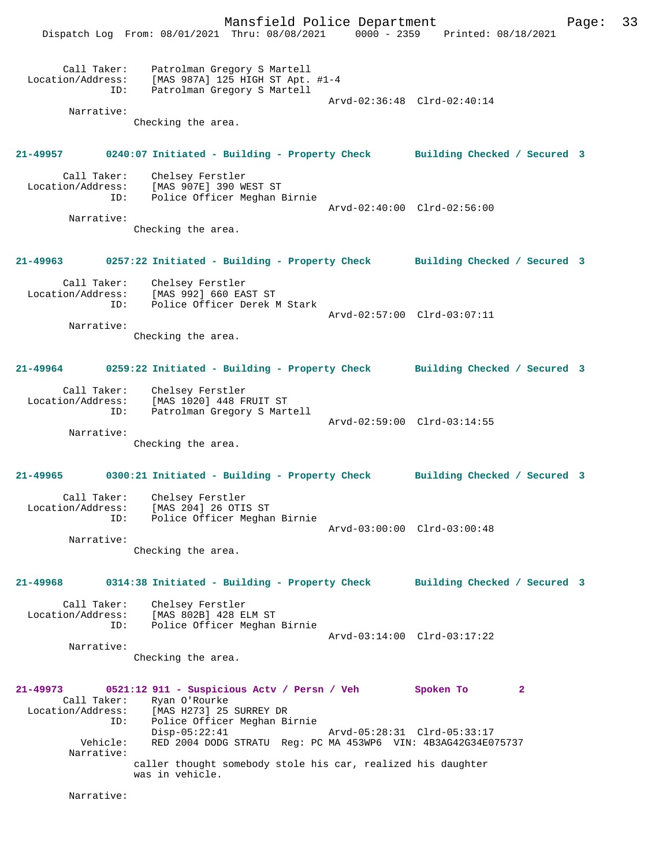Mansfield Police Department Page: 33 Dispatch Log From: 08/01/2021 Thru: 08/08/2021 0000 - 2359 Printed: 08/18/2021 Call Taker: Patrolman Gregory S Martell Location/Address: [MAS 987A] 125 HIGH ST Apt. #1-4 ID: Patrolman Gregory S Martell Arvd-02:36:48 Clrd-02:40:14 Narrative: Checking the area. **21-49957 0240:07 Initiated - Building - Property Check Building Checked / Secured 3** Call Taker: Chelsey Ferstler Location/Address: [MAS 907E] 390 WEST ST ID: Police Officer Meghan Birnie Arvd-02:40:00 Clrd-02:56:00 Narrative: Checking the area. **21-49963 0257:22 Initiated - Building - Property Check Building Checked / Secured 3** Call Taker: Chelsey Ferstler Location/Address: [MAS 992] 660 EAST ST ID: Police Officer Derek M Stark Arvd-02:57:00 Clrd-03:07:11 Narrative: Checking the area. **21-49964 0259:22 Initiated - Building - Property Check Building Checked / Secured 3** Call Taker: Chelsey Ferstler Location/Address: [MAS 1020] 448 FRUIT ST ID: Patrolman Gregory S Martell Arvd-02:59:00 Clrd-03:14:55 Narrative: Checking the area. **21-49965 0300:21 Initiated - Building - Property Check Building Checked / Secured 3** Call Taker: Chelsey Ferstler Location/Address: [MAS 204] 26 OTIS ST ID: Police Officer Meghan Birnie Arvd-03:00:00 Clrd-03:00:48 Narrative: Checking the area. **21-49968 0314:38 Initiated - Building - Property Check Building Checked / Secured 3** Call Taker: Chelsey Ferstler Location/Address: [MAS 802B] 428 ELM ST ID: Police Officer Meghan Birnie Arvd-03:14:00 Clrd-03:17:22 Narrative: Checking the area. **21-49973 0521:12 911 - Suspicious Actv / Persn / Veh Spoken To 2**  Call Taker: Ryan O'Rourke<br>Location/Address: [MAS H273] 25 Location/Address: [MAS H273] 25 SURREY DR ID: Police Officer Meghan Birnie Disp-05:22:41 Arvd-05:28:31 Clrd-05:33:17 Vehicle: RED 2004 DODG STRATU Reg: PC MA 453WP6 VIN: 4B3AG42G34E075737 Narrative: caller thought somebody stole his car, realized his daughter was in vehicle.

Narrative: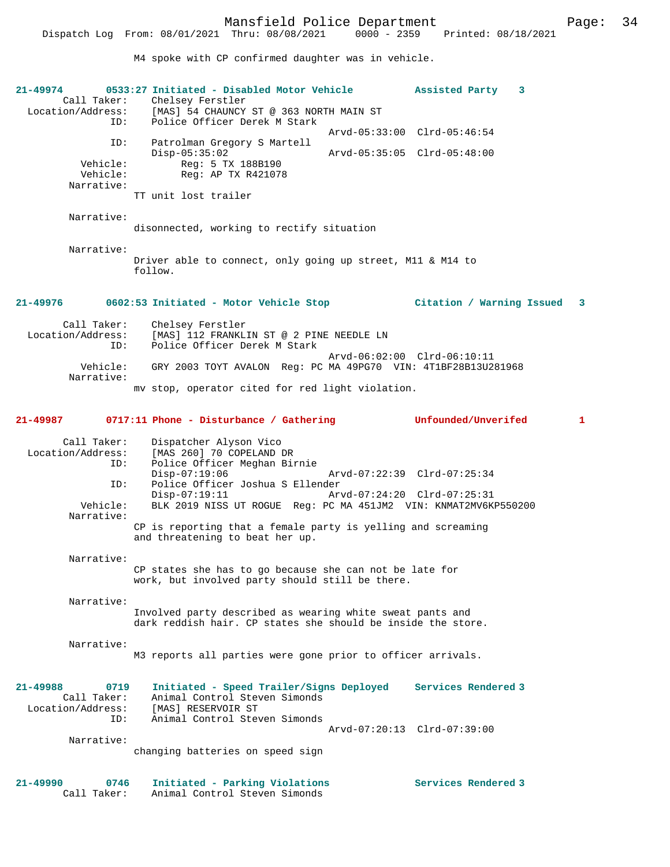M4 spoke with CP confirmed daughter was in vehicle.

| 21-49974<br>Call Taker:<br>ID:                           | 0533:27 Initiated - Disabled Motor Vehicle<br>Chelsey Ferstler<br>Location/Address: [MAS] 54 CHAUNCY ST @ 363 NORTH MAIN ST<br>Police Officer Derek M Stark | Assisted Party<br>3         |              |
|----------------------------------------------------------|-------------------------------------------------------------------------------------------------------------------------------------------------------------|-----------------------------|--------------|
|                                                          |                                                                                                                                                             | Arvd-05:33:00 Clrd-05:46:54 |              |
| ID:                                                      | Patrolman Gregory S Martell<br>$Disp-05:35:02$                                                                                                              | Arvd-05:35:05 Clrd-05:48:00 |              |
| Vehicle:<br>Vehicle:                                     | Reg: 5 TX 188B190<br>Reg: AP TX R421078                                                                                                                     |                             |              |
| Narrative:                                               | TT unit lost trailer                                                                                                                                        |                             |              |
| Narrative:                                               | disonnected, working to rectify situation                                                                                                                   |                             |              |
| Narrative:                                               | Driver able to connect, only going up street, M11 & M14 to<br>follow.                                                                                       |                             |              |
| 21-49976                                                 | 0602:53 Initiated - Motor Vehicle Stop                                                                                                                      | Citation / Warning Issued 3 |              |
| Call Taker:<br>Location/Address:<br>ID:                  | Chelsey Ferstler<br>[MAS] 112 FRANKLIN ST @ 2 PINE NEEDLE LN<br>Police Officer Derek M Stark                                                                |                             |              |
| Vehicle:                                                 | GRY 2003 TOYT AVALON Reg: PC MA 49PG70 VIN: 4T1BF28B13U281968                                                                                               | Arvd-06:02:00 Clrd-06:10:11 |              |
| Narrative:                                               | my stop, operator cited for red light violation.                                                                                                            |                             |              |
| 21-49987                                                 | 0717:11 Phone - Disturbance / Gathering                                                                                                                     | Unfounded/Unverifed         | $\mathbf{1}$ |
| Call Taker:<br>Location/Address:<br>ID:                  | Dispatcher Alyson Vico<br>[MAS 260] 70 COPELAND DR<br>Police Officer Meghan Birnie<br>$Disp-07:19:06$                                                       | Arvd-07:22:39 Clrd-07:25:34 |              |
| ID:                                                      | Police Officer Joshua S Ellender<br>$Disp-07:19:11$                                                                                                         | Arvd-07:24:20 Clrd-07:25:31 |              |
| Vehicle:<br>Narrative:                                   | BLK 2019 NISS UT ROGUE Req: PC MA 451JM2 VIN: KNMAT2MV6KP550200                                                                                             |                             |              |
|                                                          | CP is reporting that a female party is yelling and screaming<br>and threatening to beat her up.                                                             |                             |              |
| Narrative:                                               | CP states she has to go because she can not be late for<br>work, but involved party should still be there.                                                  |                             |              |
|                                                          |                                                                                                                                                             |                             |              |
| Narrative:                                               | Involved party described as wearing white sweat pants and<br>dark reddish hair. CP states she should be inside the store.                                   |                             |              |
| Narrative:                                               | M3 reports all parties were gone prior to officer arrivals.                                                                                                 |                             |              |
|                                                          |                                                                                                                                                             |                             |              |
| $21 - 49988$<br>0719<br>Call Taker:<br>Location/Address: | Initiated - Speed Trailer/Signs Deployed<br>Animal Control Steven Simonds<br>[MAS] RESERVOIR ST                                                             | Services Rendered 3         |              |
| ID:                                                      | Animal Control Steven Simonds                                                                                                                               | Arvd-07:20:13 Clrd-07:39:00 |              |
| Narrative:                                               | changing batteries on speed sign                                                                                                                            |                             |              |
| 21-49990<br>0746<br>Call Taker:                          | Initiated - Parking Violations<br>Animal Control Steven Simonds                                                                                             | Services Rendered 3         |              |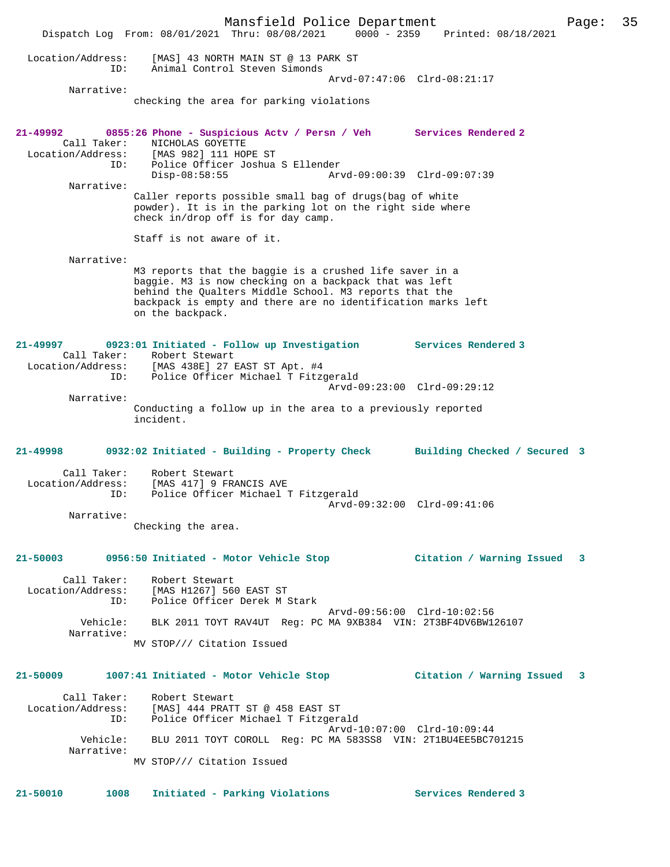Mansfield Police Department Page: 35 Dispatch Log From: 08/01/2021 Thru: 08/08/2021 0000 - 2359 Printed: 08/18/2021 Location/Address: [MAS] 43 NORTH MAIN ST @ 13 PARK ST ID: Animal Control Steven Simonds Arvd-07:47:06 Clrd-08:21:17 Narrative: checking the area for parking violations **21-49992 0855:26 Phone - Suspicious Actv / Persn / Veh Services Rendered 2**  Call Taker: NICHOLAS GOYETTE Location/Address: [MAS 982] 111 HOPE ST ID: Police Officer Joshua S Ellender Disp-08:58:55 Arvd-09:00:39 Clrd-09:07:39 Narrative: Caller reports possible small bag of drugs(bag of white powder). It is in the parking lot on the right side where check in/drop off is for day camp. Staff is not aware of it. Narrative: M3 reports that the baggie is a crushed life saver in a baggie. M3 is now checking on a backpack that was left behind the Qualters Middle School. M3 reports that the backpack is empty and there are no identification marks left on the backpack. **21-49997 0923:01 Initiated - Follow up Investigation Services Rendered 3**  Call Taker: Robert Stewart Location/Address: [MAS 438E] 27 EAST ST Apt. #4 ID: Police Officer Michael T Fitzgerald Arvd-09:23:00 Clrd-09:29:12 Narrative: Conducting a follow up in the area to a previously reported incident. **21-49998 0932:02 Initiated - Building - Property Check Building Checked / Secured 3** Call Taker: Robert Stewart Location/Address: [MAS 417] 9 FRANCIS AVE ID: Police Officer Michael T Fitzgerald Arvd-09:32:00 Clrd-09:41:06 Narrative: Checking the area. **21-50003 0956:50 Initiated - Motor Vehicle Stop Citation / Warning Issued 3** Call Taker: Robert Stewart Location/Address: [MAS H1267] 560 EAST ST<br>TD: Police Officer Derek M S Police Officer Derek M Stark Arvd-09:56:00 Clrd-10:02:56 Vehicle: BLK 2011 TOYT RAV4UT Reg: PC MA 9XB384 VIN: 2T3BF4DV6BW126107 Narrative: MV STOP/// Citation Issued **21-50009 1007:41 Initiated - Motor Vehicle Stop Citation / Warning Issued 3** Call Taker: Robert Stewart Location/Address: [MAS] 444 PRATT ST @ 458 EAST ST ID: Police Officer Michael T Fitzgerald Arvd-10:07:00 Clrd-10:09:44<br>Vehicle: BLU 2011 TOYT COROLL Reg: PC MA 583SS8 VIN: 2T1BU4EE5BC7C Vehicle: BLU 2011 TOYT COROLL Reg: PC MA 583SS8 VIN: 2T1BU4EE5BC701215 Narrative: MV STOP/// Citation Issued **21-50010 1008 Initiated - Parking Violations Services Rendered 3**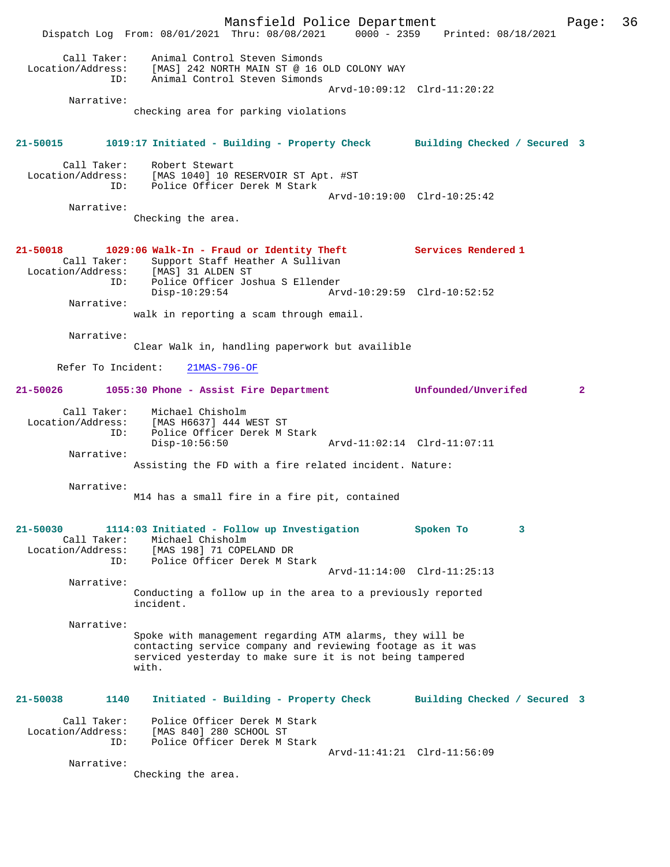Mansfield Police Department Page: 36 Dispatch Log From: 08/01/2021 Thru: 08/08/2021 0000 - 2359 Printed: 08/18/2021 Call Taker: Animal Control Steven Simonds Location/Address: [MAS] 242 NORTH MAIN ST @ 16 OLD COLONY WAY ID: Animal Control Steven Simonds Arvd-10:09:12 Clrd-11:20:22 Narrative: checking area for parking violations **21-50015 1019:17 Initiated - Building - Property Check Building Checked / Secured 3** Call Taker: Robert Stewart Location/Address: [MAS 1040] 10 RESERVOIR ST Apt. #ST ID: Police Officer Derek M Stark Arvd-10:19:00 Clrd-10:25:42 Narrative: Checking the area. **21-50018 1029:06 Walk-In - Fraud or Identity Theft Services Rendered 1**  Call Taker: Support Staff Heather A Sullivan<br>.on/Address: [MAS] 31 ALDEN ST Location/Address:<br>ID: ID: Police Officer Joshua S Ellender Disp-10:29:54 Arvd-10:29:59 Clrd-10:52:52 Narrative: walk in reporting a scam through email. Narrative: Clear Walk in, handling paperwork but availible Refer To Incident: 21MAS-796-OF **21-50026 1055:30 Phone - Assist Fire Department Unfounded/Unverifed 2** Call Taker: Michael Chisholm Location/Address: [MAS H6637] 444 WEST ST ID: Police Officer Derek M Stark Disp-10:56:50 Arvd-11:02:14 Clrd-11:07:11 Narrative: Assisting the FD with a fire related incident. Nature: Narrative: M14 has a small fire in a fire pit, contained **21-50030 1114:03 Initiated - Follow up Investigation Spoken To 3**  Call Taker: Michael Chisholm Location/Address: [MAS 198] 71 COPELAND DR ID: Police Officer Derek M Stark Arvd-11:14:00 Clrd-11:25:13 Narrative: Conducting a follow up in the area to a previously reported incident. Narrative: Spoke with management regarding ATM alarms, they will be contacting service company and reviewing footage as it was serviced yesterday to make sure it is not being tampered with. **21-50038 1140 Initiated - Building - Property Check Building Checked / Secured 3** Call Taker: Police Officer Derek M Stark Location/Address: [MAS 840] 280 SCHOOL ST ID: Police Officer Derek M Stark Arvd-11:41:21 Clrd-11:56:09 Narrative: Checking the area.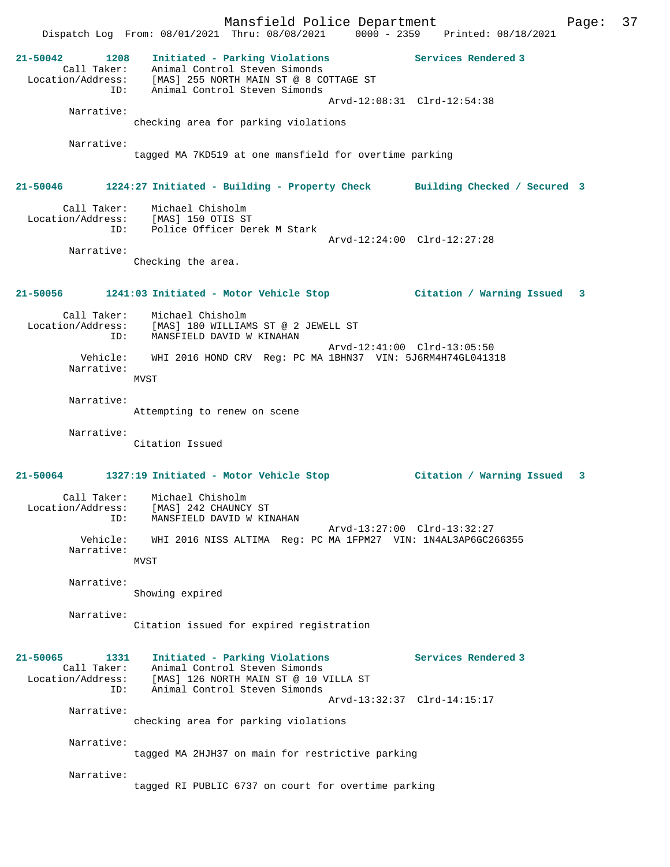Mansfield Police Department Fage: 37 Dispatch Log From: 08/01/2021 Thru: 08/08/2021 0000 - 2359 Printed: 08/18/2021 **21-50042 1208 Initiated - Parking Violations Services Rendered 3**  Call Taker: Animal Control Steven Simonds Location/Address: [MAS] 255 NORTH MAIN ST @ 8 COTTAGE ST ID: Animal Control Steven Simonds Arvd-12:08:31 Clrd-12:54:38 Narrative: checking area for parking violations Narrative: tagged MA 7KD519 at one mansfield for overtime parking **21-50046 1224:27 Initiated - Building - Property Check Building Checked / Secured 3** Call Taker: Michael Chisholm Location/Address: [MAS] 150 OTIS ST ESS: Inner Territor Derek M Stark<br>ID: Police Officer Derek M Stark Arvd-12:24:00 Clrd-12:27:28 Narrative: Checking the area. **21-50056 1241:03 Initiated - Motor Vehicle Stop Citation / Warning Issued 3** Call Taker: Michael Chisholm Location/Address: [MAS] 180 WILLIAMS ST @ 2 JEWELL ST ID: MANSFIELD DAVID W KINAHAN Arvd-12:41:00 Clrd-13:05:50 Vehicle: WHI 2016 HOND CRV Reg: PC MA 1BHN37 VIN: 5J6RM4H74GL041318 Narrative: **MVST**  Narrative: Attempting to renew on scene Narrative: Citation Issued **21-50064 1327:19 Initiated - Motor Vehicle Stop Citation / Warning Issued 3** Call Taker: Michael Chisholm Location/Address: [MAS] 242 CHAUNCY ST ID: MANSFIELD DAVID W KINAHAN Arvd-13:27:00 Clrd-13:32:27 Vehicle: WHI 2016 NISS ALTIMA Reg: PC MA 1FPM27 VIN: 1N4AL3AP6GC266355 Narrative: MVST Narrative: Showing expired Narrative: Citation issued for expired registration **21-50065 1331 Initiated - Parking Violations Services Rendered 3**  Call Taker: Animal Control Steven Simonds Location/Address: [MAS] 126 NORTH MAIN ST @ 10 VILLA ST ID: Animal Control Steven Simonds Arvd-13:32:37 Clrd-14:15:17 Narrative: checking area for parking violations Narrative: tagged MA 2HJH37 on main for restrictive parking Narrative: tagged RI PUBLIC 6737 on court for overtime parking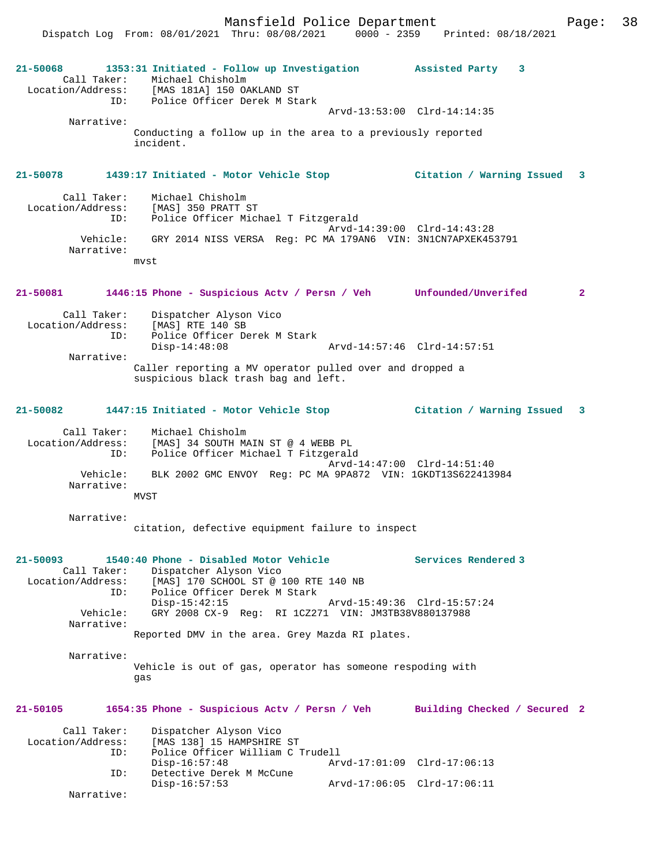Mansfield Police Department Fage: 38

Dispatch Log From: 08/01/2021 Thru: 08/08/2021 0000 - 2359 Printed: 08/18/2021

| 21-50068<br>Call Taker:                                 | 1353:31 Initiated - Follow up Investigation Assisted Party 3<br>Michael Chisholm<br>Location/Address: [MAS 181A] 150 OAKLAND ST                             |                                                    |
|---------------------------------------------------------|-------------------------------------------------------------------------------------------------------------------------------------------------------------|----------------------------------------------------|
|                                                         | ID: Police Officer Derek M Stark                                                                                                                            | Arvd-13:53:00 Clrd-14:14:35                        |
| Narrative:                                              | Conducting a follow up in the area to a previously reported<br>incident.                                                                                    |                                                    |
| 21-50078                                                | 1439:17 Initiated - Motor Vehicle Stop (Citation / Warning Issued 3                                                                                         |                                                    |
| Call Taker:<br>ID:                                      | Michael Chisholm<br>Location/Address: [MAS] 350 PRATT ST<br>Police Officer Michael T Fitzgerald                                                             | Arvd-14:39:00 Clrd-14:43:28                        |
| Vehicle:<br>Narrative:                                  | GRY 2014 NISS VERSA Reg: PC MA 179AN6 VIN: 3N1CN7APXEK453791<br>mvst                                                                                        |                                                    |
|                                                         |                                                                                                                                                             |                                                    |
| 21-50081                                                | 1446:15 Phone - Suspicious Actv / Persn / Veh Unfounded/Unverifed                                                                                           | $\overline{a}$                                     |
| Call Taker:<br>ID:                                      | Dispatcher Alyson Vico<br>Location/Address: [MAS] RTE 140 SB<br>Police Officer Derek M Stark                                                                |                                                    |
|                                                         | $Disp-14:48:08$                                                                                                                                             | Arvd-14:57:46 Clrd-14:57:51                        |
| Narrative:                                              | Caller reporting a MV operator pulled over and dropped a<br>suspicious black trash bag and left.                                                            |                                                    |
| 21-50082                                                | 1447:15 Initiated - Motor Vehicle Stop                    Citation / Warning Issued                                                                         | $\mathbf{3}$                                       |
| ID:                                                     | Call Taker: Michael Chisholm<br>Location/Address: [MAS] 34 SOUTH MAIN ST @ 4 WEBB PL<br>Police Officer Michael T Fitzgerald                                 | Arvd-14:47:00 Clrd-14:51:40                        |
| Vehicle:<br>Narrative:                                  | BLK 2002 GMC ENVOY Req: PC MA 9PA872 VIN: 1GKDT13S622413984<br><b>MVST</b>                                                                                  |                                                    |
|                                                         |                                                                                                                                                             |                                                    |
| Narrative:                                              | citation, defective equipment failure to inspect                                                                                                            |                                                    |
| $21 - 50093$<br>Call Taker:<br>Location/Address:<br>ID: | 1540:40 Phone - Disabled Motor Vehicle<br>Dispatcher Alyson Vico<br>[MAS] 170 SCHOOL ST @ 100 RTE 140 NB<br>Police Officer Derek M Stark<br>$Disp-15:42:15$ | Services Rendered 3<br>Arvd-15:49:36 Clrd-15:57:24 |
| Vehicle:<br>Narrative:                                  | GRY 2008 CX-9 Req: RI 1CZ271 VIN: JM3TB38V880137988                                                                                                         |                                                    |
|                                                         | Reported DMV in the area. Grey Mazda RI plates.                                                                                                             |                                                    |
| Narrative:                                              | Vehicle is out of gas, operator has someone respoding with<br>gas                                                                                           |                                                    |
| 21-50105                                                | 1654:35 Phone - Suspicious Actv / Persn / Veh                                                                                                               | Building Checked / Secured 2                       |
| Call Taker:<br>Location/Address:<br>ID:                 | Dispatcher Alyson Vico<br>[MAS 138] 15 HAMPSHIRE ST<br>Police Officer William C Trudell<br>$Disp-16:57:48$                                                  | Arvd-17:01:09 Clrd-17:06:13                        |
| ID:                                                     | Detective Derek M McCune<br>$Disp-16:57:53$                                                                                                                 | Arvd-17:06:05 Clrd-17:06:11                        |
| Narrative:                                              |                                                                                                                                                             |                                                    |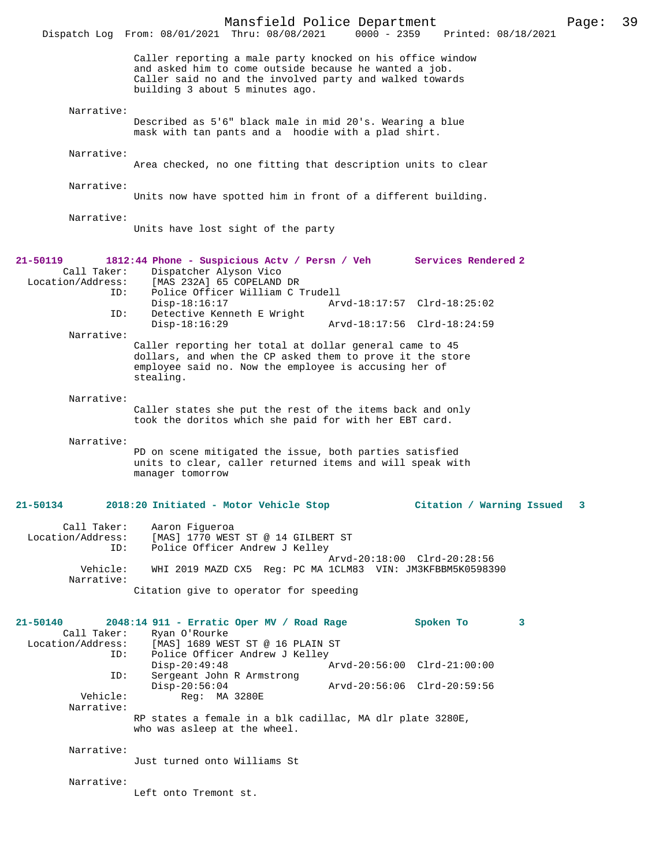|                                                     | Mansfield Police Department<br>Dispatch Log From: 08/01/2021 Thru: 08/08/2021                                                                                                                                       | $0000 - 2359$               | Printed: 08/18/2021 |                           | Page: | 39 |
|-----------------------------------------------------|---------------------------------------------------------------------------------------------------------------------------------------------------------------------------------------------------------------------|-----------------------------|---------------------|---------------------------|-------|----|
|                                                     | Caller reporting a male party knocked on his office window<br>and asked him to come outside because he wanted a job.<br>Caller said no and the involved party and walked towards<br>building 3 about 5 minutes ago. |                             |                     |                           |       |    |
| Narrative:                                          | Described as 5'6" black male in mid 20's. Wearing a blue<br>mask with tan pants and a hoodie with a plad shirt.                                                                                                     |                             |                     |                           |       |    |
| Narrative:                                          | Area checked, no one fitting that description units to clear                                                                                                                                                        |                             |                     |                           |       |    |
| Narrative:                                          | Units now have spotted him in front of a different building.                                                                                                                                                        |                             |                     |                           |       |    |
| Narrative:                                          | Units have lost sight of the party                                                                                                                                                                                  |                             |                     |                           |       |    |
| $21 - 50119$<br>Call Taker:<br>Location/Address:    | 1812:44 Phone - Suspicious Actv / Persn / Veh<br>Dispatcher Alyson Vico<br>[MAS 232A] 65 COPELAND DR                                                                                                                |                             | Services Rendered 2 |                           |       |    |
| ID:                                                 | Police Officer William C Trudell<br>$Disp-18:16:17$                                                                                                                                                                 | Arvd-18:17:57 Clrd-18:25:02 |                     |                           |       |    |
| ID:                                                 | Detective Kenneth E Wright<br>$Disp-18:16:29$                                                                                                                                                                       | Arvd-18:17:56 Clrd-18:24:59 |                     |                           |       |    |
| Narrative:                                          | Caller reporting her total at dollar general came to 45<br>dollars, and when the CP asked them to prove it the store<br>employee said no. Now the employee is accusing her of<br>stealing.                          |                             |                     |                           |       |    |
| Narrative:                                          | Caller states she put the rest of the items back and only<br>took the doritos which she paid for with her EBT card.                                                                                                 |                             |                     |                           |       |    |
| Narrative:                                          | PD on scene mitigated the issue, both parties satisfied<br>units to clear, caller returned items and will speak with<br>manager tomorrow                                                                            |                             |                     |                           |       |    |
| 21-50134                                            | 2018:20 Initiated - Motor Vehicle Stop                                                                                                                                                                              |                             |                     | Citation / Warning Issued |       |    |
| Call Taker:<br>ID:                                  | Aaron Figueroa<br>Location/Address: [MAS] 1770 WEST ST @ 14 GILBERT ST<br>Police Officer Andrew J Kelley                                                                                                            |                             |                     |                           |       |    |
| Vehicle:<br>Narrative:                              | WHI 2019 MAZD CX5 Req: PC MA 1CLM83 VIN: JM3KFBBM5K0598390                                                                                                                                                          | Arvd-20:18:00 Clrd-20:28:56 |                     |                           |       |    |
|                                                     | Citation give to operator for speeding                                                                                                                                                                              |                             |                     |                           |       |    |
| 21-50140<br>Call Taker:<br>Location/Address:<br>ID: | 2048:14 911 - Erratic Oper MV / Road Rage<br>Ryan O'Rourke<br>[MAS] 1689 WEST ST @ 16 PLAIN ST<br>Police Officer Andrew J Kelley                                                                                    |                             | Spoken To           | 3                         |       |    |
| ID:                                                 | $Disp-20:49:48$<br>Sergeant John R Armstrong                                                                                                                                                                        | Arvd-20:56:00 Clrd-21:00:00 |                     |                           |       |    |
| Vehicle:<br>Narrative:                              | $Disp-20:56:04$<br>Req: MA 3280E                                                                                                                                                                                    | Arvd-20:56:06 Clrd-20:59:56 |                     |                           |       |    |
|                                                     | RP states a female in a blk cadillac, MA dlr plate 3280E,<br>who was asleep at the wheel.                                                                                                                           |                             |                     |                           |       |    |
| Narrative:                                          | Just turned onto Williams St                                                                                                                                                                                        |                             |                     |                           |       |    |
| Narrative:                                          | Left onto Tremont st.                                                                                                                                                                                               |                             |                     |                           |       |    |
|                                                     |                                                                                                                                                                                                                     |                             |                     |                           |       |    |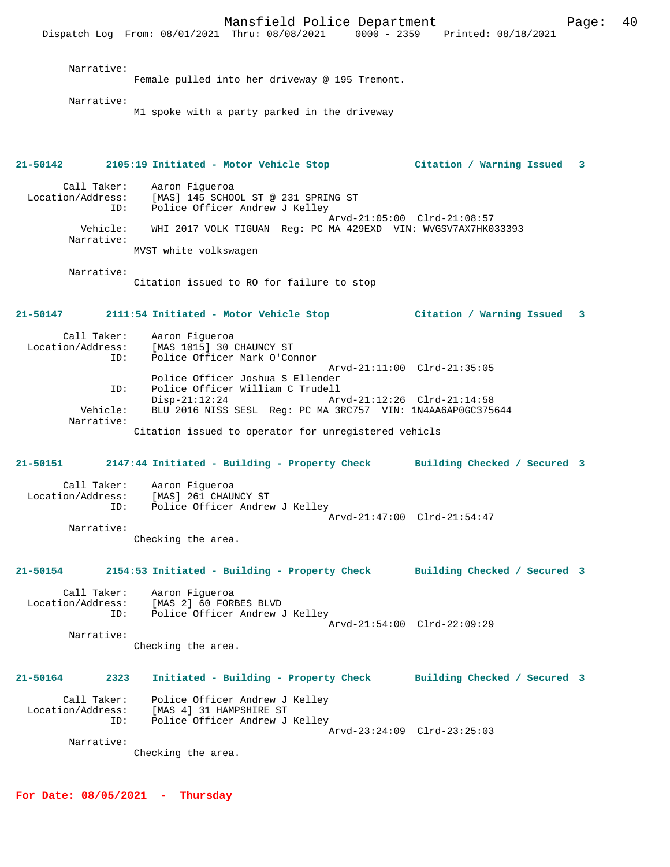Mansfield Police Department Fage: 40 Dispatch Log From: 08/01/2021 Thru: 08/08/2021 0000 - 2359 Printed: 08/18/2021 Narrative: Female pulled into her driveway @ 195 Tremont. Narrative: M1 spoke with a party parked in the driveway **21-50142 2105:19 Initiated - Motor Vehicle Stop Citation / Warning Issued 3** Call Taker: Aaron Figueroa<br>Location/Address: [MAS] 145 SCHO Address: [MAS] 145 SCHOOL ST @ 231 SPRING ST<br>ID: Police Officer Andrew J Kellev Police Officer Andrew J Kelley Arvd-21:05:00 Clrd-21:08:57<br>Vehicle: WHI 2017 VOLK TIGUAN Reg: PC MA 429EXD VIN: WVGSV7AX7HK0 Vehicle: WHI 2017 VOLK TIGUAN Reg: PC MA 429EXD VIN: WVGSV7AX7HK033393 Narrative: MVST white volkswagen Narrative: Citation issued to RO for failure to stop **21-50147 2111:54 Initiated - Motor Vehicle Stop Citation / Warning Issued 3** Call Taker: Aaron Figueroa<br>Location/Address: [MAS 1015] 30 (  $[MAS 1015] 30$  CHAUNCY ST ID: Police Officer Mark O'Connor Arvd-21:11:00 Clrd-21:35:05 Police Officer Joshua S Ellender ID: Police Officer William C Trudell Disp-21:12:24 Arvd-21:12:26 Clrd-21:14:58 Vehicle: BLU 2016 NISS SESL Reg: PC MA 3RC757 VIN: 1N4AA6AP0GC375644 Narrative: Citation issued to operator for unregistered vehicls **21-50151 2147:44 Initiated - Building - Property Check Building Checked / Secured 3** Call Taker: Aaron Figueroa Location/Address: [MAS] 261 CHAUNCY ST ID: Police Officer Andrew J Kelley Arvd-21:47:00 Clrd-21:54:47 Narrative: Checking the area. **21-50154 2154:53 Initiated - Building - Property Check Building Checked / Secured 3** Call Taker: Aaron Figueroa Location/Address: [MAS 2] 60 FORBES BLVD ID: Police Officer Andrew J Kelley Arvd-21:54:00 Clrd-22:09:29 Narrative: Checking the area. **21-50164 2323 Initiated - Building - Property Check Building Checked / Secured 3** Call Taker: Police Officer Andrew J Kelley Location/Address: [MAS 4] 31 HAMPSHIRE ST ID: Police Officer Andrew J Kelley Arvd-23:24:09 Clrd-23:25:03 Narrative: Checking the area.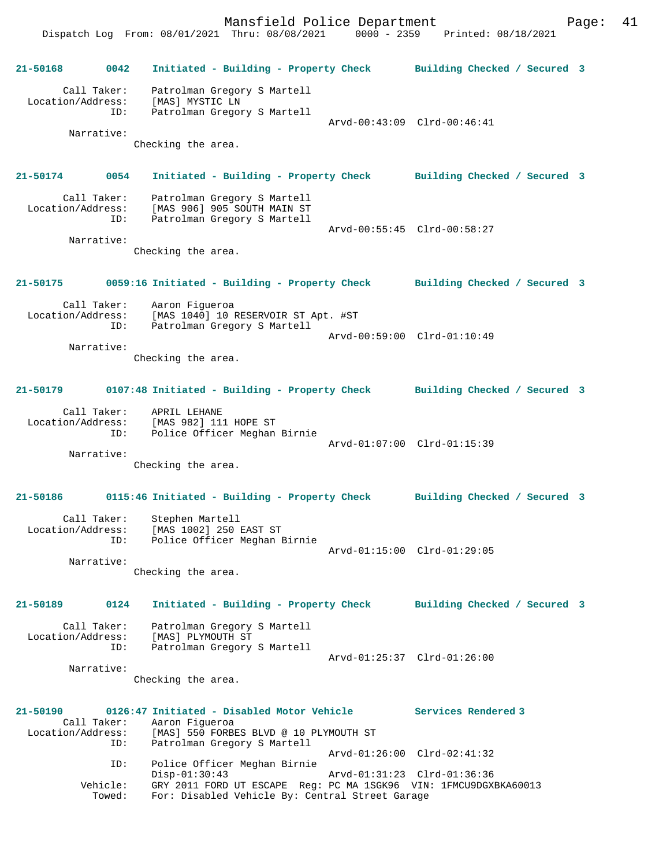Mansfield Police Department Fage: 41 Dispatch Log From: 08/01/2021 Thru: 08/08/2021 0000 - 2359 Printed: 08/18/2021

**21-50168 0042 Initiated - Building - Property Check Building Checked / Secured 3** Call Taker: Patrolman Gregory S Martell Location/Address: [MAS] MYSTIC LN ID: Patrolman Gregory S Martell Arvd-00:43:09 Clrd-00:46:41 Narrative: Checking the area. **21-50174 0054 Initiated - Building - Property Check Building Checked / Secured 3** Call Taker: Patrolman Gregory S Martell Location/Address: [MAS 906] 905 SOUTH MAIN ST ID: Patrolman Gregory S Martell Arvd-00:55:45 Clrd-00:58:27 Narrative: Checking the area. **21-50175 0059:16 Initiated - Building - Property Check Building Checked / Secured 3** Call Taker: Aaron Figueroa Location/Address: [MAS 1040] 10 RESERVOIR ST Apt. #ST ID: Patrolman Gregory S Martell Arvd-00:59:00 Clrd-01:10:49 Narrative: Checking the area. **21-50179 0107:48 Initiated - Building - Property Check Building Checked / Secured 3** Call Taker: APRIL LEHANE Location/Address: [MAS 982] 111 HOPE ST ID: Police Officer Meghan Birnie Arvd-01:07:00 Clrd-01:15:39 Narrative: Checking the area. **21-50186 0115:46 Initiated - Building - Property Check Building Checked / Secured 3** Call Taker: Stephen Martell Location/Address: [MAS 1002] 250 EAST ST ID: Police Officer Meghan Birnie Arvd-01:15:00 Clrd-01:29:05 Narrative: Checking the area. **21-50189 0124 Initiated - Building - Property Check Building Checked / Secured 3** Call Taker: Patrolman Gregory S Martell Location/Address: [MAS] PLYMOUTH ST ID: Patrolman Gregory S Martell Arvd-01:25:37 Clrd-01:26:00 Narrative: Checking the area. **21-50190 0126:47 Initiated - Disabled Motor Vehicle Services Rendered 3**  Call Taker: Aaron Figueroa Location/Address: [MAS] 550 FORBES BLVD @ 10 PLYMOUTH ST ID: Patrolman Gregory S Martell Arvd-01:26:00 Clrd-02:41:32 ID: Police Officer Meghan Birnie<br>Disp-01:30:43 Disp-01:30:43 Arvd-01:31:23 Clrd-01:36:36 Vehicle: GRY 2011 FORD UT ESCAPE Reg: PC MA 1SGK96 VIN: 1FMCU9DGXBKA60013

Towed: For: Disabled Vehicle By: Central Street Garage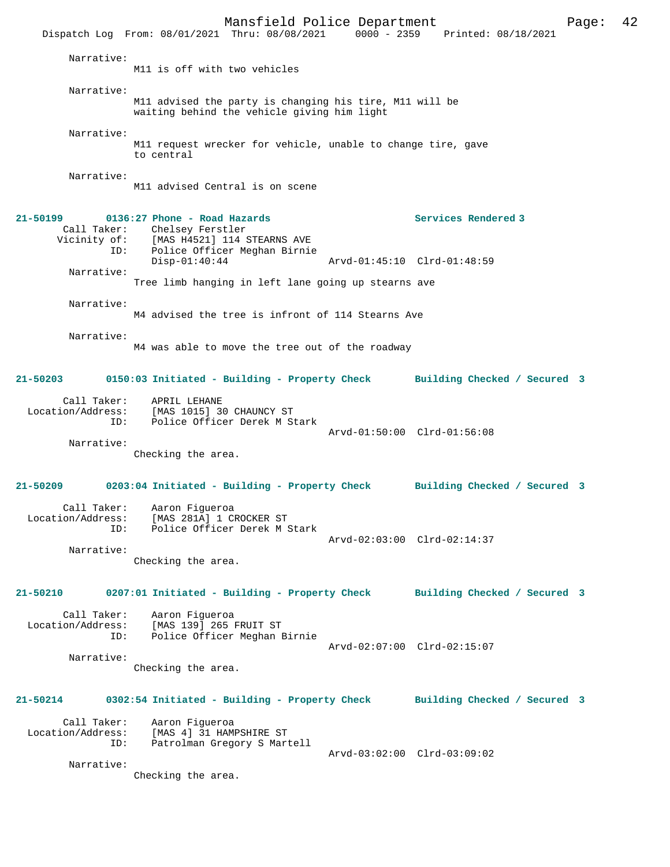Mansfield Police Department Page: 42 Dispatch Log From: 08/01/2021 Thru: 08/08/2021 0000 - 2359 Narrative: M11 is off with two vehicles Narrative: M11 advised the party is changing his tire, M11 will be waiting behind the vehicle giving him light Narrative: M11 request wrecker for vehicle, unable to change tire, gave to central Narrative: M11 advised Central is on scene **21-50199 0136:27 Phone - Road Hazards Services Rendered 3**  Call Taker: Chelsey Ferstler<br>Vicinity of: [MAS H4521] 114 9 of: [MAS H4521] 114 STEARNS AVE<br>ID: Police Officer Meghan Birnie Police Officer Meghan Birnie<br>Disp-01:40:44 Disp-01:40:44 Arvd-01:45:10 Clrd-01:48:59 Narrative: Tree limb hanging in left lane going up stearns ave Narrative: M4 advised the tree is infront of 114 Stearns Ave Narrative: M4 was able to move the tree out of the roadway **21-50203 0150:03 Initiated - Building - Property Check Building Checked / Secured 3** Call Taker: APRIL LEHANE<br>Location/Address: [MAS 1015] 3 ss: [MAS 1015] 30 CHAUNCY ST<br>ID: Police Officer Derek M St Police Officer Derek M Stark Arvd-01:50:00 Clrd-01:56:08 Narrative: Checking the area. **21-50209 0203:04 Initiated - Building - Property Check Building Checked / Secured 3** Call Taker: Aaron Figueroa Location/Address: [MAS 281A] 1 CROCKER ST<br>TD: Police Officer Derek M 9 Police Officer Derek M Stark Arvd-02:03:00 Clrd-02:14:37 Narrative: Checking the area. **21-50210 0207:01 Initiated - Building - Property Check Building Checked / Secured 3** Call Taker: Aaron Figueroa<br>Location/Address: [MAS 139] 265 1 ess: [MAS 139] 265 FRUIT ST<br>ID: Police Officer Meghan I Police Officer Meghan Birnie Arvd-02:07:00 Clrd-02:15:07 Narrative: Checking the area. **21-50214 0302:54 Initiated - Building - Property Check Building Checked / Secured 3** Call Taker: Aaron Figueroa<br>Location/Address: [MAS 4] 31 HAM ess: [MAS 4] 31 HAMPSHIRE ST<br>TD: Patrolman Gregory S Mar Patrolman Gregory S Martell Arvd-03:02:00 Clrd-03:09:02 Narrative: Checking the area.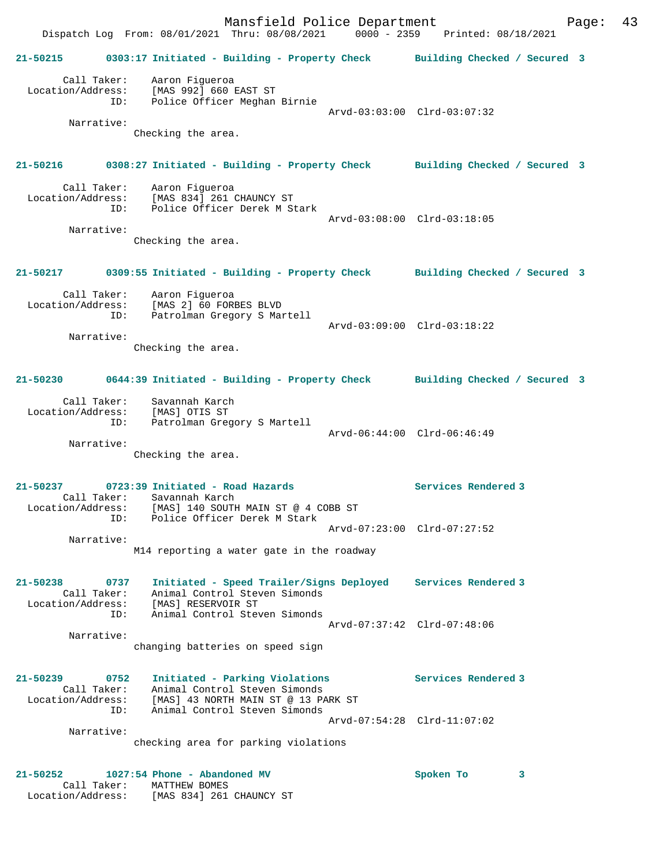Mansfield Police Department Fage: 43 Dispatch Log From: 08/01/2021 Thru: 08/08/2021 0000 - 2359 Printed: 08/18/2021 **21-50215 0303:17 Initiated - Building - Property Check Building Checked / Secured 3** Call Taker: Aaron Figueroa Location/Address: [MAS 992] 660 EAST ST ID: Police Officer Meghan Birnie Arvd-03:03:00 Clrd-03:07:32 Narrative: Checking the area. **21-50216 0308:27 Initiated - Building - Property Check Building Checked / Secured 3** Call Taker: Aaron Figueroa Location/Address: [MAS 834] 261 CHAUNCY ST ID: Police Officer Derek M Stark Arvd-03:08:00 Clrd-03:18:05 Narrative: Checking the area. **21-50217 0309:55 Initiated - Building - Property Check Building Checked / Secured 3** Call Taker: Aaron Figueroa Location/Address: [MAS 2] 60 FORBES BLVD ID: Patrolman Gregory S Martell Arvd-03:09:00 Clrd-03:18:22 Narrative: Checking the area. **21-50230 0644:39 Initiated - Building - Property Check Building Checked / Secured 3** Call Taker: Savannah Karch Location/Address: [MAS] OTIS ST ID: Patrolman Gregory S Martell Arvd-06:44:00 Clrd-06:46:49 Narrative: Checking the area. **21-50237 0723:39 Initiated - Road Hazards Services Rendered 3**  Call Taker: Savannah Karch<br>Location/Address: [MAS] 140 SOUTH [MAS] 140 SOUTH MAIN ST @ 4 COBB ST ID: Police Officer Derek M Stark Arvd-07:23:00 Clrd-07:27:52 Narrative: M14 reporting a water gate in the roadway **21-50238 0737 Initiated - Speed Trailer/Signs Deployed Services Rendered 3**  Call Taker: Animal Control Steven Simonds Location/Address: [MAS] RESERVOIR ST ID: Animal Control Steven Simonds Arvd-07:37:42 Clrd-07:48:06 Narrative: changing batteries on speed sign **21-50239 0752 Initiated - Parking Violations Services Rendered 3**  Call Taker: Animal Control Steven Simonds Location/Address: [MAS] 43 NORTH MAIN ST @ 13 PARK ST ID: Animal Control Steven Simonds Arvd-07:54:28 Clrd-11:07:02 Narrative: checking area for parking violations **21-50252 1027:54 Phone - Abandoned MV Spoken To 3**  Call Taker: MATTHEW BOMES Location/Address: [MAS 834] 261 CHAUNCY ST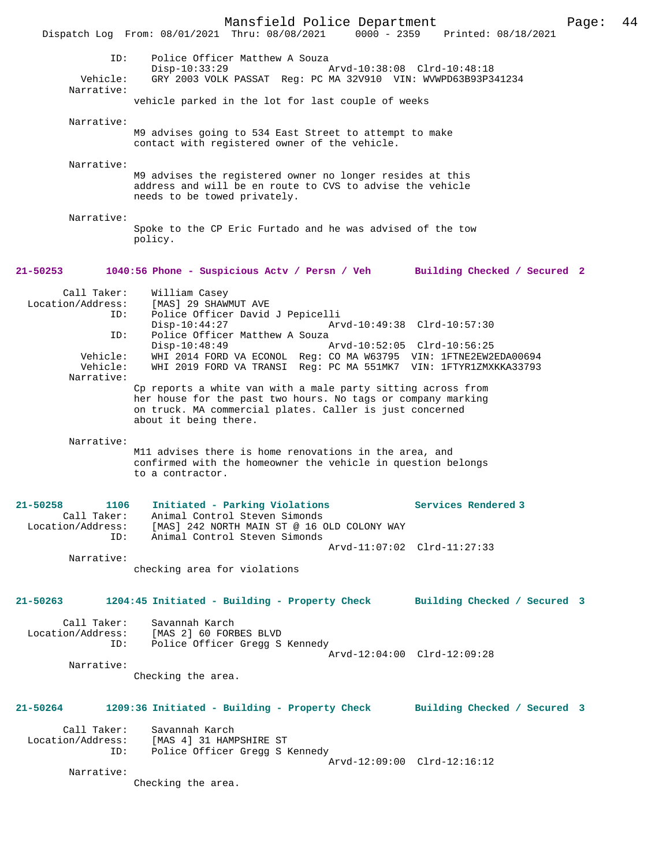|                                    |                                                                                                                                                                                                                   | Mansfield Police Department |                     |                              | Page: | 44 |
|------------------------------------|-------------------------------------------------------------------------------------------------------------------------------------------------------------------------------------------------------------------|-----------------------------|---------------------|------------------------------|-------|----|
|                                    | Dispatch Log From: 08/01/2021 Thru: 08/08/2021 0000 - 2359 Printed: 08/18/2021                                                                                                                                    |                             |                     |                              |       |    |
| ID:<br>Vehicle:                    | Police Officer Matthew A Souza<br>$Disp-10:33:29$<br>GRY 2003 VOLK PASSAT Reg: PC MA 32V910 VIN: WVWPD63B93P341234                                                                                                | Arvd-10:38:08 Clrd-10:48:18 |                     |                              |       |    |
| Narrative:                         | vehicle parked in the lot for last couple of weeks                                                                                                                                                                |                             |                     |                              |       |    |
|                                    |                                                                                                                                                                                                                   |                             |                     |                              |       |    |
| Narrative:                         | M9 advises going to 534 East Street to attempt to make<br>contact with registered owner of the vehicle.                                                                                                           |                             |                     |                              |       |    |
| Narrative:                         | M9 advises the registered owner no longer resides at this<br>address and will be en route to CVS to advise the vehicle<br>needs to be towed privately.                                                            |                             |                     |                              |       |    |
| Narrative:                         | Spoke to the CP Eric Furtado and he was advised of the tow<br>policy.                                                                                                                                             |                             |                     |                              |       |    |
| 21-50253                           | 1040:56 Phone - Suspicious Actv / Persn / Veh                                                                                                                                                                     |                             |                     | Building Checked / Secured 2 |       |    |
| Call Taker:<br>Location/Address:   | William Casey<br>[MAS] 29 SHAWMUT AVE                                                                                                                                                                             |                             |                     |                              |       |    |
| ID:                                | Police Officer David J Pepicelli<br>$Disp-10:44:27$                                                                                                                                                               | Arvd-10:49:38 Clrd-10:57:30 |                     |                              |       |    |
| ID:                                | Police Officer Matthew A Souza<br>$Disp-10:48:49$                                                                                                                                                                 | Arvd-10:52:05 Clrd-10:56:25 |                     |                              |       |    |
| Vehicle:<br>Vehicle:<br>Narrative: | WHI 2014 FORD VA ECONOL Req: CO MA W63795 VIN: 1FTNE2EW2EDA00694<br>WHI 2019 FORD VA TRANSI Reg: PC MA 551MK7 VIN: 1FTYR1ZMXKKA33793                                                                              |                             |                     |                              |       |    |
|                                    | Cp reports a white van with a male party sitting across from<br>her house for the past two hours. No tags or company marking<br>on truck. MA commercial plates. Caller is just concerned<br>about it being there. |                             |                     |                              |       |    |
| Narrative:                         | M11 advises there is home renovations in the area, and<br>confirmed with the homeowner the vehicle in question belongs<br>to a contractor.                                                                        |                             |                     |                              |       |    |
| 21-50258<br>1106                   | Initiated - Parking Violations                                                                                                                                                                                    |                             | Services Rendered 3 |                              |       |    |
| ID:                                | Call Taker: Animal Control Steven Simonds<br>Location/Address: [MAS] 242 NORTH MAIN ST @ 16 OLD COLONY WAY<br>Animal Control Steven Simonds                                                                       |                             |                     |                              |       |    |
| Narrative:                         |                                                                                                                                                                                                                   | Arvd-11:07:02 Clrd-11:27:33 |                     |                              |       |    |
|                                    | checking area for violations                                                                                                                                                                                      |                             |                     |                              |       |    |
| 21-50263                           | 1204:45 Initiated - Building - Property Check Building Checked / Secured 3                                                                                                                                        |                             |                     |                              |       |    |
| Call Taker:<br>ID:                 | Savannah Karch<br>Location/Address: [MAS 2] 60 FORBES BLVD<br>Police Officer Gregg S Kennedy                                                                                                                      | Arvd-12:04:00 Clrd-12:09:28 |                     |                              |       |    |
| Narrative:                         | Checking the area.                                                                                                                                                                                                |                             |                     |                              |       |    |
|                                    |                                                                                                                                                                                                                   |                             |                     |                              |       |    |
|                                    | 21-50264 1209:36 Initiated - Building - Property Check Building Checked / Secured 3                                                                                                                               |                             |                     |                              |       |    |
| Call Taker:                        | Savannah Karch<br>Location/Address: [MAS 4] 31 HAMPSHIRE ST                                                                                                                                                       |                             |                     |                              |       |    |
| ID:                                | Police Officer Gregg S Kennedy                                                                                                                                                                                    | Arvd-12:09:00 Clrd-12:16:12 |                     |                              |       |    |
| Narrative:                         | Checking the area.                                                                                                                                                                                                |                             |                     |                              |       |    |
|                                    |                                                                                                                                                                                                                   |                             |                     |                              |       |    |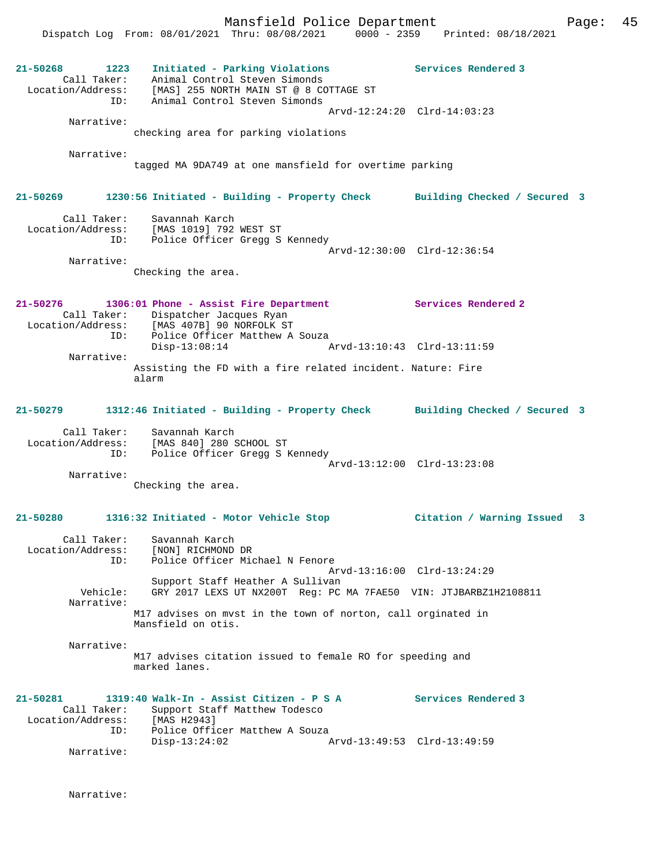Mansfield Police Department Fage: 45 Dispatch Log From: 08/01/2021 Thru: 08/08/2021 0000 - 2359 Printed: 08/18/2021 **21-50268 1223 Initiated - Parking Violations Services Rendered 3**  Call Taker: Animal Control Steven Simonds Location/Address: [MAS] 255 NORTH MAIN ST @ 8 COTTAGE ST ID: Animal Control Steven Simonds Arvd-12:24:20 Clrd-14:03:23 Narrative: checking area for parking violations Narrative: tagged MA 9DA749 at one mansfield for overtime parking **21-50269 1230:56 Initiated - Building - Property Check Building Checked / Secured 3** Call Taker: Savannah Karch Location/Address: [MAS 1019] 792 WEST ST ID: Police Officer Gregg S Kennedy Arvd-12:30:00 Clrd-12:36:54 Narrative: Checking the area. **21-50276 1306:01 Phone - Assist Fire Department Services Rendered 2**  Call Taker: Dispatcher Jacques Ryan Location/Address: [MAS 407B] 90 NORFOLK ST ID: Police Officer Matthew A Souza<br>Disp-13:08:14 Arvd-13:10:43 Clrd-13:11:59 Narrative: Assisting the FD with a fire related incident. Nature: Fire alarm **21-50279 1312:46 Initiated - Building - Property Check Building Checked / Secured 3** Call Taker: Savannah Karch Location/Address: [MAS 840] 280 SCHOOL ST ID: Police Officer Gregg S Kennedy Arvd-13:12:00 Clrd-13:23:08 Narrative: Checking the area. **21-50280 1316:32 Initiated - Motor Vehicle Stop Citation / Warning Issued 3** Call Taker: Savannah Karch Location/Address: [NON] RICHMOND DR ID: Police Officer Michael N Fenore Arvd-13:16:00 Clrd-13:24:29 Support Staff Heather A Sullivan Vehicle: GRY 2017 LEXS UT NX200T Reg: PC MA 7FAE50 VIN: JTJBARBZ1H2108811 Narrative: M17 advises on mvst in the town of norton, call orginated in Mansfield on otis. Narrative: M17 advises citation issued to female RO for speeding and marked lanes. **21-50281 1319:40 Walk-In - Assist Citizen - P S A Services Rendered 3**  Call Taker: Support Staff Matthew Todesco Location/Address: [MAS H2943] ID: Police Officer Matthew A Souza<br>Disp-13:24:02 Disp-13:24:02 Arvd-13:49:53 Clrd-13:49:59 Narrative:

Narrative: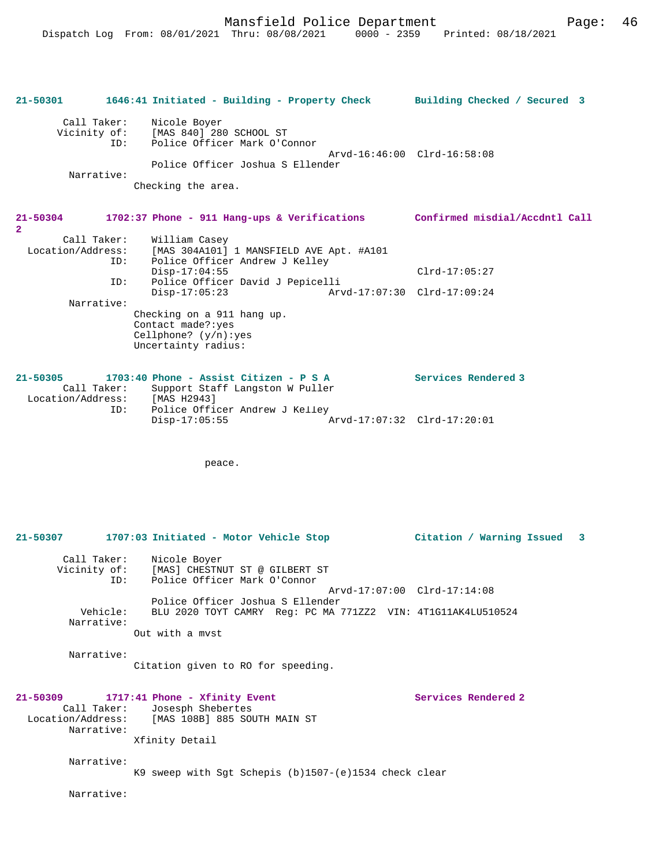| Call Taker:<br>Vicinity of:<br>ID:<br>Narrative: | Nicole Boyer<br>[MAS 840] 280 SCHOOL ST<br>Police Officer Mark O'Connor<br>Police Officer Joshua S Ellender<br>Checking the area. | Arvd-16:46:00 Clrd-16:58:08    |  |
|--------------------------------------------------|-----------------------------------------------------------------------------------------------------------------------------------|--------------------------------|--|
| $21 - 50304$<br>2                                | 1702:37 Phone - 911 Hang-ups & Verifications                                                                                      | Confirmed misdial/Accdntl Call |  |
| Call Taker:<br>Location/Address:<br>ID:          | William Casey<br>[MAS 304A101] 1 MANSFIELD AVE Apt. #A101<br>Police Officer Andrew J Kelley                                       |                                |  |

**21-50301 1646:41 Initiated - Building - Property Check Building Checked / Secured 3**

|            | $Disp-17:04:55$                  |                             | $Clrd-17:05:27$ |
|------------|----------------------------------|-----------------------------|-----------------|
| ID:        | Police Officer David J Pepicelli |                             |                 |
|            | $Disp-17:05:23$                  | Arvd-17:07:30 Clrd-17:09:24 |                 |
| Narrative: |                                  |                             |                 |
|            | Checking on a 911 hang up.       |                             |                 |
|            | Contact made?: yes               |                             |                 |
|            | Cellphone? $(y/n):yes$           |                             |                 |
|            | Uncertainty radius:              |                             |                 |
|            |                                  |                             |                 |

| 21-50305          |     |               | $1703:40$ Phone - Assist Citizen - P S A |                             | Services Rendered 3 |
|-------------------|-----|---------------|------------------------------------------|-----------------------------|---------------------|
| Call Taker:       |     |               | Support Staff Langston W Puller          |                             |                     |
| Location/Address: |     | [MAS H2943]   |                                          |                             |                     |
|                   | ID: |               | Police Officer Andrew J Kelley           |                             |                     |
|                   |     | Disp-17:05:55 |                                          | Arvd-17:07:32 Clrd-17:20:01 |                     |

peace.

```
21-50307 1707:03 Initiated - Motor Vehicle Stop Citation / Warning Issued 3
 Call Taker: Nicole Boyer
 Vicinity of: [MAS] CHESTNUT ST @ GILBERT ST
 ID: Police Officer Mark O'Connor
                                             Arvd-17:07:00 Clrd-17:14:08
 Police Officer Joshua S Ellender
 Vehicle: BLU 2020 TOYT CAMRY Reg: PC MA 771ZZ2 VIN: 4T1G11AK4LU510524
        Narrative: 
                Out with a mvst
        Narrative: 
                Citation given to RO for speeding.
21-50309 1717:41 Phone - Xfinity Event Services Rendered 2
       Call Taker: Josesph Shebertes
  Location/Address: [MAS 108B] 885 SOUTH MAIN ST
        Narrative: 
                Xfinity Detail
        Narrative: 
               K9 sweep with Sgt Schepis (b)1507-(e)1534 check clear
        Narrative:
```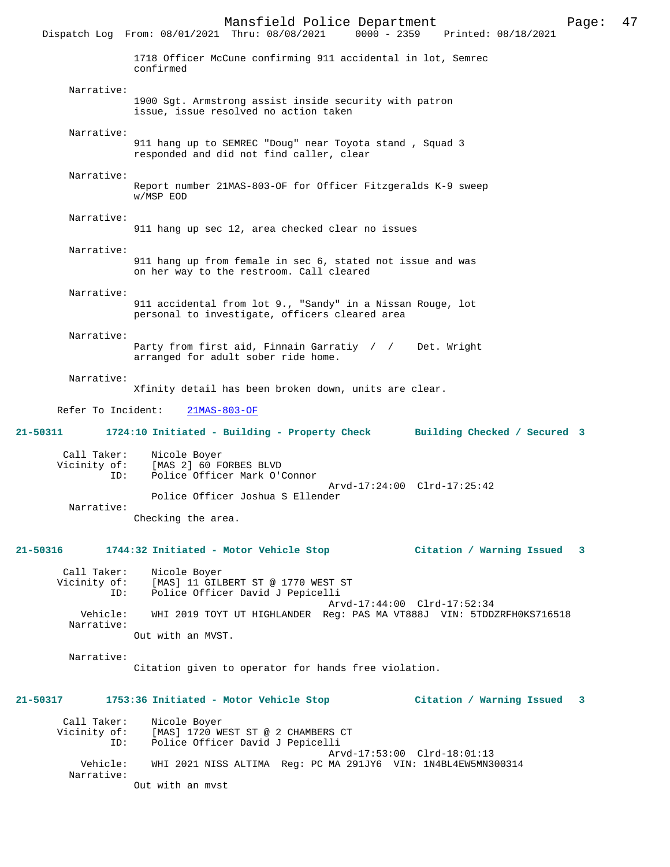Mansfield Police Department Page: 47 Dispatch Log From: 08/01/2021 Thru: 08/08/2021 1718 Officer McCune confirming 911 accidental in lot, Semrec confirmed Narrative: 1900 Sgt. Armstrong assist inside security with patron issue, issue resolved no action taken Narrative: 911 hang up to SEMREC "Doug" near Toyota stand , Squad 3 responded and did not find caller, clear Narrative: Report number 21MAS-803-OF for Officer Fitzgeralds K-9 sweep w/MSP EOD Narrative: 911 hang up sec 12, area checked clear no issues Narrative: 911 hang up from female in sec 6, stated not issue and was on her way to the restroom. Call cleared Narrative: 911 accidental from lot 9., "Sandy" in a Nissan Rouge, lot personal to investigate, officers cleared area Narrative: Party from first aid, Finnain Garratiy / / Det. Wright arranged for adult sober ride home. Narrative: Xfinity detail has been broken down, units are clear. Refer To Incident: 21MAS-803-OF **21-50311 1724:10 Initiated - Building - Property Check Building Checked / Secured 3** Call Taker: Nicole Boyer<br>Vicinity of: [MAS 2] 60 F of: [MAS 2] 60 FORBES BLVD<br>ID: Police Officer Mark O'O Police Officer Mark O'Connor Arvd-17:24:00 Clrd-17:25:42 Police Officer Joshua S Ellender Narrative: Checking the area. **21-50316 1744:32 Initiated - Motor Vehicle Stop Citation / Warning Issued 3** Call Taker: Nicole Boyer Vicinity of: [MAS] 11 GILBERT ST @ 1770 WEST ST<br>TD: Police Officer David J Pepicelli Police Officer David J Pepicelli Arvd-17:44:00 Clrd-17:52:34 Vehicle: WHI 2019 TOYT UT HIGHLANDER Reg: PAS MA VT888J VIN: 5TDDZRFH0KS716518 Narrative: Out with an MVST. Narrative: Citation given to operator for hands free violation. **21-50317 1753:36 Initiated - Motor Vehicle Stop Citation / Warning Issued 3** Call Taker: Nicole Boyer<br>Vicinity of: [MAS] 1720 W. of: [MAS] 1720 WEST ST @ 2 CHAMBERS CT<br>TD: Police Officer David J Pepicelli Police Officer David J Pepicelli Arvd-17:53:00 Clrd-18:01:13<br>Vebicle: WHI 2021 NISS ALTIMA Reg: PC MA 291.IV6 VIN: 1N4RL4EW5MN3 Vehicle: WHI 2021 NISS ALTIMA Reg: PC MA 291JY6 VIN: 1N4BL4EW5MN300314 Narrative:

Out with an mvst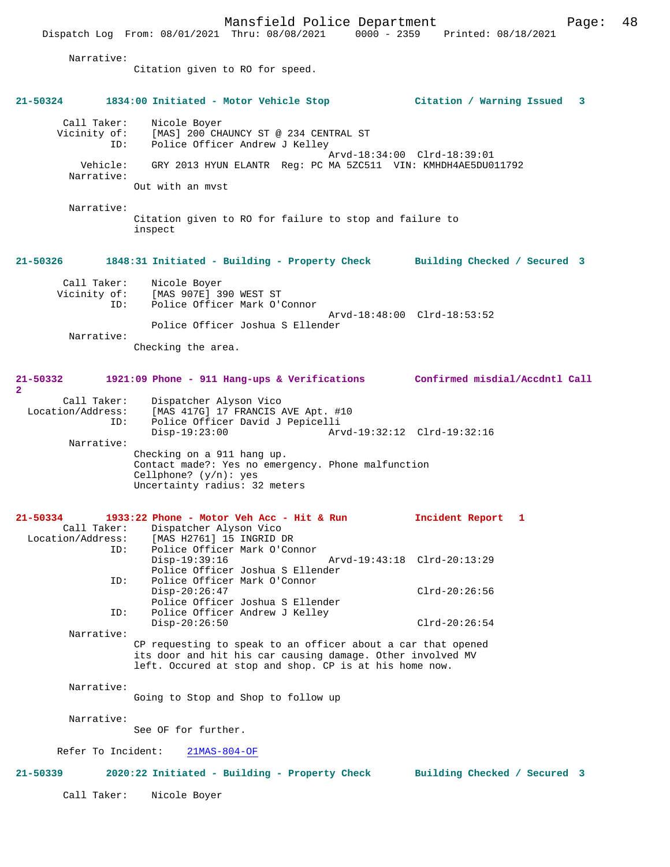Dispatch Log From: 08/01/2021 Thru: 08/08/2021 0000 - 2359

 Narrative: Citation given to RO for speed. **21-50324 1834:00 Initiated - Motor Vehicle Stop Citation / Warning Issued 3** Call Taker: Nicole Boyer<br>Vicinity of: [MAS] 200 CH [MAS] 200 CHAUNCY ST @ 234 CENTRAL ST ID: Police Officer Andrew J Kelley Arvd-18:34:00 Clrd-18:39:01 Vehicle: GRY 2013 HYUN ELANTR Reg: PC MA 5ZC511 VIN: KMHDH4AE5DU011792 Narrative: Out with an mvst Narrative: Citation given to RO for failure to stop and failure to inspect **21-50326 1848:31 Initiated - Building - Property Check Building Checked / Secured 3** Call Taker: Nicole Boyer<br>Vicinity of: [MAS 907E] 3 of: [MAS 907E] 390 WEST ST<br>ID: Police Officer Mark O'O Police Officer Mark O'Connor Arvd-18:48:00 Clrd-18:53:52 Police Officer Joshua S Ellender Narrative: Checking the area. **21-50332 1921:09 Phone - 911 Hang-ups & Verifications Confirmed misdial/Accdntl Call 2**  Call Taker: Dispatcher Alyson Vico<br>Location/Address: [MAS 417G] 17 FRANCIS ess: [MAS 417G] 17 FRANCIS AVE Apt. #10<br>ID: Police Officer David J Pepicelli Police Officer David J Pepicelli<br>Disp-19:23:00 Ar Disp-19:23:00 Arvd-19:32:12 Clrd-19:32:16 Narrative: Checking on a 911 hang up. Contact made?: Yes no emergency. Phone malfunction Cellphone? (y/n): yes Uncertainty radius: 32 meters **21-50334 1933:22 Phone - Motor Veh Acc - Hit & Run Incident Report 1**  Call Taker: Dispatcher Alyson Vico<br>Location/Address: [MAS H2761] 15 INGRID D ess: [MAS H2761] 15 INGRID DR<br>ID: Police Officer Mark O'Com Police Officer Mark O'Connor<br>Disp-19:39:16 Disp-19:39:16 Arvd-19:43:18 Clrd-20:13:29 Police Officer Joshua S Ellender ID: Police Officer Mark O'Connor Disp-20:26:47 Clrd-20:26:56 Police Officer Joshua S Ellender<br>ID: Police Officer Andrew J Kelley Police Officer Andrew J Kelley Disp-20:26:50 Clrd-20:26:54 Narrative: CP requesting to speak to an officer about a car that opened its door and hit his car causing damage. Other involved MV left. Occured at stop and shop. CP is at his home now. Narrative: Going to Stop and Shop to follow up Narrative: See OF for further. Refer To Incident: 21MAS-804-OF **21-50339 2020:22 Initiated - Building - Property Check Building Checked / Secured 3** Call Taker: Nicole Boyer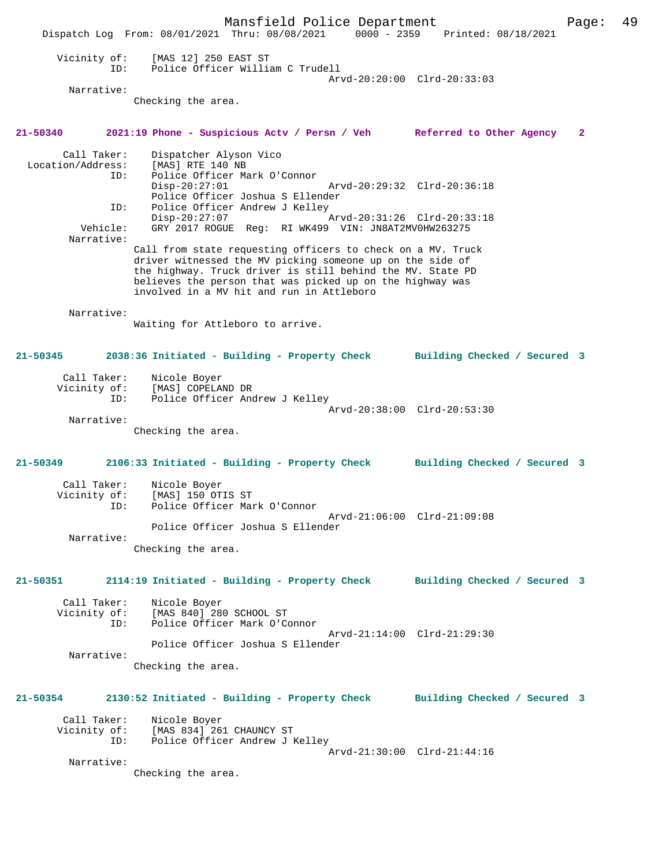Mansfield Police Department Page: 49 Dispatch Log From: 08/01/2021 Thru: 08/08/2021 0000 - 2359 Printed: 08/18/2021 Vicinity of: [MAS 12] 250 EAST ST ID: Police Officer William C Trudell Arvd-20:20:00 Clrd-20:33:03 Narrative: Checking the area. **21-50340 2021:19 Phone - Suspicious Actv / Persn / Veh Referred to Other Agency 2** Call Taker: Dispatcher Alyson Vico Location/Address: [MAS] RTE 140 NB ID: Police Officer Mark O'Connor Disp-20:27:01 Arvd-20:29:32 Clrd-20:36:18 Police Officer Joshua S Ellender<br>ID: Police Officer Andrew J Kellev Police Officer Andrew J Kelley<br>Disp-20:27:07 Disp-20:27:07<br>
Vehicle: GRY 2017 ROGUE Reg: RI WK499 VIN: JN8AT2MV0HW263275 GRY 2017 ROGUE Reg: RI WK499 VIN: JN8AT2MV0HW263275 Narrative: Call from state requesting officers to check on a MV. Truck driver witnessed the MV picking someone up on the side of the highway. Truck driver is still behind the MV. State PD believes the person that was picked up on the highway was involved in a MV hit and run in Attleboro Narrative: Waiting for Attleboro to arrive. **21-50345 2038:36 Initiated - Building - Property Check Building Checked / Secured 3** Call Taker: Nicole Boyer Vicinity of: [MAS] COPELAND DR ID: Police Officer Andrew J Kelley Arvd-20:38:00 Clrd-20:53:30 Narrative: Checking the area. **21-50349 2106:33 Initiated - Building - Property Check Building Checked / Secured 3** Call Taker: Nicole Boyer<br>Vicinity of: [MAS] 150 OT [MAS] 150 OTIS ST ID: Police Officer Mark O'Connor Arvd-21:06:00 Clrd-21:09:08 Police Officer Joshua S Ellender Narrative: Checking the area. **21-50351 2114:19 Initiated - Building - Property Check Building Checked / Secured 3** Call Taker: Nicole Boyer<br>Vicinity of: [MAS 840] 28  $[MAS 840]$  280 SCHOOL ST ID: Police Officer Mark O'Connor Arvd-21:14:00 Clrd-21:29:30 Police Officer Joshua S Ellender Narrative: Checking the area. **21-50354 2130:52 Initiated - Building - Property Check Building Checked / Secured 3** Call Taker: Nicole Boyer<br>Vicinity of: [MAS 834] 26 of: [MAS 834] 261 CHAUNCY ST<br>ID: Police Officer Andrew J I Police Officer Andrew J Kelley Arvd-21:30:00 Clrd-21:44:16 Narrative: Checking the area.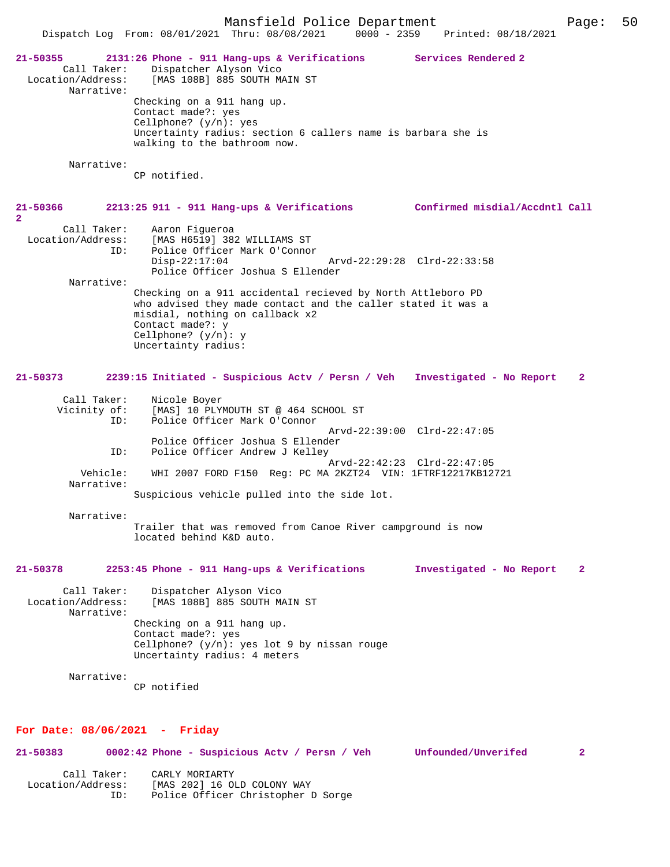Mansfield Police Department Page: 50 Dispatch Log From: 08/01/2021 Thru: 08/08/2021 **21-50355 2131:26 Phone - 911 Hang-ups & Verifications Services Rendered 2**  Call Taker: Dispatcher Alyson Vico Location/Address: [MAS 108B] 885 SOUTH MAIN ST Narrative: Checking on a 911 hang up. Contact made?: yes Cellphone? (y/n): yes Uncertainty radius: section 6 callers name is barbara she is walking to the bathroom now. Narrative: CP notified. **21-50366 2213:25 911 - 911 Hang-ups & Verifications Confirmed misdial/Accdntl Call 2**  Call Taker: Aaron Figueroa<br>Location/Address: [MAS H6519] 382 ess: [MAS H6519] 382 WILLIAMS ST<br>TD: Police Officer Mark O'Conno Police Officer Mark O'Connor<br>Disp-22:17:04 Disp-22:17:04 Arvd-22:29:28 Clrd-22:33:58 Police Officer Joshua S Ellender Narrative: Checking on a 911 accidental recieved by North Attleboro PD who advised they made contact and the caller stated it was a misdial, nothing on callback x2 Contact made?: y Cellphone? (y/n): y Uncertainty radius: **21-50373 2239:15 Initiated - Suspicious Actv / Persn / Veh Investigated - No Report 2** Call Taker: Nicole Boyer Vicinity of: [MAS] 10 PLYMOUTH ST @ 464 SCHOOL ST .<br>Police Officer Mark O'Connor Arvd-22:39:00 Clrd-22:47:05 Police Officer Joshua S Ellender<br>ID: Police Officer Andrew J Kelley Police Officer Andrew J Kelley Arvd-22:42:23 Clrd-22:47:05 Vehicle: WHI 2007 FORD F150 Reg: PC MA 2KZT24 VIN: 1FTRF12217KB12721 Narrative: Suspicious vehicle pulled into the side lot. Narrative: Trailer that was removed from Canoe River campground is now located behind K&D auto. **21-50378 2253:45 Phone - 911 Hang-ups & Verifications Investigated - No Report 2** Call Taker: Dispatcher Alyson Vico<br>Location/Address: [MAS 108B] 885 SOUTH M [MAS 108B] 885 SOUTH MAIN ST Narrative: Checking on a 911 hang up. Contact made?: yes Cellphone?  $(y/n)$ : yes lot 9 by nissan rouge Uncertainty radius: 4 meters Narrative:

CP notified

## **For Date: 08/06/2021 - Friday**

| 21-50383          | 0002:42 Phone - Suspicious Acty / Persn / Veh | Unfounded/Unverifed | 2 |
|-------------------|-----------------------------------------------|---------------------|---|
| Call Taker:       | CARLY MORIARTY                                |                     |   |
| Location/Address: | [MAS 202] 16 OLD COLONY WAY                   |                     |   |
| ID:               | Police Officer Christopher D Sorge            |                     |   |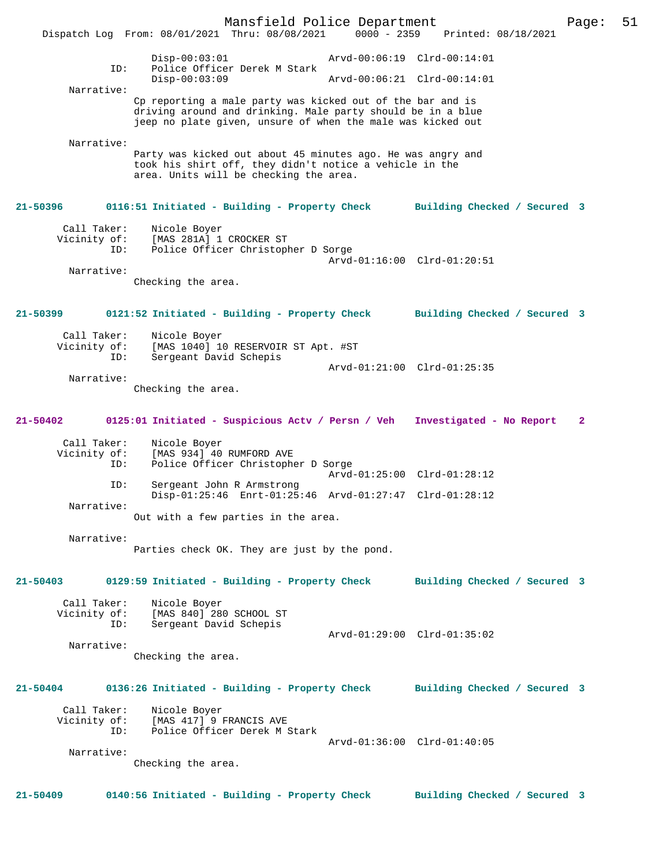Mansfield Police Department Page: 51 Dispatch Log From: 08/01/2021 Thru: 08/08/2021 Disp-00:03:01 Arvd-00:06:19 Clrd-00:14:01 ID: Police Officer Derek M Stark Disp-00:03:09 Arvd-00:06:21 Clrd-00:14:01 Narrative: Cp reporting a male party was kicked out of the bar and is driving around and drinking. Male party should be in a blue jeep no plate given, unsure of when the male was kicked out Narrative: Party was kicked out about 45 minutes ago. He was angry and took his shirt off, they didn't notice a vehicle in the area. Units will be checking the area. **21-50396 0116:51 Initiated - Building - Property Check Building Checked / Secured 3** Call Taker: Nicole Boyer Vicinity of: [MAS 281A] 1 CROCKER ST<br>TD: Police Officer Christopl Police Officer Christopher D Sorge Arvd-01:16:00 Clrd-01:20:51 Narrative: Checking the area. **21-50399 0121:52 Initiated - Building - Property Check Building Checked / Secured 3** Call Taker: Nicole Boyer Vicinity of: [MAS 1040] 10 RESERVOIR ST Apt. #ST ID: Sergeant David Schepis Arvd-01:21:00 Clrd-01:25:35 Narrative: Checking the area. **21-50402 0125:01 Initiated - Suspicious Actv / Persn / Veh Investigated - No Report 2** Call Taker: Nicole Boyer<br>Vicinity of: [MAS 934] 40 of: [MAS 934] 40 RUMFORD AVE<br>TD: Police Officer Christophe Police Officer Christopher D Sorge Arvd-01:25:00 Clrd-01:28:12<br>ID: Sergeant John R Armstrong Sergeant John R Armstrong Disp-01:25:46 Enrt-01:25:46 Arvd-01:27:47 Clrd-01:28:12 Narrative: Out with a few parties in the area. Narrative: Parties check OK. They are just by the pond. **21-50403 0129:59 Initiated - Building - Property Check Building Checked / Secured 3** Call Taker: Nicole Boyer Vicinity of: [MAS 840] 280 SCHOOL ST<br>ID: Sergeant David Schepis Sergeant David Schepis Arvd-01:29:00 Clrd-01:35:02 Narrative: Checking the area. **21-50404 0136:26 Initiated - Building - Property Check Building Checked / Secured 3** Call Taker: Nicole Boyer<br>Vicinity of: [MAS 417] 9 of: [MAS 417] 9 FRANCIS AVE<br>ID: Police Officer Derek M ; Police Officer Derek M Stark Arvd-01:36:00 Clrd-01:40:05 Narrative: Checking the area. **21-50409 0140:56 Initiated - Building - Property Check Building Checked / Secured 3**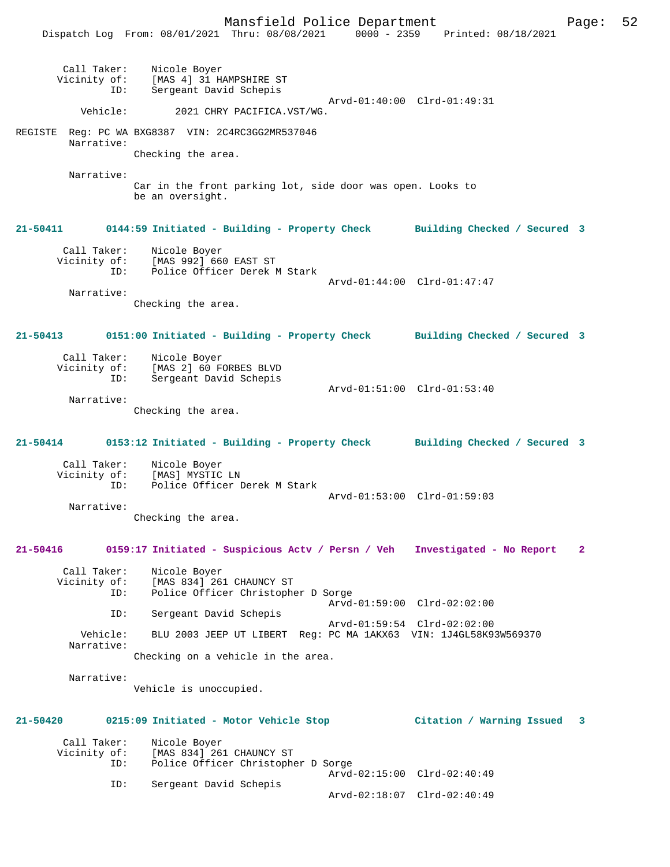Mansfield Police Department Form Page: 52 Dispatch Log From: 08/01/2021 Thru: 08/08/2021 0000 - 2359 Printed: 08/18/2021 Call Taker: Nicole Boyer Vicinity of: [MAS 4] 31 HAMPSHIRE ST ID: Sergeant David Schepis Arvd-01:40:00 Clrd-01:49:31 Vehicle: 2021 CHRY PACIFICA.VST/WG. REGISTE Reg: PC WA BXG8387 VIN: 2C4RC3GG2MR537046 Narrative: Checking the area. Narrative: Car in the front parking lot, side door was open. Looks to be an oversight. **21-50411 0144:59 Initiated - Building - Property Check Building Checked / Secured 3** Call Taker: Nicole Boyer Vicinity of: [MAS 992] 660 EAST ST ID: Police Officer Derek M Stark Arvd-01:44:00 Clrd-01:47:47 Narrative: Checking the area. **21-50413 0151:00 Initiated - Building - Property Check Building Checked / Secured 3** Call Taker: Nicole Boyer Vicinity of: [MAS 2] 60 FORBES BLVD ID: Sergeant David Schepis Arvd-01:51:00 Clrd-01:53:40 Narrative: Checking the area. **21-50414 0153:12 Initiated - Building - Property Check Building Checked / Secured 3** Call Taker: Nicole Boyer<br>Vicinity of: [MAS] MYSTIC of: [MAS] MYSTIC LN<br>ID: Police Officer I Police Officer Derek M Stark Arvd-01:53:00 Clrd-01:59:03 Narrative: Checking the area. **21-50416 0159:17 Initiated - Suspicious Actv / Persn / Veh Investigated - No Report 2** Call Taker: Nicole Boyer<br>Vicinity of: [MAS 834] 26 of: [MAS 834] 261 CHAUNCY ST<br>ID: Police Officer Christoph Police Officer Christopher D Sorge Arvd-01:59:00 Clrd-02:02:00 ID: Sergeant David Schepis Arvd-01:59:54 Clrd-02:02:00 Vehicle: BLU 2003 JEEP UT LIBERT Reg: PC MA 1AKX63 VIN: 1J4GL58K93W569370 Narrative: Checking on a vehicle in the area. Narrative: Vehicle is unoccupied. **21-50420 0215:09 Initiated - Motor Vehicle Stop Citation / Warning Issued 3** Call Taker: Nicole Boyer<br>Vicinity of: [MAS 834] 26 of: [MAS 834] 261 CHAUNCY ST<br>ID: Police Officer Christophe Police Officer Christopher D Sorge Arvd-02:15:00 Clrd-02:40:49 ID: Sergeant David Schepis Arvd-02:18:07 Clrd-02:40:49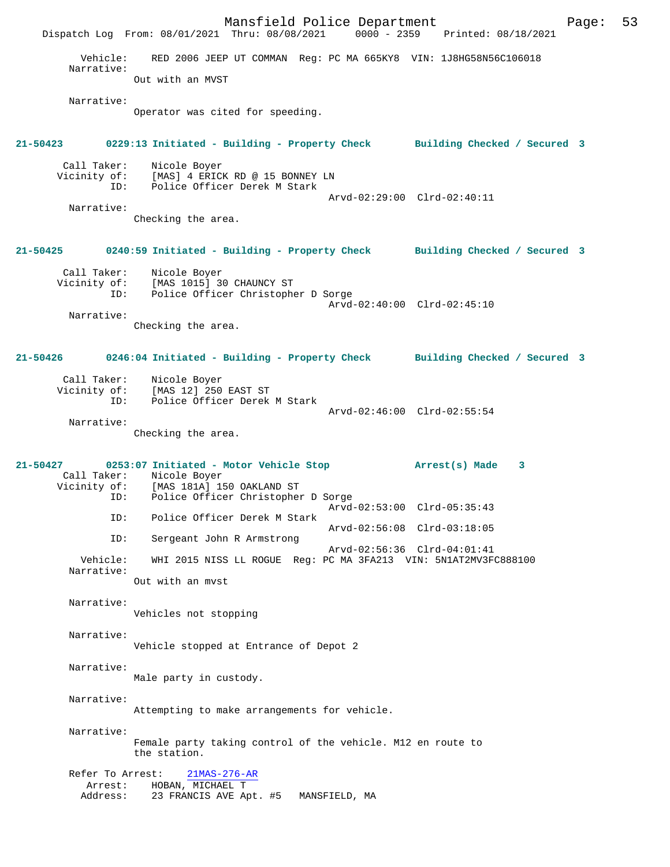Mansfield Police Department Page: 53 Dispatch Log From: 08/01/2021 Thru: 08/08/2021 Vehicle: RED 2006 JEEP UT COMMAN Reg: PC MA 665KY8 VIN: 1J8HG58N56C106018 Narrative: Out with an MVST Narrative: Operator was cited for speeding. **21-50423 0229:13 Initiated - Building - Property Check Building Checked / Secured 3** Call Taker: Nicole Boyer Vicinity of: [MAS] 4 ERICK RD @ 15 BONNEY LN ID: Police Officer Derek M Stark Arvd-02:29:00 Clrd-02:40:11 Narrative: Checking the area. **21-50425 0240:59 Initiated - Building - Property Check Building Checked / Secured 3** Call Taker: Nicole Boyer Vicinity of: [MAS 1015] 30 CHAUNCY ST ID: Police Officer Christopher D Sorge Arvd-02:40:00 Clrd-02:45:10 Narrative: Checking the area. **21-50426 0246:04 Initiated - Building - Property Check Building Checked / Secured 3** Call Taker: Nicole Boyer Vicinity of: [MAS 12] 250 EAST ST ID: Police Officer Derek M Stark Arvd-02:46:00 Clrd-02:55:54 Narrative: Checking the area. **21-50427 0253:07 Initiated - Motor Vehicle Stop Arrest(s) Made 3**  Call Taker: Nicole Boyer<br>Vicinity of: [MAS 181A] 19 of: [MAS 181A] 150 OAKLAND ST<br>ID: Police Officer Christopher Police Officer Christopher D Sorge Arvd-02:53:00 Clrd-05:35:43<br>ID: Police Officer Derek M Stark Police Officer Derek M Stark Arvd-02:56:08 Clrd-03:18:05 ID: Sergeant John R Armstrong Arvd-02:56:36 Clrd-04:01:41<br>Vehicle: WHI 2015 NISS LL ROGUE Req: PC MA 3FA213 VIN: 5N1AT2MV3F WHI 2015 NISS LL ROGUE Reg: PC MA 3FA213 VIN: 5N1AT2MV3FC888100 Narrative: Out with an mvst Narrative: Vehicles not stopping Narrative: Vehicle stopped at Entrance of Depot 2 Narrative: Male party in custody. Narrative: Attempting to make arrangements for vehicle. Narrative: Female party taking control of the vehicle. M12 en route to the station. Refer To Arrest: 21MAS-276-AR Arrest: HOBAN, MICHAEL T<br>Address: 23 FRANCIS AVE AD 23 FRANCIS AVE Apt. #5 MANSFIELD, MA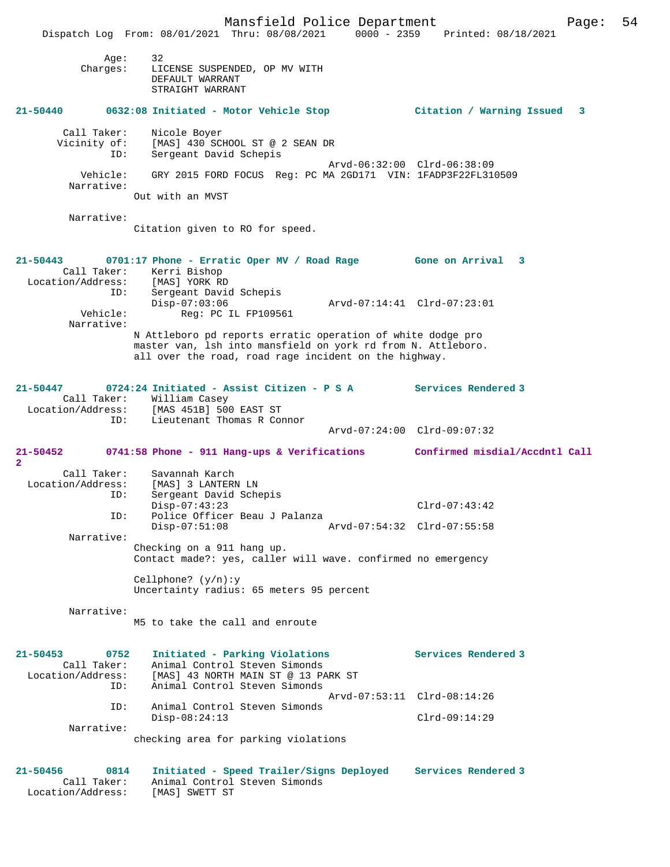Mansfield Police Department Page: 54 Dispatch Log From: 08/01/2021 Thru: 08/08/2021 0000 - 2359 Printed: 08/18/2021 Age: 32 Charges: LICENSE SUSPENDED, OP MV WITH DEFAULT WARRANT STRAIGHT WARRANT **21-50440 0632:08 Initiated - Motor Vehicle Stop Citation / Warning Issued 3** Call Taker: Nicole Boyer<br>Vicinity of: [MAS] 430 SC [MAS] 430 SCHOOL ST @ 2 SEAN DR ID: Sergeant David Schepis Arvd-06:32:00 Clrd-06:38:09 Vehicle: GRY 2015 FORD FOCUS Reg: PC MA 2GD171 VIN: 1FADP3F22FL310509 Narrative: Out with an MVST Narrative: Citation given to RO for speed. **21-50443 0701:17 Phone - Erratic Oper MV / Road Rage Gone on Arrival 3**  Call Taker: Kerri Bishop Location/Address: [MAS] YORK RD ID: Sergeant David Schepis<br>Disp-07:03:06 Disp-07:03:06 Arvd-07:14:41 Clrd-07:23:01<br>Vehicle: Req: PC IL FP109561 Reg: PC IL FP109561 Narrative: N Attleboro pd reports erratic operation of white dodge pro master van, lsh into mansfield on york rd from N. Attleboro. all over the road, road rage incident on the highway. **21-50447 0724:24 Initiated - Assist Citizen - P S A Services Rendered 3**  Call Taker: William Casey<br>Location/Address: [MAS 451B] 50 ess: [MAS 451B] 500 EAST ST<br>ID: Lieutenant Thomas R Cor Lieutenant Thomas R Connor Arvd-07:24:00 Clrd-09:07:32 **21-50452 0741:58 Phone - 911 Hang-ups & Verifications Confirmed misdial/Accdntl Call 2**  Call Taker: Savannah Karch Location/Address: [MAS] 3 LANTERN LN<br>ID: Sergeant David Sche Sergeant David Schepis Disp-07:43:23 Clrd-07:43:42<br>Th: Police Officer Beau J Palanza Police Officer Beau J Palanza<br>Disp-07:51:08 Disp-07:51:08 Arvd-07:54:32 Clrd-07:55:58 Narrative: Checking on a 911 hang up. Contact made?: yes, caller will wave. confirmed no emergency Cellphone? (y/n):y Uncertainty radius: 65 meters 95 percent Narrative: M5 to take the call and enroute **21-50453 0752 Initiated - Parking Violations Services Rendered 3**  Animal Control Steven Simonds Exation: 193 NORTH MAIN ST @ 13 PARK ST<br>ID: Animal Control Steven Simonds Animal Control Steven Simonds Arvd-07:53:11 Clrd-08:14:26 ID: Animal Control Steven Simonds Disp-08:24:13 Clrd-09:14:29 Narrative: checking area for parking violations **21-50456 0814 Initiated - Speed Trailer/Signs Deployed Services Rendered 3**  Call Taker: Animal Control Steven Simonds<br>ion/Address: [MAS] SWETT ST

Location/Address: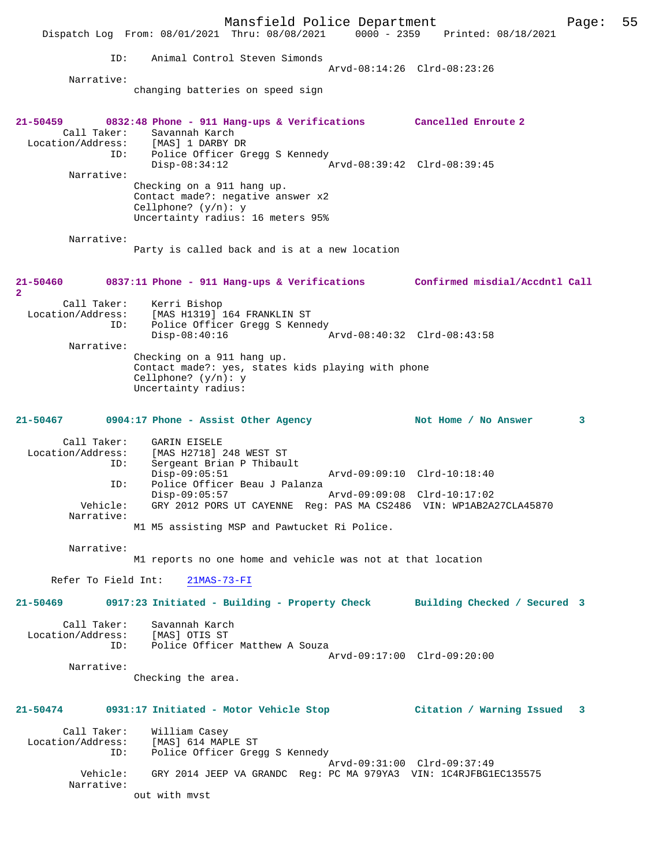Mansfield Police Department Form Page: 55 Dispatch Log From: 08/01/2021 Thru: 08/08/2021 0000 - 2359 Printed: 08/18/2021 ID: Animal Control Steven Simonds Arvd-08:14:26 Clrd-08:23:26 Narrative: changing batteries on speed sign **21-50459 0832:48 Phone - 911 Hang-ups & Verifications Cancelled Enroute 2**  Call Taker: Savannah Karch Location/Address: [MAS] 1 DARBY DR ID: Police Officer Gregg S Kennedy<br>Disp-08:34:12 Disp-08:34:12 Arvd-08:39:42 Clrd-08:39:45 Narrative: Checking on a 911 hang up. Contact made?: negative answer x2 Cellphone? (y/n): y Uncertainty radius: 16 meters 95% Narrative: Party is called back and is at a new location **21-50460 0837:11 Phone - 911 Hang-ups & Verifications Confirmed misdial/Accdntl Call 2**  Call Taker: Kerri Bishop Location/Address: [MAS H1319] 164 FRANKLIN ST ID: Police Officer Gregg S Kennedy<br>Disp-08:40:16 Disp-08:40:16 Arvd-08:40:32 Clrd-08:43:58 Narrative: Checking on a 911 hang up. Contact made?: yes, states kids playing with phone Cellphone? (y/n): y Uncertainty radius: 21-50467 0904:17 Phone - Assist Other Agency **Not Home / No Answer** 3 Call Taker: GARIN EISELE Location/Address: [MAS H2718] 248 WEST ST ID: Sergeant Brian P Thibault<br>Disp-09:05:51<br>ID: Balics 2001 Disp-09:05:51 Arvd-09:09:10 Clrd-10:18:40<br>ID: Police Officer Beau J Palanza Police Officer Beau J Palanza<br>Disp-09:05:57 Disp-09:05:57 Arvd-09:09:08 Clrd-10:17:02 Vehicle: GRY 2012 PORS UT CAYENNE Reg: PAS MA CS2486 VIN: WP1AB2A27CLA45870 Narrative: M1 M5 assisting MSP and Pawtucket Ri Police. Narrative: M1 reports no one home and vehicle was not at that location Refer To Field Int: 21MAS-73-FI **21-50469 0917:23 Initiated - Building - Property Check Building Checked / Secured 3** Call Taker: Savannah Karch Location/Address: [MAS] OTIS ST Police Officer Matthew A Souza Arvd-09:17:00 Clrd-09:20:00 Narrative: Checking the area. **21-50474 0931:17 Initiated - Motor Vehicle Stop Citation / Warning Issued 3** Call Taker: William Casey Location/Address: [MAS] 614 MAPLE ST ID: Police Officer Gregg S Kennedy Arvd-09:31:00 Clrd-09:37:49 Vehicle: GRY 2014 JEEP VA GRANDC Reg: PC MA 979YA3 VIN: 1C4RJFBG1EC135575 Narrative: out with mvst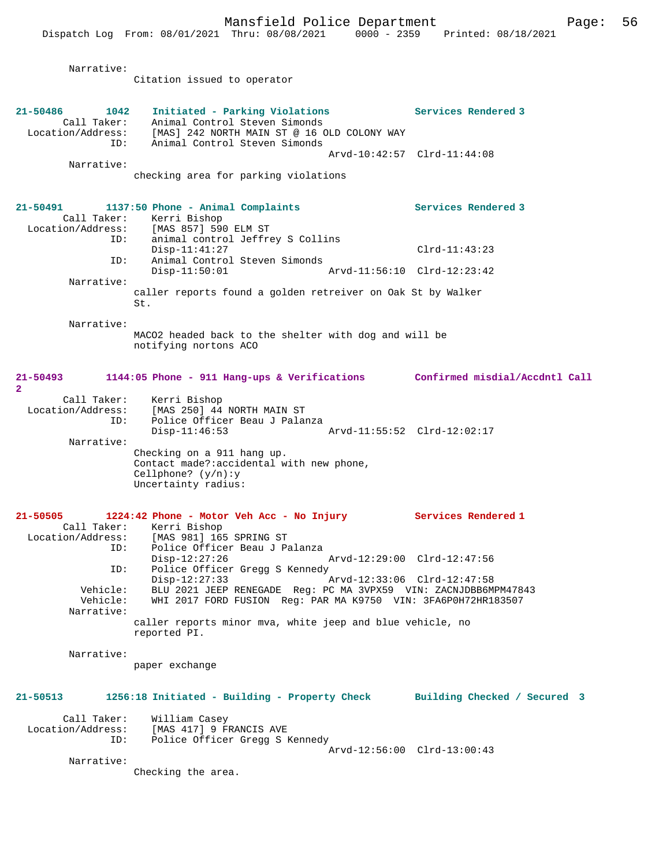Narrative:

Citation issued to operator

| 21-50486<br>Call Taker:<br>Location/Address:<br>Narrative: | 1042<br>Initiated - Parking Violations<br>Animal Control Steven Simonds<br>[MAS] 242 NORTH MAIN ST @ 16 OLD COLONY WAY<br>Animal Control Steven Simonds<br>ID:<br>checking area for parking violations           | Services Rendered 3<br>Arvd-10:42:57 Clrd-11:44:08 |
|------------------------------------------------------------|------------------------------------------------------------------------------------------------------------------------------------------------------------------------------------------------------------------|----------------------------------------------------|
| 21-50491<br>Call Taker:                                    | 1137:50 Phone - Animal Complaints<br>Kerri Bishop<br>Location/Address: [MAS 857] 590 ELM ST<br>animal control Jeffrey S Collins<br>ID:<br>$Disp-11:41:27$<br>Animal Control Steven Simonds<br>ID:                | Services Rendered 3<br>$Clrd-11:43:23$             |
| Narrative:                                                 | $Disp-11:50:01$<br>caller reports found a golden retreiver on Oak St by Walker<br>St.                                                                                                                            | Arvd-11:56:10 Clrd-12:23:42                        |
| Narrative:                                                 | MACO2 headed back to the shelter with dog and will be<br>notifying nortons ACO                                                                                                                                   |                                                    |
| 21-50493<br>$\overline{a}$<br>Call Taker:                  | 1144:05 Phone - 911 Hang-ups & Verifications Confirmed misdial/Accdntl Call<br>Kerri Bishop                                                                                                                      |                                                    |
| Location/Address:<br>Narrative:                            | [MAS 250] 44 NORTH MAIN ST<br>Police Officer Beau J Palanza<br>ID:<br>$Disp-11:46:53$<br>Checking on a 911 hang up.                                                                                              |                                                    |
|                                                            | Contact made?: accidental with new phone,<br>Cellphone? $(y/n): y$<br>Uncertainty radius:                                                                                                                        |                                                    |
| 21-50505<br>Location/Address:                              | 1224:42 Phone - Motor Veh Acc - No Injury<br>Call Taker: Kerri Bishop<br>[MAS 981] 165 SPRING ST<br>Police Officer Beau J Palanza<br>ID:<br>$Disp-12:27:26$<br>Police Officer Gregg S Kennedy<br>ID:             | Services Rendered 1<br>Arvd-12:29:00 Clrd-12:47:56 |
| Vehicle:<br>Vehicle:<br>Narrative:                         | $Disp-12:27:33$<br>BLU 2021 JEEP RENEGADE Reg: PC MA 3VPX59 VIN: ZACNJDBB6MPM47843<br>WHI 2017 FORD FUSION Req: PAR MA K9750 VIN: 3FA6P0H72HR183507<br>caller reports minor mva, white jeep and blue vehicle, no | Arvd-12:33:06 Clrd-12:47:58                        |
|                                                            |                                                                                                                                                                                                                  |                                                    |

Narrative:

paper exchange

**21-50513 1256:18 Initiated - Building - Property Check Building Checked / Secured 3** Call Taker: William Casey Location/Address: [MAS 417] 9 FRANCIS AVE ID: Police Officer Gregg S Kennedy Arvd-12:56:00 Clrd-13:00:43

Narrative:

Checking the area.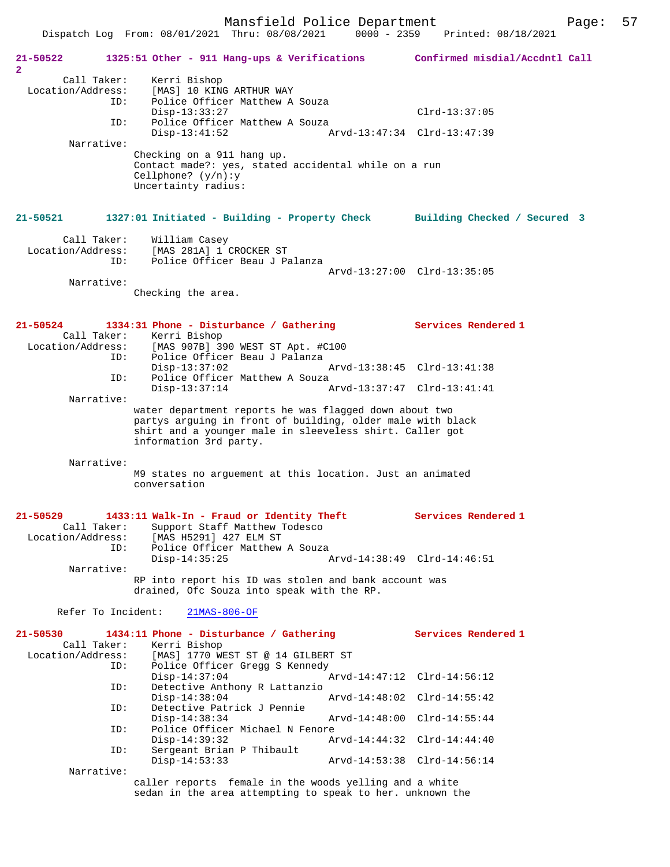Mansfield Police Department Page: 57 Dispatch Log From: 08/01/2021 Thru: 08/08/2021 **21-50522 1325:51 Other - 911 Hang-ups & Verifications Confirmed misdial/Accdntl Call 2**  Call Taker: Kerri Bishop Location/Address: [MAS] 10 KING ARTHUR WAY<br>ID: Police Officer Matthew A Police Officer Matthew A Souza Disp-13:33:27 Clrd-13:37:05<br>TD: Police Officer Matthew A Souza Police Officer Matthew A Souza<br>Disp-13:41:52 A Disp-13:41:52 Arvd-13:47:34 Clrd-13:47:39 Narrative: Checking on a 911 hang up. Contact made?: yes, stated accidental while on a run Cellphone? (y/n):y Uncertainty radius: **21-50521 1327:01 Initiated - Building - Property Check Building Checked / Secured 3** Call Taker: William Casey Location/Address: [MAS 281A] 1 CROCKER ST Police Officer Beau J Palanza Arvd-13:27:00 Clrd-13:35:05 Narrative: Checking the area. **21-50524 1334:31 Phone - Disturbance / Gathering Services Rendered 1**  Call Taker: Kerri Bishop<br>Location/Address: [MAS 907B] 3 ess: [MAS 907B] 390 WEST ST Apt. #C100<br>ID: Police Officer Beau J Palanza Police Officer Beau J Palanza<br>Disp-13:37:02 Disp-13:37:02 Arvd-13:38:45 Clrd-13:41:38<br>TD: Police Officer Matthew A Souza Police Officer Matthew A Souza<br>Disp-13:37:14 Disp-13:37:14 Arvd-13:37:47 Clrd-13:41:41 Narrative: water department reports he was flagged down about two partys arguing in front of building, older male with black shirt and a younger male in sleeveless shirt. Caller got information 3rd party. Narrative: M9 states no arguement at this location. Just an animated conversation **21-50529 1433:11 Walk-In - Fraud or Identity Theft Services Rendered 1**  Call Taker: Support Staff Matthew Todesco<br>Location/Address: [MAS H5291] 427 ELM ST [MAS H5291] 427 ELM ST ID: Police Officer Matthew A Souza<br>Disp-14:35:25 Disp-14:35:25 Arvd-14:38:49 Clrd-14:46:51 Narrative: RP into report his ID was stolen and bank account was drained, Ofc Souza into speak with the RP. Refer To Incident: 21MAS-806-OF **21-50530 1434:11 Phone - Disturbance / Gathering Services Rendered 1**  Call Taker: Kerri Bishop<br>Location/Address: [MAS] 1770 WH ess: [MAS] 1770 WEST ST @ 14 GILBERT ST<br>ID: Police Officer Gregg S Kennedy Police Officer Gregg S Kennedy<br>Disp-14:37:04 Disp-14:37:04 Arvd-14:47:12 Clrd-14:56:12<br>ID: Detective Anthony R Lattanzio Detective Anthony R Lattanzio<br>Disp-14:38:04 Arvd-14:48:02 Clrd-14:55:42 ID: Detective Patrick J Pennie Disp-14:38:34 Arvd-14:48:00 Clrd-14:55:44<br>TD: Police Officer Michael N Fenore Police Officer Michael N Fenore<br>Disp-14:39:32 Az Disp-14:39:32 Arvd-14:44:32 Clrd-14:44:40 ID: Sergeant Brian P Thibault Disp-14:53:33 Arvd-14:53:38 Clrd-14:56:14 Narrative: caller reports female in the woods yelling and a white

sedan in the area attempting to speak to her. unknown the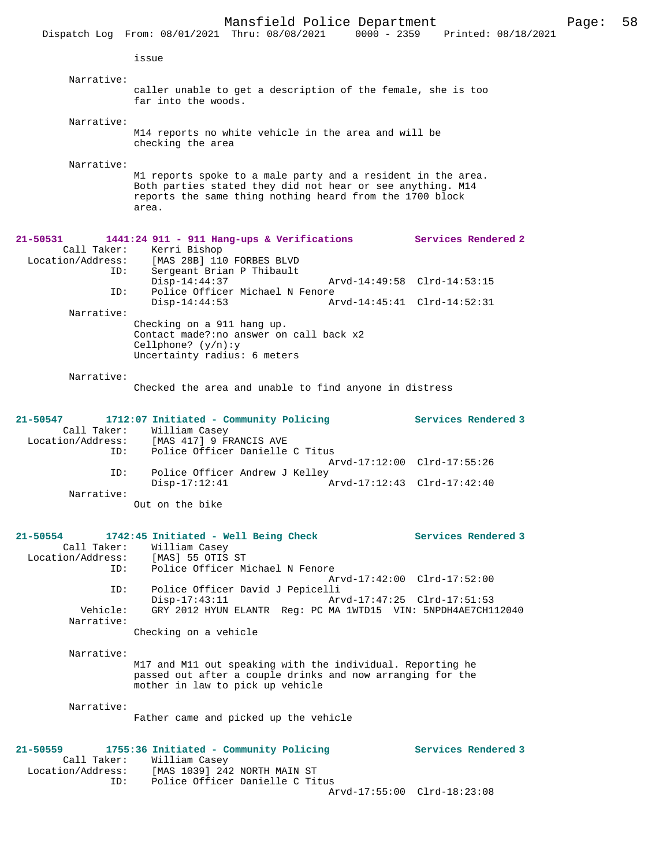|                                                                      |                                                                                    | Mansfield Police Department<br>Dispatch Log From: 08/01/2021 Thru: 08/08/2021 0000 - 2359 Printed: 08/18/2021                                                                          |                             | Page: | 58 |
|----------------------------------------------------------------------|------------------------------------------------------------------------------------|----------------------------------------------------------------------------------------------------------------------------------------------------------------------------------------|-----------------------------|-------|----|
|                                                                      | issue                                                                              |                                                                                                                                                                                        |                             |       |    |
|                                                                      |                                                                                    |                                                                                                                                                                                        |                             |       |    |
| Narrative:                                                           | far into the woods.                                                                | caller unable to get a description of the female, she is too                                                                                                                           |                             |       |    |
| Narrative:                                                           | checking the area                                                                  | M14 reports no white vehicle in the area and will be                                                                                                                                   |                             |       |    |
| Narrative:                                                           | area.                                                                              | M1 reports spoke to a male party and a resident in the area.<br>Both parties stated they did not hear or see anything. M14<br>reports the same thing nothing heard from the 1700 block |                             |       |    |
| $21 - 50531$<br>Call Taker:<br>Location/Address:<br>ID:              | Kerri Bishop<br>[MAS 28B] 110 FORBES BLVD<br>Sergeant Brian P Thibault             | 1441:24 911 - 911 Hang-ups & Verifications                                                                                                                                             | Services Rendered 2         |       |    |
| ID:                                                                  | $Disp-14:44:37$                                                                    | Police Officer Michael N Fenore                                                                                                                                                        | Arvd-14:49:58 Clrd-14:53:15 |       |    |
| Narrative:                                                           | $Disp-14:44:53$                                                                    |                                                                                                                                                                                        | Arvd-14:45:41 Clrd-14:52:31 |       |    |
|                                                                      | Checking on a 911 hang up.<br>Cellphone? $(y/n):y$<br>Uncertainty radius: 6 meters | Contact made?: no answer on call back x2                                                                                                                                               |                             |       |    |
| Narrative:                                                           |                                                                                    |                                                                                                                                                                                        |                             |       |    |
|                                                                      |                                                                                    | Checked the area and unable to find anyone in distress                                                                                                                                 |                             |       |    |
| 21-50547<br>Call Taker:<br>Location/Address:<br>ID:                  | William Casey<br>[MAS 417] 9 FRANCIS AVE                                           | 1712:07 Initiated - Community Policing<br>Police Officer Danielle C Titus                                                                                                              | Services Rendered 3         |       |    |
| ID:                                                                  |                                                                                    | Police Officer Andrew J Kelley                                                                                                                                                         | Arvd-17:12:00 Clrd-17:55:26 |       |    |
| Narrative:                                                           | $Disp-17:12:41$                                                                    |                                                                                                                                                                                        | Arvd-17:12:43 Clrd-17:42:40 |       |    |
|                                                                      | Out on the bike                                                                    |                                                                                                                                                                                        |                             |       |    |
| 21-50554<br>Call Taker:<br>Location/Address: [MAS] 55 OTIS ST<br>ID: | 1742:45 Initiated - Well Being Check<br>William Casey                              | Police Officer Michael N Fenore                                                                                                                                                        | Services Rendered 3         |       |    |
| ID:                                                                  |                                                                                    | Police Officer David J Pepicelli                                                                                                                                                       | Arvd-17:42:00 Clrd-17:52:00 |       |    |
| Vehicle:<br>Narrative:                                               | $Disp-17:43:11$                                                                    | GRY 2012 HYUN ELANTR Req: PC MA 1WTD15 VIN: 5NPDH4AE7CH112040                                                                                                                          | Arvd-17:47:25 Clrd-17:51:53 |       |    |
|                                                                      | Checking on a vehicle                                                              |                                                                                                                                                                                        |                             |       |    |
| Narrative:                                                           |                                                                                    | M17 and M11 out speaking with the individual. Reporting he<br>passed out after a couple drinks and now arranging for the<br>mother in law to pick up vehicle                           |                             |       |    |
| Narrative:                                                           |                                                                                    | Father came and picked up the vehicle                                                                                                                                                  |                             |       |    |
| 21-50559<br>Call Taker:<br>Location/Address:<br>ID:                  | William Casey                                                                      | 1755:36 Initiated - Community Policing<br>[MAS 1039] 242 NORTH MAIN ST<br>Police Officer Danielle C Titus                                                                              | Services Rendered 3         |       |    |
|                                                                      |                                                                                    |                                                                                                                                                                                        | Arvd-17:55:00 Clrd-18:23:08 |       |    |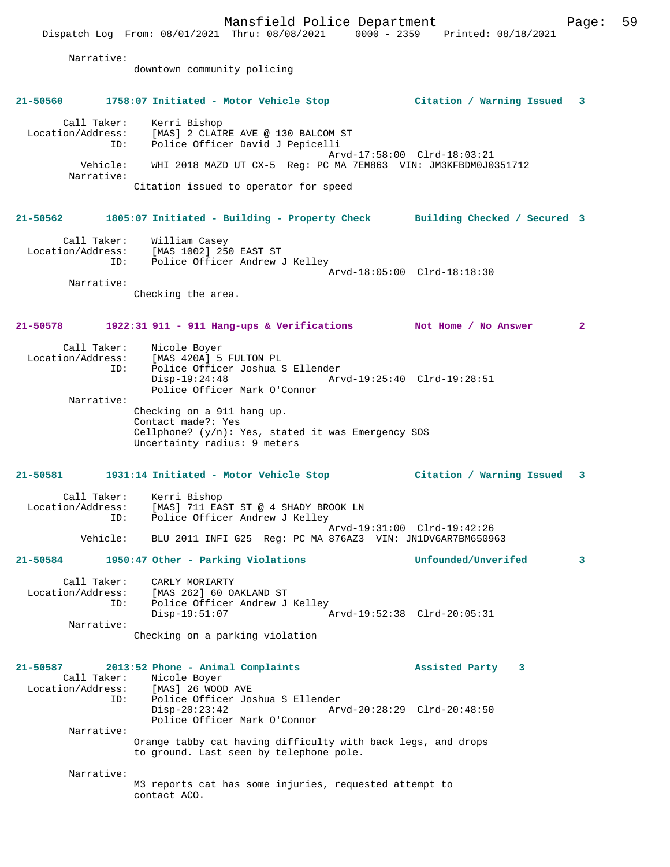Mansfield Police Department Page: 59 Dispatch Log From: 08/01/2021 Thru: 08/08/2021 0000 - 2359 Printed: 08/18/2021 Narrative: downtown community policing **21-50560 1758:07 Initiated - Motor Vehicle Stop Citation / Warning Issued 3** Call Taker: Kerri Bishop Location/Address: [MAS] 2 CLAIRE AVE @ 130 BALCOM ST ID: Police Officer David J Pepicelli Arvd-17:58:00 Clrd-18:03:21 Vehicle: WHI 2018 MAZD UT CX-5 Reg: PC MA 7EM863 VIN: JM3KFBDM0J0351712 Narrative: Citation issued to operator for speed **21-50562 1805:07 Initiated - Building - Property Check Building Checked / Secured 3** Call Taker: William Casey Location/Address: [MAS 1002] 250 EAST ST ID: Police Officer Andrew J Kelley Arvd-18:05:00 Clrd-18:18:30 Narrative: Checking the area. **21-50578 1922:31 911 - 911 Hang-ups & Verifications Not Home / No Answer 2** Call Taker: Nicole Boyer<br>Location/Address: [MAS 420A] 5 [MAS 420A] 5 FULTON PL ID: Police Officer Joshua S Ellender Disp-19:24:48 Arvd-19:25:40 Clrd-19:28:51 Police Officer Mark O'Connor Narrative: Checking on a 911 hang up. Contact made?: Yes Cellphone? (y/n): Yes, stated it was Emergency SOS Uncertainty radius: 9 meters **21-50581 1931:14 Initiated - Motor Vehicle Stop Citation / Warning Issued 3** Call Taker: Kerri Bishop Location/Address: [MAS] 711 EAST ST @ 4 SHADY BROOK LN ID: Police Officer Andrew J Kelley Arvd-19:31:00 Clrd-19:42:26 Vehicle: BLU 2011 INFI G25 Reg: PC MA 876AZ3 VIN: JN1DV6AR7BM650963 **21-50584 1950:47 Other - Parking Violations Unfounded/Unverifed 3** Call Taker: CARLY MORIARTY Location/Address: [MAS 262] 60 OAKLAND ST ID: Police Officer Andrew J Kelley Disp-19:51:07 Arvd-19:52:38 Clrd-20:05:31 Narrative: Checking on a parking violation **21-50587 2013:52 Phone - Animal Complaints Assisted Party 3**  Call Taker: Nicole Boyer<br>Location/Address: [MAS] 26 WOOD [MAS] 26 WOOD AVE ID: Police Officer Joshua S Ellender Disp-20:23:42 Arvd-20:28:29 Clrd-20:48:50 Police Officer Mark O'Connor Narrative: Orange tabby cat having difficulty with back legs, and drops to ground. Last seen by telephone pole. Narrative: M3 reports cat has some injuries, requested attempt to contact ACO.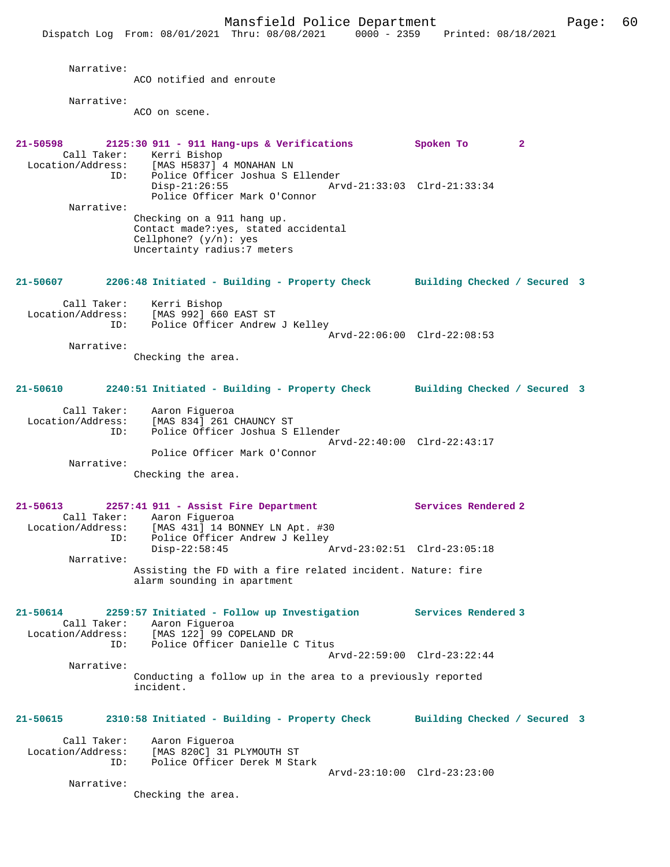Mansfield Police Department Page: 60 Dispatch Log From: 08/01/2021 Thru: 08/08/2021 0000 - 2359 Printed: 08/18/2021 Narrative: ACO notified and enroute Narrative: ACO on scene. **21-50598 2125:30 911 - 911 Hang-ups & Verifications Spoken To 2**  Call Taker: Kerri Bishop Location/Address: [MAS H5837] 4 MONAHAN LN ID: Police Officer Joshua S Ellender Disp-21:26:55 Arvd-21:33:03 Clrd-21:33:34 Police Officer Mark O'Connor Narrative: Checking on a 911 hang up. Contact made?:yes, stated accidental Cellphone? (y/n): yes Uncertainty radius:7 meters **21-50607 2206:48 Initiated - Building - Property Check Building Checked / Secured 3** Call Taker: Kerri Bishop Location/Address: [MAS 992] 660 EAST ST ID: Police Officer Andrew J Kelley Arvd-22:06:00 Clrd-22:08:53 Narrative: Checking the area. **21-50610 2240:51 Initiated - Building - Property Check Building Checked / Secured 3** Call Taker: Aaron Figueroa Location/Address: [MAS 834] 261 CHAUNCY ST ID: Police Officer Joshua S Ellender Arvd-22:40:00 Clrd-22:43:17 Police Officer Mark O'Connor Narrative: Checking the area. **21-50613 2257:41 911 - Assist Fire Department Services Rendered 2**  Call Taker: Aaron Figueroa<br>Location/Address: [MAS 431] 14 BO [MAS 431] 14 BONNEY LN Apt. #30 ID: Police Officer Andrew J Kelley<br>Disp-22:58:45 Arvd-23:02:51 Clrd-23:05:18 Narrative: Assisting the FD with a fire related incident. Nature: fire alarm sounding in apartment **21-50614 2259:57 Initiated - Follow up Investigation Services Rendered 3**  Call Taker: Aaron Figueroa<br>Location/Address: [MAS 122] 99 C [MAS 122] 99 COPELAND DR ID: Police Officer Danielle C Titus Arvd-22:59:00 Clrd-23:22:44 Narrative: Conducting a follow up in the area to a previously reported incident. **21-50615 2310:58 Initiated - Building - Property Check Building Checked / Secured 3** Call Taker: Aaron Figueroa<br>Location/Address: [MAS 820C] 31 : Location/Address: [MAS 820C] 31 PLYMOUTH ST ID: Police Officer Derek M Stark Arvd-23:10:00 Clrd-23:23:00 Narrative: Checking the area.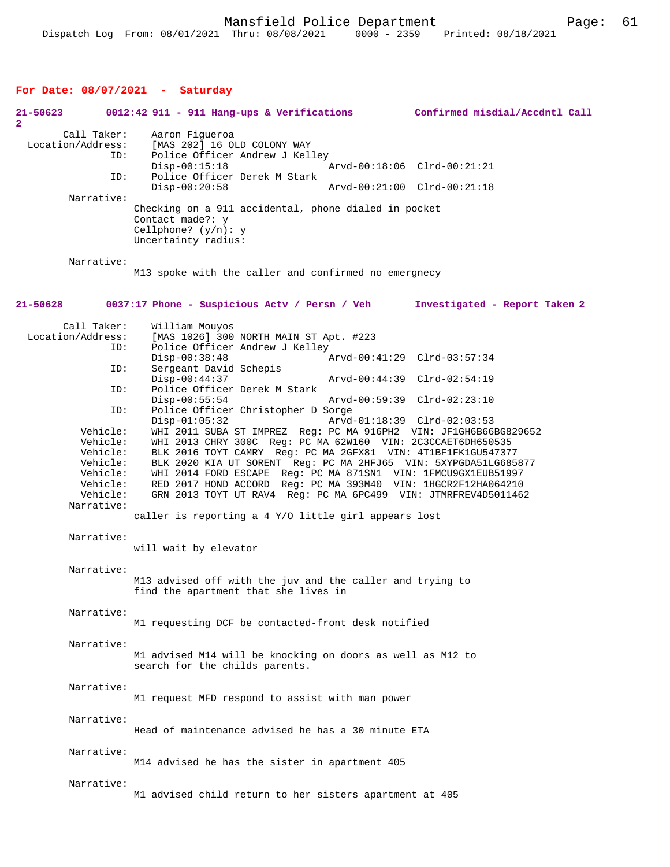## **For Date: 08/07/2021 - Saturday**

| 21-50623<br>2                    |                                                                                                | 0012:42 911 - 911 Hang-ups & Verifications                                                                                                                                                                                                                                                                                                                                                                                                                                                | Confirmed misdial/Accdntl Call |
|----------------------------------|------------------------------------------------------------------------------------------------|-------------------------------------------------------------------------------------------------------------------------------------------------------------------------------------------------------------------------------------------------------------------------------------------------------------------------------------------------------------------------------------------------------------------------------------------------------------------------------------------|--------------------------------|
| Call Taker:<br>Location/Address: | ID:<br>ID:                                                                                     | Aaron Fiqueroa<br>[MAS 202] 16 OLD COLONY WAY<br>Police Officer Andrew J Kelley<br>$Disp-00:15:18$<br>Police Officer Derek M Stark                                                                                                                                                                                                                                                                                                                                                        | Arvd-00:18:06 Clrd-00:21:21    |
| Narrative:                       |                                                                                                | $Disp-00:20:58$                                                                                                                                                                                                                                                                                                                                                                                                                                                                           | Arvd-00:21:00 Clrd-00:21:18    |
|                                  |                                                                                                | Checking on a 911 accidental, phone dialed in pocket<br>Contact made?: y<br>Cellphone? $(y/n): y$<br>Uncertainty radius:                                                                                                                                                                                                                                                                                                                                                                  |                                |
| Narrative:                       |                                                                                                | M13 spoke with the caller and confirmed no emergnecy                                                                                                                                                                                                                                                                                                                                                                                                                                      |                                |
| 21-50628                         |                                                                                                | 0037:17 Phone - Suspicious Actv / Persn / Veh                                                                                                                                                                                                                                                                                                                                                                                                                                             | Investigated - Report Taken 2  |
| Call Taker:<br>Location/Address: | ID:                                                                                            | William Mouyos<br>[MAS 1026] 300 NORTH MAIN ST Apt. #223<br>Police Officer Andrew J Kelley                                                                                                                                                                                                                                                                                                                                                                                                |                                |
|                                  | ID:                                                                                            | $Disp-00:38:48$<br>Sergeant David Schepis                                                                                                                                                                                                                                                                                                                                                                                                                                                 | Arvd-00:41:29 Clrd-03:57:34    |
|                                  | ID:                                                                                            | $Disp-00:44:37$<br>Police Officer Derek M Stark                                                                                                                                                                                                                                                                                                                                                                                                                                           | Arvd-00:44:39 Clrd-02:54:19    |
|                                  | ID:                                                                                            | $Disp-00:55:54$<br>Police Officer Christopher D Sorge                                                                                                                                                                                                                                                                                                                                                                                                                                     | Arvd-00:59:39 Clrd-02:23:10    |
|                                  | Vehicle:<br>Vehicle:<br>Vehicle:<br>Vehicle:<br>Vehicle:<br>Vehicle:<br>Vehicle:<br>Narrative: | $Disp-01:05:32$<br>WHI 2011 SUBA ST IMPREZ Reg: PC MA 916PH2 VIN: JF1GH6B66BG829652<br>WHI 2013 CHRY 300C Req: PC MA 62W160 VIN: 2C3CCAET6DH650535<br>BLK 2016 TOYT CAMRY Reg: PC MA 2GFX81 VIN: 4T1BF1FK1GU547377<br>BLK 2020 KIA UT SORENT Reg: PC MA 2HFJ65 VIN: 5XYPGDA51LG685877<br>WHI 2014 FORD ESCAPE Reg: PC MA 871SN1 VIN: 1FMCU9GX1EUB51997<br>RED 2017 HOND ACCORD Req: PC MA 393M40 VIN: 1HGCR2F12HA064210<br>GRN 2013 TOYT UT RAV4 Reg: PC MA 6PC499 VIN: JTMRFREV4D5011462 | Arvd-01:18:39 Clrd-02:03:53    |
|                                  |                                                                                                | caller is reporting a 4 Y/O little girl appears lost                                                                                                                                                                                                                                                                                                                                                                                                                                      |                                |
| Narrative:                       |                                                                                                | will wait by elevator                                                                                                                                                                                                                                                                                                                                                                                                                                                                     |                                |
| Narrative:                       |                                                                                                | M13 advised off with the juv and the caller and trying to<br>find the apartment that she lives in                                                                                                                                                                                                                                                                                                                                                                                         |                                |
| Narrative:                       |                                                                                                | M1 requesting DCF be contacted-front desk notified                                                                                                                                                                                                                                                                                                                                                                                                                                        |                                |
|                                  | Narrative:                                                                                     | M1 advised M14 will be knocking on doors as well as M12 to<br>search for the childs parents.                                                                                                                                                                                                                                                                                                                                                                                              |                                |
| Narrative:                       |                                                                                                | M1 request MFD respond to assist with man power                                                                                                                                                                                                                                                                                                                                                                                                                                           |                                |
| Narrative:                       |                                                                                                | Head of maintenance advised he has a 30 minute ETA                                                                                                                                                                                                                                                                                                                                                                                                                                        |                                |
| Narrative:                       |                                                                                                | M14 advised he has the sister in apartment 405                                                                                                                                                                                                                                                                                                                                                                                                                                            |                                |
| Narrative:                       |                                                                                                | M1 advised child return to her sisters apartment at 405                                                                                                                                                                                                                                                                                                                                                                                                                                   |                                |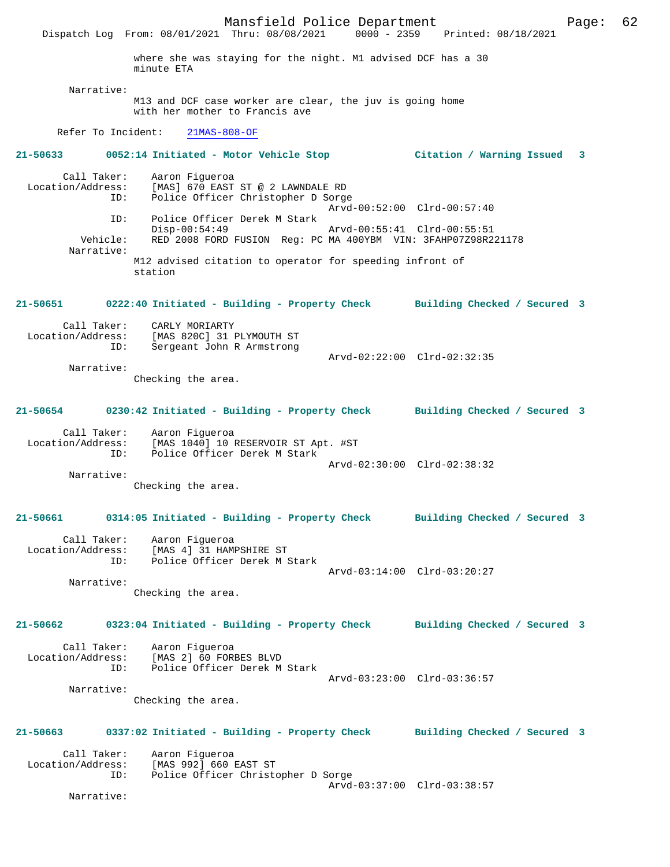Mansfield Police Department Page: 62 Dispatch Log From: 08/01/2021 Thru: 08/08/2021 where she was staying for the night. M1 advised DCF has a 30 minute ETA Narrative: M13 and DCF case worker are clear, the juv is going home with her mother to Francis ave Refer To Incident: 21MAS-808-OF **21-50633 0052:14 Initiated - Motor Vehicle Stop Citation / Warning Issued 3** Call Taker: Aaron Figueroa Location/Address: [MAS] 670 EAST ST @ 2 LAWNDALE RD Police Officer Christopher D Sorge Arvd-00:52:00 Clrd-00:57:40 ID: Police Officer Derek M Stark Disp-00:54:49 Arvd-00:55:41 Clrd-00:55:51 Vehicle: RED 2008 FORD FUSION Reg: PC MA 400YBM VIN: 3FAHP07Z98R221178 Narrative: M12 advised citation to operator for speeding infront of station **21-50651 0222:40 Initiated - Building - Property Check Building Checked / Secured 3** Call Taker: CARLY MORIARTY Location/Address: [MAS 820C] 31 PLYMOUTH ST<br>ID: Sergeant John R Armstrong Sergeant John R Armstrong Arvd-02:22:00 Clrd-02:32:35 Narrative: Checking the area. **21-50654 0230:42 Initiated - Building - Property Check Building Checked / Secured 3** Call Taker: Aaron Figueroa Location/Address: [MAS 1040] 10 RESERVOIR ST Apt. #ST ID: Police Officer Derek M Stark Arvd-02:30:00 Clrd-02:38:32 Narrative: Checking the area. **21-50661 0314:05 Initiated - Building - Property Check Building Checked / Secured 3** Call Taker: Aaron Figueroa Location/Address: [MAS 4] 31 HAMPSHIRE ST ID: Police Officer Derek M Stark Arvd-03:14:00 Clrd-03:20:27 Narrative: Checking the area. **21-50662 0323:04 Initiated - Building - Property Check Building Checked / Secured 3** Call Taker: Aaron Figueroa Location/Address: [MAS 2] 60 FORBES BLVD ID: Police Officer Derek M Stark Arvd-03:23:00 Clrd-03:36:57 Narrative: Checking the area. **21-50663 0337:02 Initiated - Building - Property Check Building Checked / Secured 3** Call Taker: Aaron Figueroa<br>Location/Address: [MAS 992] 660 1 ess: [MAS 992] 660 EAST ST<br>ID: Police Officer Christ Police Officer Christopher D Sorge Arvd-03:37:00 Clrd-03:38:57 Narrative: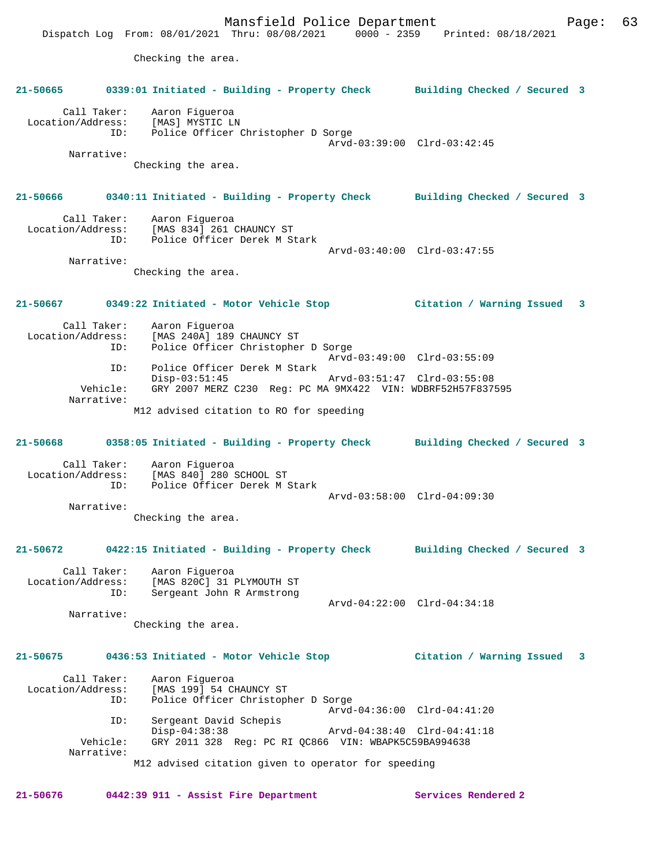Mansfield Police Department Fage: 63 Dispatch Log From: 08/01/2021 Thru: 08/08/2021 0000 - 2359 Printed: 08/18/2021 Checking the area. **21-50665 0339:01 Initiated - Building - Property Check Building Checked / Secured 3** Call Taker: Aaron Figueroa Location/Address: [MAS] MYSTIC LN<br>ID: Police Officer ( Police Officer Christopher D Sorge Arvd-03:39:00 Clrd-03:42:45 Narrative: Checking the area. **21-50666 0340:11 Initiated - Building - Property Check Building Checked / Secured 3** Call Taker: Aaron Figueroa Location/Address: [MAS 834] 261 CHAUNCY ST ID: Police Officer Derek M Stark Arvd-03:40:00 Clrd-03:47:55 Narrative: Checking the area. **21-50667 0349:22 Initiated - Motor Vehicle Stop Citation / Warning Issued 3** Call Taker: Aaron Figueroa<br>Location/Address: [MAS 240A] 189 ess: [MAS 240A] 189 CHAUNCY ST<br>ID: Police Officer Christophe Police Officer Christopher D Sorge Arvd-03:49:00 Clrd-03:55:09<br>TD: Police Officer Derek M Stark Police Officer Derek M Stark<br>Disp-03:51:45 Disp-03:51:45 Arvd-03:51:47 Clrd-03:55:08<br>Vehicle: GRY 2007 MERZ C230 Reg: PC MA 9MX422 VIN: WDBRF52H57F837 GRY 2007 MERZ C230 Reg: PC MA 9MX422 VIN: WDBRF52H57F837595 Narrative: M12 advised citation to RO for speeding **21-50668 0358:05 Initiated - Building - Property Check Building Checked / Secured 3** Call Taker: Aaron Figueroa<br>Location/Address: [MAS 840] 280 SCHOOL ST Location/Address: [MAS 840] 280 SCHOOL ST ID: Police Officer Derek M Stark Arvd-03:58:00 Clrd-04:09:30 Narrative: Checking the area. **21-50672 0422:15 Initiated - Building - Property Check Building Checked / Secured 3** Call Taker: Aaron Figueroa<br>Location/Address: [MAS 820C] 31 ess: [MAS 820C] 31 PLYMOUTH ST<br>TD: Sergeant John R Armstrong Sergeant John R Armstrong Arvd-04:22:00 Clrd-04:34:18 Narrative: Checking the area. **21-50675 0436:53 Initiated - Motor Vehicle Stop Citation / Warning Issued 3** Call Taker: Aaron Figueroa Location/Address: [MAS 199] 54 CHAUNCY ST Police Officer Christopher D Sorge Arvd-04:36:00 Clrd-04:41:20<br>TD: Sergeant David Schepis Sergeant David Schepis<br>Disp-04:38:38 Disp-04:38:38 Arvd-04:38:40 Clrd-04:41:18 Vehicle: GRY 2011 328 Reg: PC RI QC866 VIN: WBAPK5C59BA994638 Narrative: M12 advised citation given to operator for speeding

**21-50676 0442:39 911 - Assist Fire Department Services Rendered 2**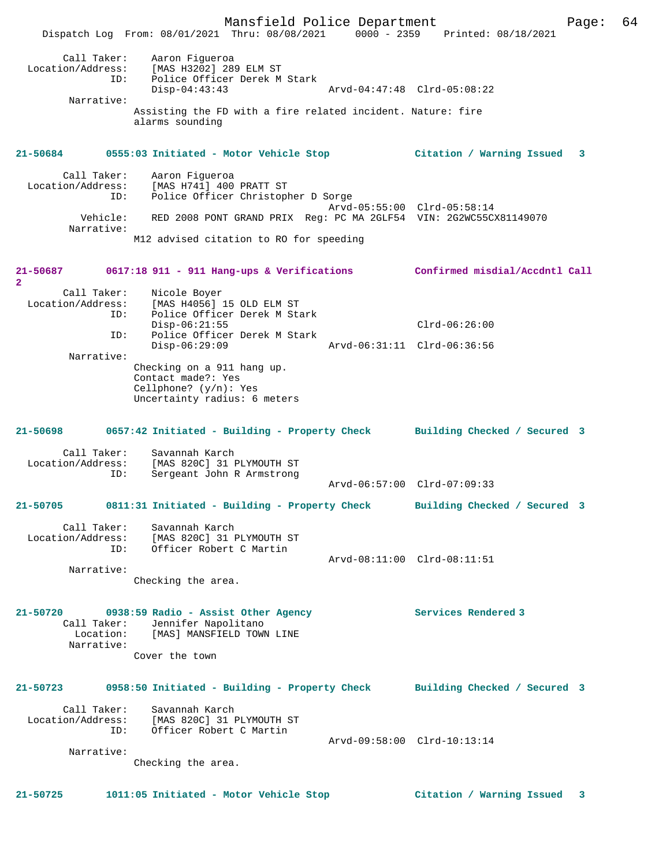Mansfield Police Department Form Page: 64 Dispatch Log From: 08/01/2021 Thru: 08/08/2021 0000 - 2359 Printed: 08/18/2021 Call Taker: Aaron Figueroa Location/Address: [MAS H3202] 289 ELM ST ID: Police Officer Derek M Stark Disp-04:43:43 Arvd-04:47:48 Clrd-05:08:22 Narrative: Assisting the FD with a fire related incident. Nature: fire alarms sounding **21-50684 0555:03 Initiated - Motor Vehicle Stop Citation / Warning Issued 3** Call Taker: Aaron Figueroa Location/Address: [MAS H741] 400 PRATT ST Police Officer Christopher D Sorge Arvd-05:55:00 Clrd-05:58:14<br>Vehicle: RED 2008 PONT GRAND PRIX Req: PC MA 2GLF54 VIN: 2G2WC55C RED 2008 PONT GRAND PRIX Reg: PC MA 2GLF54 VIN: 2G2WC55CX81149070 Narrative: M12 advised citation to RO for speeding **21-50687 0617:18 911 - 911 Hang-ups & Verifications Confirmed misdial/Accdntl Call 2**  Call Taker: Nicole Boyer Location/Address: [MAS H4056] 15 OLD ELM ST ID: Police Officer Derek M Stark Disp-06:21:55 Clrd-06:26:00 ID: Police Officer Derek M Stark Disp-06:29:09 Arvd-06:31:11 Clrd-06:36:56 Narrative: Checking on a 911 hang up. Contact made?: Yes Cellphone? (y/n): Yes Uncertainty radius: 6 meters **21-50698 0657:42 Initiated - Building - Property Check Building Checked / Secured 3** Call Taker: Savannah Karch<br>Location/Address: [MAS 820C] 31 I ess: [MAS 820C] 31 PLYMOUTH ST<br>ID: Sergeant John R Armstrong Sergeant John R Armstrong Arvd-06:57:00 Clrd-07:09:33 **21-50705 0811:31 Initiated - Building - Property Check Building Checked / Secured 3** Call Taker: Savannah Karch Location/Address: [MAS 820C] 31 PLYMOUTH ST ID: Officer Robert C Martin Arvd-08:11:00 Clrd-08:11:51 Narrative: Checking the area. **21-50720 0938:59 Radio - Assist Other Agency Services Rendered 3**  Call Taker: Jennifer Napolitano Location: [MAS] MANSFIELD TOWN LINE Narrative: Cover the town **21-50723 0958:50 Initiated - Building - Property Check Building Checked / Secured 3** Call Taker: Savannah Karch Location/Address: [MAS 820C] 31 PLYMOUTH ST ID: Officer Robert C Martin Arvd-09:58:00 Clrd-10:13:14 Narrative: Checking the area.

**21-50725 1011:05 Initiated - Motor Vehicle Stop Citation / Warning Issued 3**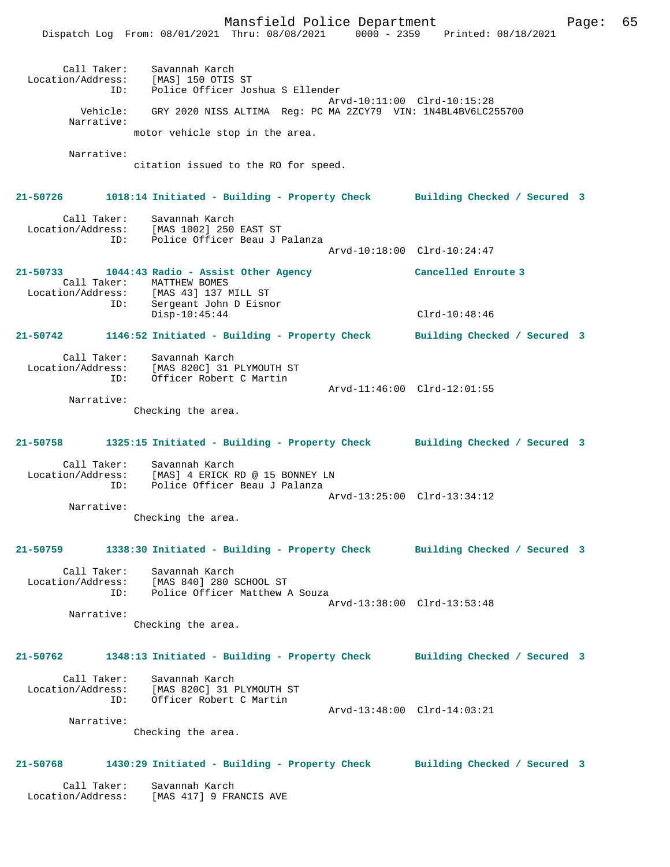Mansfield Police Department Fage: 65 Dispatch Log From: 08/01/2021 Thru: 08/08/2021 0000 - 2359 Printed: 08/18/2021 Call Taker: Savannah Karch Location/Address: [MAS] 150 OTIS ST ID: Police Officer Joshua S Ellender Arvd-10:11:00 Clrd-10:15:28 Vehicle: GRY 2020 NISS ALTIMA Reg: PC MA 2ZCY79 VIN: 1N4BL4BV6LC255700 Narrative: motor vehicle stop in the area. Narrative: citation issued to the RO for speed. **21-50726 1018:14 Initiated - Building - Property Check Building Checked / Secured 3** Call Taker: Savannah Karch Location/Address: [MAS 1002] 250 EAST ST ID: Police Officer Beau J Palanza Arvd-10:18:00 Clrd-10:24:47 **21-50733 1044:43 Radio - Assist Other Agency Cancelled Enroute 3**  Call Taker: MATTHEW BOMES Location/Address: [MAS 43] 137 MILL ST ID: Sergeant John D Eisnor Disp-10:45:44 Clrd-10:48:46 **21-50742 1146:52 Initiated - Building - Property Check Building Checked / Secured 3** Call Taker: Savannah Karch Location/Address: [MAS 820C] 31 PLYMOUTH ST ID: Officer Robert C Martin Arvd-11:46:00 Clrd-12:01:55 Narrative: Checking the area. **21-50758 1325:15 Initiated - Building - Property Check Building Checked / Secured 3** Call Taker: Savannah Karch Location/Address: [MAS] 4 ERICK RD @ 15 BONNEY LN ID: Police Officer Beau J Palanza Arvd-13:25:00 Clrd-13:34:12 Narrative: Checking the area. **21-50759 1338:30 Initiated - Building - Property Check Building Checked / Secured 3** Call Taker: Savannah Karch Location/Address: [MAS 840] 280 SCHOOL ST ID: Police Officer Matthew A Souza Arvd-13:38:00 Clrd-13:53:48 Narrative: Checking the area. **21-50762 1348:13 Initiated - Building - Property Check Building Checked / Secured 3** Call Taker: Savannah Karch Location/Address: [MAS 820C] 31 PLYMOUTH ST ID: Officer Robert C Martin Arvd-13:48:00 Clrd-14:03:21 Narrative: Checking the area. **21-50768 1430:29 Initiated - Building - Property Check Building Checked / Secured 3** Call Taker: Savannah Karch Location/Address: [MAS 417] 9 FRANCIS AVE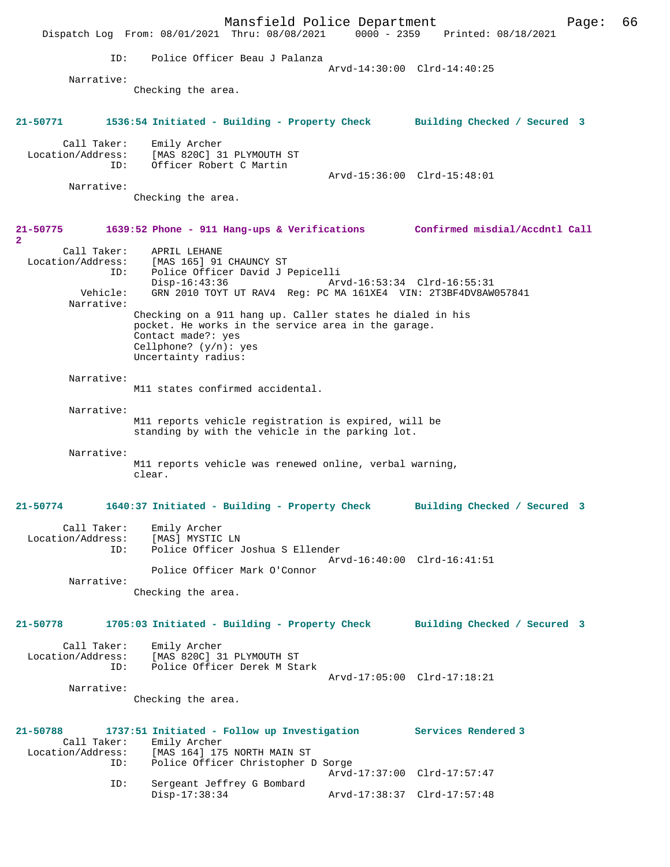Mansfield Police Department Page: 66 Dispatch Log From:  $08/01/2021$  Thru:  $08/08/2021$  0000 - 2359 ID: Police Officer Beau J Palanza Arvd-14:30:00 Clrd-14:40:25 Narrative: Checking the area. **21-50771 1536:54 Initiated - Building - Property Check Building Checked / Secured 3** Call Taker: Emily Archer Location/Address: [MAS 820C] 31 PLYMOUTH ST ID: Officer Robert C Martin Arvd-15:36:00 Clrd-15:48:01 Narrative: Checking the area. **21-50775 1639:52 Phone - 911 Hang-ups & Verifications Confirmed misdial/Accdntl Call 2**  Call Taker: APRIL LEHANE Location/Address: [MAS 165] 91 CHAUNCY ST ID: Police Officer David J Pepicelli Disp-16:43:36 Arvd-16:53:34 Clrd-16:55:31<br>Vehicle: GRN 2010 TOYT UT RAV4 Req: PC MA 161XE4 VIN: 2T3BE4DV8AW GRN 2010 TOYT UT RAV4 Reg: PC MA 161XE4 VIN: 2T3BF4DV8AW057841 Narrative: Checking on a 911 hang up. Caller states he dialed in his pocket. He works in the service area in the garage. Contact made?: yes Cellphone? (y/n): yes Uncertainty radius: Narrative: M11 states confirmed accidental. Narrative: M11 reports vehicle registration is expired, will be standing by with the vehicle in the parking lot. Narrative: M11 reports vehicle was renewed online, verbal warning, clear. **21-50774 1640:37 Initiated - Building - Property Check Building Checked / Secured 3** Call Taker: Emily Archer<br>ion/Address: [MAS] MYSTIC LN Location/Address:<br>ID: Police Officer Joshua S Ellender Arvd-16:40:00 Clrd-16:41:51 Police Officer Mark O'Connor Narrative: Checking the area. **21-50778 1705:03 Initiated - Building - Property Check Building Checked / Secured 3** Call Taker: Emily Archer Location/Address: [MAS 820C] 31 PLYMOUTH ST<br>TD: Police Officer Derek M Sta Police Officer Derek M Stark Arvd-17:05:00 Clrd-17:18:21 Narrative: Checking the area. **21-50788 1737:51 Initiated - Follow up Investigation Services Rendered 3**  Call Taker: Emily Archer<br>Location/Address: [MAS 164] 179 ess: [MAS 164] 175 NORTH MAIN ST<br>ID: Police Officer Christopher I Police Officer Christopher D Sorge Arvd-17:37:00 Clrd-17:57:47 ID: Sergeant Jeffrey G Bombard Disp-17:38:34 Arvd-17:38:37 Clrd-17:57:48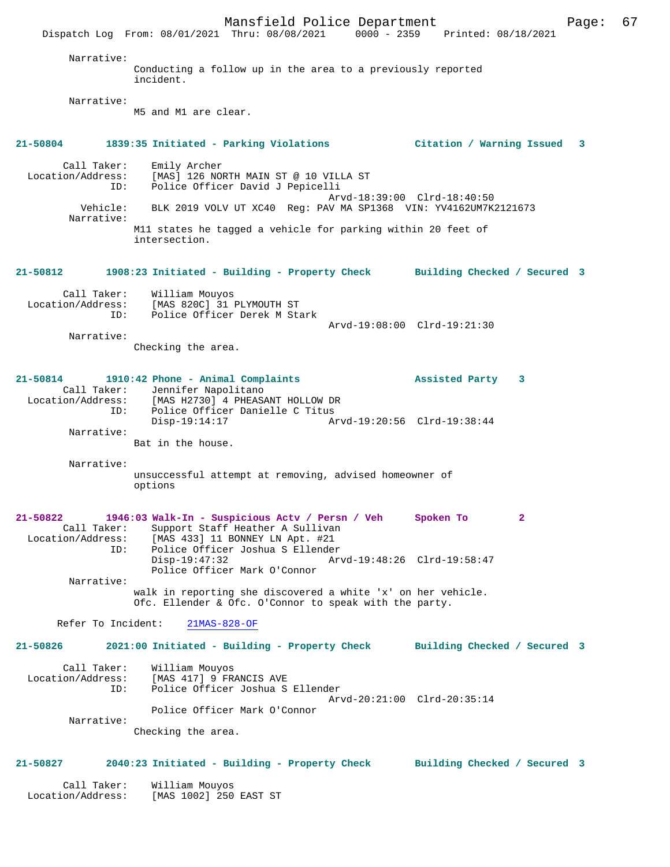Mansfield Police Department Page: 67 Dispatch Log From: 08/01/2021 Thru: 08/08/2021 Narrative: Conducting a follow up in the area to a previously reported incident. Narrative: M5 and M1 are clear. **21-50804 1839:35 Initiated - Parking Violations Citation / Warning Issued 3** Call Taker: Emily Archer<br>Location/Address: [MAS] 126 NO [MAS] 126 NORTH MAIN ST @ 10 VILLA ST ID: Police Officer David J Pepicelli Arvd-18:39:00 Clrd-18:40:50<br>Vehicle: BLK 2019 VOLV UT XC40 Reg: PAV MA SP1368 VIN: YV4162UM7K BLK 2019 VOLV UT XC40 Reg: PAV MA SP1368 VIN: YV4162UM7K2121673 Narrative: M11 states he tagged a vehicle for parking within 20 feet of intersection. **21-50812 1908:23 Initiated - Building - Property Check Building Checked / Secured 3** Call Taker: William Mouyos Location/Address: [MAS 820C] 31 PLYMOUTH ST ID: Police Officer Derek M Stark Arvd-19:08:00 Clrd-19:21:30 Narrative: Checking the area. **21-50814 1910:42 Phone - Animal Complaints Assisted Party 3**  Call Taker: Jennifer Napolitano Location/Address: [MAS H2730] 4 PHEASANT HOLLOW DR Police Officer Danielle C Titus<br>Disp-19:14:17 Ar Disp-19:14:17 Arvd-19:20:56 Clrd-19:38:44 Narrative: Bat in the house. Narrative: unsuccessful attempt at removing, advised homeowner of options **21-50822 1946:03 Walk-In - Suspicious Actv / Persn / Veh Spoken To 2**  Call Taker: Support Staff Heather A Sullivan<br>Location/Address: [MAS 433] 11 BONNEY LN Apt. #21 ess: [MAS 433] 11 BONNEY LN Apt. #21<br>ID: Police Officer Joshua S Ellender Police Officer Joshua S Ellender<br>Disp-19:47:32 Ar Disp-19:47:32 Arvd-19:48:26 Clrd-19:58:47 Police Officer Mark O'Connor Narrative: walk in reporting she discovered a white 'x' on her vehicle. Ofc. Ellender & Ofc. O'Connor to speak with the party. Refer To Incident: 21MAS-828-OF **21-50826 2021:00 Initiated - Building - Property Check Building Checked / Secured 3** Call Taker: William Mouyos<br>Location/Address: [MAS 417] 9 FR ess: [MAS 417] 9 FRANCIS AVE<br>ID: Police Officer Joshua S Police Officer Joshua S Ellender Arvd-20:21:00 Clrd-20:35:14 Police Officer Mark O'Connor Narrative: Checking the area. **21-50827 2040:23 Initiated - Building - Property Check Building Checked / Secured 3** Call Taker: William Mouyos<br>Location/Address: [MAS 1002] 250 [MAS 1002] 250 EAST ST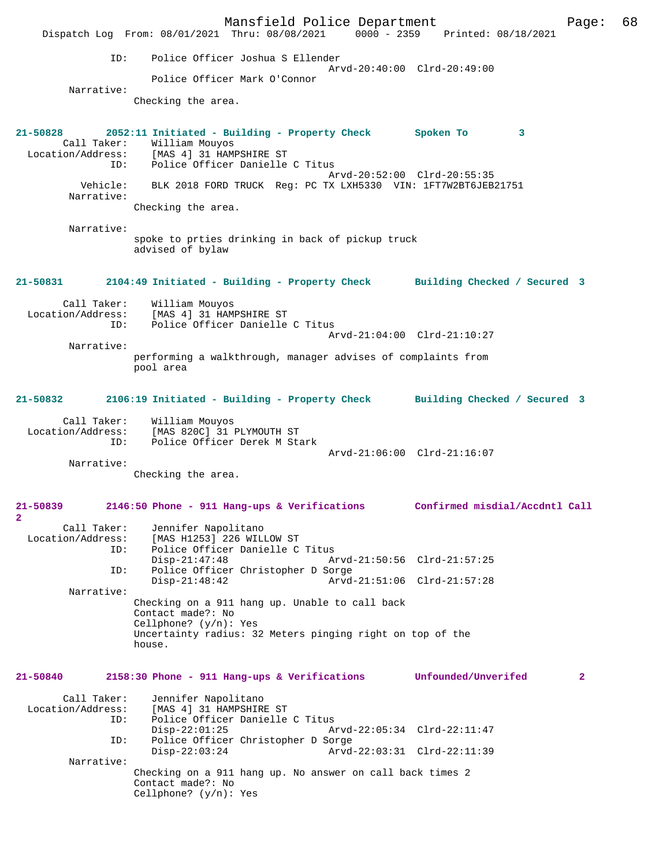Mansfield Police Department Page: 68 Dispatch Log From: 08/01/2021 Thru: 08/08/2021 ID: Police Officer Joshua S Ellender Arvd-20:40:00 Clrd-20:49:00 Police Officer Mark O'Connor Narrative: Checking the area. **21-50828 2052:11 Initiated - Building - Property Check Spoken To 3**  Call Taker: William Mouyos Location/Address: [MAS 4] 31 HAMPSHIRE ST ID: Police Officer Danielle C Titus Arvd-20:52:00 Clrd-20:55:35<br>Vehicle: BLK 2018 FORD TRUCK Reg: PC TX LXH5330 VIN: 1FT7W2RT6JEB BLK 2018 FORD TRUCK Reg: PC TX LXH5330 VIN: 1FT7W2BT6JEB21751 Narrative: Checking the area. Narrative: spoke to prties drinking in back of pickup truck advised of bylaw **21-50831 2104:49 Initiated - Building - Property Check Building Checked / Secured 3** Call Taker: William Mouyos<br>Location/Address: [MAS 4] 31 HAM [MAS 4] 31 HAMPSHIRE ST ID: Police Officer Danielle C Titus Arvd-21:04:00 Clrd-21:10:27 Narrative: performing a walkthrough, manager advises of complaints from pool area **21-50832 2106:19 Initiated - Building - Property Check Building Checked / Secured 3** Call Taker: William Mouyos<br>Location/Address: [MAS 820C] 31 [MAS 820C] 31 PLYMOUTH ST ID: Police Officer Derek M Stark Arvd-21:06:00 Clrd-21:16:07 Narrative: Checking the area. **21-50839 2146:50 Phone - 911 Hang-ups & Verifications Confirmed misdial/Accdntl Call 2**  Call Taker: Jennifer Napolitano<br>Location/Address: [MAS H1253] 226 WILL ess: [MAS H1253] 226 WILLOW ST<br>ID: Police Officer Danielle C Police Officer Danielle C Titus<br>Disp-21:47:48 A Disp-21:47:48 Arvd-21:50:56 Clrd-21:57:25<br>TD: Police Officer Christopher D Sorge Police Officer Christopher D Sorge Disp-21:48:42 Arvd-21:51:06 Clrd-21:57:28 Narrative: Checking on a 911 hang up. Unable to call back Contact made?: No Cellphone? (y/n): Yes Uncertainty radius: 32 Meters pinging right on top of the house. **21-50840 2158:30 Phone - 911 Hang-ups & Verifications Unfounded/Unverifed 2** Call Taker: Jennifer Napolitano Location/Address: [MAS 4] 31 HAMPSHIRE ST ID: Police Officer Danielle C Titus<br>Disp-22:01:25 Disp-22:01:25 Arvd-22:05:34 Clrd-22:11:47<br>TD: Police Officer Christopher D Sorge Police Officer Christopher D Sorge<br>Disp-22:03:24 Arvd Disp-22:03:24 Arvd-22:03:31 Clrd-22:11:39 Narrative: Checking on a 911 hang up. No answer on call back times 2 Contact made?: No Cellphone? (y/n): Yes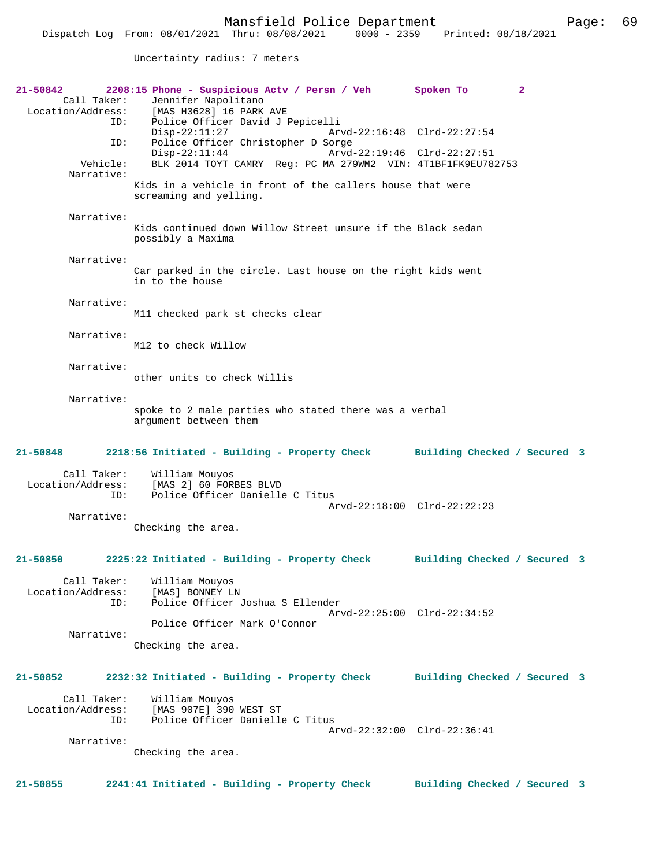Uncertainty radius: 7 meters

| 21-50842<br>Call Taker:<br>Location/Address: | 2208:15 Phone - Suspicious Actv / Persn / Veh<br>Jennifer Napolitano<br>[MAS H3628] 16 PARK AVE<br>Police Officer David J Pepicelli<br>ID: | $\mathbf{2}$<br>Spoken To    |  |
|----------------------------------------------|--------------------------------------------------------------------------------------------------------------------------------------------|------------------------------|--|
|                                              | $Disp-22:11:27$<br>Police Officer Christopher D Sorge<br>ID:                                                                               | Arvd-22:16:48 Clrd-22:27:54  |  |
| Vehicle:<br>Narrative:                       | $Disp-22:11:44$<br>BLK 2014 TOYT CAMRY Req: PC MA 279WM2 VIN: 4T1BF1FK9EU782753                                                            | Arvd-22:19:46 Clrd-22:27:51  |  |
|                                              | Kids in a vehicle in front of the callers house that were<br>screaming and yelling.                                                        |                              |  |
| Narrative:                                   | Kids continued down Willow Street unsure if the Black sedan<br>possibly a Maxima                                                           |                              |  |
| Narrative:                                   | Car parked in the circle. Last house on the right kids went<br>in to the house                                                             |                              |  |
| Narrative:                                   | M11 checked park st checks clear                                                                                                           |                              |  |
| Narrative:                                   | M12 to check Willow                                                                                                                        |                              |  |
| Narrative:                                   | other units to check Willis                                                                                                                |                              |  |
| Narrative:                                   | spoke to 2 male parties who stated there was a verbal<br>argument between them                                                             |                              |  |
| 21-50848                                     | 2218:56 Initiated - Building - Property Check                                                                                              | Building Checked / Secured 3 |  |
|                                              |                                                                                                                                            |                              |  |
| Call Taker:<br>Location/Address:             | William Mouyos<br>[MAS 2] 60 FORBES BLVD<br>Police Officer Danielle C Titus<br>ID:                                                         |                              |  |
| Narrative:                                   | Checking the area.                                                                                                                         | Arvd-22:18:00 Clrd-22:22:23  |  |
| 21-50850                                     | 2225:22 Initiated - Building - Property Check                                                                                              | Building Checked / Secured 3 |  |
| Call Taker:<br>Location/Address:             | William Mouyos<br>[MAS] BONNEY LN<br>Police Officer Joshua S Ellender<br>ID:                                                               |                              |  |
| Narrative:                                   | Police Officer Mark O'Connor                                                                                                               | Arvd-22:25:00 Clrd-22:34:52  |  |
|                                              | Checking the area.                                                                                                                         |                              |  |
| $21 - 50852$                                 | 2232:32 Initiated - Building - Property Check                                                                                              | Building Checked / Secured 3 |  |
| Call Taker:<br>Location/Address:             | William Mouyos<br>[MAS 907E] 390 WEST ST<br>Police Officer Danielle C Titus<br>ID:                                                         |                              |  |
| Narrative:                                   | Checking the area.                                                                                                                         | Arvd-22:32:00 Clrd-22:36:41  |  |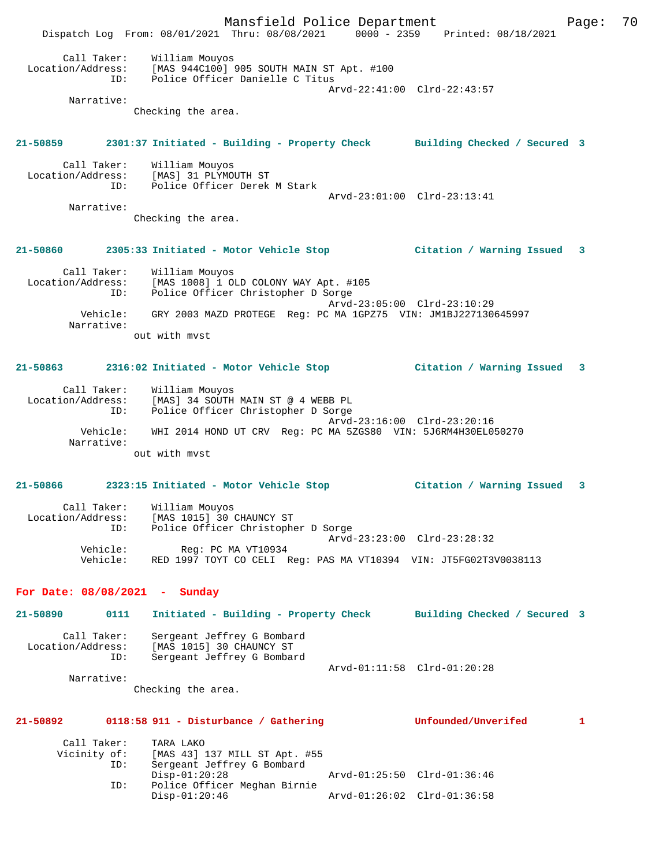Mansfield Police Department Page: 70 Dispatch Log From: 08/01/2021 Thru: 08/08/2021 0000 - 2359 Printed: 08/18/2021 Call Taker: William Mouyos Location/Address: [MAS 944C100] 905 SOUTH MAIN ST Apt. #100 ID: Police Officer Danielle C Titus Arvd-22:41:00 Clrd-22:43:57 Narrative: Checking the area. **21-50859 2301:37 Initiated - Building - Property Check Building Checked / Secured 3** Call Taker: William Mouyos Location/Address: [MAS] 31 PLYMOUTH ST ID: Police Officer Derek M Stark Arvd-23:01:00 Clrd-23:13:41 Narrative: Checking the area. **21-50860 2305:33 Initiated - Motor Vehicle Stop Citation / Warning Issued 3** Call Taker: William Mouyos Location/Address: [MAS 1008] 1 OLD COLONY WAY Apt. #105 ID: Police Officer Christopher D Sorge Arvd-23:05:00 Clrd-23:10:29 Vehicle: GRY 2003 MAZD PROTEGE Reg: PC MA 1GPZ75 VIN: JM1BJ227130645997 Narrative: out with mvst **21-50863 2316:02 Initiated - Motor Vehicle Stop Citation / Warning Issued 3** Call Taker: William Mouyos Location/Address: [MAS] 34 SOUTH MAIN ST @ 4 WEBB PL ID: Police Officer Christopher D Sorge Arvd-23:16:00 Clrd-23:20:16 Vehicle: WHI 2014 HOND UT CRV Reg: PC MA 5ZGS80 VIN: 5J6RM4H30EL050270 Narrative: out with mvst **21-50866 2323:15 Initiated - Motor Vehicle Stop Citation / Warning Issued 3** Call Taker: William Mouyos Location/Address: [MAS 1015] 30 CHAUNCY ST ID: Police Officer Christopher D Sorge Arvd-23:23:00 Clrd-23:28:32 Vehicle: Reg: PC MA VT10934 Vehicle: RED 1997 TOYT CO CELI Reg: PAS MA VT10394 VIN: JT5FG02T3V0038113 **For Date: 08/08/2021 - Sunday 21-50890 0111 Initiated - Building - Property Check Building Checked / Secured 3** Call Taker: Sergeant Jeffrey G Bombard Location/Address: [MAS 1015] 30 CHAUNCY ST ID: Sergeant Jeffrey G Bombard Arvd-01:11:58 Clrd-01:20:28 Narrative: Checking the area. **21-50892 0118:58 911 - Disturbance / Gathering Unfounded/Unverifed 1** Call Taker: TARA LAKO<br>Vicinity of: [MAS 43] of: [MAS 43] 137 MILL ST Apt. #55<br>ID: Sergeant Jeffrey G Bombard Sergeant Jeffrey G Bombard<br>Disp-01:20:28 Disp-01:20:28 Arvd-01:25:50 Clrd-01:36:46 ID: Police Officer Meghan Birnie Disp-01:20:46 Arvd-01:26:02 Clrd-01:36:58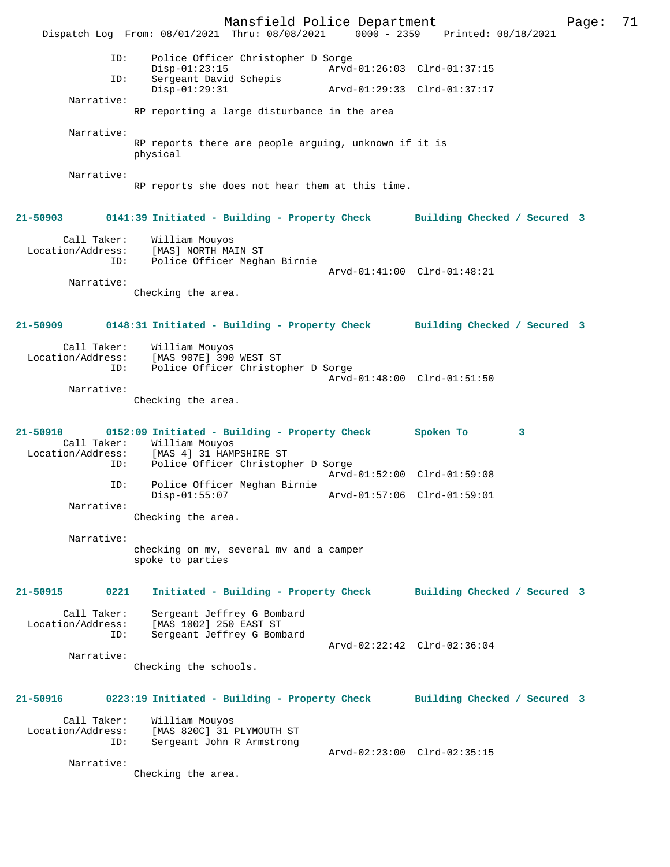Mansfield Police Department Page: 71 Dispatch Log From: 08/01/2021 Thru: 08/08/2021 0000 - 2359 ID: Police Officer Christopher D Sorge Disp-01:23:15 Arvd-01:26:03 Clrd-01:37:15<br>TD: Sergeant David Schepis Sergeant David Schepis<br>Disp-01:29:31 Disp-01:29:31 Arvd-01:29:33 Clrd-01:37:17 Narrative: RP reporting a large disturbance in the area Narrative: RP reports there are people arguing, unknown if it is physical Narrative: RP reports she does not hear them at this time. **21-50903 0141:39 Initiated - Building - Property Check Building Checked / Secured 3** Call Taker: William Mouyos Location/Address: [MAS] NORTH MAIN ST Police Officer Meghan Birnie Arvd-01:41:00 Clrd-01:48:21 Narrative: Checking the area. **21-50909 0148:31 Initiated - Building - Property Check Building Checked / Secured 3** Call Taker: William Mouyos Location/Address: [MAS 907E] 390 WEST ST Police Officer Christopher D Sorge Arvd-01:48:00 Clrd-01:51:50 Narrative: Checking the area. **21-50910 0152:09 Initiated - Building - Property Check Spoken To 3**  Call Taker: William Mouyos<br>Location/Address: [MAS 4] 31 HAM ess: [MAS 4] 31 HAMPSHIRE ST<br>ID: Police Officer Christopl Police Officer Christopher D Sorge Arvd-01:52:00 Clrd-01:59:08<br>ID: Police Officer Meghan Birnie Police Officer Meghan Birnie Disp-01:55:07 Arvd-01:57:06 Clrd-01:59:01 Narrative: Checking the area. Narrative: checking on mv, several mv and a camper spoke to parties **21-50915 0221 Initiated - Building - Property Check Building Checked / Secured 3** Call Taker: Sergeant Jeffrey G Bombard Location/Address: [MAS 1002] 250 EAST ST ID: Sergeant Jeffrey G Bombard Arvd-02:22:42 Clrd-02:36:04 Narrative: Checking the schools. **21-50916 0223:19 Initiated - Building - Property Check Building Checked / Secured 3** Call Taker: William Mouyos<br>Location/Address: [MAS 820C] 31 [MAS 820C] 31 PLYMOUTH ST ID: Sergeant John R Armstrong Arvd-02:23:00 Clrd-02:35:15 Narrative: Checking the area.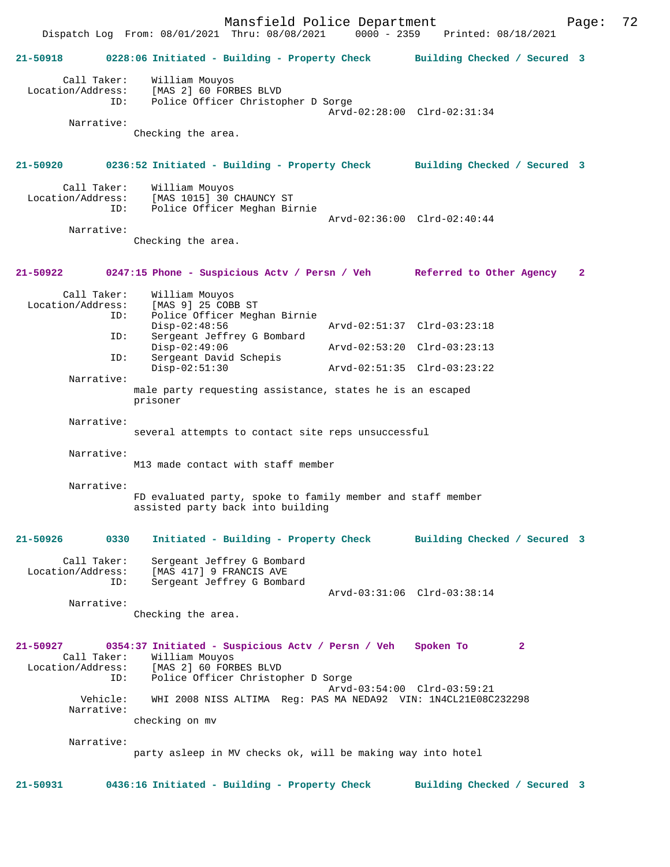Mansfield Police Department Page: 72 Dispatch Log From: 08/01/2021 Thru: 08/08/2021 **21-50918 0228:06 Initiated - Building - Property Check Building Checked / Secured 3** Call Taker: William Mouyos<br>Location/Address: [MAS 2] 60 FOR ess: [MAS 2] 60 FORBES BLVD<br>ID: Police Officer Christop Police Officer Christopher D Sorge Arvd-02:28:00 Clrd-02:31:34 Narrative: Checking the area. **21-50920 0236:52 Initiated - Building - Property Check Building Checked / Secured 3** Call Taker: William Mouyos<br>Location/Address: [MAS 1015] 30 ess: [MAS 1015] 30 CHAUNCY ST<br>ID: Police Officer Meghan Bir Police Officer Meghan Birnie Arvd-02:36:00 Clrd-02:40:44 Narrative: Checking the area. **21-50922 0247:15 Phone - Suspicious Actv / Persn / Veh Referred to Other Agency 2** Call Taker: William Mouyos Location/Address: [MAS 9] 25 COBB ST<br>TD: Police Officer Med Police Officer Meghan Birnie<br>Disp-02:48:56 Disp-02:48:56 Arvd-02:51:37 Clrd-03:23:18<br>ID: Sergeant Jeffrey G Bombard Sergeant Jeffrey G Bombard<br>Disp-02:49:06 Arvd-02:53:20 Clrd-03:23:13 ID: Sergeant David Schepis<br>Disp-02:51:30 Disp-02:51:30 Arvd-02:51:35 Clrd-03:23:22 Narrative: male party requesting assistance, states he is an escaped prisoner Narrative: several attempts to contact site reps unsuccessful Narrative: M13 made contact with staff member Narrative: FD evaluated party, spoke to family member and staff member assisted party back into building **21-50926 0330 Initiated - Building - Property Check Building Checked / Secured 3** Call Taker: Sergeant Jeffrey G Bombard<br>Location/Address: [MAS 417] 9 FRANCIS AVE ess: [MAS 417] 9 FRANCIS AVE<br>ID: Sergeant Jeffrey G Bomb Sergeant Jeffrey G Bombard Arvd-03:31:06 Clrd-03:38:14 Narrative: Checking the area. **21-50927 0354:37 Initiated - Suspicious Actv / Persn / Veh Spoken To 2**  Call Taker: William Mouyos<br>Location/Address: [MAS 2] 60 FORI ess: [MAS 2] 60 FORBES BLVD<br>ID: Police Officer Christop Police Officer Christopher D Sorge Arvd-03:54:00 Clrd-03:59:21 Vehicle: WHI 2008 NISS ALTIMA Reg: PAS MA NEDA92 VIN: 1N4CL21E08C232298 Narrative: checking on mv Narrative: party asleep in MV checks ok, will be making way into hotel

**21-50931 0436:16 Initiated - Building - Property Check Building Checked / Secured 3**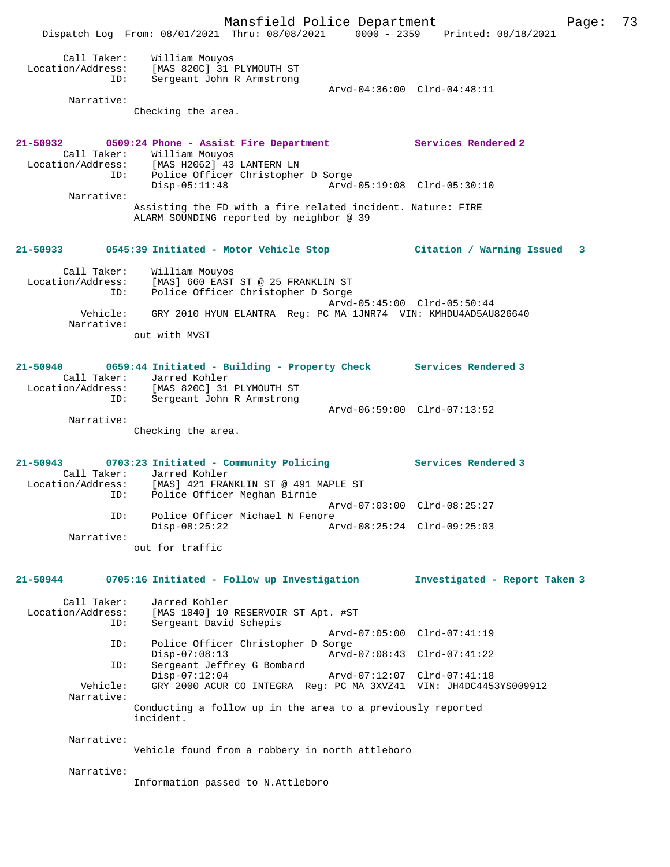|                                                       | Mansfield Police Department<br>Dispatch Log From: 08/01/2021 Thru: 08/08/2021 0000 - 2359 Printed: 08/18/2021                                                                              | 73<br>Page:                   |
|-------------------------------------------------------|--------------------------------------------------------------------------------------------------------------------------------------------------------------------------------------------|-------------------------------|
| Call Taker:<br>Location/Address:<br>ID:<br>Narrative: | William Mouyos<br>[MAS 820C] 31 PLYMOUTH ST<br>Sergeant John R Armstrong<br>Checking the area.                                                                                             | Arvd-04:36:00 Clrd-04:48:11   |
|                                                       |                                                                                                                                                                                            |                               |
|                                                       | 21-50932 0509:24 Phone - Assist Fire Department Services Rendered 2<br>Call Taker: William Mouyos<br>Location/Address: [MAS H2062] 43 LANTERN LN<br>ID: Police Officer Christopher D Sorge |                               |
| Narrative:                                            | $Disp-05:11:48$                                                                                                                                                                            | Arvd-05:19:08 Clrd-05:30:10   |
|                                                       | Assisting the FD with a fire related incident. Nature: FIRE<br>ALARM SOUNDING reported by neighbor @ 39                                                                                    |                               |
|                                                       | 21-50933 0545:39 Initiated - Motor Vehicle Stop Citation / Warning Issued 3                                                                                                                |                               |
| Call Taker:<br>Location/Address:<br>ID:               | William Mouyos<br>[MAS] 660 EAST ST @ 25 FRANKLIN ST<br>Police Officer Christopher D Sorge                                                                                                 | Arvd-05:45:00 Clrd-05:50:44   |
| Vehicle:<br>Narrative:                                | GRY 2010 HYUN ELANTRA Req: PC MA 1JNR74 VIN: KMHDU4AD5AU826640<br>out with MVST                                                                                                            |                               |
|                                                       | 21-50940 0659:44 Initiated - Building - Property Check Services Rendered 3<br>Call Taker: Jarred Kohler<br>Location/Address: [MAS 820C] 31 PLYMOUTH ST                                     |                               |
| ID:                                                   | Sergeant John R Armstrong                                                                                                                                                                  | Arvd-06:59:00 Clrd-07:13:52   |
| Narrative:                                            | Checking the area.                                                                                                                                                                         |                               |
| ID:                                                   | 21-50943 0703:23 Initiated - Community Policing Services Rendered 3<br>Call Taker: Jarred Kohler<br>Location/Address: [MAS] 421 FRANKLIN ST @ 491 MAPLE ST<br>Police Officer Meghan Birnie |                               |
| ID:                                                   | Police Officer Michael N Fenore                                                                                                                                                            | Arvd-07:03:00 Clrd-08:25:27   |
| Narrative:                                            | $Disp-08:25:22$                                                                                                                                                                            | Arvd-08:25:24 Clrd-09:25:03   |
|                                                       | out for traffic                                                                                                                                                                            |                               |
| 21-50944                                              | 0705:16 Initiated - Follow up Investigation                                                                                                                                                | Investigated - Report Taken 3 |
| Call Taker:<br>Location/Address:<br>ID:               | Jarred Kohler<br>[MAS 1040] 10 RESERVOIR ST Apt. #ST<br>Sergeant David Schepis                                                                                                             |                               |
| ID:                                                   | Police Officer Christopher D Sorge                                                                                                                                                         | Arvd-07:05:00 Clrd-07:41:19   |
| ID:                                                   | $Disp-07:08:13$<br>Sergeant Jeffrey G Bombard                                                                                                                                              | Arvd-07:08:43 Clrd-07:41:22   |
| Vehicle:<br>Narrative:                                | $Disp-07:12:04$<br>GRY 2000 ACUR CO INTEGRA Req: PC MA 3XVZ41 VIN: JH4DC4453YS009912                                                                                                       | Arvd-07:12:07 Clrd-07:41:18   |
|                                                       | Conducting a follow up in the area to a previously reported<br>incident.                                                                                                                   |                               |
| Narrative:                                            | Vehicle found from a robbery in north attleboro                                                                                                                                            |                               |
| Narrative:                                            | Information passed to N.Attleboro                                                                                                                                                          |                               |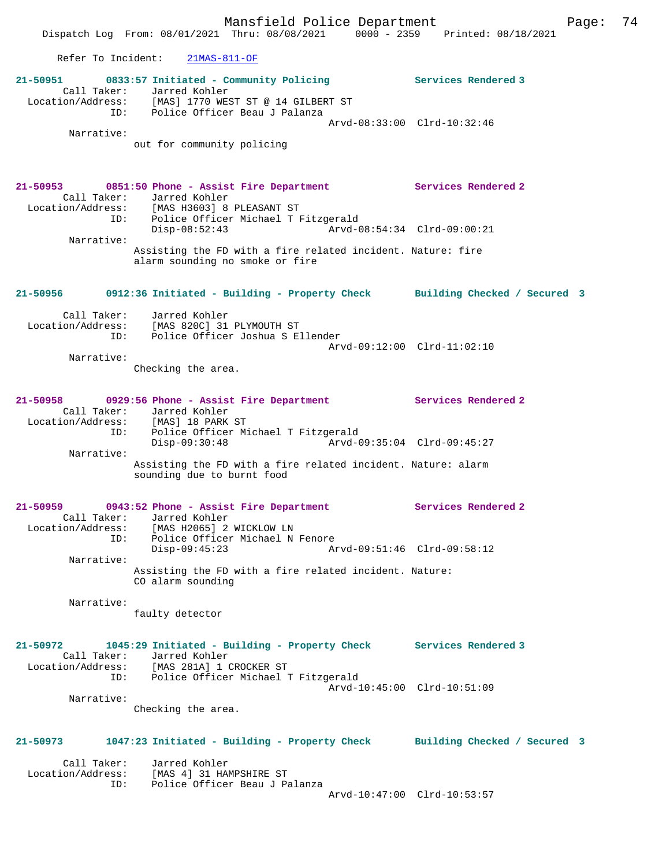Refer To Incident: 21MAS-811-OF

|                                  | 21-50951 0833:57 Initiated - Community Policing Services Rendered 3<br>Call Taker: Jarred Kohler<br>Location/Address: [MAS] 1770 WEST ST @ 14 GILBERT ST                                   |                              |
|----------------------------------|--------------------------------------------------------------------------------------------------------------------------------------------------------------------------------------------|------------------------------|
| Narrative:                       | ID: Police Officer Beau J Palanza                                                                                                                                                          | Arvd-08:33:00 Clrd-10:32:46  |
|                                  | out for community policing                                                                                                                                                                 |                              |
|                                  | 21-50953 0851:50 Phone - Assist Fire Department Services Rendered 2<br>Call Taker: Jarred Kohler<br>Location/Address: [MAS H3603] 8 PLEASANT ST<br>ID: Police Officer Michael T Fitzgerald |                              |
| Narrative:                       | Disp-08:52:43                                                                                                                                                                              |                              |
|                                  | Assisting the FD with a fire related incident. Nature: fire<br>alarm sounding no smoke or fire                                                                                             |                              |
|                                  | 21-50956 0912:36 Initiated - Building - Property Check Building Checked / Secured 3                                                                                                        |                              |
| Call Taker:<br>Location/Address: | Jarred Kohler<br>[MAS 820C] 31 PLYMOUTH ST<br>ID: Police Officer Joshua S Ellender                                                                                                         |                              |
| Narrative:                       |                                                                                                                                                                                            | Arvd-09:12:00 Clrd-11:02:10  |
|                                  | Checking the area.                                                                                                                                                                         |                              |
|                                  | 21-50958 0929:56 Phone - Assist Fire Department Services Rendered 2<br>Call Taker: Jarred Kohler                                                                                           |                              |
| ID:                              | Location/Address: [MAS] 18 PARK ST<br>Police Officer Michael T Fitzgerald<br>$Disp-09:30:48$                                                                                               | Arvd-09:35:04 Clrd-09:45:27  |
| Narrative:                       |                                                                                                                                                                                            |                              |
|                                  | Assisting the FD with a fire related incident. Nature: alarm<br>sounding due to burnt food                                                                                                 |                              |
|                                  | 21-50959 0943:52 Phone - Assist Fire Department Services Rendered 2<br>Call Taker: Jarred Kohler<br>Location/Address: [MAS H2065] 2 WICKLOW LN                                             |                              |
| ID:<br>Narrative:                | Police Officer Michael N Fenore<br>$Disp-09:45:23$                                                                                                                                         | Arvd-09:51:46 Clrd-09:58:12  |
|                                  | Assisting the FD with a fire related incident. Nature:<br>CO alarm sounding                                                                                                                |                              |
| Narrative:                       | faulty detector                                                                                                                                                                            |                              |
| 21-50972<br>Location/Address:    | 1045:29 Initiated - Building - Property Check Services Rendered 3<br>Call Taker: Jarred Kohler<br>[MAS 281A] 1 CROCKER ST                                                                  |                              |
|                                  | ID: Police Officer Michael T Fitzgerald                                                                                                                                                    | Arvd-10:45:00 Clrd-10:51:09  |
| Narrative:                       | Checking the area.                                                                                                                                                                         |                              |
| 21-50973                         | 1047:23 Initiated - Building - Property Check                                                                                                                                              | Building Checked / Secured 3 |
| Call Taker:                      | Jarred Kohler                                                                                                                                                                              |                              |
| ID:                              | Location/Address: [MAS 4] 31 HAMPSHIRE ST<br>Police Officer Beau J Palanza                                                                                                                 |                              |
|                                  |                                                                                                                                                                                            | Arvd-10:47:00 Clrd-10:53:57  |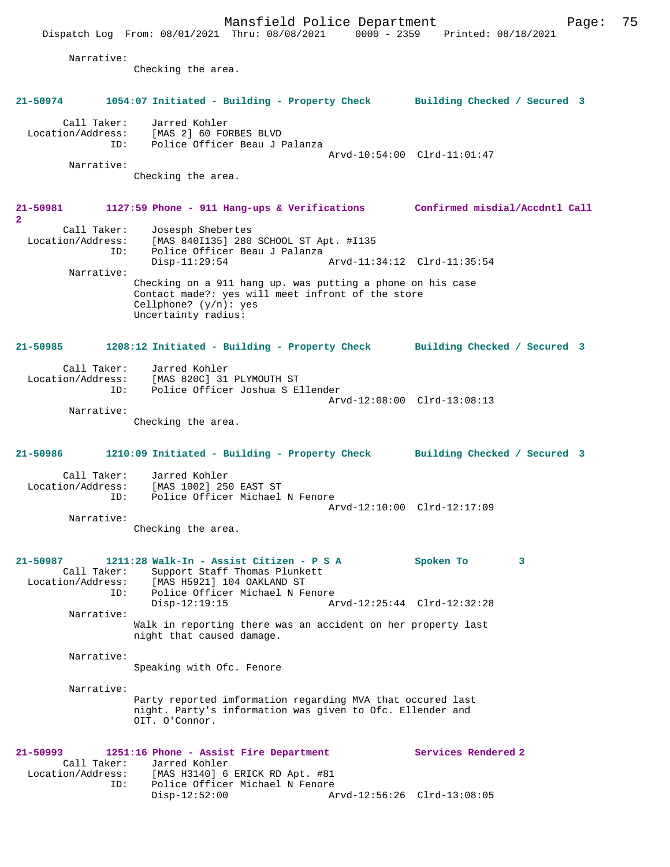Mansfield Police Department Form Page: 75 Dispatch Log From: 08/01/2021 Thru: 08/08/2021 0000 - 2359 Printed: 08/18/2021 Narrative: Checking the area. **21-50974 1054:07 Initiated - Building - Property Check Building Checked / Secured 3** Call Taker: Jarred Kohler Location/Address: [MAS 2] 60 FORBES BLVD ID: Police Officer Beau J Palanza Arvd-10:54:00 Clrd-11:01:47 Narrative: Checking the area. **21-50981 1127:59 Phone - 911 Hang-ups & Verifications Confirmed misdial/Accdntl Call 2**  Call Taker: Josesph Shebertes<br>Location/Address: [MAS 840I135] 280 ess: [MAS 840I135] 280 SCHOOL ST Apt. #I135<br>ID: Police Officer Beau J Palanza Police Officer Beau J Palanza<br>Disp-11:29:54 Arvd-11:34:12 Clrd-11:35:54 Narrative: Checking on a 911 hang up. was putting a phone on his case Contact made?: yes will meet infront of the store Cellphone? (y/n): yes Uncertainty radius: **21-50985 1208:12 Initiated - Building - Property Check Building Checked / Secured 3** Call Taker: Jarred Kohler Location/Address: [MAS 820C] 31 PLYMOUTH ST ID: Police Officer Joshua S Ellender Arvd-12:08:00 Clrd-13:08:13 Narrative: Checking the area. **21-50986 1210:09 Initiated - Building - Property Check Building Checked / Secured 3** Call Taker: Jarred Kohler<br>Location/Address: [MAS 1002] 25 ess: [MAS 1002] 250 EAST ST<br>ID: Police Officer Michael Police Officer Michael N Fenore Arvd-12:10:00 Clrd-12:17:09 Narrative: Checking the area. **21-50987 1211:28 Walk-In - Assist Citizen - P S A Spoken To 3**  Call Taker: Support Staff Thomas Plunkett<br>Location/Address: [MAS H5921] 104 OAKLAND ST ess: [MAS H5921] 104 OAKLAND ST<br>ID: Police Officer Michael N Fe Police Officer Michael N Fenore<br>Disp-12:19:15 Ar Arvd-12:25:44 Clrd-12:32:28 Narrative: Walk in reporting there was an accident on her property last night that caused damage. Narrative: Speaking with Ofc. Fenore Narrative: Party reported imformation regarding MVA that occured last night. Party's information was given to Ofc. Ellender and OIT. O'Connor. **21-50993 1251:16 Phone - Assist Fire Department Services Rendered 2**  Call Taker: Jarred Kohler<br>Location/Address: [MAS H3140] 6 ess: [MAS H3140] 6 ERICK RD Apt. #81<br>ID: Police Officer Michael N Fenore Police Officer Michael N Fenore<br>Disp-12:52:00 A Disp-12:52:00 Arvd-12:56:26 Clrd-13:08:05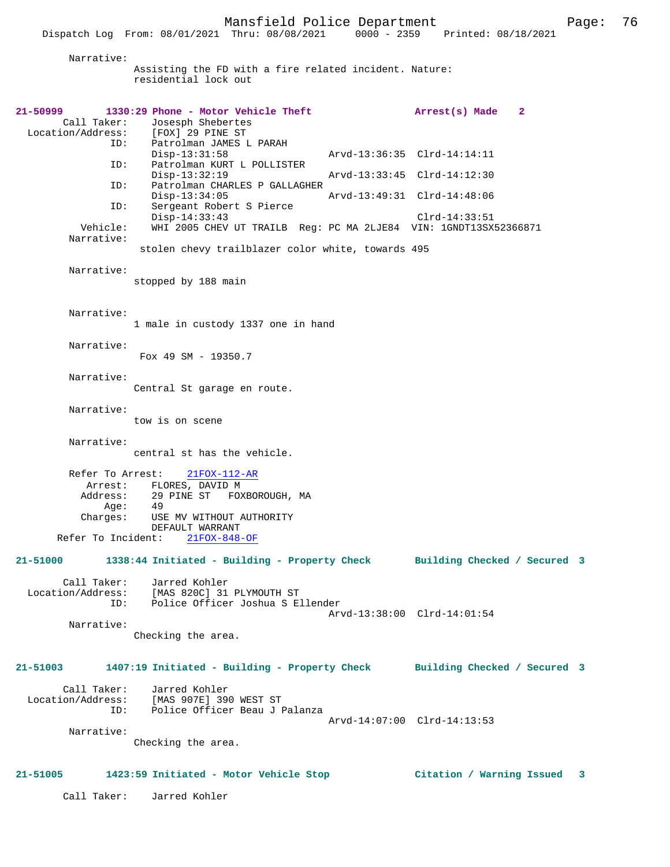| Narrative:                  | Assisting the FD with a fire related incident. Nature:<br>residential lock out                 |                             |              |
|-----------------------------|------------------------------------------------------------------------------------------------|-----------------------------|--------------|
| $21 - 50999$<br>Call Taker: | 1330:29 Phone - Motor Vehicle Theft<br>Josesph Shebertes<br>Location/Address: [FOX] 29 PINE ST | Arrest(s) Made              | $\mathbf{2}$ |
|                             | ID: Patrolman JAMES L PARAH<br>$Disp-13:31:58$                                                 | Arvd-13:36:35 Clrd-14:14:11 |              |
| ID:                         | Patrolman KURT L POLLISTER<br>$Disp-13:32:19$                                                  | Arvd-13:33:45 Clrd-14:12:30 |              |
| ID:                         | Patrolman CHARLES P GALLAGHER<br>$Disp-13:34:05$                                               | Arvd-13:49:31 Clrd-14:48:06 |              |
| ID:                         | Sergeant Robert S Pierce<br>$Disp-14:33:43$                                                    | $Clrd-14:33:51$             |              |
| Vehicle:<br>Narrative:      | WHI 2005 CHEV UT TRAILB Req: PC MA 2LJE84 VIN: 1GNDT13SX52366871                               |                             |              |
|                             | stolen chevy trailblazer color white, towards 495                                              |                             |              |
| Narrative:                  | stopped by 188 main                                                                            |                             |              |
| Narrative:                  | 1 male in custody 1337 one in hand                                                             |                             |              |
| Narrative:                  | Fox 49 SM - 19350.7                                                                            |                             |              |
| Narrative:                  | Central St garage en route.                                                                    |                             |              |

 Narrative: tow is on scene

Narrative:

central st has the vehicle.

 Refer To Arrest: 21FOX-112-AR Arrest: FLORES, DAVID M Address: 29 PINE ST FOXBOROUGH, MA Age: 49 Charges: USE MV WITHOUT AUTHORITY DEFAULT WARRANT Refer To Incident: 21FOX-848-OF

# **21-51000 1338:44 Initiated - Building - Property Check Building Checked / Secured 3**

 Call Taker: Jarred Kohler Location/Address: [MAS 820C] 31 PLYMOUTH ST ID: Police Officer Joshua S Ellender Arvd-13:38:00 Clrd-14:01:54 Narrative:

Checking the area.

## **21-51003 1407:19 Initiated - Building - Property Check Building Checked / Secured 3**

 Call Taker: Jarred Kohler Location/Address: [MAS 907E] 390 WEST ST ID: Police Officer Beau J Palanza Arvd-14:07:00 Clrd-14:13:53

Narrative:

Checking the area.

#### **21-51005 1423:59 Initiated - Motor Vehicle Stop Citation / Warning Issued 3**

Call Taker: Jarred Kohler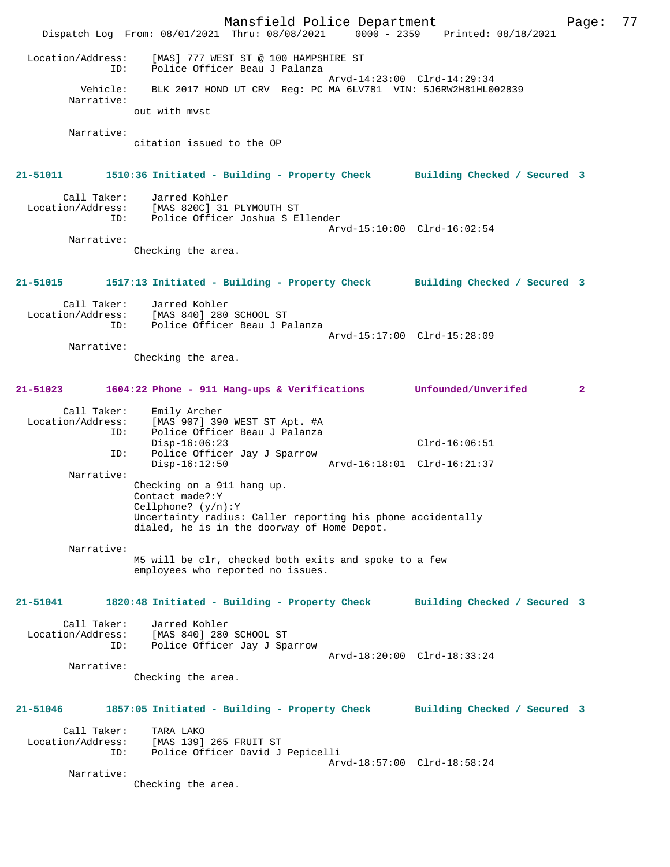Mansfield Police Department Fage: 77 Dispatch Log From: 08/01/2021 Thru: 08/08/2021 0000 - 2359 Printed: 08/18/2021 Location/Address: [MAS] 777 WEST ST @ 100 HAMPSHIRE ST ID: Police Officer Beau J Palanza Arvd-14:23:00 Clrd-14:29:34 Vehicle: BLK 2017 HOND UT CRV Reg: PC MA 6LV781 VIN: 5J6RW2H81HL002839 Narrative: out with mvst Narrative: citation issued to the OP **21-51011 1510:36 Initiated - Building - Property Check Building Checked / Secured 3** Call Taker: Jarred Kohler Location/Address: [MAS 820C] 31 PLYMOUTH ST ID: Police Officer Joshua S Ellender Arvd-15:10:00 Clrd-16:02:54 Narrative: Checking the area. **21-51015 1517:13 Initiated - Building - Property Check Building Checked / Secured 3** Call Taker: Jarred Kohler Location/Address: [MAS 840] 280 SCHOOL ST ID: Police Officer Beau J Palanza Arvd-15:17:00 Clrd-15:28:09 Narrative: Checking the area. **21-51023 1604:22 Phone - 911 Hang-ups & Verifications Unfounded/Unverifed 2** Call Taker: Emily Archer<br>Location/Address: [MAS 907] 390 ess: [MAS 907] 390 WEST ST Apt. #A<br>ID: Police Officer Beau J Palanza Police Officer Beau J Palanza Disp-16:06:23 Clrd-16:06:51 ID: Police Officer Jay J Sparrow Disp-16:12:50 Arvd-16:18:01 Clrd-16:21:37 Narrative: Checking on a 911 hang up. Contact made?:Y Cellphone? (y/n):Y Uncertainty radius: Caller reporting his phone accidentally dialed, he is in the doorway of Home Depot. Narrative: M5 will be clr, checked both exits and spoke to a few employees who reported no issues. **21-51041 1820:48 Initiated - Building - Property Check Building Checked / Secured 3** Call Taker: Jarred Kohler<br>ion/Address: [MAS 840] 280 SCHOOL ST Location/Address: ID: Police Officer Jay J Sparrow Arvd-18:20:00 Clrd-18:33:24 Narrative: Checking the area. **21-51046 1857:05 Initiated - Building - Property Check Building Checked / Secured 3** Call Taker: TARA LAKO Location/Address: [MAS 139] 265 FRUIT ST Police Officer David J Pepicelli Arvd-18:57:00 Clrd-18:58:24 Narrative: Checking the area.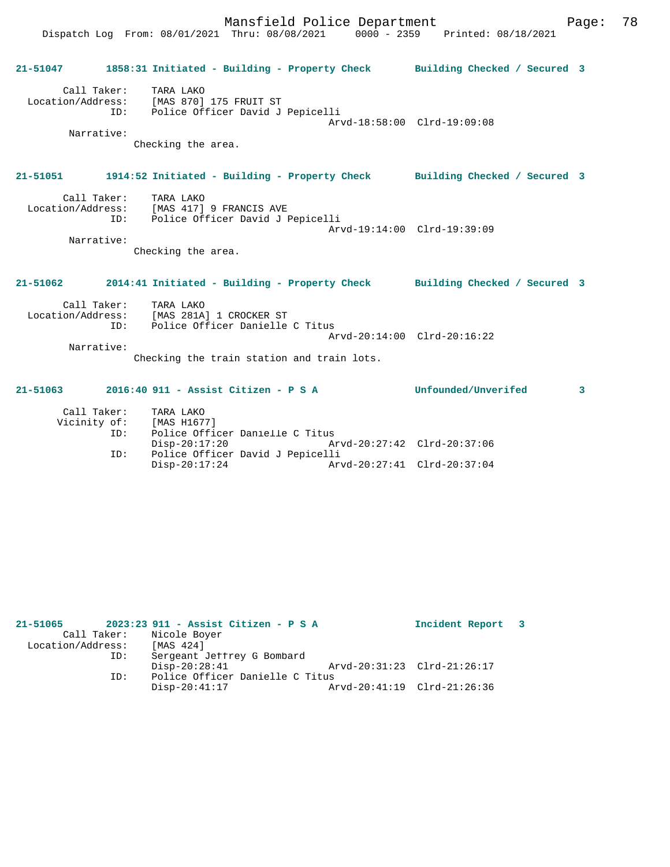Mansfield Police Department Fage: 78 Dispatch Log From: 08/01/2021 Thru: 08/08/2021 0000 - 2359 Printed: 08/18/2021 **21-51047 1858:31 Initiated - Building - Property Check Building Checked / Secured 3** Call Taker: TARA LAKO Location/Address: [MAS 870] 175 FRUIT ST ID: Police Officer David J Pepicelli Arvd-18:58:00 Clrd-19:09:08 Narrative: Checking the area. **21-51051 1914:52 Initiated - Building - Property Check Building Checked / Secured 3** Call Taker: TARA LAKO Location/Address: [MAS 417] 9 FRANCIS AVE ID: Police Officer David J Pepicelli Arvd-19:14:00 Clrd-19:39:09 Narrative: Checking the area. **21-51062 2014:41 Initiated - Building - Property Check Building Checked / Secured 3** Call Taker: TARA LAKO Location/Address: [MAS 281A] 1 CROCKER ST ID: Police Officer Danielle C Titus Arvd-20:14:00 Clrd-20:16:22 Narrative: Checking the train station and train lots. **21-51063 2016:40 911 - Assist Citizen - P S A Unfounded/Unverifed 3**

| Call Taker:<br>Vicinity of: | TARA LAKO<br>[MAS H1677]         |                             |  |
|-----------------------------|----------------------------------|-----------------------------|--|
| ID:                         | Police Officer Danielle C Titus  |                             |  |
|                             | Disp-20:17:20                    | Arvd-20:27:42 Clrd-20:37:06 |  |
| ID:                         | Police Officer David J Pepicelli |                             |  |
|                             | $Disp-20:17:24$                  | Arvd-20:27:41 Clrd-20:37:04 |  |

| 21-51065          |             | 2023:23 911 - Assist Citizen - P S A |                             | Incident Report 3 |  |
|-------------------|-------------|--------------------------------------|-----------------------------|-------------------|--|
|                   | Call Taker: | Nicole Boyer                         |                             |                   |  |
| Location/Address: |             | [MAS 424]                            |                             |                   |  |
|                   | ID:         | Sergeant Jeffrey G Bombard           |                             |                   |  |
|                   |             | $Disp-20:28:41$                      | Arvd-20:31:23 Clrd-21:26:17 |                   |  |
|                   | ID:         | Police Officer Danielle C Titus      |                             |                   |  |
|                   |             | $Disp-20:41:17$                      | Arvd-20:41:19 Clrd-21:26:36 |                   |  |
|                   |             |                                      |                             |                   |  |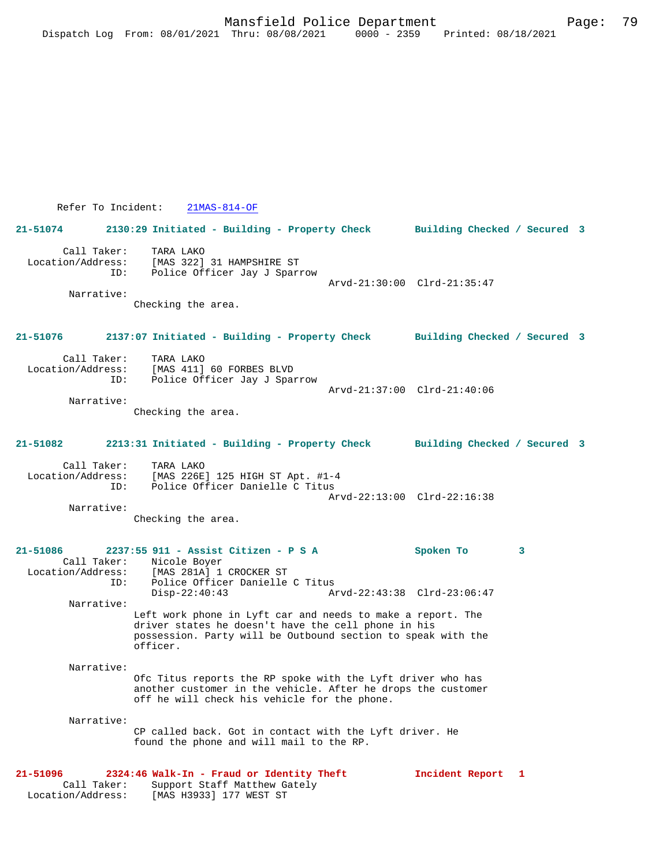Refer To Incident: 21MAS-814-OF

**21-51074 2130:29 Initiated - Building - Property Check Building Checked / Secured 3** Call Taker: TARA LAKO Location/Address: [MAS 322] 31 HAMPSHIRE ST ID: Police Officer Jay J Sparrow Arvd-21:30:00 Clrd-21:35:47 Narrative: Checking the area. **21-51076 2137:07 Initiated - Building - Property Check Building Checked / Secured 3** Call Taker: TARA LAKO<br>ion/Address: [MAS 411] Location/Address: [MAS 411] 60 FORBES BLVD ID: Police Officer Jay J Sparrow Arvd-21:37:00 Clrd-21:40:06 Narrative: Checking the area. **21-51082 2213:31 Initiated - Building - Property Check Building Checked / Secured 3** Call Taker: TARA LAKO<br>Location/Address: [MAS 226E ess: [MAS 226E] 125 HIGH ST Apt. #1-4<br>ID: Police Officer Danielle C Titus Police Officer Danielle C Titus Arvd-22:13:00 Clrd-22:16:38 Narrative: Checking the area. **21-51086 2237:55 911 - Assist Citizen - P S A Spoken To 3**  Call Taker: Nicole Boyer<br>Location/Address: [MAS 281A] 1 [MAS 281A] 1 CROCKER ST ID: Police Officer Danielle C Titus<br>Disp-22:40:43 Am Disp-22:40:43 Arvd-22:43:38 Clrd-23:06:47 Narrative: Left work phone in Lyft car and needs to make a report. The driver states he doesn't have the cell phone in his possession. Party will be Outbound section to speak with the officer. Narrative: Ofc Titus reports the RP spoke with the Lyft driver who has another customer in the vehicle. After he drops the customer off he will check his vehicle for the phone. Narrative: CP called back. Got in contact with the Lyft driver. He found the phone and will mail to the RP.

**21-51096 2324:46 Walk-In - Fraud or Identity Theft Incident Report 1**  Call Taker: Support Staff Matthew Gately Location/Address: [MAS H3933] 177 WEST ST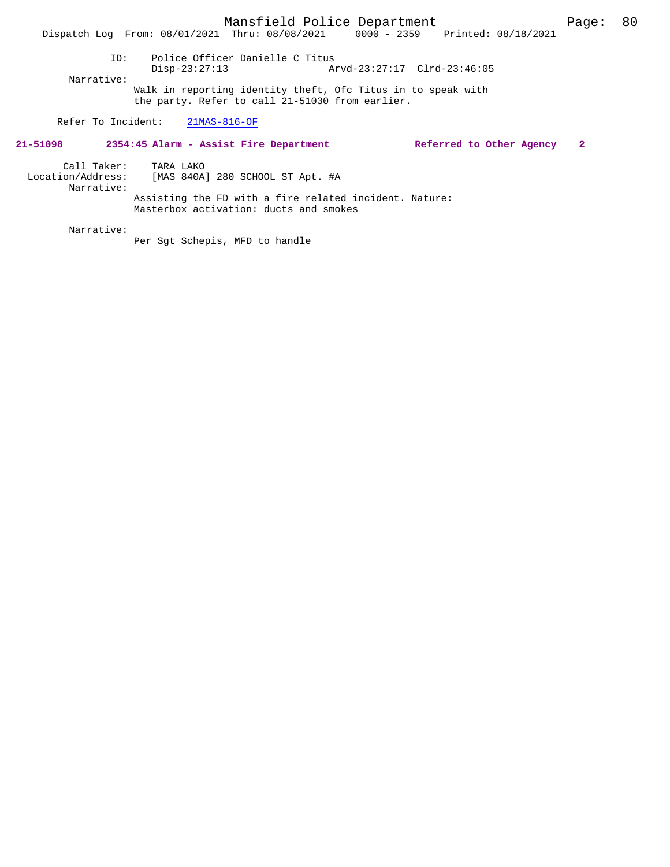Disp-23:27:13 Arvd-23:27:17 Clrd-23:46:05 Narrative: Walk in reporting identity theft, Ofc Titus in to speak with the party. Refer to call 21-51030 from earlier.

Refer To Incident: 21MAS-816-OF

#### **21-51098 2354:45 Alarm - Assist Fire Department Referred to Other Agency 2**

Call Taker: TARA LAKO

 Location/Address: [MAS 840A] 280 SCHOOL ST Apt. #A Narrative: Assisting the FD with a fire related incident. Nature: Masterbox activation: ducts and smokes

Narrative:

Per Sgt Schepis, MFD to handle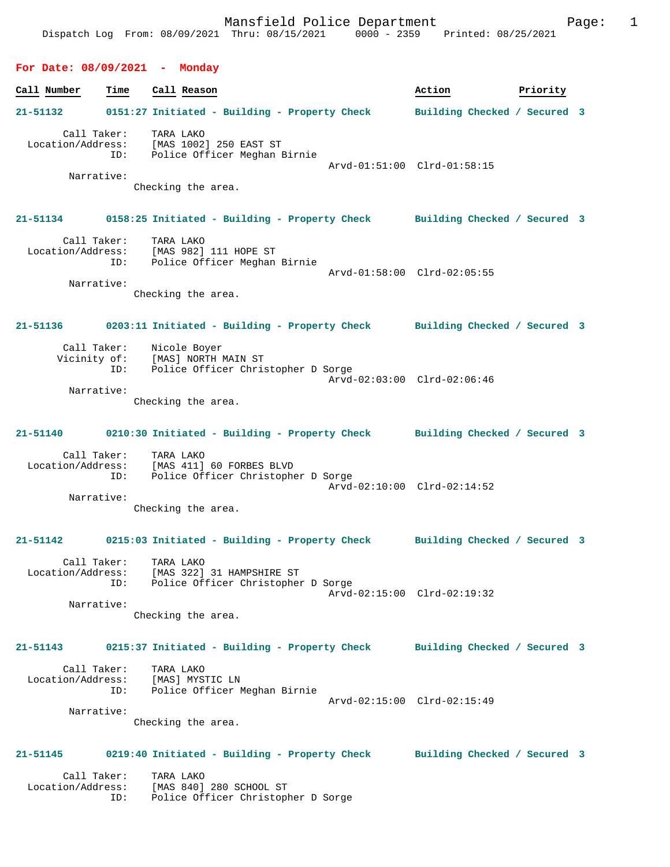#### **For Date: 08/09/2021 - Monday**

| Call Number                      | Time               | Call Reason                                                                                                                      | Action                       | Priority |  |
|----------------------------------|--------------------|----------------------------------------------------------------------------------------------------------------------------------|------------------------------|----------|--|
| 21-51132                         |                    | 0151:27 Initiated - Building - Property Check                                                                                    | Building Checked / Secured 3 |          |  |
| Narrative:                       | Call Taker:        | TARA LAKO<br>Location/Address: [MAS 1002] 250 EAST ST<br>ID: Police Officer Meghan Birnie<br>Checking the area.                  | Arvd-01:51:00 Clrd-01:58:15  |          |  |
| 21-51134                         |                    | 0158:25 Initiated - Building - Property Check Building Checked / Secured 3                                                       |                              |          |  |
| Narrative:                       | Call Taker:<br>ID: | TARA LAKO<br>Location/Address: [MAS 982] 111 HOPE ST<br>Police Officer Meghan Birnie                                             | Arvd-01:58:00 Clrd-02:05:55  |          |  |
|                                  |                    | Checking the area.                                                                                                               |                              |          |  |
| 21-51136                         |                    | 0203:11 Initiated - Building - Property Check Building Checked / Secured 3                                                       |                              |          |  |
| Vicinity of:<br>Narrative:       | ID:                | Call Taker: Nicole Boyer<br>[MAS] NORTH MAIN ST<br>Police Officer Christopher D Sorge                                            | Arvd-02:03:00 Clrd-02:06:46  |          |  |
|                                  | Call Taker:        | Checking the area.<br>21-51140 0210:30 Initiated - Building - Property Check Building Checked / Secured 3<br>TARA LAKO           |                              |          |  |
| Narrative:                       | ID:                | Location/Address: [MAS 411] 60 FORBES BLVD<br>Police Officer Christopher D Sorge<br>Checking the area.                           | Arvd-02:10:00 Clrd-02:14:52  |          |  |
|                                  |                    | 21-51142 0215:03 Initiated - Building - Property Check Building Checked / Secured 3                                              |                              |          |  |
| Narrative:                       | ID:                | Call Taker: TARA LAKO<br>Location/Address: [MAS 322] 31 HAMPSHIRE ST<br>Police Officer Christopher D Sorge<br>Checking the area. | Arvd-02:15:00 Clrd-02:19:32  |          |  |
| 21-51143                         |                    | 0215:37 Initiated - Building - Property Check Building Checked / Secured 3                                                       |                              |          |  |
| Call Taker:<br>Location/Address: | ID:                | TARA LAKO<br>[MAS] MYSTIC LN<br>Police Officer Meghan Birnie                                                                     | Arvd-02:15:00 Clrd-02:15:49  |          |  |
| Narrative:                       |                    | Checking the area.                                                                                                               |                              |          |  |
| 21-51145                         |                    | 0219:40 Initiated - Building - Property Check                                                                                    | Building Checked / Secured 3 |          |  |
| Call Taker:<br>Location/Address: | ID:                | TARA LAKO<br>[MAS 840] 280 SCHOOL ST<br>Police Officer Christopher D Sorge                                                       |                              |          |  |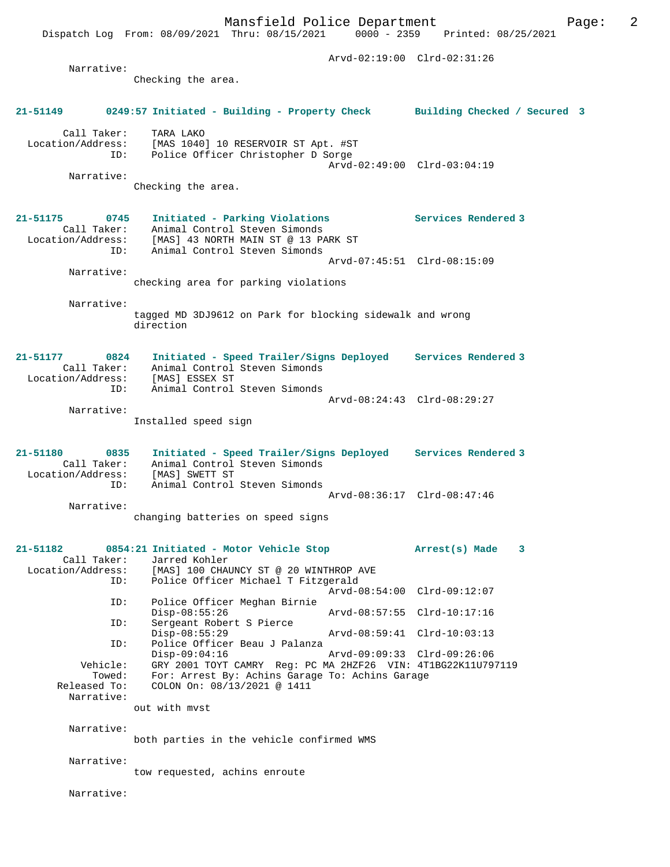Dispatch Log From: 08/09/2021 Thru: 08/15/2021

 Arvd-02:19:00 Clrd-02:31:26 Narrative: Checking the area. **21-51149 0249:57 Initiated - Building - Property Check Building Checked / Secured 3** Call Taker: TARA LAKO Location/Address: [MAS 1040] 10 RESERVOIR ST Apt. #ST<br>ID: Police Officer Christopher D Sorge IMAS IVIU, IV ALLANDER D Sorge Arvd-02:49:00 Clrd-03:04:19 Narrative: Checking the area. **21-51175 0745 Initiated - Parking Violations Services Rendered 3**  Call Taker: Animal Control Steven Simonds Location/Address: [MAS] 43 NORTH MAIN ST @ 13 PARK ST ID: Animal Control Steven Simonds Arvd-07:45:51 Clrd-08:15:09 Narrative: checking area for parking violations Narrative: tagged MD 3DJ9612 on Park for blocking sidewalk and wrong direction **21-51177 0824 Initiated - Speed Trailer/Signs Deployed Services Rendered 3**  Call Taker: Animal Control Steven Simonds Location/Address: [MAS] ESSEX ST ID: Animal Control Steven Simonds Arvd-08:24:43 Clrd-08:29:27 Narrative: Installed speed sign **21-51180 0835 Initiated - Speed Trailer/Signs Deployed Services Rendered 3**  Call Taker: Animal Control Steven Simonds<br>Location/Address: [MAS] SWETT ST ess: [MAS] SWETT ST<br>ID: Animal Control Animal Control Steven Simonds Arvd-08:36:17 Clrd-08:47:46 Narrative: changing batteries on speed signs **21-51182 0854:21 Initiated - Motor Vehicle Stop Arrest(s) Made 3**  Call Taker: Jarred Kohler Location/Address: [MAS] 100 CHAUNCY ST @ 20 WINTHROP AVE ID: Police Officer Michael T Fitzgerald Arvd-08:54:00 Clrd-09:12:07<br>ID: Police Officer Meghan Birnie Police Officer Meghan Birnie<br>Disp-08:55:26 Disp-08:55:26 Arvd-08:57:55 Clrd-10:17:16<br>ID: Sergeant Robert S Pierce Sergeant Robert S Pierce Disp-08:55:29 Arvd-08:59:41 Clrd-10:03:13<br>ID: Police Officer Beau J Palanza Police Officer Beau J Palanza<br>Disp-09:04:16 Disp-09:04:16 Arvd-09:09:33 Clrd-09:26:06<br>Vehicle: GRY 2001 TOYT CAMRY Req: PC MA 2HZF26 VIN: 4T1BG22K11U79 Vehicle: GRY 2001 TOYT CAMRY Reg: PC MA 2HZF26 VIN: 4T1BG22K11U797119 Towed: For: Arrest By: Achins Garage To: Achins Garage Released To: COLON On: 08/13/2021 @ 1411 Narrative: out with mvst Narrative: both parties in the vehicle confirmed WMS Narrative: tow requested, achins enroute Narrative: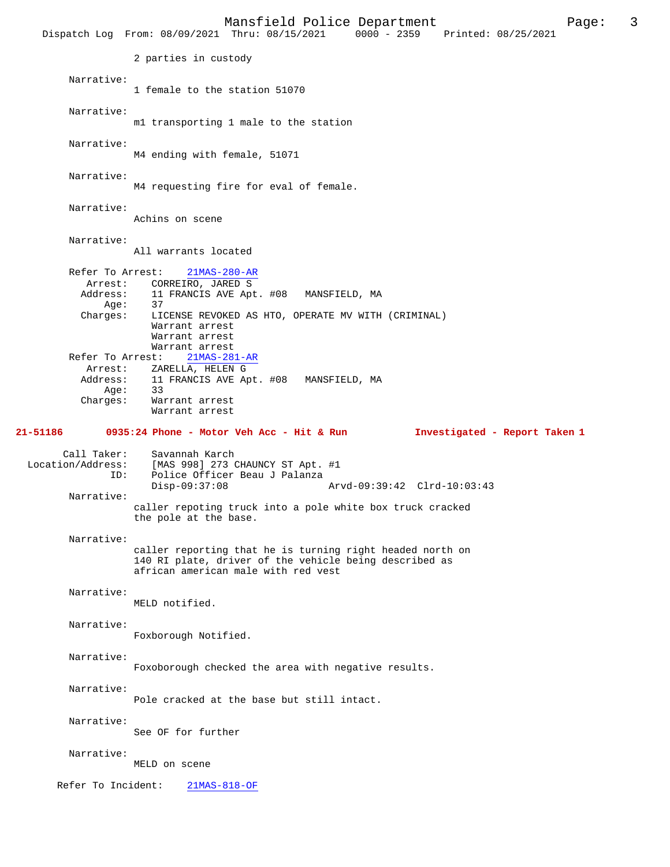Mansfield Police Department Page: 3 Dispatch Log From: 08/09/2021 Thru: 08/15/2021 2 parties in custody Narrative: 1 female to the station 51070 Narrative: m1 transporting 1 male to the station Narrative: M4 ending with female, 51071 Narrative: M4 requesting fire for eval of female. Narrative: Achins on scene Narrative: All warrants located Refer To Arrest: 21MAS-280-AR Arrest: CORREIRO, JARED S<br>Address: 11 FRANCIS AVE Apt 11 FRANCIS AVE Apt. #08 MANSFIELD, MA<br>37 Age:<br>:Charges LICENSE REVOKED AS HTO, OPERATE MV WITH (CRIMINAL) Warrant arrest Warrant arrest Warrant arrest Refer To Arrest: 21MAS-281-AR Arrest: ZARELLA, HELEN G<br>Address: 11 FRANCIS AVE A 11 FRANCIS AVE Apt. #08 MANSFIELD, MA<br>33 Age:<br>:Charges Warrant arrest Warrant arrest **21-51186 0935:24 Phone - Motor Veh Acc - Hit & Run Investigated - Report Taken 1** Call Taker: Savannah Karch<br>Location/Address: [MAS 998] 273 ( ess: [MAS 998] 273 CHAUNCY ST Apt. #1<br>ID: Police Officer Beau J Palanza Police Officer Beau J Palanza<br>Disp-09:37:08 Disp-09:37:08 Arvd-09:39:42 Clrd-10:03:43 Narrative: caller repoting truck into a pole white box truck cracked the pole at the base. Narrative: caller reporting that he is turning right headed north on 140 RI plate, driver of the vehicle being described as african american male with red vest Narrative: MELD notified. Narrative: Foxborough Notified. Narrative: Foxoborough checked the area with negative results. Narrative: Pole cracked at the base but still intact. Narrative: See OF for further Narrative: MELD on scene Refer To Incident: 21MAS-818-OF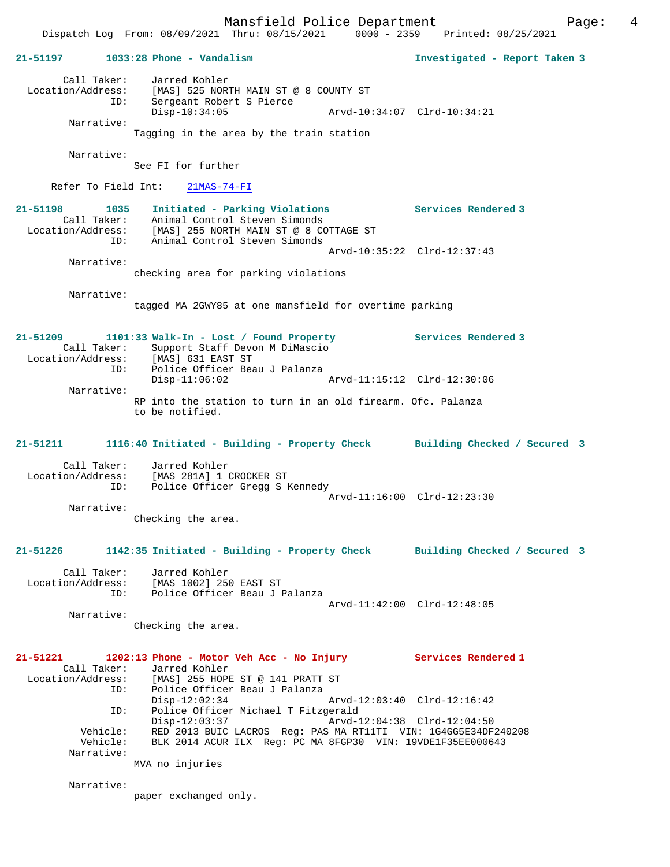Mansfield Police Department Form Page: 4 Dispatch Log From: 08/09/2021 Thru: 08/15/2021 0000 - 2359 Printed: 08/25/2021 **21-51197 1033:28 Phone - Vandalism Investigated - Report Taken 3** Call Taker: Jarred Kohler Location/Address: [MAS] 525 NORTH MAIN ST @ 8 COUNTY ST ID: Sergeant Robert S Pierce Disp-10:34:05 Arvd-10:34:07 Clrd-10:34:21 Narrative: Tagging in the area by the train station Narrative: See FI for further Refer To Field Int: 21MAS-74-FI **21-51198 1035 Initiated - Parking Violations Services Rendered 3**  Call Taker: Animal Control Steven Simonds Location/Address: [MAS] 255 NORTH MAIN ST @ 8 COTTAGE ST ID: Animal Control Steven Simonds Arvd-10:35:22 Clrd-12:37:43 Narrative: checking area for parking violations Narrative: tagged MA 2GWY85 at one mansfield for overtime parking **21-51209 1101:33 Walk-In - Lost / Found Property Services Rendered 3**  Call Taker: Support Staff Devon M DiMascio<br>Location/Address: [MAS] 631 EAST ST Location/Address: [MAS] 631 EAST ST ID: Police Officer Beau J Palanza Disp-11:06:02 Arvd-11:15:12 Clrd-12:30:06 Narrative: RP into the station to turn in an old firearm. Ofc. Palanza to be notified. **21-51211 1116:40 Initiated - Building - Property Check Building Checked / Secured 3** Call Taker: Jarred Kohler Location/Address: [MAS 281A] 1 CROCKER ST ID: Police Officer Gregg S Kennedy Arvd-11:16:00 Clrd-12:23:30 Narrative: Checking the area. **21-51226 1142:35 Initiated - Building - Property Check Building Checked / Secured 3** Call Taker: Jarred Kohler Location/Address: [MAS 1002] 250 EAST ST ID: Police Officer Beau J Palanza Arvd-11:42:00 Clrd-12:48:05 Narrative: Checking the area. **21-51221 1202:13 Phone - Motor Veh Acc - No Injury Services Rendered 1**  Call Taker: Jarred Kohler Location/Address: [MAS] 255 HOPE ST @ 141 PRATT ST ID: Police Officer Beau J Palanza<br>Disp-12:02:34 Arvd-12:03:40 Clrd-12:16:42 Disp-12:02:34 Arvd-12:03:40 Clrd-12:16:42 ID: Police Officer Michael T Fitzgerald Disp-12:03:37 Arvd-12:04:38 Clrd-12:04:50 Vehicle: RED 2013 BUIC LACROS Reg: PAS MA RT11TI VIN: 1G4GG5E34DF240208 Vehicle: BLK 2014 ACUR ILX Reg: PC MA 8FGP30 VIN: 19VDE1F35EE000643 Narrative: MVA no injuries

paper exchanged only.

Narrative: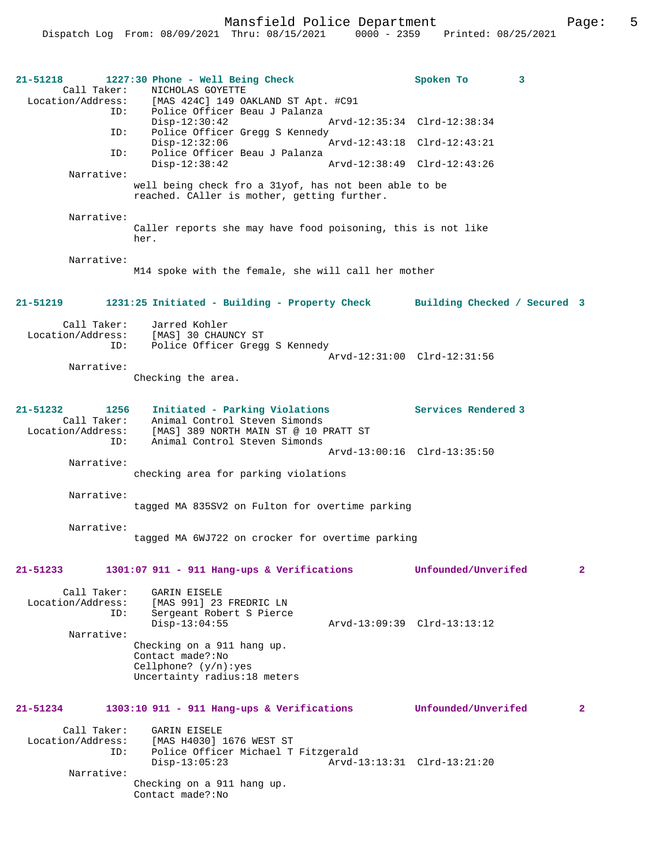| 21-51218<br>Call Taker:<br>ID:                                  | 1227:30 Phone - Well Being Check<br>NICHOLAS GOYETTE<br>Location/Address: [MAS 424C] 149 OAKLAND ST Apt. #C91<br>Police Officer Beau J Palanza | Spoken To                   | 3              |
|-----------------------------------------------------------------|------------------------------------------------------------------------------------------------------------------------------------------------|-----------------------------|----------------|
| ID:                                                             | $Disp-12:30:42$<br>Police Officer Gregg S Kennedy                                                                                              | Arvd-12:35:34 Clrd-12:38:34 |                |
| ID:                                                             | $Disp-12:32:06$<br>Police Officer Beau J Palanza                                                                                               | Arvd-12:43:18 Clrd-12:43:21 |                |
| Narrative:                                                      | $Disp-12:38:42$                                                                                                                                | Arvd-12:38:49 Clrd-12:43:26 |                |
|                                                                 | well being check fro a 31yof, has not been able to be<br>reached. CAller is mother, getting further.                                           |                             |                |
| Narrative:                                                      | Caller reports she may have food poisoning, this is not like<br>her.                                                                           |                             |                |
| Narrative:                                                      | M14 spoke with the female, she will call her mother                                                                                            |                             |                |
| 21-51219                                                        | 1231:25 Initiated - Building - Property Check Building Checked / Secured 3                                                                     |                             |                |
| Call Taker:                                                     | Jarred Kohler                                                                                                                                  |                             |                |
|                                                                 | Location/Address: [MAS] 30 CHAUNCY ST<br>ID: Police Officer Gregg S Kennedy                                                                    |                             |                |
| Narrative:                                                      |                                                                                                                                                | Arvd-12:31:00 Clrd-12:31:56 |                |
|                                                                 | Checking the area.                                                                                                                             |                             |                |
| $21 - 51232$<br>1256<br>Call Taker:<br>Location/Address:<br>ID: | Initiated - Parking Violations<br>Animal Control Steven Simonds<br>[MAS] 389 NORTH MAIN ST @ 10 PRATT ST<br>Animal Control Steven Simonds      | Services Rendered 3         |                |
| Narrative:                                                      |                                                                                                                                                | Arvd-13:00:16 Clrd-13:35:50 |                |
|                                                                 | checking area for parking violations                                                                                                           |                             |                |
| Narrative:                                                      | tagged MA 835SV2 on Fulton for overtime parking                                                                                                |                             |                |
| Narrative:                                                      | tagged MA 6WJ722 on crocker for overtime parking                                                                                               |                             |                |
| 21-51233                                                        | $1301:07$ 911 - 911 Hang-ups & Verifications                                                                                                   | Unfounded/Unverifed         | $\overline{2}$ |
| Call Taker:<br>Location/Address:<br>ID:<br>Narrative:           | GARIN EISELE<br>[MAS 991] 23 FREDRIC LN<br>Sergeant Robert S Pierce<br>$Disp-13:04:55$                                                         | Arvd-13:09:39 Clrd-13:13:12 |                |
|                                                                 | Checking on a 911 hang up.<br>Contact made?: No<br>Cellphone? $(y/n):yes$<br>Uncertainty radius: 18 meters                                     |                             |                |
| 21-51234                                                        | 1303:10 911 - 911 Hang-ups & Verifications                                                                                                     | Unfounded/Unverifed         | $\overline{2}$ |
| Call Taker:<br>Location/Address:<br>ID:                         | <b>GARIN EISELE</b><br>[MAS H4030] 1676 WEST ST<br>Police Officer Michael T Fitzgerald<br>$Disp-13:05:23$                                      | Arvd-13:13:31 Clrd-13:21:20 |                |
| Narrative:                                                      | Checking on a 911 hang up.<br>Contact made?: No                                                                                                |                             |                |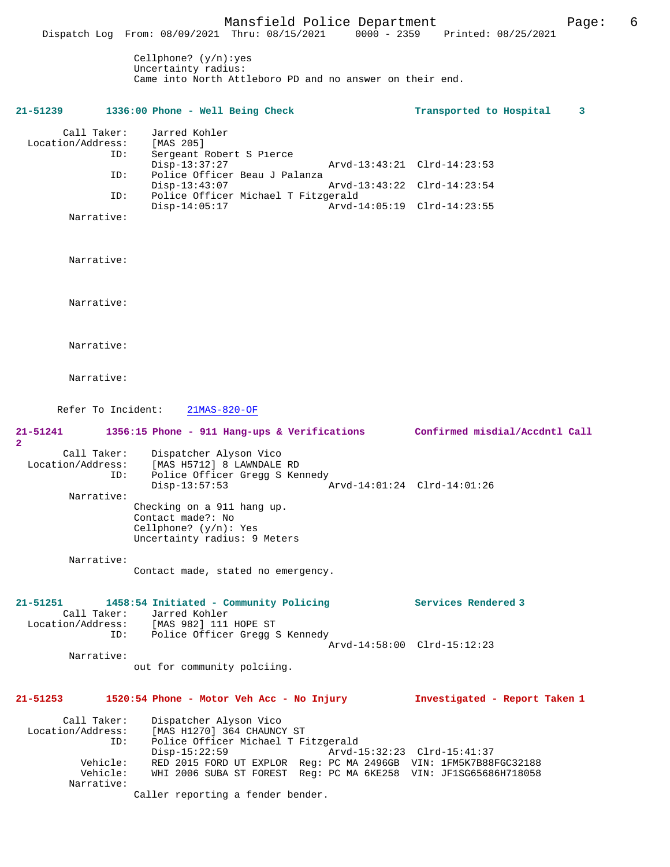Mansfield Police Department Page: 6 Dispatch Log From: 08/09/2021 Thru: 08/15/2021 Cellphone? (y/n):yes Uncertainty radius: Came into North Attleboro PD and no answer on their end. **21-51239 1336:00 Phone - Well Being Check Transported to Hospital 3** Call Taker: Jarred Kohler<br>ion/Address: [MAS 205] Location/Address:<br>ID: Sergeant Robert S Pierce<br>Disp-13:37:27 Disp-13:37:27 Arvd-13:43:21 Clrd-14:23:53<br>ID: Police Officer Beau J Palanza Police Officer Beau J Palanza<br>Disp-13:43:07 Disp-13:43:07 Arvd-13:43:22 Clrd-14:23:54<br>ID: Police Officer Michael T Fitzgerald Police Officer Michael T Fitzgerald Disp-14:05:17 Arvd-14:05:19 Clrd-14:23:55 Narrative: Narrative: Narrative: Narrative: Narrative: Refer To Incident: 21MAS-820-OF **21-51241 1356:15 Phone - 911 Hang-ups & Verifications Confirmed misdial/Accdntl Call** Call Taker: Dispatcher Alyson Vico Location/Address: [MAS H5712] 8 LAWNDALE RD Police Officer Gregg S Kennedy<br>Disp-13:57:53 Disp-13:57:53 Arvd-14:01:24 Clrd-14:01:26 Narrative: Checking on a 911 hang up. Contact made?: No Cellphone? (y/n): Yes Uncertainty radius: 9 Meters Narrative: Contact made, stated no emergency. **21-51251 1458:54 Initiated - Community Policing Services Rendered 3**  Call Taker: Jarred Kohler<br>Location/Address: [MAS 982] 111 ess: [MAS 982] 111 HOPE ST<br>ID: Police Officer Grega Police Officer Gregg S Kennedy Arvd-14:58:00 Clrd-15:12:23 Narrative: out for community polciing. **21-51253 1520:54 Phone - Motor Veh Acc - No Injury Investigated - Report Taken 1** Call Taker: Dispatcher Alyson Vico<br>Location/Address: [MAS H1270] 364 CHAUNC ess: [MAS H1270] 364 CHAUNCY ST<br>ID: Police Officer Michael T F Police Officer Michael T Fitzgerald<br>Disp-15:22:59 Arvd-Disp-15:22:59 <br>
Vehicle: RED 2015 FORD UT EXPLOR Req: PC MA 2496GB VIN: 1FM5K7B881 Vehicle: RED 2015 FORD UT EXPLOR Reg: PC MA 2496GB VIN: 1FM5K7B88FGC32188 Vehicle: WHI 2006 SUBA ST FOREST Reg: PC MA 6KE258 VIN: JF1SG65686H718058 Narrative: Caller reporting a fender bender.

**2**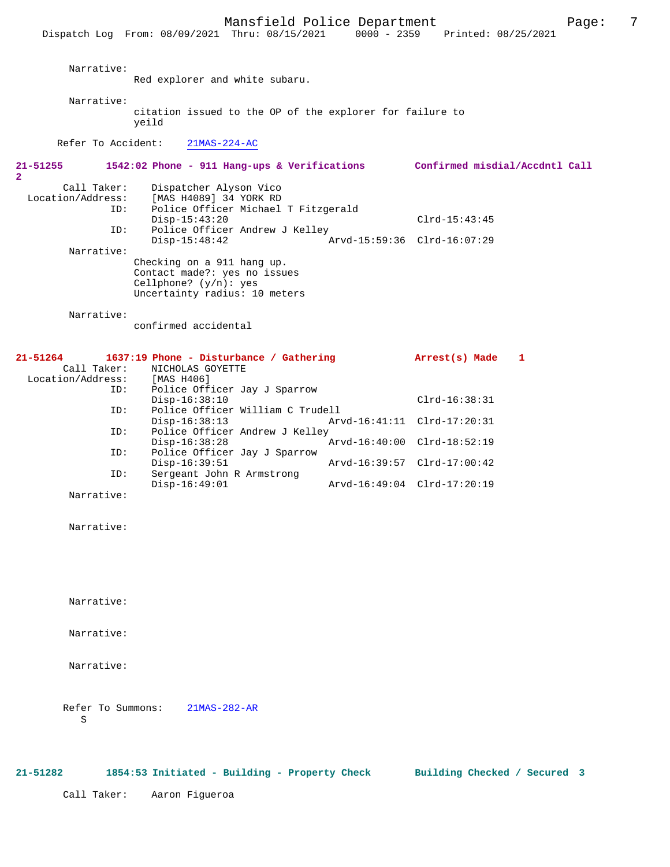**21-51255 1542:02 Phone - 911 Hang-ups & Verifications Confirmed misdial/Accdntl Call 2**  Call Taker: Dispatcher Alyson Vico Location/Address: [MAS H4089] 34 YORK RD<br>ID: Police Officer Michael Police Officer Michael T Fitzgerald Disp-15:43:20 Clrd-15:43:45 ID: Police Officer Andrew J Kelley Disp-15:48:42 Arvd-15:59:36 Clrd-16:07:29 Narrative: Checking on a 911 hang up. Contact made?: yes no issues Cellphone? (y/n): yes Uncertainty radius: 10 meters Narrative: confirmed accidental

| $21 - 51264$      | 1637:19 Phone - Disturbance / Gathering | Arrest(s) Made              |  |
|-------------------|-----------------------------------------|-----------------------------|--|
| Call Taker:       | NICHOLAS GOYETTE                        |                             |  |
| Location/Address: | [MAS H406]                              |                             |  |
| ID:               | Police Officer Jay J Sparrow            |                             |  |
|                   | $Disp-16:38:10$                         | $Clrd-16:38:31$             |  |
| ID:               | Police Officer William C Trudell        |                             |  |
|                   | $Disp-16:38:13$                         | Arvd-16:41:11 Clrd-17:20:31 |  |
| ID:               | Police Officer Andrew J Kelley          |                             |  |
|                   | $Disp-16:38:28$                         | Arvd-16:40:00 Clrd-18:52:19 |  |
| ID:               | Police Officer Jay J Sparrow            |                             |  |
|                   | $Disp-16:39:51$                         | Arvd-16:39:57 Clrd-17:00:42 |  |
| ID:               | Sergeant John R Armstrong               |                             |  |
|                   | $Disp-16:49:01$                         | Arvd-16:49:04 Clrd-17:20:19 |  |
| Narrative:        |                                         |                             |  |

Narrative:

Narrative:

Narrative:

Narrative:

 Refer To Summons: 21MAS-282-AR S<sub>S</sub>

Call Taker: Aaron Figueroa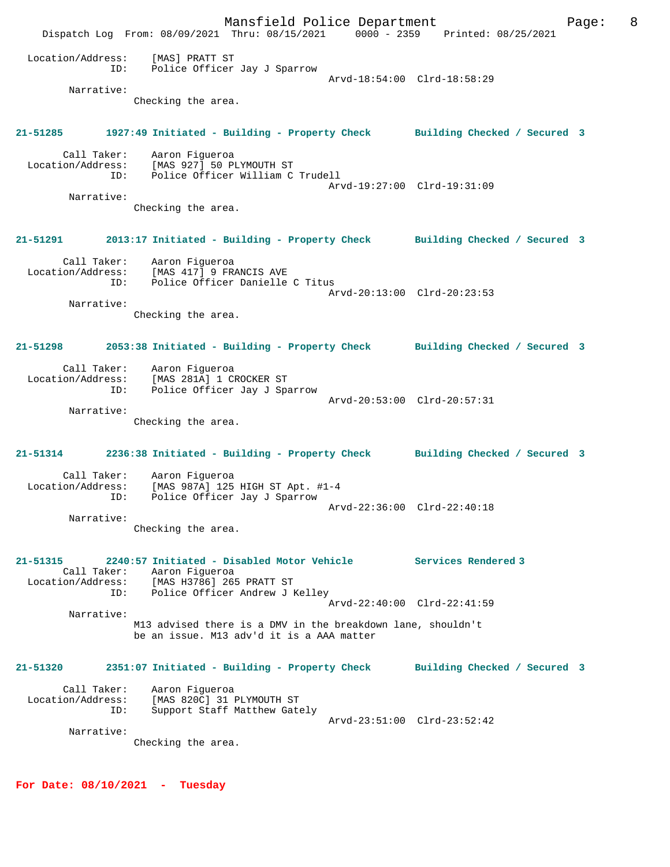Mansfield Police Department The Page: 8 Dispatch Log From: 08/09/2021 Thru: 08/15/2021 0000 - 2359 Printed: 08/25/2021 Location/Address: [MAS] PRATT ST ID: Police Officer Jay J Sparrow Arvd-18:54:00 Clrd-18:58:29 Narrative: Checking the area. **21-51285 1927:49 Initiated - Building - Property Check Building Checked / Secured 3** Call Taker: Aaron Figueroa Location/Address: [MAS 927] 50 PLYMOUTH ST ID: Police Officer William C Trudell Arvd-19:27:00 Clrd-19:31:09 Narrative: Checking the area. **21-51291 2013:17 Initiated - Building - Property Check Building Checked / Secured 3** Call Taker: Aaron Figueroa Location/Address: [MAS 417] 9 FRANCIS AVE ID: Police Officer Danielle C Titus Arvd-20:13:00 Clrd-20:23:53 Narrative: Checking the area. **21-51298 2053:38 Initiated - Building - Property Check Building Checked / Secured 3** Call Taker: Aaron Figueroa Location/Address: [MAS 281A] 1 CROCKER ST ID: Police Officer Jay J Sparrow Arvd-20:53:00 Clrd-20:57:31 Narrative: Checking the area. **21-51314 2236:38 Initiated - Building - Property Check Building Checked / Secured 3** Call Taker: Aaron Figueroa Location/Address: [MAS 987A] 125 HIGH ST Apt. #1-4 ID: Police Officer Jay J Sparrow Arvd-22:36:00 Clrd-22:40:18 Narrative: Checking the area. **21-51315 2240:57 Initiated - Disabled Motor Vehicle Services Rendered 3**  Call Taker: Aaron Figueroa Location/Address: [MAS H3786] 265 PRATT ST ID: Police Officer Andrew J Kelley Arvd-22:40:00 Clrd-22:41:59 Narrative: M13 advised there is a DMV in the breakdown lane, shouldn't be an issue. M13 adv'd it is a AAA matter **21-51320 2351:07 Initiated - Building - Property Check Building Checked / Secured 3** Call Taker: Aaron Figueroa Location/Address: [MAS 820C] 31 PLYMOUTH ST ID: Support Staff Matthew Gately Arvd-23:51:00 Clrd-23:52:42 Narrative: Checking the area.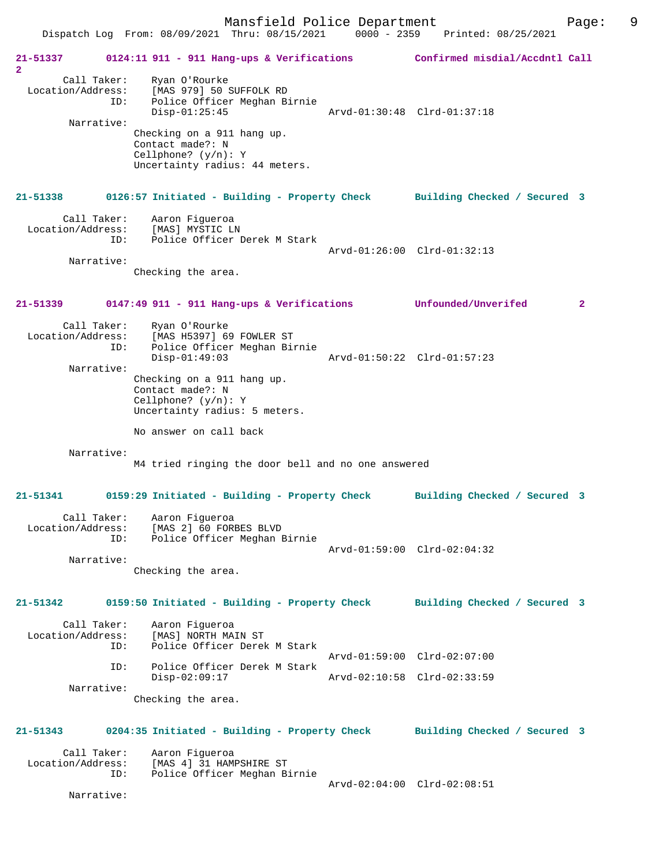| 21-51337<br>2                                         | 0124:11 911 - 911 Hang-ups & Verifications Confirmed misdial/Accdntl Call                                                                                                                                |                              |
|-------------------------------------------------------|----------------------------------------------------------------------------------------------------------------------------------------------------------------------------------------------------------|------------------------------|
| Call Taker:<br>Location/Address:<br>ID:<br>Narrative: | Ryan O'Rourke<br>[MAS 979] 50 SUFFOLK RD<br>Police Officer Meghan Birnie<br>$Disp-01:25:45$<br>Checking on a 911 hang up.<br>Contact made?: N<br>Cellphone? $(y/n): Y$<br>Uncertainty radius: 44 meters. | Arvd-01:30:48 Clrd-01:37:18  |
| 21-51338                                              | 0126:57 Initiated - Building - Property Check Building Checked / Secured 3                                                                                                                               |                              |
| Call Taker:<br>ID:                                    | Aaron Figueroa<br>Location/Address: [MAS] MYSTIC LN<br>Police Officer Derek M Stark                                                                                                                      | Arvd-01:26:00 Clrd-01:32:13  |
| Narrative:                                            | Checking the area.                                                                                                                                                                                       |                              |
| 21-51339                                              | 0147:49 911 - 911 Hang-ups & Verifications Unfounded/Unverifed                                                                                                                                           | $\mathbf{2}$                 |
| Call Taker:<br>Location/Address:<br>ID:<br>Narrative: | Ryan O'Rourke<br>[MAS H5397] 69 FOWLER ST<br>Police Officer Meghan Birnie<br>$Disp-01:49:03$<br>Checking on a 911 hang up.<br>Contact made?: N<br>Cellphone? $(y/n): Y$<br>Uncertainty radius: 5 meters. | Arvd-01:50:22 Clrd-01:57:23  |
| Narrative:                                            | No answer on call back<br>M4 tried ringing the door bell and no one answered                                                                                                                             |                              |
| 21-51341                                              | 0159:29 Initiated - Building - Property Check                                                                                                                                                            | Building Checked / Secured 3 |
| Call Taker:<br>Location/Address:<br>ID:<br>Narrative: | Aaron Figueroa<br>[MAS 2] 60 FORBES BLVD<br>Police Officer Meghan Birnie<br>Checking the area.                                                                                                           | Arvd-01:59:00 Clrd-02:04:32  |
| $21 - 51342$                                          | 0159:50 Initiated - Building - Property Check                                                                                                                                                            | Building Checked / Secured 3 |
| Call Taker:<br>Location/Address:<br>ID:               | Aaron Fiqueroa<br>[MAS] NORTH MAIN ST<br>Police Officer Derek M Stark                                                                                                                                    | Arvd-01:59:00 Clrd-02:07:00  |
| ID:<br>Narrative:                                     | Police Officer Derek M Stark<br>$Disp-02:09:17$<br>Checking the area.                                                                                                                                    | Arvd-02:10:58 Clrd-02:33:59  |
| 21-51343<br>Call Taker:                               | 0204:35 Initiated - Building - Property Check<br>Aaron Figueroa                                                                                                                                          | Building Checked / Secured 3 |
| Location/Address:<br>ID:<br>Narrative:                | [MAS 4] 31 HAMPSHIRE ST<br>Police Officer Meghan Birnie                                                                                                                                                  | Arvd-02:04:00 Clrd-02:08:51  |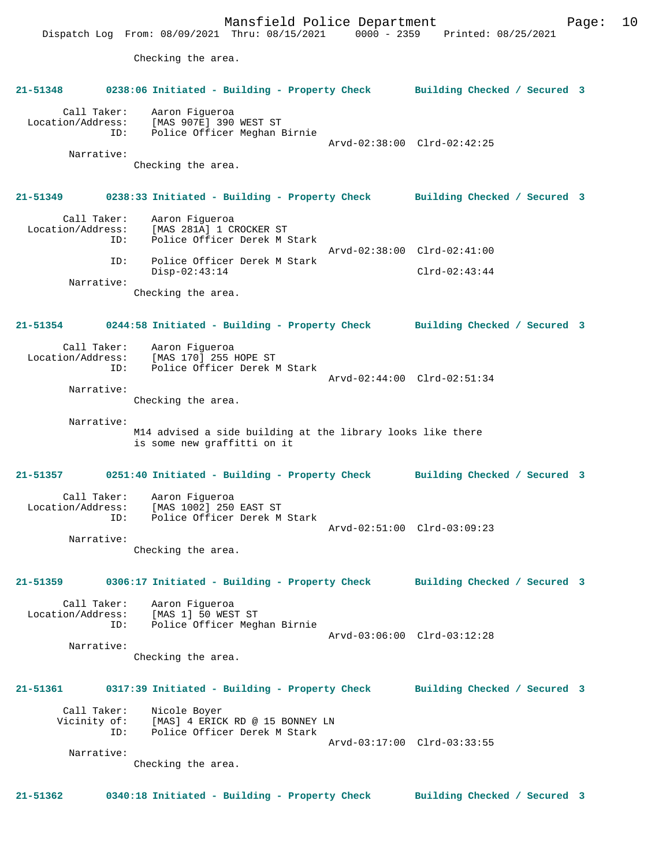Mansfield Police Department Form Page: 10 Dispatch Log From: 08/09/2021 Thru: 08/15/2021 0000 - 2359 Printed: 08/25/2021 Checking the area. **21-51348 0238:06 Initiated - Building - Property Check Building Checked / Secured 3** Call Taker: Aaron Figueroa Location/Address: [MAS 907E] 390 WEST ST Police Officer Meghan Birnie Arvd-02:38:00 Clrd-02:42:25 Narrative: Checking the area. **21-51349 0238:33 Initiated - Building - Property Check Building Checked / Secured 3** Call Taker: Aaron Figueroa Location/Address: [MAS 281A] 1 CROCKER ST<br>TD: Police Officer Derek M S Police Officer Derek M Stark Arvd-02:38:00 Clrd-02:41:00 ID: Police Officer Derek M Stark Disp-02:43:14 Clrd-02:43:44 Narrative: Checking the area. **21-51354 0244:58 Initiated - Building - Property Check Building Checked / Secured 3** Call Taker: Aaron Figueroa Location/Address: [MAS 170] 255 HOPE ST Police Officer Derek M Stark Arvd-02:44:00 Clrd-02:51:34 Narrative: Checking the area. Narrative: M14 advised a side building at the library looks like there is some new graffitti on it **21-51357 0251:40 Initiated - Building - Property Check Building Checked / Secured 3** Call Taker: Aaron Figueroa Location/Address: [MAS 1002] 250 EAST ST Police Officer Derek M Stark Arvd-02:51:00 Clrd-03:09:23 Narrative: Checking the area. **21-51359 0306:17 Initiated - Building - Property Check Building Checked / Secured 3** Call Taker: Aaron Figueroa Location/Address: [MAS 1] 50 WEST ST<br>ID: Police Officer Meg Police Officer Meghan Birnie Arvd-03:06:00 Clrd-03:12:28 Narrative: Checking the area. **21-51361 0317:39 Initiated - Building - Property Check Building Checked / Secured 3** Call Taker: Nicole Boyer<br>Vicinity of: [MAS] 4 ERIC of: [MAS] 4 ERICK RD @ 15 BONNEY LN<br>ID: Police Officer Derek M Stark Police Officer Derek M Stark Arvd-03:17:00 Clrd-03:33:55 Narrative: Checking the area. **21-51362 0340:18 Initiated - Building - Property Check Building Checked / Secured 3**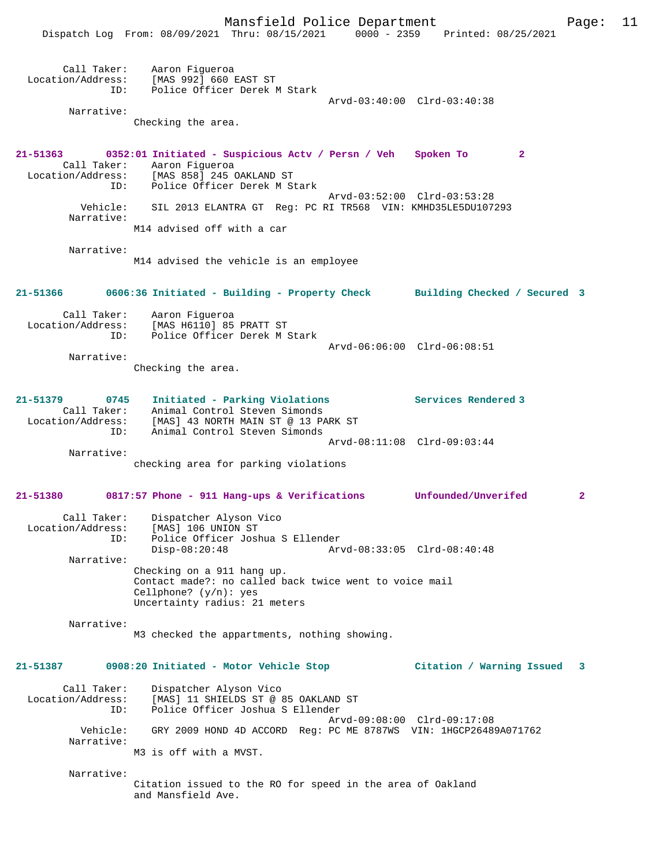|                                         | Dispatch Log From: 08/09/2021 Thru: 08/15/2021 0000 - 2359 Printed: 08/25/2021                                                                                                       |                             |                             |                |
|-----------------------------------------|--------------------------------------------------------------------------------------------------------------------------------------------------------------------------------------|-----------------------------|-----------------------------|----------------|
|                                         | Call Taker: Aaron Figueroa<br>Location/Address: [MAS 992] 660 EAST ST<br>Police Officer Derek M Stark<br>ID:                                                                         |                             | Arvd-03:40:00 Clrd-03:40:38 |                |
| Narrative:                              | Checking the area.                                                                                                                                                                   |                             |                             |                |
|                                         | 21-51363 0352:01 Initiated - Suspicious Actv / Persn / Veh Spoken To<br>Call Taker: Aaron Figueroa<br>Location/Address: [MAS 858] 245 OAKLAND ST<br>ID: Police Officer Derek M Stark |                             | $\mathbf{2}$                |                |
| Narrative:                              | Vehicle: SIL 2013 ELANTRA GT Reg: PC RI TR568 VIN: KMHD35LE5DU107293                                                                                                                 | Arvd-03:52:00 Clrd-03:53:28 |                             |                |
|                                         | M14 advised off with a car                                                                                                                                                           |                             |                             |                |
| Narrative:                              |                                                                                                                                                                                      |                             |                             |                |
|                                         | M14 advised the vehicle is an employee                                                                                                                                               |                             |                             |                |
|                                         | 21-51366 0606:36 Initiated - Building - Property Check Building Checked / Secured 3                                                                                                  |                             |                             |                |
|                                         | Call Taker: Aaron Fiqueroa<br>Location/Address: [MAS H6110] 85 PRATT ST<br>ID: Police Officer Derek M Stark                                                                          |                             |                             |                |
| Narrative:                              | Checking the area.                                                                                                                                                                   |                             | Arvd-06:06:00 Clrd-06:08:51 |                |
| 21-51379                                | 0745 Initiated - Parking Violations<br>Call Taker: Animal Control Steven Simonds<br>Location/Address: [MAS] 43 NORTH MAIN ST @ 13 PARK ST                                            |                             | Services Rendered 3         |                |
| ID:                                     | Animal Control Steven Simonds                                                                                                                                                        |                             | Arvd-08:11:08 Clrd-09:03:44 |                |
| Narrative:                              | checking area for parking violations                                                                                                                                                 |                             |                             |                |
|                                         | $21-51380$ 0817:57 Phone - 911 Hang-ups & Verifications                                                                                                                              |                             | Unfounded/Unverifed         | $\overline{a}$ |
| Call Taker:<br>Location/Address:<br>ID: | Dispatcher Alyson Vico<br>[MAS] 106 UNION ST<br>Police Officer Joshua S Ellender                                                                                                     |                             |                             |                |
| Narrative:                              | $Disp-08:20:48$                                                                                                                                                                      |                             | Arvd-08:33:05 Clrd-08:40:48 |                |
|                                         | Checking on a 911 hang up.<br>Contact made?: no called back twice went to voice mail<br>Cellphone? $(y/n)$ : yes<br>Uncertainty radius: 21 meters                                    |                             |                             |                |
| Narrative:                              | M3 checked the appartments, nothing showing.                                                                                                                                         |                             |                             |                |
| 21-51387                                | 0908:20 Initiated - Motor Vehicle Stop                                                                                                                                               |                             | Citation / Warning Issued 3 |                |
| Call Taker:<br>Location/Address:<br>ID: | Dispatcher Alyson Vico<br>[MAS] 11 SHIELDS ST @ 85 OAKLAND ST<br>Police Officer Joshua S Ellender                                                                                    |                             |                             |                |
| Vehicle:<br>Narrative:                  | GRY 2009 HOND 4D ACCORD Reg: PC ME 8787WS VIN: 1HGCP26489A071762                                                                                                                     | Arvd-09:08:00 Clrd-09:17:08 |                             |                |
|                                         | M3 is off with a MVST.                                                                                                                                                               |                             |                             |                |
| Narrative:                              | Citation issued to the RO for speed in the area of Oakland                                                                                                                           |                             |                             |                |

Citation issued to the RO for speed in the area of Oakland and Mansfield Ave.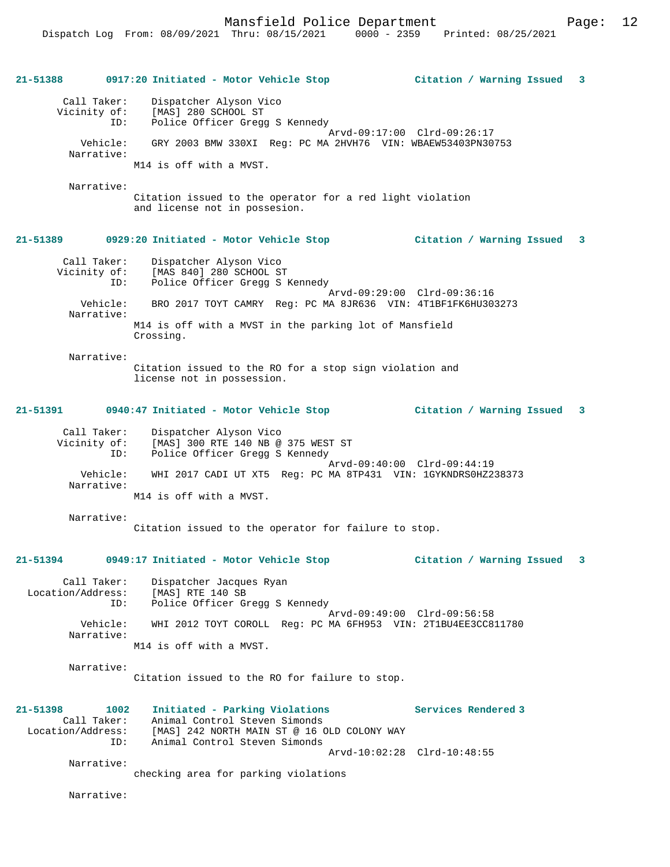Mansfield Police Department Fage: 12

**21-51388 0917:20 Initiated - Motor Vehicle Stop Citation / Warning Issued 3** Call Taker: Dispatcher Alyson Vico Vicinity of: [MAS] 280 SCHOOL ST<br>ID: Police Officer Gregg Police Officer Gregg S Kennedy Arvd-09:17:00 Clrd-09:26:17 Vehicle: GRY 2003 BMW 330XI Reg: PC MA 2HVH76 VIN: WBAEW53403PN30753 Narrative: M14 is off with a MVST. Narrative: Citation issued to the operator for a red light violation and license not in possesion. **21-51389 0929:20 Initiated - Motor Vehicle Stop Citation / Warning Issued 3** Call Taker: Dispatcher Alyson Vico Vicinity of: [MAS 840] 280 SCHOOL ST ID: Police Officer Gregg S Kennedy Arvd-09:29:00 Clrd-09:36:16 Vehicle: BRO 2017 TOYT CAMRY Reg: PC MA 8JR636 VIN: 4T1BF1FK6HU303273 Narrative: M14 is off with a MVST in the parking lot of Mansfield Crossing. Narrative: Citation issued to the RO for a stop sign violation and license not in possession. **21-51391 0940:47 Initiated - Motor Vehicle Stop Citation / Warning Issued 3** Call Taker: Dispatcher Alyson Vico Vicinity of: [MAS] 300 RTE 140 NB @ 375 WEST ST ID: Police Officer Gregg S Kennedy Arvd-09:40:00 Clrd-09:44:19<br>Vehicle: WHI 2017 CADI UT XT5 Reg: PC MA 8TP431 VIN: 1GYKNDRS0HZ2 Vehicle: WHI 2017 CADI UT XT5 Reg: PC MA 8TP431 VIN: 1GYKNDRS0HZ238373 Narrative: M14 is off with a MVST. Narrative: Citation issued to the operator for failure to stop. **21-51394 0949:17 Initiated - Motor Vehicle Stop Citation / Warning Issued 3** Call Taker: Dispatcher Jacques Ryan Location/Address: [MAS] RTE 140 SB ID: Police Officer Gregg S Kennedy Arvd-09:49:00 Clrd-09:56:58<br>Vehicle: WHI 2012 TOYT COROLL Reg: PC MA 6FH953 VIN: 2T1BU4EE3CC8 WHI 2012 TOYT COROLL Reg: PC MA 6FH953 VIN: 2T1BU4EE3CC811780 Narrative: M14 is off with a MVST. Narrative: Citation issued to the RO for failure to stop. **21-51398 1002 Initiated - Parking Violations Services Rendered 3**  Animal Control Steven Simonds Location/Address: [MAS] 242 NORTH MAIN ST @ 16 OLD COLONY WAY ID: Animal Control Steven Simonds Arvd-10:02:28 Clrd-10:48:55 Narrative: checking area for parking violations Narrative: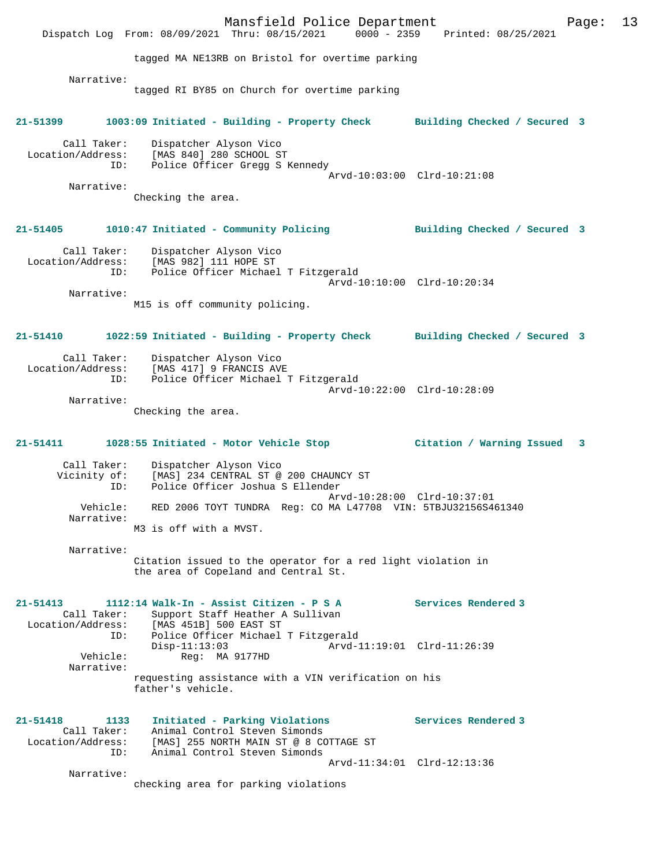Mansfield Police Department Page: 13 Dispatch Log From: 08/09/2021 Thru: 08/15/2021 tagged MA NE13RB on Bristol for overtime parking Narrative: tagged RI BY85 on Church for overtime parking **21-51399 1003:09 Initiated - Building - Property Check Building Checked / Secured 3** Call Taker: Dispatcher Alyson Vico Location/Address: [MAS 840] 280 SCHOOL ST ID: Police Officer Gregg S Kennedy Arvd-10:03:00 Clrd-10:21:08 Narrative: Checking the area. **21-51405 1010:47 Initiated - Community Policing Building Checked / Secured 3** Call Taker: Dispatcher Alyson Vico Location/Address: [MAS 982] 111 HOPE ST ID: Police Officer Michael T Fitzgerald Arvd-10:10:00 Clrd-10:20:34 Narrative: M15 is off community policing. **21-51410 1022:59 Initiated - Building - Property Check Building Checked / Secured 3** Call Taker: Dispatcher Alyson Vico Location/Address: [MAS 417] 9 FRANCIS AVE ID: Police Officer Michael T Fitzgerald Arvd-10:22:00 Clrd-10:28:09 Narrative: Checking the area. **21-51411 1028:55 Initiated - Motor Vehicle Stop Citation / Warning Issued 3** Call Taker: Dispatcher Alyson Vico Vicinity of: [MAS] 234 CENTRAL ST @ 200 CHAUNCY ST<br>ID: Police Officer Joshua S Ellender Police Officer Joshua S Ellender Arvd-10:28:00 Clrd-10:37:01 Vehicle: RED 2006 TOYT TUNDRA Reg: CO MA L47708 VIN: 5TBJU32156S461340 Narrative: M3 is off with a MVST. Narrative: Citation issued to the operator for a red light violation in the area of Copeland and Central St. **21-51413 1112:14 Walk-In - Assist Citizen - P S A Services Rendered 3**  Call Taker: Support Staff Heather A Sullivan<br>Location/Address: [MAS 451B] 500 EAST ST Location/Address: [MAS 451B] 500 EAST ST ID: Police Officer Michael T Fitzgerald Disp-11:13:03 Arvd-11:19:01 Clrd-11:26:39 Vehicle: Reg: MA 9177HD Narrative: requesting assistance with a VIN verification on his father's vehicle. **21-51418 1133 Initiated - Parking Violations Services Rendered 3**  Call Taker: Animal Control Steven Simonds<br>Location/Address: [MAS] 255 NORTH MAIN ST @ 8 CO ess: [MAS] 255 NORTH MAIN ST @ 8 COTTAGE ST<br>TD: Animal Control Steven Simonds Animal Control Steven Simonds Arvd-11:34:01 Clrd-12:13:36 Narrative: checking area for parking violations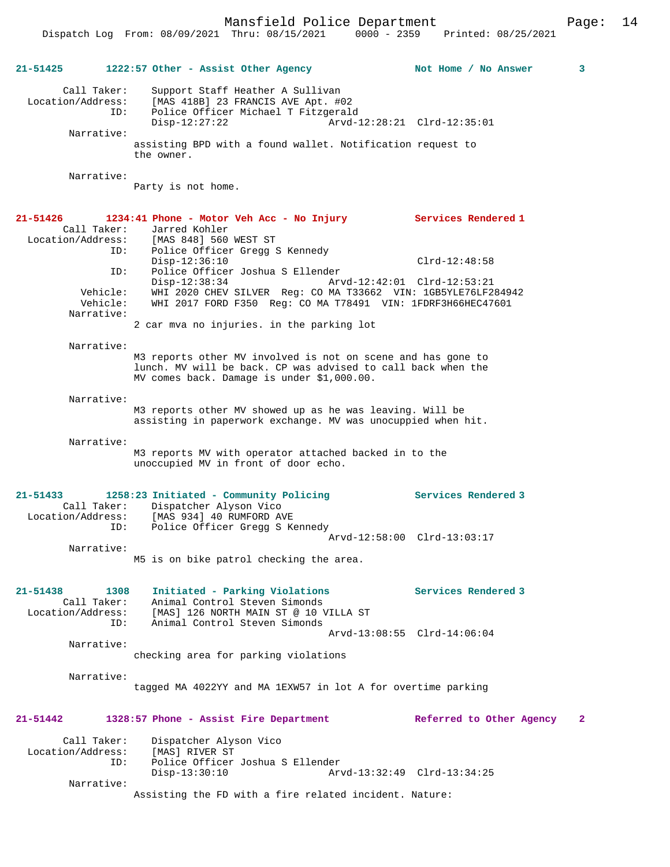Dispatch Log From: 08/09/2021 Thru: 08/15/2021 0000 - 2359 Printed: 08/25/2021

|                               |                                    | 21-51425 1222:57 Other - Assist Other Agency                                                                                                                               | $\mathbf{3}$<br>Not Home / No Answer     |  |
|-------------------------------|------------------------------------|----------------------------------------------------------------------------------------------------------------------------------------------------------------------------|------------------------------------------|--|
| Location/Address:             | Call Taker:<br>ID:                 | Support Staff Heather A Sullivan<br>[MAS 418B] 23 FRANCIS AVE Apt. #02<br>Police Officer Michael T Fitzgerald                                                              |                                          |  |
|                               |                                    | $Disp-12:27:22$                                                                                                                                                            | Arvd-12:28:21 Clrd-12:35:01              |  |
|                               | Narrative:                         | assisting BPD with a found wallet. Notification request to<br>the owner.                                                                                                   |                                          |  |
|                               | Narrative:                         |                                                                                                                                                                            |                                          |  |
|                               |                                    | Party is not home.                                                                                                                                                         |                                          |  |
| 21-51426                      |                                    | 1234:41 Phone - Motor Veh Acc - No Injury                                                                                                                                  | Services Rendered 1                      |  |
|                               | Call Taker:                        | Jarred Kohler<br>Location/Address: [MAS 848] 560 WEST ST                                                                                                                   |                                          |  |
|                               | ID:                                | Police Officer Gregg S Kennedy                                                                                                                                             |                                          |  |
|                               |                                    | $Disp-12:36:10$                                                                                                                                                            | $Clrd-12:48:58$                          |  |
|                               | ID:                                | Police Officer Joshua S Ellender<br>$Disp-12:38:34$                                                                                                                        | Arvd-12:42:01 Clrd-12:53:21              |  |
|                               | Vehicle:<br>Vehicle:<br>Narrative: | WHI 2020 CHEV SILVER Req: CO MA T33662 VIN: 1GB5YLE76LF284942<br>WHI 2017 FORD F350 Req: CO MA T78491 VIN: 1FDRF3H66HEC47601                                               |                                          |  |
|                               |                                    | 2 car mva no injuries. in the parking lot                                                                                                                                  |                                          |  |
|                               | Narrative:                         |                                                                                                                                                                            |                                          |  |
|                               |                                    | M3 reports other MV involved is not on scene and has gone to<br>lunch. MV will be back. CP was advised to call back when the<br>MV comes back. Damage is under \$1,000.00. |                                          |  |
|                               | Narrative:                         |                                                                                                                                                                            |                                          |  |
|                               |                                    | M3 reports other MV showed up as he was leaving. Will be<br>assisting in paperwork exchange. MV was unocuppied when hit.                                                   |                                          |  |
|                               | Narrative:                         |                                                                                                                                                                            |                                          |  |
|                               |                                    | M3 reports MV with operator attached backed in to the<br>unoccupied MV in front of door echo.                                                                              |                                          |  |
| $21 - 51433$                  |                                    | 1258:23 Initiated - Community Policing                                                                                                                                     | <b>Services Rendered 3</b>               |  |
| Location/Address:             | Call Taker:<br>ID:                 | Dispatcher Alyson Vico<br>[MAS 934] 40 RUMFORD AVE<br>Police Officer Gregg S Kennedy                                                                                       |                                          |  |
|                               |                                    |                                                                                                                                                                            | Arvd-12:58:00 Clrd-13:03:17              |  |
|                               | Narrative:                         | M5 is on bike patrol checking the area.                                                                                                                                    |                                          |  |
|                               |                                    |                                                                                                                                                                            |                                          |  |
| 21-51438<br>Location/Address: | 1308<br>Call Taker:<br>ID:         | Initiated - Parking Violations<br>Animal Control Steven Simonds<br>[MAS] 126 NORTH MAIN ST @ 10 VILLA ST<br>Animal Control Steven Simonds                                  | Services Rendered 3                      |  |
|                               |                                    |                                                                                                                                                                            | Arvd-13:08:55 Clrd-14:06:04              |  |
|                               | Narrative:                         | checking area for parking violations                                                                                                                                       |                                          |  |
|                               | Narrative:                         |                                                                                                                                                                            |                                          |  |
|                               |                                    | tagged MA 4022YY and MA 1EXW57 in lot A for overtime parking                                                                                                               |                                          |  |
| $21 - 51442$                  |                                    | 1328:57 Phone - Assist Fire Department                                                                                                                                     | Referred to Other Agency<br>$\mathbf{2}$ |  |
| Location/Address:             | Call Taker:<br>ID:                 | Dispatcher Alyson Vico<br>[MAS] RIVER ST<br>Police Officer Joshua S Ellender                                                                                               |                                          |  |
|                               |                                    | $Disp-13:30:10$                                                                                                                                                            | Arvd-13:32:49 Clrd-13:34:25              |  |
|                               | Narrative:                         | Assisting the FD with a fire related incident. Nature:                                                                                                                     |                                          |  |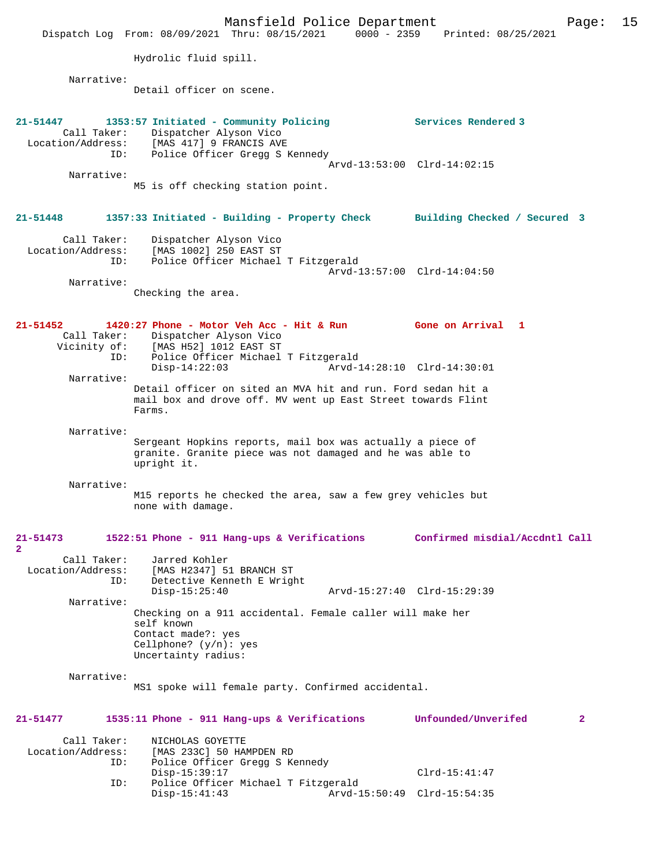Mansfield Police Department Page: 15 Dispatch Log From: 08/09/2021 Thru: 08/15/2021 Hydrolic fluid spill. Narrative: Detail officer on scene. **21-51447 1353:57 Initiated - Community Policing Services Rendered 3**  Call Taker: Dispatcher Alyson Vico Location/Address: [MAS 417] 9 FRANCIS AVE ID: Police Officer Gregg S Kennedy Arvd-13:53:00 Clrd-14:02:15 Narrative: M5 is off checking station point. **21-51448 1357:33 Initiated - Building - Property Check Building Checked / Secured 3** Call Taker: Dispatcher Alyson Vico Location/Address: [MAS 1002] 250 EAST ST Police Officer Michael T Fitzgerald Arvd-13:57:00 Clrd-14:04:50 Narrative: Checking the area. **21-51452 1420:27 Phone - Motor Veh Acc - Hit & Run Gone on Arrival 1**  Call Taker: Dispatcher Alyson Vico<br>Vicinity of: [MAS H52] 1012 EAST ST [MAS H52] 1012 EAST ST ID: Police Officer Michael T Fitzgerald<br>Disp-14:22:03 Arvd-1 Disp-14:22:03 Arvd-14:28:10 Clrd-14:30:01 Narrative: Detail officer on sited an MVA hit and run. Ford sedan hit a mail box and drove off. MV went up East Street towards Flint Farms. Narrative: Sergeant Hopkins reports, mail box was actually a piece of granite. Granite piece was not damaged and he was able to upright it. Narrative: M15 reports he checked the area, saw a few grey vehicles but none with damage. **21-51473 1522:51 Phone - 911 Hang-ups & Verifications Confirmed misdial/Accdntl Call 2**  Call Taker: Jarred Kohler<br>Location/Address: [MAS H2347] 5 [MAS H2347] 51 BRANCH ST ID: Detective Kenneth E Wright Disp-15:25:40 Arvd-15:27:40 Clrd-15:29:39 Narrative: Checking on a 911 accidental. Female caller will make her self known Contact made?: yes Cellphone? (y/n): yes Uncertainty radius: Narrative: MS1 spoke will female party. Confirmed accidental. **21-51477 1535:11 Phone - 911 Hang-ups & Verifications Unfounded/Unverifed 2** Call Taker: NICHOLAS GOYETTE<br>Location/Address: [MAS 233C] 50 HAI [MAS 233C] 50 HAMPDEN RD ID: Police Officer Gregg S Kennedy Disp-15:39:17 Clrd-15:41:47<br>TD: Police Officer Michael T Fitzgerald Police Officer Michael T Fitzgerald<br>Disp-15:41:43 Arvd-1 Arvd-15:50:49 Clrd-15:54:35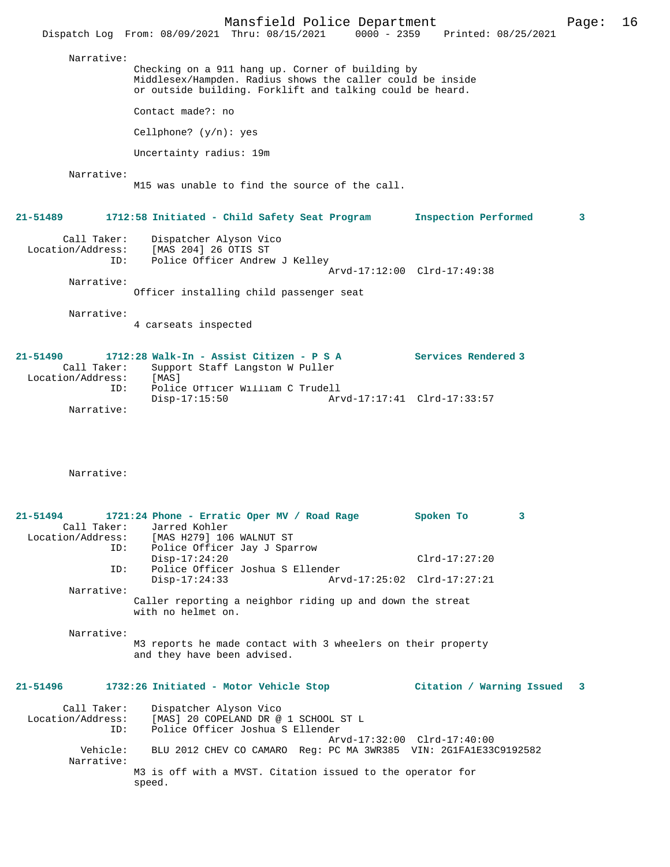Mansfield Police Department Page: 16 Dispatch Log From: 08/09/2021 Thru: 08/15/2021 Narrative: Checking on a 911 hang up. Corner of building by Middlesex/Hampden. Radius shows the caller could be inside or outside building. Forklift and talking could be heard. Contact made?: no Cellphone? (y/n): yes Uncertainty radius: 19m Narrative: M15 was unable to find the source of the call. **21-51489 1712:58 Initiated - Child Safety Seat Program Inspection Performed 3** Call Taker: Dispatcher Alyson Vico Location/Address: [MAS 204] 26 OTIS ST ID: Police Officer Andrew J Kelley Arvd-17:12:00 Clrd-17:49:38 Narrative: Officer installing child passenger seat Narrative: 4 carseats inspected **21-51490 1712:28 Walk-In - Assist Citizen - P S A Services Rendered 3** 

Call Taker: Support Staff Langston W Puller<br>.on/Address: [MAS] Location/Address:<br>ID: Police Officer William C Trudell<br>Disp-17:15:50 Arv Disp-17:15:50 Arvd-17:17:41 Clrd-17:33:57 Narrative:

Narrative:

speed.

| $21 - 51494$ | 1721:24 Phone - Erratic Oper MV / Road Rage                                     | 3<br>Spoken To              |  |
|--------------|---------------------------------------------------------------------------------|-----------------------------|--|
|              | Call Taker: Jarred Kohler                                                       |                             |  |
|              | Location/Address: [MAS H279] 106 WALNUT ST                                      |                             |  |
|              | ID: Police Officer Jay J Sparrow                                                |                             |  |
|              | $Disp-17:24:20$                                                                 | $Clrd-17:27:20$             |  |
| ID:          | Police Officer Joshua S Ellender                                                |                             |  |
|              | $Disp-17:24:33$                                                                 |                             |  |
| Narrative:   |                                                                                 |                             |  |
|              | Caller reporting a neighbor riding up and down the streat<br>with no helmet on. |                             |  |
| Narrative:   |                                                                                 |                             |  |
|              | M3 reports he made contact with 3 wheelers on their property                    |                             |  |
|              | and they have been advised.                                                     |                             |  |
|              |                                                                                 |                             |  |
| $21 - 51496$ | 1732:26 Initiated - Motor Vehicle Stop                                          | Citation / Warning Issued 3 |  |
|              | Call Taker: Dispatcher Alyson Vico                                              |                             |  |
|              | Location/Address: [MAS] 20 COPELAND DR @ 1 SCHOOL ST L                          |                             |  |
| ID:          | Police Officer Joshua S Ellender                                                |                             |  |
|              |                                                                                 | Arvd-17:32:00 Clrd-17:40:00 |  |
| Vehicle:     | BLU 2012 CHEV CO CAMARO Req: PC MA 3WR385 VIN: 2G1FA1E33C9192582                |                             |  |
| Narrative:   |                                                                                 |                             |  |
|              | M3 is off with a MVST. Citation issued to the operator for                      |                             |  |
|              |                                                                                 |                             |  |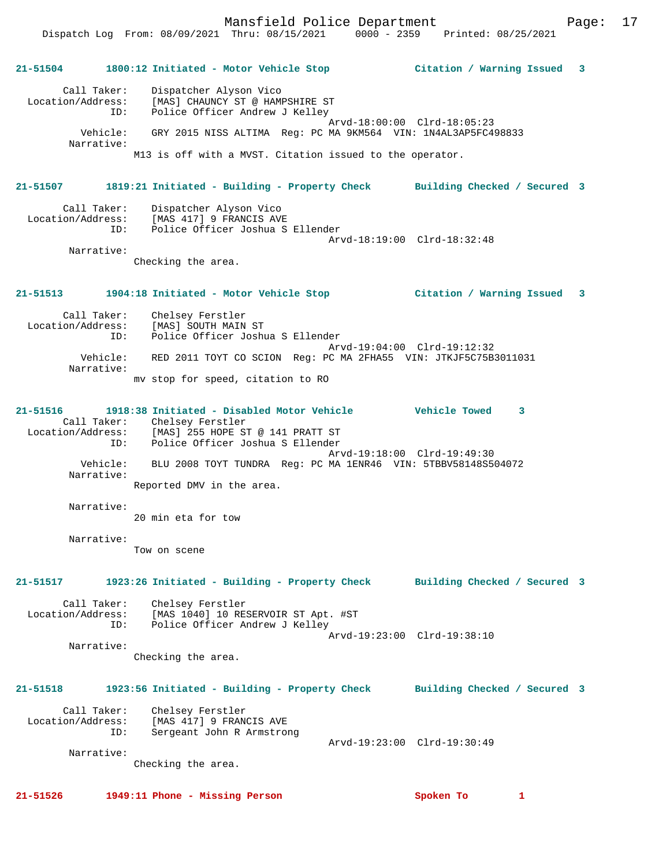Mansfield Police Department Page: 17

**21-51504 1800:12 Initiated - Motor Vehicle Stop Citation / Warning Issued 3**

# Call Taker: Dispatcher Alyson Vico Location/Address: [MAS] CHAUNCY ST @ HAMPSHIRE ST ID: Police Officer Andrew J Kelley Arvd-18:00:00 Clrd-18:05:23 Vehicle: GRY 2015 NISS ALTIMA Reg: PC MA 9KM564 VIN: 1N4AL3AP5FC498833 Narrative: M13 is off with a MVST. Citation issued to the operator. **21-51507 1819:21 Initiated - Building - Property Check Building Checked / Secured 3** Call Taker: Dispatcher Alyson Vico Location/Address: [MAS 417] 9 FRANCIS AVE ID: Police Officer Joshua S Ellender Arvd-18:19:00 Clrd-18:32:48 Narrative: Checking the area. **21-51513 1904:18 Initiated - Motor Vehicle Stop Citation / Warning Issued 3** Call Taker: Chelsey Ferstler Location/Address: [MAS] SOUTH MAIN ST ID: Police Officer Joshua S Ellender Arvd-19:04:00 Clrd-19:12:32 Vehicle: RED 2011 TOYT CO SCION Reg: PC MA 2FHA55 VIN: JTKJF5C75B3011031 Narrative: mv stop for speed, citation to RO **21-51516 1918:38 Initiated - Disabled Motor Vehicle Vehicle Towed 3**  Call Taker: Chelsey Ferstler Location/Address: [MAS] 255 HOPE ST @ 141 PRATT ST ID: Police Officer Joshua S Ellender Arvd-19:18:00 Clrd-19:49:30 Vehicle: BLU 2008 TOYT TUNDRA Reg: PC MA 1ENR46 VIN: 5TBBV58148S504072 Narrative: Reported DMV in the area. Narrative: 20 min eta for tow Narrative: Tow on scene **21-51517 1923:26 Initiated - Building - Property Check Building Checked / Secured 3** Call Taker: Chelsey Ferstler Location/Address: [MAS 1040] 10 RESERVOIR ST Apt. #ST ID: Police Officer Andrew J Kelley Arvd-19:23:00 Clrd-19:38:10 Narrative: Checking the area. **21-51518 1923:56 Initiated - Building - Property Check Building Checked / Secured 3** Call Taker: Chelsey Ferstler Location/Address: [MAS 417] 9 FRANCIS AVE ID: Sergeant John R Armstrong Arvd-19:23:00 Clrd-19:30:49 Narrative: Checking the area. **21-51526 1949:11 Phone - Missing Person Spoken To 1**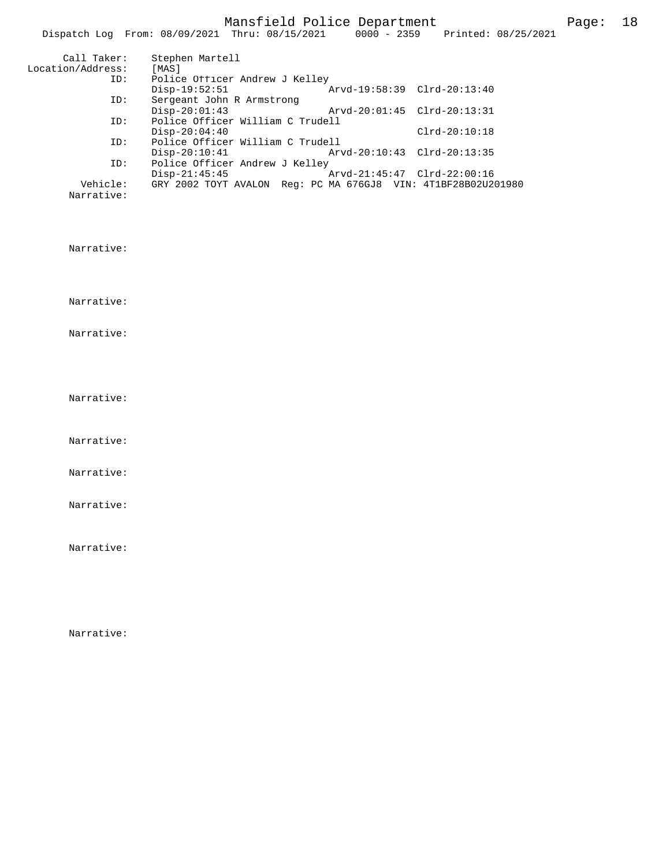|                   | Dispatch Log From: 08/09/2021 Thru: 08/15/2021                |                             | 0000 - 2359 Printed: 08/25/2021 |
|-------------------|---------------------------------------------------------------|-----------------------------|---------------------------------|
| Call Taker:       | Stephen Martell                                               |                             |                                 |
| Location/Address: | [MAS]                                                         |                             |                                 |
| ID:               | Police Officer Andrew J Kelley                                |                             |                                 |
|                   | $Disp-19:52:51$                                               | Arvd-19:58:39 Clrd-20:13:40 |                                 |
| ID:               | Sergeant John R Armstrong                                     |                             |                                 |
|                   | $Disp-20:01:43$                                               | Arvd-20:01:45 Clrd-20:13:31 |                                 |
| ID:               | Police Officer William C Trudell                              |                             |                                 |
|                   | $Disp-20:04:40$                                               |                             | $Clrd-20:10:18$                 |
| ID:               | Police Officer William C Trudell                              |                             |                                 |
|                   | $Disp-20:10:41$                                               | Arvd-20:10:43 Clrd-20:13:35 |                                 |
| ID:               | Police Officer Andrew J Kelley                                |                             |                                 |
|                   | $Disp-21:45:45$                                               | Arvd-21:45:47 Clrd-22:00:16 |                                 |
| Vehicle:          | GRY 2002 TOYT AVALON Req: PC MA 676GJ8 VIN: 4T1BF28B02U201980 |                             |                                 |
| Narrative:        |                                                               |                             |                                 |

Narrative:

Narrative:

Narrative:

Narrative:

Narrative:

Narrative:

Narrative:

Narrative:

Narrative: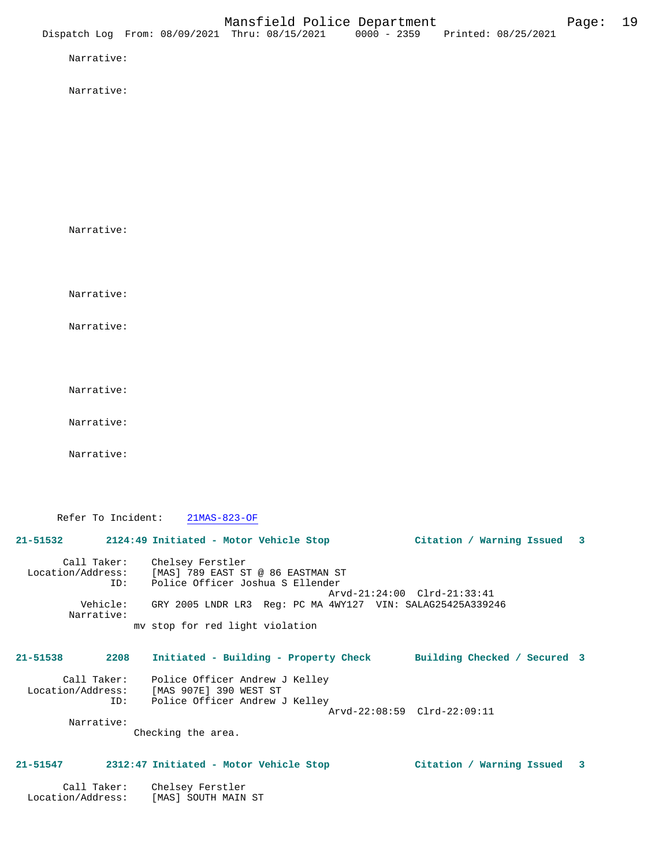Narrative:

Narrative:

Narrative:

Narrative:

Narrative:

Narrative:

Narrative:

Narrative:

Refer To Incident: 21MAS-823-OF

## **21-51532 2124:49 Initiated - Motor Vehicle Stop Citation / Warning Issued 3**

 Call Taker: Chelsey Ferstler Location/Address: [MAS] 789 EAST ST @ 86 EASTMAN ST ID: Police Officer Joshua S Ellender Arvd-21:24:00 Clrd-21:33:41 Vehicle: GRY 2005 LNDR LR3 Reg: PC MA 4WY127 VIN: SALAG25425A339246 Narrative: mv stop for red light violation

## **21-51538 2208 Initiated - Building - Property Check Building Checked / Secured 3**

 Call Taker: Police Officer Andrew J Kelley Location/Address: [MAS 907E] 390 WEST ST ID: Police Officer Andrew J Kelley Arvd-22:08:59 Clrd-22:09:11 Narrative:

Checking the area.

#### **21-51547 2312:47 Initiated - Motor Vehicle Stop Citation / Warning Issued 3**

 Call Taker: Chelsey Ferstler Location/Address: [MAS] SOUTH MAIN ST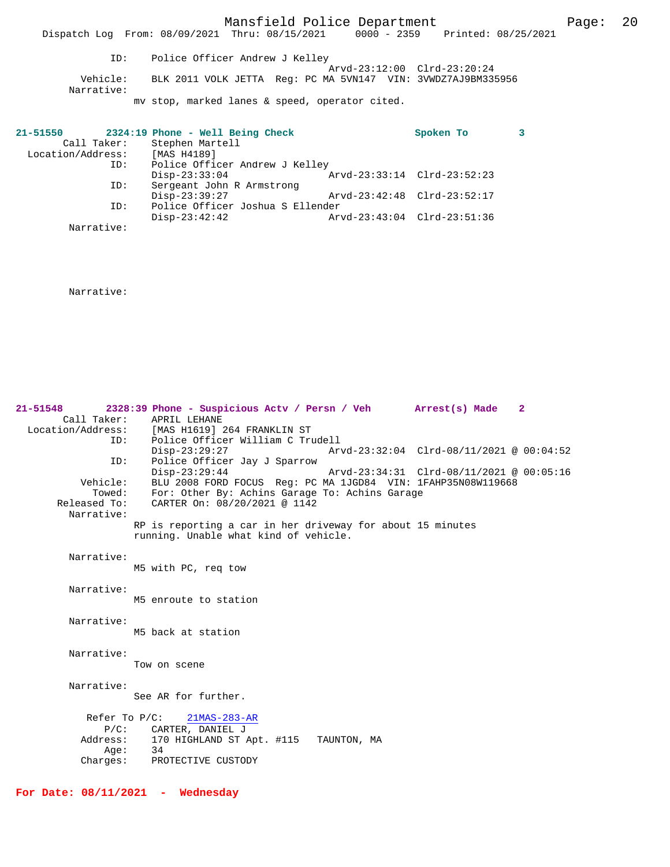Mansfield Police Department Fage: 20

 Dispatch Log From: 08/09/2021 Thru: 08/15/2021 0000 - 2359 Printed: 08/25/2021 ID: Police Officer Andrew J Kelley Arvd-23:12:00 Clrd-23:20:24 Vehicle: BLK 2011 VOLK JETTA Reg: PC MA 5VN147 VIN: 3VWDZ7AJ9BM335956 Narrative: mv stop, marked lanes & speed, operator cited.

| 21-51550          |             | 2324:19 Phone - Well Being Check | Spoken To                   |  |
|-------------------|-------------|----------------------------------|-----------------------------|--|
|                   | Call Taker: | Stephen Martell                  |                             |  |
| Location/Address: |             | [MAS H4189]                      |                             |  |
| ID:               |             | Police Officer Andrew J Kelley   |                             |  |
|                   |             | $Disp-23:33:04$                  | Arvd-23:33:14 Clrd-23:52:23 |  |
|                   | ID:         | Sergeant John R Armstrong        |                             |  |
|                   |             | $Disp-23:39:27$                  | Arvd-23:42:48 Clrd-23:52:17 |  |
|                   | ID:         | Police Officer Joshua S Ellender |                             |  |
|                   |             | $Disp-23:42:42$                  | Arvd-23:43:04 Clrd-23:51:36 |  |
|                   | Narrative:  |                                  |                             |  |

Narrative:

**21-51548 2328:39 Phone - Suspicious Actv / Persn / Veh Arrest(s) Made 2**  Call Taker: APRIL LEHANE Location/Address: [MAS H1619] 264 FRANKLIN ST ID: Police Officer William C Trudell Disp-23:29:27 Arvd-23:32:04 Clrd-08/11/2021 @ 00:04:52<br>ID: Police Officer Jay J Sparrow Disp-23:29:27<br>Disp-23:29:27<br>Disp-23:29:44 Disp-23:29:44 Arvd-23:34:31 Clrd-08/11/2021 @ 00:05:16 Vehicle: BLU 2008 FORD FOCUS Reg: PC MA 1JGD84 VIN: 1FAHP35N08W119668 Towed: For: Other By: Achins Garage To: Achins Garage Released To: CARTER On: 08/20/2021 @ 1142 Narrative: RP is reporting a car in her driveway for about 15 minutes running. Unable what kind of vehicle. Narrative: M5 with PC, req tow Narrative: M5 enroute to station Narrative: M5 back at station Narrative: Tow on scene Narrative: See AR for further. Refer To P/C: 21MAS-283-AR P/C: CARTER, DANIEL J<br>Address: 170 HIGHLAND ST *1* 170 HIGHLAND ST Apt. #115 TAUNTON, MA<br>34 Age:<br>:Charges PROTECTIVE CUSTODY

**For Date: 08/11/2021 - Wednesday**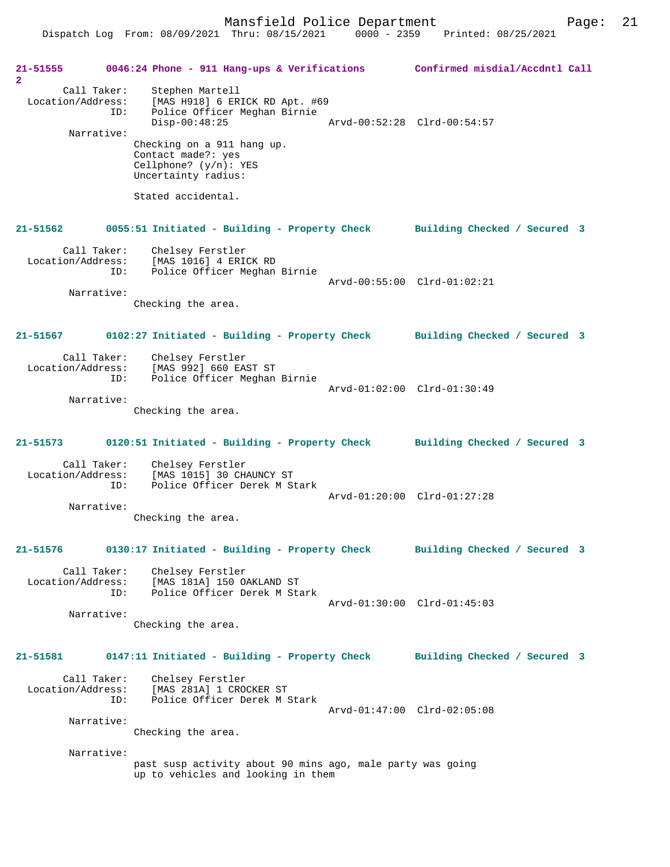Dispatch Log From: 08/09/2021 Thru: 08/15/2021 0000 - 2359 Printed: 08/25/2021

**21-51555 0046:24 Phone - 911 Hang-ups & Verifications Confirmed misdial/Accdntl Call 2**  Call Taker: Stephen Martell Location/Address: [MAS H918] 6 ERICK RD Apt. #69 ID: Police Officer Meghan Birnie Disp-00:48:25 Arvd-00:52:28 Clrd-00:54:57 Narrative: Checking on a 911 hang up. Contact made?: yes Cellphone? (y/n): YES Uncertainty radius: Stated accidental. **21-51562 0055:51 Initiated - Building - Property Check Building Checked / Secured 3** Call Taker: Chelsey Ferstler Location/Address: [MAS 1016] 4 ERICK RD<br>ID: Police Officer Meghan Police Officer Meghan Birnie Arvd-00:55:00 Clrd-01:02:21 Narrative: Checking the area. **21-51567 0102:27 Initiated - Building - Property Check Building Checked / Secured 3** Call Taker: Chelsey Ferstler Location/Address: [MAS 992] 660 EAST ST ID: Police Officer Meghan Birnie Arvd-01:02:00 Clrd-01:30:49 Narrative: Checking the area. **21-51573 0120:51 Initiated - Building - Property Check Building Checked / Secured 3** Call Taker: Chelsey Ferstler<br>Location/Address: [MAS 1015] 30 CHAUNCY ST Location/Address: [MAS 1015] 30 CHAUNCY ST ID: Police Officer Derek M Stark Arvd-01:20:00 Clrd-01:27:28 Narrative: Checking the area. **21-51576 0130:17 Initiated - Building - Property Check Building Checked / Secured 3** Call Taker: Chelsey Ferstler Location/Address: [MAS 181A] 150 OAKLAND ST ID: Police Officer Derek M Stark Arvd-01:30:00 Clrd-01:45:03 Narrative: Checking the area. **21-51581 0147:11 Initiated - Building - Property Check Building Checked / Secured 3** Call Taker: Chelsey Ferstler Location/Address: [MAS 281A] 1 CROCKER ST Police Officer Derek M Stark Arvd-01:47:00 Clrd-02:05:08 Narrative: Checking the area. Narrative: past susp activity about 90 mins ago, male party was going up to vehicles and looking in them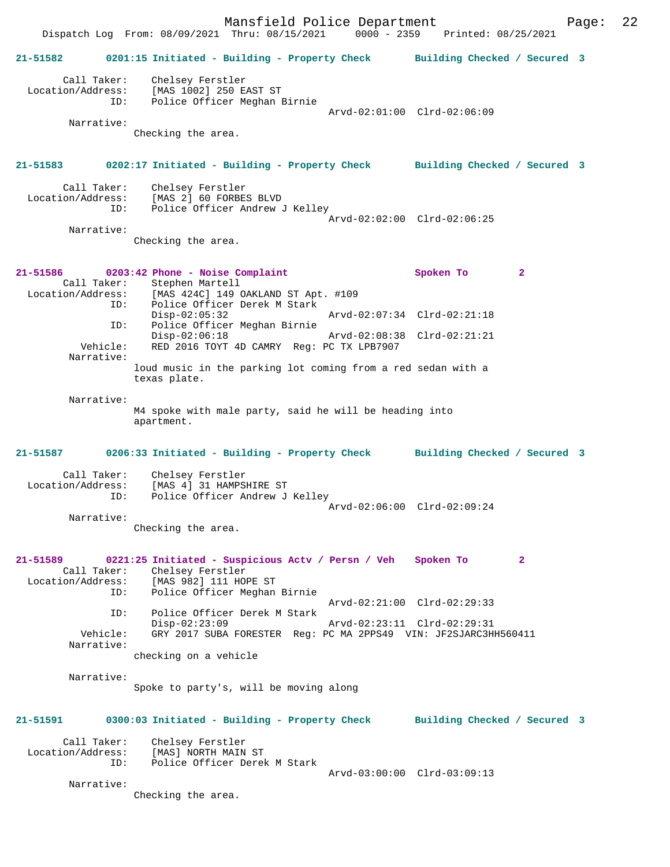Mansfield Police Department Fage: 22 Dispatch Log From: 08/09/2021 Thru: 08/15/2021 0000 - 2359 Printed: 08/25/2021 **21-51582 0201:15 Initiated - Building - Property Check Building Checked / Secured 3** Call Taker: Chelsey Ferstler Location/Address: [MAS 1002] 250 EAST ST ID: Police Officer Meghan Birnie Arvd-02:01:00 Clrd-02:06:09 Narrative: Checking the area. **21-51583 0202:17 Initiated - Building - Property Check Building Checked / Secured 3** Call Taker: Chelsey Ferstler<br>Location/Address: [MAS 2] 60 FORBE: ess: [MAS 2] 60 FORBES BLVD<br>ID: Police Officer Andrew Police Officer Andrew J Kelley Arvd-02:02:00 Clrd-02:06:25 Narrative: Checking the area. **21-51586 0203:42 Phone - Noise Complaint Spoken To 2**  Call Taker: Stephen Martell Location/Address: [MAS 424C] 149 OAKLAND ST Apt. #109 ---<br>ID: Police Officer Derek M Stark<br>Disp-02:05:32 Disp-02:05:32 Arvd-02:07:34 Clrd-02:21:18 ID: Police Officer Meghan Birnie Disp-02:06:18 Arvd-02:08:38 Clrd-02:21:21 Vehicle: RED 2016 TOYT 4D CAMRY Reg: PC TX LPB7907 Narrative: loud music in the parking lot coming from a red sedan with a texas plate. Narrative: M4 spoke with male party, said he will be heading into apartment. **21-51587 0206:33 Initiated - Building - Property Check Building Checked / Secured 3** Call Taker: Chelsey Ferstler<br>Location/Address: [MAS 4] 31 HAMPSI [MAS 4] 31 HAMPSHIRE ST ID: Police Officer Andrew J Kelley Arvd-02:06:00 Clrd-02:09:24 Narrative: Checking the area. **21-51589 0221:25 Initiated - Suspicious Actv / Persn / Veh Spoken To 2**  Call Taker: Chelsey Ferstler Location/Address: [MAS 982] 111 HOPE ST ID: Police Officer Meghan Birnie Arvd-02:21:00 Clrd-02:29:33<br>ID: Police Officer Derek M Stark Police Officer Derek M Stark<br>Disp-02:23:09 Disp-02:23:09 Arvd-02:23:11 Clrd-02:29:31<br>Vehicle: GRY 2017 SUBA FORESTER Req: PC MA 2PPS49 VIN: JF2SJARC3H GRY 2017 SUBA FORESTER Reg: PC MA 2PPS49 VIN: JF2SJARC3HH560411 Narrative: checking on a vehicle Narrative: Spoke to party's, will be moving along **21-51591 0300:03 Initiated - Building - Property Check Building Checked / Secured 3** Call Taker: Chelsey Ferstler<br>Location/Address: [MAS] NORTH MAIN Location/Address: [MAS] NORTH MAIN ST ID: Police Officer Derek M Stark Arvd-03:00:00 Clrd-03:09:13 Narrative: Checking the area.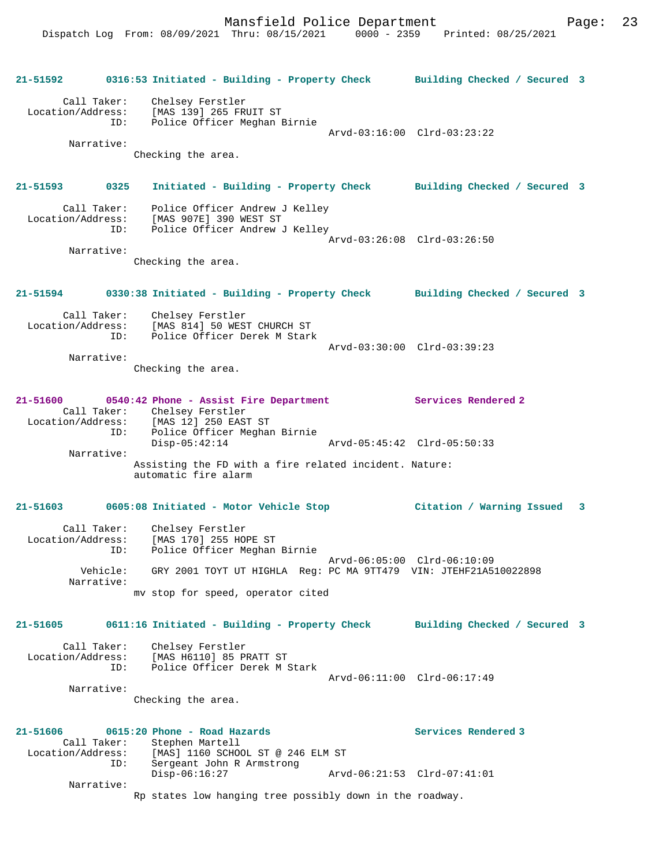**21-51592 0316:53 Initiated - Building - Property Check Building Checked / Secured 3** Call Taker: Chelsey Ferstler Location/Address: [MAS 139] 265 FRUIT ST ID: Police Officer Meghan Birnie Arvd-03:16:00 Clrd-03:23:22 Narrative: Checking the area. **21-51593 0325 Initiated - Building - Property Check Building Checked / Secured 3** Call Taker: Police Officer Andrew J Kelley Location/Address: [MAS 907E] 390 WEST ST ID: Police Officer Andrew J Kelley Arvd-03:26:08 Clrd-03:26:50 Narrative: Checking the area. **21-51594 0330:38 Initiated - Building - Property Check Building Checked / Secured 3** Call Taker: Chelsey Ferstler Location/Address: [MAS 814] 50 WEST CHURCH ST ID: Police Officer Derek M Stark Arvd-03:30:00 Clrd-03:39:23 Narrative: Checking the area. **21-51600 0540:42 Phone - Assist Fire Department Services Rendered 2**  Call Taker: Chelsey Ferstler<br>Location/Address: [MAS 12] 250 EAST Location/Address: [MAS 12] 250 EAST ST ID: Police Officer Meghan Birnie Disp-05:42:14 Arvd-05:45:42 Clrd-05:50:33 Narrative: Assisting the FD with a fire related incident. Nature: automatic fire alarm **21-51603 0605:08 Initiated - Motor Vehicle Stop Citation / Warning Issued 3** Call Taker: Chelsey Ferstler Location/Address: [MAS 170] 255 HOPE ST ID: Police Officer Meghan Birnie Arvd-06:05:00 Clrd-06:10:09 Vehicle: GRY 2001 TOYT UT HIGHLA Reg: PC MA 9TT479 VIN: JTEHF21A510022898 Narrative: mv stop for speed, operator cited **21-51605 0611:16 Initiated - Building - Property Check Building Checked / Secured 3** Call Taker: Chelsey Ferstler Location/Address: [MAS H6110] 85 PRATT ST ID: Police Officer Derek M Stark Arvd-06:11:00 Clrd-06:17:49 Narrative: Checking the area. **21-51606 0615:20 Phone - Road Hazards Services Rendered 3**  Call Taker: Stephen Martell<br>Location/Address: [MAS] 1160 SCHO [MAS] 1160 SCHOOL ST @ 246 ELM ST ID: Sergeant John R Armstrong Disp-06:16:27 Arvd-06:21:53 Clrd-07:41:01 Narrative: Rp states low hanging tree possibly down in the roadway.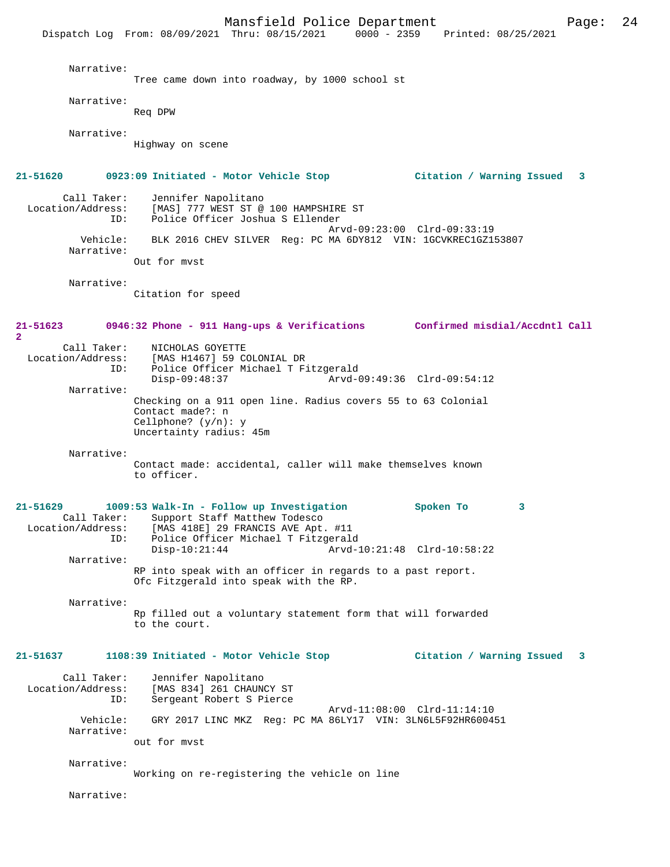Mansfield Police Department Page: 24 Dispatch Log From: 08/09/2021 Thru: 08/15/2021 Narrative: Tree came down into roadway, by 1000 school st Narrative: Req DPW Narrative: Highway on scene **21-51620 0923:09 Initiated - Motor Vehicle Stop Citation / Warning Issued 3** Call Taker: Jennifer Napolitano<br>Location/Address: [MAS] 777 WEST ST @ ess: [MAS] 777 WEST ST @ 100 HAMPSHIRE ST<br>ID: Police Officer Joshua S Ellender Police Officer Joshua S Ellender Arvd-09:23:00 Clrd-09:33:19 Vehicle: BLK 2016 CHEV SILVER Reg: PC MA 6DY812 VIN: 1GCVKREC1GZ153807 Narrative: Out for mvst Narrative: Citation for speed **21-51623 0946:32 Phone - 911 Hang-ups & Verifications Confirmed misdial/Accdntl Call 2**  Call Taker: NICHOLAS GOYETTE<br>Location/Address: [MAS H1467] 59 CO [MAS H1467] 59 COLONIAL DR ID: Police Officer Michael T Fitzgerald Disp-09:48:37 Arvd-09:49:36 Clrd-09:54:12 Narrative: Checking on a 911 open line. Radius covers 55 to 63 Colonial Contact made?: n Cellphone? (y/n): y Uncertainty radius: 45m Narrative: Contact made: accidental, caller will make themselves known to officer. **21-51629 1009:53 Walk-In - Follow up Investigation Spoken To 3**  Call Taker: Support Staff Matthew Todesco Location/Address: [MAS 418E] 29 FRANCIS AVE Apt. #11 Police Officer Michael T Fitzgerald<br>1-Disp-10:21:44 Arvd Disp-10:21:44 Arvd-10:21:48 Clrd-10:58:22 Narrative: RP into speak with an officer in regards to a past report. Ofc Fitzgerald into speak with the RP. Narrative: Rp filled out a voluntary statement form that will forwarded to the court. **21-51637 1108:39 Initiated - Motor Vehicle Stop Citation / Warning Issued 3** Call Taker: Jennifer Napolitano<br>Location/Address: [MAS 834] 261 CHAUN [MAS 834] 261 CHAUNCY ST ID: Sergeant Robert S Pierce Arvd-11:08:00 Clrd-11:14:10<br>Vehicle: GRY 2017 LINC MKZ Reg: PC MA 86LY17 VIN: 3LN6L5F92HR6004 GRY 2017 LINC MKZ Reg: PC MA 86LY17 VIN: 3LN6L5F92HR600451 Narrative: out for mvst Narrative: Working on re-registering the vehicle on line Narrative: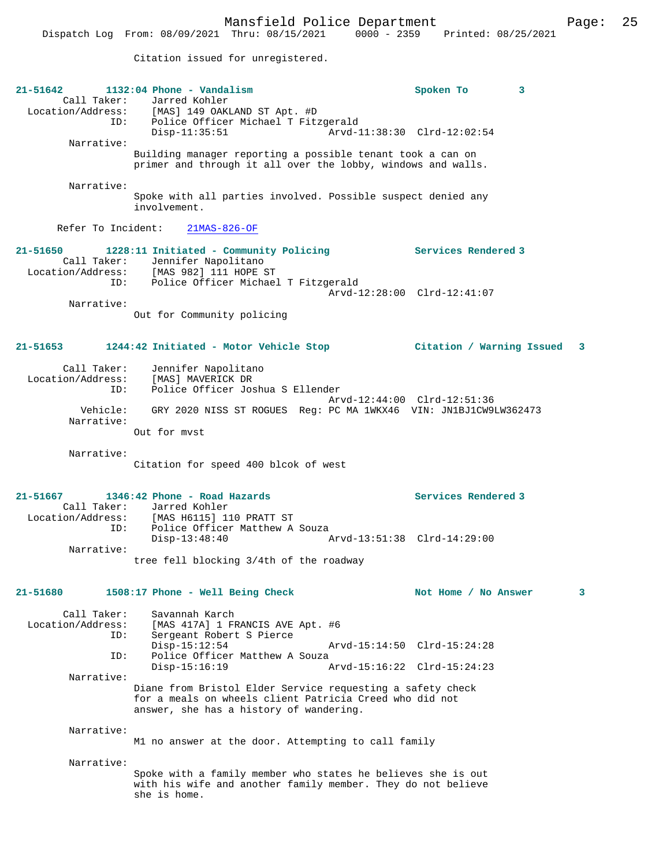Citation issued for unregistered.

| $21 - 51642$                     | $1132:04$ Phone - Vandalism<br>Call Taker: Jarred Kohler<br>Location/Address: [MAS] 149 OAKLAND ST Apt. #D<br>ID: Police Officer Michael T Fitzgerald                                       | Spoken To<br>3              |   |
|----------------------------------|---------------------------------------------------------------------------------------------------------------------------------------------------------------------------------------------|-----------------------------|---|
| Narrative:                       | $Disp-11:35:51$                                                                                                                                                                             | Arvd-11:38:30 Clrd-12:02:54 |   |
|                                  | Building manager reporting a possible tenant took a can on<br>primer and through it all over the lobby, windows and walls.                                                                  |                             |   |
| Narrative:                       |                                                                                                                                                                                             |                             |   |
|                                  | Spoke with all parties involved. Possible suspect denied any<br>involvement.                                                                                                                |                             |   |
| Refer To Incident:               | $21MAS-826-OF$                                                                                                                                                                              |                             |   |
| 21-51650                         | 1228:11 Initiated - Community Policing Theorem Services Rendered 3<br>Call Taker: Jennifer Napolitano<br>Location/Address: [MAS 982] 111 HOPE ST<br>ID: Police Officer Michael T Fitzgerald |                             |   |
| Narrative:                       |                                                                                                                                                                                             | Arvd-12:28:00 Clrd-12:41:07 |   |
|                                  | Out for Community policing                                                                                                                                                                  |                             |   |
| 21-51653                         | 1244:42 Initiated - Motor Vehicle Stop                                                                                                                                                      | Citation / Warning Issued 3 |   |
| Call Taker:                      | Jennifer Napolitano                                                                                                                                                                         |                             |   |
| Location/Address:<br>ID:         | [MAS] MAVERICK DR<br>Police Officer Joshua S Ellender                                                                                                                                       |                             |   |
|                                  |                                                                                                                                                                                             | Arvd-12:44:00 Clrd-12:51:36 |   |
| Vehicle:<br>Narrative:           | GRY 2020 NISS ST ROGUES Reg: PC MA 1WKX46 VIN: JN1BJ1CW9LW362473                                                                                                                            |                             |   |
|                                  | Out for myst                                                                                                                                                                                |                             |   |
| Narrative:                       | Citation for speed 400 blcok of west                                                                                                                                                        |                             |   |
|                                  | 21-51667 1346:42 Phone - Road Hazards                                                                                                                                                       | Services Rendered 3         |   |
|                                  | Call Taker: Jarred Kohler                                                                                                                                                                   |                             |   |
| ID:                              | Location/Address: [MAS H6115] 110 PRATT ST<br>Police Officer Matthew A Souza<br>$Disp-13:48:40$                                                                                             | Arvd-13:51:38 Clrd-14:29:00 |   |
| Narrative:                       | tree fell blocking 3/4th of the roadway                                                                                                                                                     |                             |   |
|                                  |                                                                                                                                                                                             |                             |   |
| 21-51680                         | 1508:17 Phone - Well Being Check                                                                                                                                                            | Not Home / No Answer        | 3 |
| Call Taker:<br>Location/Address: | Savannah Karch<br>[MAS 417A] 1 FRANCIS AVE Apt. #6                                                                                                                                          |                             |   |
| ID:                              | Sergeant Robert S Pierce                                                                                                                                                                    |                             |   |
| ID:                              | $Disp-15:12:54$<br>Police Officer Matthew A Souza                                                                                                                                           | Arvd-15:14:50 Clrd-15:24:28 |   |
| Narrative:                       | $Disp-15:16:19$                                                                                                                                                                             | Arvd-15:16:22 Clrd-15:24:23 |   |
|                                  | Diane from Bristol Elder Service requesting a safety check<br>for a meals on wheels client Patricia Creed who did not<br>answer, she has a history of wandering.                            |                             |   |
| Narrative:                       | M1 no answer at the door. Attempting to call family                                                                                                                                         |                             |   |
| Narrative:                       | Spoke with a family member who states he believes she is out<br>with his wife and another family member. They do not believe                                                                |                             |   |
|                                  | she is home.                                                                                                                                                                                |                             |   |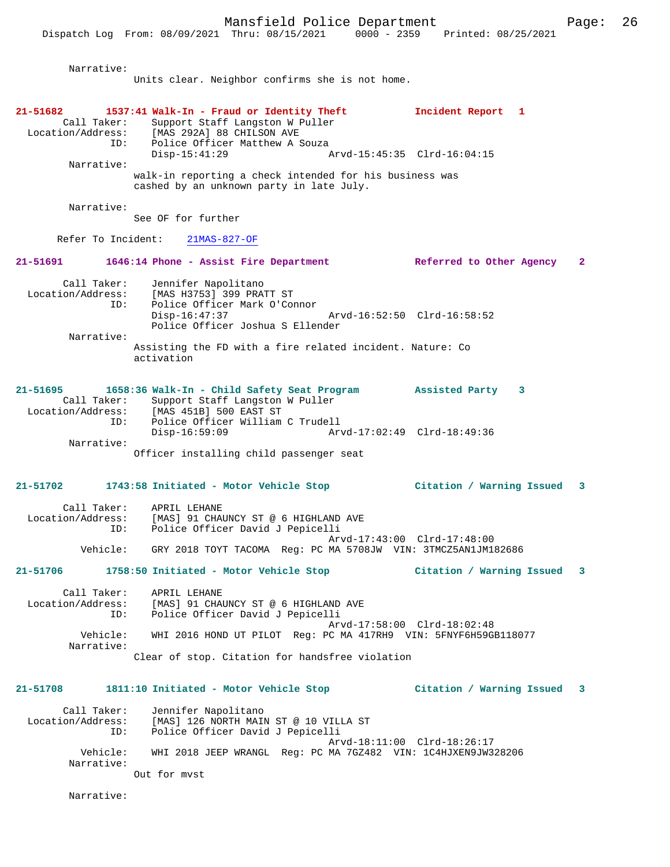Narrative:

Units clear. Neighbor confirms she is not home.

| 21-51682          |                        | 1537:41 Walk-In - Fraud or Identity Theft<br>Call Taker: Support Staff Langston W Puller<br>Location/Address: [MAS 292A] 88 CHILSON AVE<br>ID: Police Officer Matthew A Souza | Incident Report 1           |              |
|-------------------|------------------------|-------------------------------------------------------------------------------------------------------------------------------------------------------------------------------|-----------------------------|--------------|
|                   | Narrative:             | $Disp-15:41:29$                                                                                                                                                               | Arvd-15:45:35 Clrd-16:04:15 |              |
|                   |                        | walk-in reporting a check intended for his business was<br>cashed by an unknown party in late July.                                                                           |                             |              |
|                   | Narrative:             | See OF for further                                                                                                                                                            |                             |              |
|                   |                        | Refer To Incident: 21MAS-827-OF                                                                                                                                               |                             |              |
|                   |                        | 21-51691 1646:14 Phone - Assist Fire Department - Referred to Other Agency                                                                                                    |                             | $\mathbf{2}$ |
|                   | ID:                    | Call Taker: Jennifer Napolitano<br>Location/Address: [MAS H3753] 399 PRATT ST<br>Police Officer Mark O'Connor<br>$Disp-16:47:37$<br>Arvd-16:52:50 Clrd-16:58:52               |                             |              |
|                   | Narrative:             | Police Officer Joshua S Ellender<br>Assisting the FD with a fire related incident. Nature: Co                                                                                 |                             |              |
|                   |                        | activation                                                                                                                                                                    |                             |              |
| 21-51695          | Call Taker:            | 1658:36 Walk-In - Child Safety Seat Program Assisted Party 3<br>Support Staff Langston W Puller<br>Location/Address: [MAS 451B] 500 EAST ST                                   |                             |              |
|                   | ID:                    | Police Officer William C Trudell<br>$Disp-16:59:09$                                                                                                                           |                             |              |
|                   | Narrative:             | Officer installing child passenger seat                                                                                                                                       |                             |              |
|                   |                        | 21-51702 1743:58 Initiated - Motor Vehicle Stop                                                                                                                               | Citation / Warning Issued   | 3            |
|                   | Call Taker:<br>ID:     | APRIL LEHANE<br>Location/Address: [MAS] 91 CHAUNCY ST @ 6 HIGHLAND AVE<br>Police Officer David J Pepicelli                                                                    |                             |              |
|                   | Vehicle:               | GRY 2018 TOYT TACOMA Req: PC MA 5708JW VIN: 3TMCZ5AN1JM182686                                                                                                                 | Arvd-17:43:00 Clrd-17:48:00 |              |
|                   |                        | 21-51706 1758:50 Initiated - Motor Vehicle Stop                                                                                                                               | Citation / Warning Issued 3 |              |
| Location/Address: | Call Taker:<br>ID:     | APRIL LEHANE<br>[MAS] 91 CHAUNCY ST @ 6 HIGHLAND AVE<br>Police Officer David J Pepicelli                                                                                      |                             |              |
|                   | Vehicle:<br>Narrative: | WHI 2016 HOND UT PILOT Req: PC MA 417RH9 VIN: 5FNYF6H59GB118077                                                                                                               | Arvd-17:58:00 Clrd-18:02:48 |              |
|                   |                        | Clear of stop. Citation for handsfree violation                                                                                                                               |                             |              |
| $21 - 51708$      |                        | 1811:10 Initiated - Motor Vehicle Stop                                                                                                                                        | Citation / Warning Issued 3 |              |
| Location/Address: | Call Taker:<br>ID:     | Jennifer Napolitano<br>[MAS] 126 NORTH MAIN ST @ 10 VILLA ST<br>Police Officer David J Pepicelli                                                                              |                             |              |
|                   | Vehicle:<br>Narrative: | WHI 2018 JEEP WRANGL Req: PC MA 7GZ482 VIN: 1C4HJXEN9JW328206                                                                                                                 | Arvd-18:11:00 Clrd-18:26:17 |              |
|                   |                        | Out for myst                                                                                                                                                                  |                             |              |
|                   | Narrative:             |                                                                                                                                                                               |                             |              |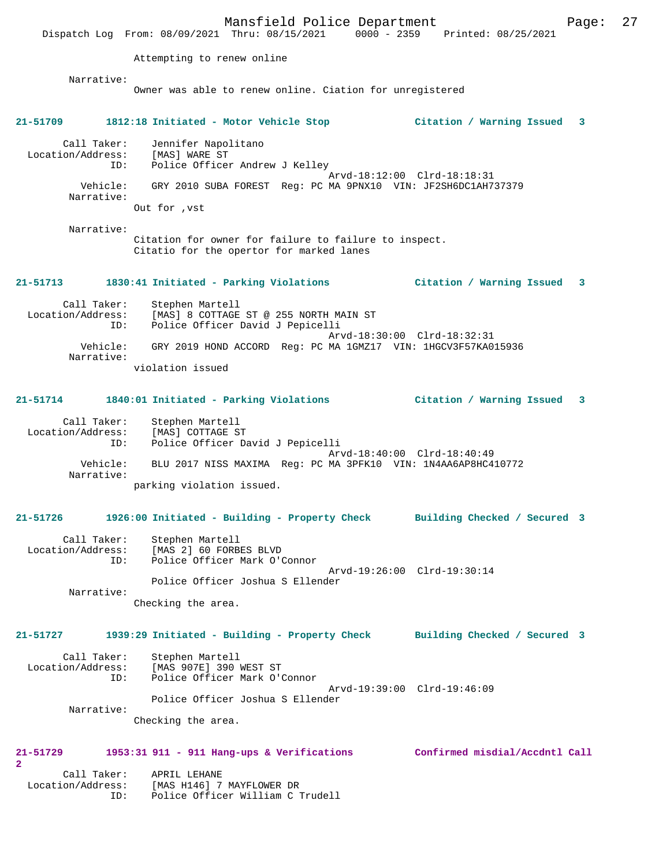Mansfield Police Department Fage: 27 Dispatch Log From: 08/09/2021 Thru: 08/15/2021 0000 - 2359 Printed: 08/25/2021 Attempting to renew online Narrative: Owner was able to renew online. Ciation for unregistered **21-51709 1812:18 Initiated - Motor Vehicle Stop Citation / Warning Issued 3** Call Taker: Jennifer Napolitano Location/Address: [MAS] WARE ST ID: Police Officer Andrew J Kelley Arvd-18:12:00 Clrd-18:18:31 Vehicle: GRY 2010 SUBA FOREST Reg: PC MA 9PNX10 VIN: JF2SH6DC1AH737379 Narrative: Out for ,vst Narrative: Citation for owner for failure to failure to inspect. Citatio for the opertor for marked lanes **21-51713 1830:41 Initiated - Parking Violations Citation / Warning Issued 3** Call Taker: Stephen Martell Location/Address: [MAS] 8 COTTAGE ST @ 255 NORTH MAIN ST ID: Police Officer David J Pepicelli Arvd-18:30:00 Clrd-18:32:31 Vehicle: GRY 2019 HOND ACCORD Reg: PC MA 1GMZ17 VIN: 1HGCV3F57KA015936 Narrative: violation issued **21-51714 1840:01 Initiated - Parking Violations Citation / Warning Issued 3** Call Taker: Stephen Martell Location/Address: [MAS] COTTAGE ST ID: Police Officer David J Pepicelli Arvd-18:40:00 Clrd-18:40:49 Vehicle: BLU 2017 NISS MAXIMA Reg: PC MA 3PFK10 VIN: 1N4AA6AP8HC410772 Narrative: parking violation issued. **21-51726 1926:00 Initiated - Building - Property Check Building Checked / Secured 3** Call Taker: Stephen Martell Location/Address: [MAS 2] 60 FORBES BLVD ID: Police Officer Mark O'Connor Arvd-19:26:00 Clrd-19:30:14 Police Officer Joshua S Ellender Narrative: Checking the area. **21-51727 1939:29 Initiated - Building - Property Check Building Checked / Secured 3** Call Taker: Stephen Martell Location/Address: [MAS 907E] 390 WEST ST ID: Police Officer Mark O'Connor Arvd-19:39:00 Clrd-19:46:09 Police Officer Joshua S Ellender Narrative: Checking the area. **21-51729 1953:31 911 - 911 Hang-ups & Verifications Confirmed misdial/Accdntl Call 2**  Call Taker: APRIL LEHANE Location/Address: [MAS H146] 7 MAYFLOWER DR ID: Police Officer William C Trudell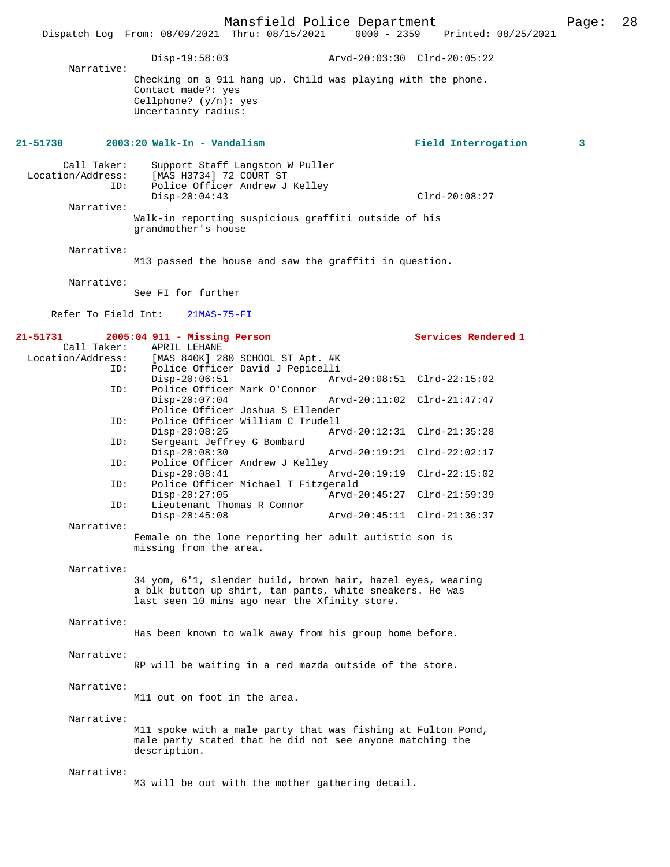Mansfield Police Department Page: 28 Dispatch Log From: 08/09/2021 Thru: 08/15/2021 Disp-19:58:03 Arvd-20:03:30 Clrd-20:05:22 Narrative: Checking on a 911 hang up. Child was playing with the phone. Contact made?: yes Cellphone? (y/n): yes Uncertainty radius: **21-51730 2003:20 Walk-In - Vandalism Field Interrogation 3** Call Taker: Support Staff Langston W Puller<br>Location/Address: [MAS H3734] 72 COURT ST [MAS H3734] 72 COURT ST ID: Police Officer Andrew J Kelley Disp-20:04:43 Clrd-20:08:27 Narrative: Walk-in reporting suspicious graffiti outside of his grandmother's house Narrative: M13 passed the house and saw the graffiti in question. Narrative: See FI for further Refer To Field Int: 21MAS-75-FI **21-51731 2005:04 911 - Missing Person Services Rendered 1**  Call Taker: APRIL LEHANE<br>Location/Address: [MAS 840K] 2 [MAS 840K] 280 SCHOOL ST Apt. #K ID: Police Officer David J Pepicelli Disp-20:06:51 Arvd-20:08:51 Clrd-22:15:02<br>TD: Police Officer Mark O'Connor Police Officer Mark O'Connor Disp-20:07:04 Arvd-20:11:02 Clrd-21:47:47 Police Officer Joshua S Ellender<br>ID: Police Officer William C Trudell Police Officer William C Trudell<br>Disp-20:08:25 Ar Disp-20:08:25 Arvd-20:12:31 Clrd-21:35:28 ID: Sergeant Jeffrey G Bombard Disp-20:08:30 Arvd-20:19:21 Clrd-22:02:17<br>TD: Police Officer Andrew J Kelley Police Officer Andrew J Kelley<br>Disp-20:08:41 Disp-20:08:41 Arvd-20:19:19 Clrd-22:15:02 ID: Police Officer Michael T Fitzgerald Disp-20:27:05 <br>ID: Lieutenant Thomas R Connor <br>ID: Lieutenant Thomas R Connor Lieutenant Thomas R Connor<br>Disp-20:45:08 Disp-20:45:08 Arvd-20:45:11 Clrd-21:36:37 Narrative: Female on the lone reporting her adult autistic son is missing from the area. Narrative: 34 yom, 6'1, slender build, brown hair, hazel eyes, wearing a blk button up shirt, tan pants, white sneakers. He was last seen 10 mins ago near the Xfinity store. Narrative: Has been known to walk away from his group home before. Narrative: RP will be waiting in a red mazda outside of the store. Narrative: M11 out on foot in the area. Narrative: M11 spoke with a male party that was fishing at Fulton Pond, male party stated that he did not see anyone matching the description. Narrative: M3 will be out with the mother gathering detail.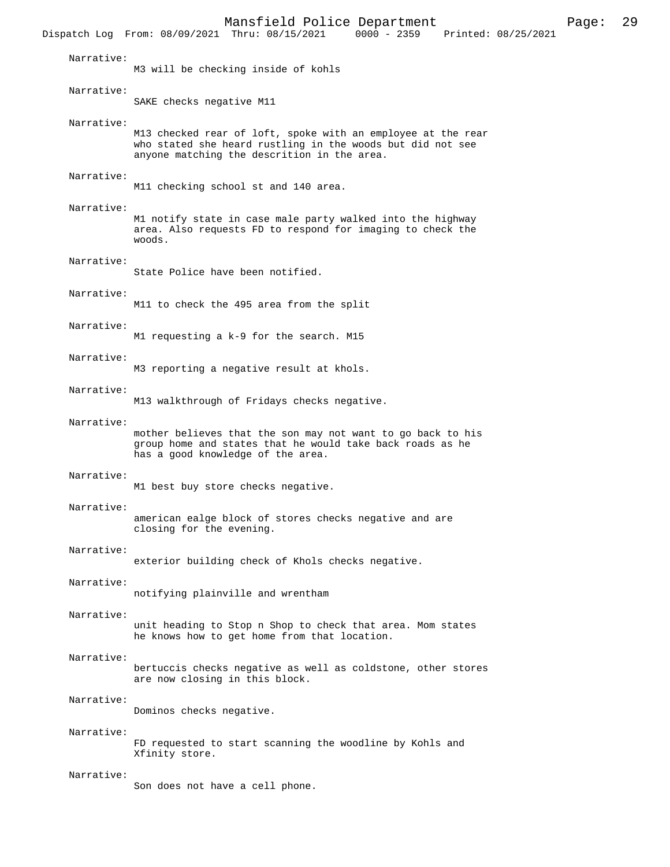Mansfield Police Department Page: 29 Dispatch Log From: 08/09/2021 Thru: 08/15/2021 Narrative: M3 will be checking inside of kohls Narrative: SAKE checks negative M11 Narrative: M13 checked rear of loft, spoke with an employee at the rear who stated she heard rustling in the woods but did not see anyone matching the descrition in the area. Narrative: M11 checking school st and 140 area. Narrative: M1 notify state in case male party walked into the highway area. Also requests FD to respond for imaging to check the woods. Narrative: State Police have been notified. Narrative: M11 to check the 495 area from the split Narrative: M1 requesting a k-9 for the search. M15 Narrative: M3 reporting a negative result at khols. Narrative: M13 walkthrough of Fridays checks negative. Narrative: mother believes that the son may not want to go back to his group home and states that he would take back roads as he has a good knowledge of the area. Narrative: M1 best buy store checks negative. Narrative: american ealge block of stores checks negative and are closing for the evening. Narrative: exterior building check of Khols checks negative. Narrative: notifying plainville and wrentham Narrative: unit heading to Stop n Shop to check that area. Mom states he knows how to get home from that location. Narrative: bertuccis checks negative as well as coldstone, other stores are now closing in this block. Narrative: Dominos checks negative. Narrative: FD requested to start scanning the woodline by Kohls and Xfinity store. Narrative: Son does not have a cell phone.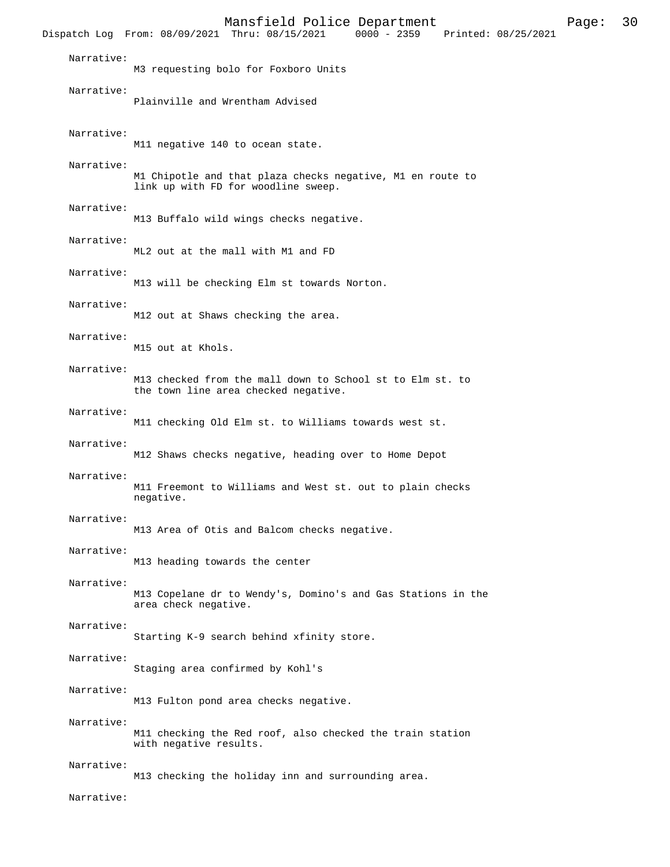Mansfield Police Department Page: 30 Dispatch Log From: 08/09/2021 Thru: 08/15/2021 Narrative: M3 requesting bolo for Foxboro Units Narrative: Plainville and Wrentham Advised Narrative: M11 negative 140 to ocean state. Narrative: M1 Chipotle and that plaza checks negative, M1 en route to link up with FD for woodline sweep. Narrative: M13 Buffalo wild wings checks negative. Narrative: ML2 out at the mall with M1 and FD Narrative: M13 will be checking Elm st towards Norton. Narrative: M12 out at Shaws checking the area. Narrative: M15 out at Khols. Narrative: M13 checked from the mall down to School st to Elm st. to the town line area checked negative. Narrative: M11 checking Old Elm st. to Williams towards west st. Narrative: M12 Shaws checks negative, heading over to Home Depot Narrative: M11 Freemont to Williams and West st. out to plain checks negative. Narrative: M13 Area of Otis and Balcom checks negative. Narrative: M13 heading towards the center Narrative: M13 Copelane dr to Wendy's, Domino's and Gas Stations in the area check negative. Narrative: Starting K-9 search behind xfinity store. Narrative: Staging area confirmed by Kohl's Narrative: M13 Fulton pond area checks negative. Narrative: M11 checking the Red roof, also checked the train station with negative results. Narrative: M13 checking the holiday inn and surrounding area.

Narrative: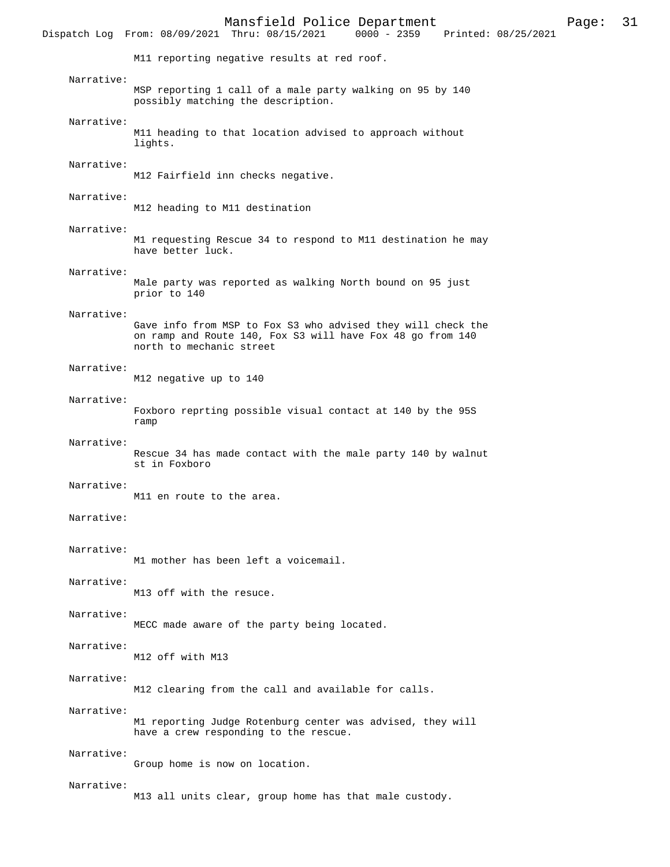Mansfield Police Department Page: 31 Dispatch Log From:  $08/09/2021$  Thru:  $08/15/2021$ M11 reporting negative results at red roof. Narrative: MSP reporting 1 call of a male party walking on 95 by 140 possibly matching the description. Narrative: M11 heading to that location advised to approach without lights. Narrative: M12 Fairfield inn checks negative. Narrative: M12 heading to M11 destination Narrative: M1 requesting Rescue 34 to respond to M11 destination he may have better luck. Narrative: Male party was reported as walking North bound on 95 just prior to 140 Narrative: Gave info from MSP to Fox S3 who advised they will check the on ramp and Route 140, Fox S3 will have Fox 48 go from 140 north to mechanic street Narrative: M12 negative up to 140 Narrative: Foxboro reprting possible visual contact at 140 by the 95S ramp Narrative: Rescue 34 has made contact with the male party 140 by walnut st in Foxboro Narrative: M11 en route to the area. Narrative: Narrative: M1 mother has been left a voicemail. Narrative: M13 off with the resuce. Narrative: MECC made aware of the party being located. Narrative: M12 off with M13 Narrative: M12 clearing from the call and available for calls. Narrative: M1 reporting Judge Rotenburg center was advised, they will have a crew responding to the rescue. Narrative: Group home is now on location. Narrative: M13 all units clear, group home has that male custody.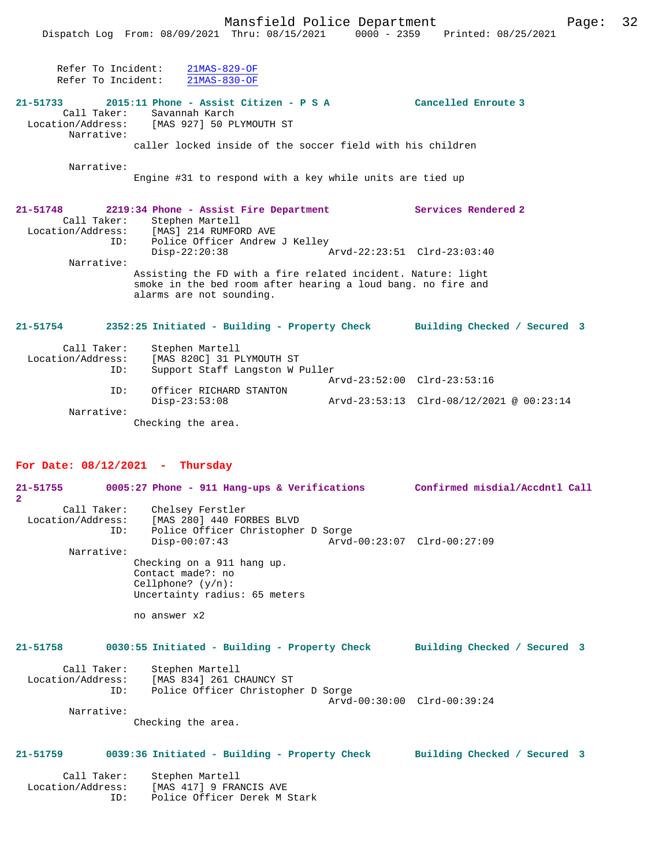Refer To Incident: 21MAS-829-OF Refer To Incident: 21MAS-830-OF

## **21-51733 2015:11 Phone - Assist Citizen - P S A Cancelled Enroute 3**

 Call Taker: Savannah Karch Location/Address: [MAS 927] 50 PLYMOUTH ST Narrative:

caller locked inside of the soccer field with his children

Narrative:

Engine #31 to respond with a key while units are tied up

| 21-51748 |                   | 2219:34 Phone - Assist Fire Department        |                                                                                                                              | Services Rendered 2          |  |
|----------|-------------------|-----------------------------------------------|------------------------------------------------------------------------------------------------------------------------------|------------------------------|--|
|          | Call Taker:       | Stephen Martell                               |                                                                                                                              |                              |  |
|          | Location/Address: | [MAS] 214 RUMFORD AVE                         |                                                                                                                              |                              |  |
|          | ID:               | Police Officer Andrew J Kelley                |                                                                                                                              |                              |  |
|          |                   | $Disp-22:20:38$                               |                                                                                                                              | Arvd-22:23:51 Clrd-23:03:40  |  |
|          | Narrative:        |                                               |                                                                                                                              |                              |  |
|          |                   | alarms are not sounding.                      | Assisting the FD with a fire related incident. Nature: light<br>smoke in the bed room after hearing a loud bang, no fire and |                              |  |
| 21-51754 |                   | 2352:25 Initiated - Building - Property Check |                                                                                                                              | Building Checked / Secured 3 |  |

| Call Taker:<br>Location/Address:<br>ID: | Stephen Martell<br>[MAS 820C] 31 PLYMOUTH ST<br>Support Staff Langston W Puller |                             |                                                             |
|-----------------------------------------|---------------------------------------------------------------------------------|-----------------------------|-------------------------------------------------------------|
|                                         |                                                                                 | Arvd-23:52:00 Clrd-23:53:16 |                                                             |
| ID:                                     | Officer RICHARD STANTON                                                         |                             |                                                             |
|                                         | $Disp-23:53:08$                                                                 |                             | $Arvd-23:53:13 \text{ Clrd}-08/12/2021 \text{ @ } 00:23:14$ |
| Narrative:                              |                                                                                 |                             |                                                             |
|                                         | Checking the area.                                                              |                             |                                                             |

## **For Date: 08/12/2021 - Thursday**

| $\mathbf{2}$                     | 21-51755 0005:27 Phone - 911 Hang-ups & Verifications Confirmed misdial/Accdntl Call                                                                                |                             |
|----------------------------------|---------------------------------------------------------------------------------------------------------------------------------------------------------------------|-----------------------------|
| ID:                              | Call Taker: Chelsey Ferstler<br>Location/Address: [MAS 280] 440 FORBES BLVD<br>Police Officer Christopher D Sorge<br>Arvd-00:23:07 Clrd-00:27:09<br>$Disp-00:07:43$ |                             |
| Narrative:                       |                                                                                                                                                                     |                             |
|                                  | Checking on a 911 hang up.<br>Contact made?: no<br>Cellphone? $(y/n)$ :<br>Uncertainty radius: 65 meters                                                            |                             |
|                                  | no answer x2                                                                                                                                                        |                             |
| 21-51758                         | 0030:55 Initiated - Building - Property Check Building Checked / Secured 3                                                                                          |                             |
| ID:                              | Call Taker: Stephen Martell<br>Location/Address: [MAS 834] 261 CHAUNCY ST<br>Police Officer Christopher D Sorge                                                     |                             |
| Narrative:                       |                                                                                                                                                                     | Arvd-00:30:00 Clrd-00:39:24 |
|                                  | Checking the area.                                                                                                                                                  |                             |
| $21 - 51759$                     | 0039:36 Initiated - Building - Property Check Building Checked / Secured 3                                                                                          |                             |
| Call Taker:<br>Location/Address: | Stephen Martell<br>[MAS 417] 9 FRANCIS AVE                                                                                                                          |                             |

ID: Police Officer Derek M Stark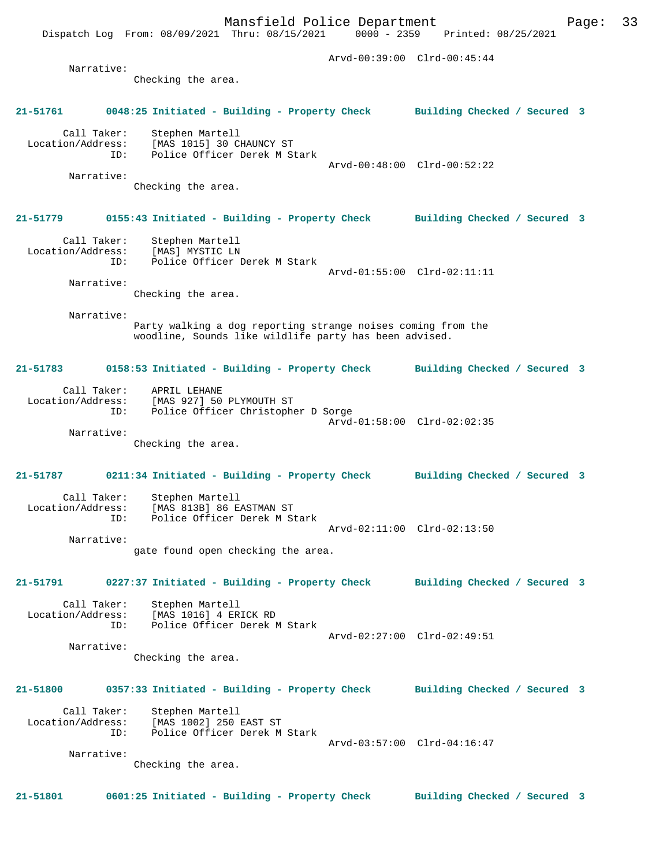Mansfield Police Department Page: 33 Dispatch Log From: 08/09/2021 Thru: 08/15/2021 Arvd-00:39:00 Clrd-00:45:44 Narrative: Checking the area. **21-51761 0048:25 Initiated - Building - Property Check Building Checked / Secured 3** Call Taker: Stephen Martell Location/Address: [MAS 1015] 30 CHAUNCY ST<br>ID: Police Officer Derek M S Id: Police Officer Derek M Stark Arvd-00:48:00 Clrd-00:52:22 Narrative: Checking the area. **21-51779 0155:43 Initiated - Building - Property Check Building Checked / Secured 3** Call Taker: Stephen Martell Location/Address: [MAS] MYSTIC LN ID: Police Officer Derek M Stark Arvd-01:55:00 Clrd-02:11:11 Narrative: Checking the area. Narrative: Party walking a dog reporting strange noises coming from the woodline, Sounds like wildlife party has been advised. **21-51783 0158:53 Initiated - Building - Property Check Building Checked / Secured 3** Call Taker: APRIL LEHANE Location/Address: [MAS 927] 50 PLYMOUTH ST Police Officer Christopher D Sorge Arvd-01:58:00 Clrd-02:02:35 Narrative: Checking the area. **21-51787 0211:34 Initiated - Building - Property Check Building Checked / Secured 3** Call Taker: Stephen Martell Location/Address: [MAS 813B] 86 EASTMAN ST ID: Police Officer Derek M Stark Arvd-02:11:00 Clrd-02:13:50 Narrative: gate found open checking the area. **21-51791 0227:37 Initiated - Building - Property Check Building Checked / Secured 3** Call Taker: Stephen Martell<br>Location/Address: [MAS 1016] 4 ER ess: [MAS 1016] 4 ERICK RD<br>ID: Police Officer Derek M Police Officer Derek M Stark Arvd-02:27:00 Clrd-02:49:51 Narrative: Checking the area. **21-51800 0357:33 Initiated - Building - Property Check Building Checked / Secured 3** Call Taker: Stephen Martell Location/Address: [MAS 1002] 250 EAST ST<br>ID: Police Officer Derek M Police Officer Derek M Stark Arvd-03:57:00 Clrd-04:16:47 Narrative: Checking the area.

**21-51801 0601:25 Initiated - Building - Property Check Building Checked / Secured 3**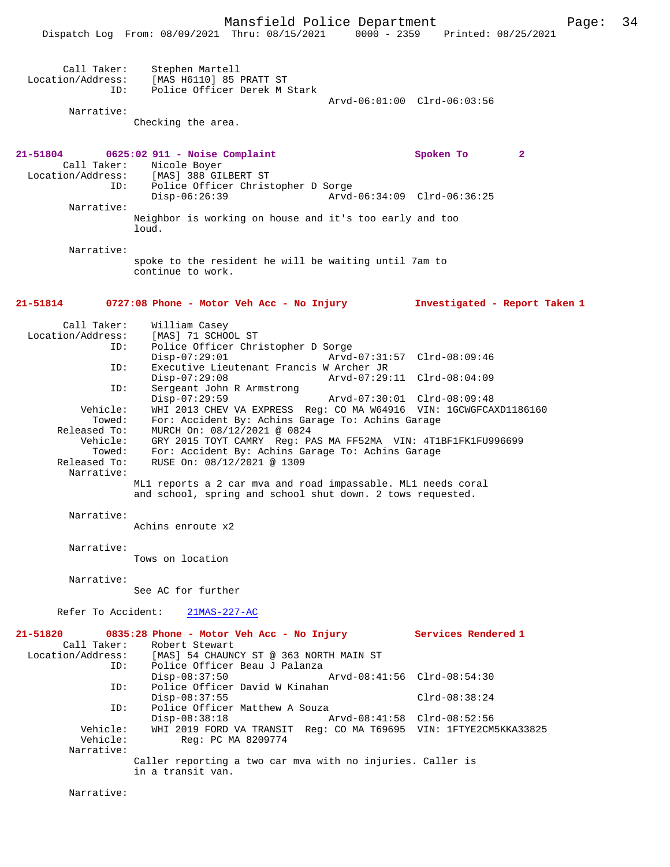|                                                       | Mansfield Police Department<br>Dispatch Log From: 08/09/2021 Thru: 08/15/2021                                                                                                                                                                                                                                                                           | 34<br>Page:<br>0000 - 2359 Printed: 08/25/2021 |
|-------------------------------------------------------|---------------------------------------------------------------------------------------------------------------------------------------------------------------------------------------------------------------------------------------------------------------------------------------------------------------------------------------------------------|------------------------------------------------|
| Call Taker:<br>Location/Address:<br>ID:<br>Narrative: | Stephen Martell<br>[MAS H6110] 85 PRATT ST<br>Police Officer Derek M Stark<br>Checking the area.                                                                                                                                                                                                                                                        | Arvd-06:01:00 Clrd-06:03:56                    |
| 21-51804<br>Call Taker:                               | 0625:02 911 - Noise Complaint<br>Nicole Boyer<br>Location/Address: [MAS] 388 GILBERT ST                                                                                                                                                                                                                                                                 | Spoken To<br>$\mathbf{2}$                      |
| ID:<br>Narrative:                                     | Police Officer Christopher D Sorge<br>$Disp-06:26:39$<br>Arvd-06:34:09 Clrd-06:36:25<br>Neighbor is working on house and it's too early and too                                                                                                                                                                                                         |                                                |
| Narrative:                                            | loud.<br>spoke to the resident he will be waiting until 7am to<br>continue to work.                                                                                                                                                                                                                                                                     |                                                |
| 21-51814                                              | 0727:08 Phone - Motor Veh Acc - No Injury                                                                                                                                                                                                                                                                                                               | Investigated - Report Taken 1                  |
| Call Taker:<br>Location/Address:<br>ID:<br>ID:        | William Casey<br>[MAS] 71 SCHOOL ST<br>Police Officer Christopher D Sorge<br>$Disp-07:29:01$<br>Arvd-07:31:57 Clrd-08:09:46<br>Executive Lieutenant Francis W Archer JR                                                                                                                                                                                 |                                                |
| ID:<br>Vehicle:<br>Towed:<br>Released To:<br>Vehicle: | $Disp-07:29:08$<br>Arvd-07:29:11 Clrd-08:04:09<br>Sergeant John R Armstrong<br>$Disp-07:29:59$<br>Arvd-07:30:01 Clrd-08:09:48<br>WHI 2013 CHEV VA EXPRESS Reg: CO MA W64916 VIN: 1GCWGFCAXD1186160<br>For: Accident By: Achins Garage To: Achins Garage<br>MURCH On: 08/12/2021 @ 0824<br>GRY 2015 TOYT CAMRY Reg: PAS MA FF52MA VIN: 4T1BF1FK1FU996699 |                                                |
| Towed:<br>Released To:<br>Narrative:                  | For: Accident By: Achins Garage To: Achins Garage<br>RUSE On: 08/12/2021 @ 1309<br>ML1 reports a 2 car mva and road impassable. ML1 needs coral<br>and school, spring and school shut down. 2 tows requested.                                                                                                                                           |                                                |
| Narrative:                                            | Achins enroute x2                                                                                                                                                                                                                                                                                                                                       |                                                |
| Narrative:                                            | Tows on location                                                                                                                                                                                                                                                                                                                                        |                                                |
| Narrative:                                            | See AC for further                                                                                                                                                                                                                                                                                                                                      |                                                |
| Refer To Accident:<br>21-51820                        | $21MAS-227-AC$<br>0835:28 Phone - Motor Veh Acc - No Injury                                                                                                                                                                                                                                                                                             | Services Rendered 1                            |
| Call Taker:<br>ID:<br>ID:                             | Robert Stewart<br>Location/Address: [MAS] 54 CHAUNCY ST @ 363 NORTH MAIN ST<br>Police Officer Beau J Palanza<br>$Disp-08:37:50$<br>Arvd-08:41:56 Clrd-08:54:30<br>Police Officer David W Kinahan<br>$Disp-08:37:55$                                                                                                                                     | $Clrd-08:38:24$                                |
| ID:<br>Vehicle:<br>Vehicle:<br>Narrative:             | Police Officer Matthew A Souza<br>$Disp-08:38:18$<br>Arvd-08:41:58 Clrd-08:52:56<br>WHI 2019 FORD VA TRANSIT Reg: CO MA T69695 VIN: 1FTYE2CM5KKA33825<br>Reg: PC MA 8209774                                                                                                                                                                             |                                                |
|                                                       | Caller reporting a two car mva with no injuries. Caller is                                                                                                                                                                                                                                                                                              |                                                |

in a transit van.

Narrative: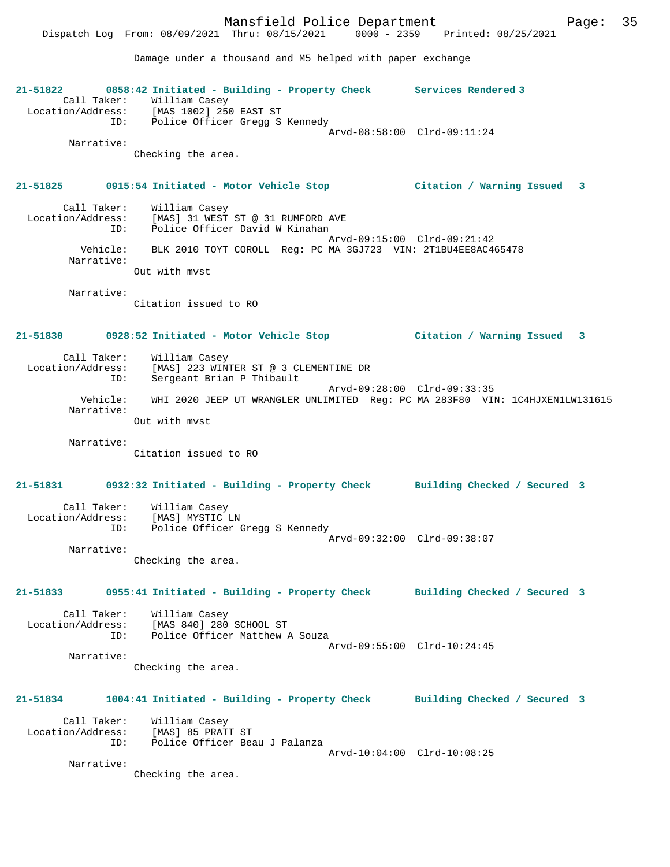Damage under a thousand and M5 helped with paper exchange

**21-51822 0858:42 Initiated - Building - Property Check Services Rendered 3**  Call Taker: William Casey Location/Address: [MAS 1002] 250 EAST ST ID: Police Officer Gregg S Kennedy Arvd-08:58:00 Clrd-09:11:24 Narrative: Checking the area. **21-51825 0915:54 Initiated - Motor Vehicle Stop Citation / Warning Issued 3** Call Taker: William Casey Location/Address: [MAS] 31 WEST ST @ 31 RUMFORD AVE ID: Police Officer David W Kinahan Arvd-09:15:00 Clrd-09:21:42 Vehicle: BLK 2010 TOYT COROLL Reg: PC MA 3GJ723 VIN: 2T1BU4EE8AC465478 Narrative: Out with mvst Narrative: Citation issued to RO **21-51830 0928:52 Initiated - Motor Vehicle Stop Citation / Warning Issued 3** Call Taker: William Casey Location/Address: [MAS] 223 WINTER ST @ 3 CLEMENTINE DR ID: Sergeant Brian P Thibault Arvd-09:28:00 Clrd-09:33:35 Vehicle: WHI 2020 JEEP UT WRANGLER UNLIMITED Reg: PC MA 283F80 VIN: 1C4HJXEN1LW131615 Narrative: Out with mvst Narrative: Citation issued to RO **21-51831 0932:32 Initiated - Building - Property Check Building Checked / Secured 3** Call Taker: William Casey Location/Address: [MAS] MYSTIC LN ID: Police Officer Gregg S Kennedy Arvd-09:32:00 Clrd-09:38:07 Narrative: Checking the area. **21-51833 0955:41 Initiated - Building - Property Check Building Checked / Secured 3** Call Taker: William Casey Location/Address: [MAS 840] 280 SCHOOL ST ID: Police Officer Matthew A Souza Arvd-09:55:00 Clrd-10:24:45 Narrative: Checking the area. **21-51834 1004:41 Initiated - Building - Property Check Building Checked / Secured 3** Call Taker: William Casey Location/Address: [MAS] 85 PRATT ST ID: Police Officer Beau J Palanza Arvd-10:04:00 Clrd-10:08:25 Narrative: Checking the area.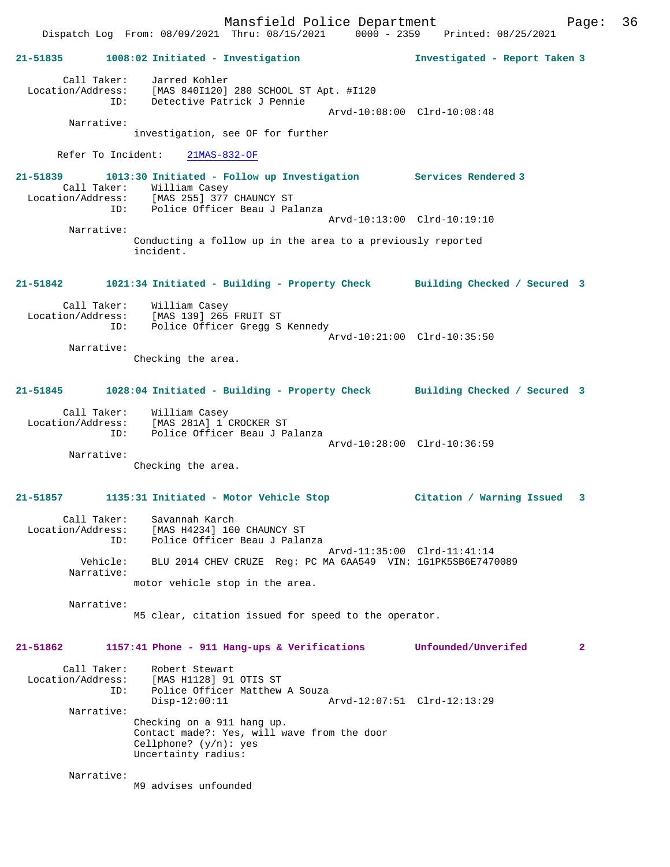Mansfield Police Department Page: 36 Dispatch Log From: 08/09/2021 Thru: 08/15/2021 0000 - 2359 Printed: 08/25/2021 **21-51835 1008:02 Initiated - Investigation Investigated - Report Taken 3** Call Taker: Jarred Kohler Location/Address: [MAS 840I120] 280 SCHOOL ST Apt. #I120 ID: Detective Patrick J Pennie Arvd-10:08:00 Clrd-10:08:48 Narrative: investigation, see OF for further Refer To Incident: 21MAS-832-OF **21-51839 1013:30 Initiated - Follow up Investigation Services Rendered 3**  Call Taker: William Casey Location/Address: [MAS 255] 377 CHAUNCY ST Police Officer Beau J Palanza Arvd-10:13:00 Clrd-10:19:10 Narrative: Conducting a follow up in the area to a previously reported incident. **21-51842 1021:34 Initiated - Building - Property Check Building Checked / Secured 3** Call Taker: William Casey Location/Address: [MAS 139] 265 FRUIT ST ID: Police Officer Gregg S Kennedy Arvd-10:21:00 Clrd-10:35:50 Narrative: Checking the area. **21-51845 1028:04 Initiated - Building - Property Check Building Checked / Secured 3** Call Taker: William Casey Location/Address: [MAS 281A] 1 CROCKER ST ID: Police Officer Beau J Palanza Arvd-10:28:00 Clrd-10:36:59 Narrative: Checking the area. **21-51857 1135:31 Initiated - Motor Vehicle Stop Citation / Warning Issued 3** Call Taker: Savannah Karch Location/Address: [MAS H4234] 160 CHAUNCY ST ID: Police Officer Beau J Palanza Arvd-11:35:00 Clrd-11:41:14 Vehicle: BLU 2014 CHEV CRUZE Reg: PC MA 6AA549 VIN: 1G1PK5SB6E7470089 Narrative: motor vehicle stop in the area. Narrative: M5 clear, citation issued for speed to the operator. **21-51862 1157:41 Phone - 911 Hang-ups & Verifications Unfounded/Unverifed 2** Call Taker: Robert Stewart Location/Address: [MAS H1128] 91 OTIS ST ID: Police Officer Matthew A Souza Disp-12:00:11 Arvd-12:07:51 Clrd-12:13:29 Narrative: Checking on a 911 hang up. Contact made?: Yes, will wave from the door Cellphone? (y/n): yes Uncertainty radius: Narrative: M9 advises unfounded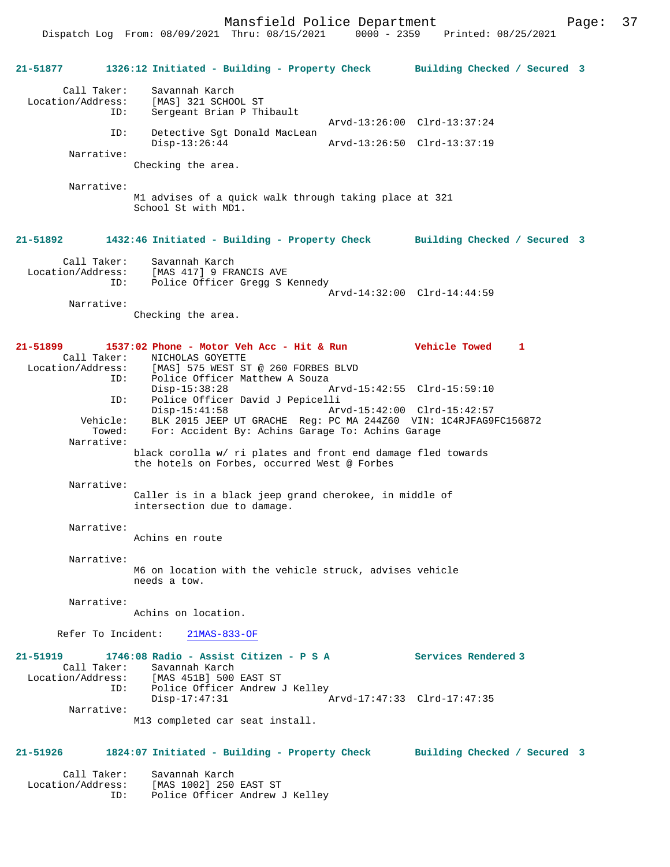Mansfield Police Department Page: 37

**21-51877 1326:12 Initiated - Building - Property Check Building Checked / Secured 3** Call Taker: Savannah Karch Location/Address: [MAS] 321 SCHOOL ST ID: Sergeant Brian P Thibault Arvd-13:26:00 Clrd-13:37:24 ID: Detective Sgt Donald MacLean<br>Disp-13:26:44 Disp-13:26:44 Arvd-13:26:50 Clrd-13:37:19 Narrative: Checking the area. Narrative: M1 advises of a quick walk through taking place at 321 School St with MD1. **21-51892 1432:46 Initiated - Building - Property Check Building Checked / Secured 3** Call Taker: Savannah Karch Location/Address: [MAS 417] 9 FRANCIS AVE ID: Police Officer Gregg S Kennedy Arvd-14:32:00 Clrd-14:44:59 Narrative: Checking the area. **21-51899 1537:02 Phone - Motor Veh Acc - Hit & Run Vehicle Towed 1**  Call Taker: NICHOLAS GOYETTE<br>Location/Address: [MAS] 575 WEST ST [MAS] 575 WEST ST @ 260 FORBES BLVD ID: Police Officer Matthew A Souza<br>Disp-15:38:28 A Arvd-15:42:55 Clrd-15:59:10 ID: Police Officer David J Pepicelli Disp-15:41:58 Arvd-15:42:00 Clrd-15:42:57 Vehicle: BLK 2015 JEEP UT GRACHE Reg: PC MA 244Z60 VIN: 1C4RJFAG9FC156872 Towed: For: Accident By: Achins Garage To: Achins Garage Narrative: black corolla w/ ri plates and front end damage fled towards the hotels on Forbes, occurred West @ Forbes Narrative: Caller is in a black jeep grand cherokee, in middle of intersection due to damage. Narrative: Achins en route Narrative: M6 on location with the vehicle struck, advises vehicle needs a tow. Narrative: Achins on location. Refer To Incident: 21MAS-833-OF **21-51919 1746:08 Radio - Assist Citizen - P S A Services Rendered 3**  Call Taker: Savannah Karch Location/Address: [MAS 451B] 500 EAST ST Police Officer Andrew J Kelley<br>Disp-17:47:31 Disp-17:47:31 Arvd-17:47:33 Clrd-17:47:35 Narrative: M13 completed car seat install. **21-51926 1824:07 Initiated - Building - Property Check Building Checked / Secured 3** Call Taker: Savannah Karch<br>ion/Address: [MAS 1002] 250 EAST ST Location/Address: ID: Police Officer Andrew J Kelley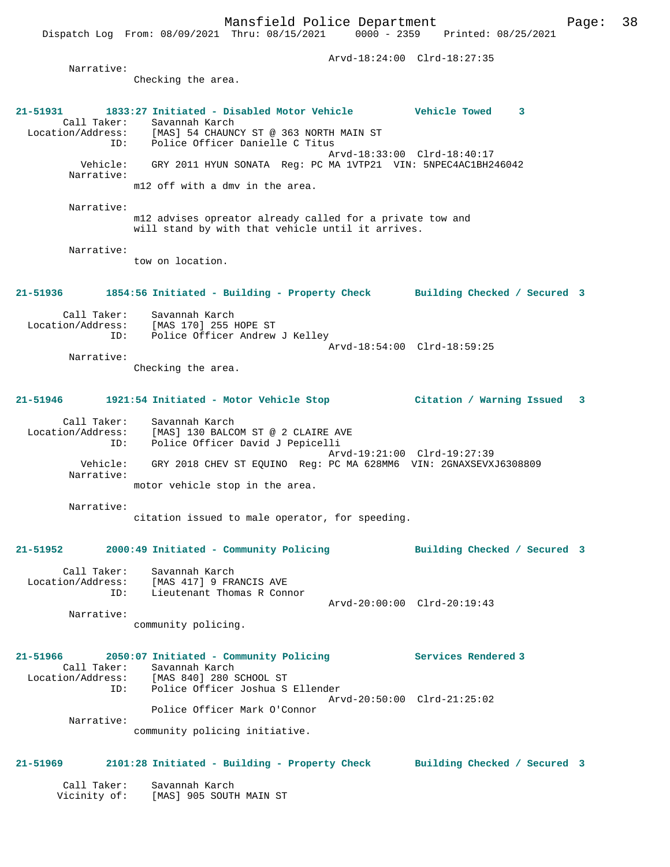Arvd-18:24:00 Clrd-18:27:35 Narrative: Checking the area. **21-51931 1833:27 Initiated - Disabled Motor Vehicle Vehicle Towed 3**  Call Taker: Savannah Karch<br>Location/Address: [MAS] 54 CHAUNC Location/Address: [MAS] 54 CHAUNCY ST @ 363 NORTH MAIN ST ID: Police Officer Danielle C Titus Arvd-18:33:00 Clrd-18:40:17 Vehicle: GRY 2011 HYUN SONATA Reg: PC MA 1VTP21 VIN: 5NPEC4AC1BH246042 Narrative: m12 off with a dmv in the area. Narrative: m12 advises opreator already called for a private tow and will stand by with that vehicle until it arrives. Narrative: tow on location. **21-51936 1854:56 Initiated - Building - Property Check Building Checked / Secured 3** Call Taker: Savannah Karch Location/Address: [MAS 170] 255 HOPE ST Police Officer Andrew J Kelley Arvd-18:54:00 Clrd-18:59:25 Narrative: Checking the area. **21-51946 1921:54 Initiated - Motor Vehicle Stop Citation / Warning Issued 3** Call Taker: Savannah Karch Location/Address: [MAS] 130 BALCOM ST @ 2 CLAIRE AVE ID: Police Officer David J Pepicelli Arvd-19:21:00 Clrd-19:27:39 Vehicle: GRY 2018 CHEV ST EQUINO Reg: PC MA 628MM6 VIN: 2GNAXSEVXJ6308809 Narrative: motor vehicle stop in the area. Narrative: citation issued to male operator, for speeding. **21-51952 2000:49 Initiated - Community Policing Building Checked / Secured 3** Call Taker: Savannah Karch Location/Address: [MAS 417] 9 FRANCIS AVE ID: Lieutenant Thomas R Connor Arvd-20:00:00 Clrd-20:19:43 Narrative: community policing. **21-51966 2050:07 Initiated - Community Policing Services Rendered 3**  Call Taker: Savannah Karch Location/Address: [MAS 840] 280 SCHOOL ST ID: Police Officer Joshua S Ellender Arvd-20:50:00 Clrd-21:25:02 Police Officer Mark O'Connor Narrative: community policing initiative. **21-51969 2101:28 Initiated - Building - Property Check Building Checked / Secured 3** Call Taker: Savannah Karch Vicinity of: [MAS] 905 SOUTH MAIN ST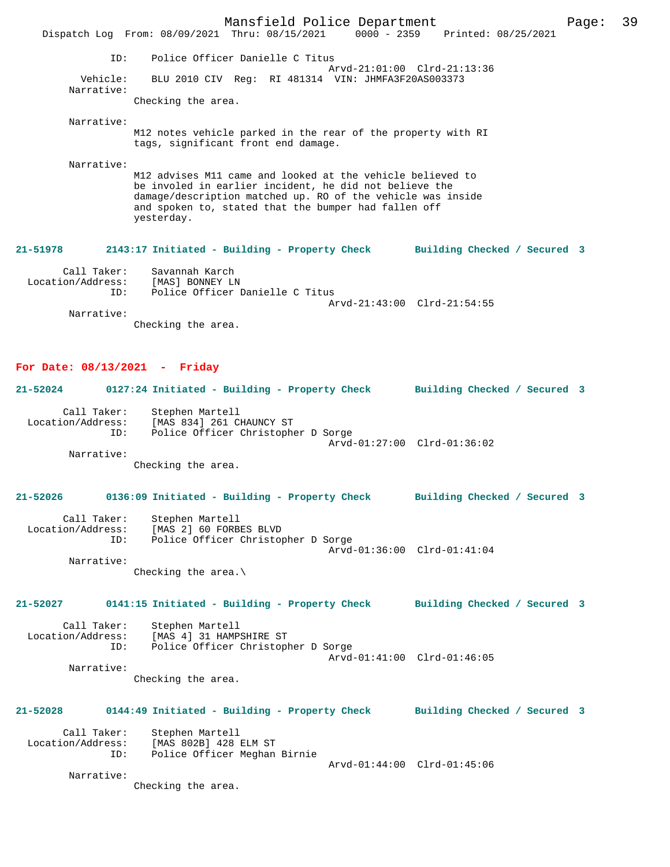|                                                               | Dispatch Log From: 08/09/2021 Thru: 08/15/2021 0000 - 2359 Printed: 08/25/2021                                                                                                                                                                            | Mansfield Police Department                        |  |                              | Page: | 39 |
|---------------------------------------------------------------|-----------------------------------------------------------------------------------------------------------------------------------------------------------------------------------------------------------------------------------------------------------|----------------------------------------------------|--|------------------------------|-------|----|
| ID:                                                           |                                                                                                                                                                                                                                                           | Police Officer Danielle C Titus                    |  |                              |       |    |
| Vehicle:<br>Narrative:                                        |                                                                                                                                                                                                                                                           | BLU 2010 CIV Reg: RI 481314 VIN: JHMFA3F20AS003373 |  | Arvd-21:01:00 Clrd-21:13:36  |       |    |
|                                                               | Checking the area.                                                                                                                                                                                                                                        |                                                    |  |                              |       |    |
| Narrative:                                                    | M12 notes vehicle parked in the rear of the property with RI<br>tags, significant front end damage.                                                                                                                                                       |                                                    |  |                              |       |    |
| Narrative:                                                    | M12 advises M11 came and looked at the vehicle believed to<br>be involed in earlier incident, he did not believe the<br>damage/description matched up. RO of the vehicle was inside<br>and spoken to, stated that the bumper had fallen off<br>yesterday. |                                                    |  |                              |       |    |
| 21-51978                                                      | 2143:17 Initiated - Building - Property Check Building Checked / Secured 3                                                                                                                                                                                |                                                    |  |                              |       |    |
| Call Taker:<br>Location/Address:<br>ID:                       | Savannah Karch<br>[MAS] BONNEY LN                                                                                                                                                                                                                         | Police Officer Danielle C Titus                    |  | Arvd-21:43:00 Clrd-21:54:55  |       |    |
| Narrative:                                                    | Checking the area.                                                                                                                                                                                                                                        |                                                    |  |                              |       |    |
| For Date: $08/13/2021$ - Friday<br>21-52024                   | 0127:24 Initiated - Building - Property Check Building Checked / Secured 3                                                                                                                                                                                |                                                    |  |                              |       |    |
| Call Taker:<br>Location/Address:<br>ID:                       | Stephen Martell<br>[MAS 834] 261 CHAUNCY ST                                                                                                                                                                                                               | Police Officer Christopher D Sorge                 |  | Arvd-01:27:00 Clrd-01:36:02  |       |    |
| Narrative:                                                    | Checking the area.                                                                                                                                                                                                                                        |                                                    |  |                              |       |    |
| 21-52026                                                      | 0136:09 Initiated - Building - Property Check                                                                                                                                                                                                             |                                                    |  | Building Checked / Secured 3 |       |    |
| Call Taker:<br>Location/Address:<br>ID:<br>Narrative:         | Stephen Martell<br>[MAS 2] 60 FORBES BLVD                                                                                                                                                                                                                 | Police Officer Christopher D Sorge                 |  | Arvd-01:36:00 Clrd-01:41:04  |       |    |
|                                                               | Checking the area. $\setminus$                                                                                                                                                                                                                            |                                                    |  |                              |       |    |
| 21-52027                                                      | 0141:15 Initiated - Building - Property Check Building Checked / Secured 3                                                                                                                                                                                |                                                    |  |                              |       |    |
| Call Taker:<br>Location/Address:<br>ID:                       | Stephen Martell<br>[MAS 4] 31 HAMPSHIRE ST                                                                                                                                                                                                                | Police Officer Christopher D Sorge                 |  | Arvd-01:41:00 Clrd-01:46:05  |       |    |
| Narrative:                                                    | Checking the area.                                                                                                                                                                                                                                        |                                                    |  |                              |       |    |
| 21-52028                                                      | 0144:49 Initiated - Building - Property Check Building Checked / Secured 3                                                                                                                                                                                |                                                    |  |                              |       |    |
| Call Taker:<br>Location/Address: [MAS 802B] 428 ELM ST<br>ID: | Stephen Martell                                                                                                                                                                                                                                           | Police Officer Meghan Birnie                       |  |                              |       |    |
| Narrative:                                                    |                                                                                                                                                                                                                                                           |                                                    |  | Arvd-01:44:00 Clrd-01:45:06  |       |    |

Checking the area.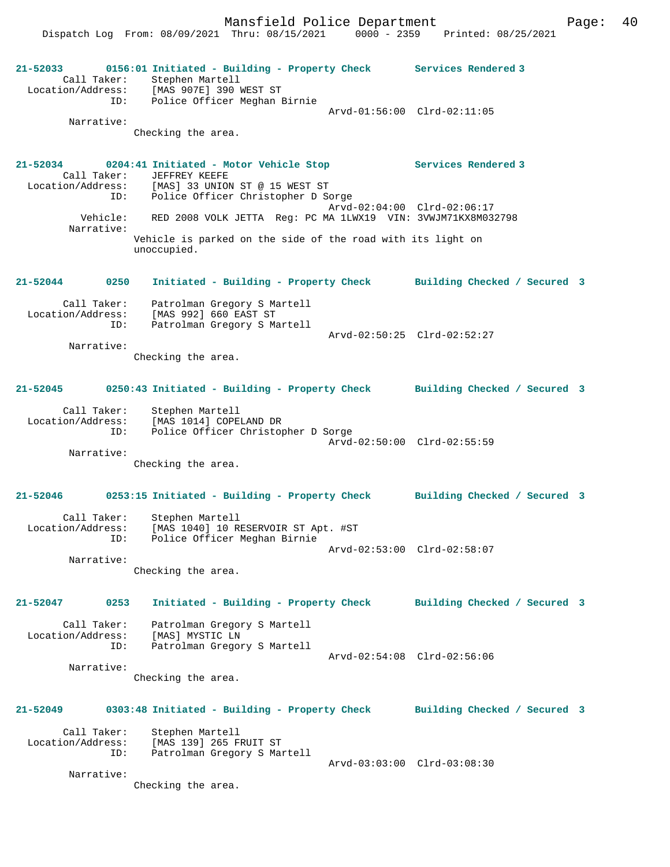Mansfield Police Department Form Page: 40

Dispatch Log From: 08/09/2021 Thru: 08/15/2021 0000 - 2359 Printed: 08/25/2021

**21-52033 0156:01 Initiated - Building - Property Check Services Rendered 3**  Call Taker: Stephen Martell Location/Address: [MAS 907E] 390 WEST ST ID: Police Officer Meghan Birnie Arvd-01:56:00 Clrd-02:11:05 Narrative: Checking the area. **21-52034 0204:41 Initiated - Motor Vehicle Stop Services Rendered 3**  Call Taker: JEFFREY KEEFE Location/Address: [MAS] 33 UNION ST @ 15 WEST ST<br>ID: Police Officer Christopher D Sc Police Officer Christopher D Sorge Arvd-02:04:00 Clrd-02:06:17<br>Vehicle: RED 2008 VOLK JETTA Reg: PC MA 1LWX19 VIN: 3VWJM71KX8M03 RED 2008 VOLK JETTA Reg: PC MA 1LWX19 VIN: 3VWJM71KX8M032798 Narrative: Vehicle is parked on the side of the road with its light on unoccupied. **21-52044 0250 Initiated - Building - Property Check Building Checked / Secured 3** Call Taker: Patrolman Gregory S Martell Location/Address: [MAS 992] 660 EAST ST ID: Patrolman Gregory S Martell Arvd-02:50:25 Clrd-02:52:27 Narrative: Checking the area. **21-52045 0250:43 Initiated - Building - Property Check Building Checked / Secured 3** Call Taker: Stephen Martell Location/Address: [MAS 1014] COPELAND DR ID: Police Officer Christopher D Sorge Arvd-02:50:00 Clrd-02:55:59 Narrative: Checking the area. **21-52046 0253:15 Initiated - Building - Property Check Building Checked / Secured 3** Call Taker: Stephen Martell Location/Address: [MAS 1040] 10 RESERVOIR ST Apt. #ST ID: Police Officer Meghan Birnie Arvd-02:53:00 Clrd-02:58:07 Narrative: Checking the area. **21-52047 0253 Initiated - Building - Property Check Building Checked / Secured 3** Call Taker: Patrolman Gregory S Martell Location/Address: [MAS] MYSTIC LN ID: Patrolman Gregory S Martell Arvd-02:54:08 Clrd-02:56:06 Narrative: Checking the area. **21-52049 0303:48 Initiated - Building - Property Check Building Checked / Secured 3** Call Taker: Stephen Martell<br>Location/Address: [MAS 139] 265 F [MAS 139] 265 FRUIT ST ID: Patrolman Gregory S Martell Arvd-03:03:00 Clrd-03:08:30 Narrative: Checking the area.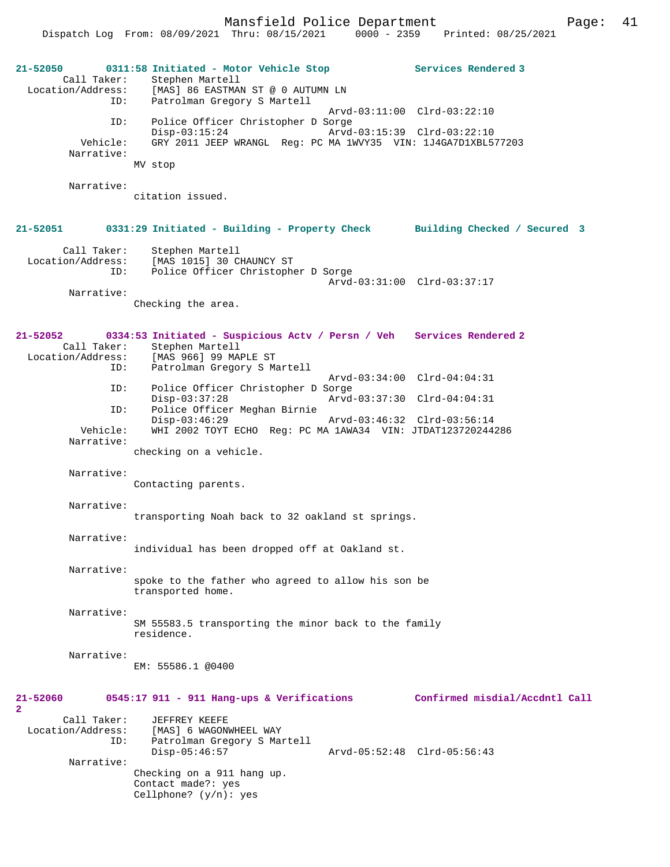Mansfield Police Department Page: 41 Dispatch Log From: 08/09/2021 Thru: 08/15/2021

**21-52050 0311:58 Initiated - Motor Vehicle Stop Services Rendered 3**  Call Taker: Stephen Martell<br>Location/Address: [MAS] 86 EASTMA [MAS] 86 EASTMAN ST @ 0 AUTUMN LN ID: Patrolman Gregory S Martell Arvd-03:11:00 Clrd-03:22:10 ID: Police Officer Christopher D Sorge Disp-03:15:24 Arvd-03:15:39 Clrd-03:22:10<br>Vehicle: GRY 2011 JEEP WRANGL Reg: PC MA 1WVY35 VIN: 1J4GA7D1XRL5 GRY 2011 JEEP WRANGL Reg: PC MA 1WVY35 VIN: 1J4GA7D1XBL577203 Narrative: MV stop Narrative: citation issued. **21-52051 0331:29 Initiated - Building - Property Check Building Checked / Secured 3** Call Taker: Stephen Martell<br>Location/Address: [MAS 1015] 30 C ess: [MAS 1015] 30 CHAUNCY ST<br>ID: Police Officer Christophe Police Officer Christopher D Sorge Arvd-03:31:00 Clrd-03:37:17 Narrative: Checking the area. **21-52052 0334:53 Initiated - Suspicious Actv / Persn / Veh Services Rendered 2**  Call Taker: Stephen Martell Location/Address: [MAS 966] 99 MAPLE ST ID: Patrolman Gregory S Martell Arvd-03:34:00 Clrd-04:04:31<br>TD: Police Officer Christopher D Sorge Police Officer Christopher D Sorge<br>Disp-03:37:28 Arvd Disp-03:37:28 Arvd-03:37:30 Clrd-04:04:31<br>ID: Police Officer Meghan Birnie Police Officer Meghan Birnie<br>Disp-03:46:29 Disp-03:46:29 Arvd-03:46:32 Clrd-03:56:14<br>Vehicle: WHI 2002 TOYT ECHO Reg: PC MA 1AWA34 VIN: JTDAT123720244 WHI 2002 TOYT ECHO Reg: PC MA 1AWA34 VIN: JTDAT123720244286 Narrative: checking on a vehicle. Narrative: Contacting parents. Narrative: transporting Noah back to 32 oakland st springs. Narrative: individual has been dropped off at Oakland st. Narrative: spoke to the father who agreed to allow his son be transported home. Narrative: SM 55583.5 transporting the minor back to the family residence. Narrative: EM: 55586.1 @0400 **21-52060 0545:17 911 - 911 Hang-ups & Verifications Confirmed misdial/Accdntl Call 2**  Call Taker: JEFFREY KEEFE<br>Location/Address: [MAS] 6 WAGON [MAS] 6 WAGONWHEEL WAY ID: Patrolman Gregory S Martell Arvd-05:52:48 Clrd-05:56:43 Narrative: Checking on a 911 hang up. Contact made?: yes Cellphone? (y/n): yes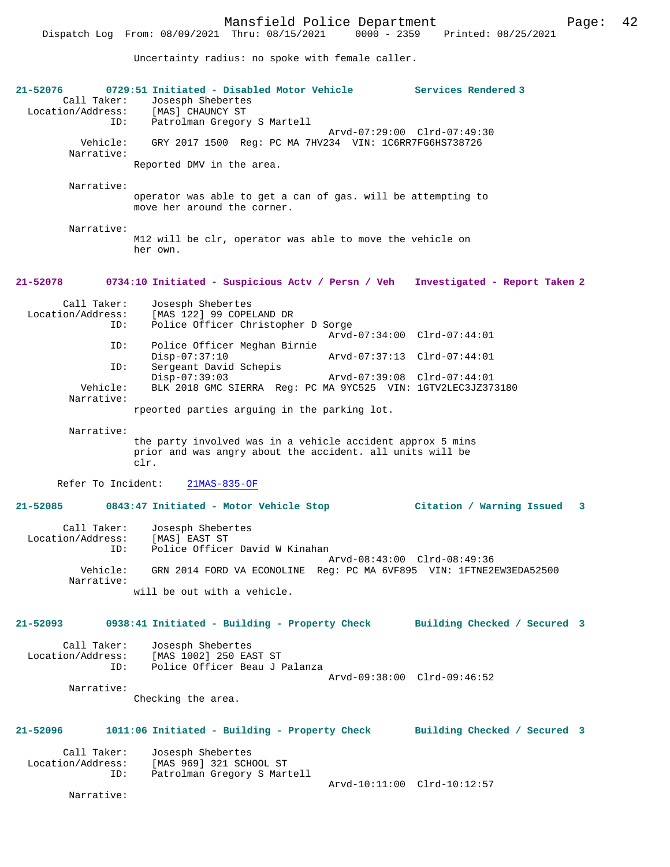Uncertainty radius: no spoke with female caller.

| 21-52076<br>Call Taker:<br>Location/Address: | 0729:51 Initiated - Disabled Motor Vehicle<br>Josesph Shebertes<br>[MAS] CHAUNCY ST                                             | Services Rendered 3           |
|----------------------------------------------|---------------------------------------------------------------------------------------------------------------------------------|-------------------------------|
| ID:                                          | Patrolman Gregory S Martell<br>Arvd-07:29:00 Clrd-07:49:30                                                                      |                               |
| Vehicle:<br>Narrative:                       | GRY 2017 1500 Req: PC MA 7HV234 VIN: 1C6RR7FG6HS738726                                                                          |                               |
|                                              | Reported DMV in the area.                                                                                                       |                               |
| Narrative:                                   |                                                                                                                                 |                               |
|                                              | operator was able to get a can of gas. will be attempting to<br>move her around the corner.                                     |                               |
| Narrative:                                   |                                                                                                                                 |                               |
|                                              | M12 will be clr, operator was able to move the vehicle on<br>her own.                                                           |                               |
| 21-52078                                     | 0734:10 Initiated - Suspicious Actv / Persn / Veh                                                                               | Investigated - Report Taken 2 |
| Call Taker:<br>Location/Address:             | Josesph Shebertes<br>[MAS 122] 99 COPELAND DR                                                                                   |                               |
| ID:                                          | Police Officer Christopher D Sorge                                                                                              | Arvd-07:34:00 Clrd-07:44:01   |
| ID:                                          | Police Officer Meghan Birnie<br>$Disp-07:37:10$<br>Arvd-07:37:13 Clrd-07:44:01                                                  |                               |
| ID:                                          | Sergeant David Schepis<br>$Disp-07:39:03$<br>Arvd-07:39:08 Clrd-07:44:01                                                        |                               |
| Vehicle:<br>Narrative:                       | BLK 2018 GMC SIERRA Req: PC MA 9YC525 VIN: 1GTV2LEC3JZ373180                                                                    |                               |
|                                              | rpeorted parties arguing in the parking lot.                                                                                    |                               |
| Narrative:                                   | the party involved was in a vehicle accident approx 5 mins<br>prior and was angry about the accident. all units will be<br>clr. |                               |
| Refer To Incident:                           | $21MAS-835-OF$                                                                                                                  |                               |
| $21 - 52085$                                 | 0843:47 Initiated - Motor Vehicle Stop                                                                                          | Citation / Warning Issued 3   |
| Call Taker:<br>Location/Address:<br>ID:      | Josesph Shebertes<br>[MAS] EAST ST<br>Police Officer David W Kinahan                                                            |                               |
| Vehicle:                                     | GRN 2014 FORD VA ECONOLINE Reg: PC MA 6VF895 VIN: 1FTNE2EW3EDA52500                                                             | Arvd-08:43:00 Clrd-08:49:36   |
| Narrative:                                   | will be out with a vehicle.                                                                                                     |                               |
| 21-52093                                     | 0938:41 Initiated - Building - Property Check                                                                                   | Building Checked / Secured 3  |
| Call Taker:                                  | Josesph Shebertes                                                                                                               |                               |
| Location/Address:<br>ID:                     | [MAS 1002] 250 EAST ST<br>Police Officer Beau J Palanza                                                                         |                               |
|                                              |                                                                                                                                 | Arvd-09:38:00 Clrd-09:46:52   |
| Narrative:                                   | Checking the area.                                                                                                              |                               |
|                                              |                                                                                                                                 |                               |
| 21-52096                                     | 1011:06 Initiated - Building - Property Check                                                                                   | Building Checked / Secured 3  |
| Call Taker:<br>Location/Address:             | Josesph Shebertes<br>[MAS 969] 321 SCHOOL ST                                                                                    |                               |
| ID:                                          | Patrolman Gregory S Martell                                                                                                     | Arvd-10:11:00 Clrd-10:12:57   |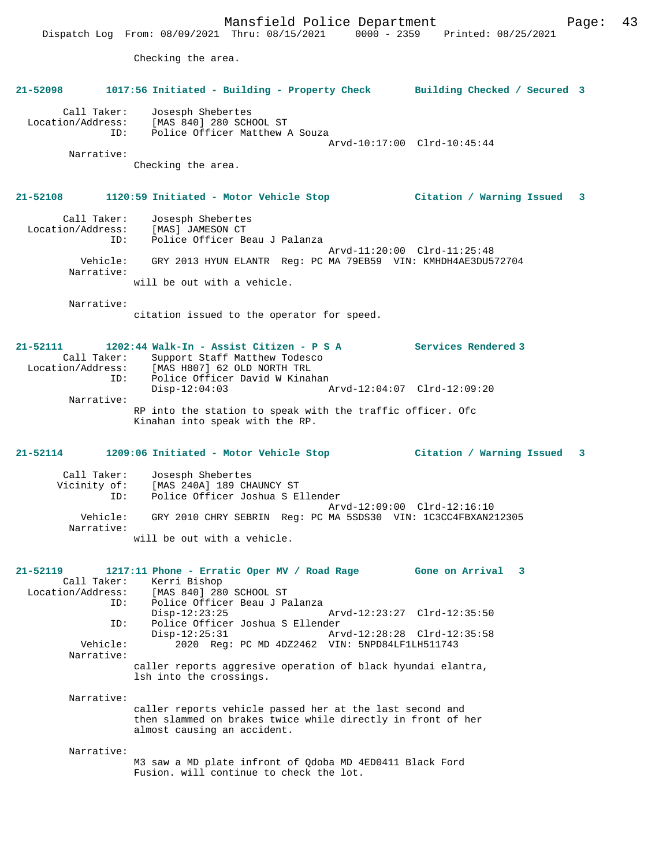Mansfield Police Department Page: 43 Dispatch Log From: 08/09/2021 Thru: 08/15/2021 0000 - 2359 Printed: 08/25/2021 Checking the area. **21-52098 1017:56 Initiated - Building - Property Check Building Checked / Secured 3** Call Taker: Josesph Shebertes Location/Address: [MAS 840] 280 SCHOOL ST ID: Police Officer Matthew A Souza Arvd-10:17:00 Clrd-10:45:44 Narrative: Checking the area. **21-52108 1120:59 Initiated - Motor Vehicle Stop Citation / Warning Issued 3** Call Taker: Josesph Shebertes Location/Address: [MAS] JAMESON CT ID: Police Officer Beau J Palanza Arvd-11:20:00 Clrd-11:25:48 Vehicle: GRY 2013 HYUN ELANTR Reg: PC MA 79EB59 VIN: KMHDH4AE3DU572704 Narrative: will be out with a vehicle. Narrative: citation issued to the operator for speed. **21-52111 1202:44 Walk-In - Assist Citizen - P S A Services Rendered 3**  Call Taker: Support Staff Matthew Todesco Location/Address: [MAS H807] 62 OLD NORTH TRL ID: Police Officer David W Kinahan<br>Disp-12:04:03 Disp-12:04:03 Arvd-12:04:07 Clrd-12:09:20 Narrative: RP into the station to speak with the traffic officer. Ofc Kinahan into speak with the RP. **21-52114 1209:06 Initiated - Motor Vehicle Stop Citation / Warning Issued 3** Call Taker: Josesph Shebertes Vicinity of: [MAS 240A] 189 CHAUNCY ST ID: Police Officer Joshua S Ellender Arvd-12:09:00 Clrd-12:16:10 Vehicle: GRY 2010 CHRY SEBRIN Reg: PC MA 5SDS30 VIN: 1C3CC4FBXAN212305 Narrative: will be out with a vehicle. **21-52119 1217:11 Phone - Erratic Oper MV / Road Rage Gone on Arrival 3**  Call Taker: Kerri Bishop<br>Location/Address: [MAS 840] 28 Location/Address: [MAS 840] 280 SCHOOL ST ID: Police Officer Beau J Palanza Disp-12:23:25 Arvd-12:23:27 Clrd-12:35:50<br>
DD: Police Officer Joshua S Ellender<br>
Disp-12:25:31 Arvd-12:28:28 Clrd-12:35:58<br>
Arvd-12:28:28 Clrd-12:35:58 Police Officer Joshua S Ellender Disp-12:25:31 Arvd-12:28:28 Clrd-12:35:58<br>
Vehicle: 2020 Reg: PC MD 4DZ2462 VIN: 5NPD84LE1LH511743 2020 Reg: PC MD 4DZ2462 VIN: 5NPD84LF1LH511743 Narrative: caller reports aggresive operation of black hyundai elantra, lsh into the crossings. Narrative: caller reports vehicle passed her at the last second and then slammed on brakes twice while directly in front of her almost causing an accident. Narrative: M3 saw a MD plate infront of Qdoba MD 4ED0411 Black Ford Fusion. will continue to check the lot.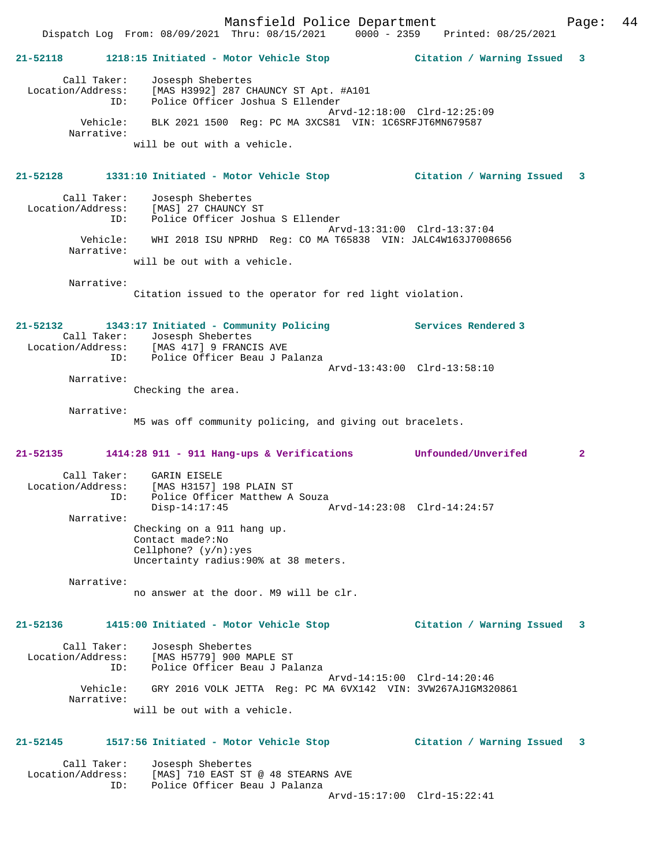Mansfield Police Department Page: 44 Dispatch Log From: 08/09/2021 Thru: 08/15/2021 0000 - 2359 Printed: 08/25/2021 **21-52118 1218:15 Initiated - Motor Vehicle Stop Citation / Warning Issued 3** Call Taker: Josesph Shebertes Location/Address: [MAS H3992] 287 CHAUNCY ST Apt. #A101 ID: Police Officer Joshua S Ellender Arvd-12:18:00 Clrd-12:25:09 Vehicle: BLK 2021 1500 Reg: PC MA 3XCS81 VIN: 1C6SRFJT6MN679587 Narrative: will be out with a vehicle. **21-52128 1331:10 Initiated - Motor Vehicle Stop Citation / Warning Issued 3** Call Taker: Josesph Shebertes Location/Address: [MAS] 27 CHAUNCY ST ID: Police Officer Joshua S Ellender Arvd-13:31:00 Clrd-13:37:04 Vehicle: WHI 2018 ISU NPRHD Reg: CO MA T65838 VIN: JALC4W163J7008656 Narrative: will be out with a vehicle. Narrative: Citation issued to the operator for red light violation. **21-52132 1343:17 Initiated - Community Policing Services Rendered 3**  Call Taker: Josesph Shebertes<br>Location/Address: [MAS 417] 9 FRANC: Location (Address: [MAS 417] 9 FRANCIS AVE ID: Police Officer Beau J Palanza Arvd-13:43:00 Clrd-13:58:10 Narrative: Checking the area. Narrative: M5 was off community policing, and giving out bracelets. **21-52135 1414:28 911 - 911 Hang-ups & Verifications Unfounded/Unverifed 2** Call Taker: GARIN EISELE Location/Address: [MAS H3157] 198 PLAIN ST ID: Police Officer Matthew A Souza Disp-14:17:45 Arvd-14:23:08 Clrd-14:24:57 Narrative: Checking on a 911 hang up. Contact made?:No Cellphone? (y/n):yes Uncertainty radius:90% at 38 meters. Narrative: no answer at the door. M9 will be clr. **21-52136 1415:00 Initiated - Motor Vehicle Stop Citation / Warning Issued 3** Call Taker: Josesph Shebertes Location/Address: [MAS H5779] 900 MAPLE ST ID: Police Officer Beau J Palanza Arvd-14:15:00 Clrd-14:20:46 Vehicle: GRY 2016 VOLK JETTA Reg: PC MA 6VX142 VIN: 3VW267AJ1GM320861 Narrative: will be out with a vehicle. **21-52145 1517:56 Initiated - Motor Vehicle Stop Citation / Warning Issued 3** Call Taker: Josesph Shebertes<br>Location/Address: [MAS] 710 EAST ST Location/Address: [MAS] 710 EAST ST @ 48 STEARNS AVE ID: Police Officer Beau J Palanza

Arvd-15:17:00 Clrd-15:22:41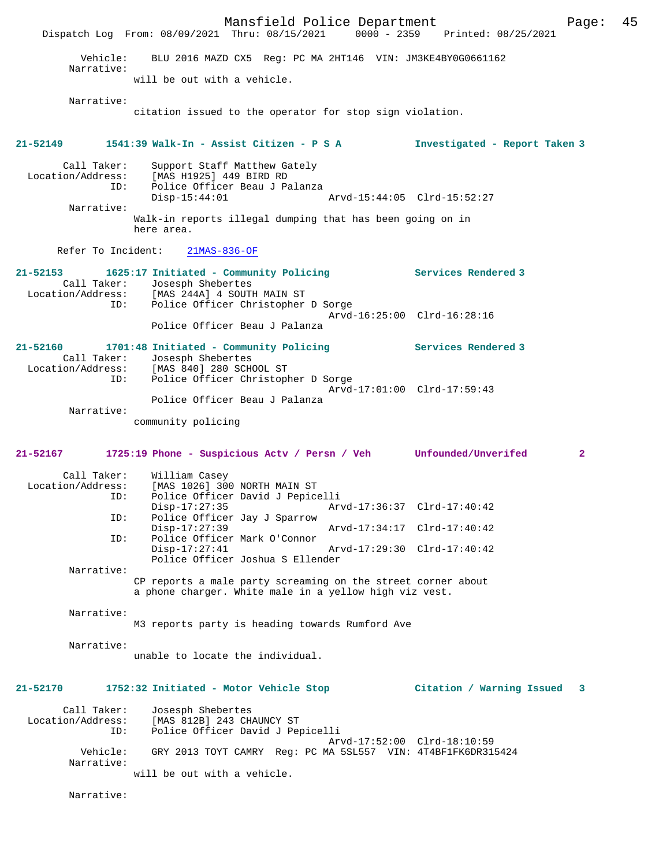Mansfield Police Department Page: 45 Dispatch Log From: 08/09/2021 Thru: 08/15/2021 Vehicle: BLU 2016 MAZD CX5 Reg: PC MA 2HT146 VIN: JM3KE4BY0G0661162 Narrative: will be out with a vehicle. Narrative: citation issued to the operator for stop sign violation. **21-52149 1541:39 Walk-In - Assist Citizen - P S A Investigated - Report Taken 3** Call Taker: Support Staff Matthew Gately Location/Address: [MAS H1925] 449 BIRD RD ID: Police Officer Beau J Palanza Disp-15:44:01 Arvd-15:44:05 Clrd-15:52:27 Narrative: Walk-in reports illegal dumping that has been going on in here area. Refer To Incident: 21MAS-836-OF **21-52153 1625:17 Initiated - Community Policing Services Rendered 3**  Call Taker: Josesph Shebertes<br>Location/Address: [MAS 244A] 4 SOUT ess: [MAS 244A] 4 SOUTH MAIN ST<br>ID: Police Officer Christopher Police Officer Christopher D Sorge Arvd-16:25:00 Clrd-16:28:16 Police Officer Beau J Palanza **21-52160 1701:48 Initiated - Community Policing Services Rendered 3**  Call Taker: Josesph Shebertes<br>Location/Address: [MAS 840] 280 SCH [MAS 840] 280 SCHOOL ST ID: Police Officer Christopher D Sorge Arvd-17:01:00 Clrd-17:59:43 Police Officer Beau J Palanza Narrative: community policing **21-52167 1725:19 Phone - Suspicious Actv / Persn / Veh Unfounded/Unverifed 2** Call Taker: William Casey<br>Location/Address: [MAS 1026] 30 ess: [MAS 1026] 300 NORTH MAIN ST<br>ID: Police Officer David J Pepice Police Officer David J Pepicelli Disp-17:27:35 Arvd-17:36:37 Clrd-17:40:42<br>TD: Police Officer Jav J Sparrow Police Officer Jay J Sparrow<br>Disp-17:27:39 Disp-17:27:39 Arvd-17:34:17 Clrd-17:40:42 ID: Police Officer Mark O'Connor Disp-17:27:41 Arvd-17:29:30 Clrd-17:40:42 Police Officer Joshua S Ellender Narrative: CP reports a male party screaming on the street corner about a phone charger. White male in a yellow high viz vest. Narrative: M3 reports party is heading towards Rumford Ave Narrative: unable to locate the individual. **21-52170 1752:32 Initiated - Motor Vehicle Stop Citation / Warning Issued 3** Call Taker: Josesph Shebertes Location/Address: [MAS 812B] 243 CHAUNCY ST ID: Police Officer David J Pepicelli Arvd-17:52:00 Clrd-18:10:59<br>Vehicle: GRY 2013 TOYT CAMRY Reg: PC MA 5SL557 VIN: 4T4BF1FK6DR31 GRY 2013 TOYT CAMRY Reg: PC MA 5SL557 VIN: 4T4BF1FK6DR315424 Narrative: will be out with a vehicle. Narrative: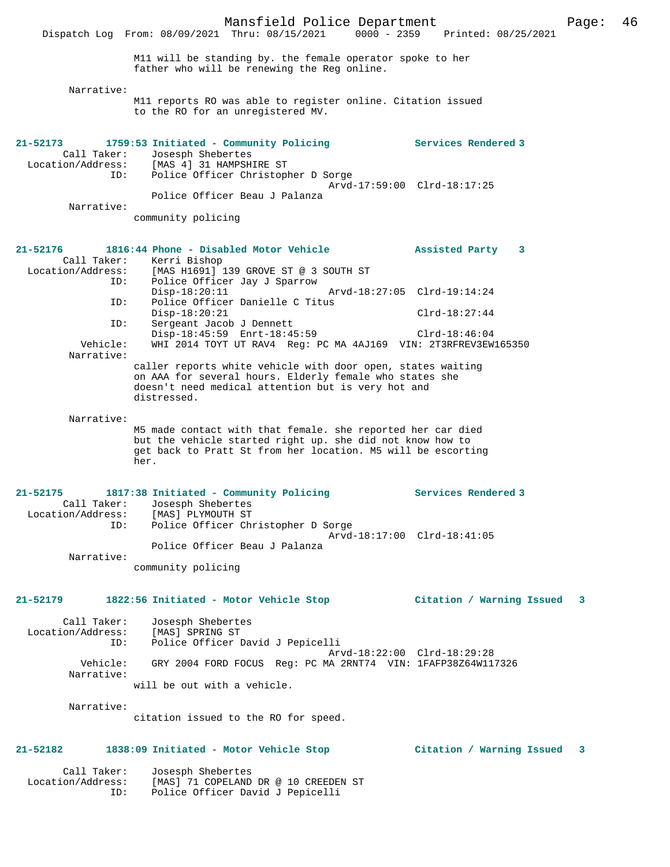|                                                     | Dispatch Log From: 08/09/2021 Thru: 08/15/2021<br>$0000 - 2359$                                                                                                                                  | Printed: 08/25/2021         |   |
|-----------------------------------------------------|--------------------------------------------------------------------------------------------------------------------------------------------------------------------------------------------------|-----------------------------|---|
|                                                     | M11 will be standing by. the female operator spoke to her<br>father who will be renewing the Reg online.                                                                                         |                             |   |
| Narrative:                                          |                                                                                                                                                                                                  |                             |   |
|                                                     | M11 reports RO was able to register online. Citation issued<br>to the RO for an unregistered MV.                                                                                                 |                             |   |
| 21-52173                                            | 1759:53 Initiated - Community Policing<br>Call Taker: Josesph Shebertes<br>Location/Address: [MAS 4] 31 HAMPSHIRE ST                                                                             | <b>Services Rendered 3</b>  |   |
| ID:                                                 | Police Officer Christopher D Sorge                                                                                                                                                               | Arvd-17:59:00 Clrd-18:17:25 |   |
| Narrative:                                          | Police Officer Beau J Palanza                                                                                                                                                                    |                             |   |
|                                                     | community policing                                                                                                                                                                               |                             |   |
| 21-52176<br>Call Taker:                             | 1816:44 Phone - Disabled Motor Vehicle<br>Kerri Bishop<br>Location/Address: [MAS H1691] 139 GROVE ST @ 3 SOUTH ST                                                                                | Assisted Party 3            |   |
| ID:                                                 | Police Officer Jay J Sparrow<br>$Disp-18:20:11$                                                                                                                                                  | Arvd-18:27:05 Clrd-19:14:24 |   |
| ID:                                                 | Police Officer Danielle C Titus<br>$Disp-18:20:21$                                                                                                                                               | $Clrd-18:27:44$             |   |
| ID:                                                 | Sergeant Jacob J Dennett<br>Disp-18:45:59 Enrt-18:45:59                                                                                                                                          | $Clrd-18:46:04$             |   |
| Vehicle:<br>Narrative:                              | WHI 2014 TOYT UT RAV4 Reg: PC MA 4AJ169 VIN: 2T3RFREV3EW165350                                                                                                                                   |                             |   |
|                                                     | caller reports white vehicle with door open, states waiting<br>on AAA for several hours. Elderly female who states she<br>doesn't need medical attention but is very hot and<br>distressed.      |                             |   |
| Narrative:                                          |                                                                                                                                                                                                  |                             |   |
|                                                     | M5 made contact with that female. she reported her car died<br>but the vehicle started right up. she did not know how to<br>get back to Pratt St from her location. M5 will be escorting<br>her. |                             |   |
| 21-52175<br>Call Taker:<br>Location/Address:<br>ID: | 1817:38 Initiated - Community Policing<br>Josesph Shebertes<br>[MAS] PLYMOUTH ST<br>Police Officer Christopher D Sorge                                                                           | Services Rendered 3         |   |
|                                                     | Police Officer Beau J Palanza                                                                                                                                                                    | Arvd-18:17:00 Clrd-18:41:05 |   |
| Narrative:                                          | community policing                                                                                                                                                                               |                             |   |
|                                                     |                                                                                                                                                                                                  |                             |   |
| 21-52179                                            | 1822:56 Initiated - Motor Vehicle Stop                                                                                                                                                           | Citation / Warning Issued   | 3 |
| Call Taker:<br>Location/Address:                    | Josesph Shebertes<br>[MAS] SPRING ST                                                                                                                                                             |                             |   |
| ID:                                                 | Police Officer David J Pepicelli                                                                                                                                                                 | Arvd-18:22:00 Clrd-18:29:28 |   |
| Vehicle:<br>Narrative:                              | GRY 2004 FORD FOCUS Req: PC MA 2RNT74 VIN: 1FAFP38Z64W117326                                                                                                                                     |                             |   |
|                                                     | will be out with a vehicle.                                                                                                                                                                      |                             |   |
| Narrative:                                          | citation issued to the RO for speed.                                                                                                                                                             |                             |   |
| 21-52182                                            | 1838:09 Initiated - Motor Vehicle Stop                                                                                                                                                           | Citation / Warning Issued   | 3 |
| Call Taker:<br>Location/Address:<br>ID:             | Josesph Shebertes<br>[MAS] 71 COPELAND DR @ 10 CREEDEN ST<br>Police Officer David J Pepicelli                                                                                                    |                             |   |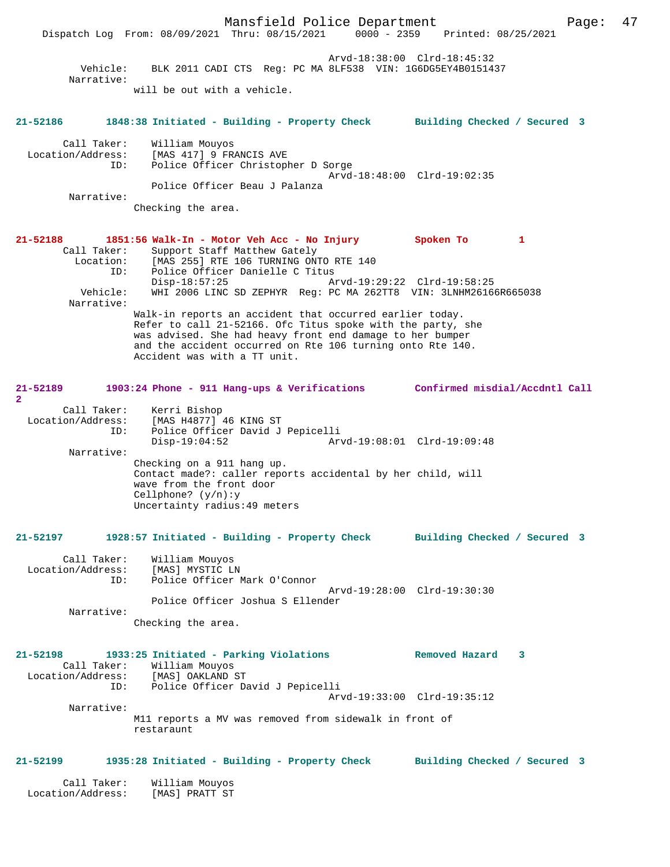Mansfield Police Department Page: 47 Dispatch Log From: 08/09/2021 Thru: 08/15/2021 Arvd-18:38:00 Clrd-18:45:32 Vehicle: BLK 2011 CADI CTS Reg: PC MA 8LF538 VIN: 1G6DG5EY4B0151437 Narrative: will be out with a vehicle. **21-52186 1848:38 Initiated - Building - Property Check Building Checked / Secured 3** Call Taker: William Mouyos Location/Address: [MAS 417] 9 FRANCIS AVE ID: Police Officer Christopher D Sorge Arvd-18:48:00 Clrd-19:02:35 Police Officer Beau J Palanza Narrative: Checking the area. **21-52188 1851:56 Walk-In - Motor Veh Acc - No Injury Spoken To 1**  Call Taker: Support Staff Matthew Gately<br>Location: [MAS 255] RTE 106 TURNING ON: ion: [MAS 255] RTE 106 TURNING ONTO RTE 140<br>ID: Police Officer Danielle C Titus Police Officer Danielle C Titus Disp-18:57:25 Arvd-19:29:22 Clrd-19:58:25 Vehicle: WHI 2006 LINC SD ZEPHYR Reg: PC MA 262TT8 VIN: 3LNHM26166R665038 Narrative: Walk-in reports an accident that occurred earlier today. Refer to call 21-52166. Ofc Titus spoke with the party, she was advised. She had heavy front end damage to her bumper and the accident occurred on Rte 106 turning onto Rte 140. Accident was with a TT unit. **21-52189 1903:24 Phone - 911 Hang-ups & Verifications Confirmed misdial/Accdntl Call 2**  Call Taker: Kerri Bishop Location/Address: [MAS H4877] 46 KING ST ID: Police Officer David J Pepicelli<br>Disp-19:04:52 Arv Disp-19:04:52 Arvd-19:08:01 Clrd-19:09:48 Narrative: Checking on a 911 hang up. Contact made?: caller reports accidental by her child, will wave from the front door Cellphone? (y/n):y Uncertainty radius:49 meters **21-52197 1928:57 Initiated - Building - Property Check Building Checked / Secured 3** Call Taker: William Mouyos Location/Address: [MAS] MYSTIC LN ID: Police Officer Mark O'Connor Arvd-19:28:00 Clrd-19:30:30 Police Officer Joshua S Ellender Narrative: Checking the area. **21-52198 1933:25 Initiated - Parking Violations Removed Hazard 3**  Call Taker: William Mouyos Location/Address: [MAS] OAKLAND ST ID: Police Officer David J Pepicelli Arvd-19:33:00 Clrd-19:35:12 Narrative: M11 reports a MV was removed from sidewalk in front of restaraunt **21-52199 1935:28 Initiated - Building - Property Check Building Checked / Secured 3** Call Taker: William Mouyos Location/Address: [MAS] PRATT ST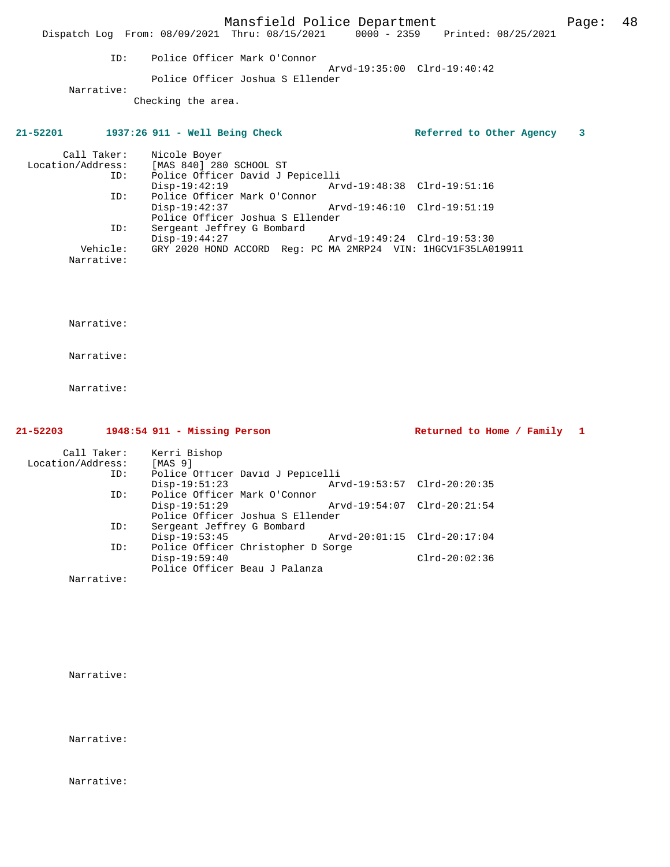Mansfield Police Department Fage: 48 Dispatch Log From: 08/09/2021 Thru: 08/15/2021 0000 - 2359 Printed: 08/25/2021 ID: Police Officer Mark O'Connor Arvd-19:35:00 Clrd-19:40:42 Police Officer Joshua S Ellender Narrative: Checking the area. **21-52201 1937:26 911 - Well Being Check Referred to Other Agency 3** Call Taker: Nicole Boyer Location/Address: [MAS 840] 280 SCHOOL ST ID: Police Officer David J Pepicelli Disp-19:42:19 <br>
Disp-19:42:19 <br>
Disposicly Mark O'Connor<br>
Disposition Arvd-19:48:38 Clrd-19:51:16 Police Officer Mark O'Connor<br>Disp-19:42:37 Disp-19:42:37 Arvd-19:46:10 Clrd-19:51:19 Police Officer Joshua S Ellender<br>ID: Sergeant Jeffrey G Bombard Sergeant Jeffrey G Bombard<br>Disp-19:44:27 Disp-19:44:27 Arvd-19:49:24 Clrd-19:53:30 Vehicle: GRY 2020 HOND ACCORD Reg: PC MA 2MRP24 VIN: 1HGCV1F35LA019911 Narrative:

Narrative:

Narrative:

Narrative:

| 21-52203          |     | $1948:54$ 911 - Missing Person |                                    |                             |                 | Returned to Home / Family 1 |  |
|-------------------|-----|--------------------------------|------------------------------------|-----------------------------|-----------------|-----------------------------|--|
| Call Taker:       |     | Kerri Bishop                   |                                    |                             |                 |                             |  |
| Location/Address: |     | [MAS 9]                        |                                    |                             |                 |                             |  |
|                   | ID: |                                | Police Officer David J Pepicelli   |                             |                 |                             |  |
|                   |     | $Disp-19:51:23$                |                                    | Arvd-19:53:57 Clrd-20:20:35 |                 |                             |  |
|                   | ID: | Police Officer Mark O'Connor   |                                    |                             |                 |                             |  |
|                   |     | $Disp-19:51:29$                |                                    | Arvd-19:54:07 Clrd-20:21:54 |                 |                             |  |
|                   |     |                                | Police Officer Joshua S Ellender   |                             |                 |                             |  |
|                   | ID: | Sergeant Jeffrey G Bombard     |                                    |                             |                 |                             |  |
|                   |     | $Disp-19:53:45$                |                                    | Arvd-20:01:15 Clrd-20:17:04 |                 |                             |  |
|                   | ID: |                                | Police Officer Christopher D Sorge |                             |                 |                             |  |
|                   |     | $Disp-19:59:40$                |                                    |                             | $Clrd-20:02:36$ |                             |  |
|                   |     |                                | Police Officer Beau J Palanza      |                             |                 |                             |  |
| Narrative:        |     |                                |                                    |                             |                 |                             |  |

Narrative:

Narrative:

Narrative: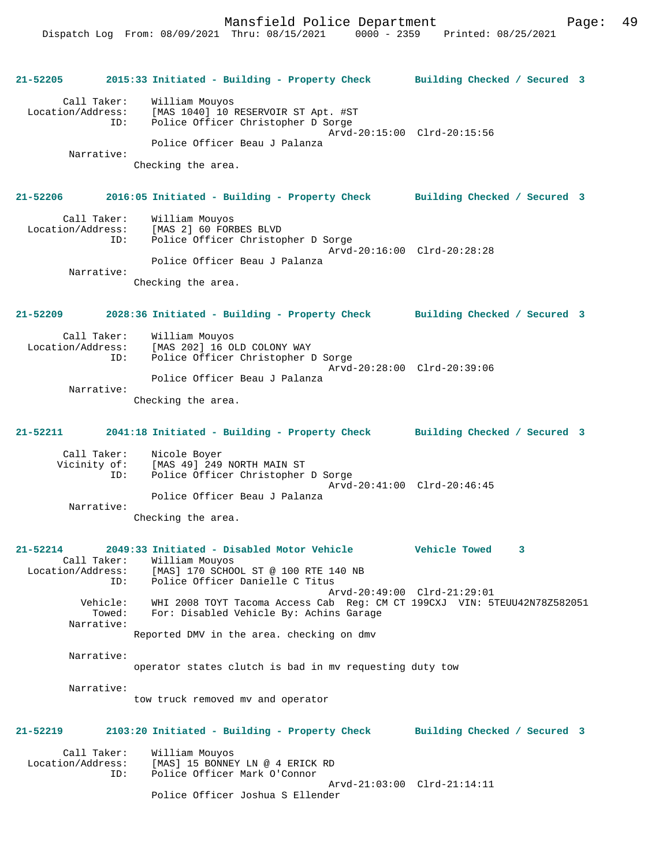**21-52205 2015:33 Initiated - Building - Property Check Building Checked / Secured 3** Call Taker: William Mouyos Location/Address: [MAS 1040] 10 RESERVOIR ST Apt. #ST ID: Police Officer Christopher D Sorge Arvd-20:15:00 Clrd-20:15:56 Police Officer Beau J Palanza Narrative: Checking the area. **21-52206 2016:05 Initiated - Building - Property Check Building Checked / Secured 3** Call Taker: William Mouyos Location/Address: [MAS 2] 60 FORBES BLVD ID: Police Officer Christopher D Sorge Arvd-20:16:00 Clrd-20:28:28 Police Officer Beau J Palanza Narrative: Checking the area. **21-52209 2028:36 Initiated - Building - Property Check Building Checked / Secured 3** Call Taker: William Mouyos Location/Address: [MAS 202] 16 OLD COLONY WAY ID: Police Officer Christopher D Sorge Arvd-20:28:00 Clrd-20:39:06 Police Officer Beau J Palanza Narrative: Checking the area. **21-52211 2041:18 Initiated - Building - Property Check Building Checked / Secured 3** Call Taker: Nicole Boyer Vicinity of: [MAS 49] 249 NORTH MAIN ST<br>ID: Police Officer Christopher Police Officer Christopher D Sorge Arvd-20:41:00 Clrd-20:46:45 Police Officer Beau J Palanza Narrative: Checking the area. **21-52214 2049:33 Initiated - Disabled Motor Vehicle Vehicle Towed 3**  Call Taker: William Mouyos Location/Address: [MAS] 170 SCHOOL ST @ 100 RTE 140 NB ID: Police Officer Danielle C Titus Arvd-20:49:00 Clrd-21:29:01 Vehicle: WHI 2008 TOYT Tacoma Access Cab Reg: CM CT 199CXJ VIN: 5TEUU42N78Z582051 For: Disabled Vehicle By: Achins Garage Narrative: Reported DMV in the area. checking on dmv Narrative: operator states clutch is bad in mv requesting duty tow Narrative: tow truck removed mv and operator **21-52219 2103:20 Initiated - Building - Property Check Building Checked / Secured 3** Call Taker: William Mouyos<br>Location/Address: [MAS] 15 BONNEY ess: [MAS] 15 BONNEY LN @ 4 ERICK RD:<br>ID: Police Officer Mark O'Connor Police Officer Mark O'Connor Arvd-21:03:00 Clrd-21:14:11 Police Officer Joshua S Ellender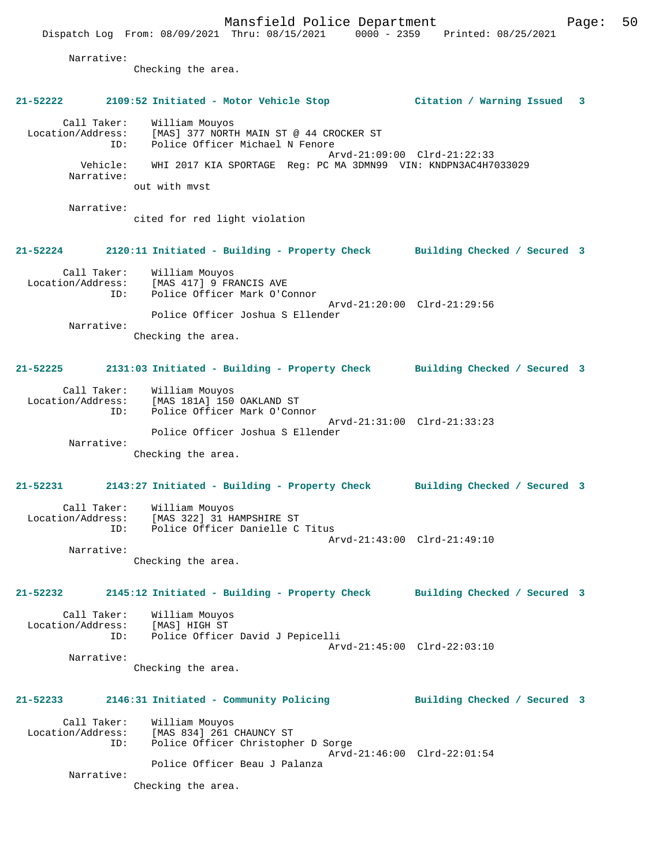Narrative: Checking the area. **21-52222 2109:52 Initiated - Motor Vehicle Stop Citation / Warning Issued 3** Call Taker: William Mouyos Location/Address: [MAS] 377 NORTH MAIN ST @ 44 CROCKER ST ID: Police Officer Michael N Fenore Arvd-21:09:00 Clrd-21:22:33 Vehicle: WHI 2017 KIA SPORTAGE Reg: PC MA 3DMN99 VIN: KNDPN3AC4H7033029 Narrative: out with mvst Narrative: cited for red light violation **21-52224 2120:11 Initiated - Building - Property Check Building Checked / Secured 3** Call Taker: William Mouyos<br>Location/Address: [MAS 417] 9 FR Location/Address: [MAS 417] 9 FRANCIS AVE ID: Police Officer Mark O'Connor Arvd-21:20:00 Clrd-21:29:56 Police Officer Joshua S Ellender Narrative: Checking the area. **21-52225 2131:03 Initiated - Building - Property Check Building Checked / Secured 3** Call Taker: William Mouyos Location/Address: [MAS 181A] 150 OAKLAND ST<br>TD: Police Officer Mark O'Com Police Officer Mark O'Connor Arvd-21:31:00 Clrd-21:33:23 Police Officer Joshua S Ellender Narrative: Checking the area. **21-52231 2143:27 Initiated - Building - Property Check Building Checked / Secured 3** Call Taker: William Mouyos<br>Location/Address: [MAS 322] 31 H. [MAS 322] 31 HAMPSHIRE ST ID: Police Officer Danielle C Titus Arvd-21:43:00 Clrd-21:49:10 Narrative: Checking the area. **21-52232 2145:12 Initiated - Building - Property Check Building Checked / Secured 3** Call Taker: William Mouyos Location/Address: [MAS] HIGH ST<br>ID: Police Office Police Officer David J Pepicelli Arvd-21:45:00 Clrd-22:03:10 Narrative: Checking the area. **21-52233 2146:31 Initiated - Community Policing Building Checked / Secured 3** Call Taker: William Mouyos Location/Address: [MAS 834] 261 CHAUNCY ST ID: Police Officer Christopher D Sorge Arvd-21:46:00 Clrd-22:01:54 Police Officer Beau J Palanza Narrative: Checking the area.

Dispatch Log From: 08/09/2021 Thru: 08/15/2021 0000 - 2359 Printed: 08/25/2021

Mansfield Police Department Page: 50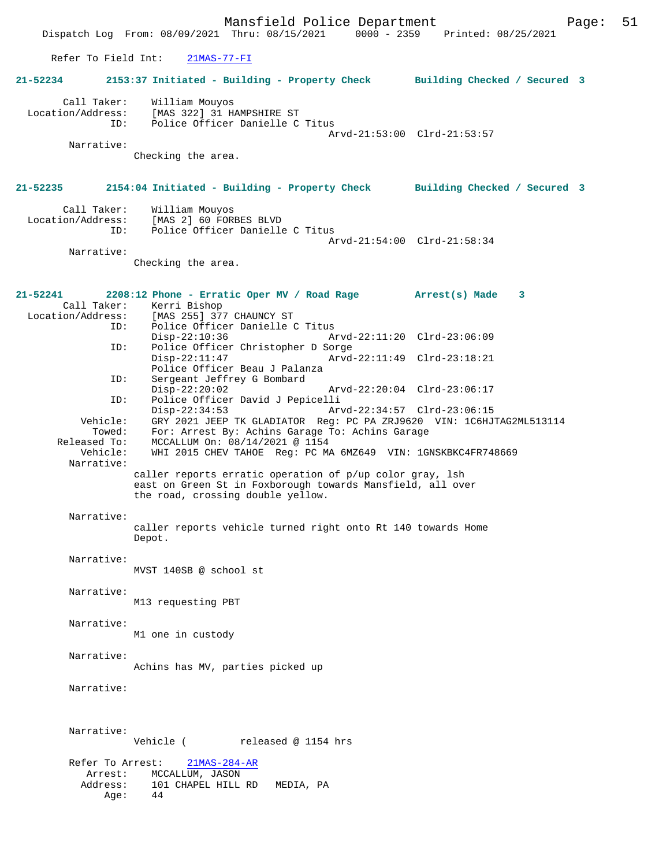Mansfield Police Department Page: 51 Dispatch Log From: 08/09/2021 Thru: 08/15/2021 Refer To Field Int: 21MAS-77-FI **21-52234 2153:37 Initiated - Building - Property Check Building Checked / Secured 3** Call Taker: William Mouyos Location/Address: [MAS 322] 31 HAMPSHIRE ST ID: Police Officer Danielle C Titus Arvd-21:53:00 Clrd-21:53:57 Narrative: Checking the area. **21-52235 2154:04 Initiated - Building - Property Check Building Checked / Secured 3** Call Taker: William Mouyos<br>Location/Address: [MAS 2] 60 FORI ess: [MAS 2] 60 FORBES BLVD<br>ID: Police Officer Danielle Police Officer Danielle C Titus Arvd-21:54:00 Clrd-21:58:34 Narrative: Checking the area. **21-52241 2208:12 Phone - Erratic Oper MV / Road Rage Arrest(s) Made 3**  Call Taker: Kerri Bishop Location/Address: [MAS 255] 377 CHAUNCY ST ID: Police Officer Danielle C Titus Disp-22:10:36 Arvd-22:11:20 Clrd-23:06:09<br>ID: Police Officer Christopher D Sorge Police Officer Christopher D Sorge<br>Disp-22:11:47 Arvd Disp-22:11:47 Arvd-22:11:49 Clrd-23:18:21 Police Officer Beau J Palanza<br>ID: Sergeant Jeffrey G Bombard Sergeant Jeffrey G Bombard<br>Disp-22:20:02 Disp-22:20:02 Arvd-22:20:04 Clrd-23:06:17<br>ID: Police Officer David J Pepicelli ID: Police Officer David J Pepicelli Disp-22:34:53 Arvd-22:34:57 Clrd-23:06:15<br>Vehicle: GRY 2021 JEEP TK GLADIATOR Reg: PC PA ZRJ9620 VIN: 1C6HJ Vehicle: GRY 2021 JEEP TK GLADIATOR Reg: PC PA ZRJ9620 VIN: 1C6HJTAG2ML513114 Towed: For: Arrest By: Achins Garage To: Achins Garage Released To: MCCALLUM On: 08/14/2021 @ 1154 Vehicle: WHI 2015 CHEV TAHOE Reg: PC MA 6MZ649 VIN: 1GNSKBKC4FR748669 Narrative: caller reports erratic operation of p/up color gray, lsh east on Green St in Foxborough towards Mansfield, all over the road, crossing double yellow. Narrative: caller reports vehicle turned right onto Rt 140 towards Home Depot. Narrative: MVST 140SB @ school st Narrative: M13 requesting PBT Narrative: M1 one in custody Narrative: Achins has MV, parties picked up Narrative: Narrative: Vehicle ( released @ 1154 hrs Refer To Arrest: 21MAS-284-AR Arrest: MCCALLUM, JASON Address: 101 CHAPEL HILL RD MEDIA, PA  $A$ ge:  $44$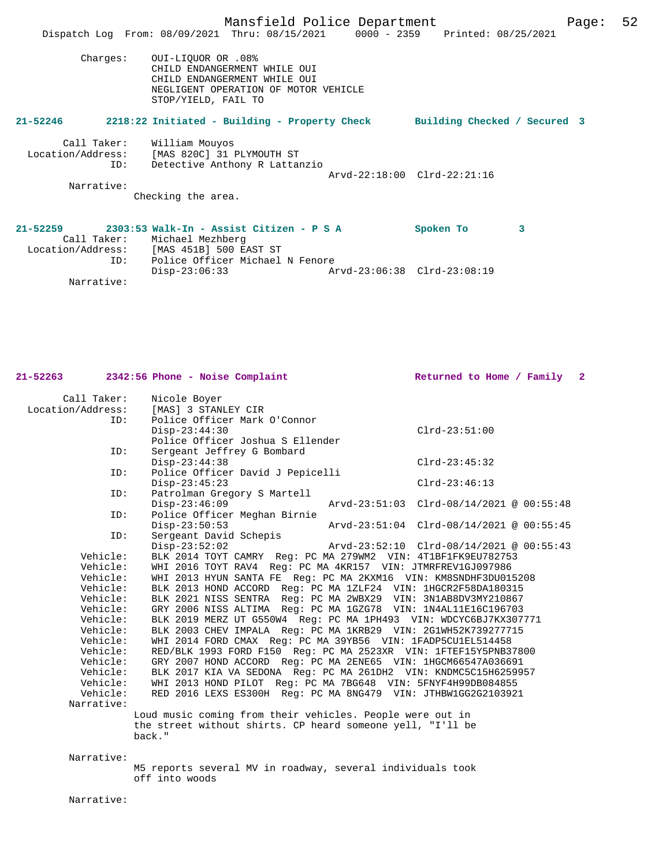|                                         | Mansfield Police Department                                                                                                                       | 52<br>Page: |
|-----------------------------------------|---------------------------------------------------------------------------------------------------------------------------------------------------|-------------|
|                                         | Dispatch Log From: 08/09/2021 Thru: 08/15/2021 0000 - 2359 Printed: 08/25/2021                                                                    |             |
| Charges:                                | 0UI-LIOUOR OR .08%<br>CHILD ENDANGERMENT WHILE OUI<br>CHILD ENDANGERMENT WHILE OUI<br>NEGLIGENT OPERATION OF MOTOR VEHICLE<br>STOP/YIELD, FAIL TO |             |
| $21 - 52246$                            | 2218:22 Initiated - Building - Property Check<br>Building Checked / Secured 3                                                                     |             |
| Call Taker:<br>Location/Address:<br>ID: | William Mouyos<br>[MAS 820C] 31 PLYMOUTH ST<br>Detective Anthony R Lattanzio<br>Arvd-22:18:00 Clrd-22:21:16                                       |             |
| Narrative:                              |                                                                                                                                                   |             |
|                                         | Checking the area.                                                                                                                                |             |
| $21 - 52259$                            | 2303:53 Walk-In - Assist Citizen - P S A<br>3<br>Spoken To<br>Call Taker: Michael Mezhberg<br>Location/Address: [MAS 451B] 500 EAST ST            |             |

ID: Police Officer Michael N Fenore

Narrative:

Disp-23:06:33 Arvd-23:06:38 Clrd-23:08:19

|                   | $21-52263$ $2342:56$ Phone - Noise Complaint                     | Returned to Home / Family 2              |
|-------------------|------------------------------------------------------------------|------------------------------------------|
| Call Taker:       | Nicole Boyer                                                     |                                          |
| Location/Address: | [MAS] 3 STANLEY CIR                                              |                                          |
| ID:               | Police Officer Mark O'Connor                                     |                                          |
|                   | $Disp-23:44:30$                                                  | $Clrd-23:51:00$                          |
| ID:               | Police Officer Joshua S Ellender                                 |                                          |
|                   | Sergeant Jeffrey G Bombard<br>$Disp-23:44:38$                    | $Clrd-23:45:32$                          |
| ID:               | Police Officer David J Pepicelli                                 |                                          |
|                   | $Disp-23:45:23$                                                  | $Clrd-23:46:13$                          |
| ID:               | Patrolman Gregory S Martell                                      |                                          |
|                   | $Disp-23:46:09$                                                  | Arvd-23:51:03 Clrd-08/14/2021 @ 00:55:48 |
| ID:               | Police Officer Meghan Birnie                                     |                                          |
|                   | $Disp-23:50:53$                                                  | Arvd-23:51:04 Clrd-08/14/2021 @ 00:55:45 |
| ID:               | Sergeant David Schepis                                           |                                          |
|                   | $Disp-23:52:02$                                                  | Arvd-23:52:10 Clrd-08/14/2021 @ 00:55:43 |
| Vehicle:          | BLK 2014 TOYT CAMRY Req: PC MA 279WM2 VIN: 4T1BF1FK9EU782753     |                                          |
| Vehicle:          | WHI 2016 TOYT RAV4 Req: PC MA 4KR157 VIN: JTMRFREV1GJ097986      |                                          |
| Vehicle:          | WHI 2013 HYUN SANTA FE Req: PC MA 2KXM16 VIN: KM8SNDHF3DU015208  |                                          |
| Vehicle:          | BLK 2013 HOND ACCORD Req: PC MA 1ZLF24 VIN: 1HGCR2F58DA180315    |                                          |
| Vehicle:          | BLK 2021 NISS SENTRA Req: PC MA 2WBX29 VIN: 3N1AB8DV3MY210867    |                                          |
| Vehicle:          | GRY 2006 NISS ALTIMA Req: PC MA 1GZG78 VIN: 1N4AL11E16C196703    |                                          |
| Vehicle:          | BLK 2019 MERZ UT G550W4 Req: PC MA 1PH493 VIN: WDCYC6BJ7KX307771 |                                          |
| Vehicle:          | BLK 2003 CHEV IMPALA Req: PC MA 1KRB29 VIN: 2G1WH52K739277715    |                                          |
| Vehicle:          | WHI 2014 FORD CMAX Req: PC MA 39YB56 VIN: 1FADP5CU1EL514458      |                                          |
| Vehicle:          | RED/BLK 1993 FORD F150 Req: PC MA 2523XR VIN: 1FTEF15Y5PNB37800  |                                          |
| Vehicle:          | GRY 2007 HOND ACCORD Req: PC MA 2ENE65 VIN: 1HGCM66547A036691    |                                          |
| Vehicle:          | BLK 2017 KIA VA SEDONA Req: PC MA 261DH2 VIN: KNDMC5C15H6259957  |                                          |
| Vehicle:          | WHI 2013 HOND PILOT Req: PC MA 7BG648 VIN: 5FNYF4H99DB084855     |                                          |
| Vehicle:          | RED 2016 LEXS ES300H Req: PC MA 8NG479 VIN: JTHBW1GG2G2103921    |                                          |
| Narrative:        |                                                                  |                                          |
|                   | Loud music coming from their vehicles. People were out in        |                                          |
|                   | the street without shirts. CP heard someone yell, "I'll be       |                                          |
|                   | back."                                                           |                                          |
| Narrative:        |                                                                  |                                          |

M5 reports several MV in roadway, several individuals took off into woods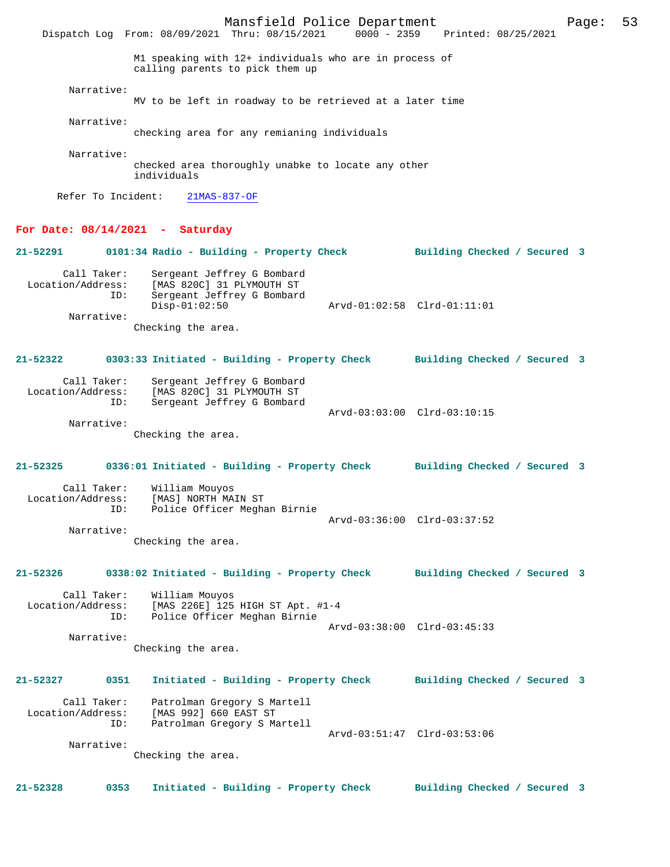Mansfield Police Department Page: 53 Dispatch Log From: 08/09/2021 Thru: 08/15/2021 M1 speaking with 12+ individuals who are in process of calling parents to pick them up Narrative: MV to be left in roadway to be retrieved at a later time Narrative: checking area for any remianing individuals Narrative: checked area thoroughly unabke to locate any other individuals Refer To Incident: 21MAS-837-OF **For Date: 08/14/2021 - Saturday 21-52291 0101:34 Radio - Building - Property Check Building Checked / Secured 3** Call Taker: Sergeant Jeffrey G Bombard Location/Address: [MAS 820C] 31 PLYMOUTH ST ID: Sergeant Jeffrey G Bombard Disp-01:02:50 Arvd-01:02:58 Clrd-01:11:01 Narrative: Checking the area. **21-52322 0303:33 Initiated - Building - Property Check Building Checked / Secured 3** Call Taker: Sergeant Jeffrey G Bombard<br>Location/Address: [MAS 820C] 31 PLYMOUTH ST ess: [MAS 820C] 31 PLYMOUTH ST<br>ID: Sergeant Jeffrey G Bombar Sergeant Jeffrey G Bombard Arvd-03:03:00 Clrd-03:10:15 Narrative: Checking the area. **21-52325 0336:01 Initiated - Building - Property Check Building Checked / Secured 3** Call Taker: William Mouyos Location/Address: [MAS] NORTH MAIN ST Police Officer Meghan Birnie Arvd-03:36:00 Clrd-03:37:52 Narrative: Checking the area. **21-52326 0338:02 Initiated - Building - Property Check Building Checked / Secured 3** Call Taker: William Mouyos<br>Location/Address: [MAS 226E] 125 [MAS 226E] 125 HIGH ST Apt. #1-4 ID: Police Officer Meghan Birnie Arvd-03:38:00 Clrd-03:45:33 Narrative: Checking the area. **21-52327 0351 Initiated - Building - Property Check Building Checked / Secured 3** Call Taker: Patrolman Gregory S Martell Location/Address: [MAS 992] 660 EAST ST Patrolman Gregory S Martell Arvd-03:51:47 Clrd-03:53:06 Narrative: Checking the area. **21-52328 0353 Initiated - Building - Property Check Building Checked / Secured 3**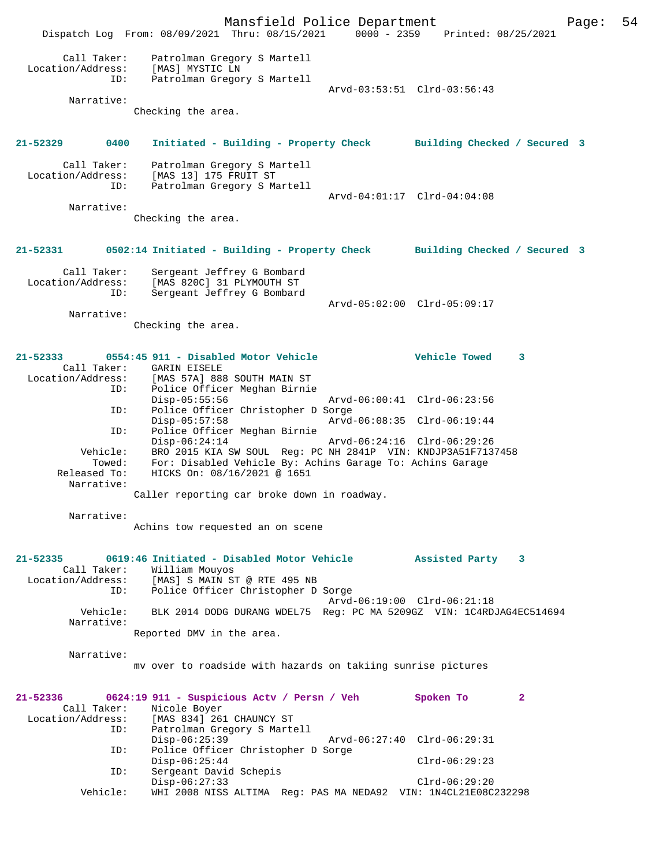Mansfield Police Department Page: 54 Dispatch Log From: 08/09/2021 Thru: 08/15/2021 0000 - 2359 Printed: 08/25/2021 Call Taker: Patrolman Gregory S Martell Location/Address: [MAS] MYSTIC LN ID: Patrolman Gregory S Martell Arvd-03:53:51 Clrd-03:56:43 Narrative: Checking the area. **21-52329 0400 Initiated - Building - Property Check Building Checked / Secured 3** Call Taker: Patrolman Gregory S Martell Location/Address: [MAS 13] 175 FRUIT ST ID: Patrolman Gregory S Martell Arvd-04:01:17 Clrd-04:04:08 Narrative: Checking the area. **21-52331 0502:14 Initiated - Building - Property Check Building Checked / Secured 3** Call Taker: Sergeant Jeffrey G Bombard Location/Address: [MAS 820C] 31 PLYMOUTH ST ID: Sergeant Jeffrey G Bombard Arvd-05:02:00 Clrd-05:09:17 Narrative: Checking the area. **21-52333 0554:45 911 - Disabled Motor Vehicle Vehicle Towed 3**  Call Taker: GARIN EISELE<br>Location/Address: [MAS 57A] 888 [MAS 57A] 888 SOUTH MAIN ST ID: Police Officer Meghan Birnie Disp-05:55:56 Arvd-06:00:41 Clrd-06:23:56 ID: Police Officer Christopher D Sorge Disp-05:57:58 Arvd-06:08:35 Clrd-06:19:44 ID: Police Officer Meghan Birnie Disp-06:24:14 Arvd-06:24:16 Clrd-06:29:26 Vehicle: BRO 2015 KIA SW SOUL Reg: PC NH 2841P VIN: KNDJP3A51F7137458 Towed: For: Disabled Vehicle By: Achins Garage To: Achins Garage Released To: HICKS On: 08/16/2021 @ 1651 Narrative: Caller reporting car broke down in roadway. Narrative: Achins tow requested an on scene **21-52335 0619:46 Initiated - Disabled Motor Vehicle Assisted Party 3**  Call Taker: William Mouyos<br>Location/Address: [MAS] S MAIN S [MAS] S MAIN ST @ RTE 495 NB ID: Police Officer Christopher D Sorge Arvd-06:19:00 Clrd-06:21:18<br>Vehicle: BLK 2014 DODG DURANG WDEL75 Reg: PC MA 5209GZ VIN: 1C4RD BLK 2014 DODG DURANG WDEL75 Reg: PC MA 5209GZ VIN: 1C4RDJAG4EC514694 Narrative: Reported DMV in the area. Narrative: mv over to roadside with hazards on takiing sunrise pictures **21-52336 0624:19 911 - Suspicious Actv / Persn / Veh Spoken To 2**  Call Taker: Nicole Boyer Location/Address: [MAS 834] 261 CHAUNCY ST<br>ID: Patrolman Gregory S Marte Patrolman Gregory S Martell<br>Disp-06:25:39 Disp-06:25:39 Arvd-06:27:40 Clrd-06:29:31<br>ID: Police Officer Christopher D Sorge Police Officer Christopher D Sorge Disp-06:25:44 Clrd-06:29:23 ID: Sergeant David Schepis Disp-06:27:33 Clrd-06:29:20<br>Vehicle: WHI 2008 NISS ALTIMA Reg: PAS MA NEDA92 VIN: 1N4CL21E08C WHI 2008 NISS ALTIMA Reg: PAS MA NEDA92 VIN: 1N4CL21E08C232298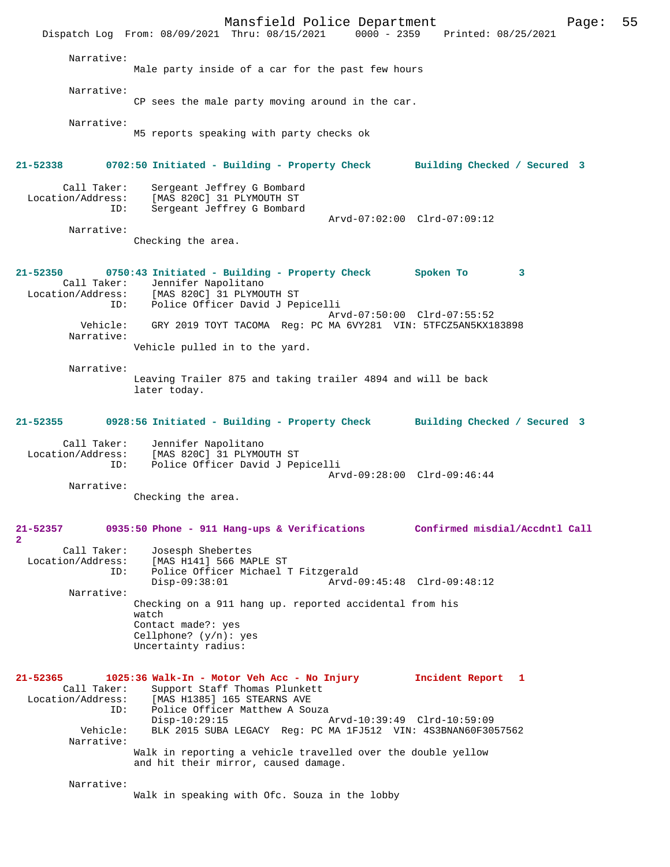Mansfield Police Department Page: 55 Dispatch Log From: 08/09/2021 Thru: 08/15/2021 Narrative: Male party inside of a car for the past few hours Narrative: CP sees the male party moving around in the car. Narrative: M5 reports speaking with party checks ok **21-52338 0702:50 Initiated - Building - Property Check Building Checked / Secured 3** Call Taker: Sergeant Jeffrey G Bombard<br>Location/Address: [MAS 820C] 31 PLYMOUTH ST ess: [MAS 820C] 31 PLYMOUTH ST<br>ID: Sergeant Jeffrey G Bombard Sergeant Jeffrey G Bombard Arvd-07:02:00 Clrd-07:09:12 Narrative: Checking the area. **21-52350 0750:43 Initiated - Building - Property Check Spoken To 3**  Call Taker: Jennifer Napolitano Location/Address: [MAS 820C] 31 PLYMOUTH ST ID: Police Officer David J Pepicelli Arvd-07:50:00 Clrd-07:55:52 Vehicle: GRY 2019 TOYT TACOMA Reg: PC MA 6VY281 VIN: 5TFCZ5AN5KX183898 Narrative: Vehicle pulled in to the yard. Narrative: Leaving Trailer 875 and taking trailer 4894 and will be back later today. **21-52355 0928:56 Initiated - Building - Property Check Building Checked / Secured 3** Call Taker: Jennifer Napolitano Location/Address: [MAS 820C] 31 PLYMOUTH ST ID: Police Officer David J Pepicelli Arvd-09:28:00 Clrd-09:46:44 Narrative: Checking the area. **21-52357 0935:50 Phone - 911 Hang-ups & Verifications Confirmed misdial/Accdntl Call 2**  Call Taker: Josesph Shebertes<br>Location/Address: [MAS H141] 566 MAI ess: [MAS H141] 566 MAPLE ST<br>ID: Police Officer Michael Police Officer Michael T Fitzgerald<br>Disp-09:38:01 Arvd-0 Disp-09:38:01 Arvd-09:45:48 Clrd-09:48:12 Narrative: Checking on a 911 hang up. reported accidental from his watch Contact made?: yes Cellphone? (y/n): yes Uncertainty radius: **21-52365 1025:36 Walk-In - Motor Veh Acc - No Injury Incident Report 1**  Call Taker: Support Staff Thomas Plunkett Location/Address: [MAS H1385] 165 STEARNS AVE ID: Police Officer Matthew A Souza<br>Disp-10:29:15 Disp-10:29:15 Arvd-10:39:49 Clrd-10:59:09<br>Vehicle: BLK 2015 SUBA LEGACY Reg: PC MA 1FJ512 VIN: 4S3BNAN60F30 BLK 2015 SUBA LEGACY Reg: PC MA 1FJ512 VIN: 4S3BNAN60F3057562 Narrative: Walk in reporting a vehicle travelled over the double yellow and hit their mirror, caused damage. Narrative: Walk in speaking with Ofc. Souza in the lobby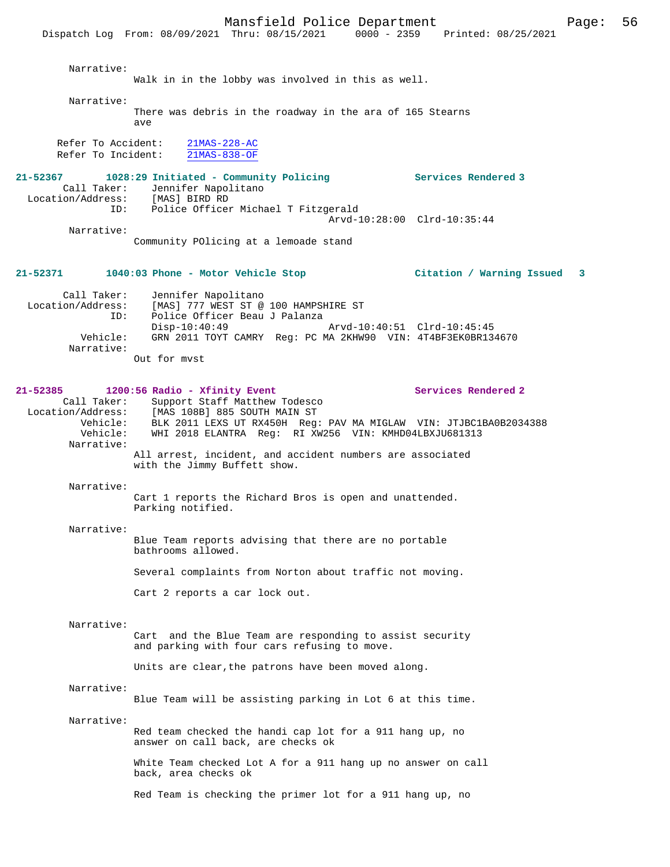Mansfield Police Department Page: 56 Dispatch Log From: 08/09/2021 Thru: 08/15/2021 Narrative: Walk in in the lobby was involved in this as well. Narrative: There was debris in the roadway in the ara of 165 Stearns ave Refer To Accident: 21MAS-228-AC Refer To Incident: 21MAS-838-OF **21-52367 1028:29 Initiated - Community Policing Services Rendered 3**  Call Taker: Jennifer Napolitano<br>ion/Address: [MAS] BIRD RD Location/Address:<br>ID: Police Officer Michael T Fitzgerald Arvd-10:28:00 Clrd-10:35:44 Narrative: Community POlicing at a lemoade stand **21-52371 1040:03 Phone - Motor Vehicle Stop Citation / Warning Issued 3** Call Taker: Jennifer Napolitano<br>Location/Address: [MAS] 777 WEST ST @ ess: [MAS] 777 WEST ST @ 100 HAMPSHIRE ST<br>ID: Police Officer Beau J Palanza Police Officer Beau J Palanza<br>Disp-10:40:49 Disp-10:40:49 Arvd-10:40:51 Clrd-10:45:45<br>Vehicle: GRN 2011 TOYT CAMRY Req: PC MA 2KHW90 VIN: 4T4BF3EK0BR13 GRN 2011 TOYT CAMRY Reg: PC MA 2KHW90 VIN: 4T4BF3EK0BR134670 Narrative: Out for mvst 21-52385 1200:56 Radio - Xfinity Event Services Rendered 2 Call Taker: Support Staff Matthew Todesco Location/Address: [MAS 108B] 885 SOUTH MAIN ST Vehicle: BLK 2011 LEXS UT RX450H Reg: PAV MA MIGLAW VIN: JTJBC1BA0B2034388<br>Vehicle: WHI 2018 ELANTRA Reg: RI XW256 VIN: KMHD04LBXJU681313 WHI 2018 ELANTRA Reg: RI XW256 VIN: KMHD04LBXJU681313 Narrative: All arrest, incident, and accident numbers are associated with the Jimmy Buffett show. Narrative: Cart 1 reports the Richard Bros is open and unattended. Parking notified. Narrative: Blue Team reports advising that there are no portable bathrooms allowed. Several complaints from Norton about traffic not moving. Cart 2 reports a car lock out. Narrative: Cart and the Blue Team are responding to assist security and parking with four cars refusing to move. Units are clear, the patrons have been moved along. Narrative: Blue Team will be assisting parking in Lot 6 at this time. Narrative: Red team checked the handi cap lot for a 911 hang up, no answer on call back, are checks ok White Team checked Lot A for a 911 hang up no answer on call back, area checks ok Red Team is checking the primer lot for a 911 hang up, no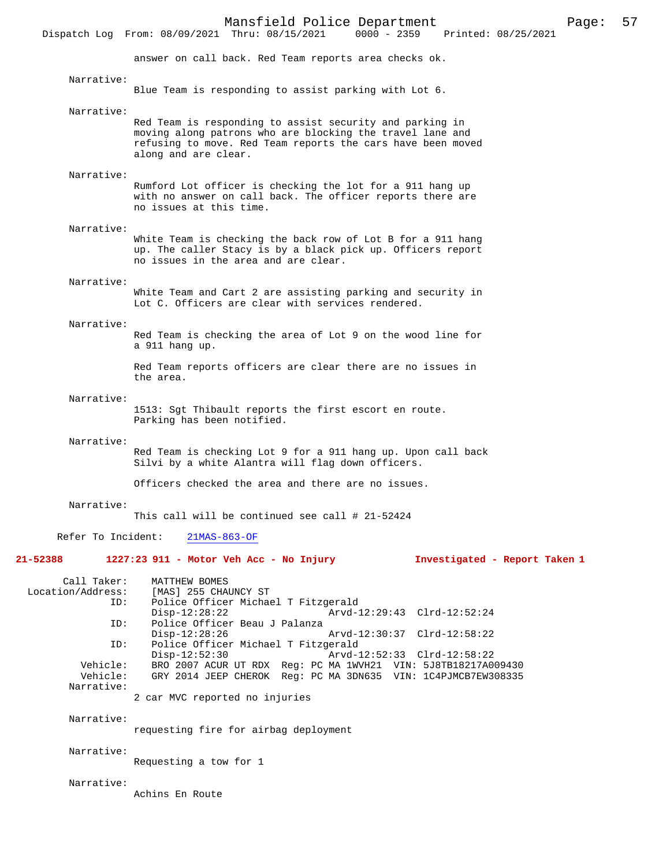Dispatch Log From: 08/09/2021 Thru: 08/15/2021 answer on call back. Red Team reports area checks ok. Narrative: Blue Team is responding to assist parking with Lot 6. Narrative: Red Team is responding to assist security and parking in moving along patrons who are blocking the travel lane and refusing to move. Red Team reports the cars have been moved along and are clear. Narrative: Rumford Lot officer is checking the lot for a 911 hang up with no answer on call back. The officer reports there are no issues at this time. Narrative: White Team is checking the back row of Lot B for a 911 hang up. The caller Stacy is by a black pick up. Officers report no issues in the area and are clear. Narrative: White Team and Cart 2 are assisting parking and security in Lot C. Officers are clear with services rendered. Narrative: Red Team is checking the area of Lot 9 on the wood line for a 911 hang up. Red Team reports officers are clear there are no issues in the area. Narrative: 1513: Sgt Thibault reports the first escort en route. Parking has been notified. Narrative: Red Team is checking Lot 9 for a 911 hang up. Upon call back Silvi by a white Alantra will flag down officers. Officers checked the area and there are no issues. Narrative: This call will be continued see call # 21-52424 Refer To Incident: 21MAS-863-OF **21-52388 1227:23 911 - Motor Veh Acc - No Injury Investigated - Report Taken 1** Call Taker: MATTHEW BOMES<br>Location/Address: [MAS] 255 CHA [MAS] 255 CHAUNCY ST ID: Police Officer Michael T Fitzgerald Arvd-12:29:43 Clrd-12:52:24 ID: Police Officer Beau J Palanza Disp-12:28:26 Arvd-12:30:37 Clrd-12:58:22<br>ID: Police Officer Michael T Fitzgerald Police Officer Michael T Fitzgerald Disp-12:52:30 Arvd-12:52:33 Clrd-12:58:22<br>Vehicle: BRO 2007 ACUR UT RDX Reg: PC MA 1WVH21 VIN: 5J8TB18217A0 Vehicle: BRO 2007 ACUR UT RDX Reg: PC MA 1WVH21 VIN: 5J8TB18217A009430 Vehicle: GRY 2014 JEEP CHEROK Reg: PC MA 3DN635 VIN: 1C4PJMCB7EW308335 Narrative: 2 car MVC reported no injuries Narrative: requesting fire for airbag deployment Narrative: Requesting a tow for 1 Narrative: Achins En Route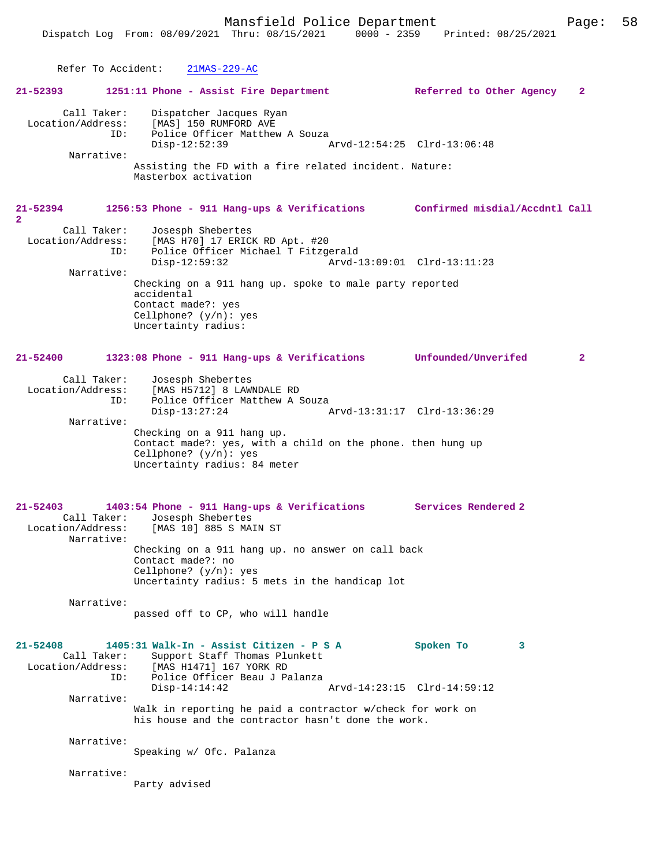Refer To Accident: 21MAS-229-AC **21-52393 1251:11 Phone - Assist Fire Department Referred to Other Agency 2** Call Taker: Dispatcher Jacques Ryan Location/Address: [MAS] 150 RUMFORD AVE<br>ID: Police Officer Matthew Police Officer Matthew A Souza<br>Disp-12:52:39 Disp-12:52:39 Arvd-12:54:25 Clrd-13:06:48 Narrative: Assisting the FD with a fire related incident. Nature: Masterbox activation **21-52394 1256:53 Phone - 911 Hang-ups & Verifications Confirmed misdial/Accdntl Call 2**  Call Taker: Josesph Shebertes<br>Location/Address: [MAS H70] 17 ERIC [MAS H70] 17 ERICK RD Apt. #20 ID: Police Officer Michael T Fitzgerald Disp-12:59:32 Arvd-13:09:01 Clrd-13:11:23 Narrative: Checking on a 911 hang up. spoke to male party reported accidental Contact made?: yes Cellphone? (y/n): yes Uncertainty radius: **21-52400 1323:08 Phone - 911 Hang-ups & Verifications Unfounded/Unverifed 2** Call Taker: Josesph Shebertes Location/Address: [MAS H5712] 8 LAWNDALE RD ID: Police Officer Matthew A Souza<br>Disp-13:27:24 Disp-13:27:24 Arvd-13:31:17 Clrd-13:36:29 Narrative: Checking on a 911 hang up. Contact made?: yes, with a child on the phone. then hung up Cellphone? (y/n): yes Uncertainty radius: 84 meter **21-52403 1403:54 Phone - 911 Hang-ups & Verifications Services Rendered 2**  Call Taker: Josesph Shebertes<br>Location/Address: [MAS 10] 885 S MA [MAS 10] 885 S MAIN ST Narrative: Checking on a 911 hang up. no answer on call back Contact made?: no Cellphone? (y/n): yes Uncertainty radius: 5 mets in the handicap lot Narrative: passed off to CP, who will handle **21-52408 1405:31 Walk-In - Assist Citizen - P S A Spoken To 3**  Call Taker: Support Staff Thomas Plunkett<br>Location/Address: [MAS H1471] 167 YORK RD ess: [MAS H1471] 167 YORK RD<br>ID: Police Officer Beau J Pa Police Officer Beau J Palanza<br>Disp-14:14:42 Disp-14:14:42 Arvd-14:23:15 Clrd-14:59:12 Narrative: Walk in reporting he paid a contractor w/check for work on his house and the contractor hasn't done the work. Narrative: Speaking w/ Ofc. Palanza Narrative: Party advised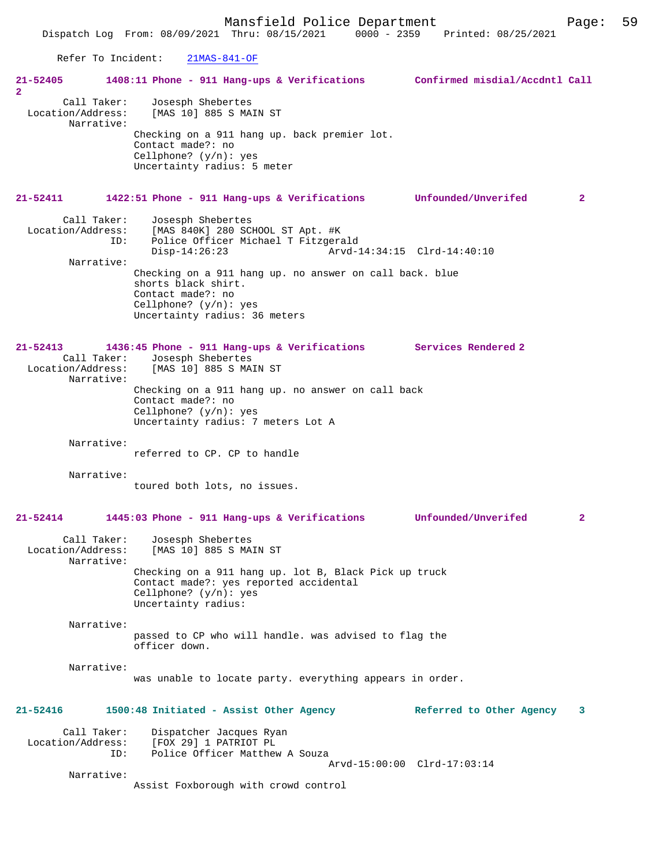Mansfield Police Department Page: 59 Dispatch Log From: 08/09/2021 Thru: 08/15/2021 Refer To Incident: 21MAS-841-OF **21-52405 1408:11 Phone - 911 Hang-ups & Verifications Confirmed misdial/Accdntl Call 2**  Call Taker: Josesph Shebertes Location/Address: [MAS 10] 885 S MAIN ST Narrative: Checking on a 911 hang up. back premier lot. Contact made?: no Cellphone? (y/n): yes Uncertainty radius: 5 meter **21-52411 1422:51 Phone - 911 Hang-ups & Verifications Unfounded/Unverifed 2** Call Taker: Josesph Shebertes<br>Location/Address: [MAS 840K] 280 SCI ess: [MAS 840K] 280 SCHOOL ST Apt. #K<br>ID: Police Officer Michael T Fitzger Police Officer Michael T Fitzgerald<br>Disp-14:26:23 Arvd-1  $\bar{A}rvd-14:34:15$   $Clrd-14:40:10$  Narrative: Checking on a 911 hang up. no answer on call back. blue shorts black shirt. Contact made?: no Cellphone? (y/n): yes Uncertainty radius: 36 meters **21-52413 1436:45 Phone - 911 Hang-ups & Verifications Services Rendered 2**  Call Taker: Josesph Shebertes<br>Location/Address: [MAS 10] 885 S MA [MAS 10] 885 S MAIN ST Narrative: Checking on a 911 hang up. no answer on call back Contact made?: no Cellphone? (y/n): yes Uncertainty radius: 7 meters Lot A Narrative: referred to CP. CP to handle Narrative: toured both lots, no issues. **21-52414 1445:03 Phone - 911 Hang-ups & Verifications Unfounded/Unverifed 2** Call Taker: Josesph Shebertes<br>Location/Address: [MAS 10] 885 S MA [MAS 10] 885 S MAIN ST Narrative: Checking on a 911 hang up. lot B, Black Pick up truck Contact made?: yes reported accidental Cellphone?  $(y/n):$  yes Uncertainty radius: Narrative: passed to CP who will handle. was advised to flag the officer down. Narrative: was unable to locate party. everything appears in order. **21-52416 1500:48 Initiated - Assist Other Agency Referred to Other Agency 3** Call Taker: Dispatcher Jacques Ryan<br>Location/Address: [FOX 29] 1 PATRIOT PL Location/Address: [FOX 29] 1 PATRIOT PL ID: Police Officer Matthew A Souza Arvd-15:00:00 Clrd-17:03:14 Narrative:

Assist Foxborough with crowd control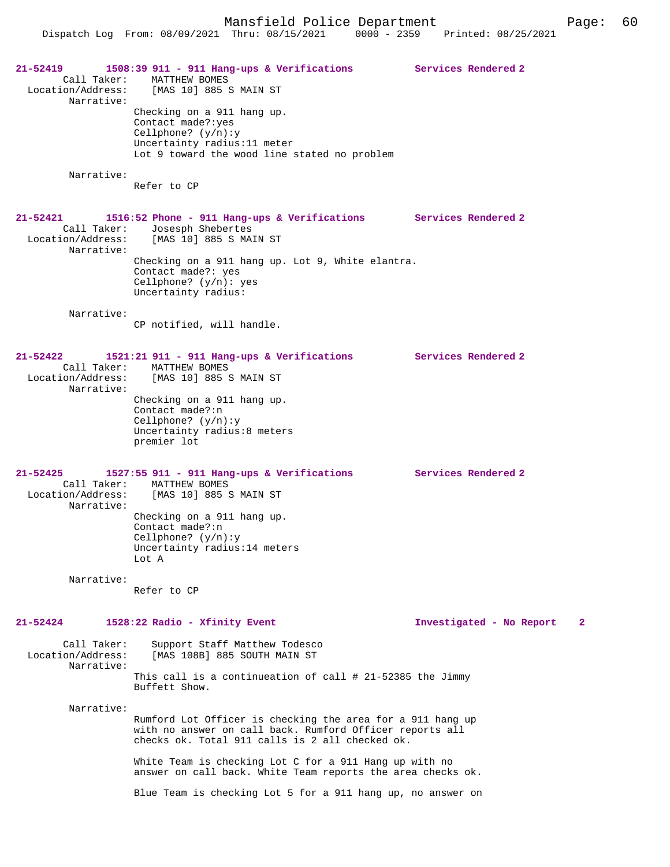Dispatch Log From: 08/09/2021 Thru: 08/15/2021 0000 - 2359 Printed: 08/25/2021 **21-52419 1508:39 911 - 911 Hang-ups & Verifications Services Rendered 2** 

 Call Taker: MATTHEW BOMES Location/Address: [MAS 10] 885 S MAIN ST Narrative: Checking on a 911 hang up. Contact made?:yes

Cellphone? (y/n):y Uncertainty radius:11 meter Lot 9 toward the wood line stated no problem

Narrative:

Refer to CP

**21-52421 1516:52 Phone - 911 Hang-ups & Verifications Services Rendered 2**  Call Taker: Josesph Shebertes Location/Address: [MAS 10] 885 S MAIN ST Narrative: Checking on a 911 hang up. Lot 9, White elantra. Contact made?: yes Cellphone? (y/n): yes Uncertainty radius: Narrative: CP notified, will handle.

## **21-52422 1521:21 911 - 911 Hang-ups & Verifications Services Rendered 2**  Call Taker: MATTHEW BOMES<br>Location/Address: [MAS 10] 885 S [MAS 10] 885 S MAIN ST Narrative: Checking on a 911 hang up.

Contact made?:n Cellphone? (y/n):y Uncertainty radius:8 meters premier lot

**21-52425 1527:55 911 - 911 Hang-ups & Verifications Services Rendered 2**  Call Taker: MATTHEW BOMES Location/Address: [MAS 10] 885 S MAIN ST Narrative: Checking on a 911 hang up. Contact made?:n Cellphone? (y/n):y Uncertainty radius:14 meters Lot A

Narrative:

Refer to CP

## **21-52424 1528:22 Radio - Xfinity Event Investigated - No Report 2**

Call Taker: Support Staff Matthew Todesco<br>Location/Address: [MAS 108B] 885 SOUTH MAIN ST [MAS 108B] 885 SOUTH MAIN ST Narrative:

This call is a continueation of call # 21-52385 the Jimmy Buffett Show.

Narrative:

Rumford Lot Officer is checking the area for a 911 hang up with no answer on call back. Rumford Officer reports all checks ok. Total 911 calls is 2 all checked ok.

White Team is checking Lot C for a 911 Hang up with no answer on call back. White Team reports the area checks ok.

Blue Team is checking Lot 5 for a 911 hang up, no answer on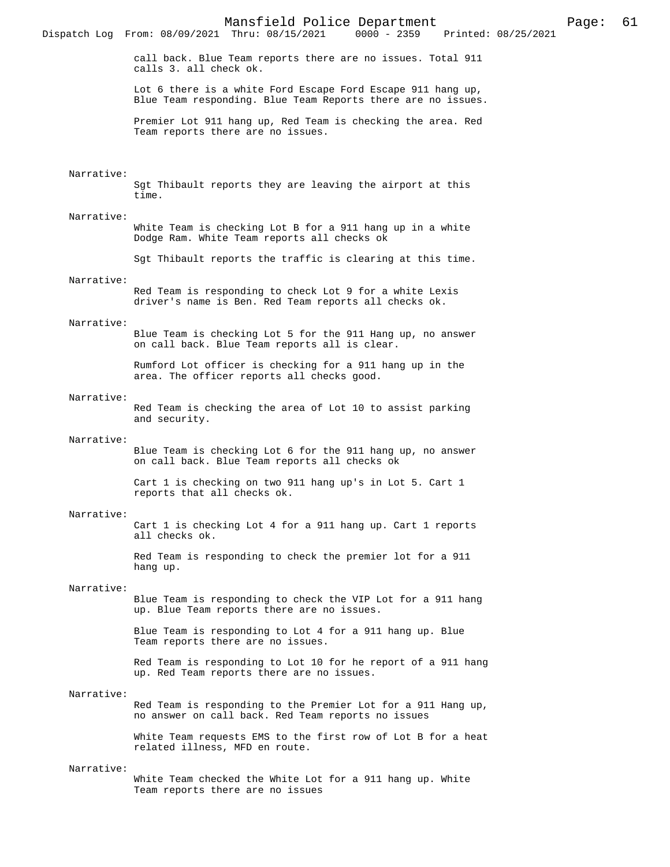Mansfield Police Department Page: 61 Dispatch Log From: 08/09/2021 Thru: 08/15/2021 call back. Blue Team reports there are no issues. Total 911 calls 3. all check ok. Lot 6 there is a white Ford Escape Ford Escape 911 hang up, Blue Team responding. Blue Team Reports there are no issues. Premier Lot 911 hang up, Red Team is checking the area. Red Team reports there are no issues. Narrative: Sgt Thibault reports they are leaving the airport at this time. Narrative: White Team is checking Lot B for a 911 hang up in a white Dodge Ram. White Team reports all checks ok Sgt Thibault reports the traffic is clearing at this time. Narrative: Red Team is responding to check Lot 9 for a white Lexis driver's name is Ben. Red Team reports all checks ok. Narrative: Blue Team is checking Lot 5 for the 911 Hang up, no answer on call back. Blue Team reports all is clear. Rumford Lot officer is checking for a 911 hang up in the area. The officer reports all checks good. Narrative: Red Team is checking the area of Lot 10 to assist parking and security. Narrative: Blue Team is checking Lot 6 for the 911 hang up, no answer on call back. Blue Team reports all checks ok Cart 1 is checking on two 911 hang up's in Lot 5. Cart 1 reports that all checks ok. Narrative: Cart 1 is checking Lot 4 for a 911 hang up. Cart 1 reports all checks ok. Red Team is responding to check the premier lot for a 911 hang up. Narrative: Blue Team is responding to check the VIP Lot for a 911 hang up. Blue Team reports there are no issues. Blue Team is responding to Lot 4 for a 911 hang up. Blue Team reports there are no issues. Red Team is responding to Lot 10 for he report of a 911 hang up. Red Team reports there are no issues. Narrative: Red Team is responding to the Premier Lot for a 911 Hang up, no answer on call back. Red Team reports no issues White Team requests EMS to the first row of Lot B for a heat related illness, MFD en route. Narrative:

White Team checked the White Lot for a 911 hang up. White Team reports there are no issues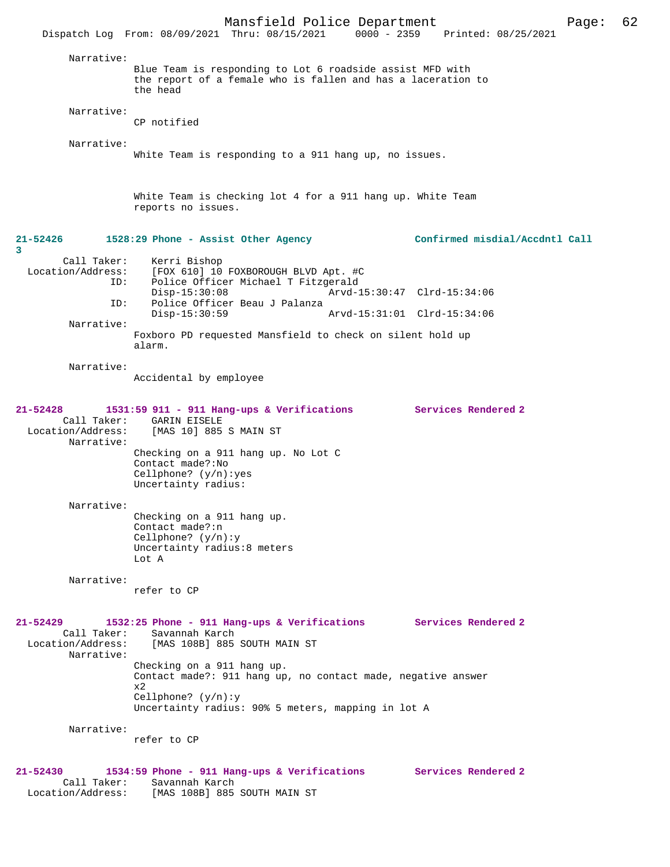|                                                                | Mansfield Police Department                                                                                                           |                             |                                 | Page: | 62 |
|----------------------------------------------------------------|---------------------------------------------------------------------------------------------------------------------------------------|-----------------------------|---------------------------------|-------|----|
|                                                                | Dispatch Log From: 08/09/2021 Thru: 08/15/2021                                                                                        |                             | 0000 - 2359 Printed: 08/25/2021 |       |    |
| Narrative:                                                     |                                                                                                                                       |                             |                                 |       |    |
|                                                                | Blue Team is responding to Lot 6 roadside assist MFD with<br>the report of a female who is fallen and has a laceration to<br>the head |                             |                                 |       |    |
| Narrative:                                                     | CP notified                                                                                                                           |                             |                                 |       |    |
| Narrative:                                                     |                                                                                                                                       |                             |                                 |       |    |
|                                                                | White Team is responding to a 911 hang up, no issues.                                                                                 |                             |                                 |       |    |
|                                                                | White Team is checking lot 4 for a 911 hang up. White Team<br>reports no issues.                                                      |                             |                                 |       |    |
| 21-52426<br>3                                                  | 1528:29 Phone - Assist Other Agency                                                                                                   |                             | Confirmed misdial/Accdntl Call  |       |    |
| Call Taker:<br>Location/Address:                               | Kerri Bishop<br>[FOX 610] 10 FOXBOROUGH BLVD Apt. #C                                                                                  |                             |                                 |       |    |
| ID:                                                            | Police Officer Michael T Fitzgerald<br>$Disp-15:30:08$                                                                                | Arvd-15:30:47 Clrd-15:34:06 |                                 |       |    |
| ID:                                                            | Police Officer Beau J Palanza<br>$Disp-15:30:59$                                                                                      | Arvd-15:31:01 Clrd-15:34:06 |                                 |       |    |
| Narrative:                                                     |                                                                                                                                       |                             |                                 |       |    |
|                                                                | Foxboro PD requested Mansfield to check on silent hold up<br>alarm.                                                                   |                             |                                 |       |    |
| Narrative:                                                     | Accidental by employee                                                                                                                |                             |                                 |       |    |
| $21 - 52428$<br>Call Taker:<br>Location/Address:<br>Narrative: | 1531:59 911 - 911 Hang-ups & Verifications Services Rendered 2<br><b>GARIN EISELE</b><br>[MAS 10] 885 S MAIN ST                       |                             |                                 |       |    |
|                                                                | Checking on a 911 hang up. No Lot C<br>Contact made?: No<br>Cellphone? $(y/n):yes$<br>Uncertainty radius:                             |                             |                                 |       |    |
| Narrative:                                                     |                                                                                                                                       |                             |                                 |       |    |
|                                                                | Checking on a 911 hang up.<br>Contact made?:n<br>Cellphone? $(y/n):y$<br>Uncertainty radius:8 meters<br>Lot A                         |                             |                                 |       |    |
| Narrative:                                                     |                                                                                                                                       |                             |                                 |       |    |
|                                                                | refer to CP                                                                                                                           |                             |                                 |       |    |
| 21-52429<br>Call Taker:<br>Location/Address:<br>Narrative:     | 1532:25 Phone - 911 Hang-ups & Verifications<br>Savannah Karch<br>[MAS 108B] 885 SOUTH MAIN ST                                        |                             | <b>Services Rendered 2</b>      |       |    |
|                                                                | Checking on a 911 hang up.<br>Contact made?: 911 hang up, no contact made, negative answer<br>x2                                      |                             |                                 |       |    |
|                                                                | Cellphone? $(y/n):y$<br>Uncertainty radius: 90% 5 meters, mapping in lot A                                                            |                             |                                 |       |    |
| Narrative:                                                     | refer to CP                                                                                                                           |                             |                                 |       |    |
| 21-52430                                                       | 1534:59 Phone - 911 Hang-ups & Verifications                                                                                          |                             | Services Rendered 2             |       |    |
| Call Taker:<br>Location/Address:                               | Savannah Karch<br>[MAS 108B] 885 SOUTH MAIN ST                                                                                        |                             |                                 |       |    |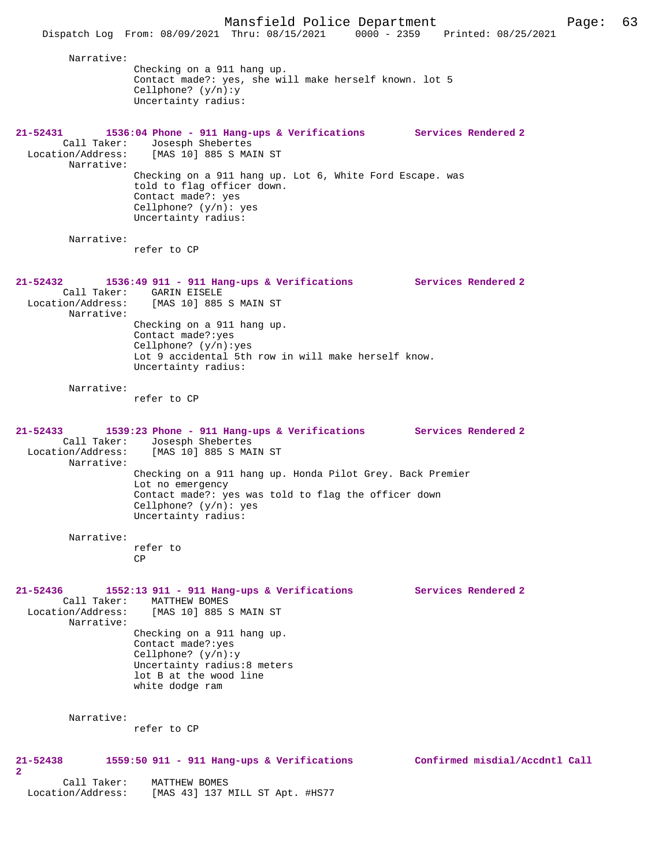Narrative: Checking on a 911 hang up. Contact made?: yes, she will make herself known. lot 5 Cellphone? (y/n):y Uncertainty radius: **21-52431 1536:04 Phone - 911 Hang-ups & Verifications Services Rendered 2**  Call Taker: Josesph Shebertes Location/Address: [MAS 10] 885 S MAIN ST Narrative: Checking on a 911 hang up. Lot 6, White Ford Escape. was told to flag officer down. Contact made?: yes Cellphone? (y/n): yes Uncertainty radius: Narrative: refer to CP **21-52432 1536:49 911 - 911 Hang-ups & Verifications Services Rendered 2**  Call Taker: GARIN EISELE<br>Location/Address: [MAS 10] 885 [MAS 10] 885 S MAIN ST Narrative: Checking on a 911 hang up. Contact made?:yes Cellphone? (y/n):yes Lot 9 accidental 5th row in will make herself know. Uncertainty radius: Narrative: refer to CP **21-52433 1539:23 Phone - 911 Hang-ups & Verifications Services Rendered 2**  Call Taker: Josesph Shebertes<br>Location/Address: [MAS 10] 885 S MA [MAS 10] 885 S MAIN ST Narrative: Checking on a 911 hang up. Honda Pilot Grey. Back Premier Lot no emergency Contact made?: yes was told to flag the officer down Cellphone? (y/n): yes Uncertainty radius: Narrative: refer to CP **21-52436 1552:13 911 - 911 Hang-ups & Verifications Services Rendered 2**  Call Taker: MATTHEW BOMES<br>Location/Address: [MAS 10] 885 9 [MAS 10] 885 S MAIN ST Narrative: Checking on a 911 hang up. Contact made?:yes Cellphone? (y/n):y Uncertainty radius:8 meters lot B at the wood line white dodge ram Narrative: refer to CP **21-52438 1559:50 911 - 911 Hang-ups & Verifications Confirmed misdial/Accdntl Call 2**  Call Taker: MATTHEW BOMES<br>Location/Address: [MAS 43] 137 1

[MAS 43] 137 MILL ST Apt. #HS77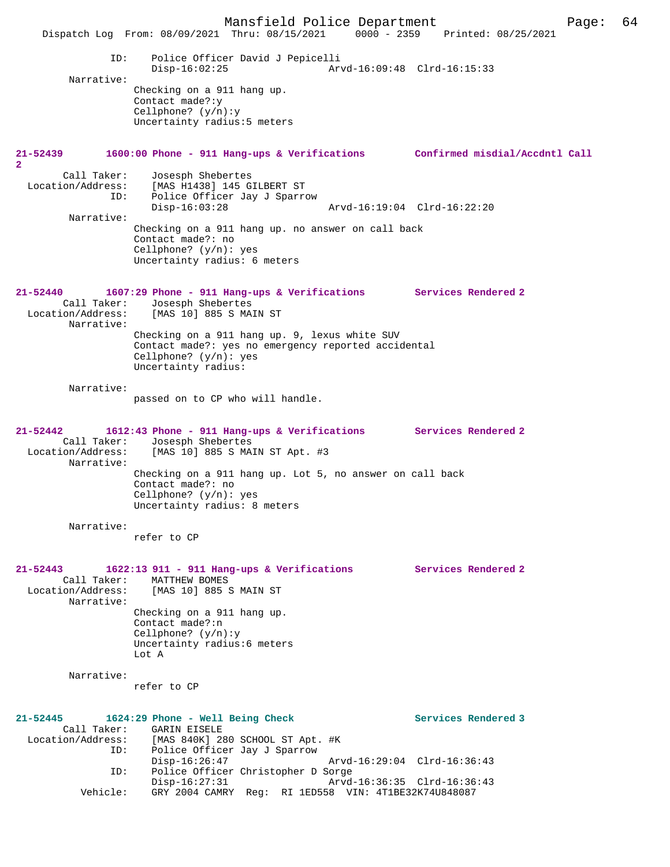Mansfield Police Department Page: 64 Dispatch Log From: 08/09/2021 Thru: 08/15/2021 0000 - 2359 Printed: 08/25/2021 ID: Police Officer David J Pepicelli Disp-16:02:25 Arvd-16:09:48 Clrd-16:15:33 Narrative: Checking on a 911 hang up. Contact made?:y Cellphone? (y/n):y Uncertainty radius:5 meters **21-52439 1600:00 Phone - 911 Hang-ups & Verifications Confirmed misdial/Accdntl Call 2**  Call Taker: Josesph Shebertes Location/Address: [MAS H1438] 145 GILBERT ST Police Officer Jay J Sparrow ID: Police Officer Jay J Sparrow<br>Disp-16:03:28 Arvd-16:19:04 Clrd-16:22:20 Narrative: Checking on a 911 hang up. no answer on call back Contact made?: no Cellphone? (y/n): yes Uncertainty radius: 6 meters **21-52440 1607:29 Phone - 911 Hang-ups & Verifications Services Rendered 2**  Call Taker: Josesph Shebertes<br>Location/Address: [MAS 10] 885 S MA: [MAS 10] 885 S MAIN ST Narrative: Checking on a 911 hang up. 9, lexus white SUV Contact made?: yes no emergency reported accidental Cellphone? (y/n): yes Uncertainty radius: Narrative: passed on to CP who will handle. **21-52442 1612:43 Phone - 911 Hang-ups & Verifications Services Rendered 2**  Call Taker: Josesph Shebertes<br>Location/Address: [MAS 10] 885 S MA [MAS 10] 885 S MAIN ST Apt. #3 Narrative: Checking on a 911 hang up. Lot 5, no answer on call back Contact made?: no Cellphone? (y/n): yes Uncertainty radius: 8 meters Narrative: refer to CP **21-52443 1622:13 911 - 911 Hang-ups & Verifications Services Rendered 2**  Call Taker: MATTHEW BOMES Location/Address: [MAS 10] 885 S MAIN ST Narrative: Checking on a 911 hang up. Contact made?:n Cellphone? (y/n):y Uncertainty radius:6 meters Lot A Narrative: refer to CP **21-52445 1624:29 Phone - Well Being Check Services Rendered 3**  Call Taker: GARIN EISELE<br>Location/Address: [MAS 840K] 28 ess: [MAS 840K] 280 SCHOOL ST Apt. #K<br>ID: Police Officer Jay J Sparrow Police Officer Jay J Sparrow<br>Disp-16:26:47 Arvd-16:29:04 Clrd-16:36:43 ID: Police Officer Christopher D Sorge Disp-16:27:31 Arvd-16:36:35 Clrd-16:36:43 Vehicle: GRY 2004 CAMRY Reg: RI 1ED558 VIN: 4T1BE32K74U848087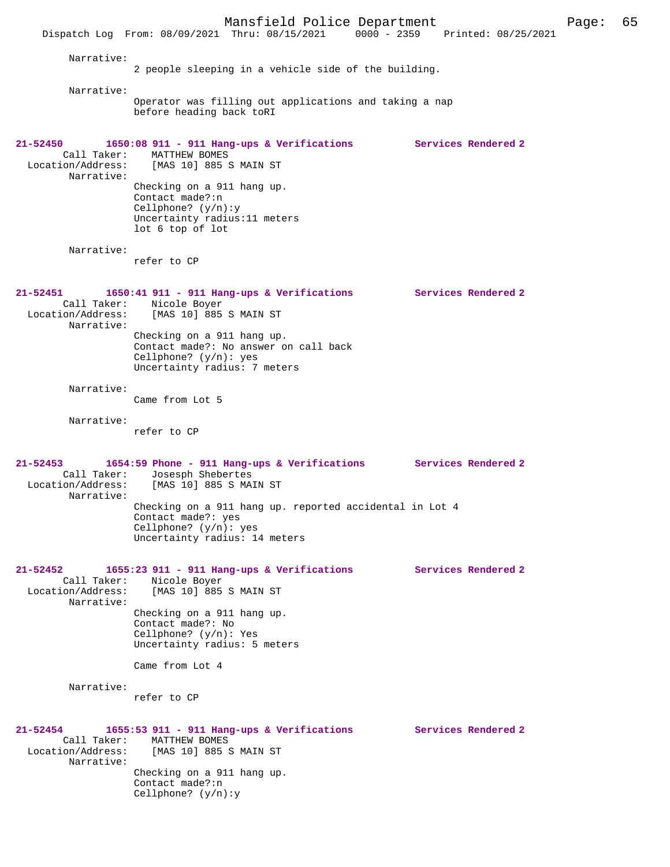Mansfield Police Department Page: 65 Dispatch Log From: 08/09/2021 Thru: 08/15/2021 Narrative: 2 people sleeping in a vehicle side of the building. Narrative: Operator was filling out applications and taking a nap before heading back toRI **21-52450 1650:08 911 - 911 Hang-ups & Verifications Services Rendered 2**  Call Taker: MATTHEW BOMES<br>Location/Address: [MAS 10] 885 9 [MAS 10] 885 S MAIN ST Narrative: Checking on a 911 hang up. Contact made?:n Cellphone? (y/n):y Uncertainty radius:11 meters lot 6 top of lot Narrative: refer to CP **21-52451 1650:41 911 - 911 Hang-ups & Verifications Services Rendered 2**  Call Taker: Nicole Boyer<br>Location/Address: [MAS 10] 885 [MAS 10] 885 S MAIN ST Narrative: Checking on a 911 hang up. Contact made?: No answer on call back Cellphone? (y/n): yes Uncertainty radius: 7 meters Narrative: Came from Lot 5 Narrative: refer to CP **21-52453 1654:59 Phone - 911 Hang-ups & Verifications Services Rendered 2**  Call Taker: Josesph Shebertes<br>Location/Address: [MAS 10] 885 S MA [MAS 10] 885 S MAIN ST Narrative: Checking on a 911 hang up. reported accidental in Lot 4 Contact made?: yes Cellphone? (y/n): yes Uncertainty radius: 14 meters **21-52452 1655:23 911 - 911 Hang-ups & Verifications Services Rendered 2**  Call Taker: Nicole Boyer<br>Location/Address: [MAS 10] 885 [MAS 10] 885 S MAIN ST Narrative: Checking on a 911 hang up. Contact made?: No Cellphone? (y/n): Yes Uncertainty radius: 5 meters Came from Lot 4 Narrative: refer to CP **21-52454 1655:53 911 - 911 Hang-ups & Verifications Services Rendered 2** 

## Call Taker: MATTHEW BOMES<br>Location/Address: [MAS 10] 885 9 [MAS 10] 885 S MAIN ST

 Narrative: Checking on a 911 hang up. Contact made?:n Cellphone? (y/n):y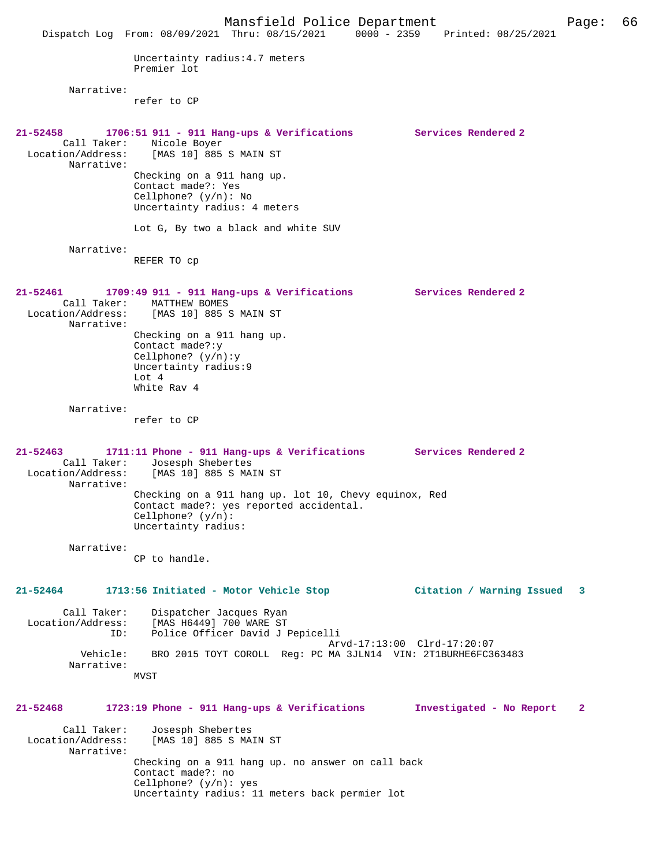Mansfield Police Department Page: 66 Dispatch Log From: 08/09/2021 Thru: 08/15/2021 0000 - 2359 Printed: 08/25/2021 Uncertainty radius:4.7 meters Premier lot Narrative: refer to CP **21-52458 1706:51 911 - 911 Hang-ups & Verifications Services Rendered 2**  Call Taker: Nicole Boyer Location/Address: [MAS 10] 885 S MAIN ST Narrative: Checking on a 911 hang up. Contact made?: Yes Cellphone? (y/n): No Uncertainty radius: 4 meters Lot G, By two a black and white SUV Narrative: REFER TO cp **21-52461 1709:49 911 - 911 Hang-ups & Verifications Services Rendered 2**  Call Taker: MATTHEW BOMES<br>Location/Address: [MAS 10] 885 9 [MAS 10] 885 S MAIN ST Narrative: Checking on a 911 hang up. Contact made?:y Cellphone? (y/n):y Uncertainty radius:9 Lot 4 White Rav 4 Narrative: refer to CP **21-52463 1711:11 Phone - 911 Hang-ups & Verifications Services Rendered 2**  Call Taker: Josesph Shebertes Location/Address: [MAS 10] 885 S MAIN ST Narrative: Checking on a 911 hang up. lot 10, Chevy equinox, Red Contact made?: yes reported accidental. Cellphone? (y/n): Uncertainty radius: Narrative: CP to handle. **21-52464 1713:56 Initiated - Motor Vehicle Stop Citation / Warning Issued 3** Call Taker: Dispatcher Jacques Ryan Location/Address: [MAS H6449] 700 WARE ST ID: Police Officer David J Pepicelli Arvd-17:13:00 Clrd-17:20:07<br>Vehicle: BRO 2015 TOYT COROLL Reg: PC MA 3JLN14 VIN: 2T1BURHE6FC3 BRO 2015 TOYT COROLL Reg: PC MA 3JLN14 VIN: 2T1BURHE6FC363483 Narrative: MVST **21-52468 1723:19 Phone - 911 Hang-ups & Verifications Investigated - No Report 2** Call Taker: Josesph Shebertes<br>Location/Address: [MAS 10] 885 S MA [MAS 10] 885 S MAIN ST Narrative: Checking on a 911 hang up. no answer on call back Contact made?: no Cellphone? (y/n): yes Uncertainty radius: 11 meters back permier lot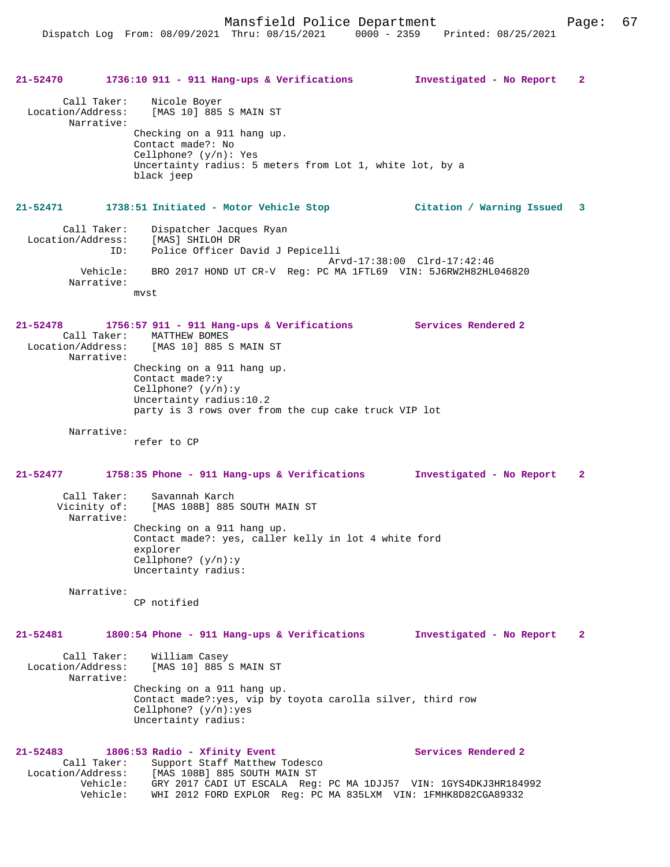# **21-52470 1736:10 911 - 911 Hang-ups & Verifications Investigated - No Report 2** Call Taker: Nicole Boyer Location/Address: [MAS 10] 885 S MAIN ST Narrative: Checking on a 911 hang up. Contact made?: No Cellphone? (y/n): Yes Uncertainty radius: 5 meters from Lot 1, white lot, by a black jeep **21-52471 1738:51 Initiated - Motor Vehicle Stop Citation / Warning Issued 3** Call Taker: Dispatcher Jacques Ryan Location/Address: [MAS] SHILOH DR<br>TD: Police Officer I Police Officer David J Pepicelli Arvd-17:38:00 Clrd-17:42:46 Vehicle: BRO 2017 HOND UT CR-V Reg: PC MA 1FTL69 VIN: 5J6RW2H82HL046820 Narrative: mvst **21-52478 1756:57 911 - 911 Hang-ups & Verifications Services Rendered 2**  Call Taker: MATTHEW BOMES<br>Location/Address: [MAS 10] 885 9 [MAS 10] 885 S MAIN ST Narrative: Checking on a 911 hang up. Contact made?:y Cellphone? (y/n):y Uncertainty radius:10.2 party is 3 rows over from the cup cake truck VIP lot Narrative: refer to CP **21-52477 1758:35 Phone - 911 Hang-ups & Verifications Investigated - No Report 2** Call Taker: Savannah Karch Vicinity of: [MAS 108B] 885 SOUTH MAIN ST Narrative: Checking on a 911 hang up. Contact made?: yes, caller kelly in lot 4 white ford explorer Cellphone? (y/n):y Uncertainty radius: Narrative: CP notified **21-52481 1800:54 Phone - 911 Hang-ups & Verifications Investigated - No Report 2** Call Taker: William Casey Location/Address: [MAS 10] 885 S MAIN ST Narrative: Checking on a 911 hang up. Contact made?:yes, vip by toyota carolla silver, third row Cellphone? (y/n):yes Uncertainty radius: 21-52483 1806:53 Radio - Xfinity Event Services Rendered 2 Call Taker: Support Staff Matthew Todesco Location/Address: [MAS 108B] 885 SOUTH MAIN ST Vehicle: GRY 2017 CADI UT ESCALA Reg: PC MA 1DJJ57 VIN: 1GYS4DKJ3HR184992 Vehicle: WHI 2012 FORD EXPLOR Reg: PC MA 835LXM VIN: 1FMHK8D82CGA89332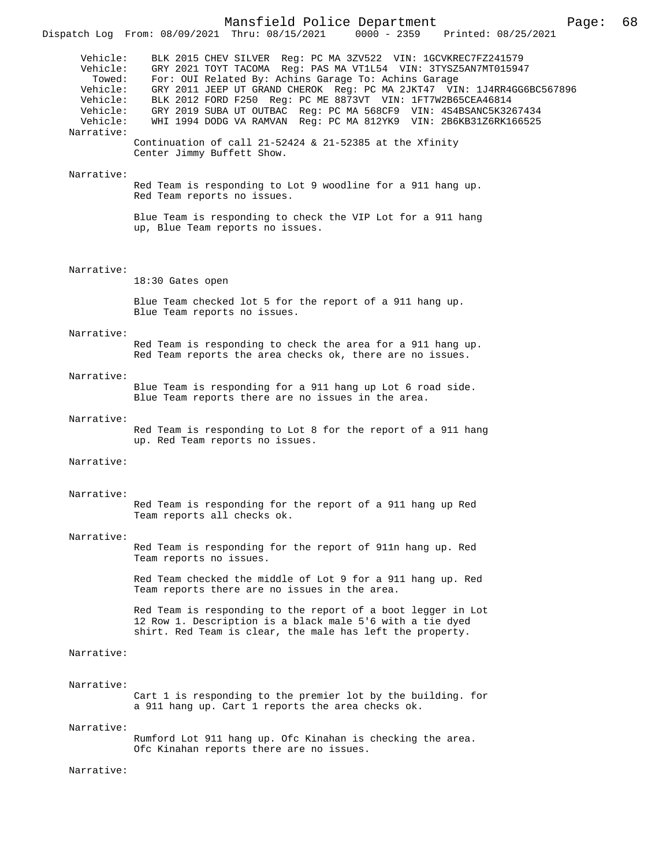|                                                                                              | LLOM' 00/02/2021 INLU' 00/13/2021                                                                                                                                                                                                                                                                                                                                                                                                                                                                                                                                 |
|----------------------------------------------------------------------------------------------|-------------------------------------------------------------------------------------------------------------------------------------------------------------------------------------------------------------------------------------------------------------------------------------------------------------------------------------------------------------------------------------------------------------------------------------------------------------------------------------------------------------------------------------------------------------------|
| Vehicle:<br>Vehicle:<br>Towed:<br>Vehicle:<br>Vehicle:<br>Vehicle:<br>Vehicle:<br>Narrative: | BLK 2015 CHEV SILVER Reg: PC MA 3ZV522 VIN: 1GCVKREC7FZ241579<br>GRY 2021 TOYT TACOMA Req: PAS MA VT1L54 VIN: 3TYSZ5AN7MT015947<br>For: OUI Related By: Achins Garage To: Achins Garage<br>GRY 2011 JEEP UT GRAND CHEROK Reg: PC MA 2JKT47 VIN: 1J4RR4GG6BC567896<br>BLK 2012 FORD F250 Req: PC ME 8873VT VIN: 1FT7W2B65CEA46814<br>GRY 2019 SUBA UT OUTBAC Reg: PC MA 568CF9 VIN: 4S4BSANC5K3267434<br>WHI 1994 DODG VA RAMVAN Req: PC MA 812YK9 VIN: 2B6KB31Z6RK166525<br>Continuation of call 21-52424 & 21-52385 at the Xfinity<br>Center Jimmy Buffett Show. |
| Narrative:                                                                                   |                                                                                                                                                                                                                                                                                                                                                                                                                                                                                                                                                                   |
|                                                                                              | Red Team is responding to Lot 9 woodline for a 911 hang up.<br>Red Team reports no issues.                                                                                                                                                                                                                                                                                                                                                                                                                                                                        |
|                                                                                              | Blue Team is responding to check the VIP Lot for a 911 hang<br>up, Blue Team reports no issues.                                                                                                                                                                                                                                                                                                                                                                                                                                                                   |
| Narrative:                                                                                   | 18:30 Gates open                                                                                                                                                                                                                                                                                                                                                                                                                                                                                                                                                  |
|                                                                                              | Blue Team checked lot 5 for the report of a 911 hang up.                                                                                                                                                                                                                                                                                                                                                                                                                                                                                                          |
|                                                                                              | Blue Team reports no issues.                                                                                                                                                                                                                                                                                                                                                                                                                                                                                                                                      |
| Narrative:                                                                                   | Red Team is responding to check the area for a 911 hang up.<br>Red Team reports the area checks ok, there are no issues.                                                                                                                                                                                                                                                                                                                                                                                                                                          |
| Narrative:                                                                                   | Blue Team is responding for a 911 hang up Lot 6 road side.<br>Blue Team reports there are no issues in the area.                                                                                                                                                                                                                                                                                                                                                                                                                                                  |
| Narrative:                                                                                   | Red Team is responding to Lot 8 for the report of a 911 hang<br>up. Red Team reports no issues.                                                                                                                                                                                                                                                                                                                                                                                                                                                                   |
| Narrative:                                                                                   |                                                                                                                                                                                                                                                                                                                                                                                                                                                                                                                                                                   |
| Narrative:                                                                                   | Red Team is responding for the report of a 911 hang up Red<br>Team reports all checks ok.                                                                                                                                                                                                                                                                                                                                                                                                                                                                         |
| Narrative:                                                                                   | Red Team is responding for the report of 911n hang up. Red<br>Team reports no issues.                                                                                                                                                                                                                                                                                                                                                                                                                                                                             |
|                                                                                              | Red Team checked the middle of Lot 9 for a 911 hang up. Red<br>Team reports there are no issues in the area.                                                                                                                                                                                                                                                                                                                                                                                                                                                      |
|                                                                                              | Red Team is responding to the report of a boot legger in Lot<br>12 Row 1. Description is a black male 5'6 with a tie dyed<br>shirt. Red Team is clear, the male has left the property.                                                                                                                                                                                                                                                                                                                                                                            |
| Narrative:                                                                                   |                                                                                                                                                                                                                                                                                                                                                                                                                                                                                                                                                                   |
| Narrative:                                                                                   | Cart 1 is responding to the premier lot by the building. for<br>a 911 hang up. Cart 1 reports the area checks ok.                                                                                                                                                                                                                                                                                                                                                                                                                                                 |
| Narrative:                                                                                   | Rumford Lot 911 hang up. Ofc Kinahan is checking the area.<br>Ofc Kinahan reports there are no issues.                                                                                                                                                                                                                                                                                                                                                                                                                                                            |
| Narrative:                                                                                   |                                                                                                                                                                                                                                                                                                                                                                                                                                                                                                                                                                   |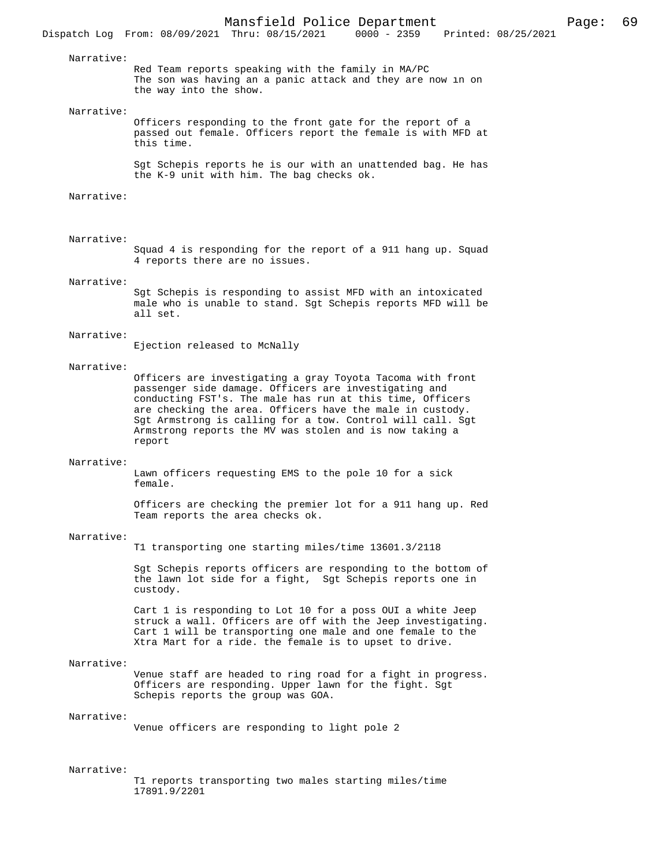#### Narrative:

Red Team reports speaking with the family in MA/PC The son was having an a panic attack and they are now in on the way into the show.

#### Narrative:

Officers responding to the front gate for the report of a passed out female. Officers report the female is with MFD at this time.

Sgt Schepis reports he is our with an unattended bag. He has the K-9 unit with him. The bag checks ok.

#### Narrative:

## Narrative:

Squad 4 is responding for the report of a 911 hang up. Squad 4 reports there are no issues.

### Narrative:

Sgt Schepis is responding to assist MFD with an intoxicated male who is unable to stand. Sgt Schepis reports MFD will be all set.

### Narrative:

Ejection released to McNally

#### Narrative:

Officers are investigating a gray Toyota Tacoma with front passenger side damage. Officers are investigating and conducting FST's. The male has run at this time, Officers are checking the area. Officers have the male in custody. Sgt Armstrong is calling for a tow. Control will call. Sgt Armstrong reports the MV was stolen and is now taking a report

#### Narrative:

Lawn officers requesting EMS to the pole 10 for a sick female.

Officers are checking the premier lot for a 911 hang up. Red Team reports the area checks ok.

### Narrative:

T1 transporting one starting miles/time 13601.3/2118

Sgt Schepis reports officers are responding to the bottom of the lawn lot side for a fight, Sgt Schepis reports one in custody.

Cart 1 is responding to Lot 10 for a poss OUI a white Jeep struck a wall. Officers are off with the Jeep investigating. Cart 1 will be transporting one male and one female to the Xtra Mart for a ride. the female is to upset to drive.

#### Narrative:

Venue staff are headed to ring road for a fight in progress. Officers are responding. Upper lawn for the fight. Sgt Schepis reports the group was GOA.

### Narrative:

Venue officers are responding to light pole 2

## Narrative:

T1 reports transporting two males starting miles/time 17891.9/2201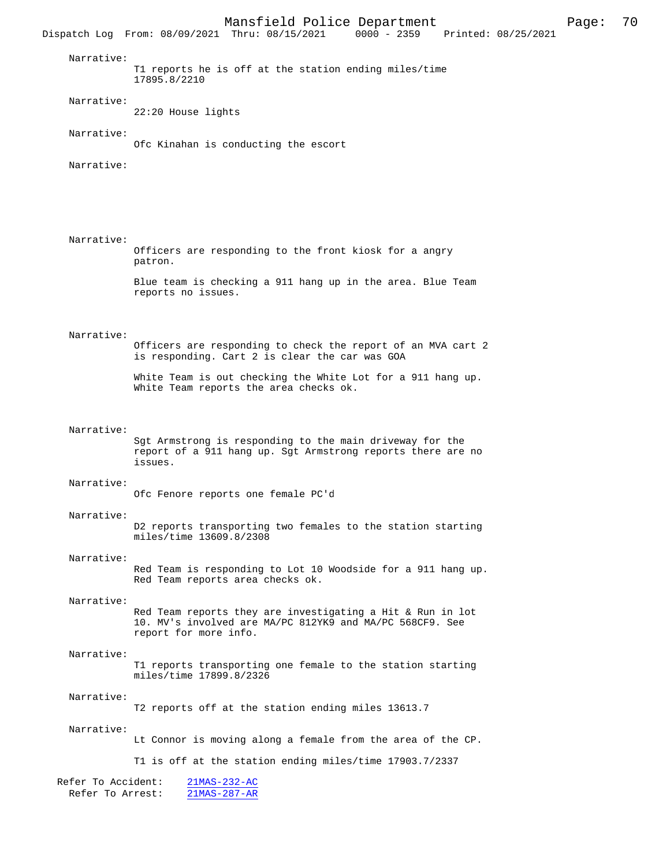Mansfield Police Department Page: 70 Dispatch Log From: 08/09/2021 Thru: 08/15/2021 Narrative: T1 reports he is off at the station ending miles/time 17895.8/2210 Narrative: 22:20 House lights Narrative: Ofc Kinahan is conducting the escort Narrative: Narrative: Officers are responding to the front kiosk for a angry patron. Blue team is checking a 911 hang up in the area. Blue Team reports no issues. Narrative: Officers are responding to check the report of an MVA cart 2 is responding. Cart 2 is clear the car was GOA White Team is out checking the White Lot for a 911 hang up. White Team reports the area checks ok. Narrative: Sgt Armstrong is responding to the main driveway for the report of a 911 hang up. Sgt Armstrong reports there are no issues. Narrative: Ofc Fenore reports one female PC'd Narrative: D2 reports transporting two females to the station starting miles/time 13609.8/2308 Narrative: Red Team is responding to Lot 10 Woodside for a 911 hang up. Red Team reports area checks ok. Narrative: Red Team reports they are investigating a Hit & Run in lot 10. MV's involved are MA/PC 812YK9 and MA/PC 568CF9. See report for more info. Narrative: T1 reports transporting one female to the station starting miles/time 17899.8/2326 Narrative: T2 reports off at the station ending miles 13613.7 Narrative: Lt Connor is moving along a female from the area of the CP. T1 is off at the station ending miles/time 17903.7/2337 Refer To Accident: 21MAS-232-AC Refer To Arrest: 21MAS-287-AR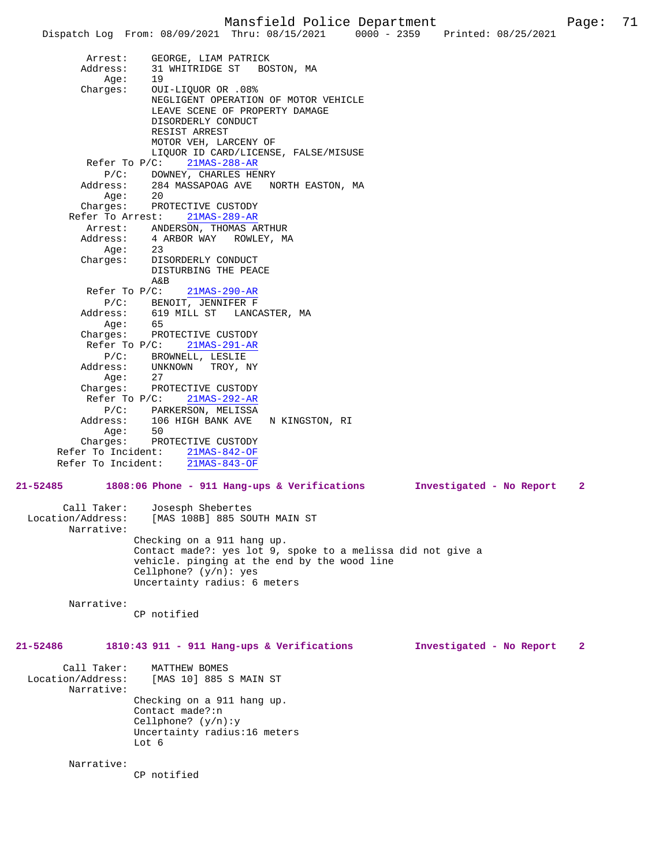Dispatch Log From: 08/09/2021 Thru: 08/15/2021 0000 - 2359 Arrest: GEORGE, LIAM PATRICK Address: 31 WHITRIDGE ST BOSTON, MA Age: 19 Charges: OUI-LIQUOR OR .08% NEGLIGENT OPERATION OF MOTOR VEHICLE LEAVE SCENE OF PROPERTY DAMAGE DISORDERLY CONDUCT RESIST ARREST MOTOR VEH, LARCENY OF LIQUOR ID CARD/LICENSE, FALSE/MISUSE Refer To P/C: 21MAS-288-AR P/C: DOWNEY, CHARLES HENRY<br>Address: 284 MASSAPOAG AVE NO 284 MASSAPOAG AVE NORTH EASTON, MA<br>20  $A$ qe: Charges: PROTECTIVE CUSTODY Refer To Arrest: 21MAS-289-AR Arrest: ANDERSON, THOMAS ARTHUR<br>Address: 4 ARBOR WAY ROWLEY, M 4 ARBOR WAY ROWLEY, MA Age: 23 Charges: DISORDERLY CONDUCT DISTURBING THE PEACE A&B Refer To P/C: 21MAS-290-AR P/C: BENOIT, JENNIFER F<br>Address: 619 MILL ST LANC. 619 MILL ST LANCASTER, MA Age: 65 Charges: PROTECTIVE CUSTODY Refer To P/C: 21MAS-291-AR P/C: BROWNELL, LESLIE Address: UNKNOWN TROY, NY Age: 27 Charges: PROTECTIVE CUSTODY Refer To P/C: 21MAS-292-AR P/C: PARKERSON, MELISSA Address: 106 HIGH BANK AVE N KINGSTON, RI Age: 50 Charges: PROTECTIVE CUSTODY Refer To Incident:  $\frac{21\text{MAS} - 842 - \text{OF}}{21\text{MAS} - 843 - \text{OF}}$ Refer To Incident: **21-52485 1808:06 Phone - 911 Hang-ups & Verifications Investigated - No Report 2** Call Taker: Josesph Shebertes<br>Location/Address: [MAS 108B] 885 SO [MAS 108B] 885 SOUTH MAIN ST Narrative: Checking on a 911 hang up. Contact made?: yes lot 9, spoke to a melissa did not give a vehicle. pinging at the end by the wood line Cellphone? (y/n): yes Uncertainty radius: 6 meters Narrative: CP notified **21-52486 1810:43 911 - 911 Hang-ups & Verifications Investigated - No Report 2** Call Taker: MATTHEW BOMES Location/Address: [MAS 10] 885 S MAIN ST Narrative: Checking on a 911 hang up. Contact made?:n Cellphone? (y/n):y Uncertainty radius:16 meters Lot 6 Narrative: CP notified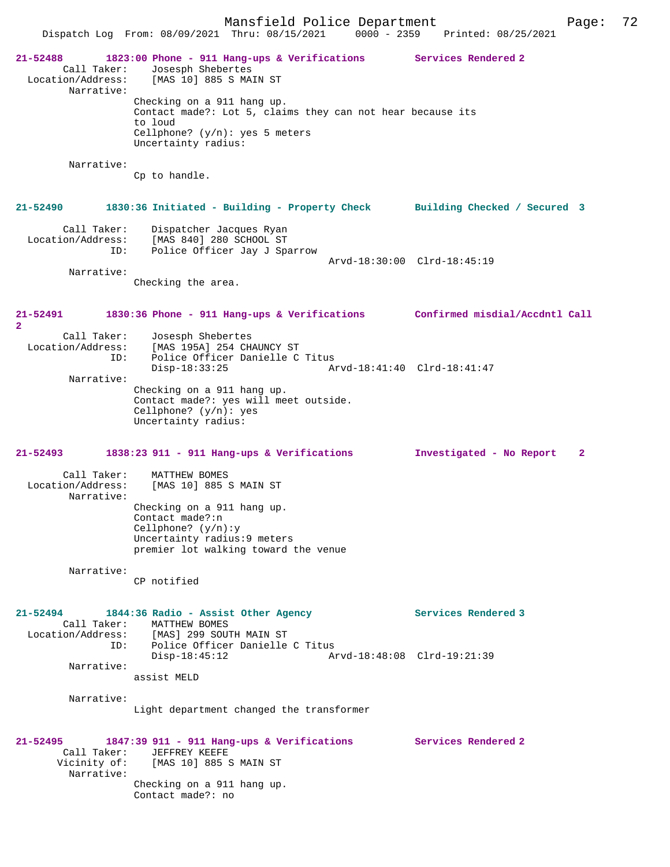Mansfield Police Department Page: 72 Dispatch Log From: 08/09/2021 Thru: 08/15/2021 **21-52488 1823:00 Phone - 911 Hang-ups & Verifications Services Rendered 2**  Call Taker: Josesph Shebertes<br>Location/Address: [MAS 10] 885 S MA [MAS 10] 885 S MAIN ST Narrative: Checking on a 911 hang up. Contact made?: Lot 5, claims they can not hear because its to loud Cellphone? (y/n): yes 5 meters Uncertainty radius: Narrative: Cp to handle. **21-52490 1830:36 Initiated - Building - Property Check Building Checked / Secured 3** Call Taker: Dispatcher Jacques Ryan Location/Address: [MAS 840] 280 SCHOOL ST<br>TD: Police Officer Jay J Spa Police Officer Jay J Sparrow Arvd-18:30:00 Clrd-18:45:19 Narrative: Checking the area. **21-52491 1830:36 Phone - 911 Hang-ups & Verifications Confirmed misdial/Accdntl Call 2**  Call Taker: Josesph Shebertes<br>Location/Address: [MAS 195A] 254 CH  $[MAS 195A] 254$  CHAUNCY ST ID: Police Officer Danielle C Titus<br>Disp-18:33:25 A Disp-18:33:25 Arvd-18:41:40 Clrd-18:41:47 Narrative: Checking on a 911 hang up. Contact made?: yes will meet outside. Cellphone? (y/n): yes Uncertainty radius: **21-52493 1838:23 911 - 911 Hang-ups & Verifications Investigated - No Report 2** Call Taker: MATTHEW BOMES<br>Location/Address: [MAS 10] 885 9 [MAS 10] 885 S MAIN ST Narrative: Checking on a 911 hang up. Contact made?:n Cellphone? (y/n):y Uncertainty radius:9 meters premier lot walking toward the venue Narrative: CP notified **21-52494 1844:36 Radio - Assist Other Agency Services Rendered 3**  Call Taker: MATTHEW BOMES Location/Address: [MAS] 299 SOUTH MAIN ST Police Officer Danielle C Titus<br>Disp-18:45:12 Ar Disp-18:45:12 Arvd-18:48:08 Clrd-19:21:39 Narrative: assist MELD Narrative: Light department changed the transformer **21-52495 1847:39 911 - 911 Hang-ups & Verifications Services Rendered 2**  Call Taker: JEFFREY KEEFE<br>Vicinity of: [MAS 10] 885 9 [MAS 10] 885 S MAIN ST Narrative: Checking on a 911 hang up. Contact made?: no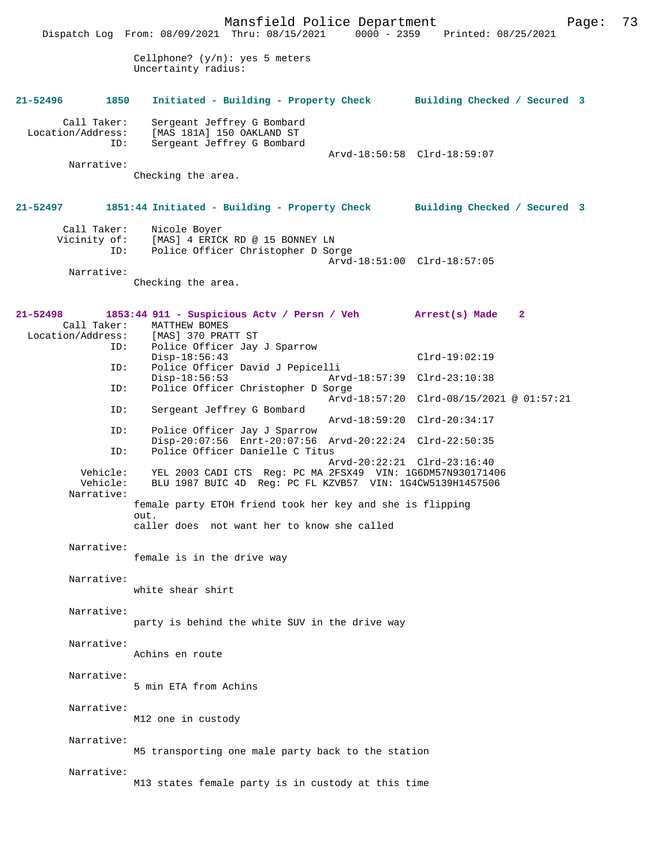|                                         | Mansfield Police Department<br>Dispatch Log From: 08/09/2021 Thru: 08/15/2021                                           | 0000 - 2359 Printed: 08/25/2021          |    | Page: | 73 |
|-----------------------------------------|-------------------------------------------------------------------------------------------------------------------------|------------------------------------------|----|-------|----|
|                                         | Cellphone? $(y/n)$ : yes 5 meters<br>Uncertainty radius:                                                                |                                          |    |       |    |
| 1850<br>21-52496                        | Initiated - Building - Property Check Building Checked / Secured 3                                                      |                                          |    |       |    |
| Call Taker:<br>Location/Address:<br>ID: | Sergeant Jeffrey G Bombard<br>[MAS 181A] 150 OAKLAND ST<br>Sergeant Jeffrey G Bombard                                   |                                          |    |       |    |
|                                         |                                                                                                                         | Arvd-18:50:58 Clrd-18:59:07              |    |       |    |
| Narrative:                              | Checking the area.                                                                                                      |                                          |    |       |    |
| 21-52497                                | 1851:44 Initiated - Building - Property Check Building Checked / Secured 3                                              |                                          |    |       |    |
| Call Taker:                             | Nicole Boyer                                                                                                            |                                          |    |       |    |
| Vicinity of:<br>ID:                     | [MAS] 4 ERICK RD @ 15 BONNEY LN<br>Police Officer Christopher D Sorge                                                   |                                          |    |       |    |
|                                         |                                                                                                                         | Arvd-18:51:00 Clrd-18:57:05              |    |       |    |
| Narrative:                              |                                                                                                                         |                                          |    |       |    |
|                                         | Checking the area.                                                                                                      |                                          |    |       |    |
| $21 - 52498$                            | 1853:44 911 - Suspicious Actv / Persn / Veh Arrest(s) Made                                                              |                                          | -2 |       |    |
| Call Taker:<br>Location/Address:        | MATTHEW BOMES<br>[MAS] 370 PRATT ST                                                                                     |                                          |    |       |    |
| ID:                                     | Police Officer Jay J Sparrow                                                                                            |                                          |    |       |    |
|                                         | Disp-18:56:43                                                                                                           | $Clrd-19:02:19$                          |    |       |    |
| ID:                                     | Police Officer David J Pepicelli<br>$Disp-18:56:53$                                                                     | Arvd-18:57:39 Clrd-23:10:38              |    |       |    |
| ID:                                     | Police Officer Christopher D Sorge                                                                                      | Arvd-18:57:20 Clrd-08/15/2021 @ 01:57:21 |    |       |    |
| ID:                                     | Sergeant Jeffrey G Bombard                                                                                              | Arvd-18:59:20 Clrd-20:34:17              |    |       |    |
| ID:                                     | Police Officer Jay J Sparrow                                                                                            |                                          |    |       |    |
| ID:                                     | Disp-20:07:56 Enrt-20:07:56 Arvd-20:22:24 Clrd-22:50:35<br>Police Officer Danielle C Titus                              |                                          |    |       |    |
|                                         |                                                                                                                         | Arvd-20:22:21 Clrd-23:16:40              |    |       |    |
| Vehicle:<br>Vehicle:                    | YEL 2003 CADI CTS Req: PC MA 2FSX49 VIN: 1G6DM57N930171406<br>BLU 1987 BUIC 4D Reg: PC FL KZVB57 VIN: 1G4CW5139H1457506 |                                          |    |       |    |
| Narrative:                              | female party ETOH friend took her key and she is flipping<br>out.                                                       |                                          |    |       |    |
|                                         | caller does not want her to know she called                                                                             |                                          |    |       |    |
| Narrative:                              | female is in the drive way                                                                                              |                                          |    |       |    |
|                                         |                                                                                                                         |                                          |    |       |    |
| Narrative:                              | white shear shirt                                                                                                       |                                          |    |       |    |
|                                         |                                                                                                                         |                                          |    |       |    |
| Narrative:                              | party is behind the white SUV in the drive way                                                                          |                                          |    |       |    |
| Narrative:                              |                                                                                                                         |                                          |    |       |    |
|                                         | Achins en route                                                                                                         |                                          |    |       |    |
| Narrative:                              |                                                                                                                         |                                          |    |       |    |
|                                         | 5 min ETA from Achins                                                                                                   |                                          |    |       |    |
|                                         |                                                                                                                         |                                          |    |       |    |
| Narrative:                              |                                                                                                                         |                                          |    |       |    |
|                                         | M12 one in custody                                                                                                      |                                          |    |       |    |
| Narrative:                              |                                                                                                                         |                                          |    |       |    |
|                                         | M5 transporting one male party back to the station                                                                      |                                          |    |       |    |
| Narrative:                              |                                                                                                                         |                                          |    |       |    |
|                                         | M13 states female party is in custody at this time                                                                      |                                          |    |       |    |
|                                         |                                                                                                                         |                                          |    |       |    |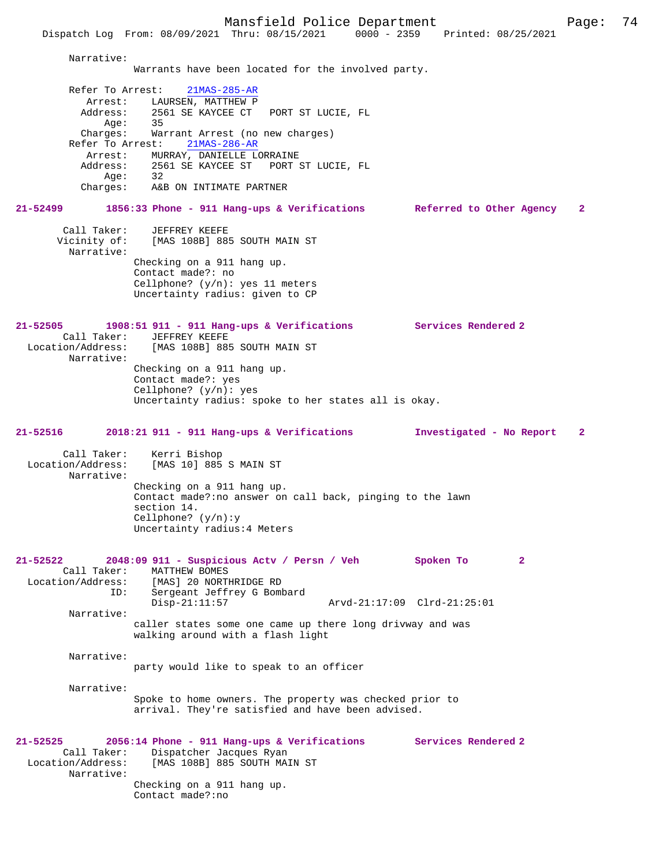Mansfield Police Department Page: 74 Dispatch Log From: 08/09/2021 Thru: 08/15/2021 Narrative: Warrants have been located for the involved party. Refer To Arrest: 21MAS-285-AR Arrest: LAURSEN, MATTHEW P<br>Address: 2561 SE KAYCEE CT 2561 SE KAYCEE CT PORT ST LUCIE, FL<br>35 Age:<br>Charges: Warrant Arrest (no new charges)<br>est: 21MAS-286-AR Refer To Arrest: Arrest: MURRAY, DANIELLE LORRAINE<br>Address: 2561 SE KAYCEE ST PORT 2561 SE KAYCEE ST PORT ST LUCIE, FL<br>32  $Age:$  Charges: A&B ON INTIMATE PARTNER **21-52499 1856:33 Phone - 911 Hang-ups & Verifications Referred to Other Agency 2** Call Taker: JEFFREY KEEFE Vicinity of: [MAS 108B] 885 SOUTH MAIN ST Narrative: Checking on a 911 hang up. Contact made?: no Cellphone? (y/n): yes 11 meters Uncertainty radius: given to CP **21-52505 1908:51 911 - 911 Hang-ups & Verifications Services Rendered 2**  Call Taker: JEFFREY KEEFE<br>Location/Address: [MAS 108B] 889 [MAS 108B] 885 SOUTH MAIN ST Narrative: Checking on a 911 hang up. Contact made?: yes Cellphone? (y/n): yes Uncertainty radius: spoke to her states all is okay. **21-52516 2018:21 911 - 911 Hang-ups & Verifications Investigated - No Report 2** Call Taker: Kerri Bishop<br>Location/Address: [MAS 10] 885 [MAS 10] 885 S MAIN ST Narrative: Checking on a 911 hang up. Contact made?:no answer on call back, pinging to the lawn section 14. Cellphone? (y/n):y Uncertainty radius:4 Meters **21-52522 2048:09 911 - Suspicious Actv / Persn / Veh Spoken To 2**  Call Taker: MATTHEW BOMES<br>Location/Address: [MAS] 20 NORTI ess: [MAS] 20 NORTHRIDGE RD<br>ID: Sergeant Jeffrey G Bom Sergeant Jeffrey G Bombard<br>Disp-21:11:57 Disp-21:11:57 Arvd-21:17:09 Clrd-21:25:01 Narrative: caller states some one came up there long drivway and was walking around with a flash light Narrative: party would like to speak to an officer Narrative: Spoke to home owners. The property was checked prior to arrival. They're satisfied and have been advised.

**21-52525 2056:14 Phone - 911 Hang-ups & Verifications Services Rendered 2**  Call Taker: Dispatcher Jacques Ryan<br>Location/Address: [MAS 108B] 885 SOUTH MAI [MAS 108B] 885 SOUTH MAIN ST Narrative: Checking on a 911 hang up. Contact made?:no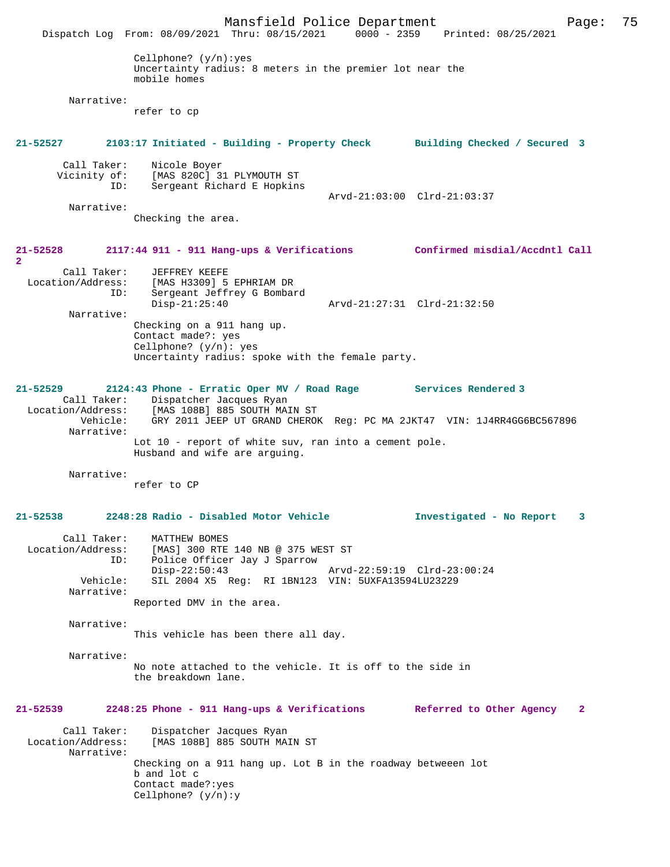Mansfield Police Department Page: 75 Dispatch Log From: 08/09/2021 Thru: 08/15/2021 Cellphone? (y/n):yes Uncertainty radius: 8 meters in the premier lot near the mobile homes Narrative: refer to cp **21-52527 2103:17 Initiated - Building - Property Check Building Checked / Secured 3** Call Taker: Nicole Boyer<br>Vicinity of: [MAS 820C] 3 of: [MAS 820C] 31 PLYMOUTH ST<br>ID: Sergeant Richard E Hopkins Sergeant Richard E Hopkins Arvd-21:03:00 Clrd-21:03:37 Narrative: Checking the area. **21-52528 2117:44 911 - 911 Hang-ups & Verifications Confirmed misdial/Accdntl Call 2**  Call Taker: JEFFREY KEEFE<br>Location/Address: [MAS H3309] 5 ess: [MAS H3309] 5 EPHRIAM DR<br>ID: Sergeant Jeffrev G Rombai Sergeant Jeffrey G Bombard<br>Disp-21:25:40 Disp-21:25:40 Arvd-21:27:31 Clrd-21:32:50 Narrative: Checking on a 911 hang up. Contact made?: yes Cellphone? (y/n): yes Uncertainty radius: spoke with the female party. **21-52529 2124:43 Phone - Erratic Oper MV / Road Rage Services Rendered 3**  Call Taker: Dispatcher Jacques Ryan Location/Address: [MAS 108B] 885 SOUTH MAIN ST Vehicle: GRY 2011 JEEP UT GRAND CHEROK Reg: PC MA 2JKT47 VIN: 1J4RR4GG6BC567896 Narrative: Lot 10 - report of white suv, ran into a cement pole. Husband and wife are arguing. Narrative: refer to CP **21-52538 2248:28 Radio - Disabled Motor Vehicle Investigated - No Report 3** Call Taker: MATTHEW BOMES Location/Address: [MAS] 300 RTE 140 NB @ 375 WEST ST ID: Police Officer Jay J Sparrow Disp-22:50:43 Arvd-22:59:19 Clrd-23:00:24 Vehicle: SIL 2004 X5 Reg: RI 1BN123 VIN: 5UXFA13594LU23229 Narrative: Reported DMV in the area. Narrative: This vehicle has been there all day. Narrative: No note attached to the vehicle. It is off to the side in the breakdown lane. **21-52539 2248:25 Phone - 911 Hang-ups & Verifications Referred to Other Agency 2** Call Taker: Dispatcher Jacques Ryan Location/Address: [MAS 108B] 885 SOUTH MAIN ST Narrative: Checking on a 911 hang up. Lot B in the roadway betweeen lot b and lot c Contact made?:yes Cellphone? (y/n):y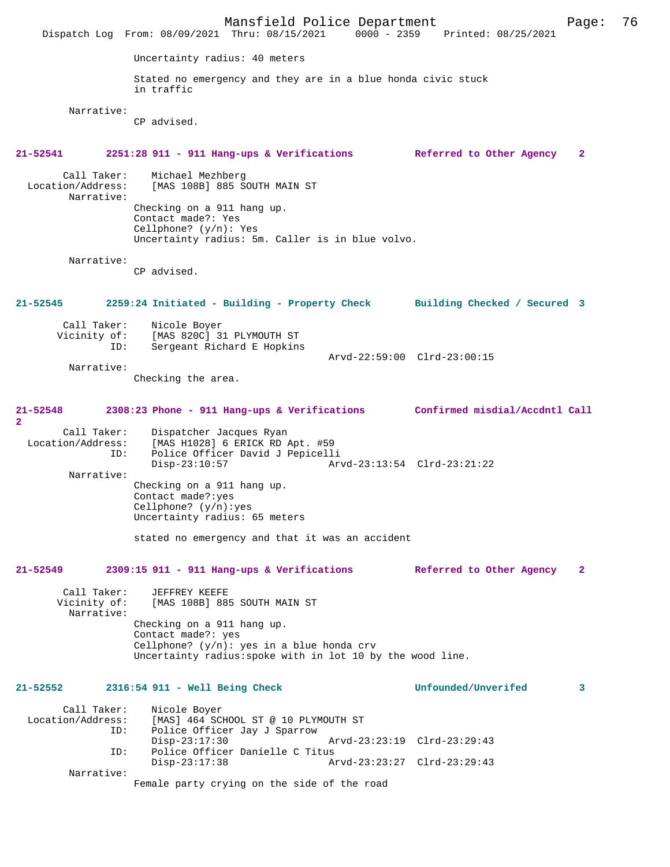Mansfield Police Department Page: 76 Dispatch Log From: 08/09/2021 Thru: 08/15/2021 Uncertainty radius: 40 meters Stated no emergency and they are in a blue honda civic stuck in traffic Narrative: CP advised. **21-52541 2251:28 911 - 911 Hang-ups & Verifications Referred to Other Agency 2** Call Taker: Michael Mezhberg<br>Location/Address: [MAS 108B] 885 S [MAS 108B] 885 SOUTH MAIN ST Narrative: Checking on a 911 hang up. Contact made?: Yes Cellphone? (y/n): Yes Uncertainty radius: 5m. Caller is in blue volvo. Narrative: CP advised. **21-52545 2259:24 Initiated - Building - Property Check Building Checked / Secured 3** Call Taker: Nicole Boyer<br>Vicinity of: [MAS 820C] 3 of: [MAS 820C] 31 PLYMOUTH ST<br>ID: Sergeant Richard E Hopking Sergeant Richard E Hopkins Arvd-22:59:00 Clrd-23:00:15 Narrative: Checking the area. **21-52548 2308:23 Phone - 911 Hang-ups & Verifications Confirmed misdial/Accdntl Call 2**  Call Taker: Dispatcher Jacques Ryan Location/Address: [MAS H1028] 6 ERICK RD Apt. #59 ID: Police Officer David J Pepicelli Disp-23:10:57 Arvd-23:13:54 Clrd-23:21:22 Narrative: Checking on a 911 hang up. Contact made?:yes Cellphone? (y/n):yes Uncertainty radius: 65 meters stated no emergency and that it was an accident **21-52549 2309:15 911 - 911 Hang-ups & Verifications Referred to Other Agency 2** Call Taker: JEFFREY KEEFE<br>Vicinity of: [MAS 108B] 885 [MAS 108B] 885 SOUTH MAIN ST Narrative: Checking on a 911 hang up. Contact made?: yes Cellphone? (y/n): yes in a blue honda crv Uncertainty radius:spoke with in lot 10 by the wood line. **21-52552 2316:54 911 - Well Being Check Unfounded/Unverifed 3** Call Taker: Nicole Boyer<br>Location/Address: [MAS] 464 SC [MAS] 464 SCHOOL ST @ 10 PLYMOUTH ST ID: Police Officer Jay J Sparrow Disp-23:17:30 Arvd-23:23:19 Clrd-23:29:43 ID: Police Officer Danielle C Titus Disp-23:17:38 Arvd-23:23:27 Clrd-23:29:43 Narrative: Female party crying on the side of the road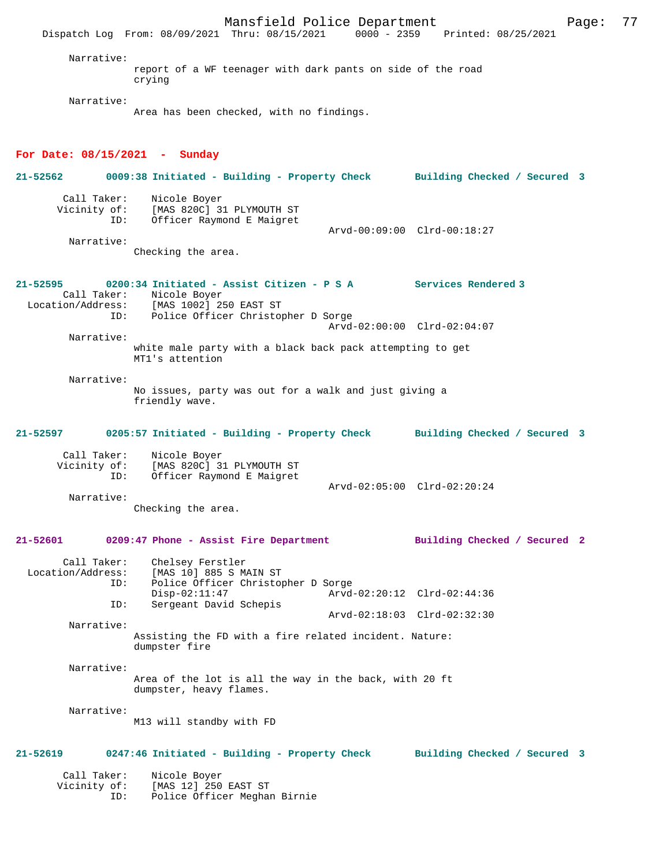Mansfield Police Department Page: 77 Dispatch Log From: 08/09/2021 Thru: 08/15/2021 0000 - 2359 Narrative: report of a WF teenager with dark pants on side of the road crying Narrative: Area has been checked, with no findings. **For Date: 08/15/2021 - Sunday 21-52562 0009:38 Initiated - Building - Property Check Building Checked / Secured 3** Call Taker: Nicole Boyer Vicinity of: [MAS 820C] 31 PLYMOUTH ST<br>TD: Officer Raymond E Maigret Officer Raymond E Maigret Arvd-00:09:00 Clrd-00:18:27 Narrative: Checking the area. **21-52595 0200:34 Initiated - Assist Citizen - P S A Services Rendered 3**  Call Taker: Nicole Boyer<br>Location/Address: [MAS 1002] 2 ess: [MAS 1002] 250 EAST ST<br>ID: Police Officer Christom Police Officer Christopher D Sorge Arvd-02:00:00 Clrd-02:04:07 Narrative: white male party with a black back pack attempting to get MT1's attention Narrative: No issues, party was out for a walk and just giving a friendly wave. **21-52597 0205:57 Initiated - Building - Property Check Building Checked / Secured 3** Call Taker: Nicole Boyer Vicinity of: [MAS 820C] 31 PLYMOUTH ST ID: Officer Raymond E Maigret Arvd-02:05:00 Clrd-02:20:24 Narrative: Checking the area. **21-52601 0209:47 Phone - Assist Fire Department Building Checked / Secured 2** Call Taker: Chelsey Ferstler Location/Address: [MAS 10] 885 S MAIN ST Police Officer Christopher D Sorge<br>Disp-02:11:47 Arvd Disp-02:11:47 Arvd-02:20:12 Clrd-02:44:36<br>TD: Sergeant David Schepis Sergeant David Schepis Arvd-02:18:03 Clrd-02:32:30 Narrative: Assisting the FD with a fire related incident. Nature: dumpster fire Narrative: Area of the lot is all the way in the back, with 20 ft dumpster, heavy flames. Narrative: M13 will standby with FD **21-52619 0247:46 Initiated - Building - Property Check Building Checked / Secured 3** Call Taker: Nicole Boyer<br>Vicinity of: [MAS 12] 250 [MAS 12] 250 EAST ST ID: Police Officer Meghan Birnie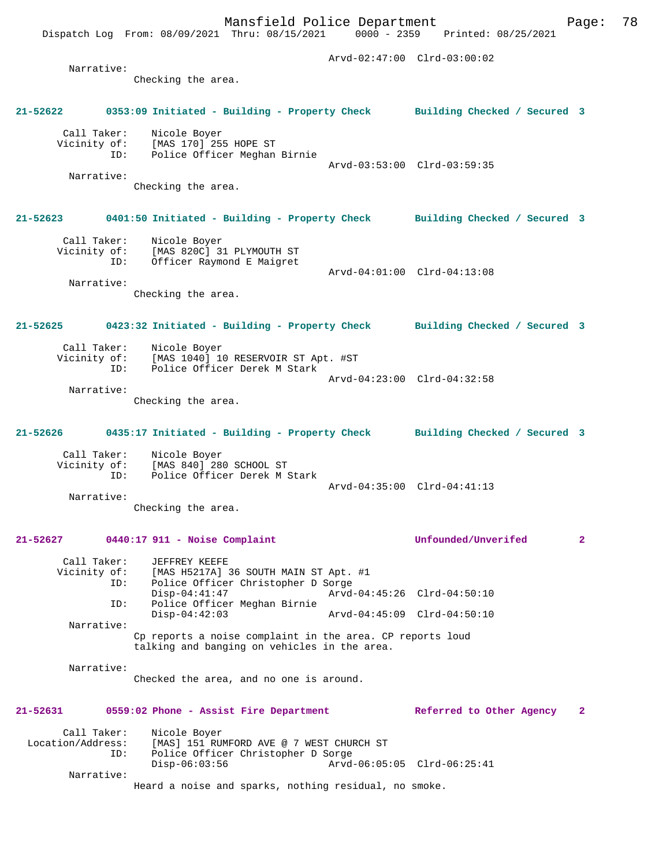Dispatch Log From: 08/09/2021 Thru: 08/15/2021 0000 - 2359 Printed: 08/25/2021

 Arvd-02:47:00 Clrd-03:00:02 Narrative: Checking the area. **21-52622 0353:09 Initiated - Building - Property Check Building Checked / Secured 3** Call Taker: Nicole Boyer Vicinity of: [MAS 170] 255 HOPE ST ID: Police Officer Meghan Birnie Arvd-03:53:00 Clrd-03:59:35 Narrative: Checking the area. **21-52623 0401:50 Initiated - Building - Property Check Building Checked / Secured 3** Call Taker: Nicole Boyer Vicinity of: [MAS 820C] 31 PLYMOUTH ST ID: Officer Raymond E Maigret Arvd-04:01:00 Clrd-04:13:08 Narrative: Checking the area. **21-52625 0423:32 Initiated - Building - Property Check Building Checked / Secured 3** Call Taker: Nicole Boyer<br>Vicinity of: [MAS 1040] 10 [MAS 1040] 10 RESERVOIR ST Apt. #ST ID: Police Officer Derek M Stark Arvd-04:23:00 Clrd-04:32:58 Narrative: Checking the area. **21-52626 0435:17 Initiated - Building - Property Check Building Checked / Secured 3** Call Taker: Nicole Boyer Vicinity of: [MAS 840] 280 SCHOOL ST ID: Police Officer Derek M Stark Arvd-04:35:00 Clrd-04:41:13 Narrative: Checking the area. **21-52627 0440:17 911 - Noise Complaint Unfounded/Unverifed 2** Call Taker: JEFFREY KEEFE<br>Vicinity of: [MAS H5217A] 3 of: [MAS H5217A] 36 SOUTH MAIN ST Apt. #1<br>ID: Police Officer Christopher D Sorge Police Officer Christopher D Sorge<br>Disp-04:41:47 Arvd Arvd-04:45:26 Clrd-04:50:10 ID: Police Officer Meghan Birnie Disp-04:42:03 Arvd-04:45:09 Clrd-04:50:10 Narrative: Cp reports a noise complaint in the area. CP reports loud talking and banging on vehicles in the area. Narrative: Checked the area, and no one is around. **21-52631 0559:02 Phone - Assist Fire Department Referred to Other Agency 2** Call Taker: Nicole Boyer Location/Address: [MAS] 151 RUMFORD AVE @ 7 WEST CHURCH ST ID: Police Officer Christopher D Sorge Disp-06:03:56 Arvd-06:05:05 Clrd-06:25:41 Narrative: Heard a noise and sparks, nothing residual, no smoke.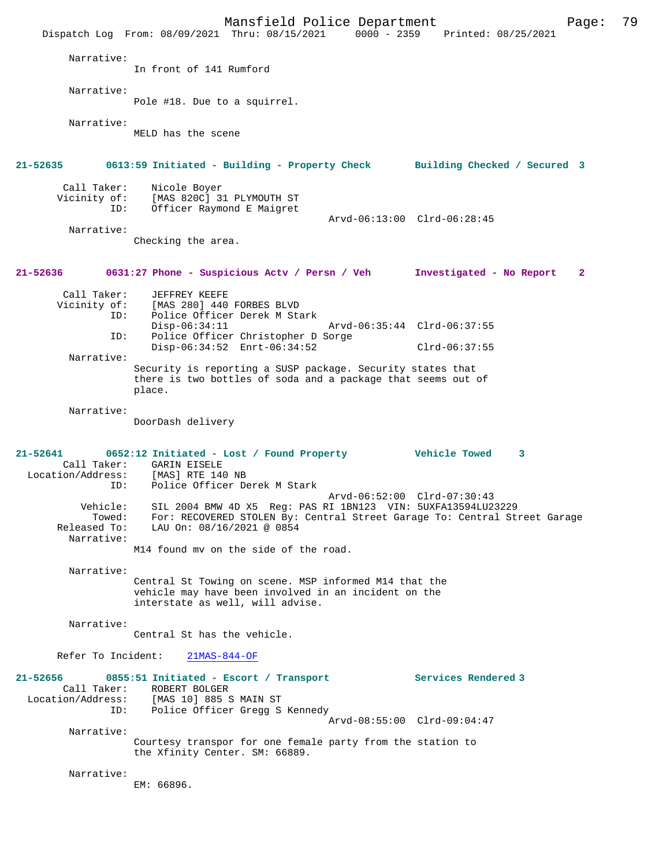Mansfield Police Department Fage: 79 Dispatch Log From: 08/09/2021 Thru: 08/15/2021 0000 - 2359 Printed: 08/25/2021 Narrative: In front of 141 Rumford Narrative: Pole #18. Due to a squirrel. Narrative: MELD has the scene **21-52635 0613:59 Initiated - Building - Property Check Building Checked / Secured 3** Call Taker: Nicole Boyer<br>Vicinity of: [MAS 820C] 3 of: [MAS 820C] 31 PLYMOUTH ST<br>ID: Officer Raymond E Maigret Officer Raymond E Maigret Arvd-06:13:00 Clrd-06:28:45 Narrative: Checking the area. **21-52636 0631:27 Phone - Suspicious Actv / Persn / Veh Investigated - No Report 2** Call Taker: JEFFREY KEEFE Vicinity of: [MAS 280] 440 FORBES BLVD<br>ID: Police Officer Derek M Sta Police Officer Derek M Stark<br>Disp-06:34:11 Disp-06:34:11 Arvd-06:35:44 Clrd-06:37:55<br>TD: Police Officer Christopher D Sorge Police Officer Christopher D Sorge Disp-06:34:52 Enrt-06:34:52 Clrd-06:37:55 Narrative: Security is reporting a SUSP package. Security states that there is two bottles of soda and a package that seems out of place. Narrative: DoorDash delivery **21-52641 0652:12 Initiated - Lost / Found Property Vehicle Towed 3**  Call Taker: GARIN EISELE<br>.on/Address: [MAS] RTE 140 NB Location/Address:<br>ID: Police Officer Derek M Stark Arvd-06:52:00 Clrd-07:30:43 Vehicle: SIL 2004 BMW 4D X5 Reg: PAS RI 1BN123 VIN: 5UXFA13594LU23229 Towed: For: RECOVERED STOLEN By: Central Street Garage To: Central Street Garage Released To: LAU On: 08/16/2021 @ 0854 Narrative: M14 found mv on the side of the road. Narrative: Central St Towing on scene. MSP informed M14 that the vehicle may have been involved in an incident on the interstate as well, will advise. Narrative: Central St has the vehicle. Refer To Incident: 21MAS-844-OF **21-52656 0855:51 Initiated - Escort / Transport Services Rendered 3**  Call Taker: ROBERT BOLGER<br>Location/Address: [MAS 10] 885 S Location/Address: [MAS 10] 885 S MAIN ST ID: Police Officer Gregg S Kennedy Arvd-08:55:00 Clrd-09:04:47 Narrative: Courtesy transpor for one female party from the station to the Xfinity Center. SM: 66889. Narrative: EM: 66896.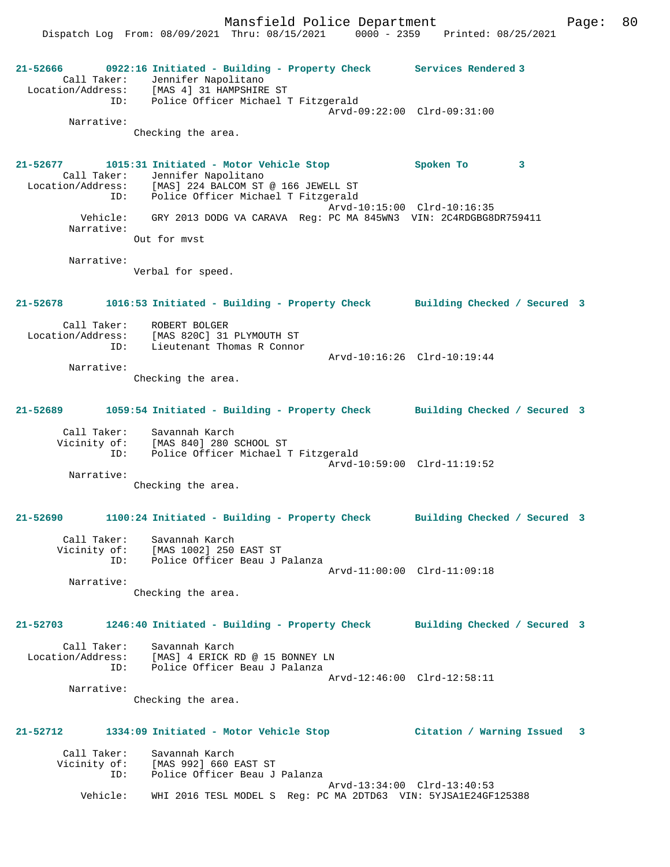Mansfield Police Department Fage: 80

Dispatch Log From: 08/09/2021 Thru: 08/15/2021 0000 - 2359 Printed: 08/25/2021

**21-52666 0922:16 Initiated - Building - Property Check Services Rendered 3**  Call Taker: Jennifer Napolitano Location/Address: [MAS 4] 31 HAMPSHIRE ST ID: Police Officer Michael T Fitzgerald Arvd-09:22:00 Clrd-09:31:00 Narrative: Checking the area. **21-52677 1015:31 Initiated - Motor Vehicle Stop Spoken To 3**  Call Taker: Jennifer Napolitano Location/Address: [MAS] 224 BALCOM ST @ 166 JEWELL ST Police Officer Michael T Fitzgerald Arvd-10:15:00 Clrd-10:16:35 Vehicle: GRY 2013 DODG VA CARAVA Reg: PC MA 845WN3 VIN: 2C4RDGBG8DR759411 Narrative: Out for mvst Narrative: Verbal for speed. **21-52678 1016:53 Initiated - Building - Property Check Building Checked / Secured 3** Call Taker: ROBERT BOLGER Location/Address: [MAS 820C] 31 PLYMOUTH ST ID: Lieutenant Thomas R Connor Arvd-10:16:26 Clrd-10:19:44 Narrative: Checking the area. **21-52689 1059:54 Initiated - Building - Property Check Building Checked / Secured 3** Call Taker: Savannah Karch Vicinity of: [MAS 840] 280 SCHOOL ST ID: Police Officer Michael T Fitzgerald Arvd-10:59:00 Clrd-11:19:52 Narrative: Checking the area. **21-52690 1100:24 Initiated - Building - Property Check Building Checked / Secured 3** Call Taker: Savannah Karch Vicinity of: [MAS 1002] 250 EAST ST ID: Police Officer Beau J Palanza Arvd-11:00:00 Clrd-11:09:18 Narrative: Checking the area. **21-52703 1246:40 Initiated - Building - Property Check Building Checked / Secured 3** Call Taker: Savannah Karch Location/Address: [MAS] 4 ERICK RD @ 15 BONNEY LN ID: Police Officer Beau J Palanza Arvd-12:46:00 Clrd-12:58:11 Narrative: Checking the area. **21-52712 1334:09 Initiated - Motor Vehicle Stop Citation / Warning Issued 3** Call Taker: Savannah Karch Vicinity of: [MAS 992] 660 EAST ST<br>ID: Police Officer Beau J Police Officer Beau J Palanza Arvd-13:34:00 Clrd-13:40:53 Vehicle: WHI 2016 TESL MODEL S Reg: PC MA 2DTD63 VIN: 5YJSA1E24GF125388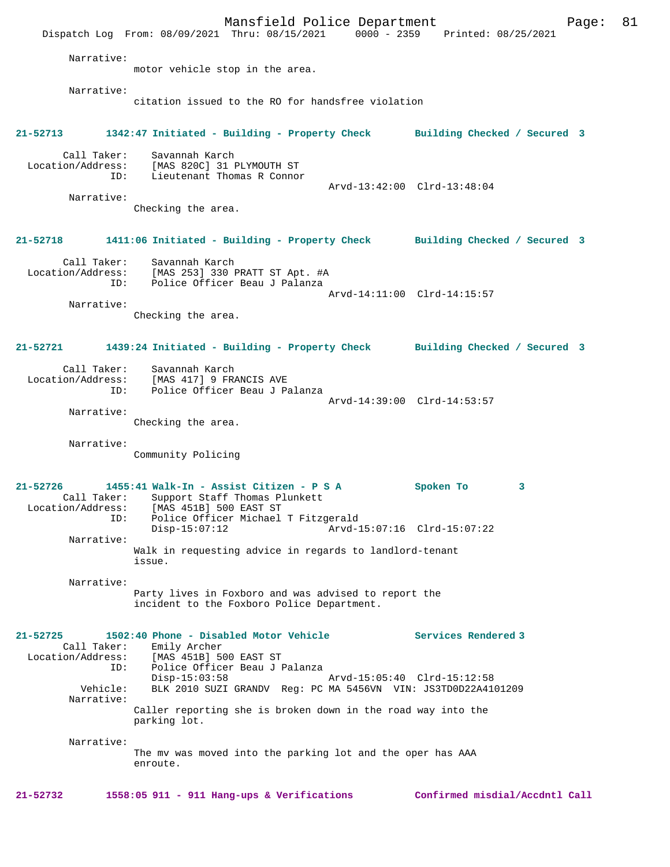Mansfield Police Department Fage: 81 Dispatch Log From: 08/09/2021 Thru: 08/15/2021 0000 - 2359 Printed: 08/25/2021 Narrative: motor vehicle stop in the area. Narrative: citation issued to the RO for handsfree violation **21-52713 1342:47 Initiated - Building - Property Check Building Checked / Secured 3** Call Taker: Savannah Karch Location/Address: [MAS 820C] 31 PLYMOUTH ST ID: Lieutenant Thomas R Connor Arvd-13:42:00 Clrd-13:48:04 Narrative: Checking the area. **21-52718 1411:06 Initiated - Building - Property Check Building Checked / Secured 3** Call Taker: Savannah Karch<br>Location/Address: [MAS 253] 330 I ess: [MAS 253] 330 PRATT ST Apt. #A<br>ID: Police Officer Beau J Palanza Police Officer Beau J Palanza Arvd-14:11:00 Clrd-14:15:57 Narrative: Checking the area. **21-52721 1439:24 Initiated - Building - Property Check Building Checked / Secured 3** Call Taker: Savannah Karch<br>Location/Address: [MAS 417] 9 FR [MAS 417] 9 FRANCIS AVE ID: Police Officer Beau J Palanza Arvd-14:39:00 Clrd-14:53:57 Narrative: Checking the area. Narrative: Community Policing **21-52726 1455:41 Walk-In - Assist Citizen - P S A Spoken To 3**  Call Taker: Support Staff Thomas Plunkett<br>Location/Address: [MAS 451B] 500 EAST ST ess: [MAS 451B] 500 EAST ST<br>ID: Police Officer Michael ID: Police Officer Michael T Fitzgerald  $Arvd-15:07:16$  Clrd-15:07:22 Narrative: Walk in requesting advice in regards to landlord-tenant issue. Narrative: Party lives in Foxboro and was advised to report the incident to the Foxboro Police Department. **21-52725 1502:40 Phone - Disabled Motor Vehicle Services Rendered 3**  Call Taker: Emily Archer Location/Address: [MAS 451B] 500 EAST ST<br>ID: Police Officer Beau J I Police Officer Beau J Palanza<br>Disp-15:03:58 Disp-15:03:58 Arvd-15:05:40 Clrd-15:12:58<br>Vehicle: BLK 2010 SUZI GRANDV Reg: PC MA 5456VN VIN: JS3TD0D22A41 BLK 2010 SUZI GRANDV Reg: PC MA 5456VN VIN: JS3TD0D22A4101209 Narrative: Caller reporting she is broken down in the road way into the parking lot. Narrative: The mv was moved into the parking lot and the oper has AAA enroute.

**21-52732 1558:05 911 - 911 Hang-ups & Verifications Confirmed misdial/Accdntl Call**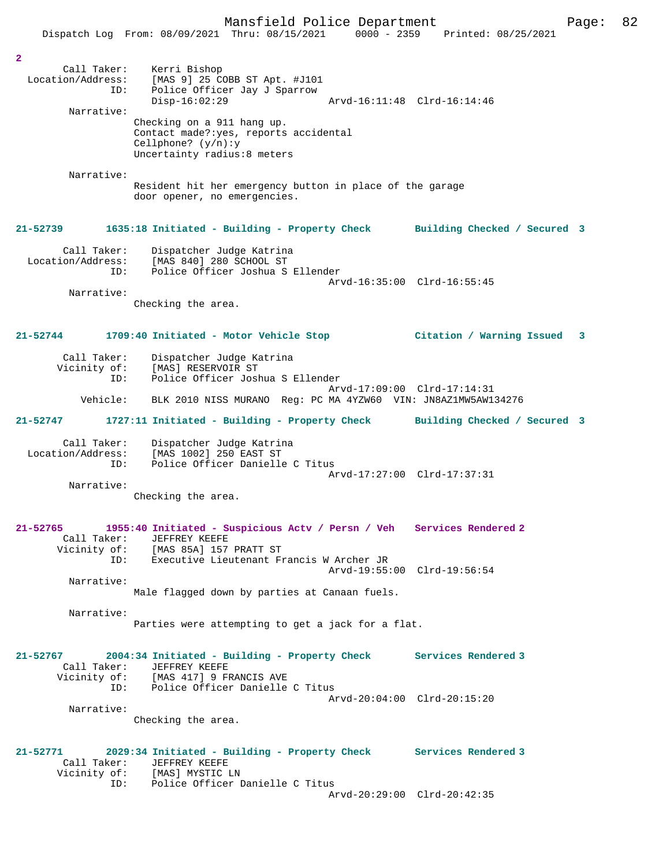|                                                           | Dispatch Log From: 08/09/2021 Thru: 08/15/2021                                                                                                        | $0000 - 2359$               | Printed: 08/25/2021            |  |
|-----------------------------------------------------------|-------------------------------------------------------------------------------------------------------------------------------------------------------|-----------------------------|--------------------------------|--|
|                                                           |                                                                                                                                                       |                             |                                |  |
| $\overline{2}$<br>Call Taker:<br>Location/Address:<br>ID: | Kerri Bishop<br>[MAS 9] 25 COBB ST Apt. #J101<br>Police Officer Jay J Sparrow                                                                         |                             |                                |  |
|                                                           | $Disp-16:02:29$                                                                                                                                       | Arvd-16:11:48 Clrd-16:14:46 |                                |  |
| Narrative:                                                | Checking on a 911 hang up.<br>Contact made?: yes, reports accidental<br>Cellphone? $(y/n):y$<br>Uncertainty radius:8 meters                           |                             |                                |  |
| Narrative:                                                |                                                                                                                                                       |                             |                                |  |
|                                                           | Resident hit her emergency button in place of the garage<br>door opener, no emergencies.                                                              |                             |                                |  |
| 21-52739                                                  | 1635:18 Initiated - Building - Property Check                                                                                                         |                             | Building Checked / Secured 3   |  |
| Call Taker:<br>Location/Address:<br>ID:                   | Dispatcher Judge Katrina<br>[MAS 840] 280 SCHOOL ST<br>Police Officer Joshua S Ellender                                                               | Arvd-16:35:00 Clrd-16:55:45 |                                |  |
| Narrative:                                                |                                                                                                                                                       |                             |                                |  |
|                                                           | Checking the area.                                                                                                                                    |                             |                                |  |
| $21 - 52744$                                              | 1709:40 Initiated - Motor Vehicle Stop                                                                                                                |                             | Citation / Warning Issued<br>3 |  |
| Call Taker:<br>Vicinity of:<br>ID:                        | Dispatcher Judge Katrina<br>[MAS] RESERVOIR ST<br>Police Officer Joshua S Ellender                                                                    |                             |                                |  |
| Vehicle:                                                  | BLK 2010 NISS MURANO Reg: PC MA 4YZW60 VIN: JN8AZ1MW5AW134276                                                                                         | Arvd-17:09:00 Clrd-17:14:31 |                                |  |
| 21-52747                                                  | 1727:11 Initiated - Building - Property Check                                                                                                         |                             | Building Checked / Secured 3   |  |
| Call Taker:<br>Location/Address:<br>ID:                   | Dispatcher Judge Katrina<br>[MAS 1002] 250 EAST ST<br>Police Officer Danielle C Titus                                                                 | Arvd-17:27:00 Clrd-17:37:31 |                                |  |
| Narrative:                                                |                                                                                                                                                       |                             |                                |  |
|                                                           | Checking the area.                                                                                                                                    |                             |                                |  |
| 21-52765<br>Call Taker:                                   | 1955:40 Initiated - Suspicious Actv / Persn / Veh Services Rendered 2<br><b>JEFFREY KEEFE</b><br>Vicinity of: [MAS 85A] 157 PRATT ST                  |                             |                                |  |
| ID:<br>Narrative:                                         | Executive Lieutenant Francis W Archer JR                                                                                                              | Arvd-19:55:00 Clrd-19:56:54 |                                |  |
|                                                           | Male flagged down by parties at Canaan fuels.                                                                                                         |                             |                                |  |
| Narrative:                                                | Parties were attempting to get a jack for a flat.                                                                                                     |                             |                                |  |
| 21-52767<br>Call Taker:                                   | 2004:34 Initiated - Building - Property Check Services Rendered 3<br>JEFFREY KEEFE<br>Vicinity of: [MAS 417] 9 FRANCIS AVE                            |                             |                                |  |
| ID:<br>Narrative:                                         | Police Officer Danielle C Titus                                                                                                                       | Arvd-20:04:00 Clrd-20:15:20 |                                |  |
|                                                           | Checking the area.                                                                                                                                    |                             |                                |  |
| 21-52771<br>Call Taker:<br>ID:                            | 2029:34 Initiated - Building - Property Check Services Rendered 3<br>JEFFREY KEEFE<br>Vicinity of: [MAS] MYSTIC LN<br>Police Officer Danielle C Titus |                             |                                |  |
|                                                           |                                                                                                                                                       | Arvd-20:29:00 Clrd-20:42:35 |                                |  |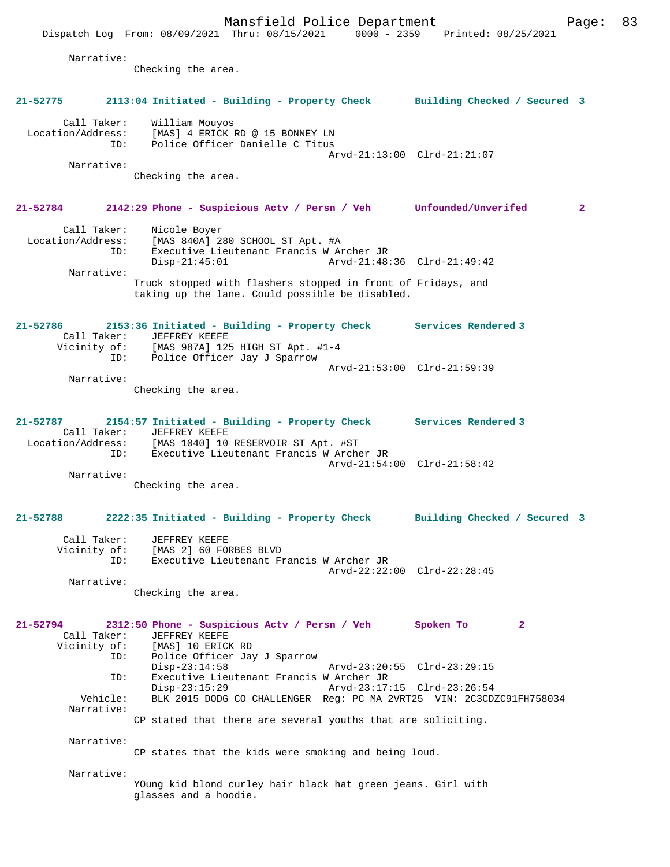Arvd-21:13:00 Clrd-21:21:07

Narrative:

Narrative:

Checking the area.

## **21-52784 2142:29 Phone - Suspicious Actv / Persn / Veh Unfounded/Unverifed 2**

| Call Taker:       | Nicole Boyer                                                 |  |
|-------------------|--------------------------------------------------------------|--|
| Location/Address: | [MAS 840A] 280 SCHOOL ST Apt. #A                             |  |
| ID:               | Executive Lieutenant Francis W Archer JR                     |  |
|                   | Arvd-21:48:36 Clrd-21:49:42<br>$Disp-21:45:01$               |  |
| Narrative:        |                                                              |  |
|                   | Truck stopped with flashers stopped in front of Fridays, and |  |

taking up the lane. Could possible be disabled.

## **21-52786 2153:36 Initiated - Building - Property Check Services Rendered 3**  Call Taker: JEFFREY KEEFE Vicinity of: [MAS 987A] 125 HIGH ST Apt. #1-4 ID: Police Officer Jay J Sparrow Arvd-21:53:00 Clrd-21:59:39 Narrative:

Checking the area.

## **21-52787 2154:57 Initiated - Building - Property Check Services Rendered 3**  Call Taker: JEFFREY KEEFE Location/Address: [MAS 1040] 10 RESERVOIR ST Apt. #ST ID: Executive Lieutenant Francis W Archer JR Arvd-21:54:00 Clrd-21:58:42 Narrative:

Checking the area.

# **21-52788 2222:35 Initiated - Building - Property Check Building Checked / Secured 3**

| Call Taker:  | JEFFREY KEEFE                            |  |
|--------------|------------------------------------------|--|
| Vicinity of: | [MAS 2] 60 FORBES BLVD                   |  |
| TD:          | Executive Lieutenant Francis W Archer JR |  |
|              | Arvd-22:22:00 Clrd-22:28:45              |  |
| Narrative:   |                                          |  |

Checking the area.

## **21-52794 2312:50 Phone - Suspicious Actv / Persn / Veh Spoken To 2**  Call Taker: JEFFREY KEEFE Vicinity of: [MAS] 10 ERICK RD ID: Police Officer Jay J Sparrow Disp-23:14:58 Arvd-23:20:55 Clrd-23:29:15 ID: Executive Lieutenant Francis W Archer JR Disp-23:15:29 Arvd-23:17:15 Clrd-23:26:54<br>Vehicle: BLK 2015 DODG CO CHALLENGER Reg: PC MA 2VRT25 VIN: 2C3CD BLK 2015 DODG CO CHALLENGER Reg: PC MA 2VRT25 VIN: 2C3CDZC91FH758034 Narrative: CP stated that there are several youths that are soliciting.

Narrative:

CP states that the kids were smoking and being loud.

Narrative:

YOung kid blond curley hair black hat green jeans. Girl with glasses and a hoodie.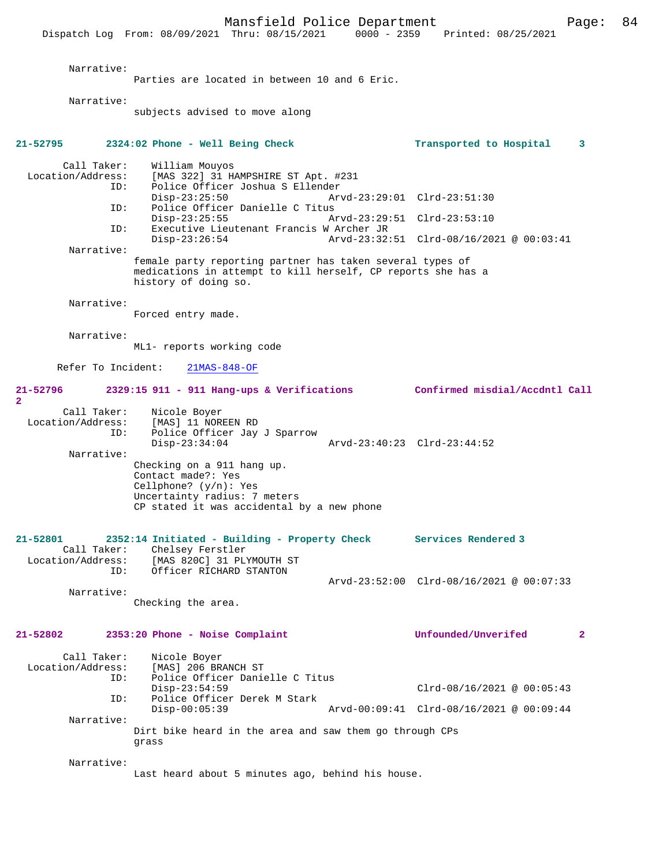Mansfield Police Department Page: 84 Dispatch Log From: 08/09/2021 Thru: 08/15/2021 Narrative: Parties are located in between 10 and 6 Eric. Narrative: subjects advised to move along **21-52795 2324:02 Phone - Well Being Check Transported to Hospital 3** Call Taker: William Mouyos<br>Location/Address: [MAS 322] 31 H [MAS 322] 31 HAMPSHIRE ST Apt. #231 ID: Police Officer Joshua S Ellender Disp-23:25:50 Arvd-23:29:01 Clrd-23:51:30<br>ID: Police Officer Danielle C Titus Police Officer Danielle C Titus<br>Disp-23:25:55 A Disp-23:25:55 Arvd-23:29:51 Clrd-23:53:10<br>ID: Executive Lieutenant Francis W Archer JR Executive Lieutenant Francis W Archer JR<br>Disp-23:26:54 Arvd-23:32 Disp-23:26:54 Arvd-23:32:51 Clrd-08/16/2021 @ 00:03:41 Narrative: female party reporting partner has taken several types of medications in attempt to kill herself, CP reports she has a history of doing so. Narrative: Forced entry made. Narrative: ML1- reports working code Refer To Incident: 21MAS-848-OF **21-52796 2329:15 911 - 911 Hang-ups & Verifications Confirmed misdial/Accdntl Call 2**  Call Taker: Nicole Boyer<br>Location/Address: [MAS] 11 NORI Location Duyer<br>SS: [MAS] 11 NOREEN RD<br>TD: Police Officer Jav Police Officer Jay J Sparrow<br>Disp-23:34:04 Disp-23:34:04 Arvd-23:40:23 Clrd-23:44:52 Narrative: Checking on a 911 hang up. Contact made?: Yes Cellphone? (y/n): Yes Uncertainty radius: 7 meters CP stated it was accidental by a new phone **21-52801 2352:14 Initiated - Building - Property Check Services Rendered 3**  Call Taker: Chelsey Ferstler<br>Location/Address: [MAS 820C] 31 PL ESS: [MAS 820C] 31 PLYMOUTH ST<br>ID: Officer RICHARD STANTON Officer RICHARD STANTON Arvd-23:52:00 Clrd-08/16/2021 @ 00:07:33 Narrative: Checking the area. **21-52802 2353:20 Phone - Noise Complaint Unfounded/Unverifed 2** Call Taker: Nicole Boyer<br>Location/Address: [MAS] 206 BR [MAS] 206 BRANCH ST ID: Police Officer Danielle C Titus Disp-23:54:59 Clrd-08/16/2021 @ 00:05:43<br>ID: Police Officer Derek M Stark Police Officer Derek M Stark<br>Disp-00:05:39 Disp-00:05:39 Arvd-00:09:41 Clrd-08/16/2021 @ 00:09:44 Narrative: Dirt bike heard in the area and saw them go through CPs grass Narrative: Last heard about 5 minutes ago, behind his house.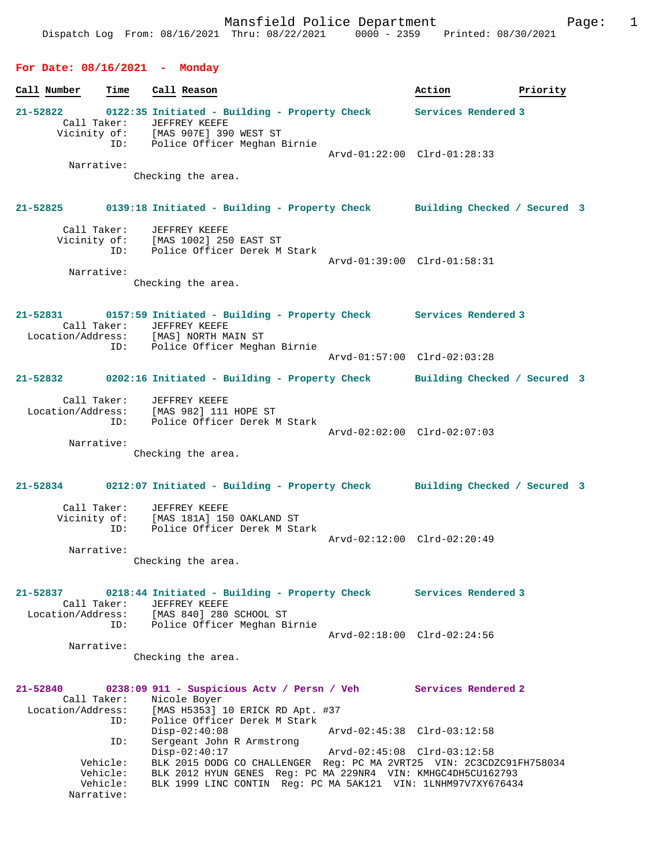# **For Date: 08/16/2021 - Monday**

| Call Number                                  | Time                                           | Call Reason                                                                                                                                                                                                              | Action                       | Priority |
|----------------------------------------------|------------------------------------------------|--------------------------------------------------------------------------------------------------------------------------------------------------------------------------------------------------------------------------|------------------------------|----------|
| $21 - 52822$                                 | Call Taker:                                    | 0122:35 Initiated - Building - Property Check Services Rendered 3<br>JEFFREY KEEFE<br>Vicinity of: [MAS 907E] 390 WEST ST<br>ID: Police Officer Meghan 1<br>Police Officer Meghan Birnie                                 |                              |          |
|                                              | Narrative:                                     | Checking the area.                                                                                                                                                                                                       | Arvd-01:22:00 Clrd-01:28:33  |          |
|                                              |                                                | 21-52825 0139:18 Initiated - Building - Property Check Building Checked / Secured 3                                                                                                                                      |                              |          |
|                                              | Call Taker:                                    | JEFFREY KEEFE<br>Vicinity of: [MAS 1002] 250 EAST ST<br>ID: Police Officer Derek M Stark                                                                                                                                 | Arvd-01:39:00 Clrd-01:58:31  |          |
|                                              | Narrative:                                     | Checking the area.                                                                                                                                                                                                       |                              |          |
| 21-52831                                     |                                                | 0157:59 Initiated - Building - Property Check Services Rendered 3<br>Call Taker: JEFFREY KEEFE<br>Location/Address: [MAS] NORTH MAIN ST                                                                                  |                              |          |
|                                              | ID:                                            | Police Officer Meghan Birnie                                                                                                                                                                                             | Arvd-01:57:00 Clrd-02:03:28  |          |
|                                              |                                                | 21-52832 0202:16 Initiated - Building - Property Check                                                                                                                                                                   | Building Checked / Secured 3 |          |
|                                              | Call Taker:                                    | JEFFREY KEEFE<br>Location/Address: [MAS 982] 111 HOPE ST<br>ID: Police Officer Derek M Stark                                                                                                                             |                              |          |
|                                              | Narrative:                                     |                                                                                                                                                                                                                          | Arvd-02:02:00 Clrd-02:07:03  |          |
|                                              |                                                | Checking the area.                                                                                                                                                                                                       |                              |          |
|                                              |                                                | 21-52834 0212:07 Initiated - Building - Property Check Building Checked / Secured 3                                                                                                                                      |                              |          |
|                                              | Call Taker:<br>ID:                             | JEFFREY KEEFE<br>Vicinity of: [MAS 181A] 150 OAKLAND ST<br>Police Officer Derek M Stark                                                                                                                                  | Arvd-02:12:00 Clrd-02:20:49  |          |
|                                              | Narrative:                                     | Checking the area.                                                                                                                                                                                                       |                              |          |
|                                              | Call Taker:                                    | 21-52837 0218:44 Initiated - Building - Property Check Services Rendered 3<br>JEFFREY KEEFE<br>Location/Address: [MAS 840] 280 SCHOOL ST                                                                                 |                              |          |
|                                              |                                                | ID: Police Officer Meghan Birnie                                                                                                                                                                                         | Arvd-02:18:00 Clrd-02:24:56  |          |
|                                              | Narrative:                                     | Checking the area.                                                                                                                                                                                                       |                              |          |
| 21-52840<br>Call Taker:<br>Location/Address: | ID:                                            | 0238:09 911 - Suspicious Actv / Persn / Veh Services Rendered 2<br>Nicole Boyer<br>[MAS H5353] 10 ERICK RD Apt. #37<br>Police Officer Derek M Stark                                                                      |                              |          |
|                                              | ID:                                            | $Disp-02:40:08$<br>Sergeant John R Armstrong                                                                                                                                                                             | Arvd-02:45:38 Clrd-03:12:58  |          |
|                                              | Vehicle:<br>Vehicle:<br>Vehicle:<br>Narrative: | $Disp-02:40:17$<br>BLK 2015 DODG CO CHALLENGER Req: PC MA 2VRT25 VIN: 2C3CDZC91FH758034<br>BLK 2012 HYUN GENES Req: PC MA 229NR4 VIN: KMHGC4DH5CU162793<br>BLK 1999 LINC CONTIN Req: PC MA 5AK121 VIN: 1LNHM97V7XY676434 |                              |          |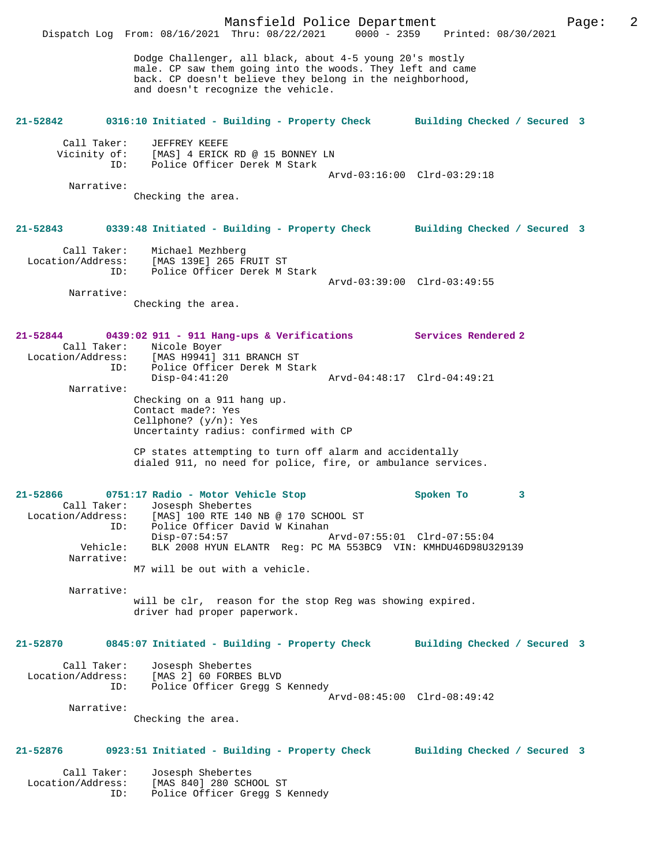Mansfield Police Department Page: 2 Dispatch Log From: 08/16/2021 Thru: 08/22/2021 Dodge Challenger, all black, about 4-5 young 20's mostly male. CP saw them going into the woods. They left and came back. CP doesn't believe they belong in the neighborhood, and doesn't recognize the vehicle. **21-52842 0316:10 Initiated - Building - Property Check Building Checked / Secured 3** Call Taker: JEFFREY KEEFE<br>Vicinity of: [MAS] 4 ERICK [MAS] 4 ERICK RD @ 15 BONNEY LN ID: Police Officer Derek M Stark Arvd-03:16:00 Clrd-03:29:18 Narrative: Checking the area. **21-52843 0339:48 Initiated - Building - Property Check Building Checked / Secured 3** Call Taker: Michael Mezhberg Location/Address: [MAS 139E] 265 FRUIT ST ID: Police Officer Derek M Stark Arvd-03:39:00 Clrd-03:49:55 Narrative: Checking the area. **21-52844 0439:02 911 - 911 Hang-ups & Verifications Services Rendered 2**  Call Taker: Nicole Boyer Location/Address: [MAS H9941] 311 BRANCH ST ID: Police Officer Derek M Stark Disp-04:41:20 Arvd-04:48:17 Clrd-04:49:21 Narrative: Checking on a 911 hang up. Contact made?: Yes Cellphone? (y/n): Yes Uncertainty radius: confirmed with CP CP states attempting to turn off alarm and accidentally dialed 911, no need for police, fire, or ambulance services. **21-52866 0751:17 Radio - Motor Vehicle Stop Spoken To 3**  Call Taker: Josesph Shebertes<br>Location/Address: [MAS] 100 RTE 140 ess: [MAS] 100 RTE 140 NB @ 170 SCHOOL ST<br>TD: Police Officer David W Kinaban Police Officer David W Kinahan<br>Disp-07:54:57 Disp-07:54:57 Arvd-07:55:01 Clrd-07:55:04<br>Vehicle: BLK 2008 HYUN ELANTR Req: PC MA 553BC9 VIN: KMHDU46D98U3 BLK 2008 HYUN ELANTR Reg: PC MA 553BC9 VIN: KMHDU46D98U329139 Narrative: M7 will be out with a vehicle. Narrative: will be clr, reason for the stop Reg was showing expired. driver had proper paperwork. **21-52870 0845:07 Initiated - Building - Property Check Building Checked / Secured 3** Call Taker: Josesph Shebertes Location/Address: [MAS 2] 60 FORBES BLVD<br>ID: Police Officer Grega Police Officer Gregg S Kennedy Arvd-08:45:00 Clrd-08:49:42 Narrative: Checking the area. **21-52876 0923:51 Initiated - Building - Property Check Building Checked / Secured 3** Call Taker: Josesph Shebertes Location/Address: [MAS 840] 280 SCHOOL ST ID: Police Officer Gregg S Kennedy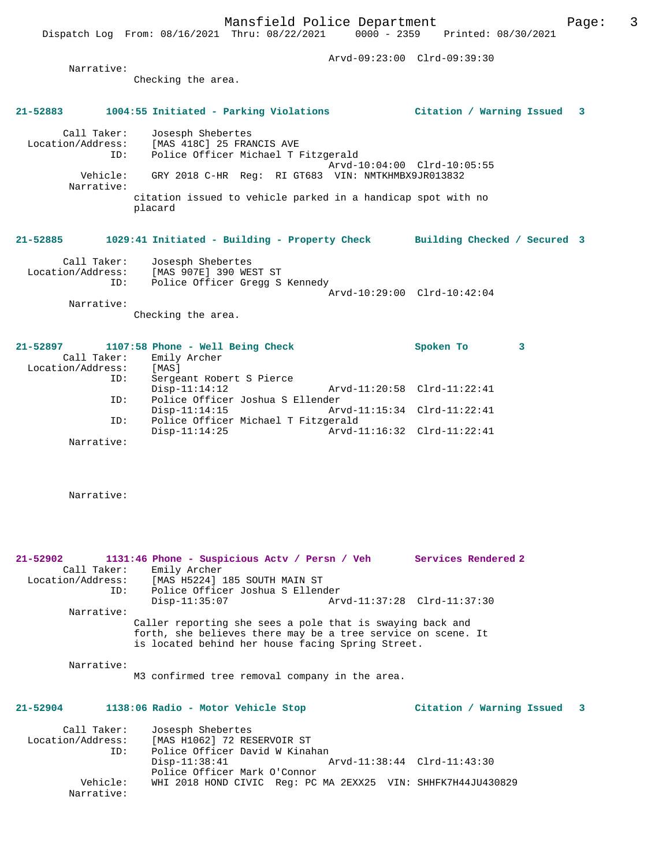Arvd-09:23:00 Clrd-09:39:30

 Narrative: Checking the area. **21-52883 1004:55 Initiated - Parking Violations Citation / Warning Issued 3** Call Taker: Josesph Shebertes Location/Address: [MAS 418C] 25 FRANCIS AVE ID: Police Officer Michael T Fitzgerald Arvd-10:04:00 Clrd-10:05:55

 Vehicle: GRY 2018 C-HR Reg: RI GT683 VIN: NMTKHMBX9JR013832 Narrative: citation issued to vehicle parked in a handicap spot with no placard

## **21-52885 1029:41 Initiated - Building - Property Check Building Checked / Secured 3**

| Call Taker:       | Josesph Shebertes              |  |
|-------------------|--------------------------------|--|
| Location/Address: | [MAS 907E] 390 WEST ST         |  |
| ID:               | Police Officer Gregg S Kennedy |  |
|                   | Arvd-10:29:00 Clrd-10:42:04    |  |
| Narrative:        |                                |  |

Checking the area.

| 21-52897          | 1107:58 Phone - Well Being Check |                          |                                     |                             | Spoken To |  |
|-------------------|----------------------------------|--------------------------|-------------------------------------|-----------------------------|-----------|--|
| Call Taker:       | Emily Archer                     |                          |                                     |                             |           |  |
| Location/Address: | [MAS]                            |                          |                                     |                             |           |  |
| ID:               |                                  | Sergeant Robert S Pierce |                                     |                             |           |  |
|                   |                                  | $Disp-11:14:12$          |                                     | Arvd-11:20:58 Clrd-11:22:41 |           |  |
| ID:               |                                  |                          | Police Officer Joshua S Ellender    |                             |           |  |
|                   |                                  | $Disp-11:14:15$          |                                     | Arvd-11:15:34 Clrd-11:22:41 |           |  |
| ID:               |                                  |                          | Police Officer Michael T Fitzgerald |                             |           |  |
|                   |                                  | $Disp-11:14:25$          |                                     | Arvd-11:16:32 Clrd-11:22:41 |           |  |
| Narrative:        |                                  |                          |                                     |                             |           |  |

Narrative:

**21-52902 1131:46 Phone - Suspicious Actv / Persn / Veh Services Rendered 2**  Call Taker: Emily Archer<br>Location/Address: [MAS H5224] [MAS H5224] 185 SOUTH MAIN ST ID: Police Officer Joshua S Ellender Disp-11:35:07 Arvd-11:37:28 Clrd-11:37:30 Narrative: Caller reporting she sees a pole that is swaying back and forth, she believes there may be a tree service on scene. It is located behind her house facing Spring Street. Narrative: M3 confirmed tree removal company in the area. **21-52904 1138:06 Radio - Motor Vehicle Stop Citation / Warning Issued 3** Call Taker: Josesph Shebertes Location/Address: [MAS H1062] 72 RESERVOIR ST

| TD:        | Police Officer David W Kinahan                               |                             |  |
|------------|--------------------------------------------------------------|-----------------------------|--|
|            | Disp-11:38:41                                                | Arvd-11:38:44 Clrd-11:43:30 |  |
|            | Police Officer Mark O'Connor                                 |                             |  |
| Vehicle:   | WHI 2018 HOND CIVIC Req: PC MA 2EXX25 VIN: SHHFK7H44JU430829 |                             |  |
| Narrative: |                                                              |                             |  |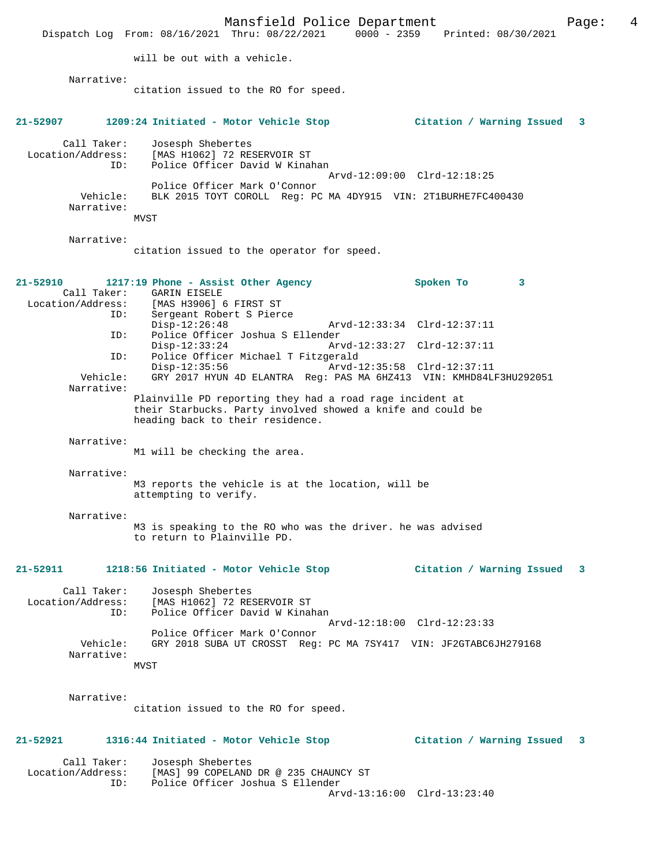Mansfield Police Department Page: 4 Dispatch Log From: 08/16/2021 Thru: 08/22/2021 0000 - 2359 will be out with a vehicle. Narrative: citation issued to the RO for speed. **21-52907 1209:24 Initiated - Motor Vehicle Stop Citation / Warning Issued 3** Call Taker: Josesph Shebertes Location/Address: [MAS H1062] 72 RESERVOIR ST ID: Police Officer David W Kinahan Arvd-12:09:00 Clrd-12:18:25 Police Officer Mark O'Connor Vehicle: BLK 2015 TOYT COROLL Reg: PC MA 4DY915 VIN: 2T1BURHE7FC400430 Narrative: MVST Narrative: citation issued to the operator for speed. **21-52910 1217:19 Phone - Assist Other Agency Spoken To 3**  Call Taker: GARIN EISELE<br>Location/Address: [MAS H3906] ess: [MAS H3906] 6 FIRST ST<br>ID: Sergeant Robert S Piero Sergeant Robert S Pierce Disp-12:26:48 Arvd-12:33:34 Clrd-12:37:11<br>ID: Police Officer Joshua S Ellender Police Officer Joshua S Ellender Disp-12:33:24 Arvd-12:33:27 Clrd-12:37:11<br>ID: Police Officer Michael T Fitzgerald Police Officer Michael T Fitzgerald<br>Disp-12:35:56 Arvd-1 Disp-12:35:56 Arvd-12:35:58 Clrd-12:37:11 Vehicle: GRY 2017 HYUN 4D ELANTRA Reg: PAS MA 6HZ413 VIN: KMHD84LF3HU292051 Narrative: Plainville PD reporting they had a road rage incident at their Starbucks. Party involved showed a knife and could be heading back to their residence. Narrative: M1 will be checking the area. Narrative: M3 reports the vehicle is at the location, will be attempting to verify. Narrative: M3 is speaking to the RO who was the driver. he was advised to return to Plainville PD. **21-52911 1218:56 Initiated - Motor Vehicle Stop Citation / Warning Issued 3** Call Taker: Josesph Shebertes<br>Location/Address: [MAS H1062] 72 RES ess: [MAS H1062] 72 RESERVOIR ST<br>ID: Police Officer David W Kinal Police Officer David W Kinahan Arvd-12:18:00 Clrd-12:23:33 Police Officer Mark O'Connor<br>Vehicle: GRY 2018 SUBA UT CROSST Reg: GRY 2018 SUBA UT CROSST Reg: PC MA 7SY417 VIN: JF2GTABC6JH279168 Narrative: MVST Narrative: citation issued to the RO for speed. **21-52921 1316:44 Initiated - Motor Vehicle Stop Citation / Warning Issued 3** Call Taker: Josesph Shebertes Location/Address: [MAS] 99 COPELAND DR @ 235 CHAUNCY ST<br>TD: Police Officer Joshua S Ellender Police Officer Joshua S Ellender Arvd-13:16:00 Clrd-13:23:40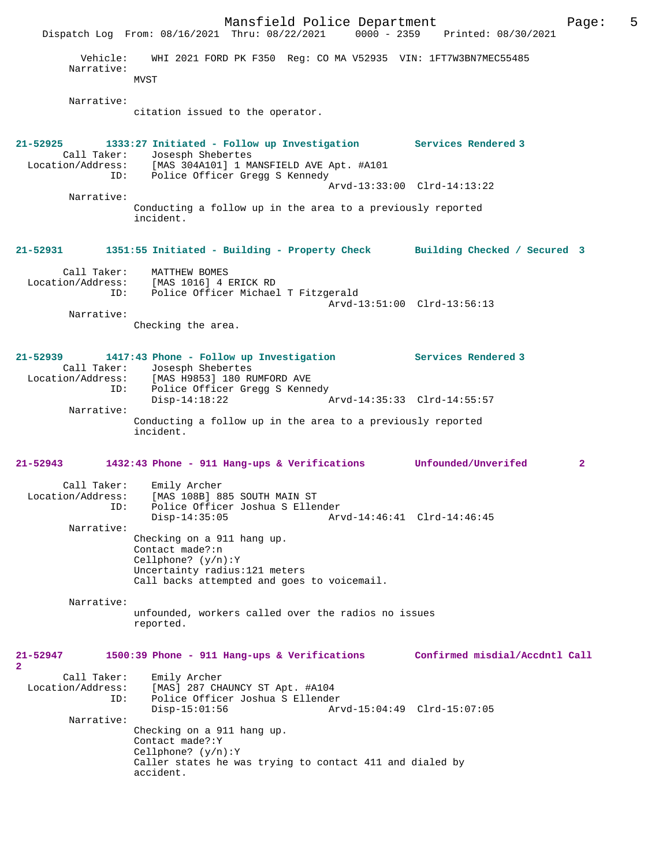Mansfield Police Department Page: 5 Dispatch Log From: 08/16/2021 Thru: 08/22/2021 Vehicle: WHI 2021 FORD PK F350 Reg: CO MA V52935 VIN: 1FT7W3BN7MEC55485 Narrative: MVST Narrative: citation issued to the operator. **21-52925 1333:27 Initiated - Follow up Investigation Services Rendered 3**  Call Taker: Josesph Shebertes Location/Address: [MAS 304A101] 1 MANSFIELD AVE Apt. #A101 ID: Police Officer Gregg S Kennedy Arvd-13:33:00 Clrd-14:13:22 Narrative: Conducting a follow up in the area to a previously reported incident. **21-52931 1351:55 Initiated - Building - Property Check Building Checked / Secured 3** Call Taker: MATTHEW BOMES<br>Location/Address: [MAS 1016] 4 ERICK RD Location/Address: [MAS 1016] 4 ERICK RD ID: Police Officer Michael T Fitzgerald Arvd-13:51:00 Clrd-13:56:13 Narrative: Checking the area. **21-52939 1417:43 Phone - Follow up Investigation Services Rendered 3**  Call Taker: Josesph Shebertes<br>Location/Address: [MAS H9853] 180 RI [MAS H9853] 180 RUMFORD AVE ID: Police Officer Gregg S Kennedy<br>Disp-14:18:22 Disp-14:18:22 Arvd-14:35:33 Clrd-14:55:57 Narrative: Conducting a follow up in the area to a previously reported incident. **21-52943 1432:43 Phone - 911 Hang-ups & Verifications Unfounded/Unverifed 2** Call Taker: Emily Archer Location/Address: [MAS 108B] 885 SOUTH MAIN ST ID: Police Officer Joshua S Ellender Disp-14:35:05 Arvd-14:46:41 Clrd-14:46:45 Narrative: Checking on a 911 hang up. Contact made?:n Cellphone? (y/n):Y Uncertainty radius:121 meters Call backs attempted and goes to voicemail. Narrative: unfounded, workers called over the radios no issues reported. **21-52947 1500:39 Phone - 911 Hang-ups & Verifications Confirmed misdial/Accdntl Call 2**  Call Taker: Emily Archer<br>Location/Address: [MAS] 287 CH ess: [MAS] 287 CHAUNCY ST Apt. #A104<br>ID: Police Officer Joshua S Ellender Police Officer Joshua S Ellender Disp-15:01:56 Arvd-15:04:49 Clrd-15:07:05 Narrative: Checking on a 911 hang up. Contact made?:Y Cellphone? (y/n):Y Caller states he was trying to contact 411 and dialed by accident.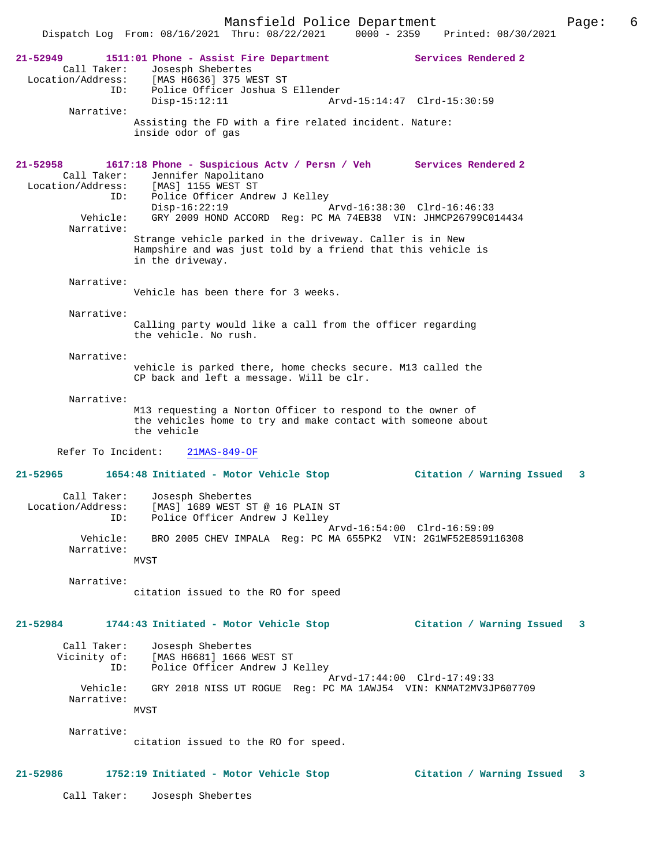Dispatch Log From: 08/16/2021 Thru: 08/22/2021 0000 - 2359 Printed: 08/30/2021

| 21-52949<br>Call Taker: | Services Rendered 2<br>1511:01 Phone - Assist Fire Department<br>Josesph Shebertes           |    |
|-------------------------|----------------------------------------------------------------------------------------------|----|
| Location/Address:       | [MAS H6636] 375 WEST ST                                                                      |    |
|                         | Police Officer Joshua S Ellender<br>ID:                                                      |    |
| Narrative:              | $Disp-15:12:11$<br>Arvd-15:14:47 Clrd-15:30:59                                               |    |
|                         | Assisting the FD with a fire related incident. Nature:                                       |    |
|                         | inside odor of gas                                                                           |    |
|                         |                                                                                              |    |
| 21-52958                | 1617:18 Phone - Suspicious Actv / Persn / Veh Services Rendered 2                            |    |
| Call Taker:             | Jennifer Napolitano                                                                          |    |
|                         | Location/Address: [MAS] 1155 WEST ST<br>ID: Police Officer And                               |    |
|                         | Police Officer Andrew J Kelley<br>ID:<br>$Disp-16:22:19$<br>Arvd-16:38:30 Clrd-16:46:33      |    |
| Vehicle:                | GRY 2009 HOND ACCORD Reg: PC MA 74EB38 VIN: JHMCP26799C014434                                |    |
| Narrative:              |                                                                                              |    |
|                         | Strange vehicle parked in the driveway. Caller is in New                                     |    |
|                         | Hampshire and was just told by a friend that this vehicle is<br>in the driveway.             |    |
|                         |                                                                                              |    |
| Narrative:              |                                                                                              |    |
|                         | Vehicle has been there for 3 weeks.                                                          |    |
| Narrative:              |                                                                                              |    |
|                         | Calling party would like a call from the officer regarding                                   |    |
|                         | the vehicle. No rush.                                                                        |    |
| Narrative:              |                                                                                              |    |
|                         | vehicle is parked there, home checks secure. M13 called the                                  |    |
|                         | CP back and left a message. Will be clr.                                                     |    |
| Narrative:              |                                                                                              |    |
|                         | M13 requesting a Norton Officer to respond to the owner of                                   |    |
|                         | the vehicles home to try and make contact with someone about                                 |    |
|                         | the vehicle                                                                                  |    |
|                         |                                                                                              |    |
|                         | Refer To Incident:<br>$21MAS-849-OF$                                                         |    |
|                         |                                                                                              |    |
| 21-52965                | 1654:48 Initiated - Motor Vehicle Stop<br>Citation / Warning Issued 3                        |    |
| Call Taker:             | Josesph Shebertes                                                                            |    |
| Location/Address:       | [MAS] 1689 WEST ST @ 16 PLAIN ST                                                             |    |
|                         | Police Officer Andrew J Kelley<br>ID:                                                        |    |
| Vehicle:                | Arvd-16:54:00 Clrd-16:59:09<br>BRO 2005 CHEV IMPALA Req: PC MA 655PK2 VIN: 2G1WF52E859116308 |    |
| Narrative:              |                                                                                              |    |
|                         | <b>MVST</b>                                                                                  |    |
|                         |                                                                                              |    |
| Narrative:              | citation issued to the RO for speed                                                          |    |
|                         |                                                                                              |    |
|                         |                                                                                              |    |
| 21-52984                | Citation / Warning Issued<br>1744:43 Initiated - Motor Vehicle Stop                          | 3  |
| Call Taker:             | Josesph Shebertes                                                                            |    |
| Vicinity of:            | [MAS H6681] 1666 WEST ST                                                                     |    |
|                         | Police Officer Andrew J Kelley<br>ID:<br>Arvd-17:44:00 Clrd-17:49:33                         |    |
| Vehicle:                | GRY 2018 NISS UT ROGUE Reg: PC MA 1AWJ54 VIN: KNMAT2MV3JP607709                              |    |
| Narrative:              |                                                                                              |    |
|                         | <b>MVST</b>                                                                                  |    |
| Narrative:              |                                                                                              |    |
|                         | citation issued to the RO for speed.                                                         |    |
|                         |                                                                                              |    |
| 21-52986                | 1752:19 Initiated - Motor Vehicle Stop<br>Citation / Warning Issued                          | 3. |
| Call Taker:             | Josesph Shebertes                                                                            |    |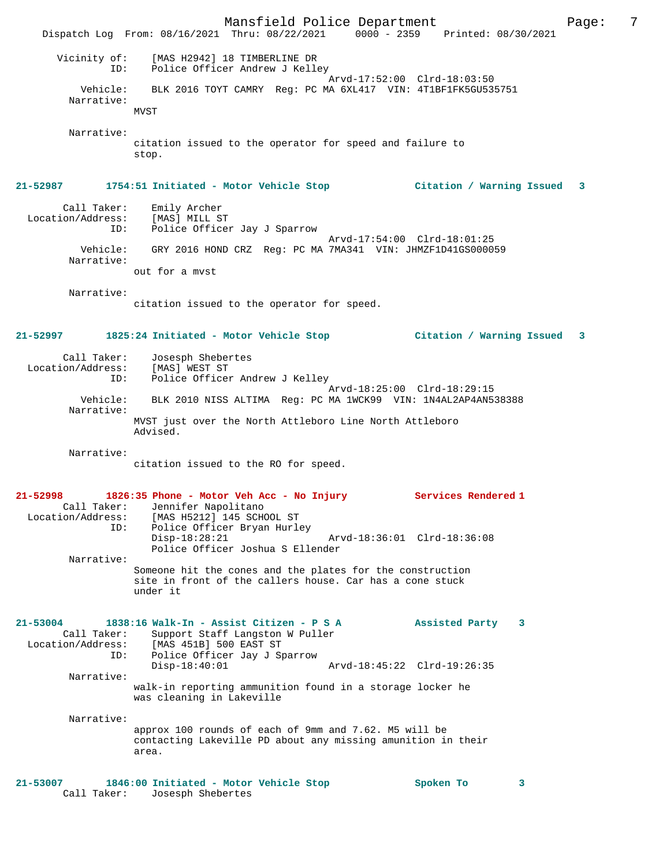Mansfield Police Department Form Page: 7 Dispatch Log From: 08/16/2021 Thru: 08/22/2021 0000 - 2359 Printed: 08/30/2021 Vicinity of: [MAS H2942] 18 TIMBERLINE DR ID: Police Officer Andrew J Kelley Arvd-17:52:00 Clrd-18:03:50 Vehicle: BLK 2016 TOYT CAMRY Reg: PC MA 6XL417 VIN: 4T1BF1FK5GU535751 Narrative: MVST Narrative: citation issued to the operator for speed and failure to stop. **21-52987 1754:51 Initiated - Motor Vehicle Stop Citation / Warning Issued 3** Call Taker: Emily Archer Location/Address: [MAS] MILL ST ID: Police Officer Jay J Sparrow Arvd-17:54:00 Clrd-18:01:25 Vehicle: GRY 2016 HOND CRZ Reg: PC MA 7MA341 VIN: JHMZF1D41GS000059 Narrative: out for a mvst Narrative: citation issued to the operator for speed. **21-52997 1825:24 Initiated - Motor Vehicle Stop Citation / Warning Issued 3** Call Taker: Josesph Shebertes Location/Address: [MAS] WEST ST ID: Police Officer Andrew J Kelley Arvd-18:25:00 Clrd-18:29:15 Vehicle: BLK 2010 NISS ALTIMA Reg: PC MA 1WCK99 VIN: 1N4AL2AP4AN538388 Narrative: MVST just over the North Attleboro Line North Attleboro Advised. Narrative: citation issued to the RO for speed. **21-52998 1826:35 Phone - Motor Veh Acc - No Injury Services Rendered 1**  Call Taker: Jennifer Napolitano<br>Location/Address: [MAS H5212] 145 SCHO [MAS H5212] 145 SCHOOL ST ID: Police Officer Bryan Hurley Disp-18:28:21 Arvd-18:36:01 Clrd-18:36:08 Police Officer Joshua S Ellender Narrative: Someone hit the cones and the plates for the construction site in front of the callers house. Car has a cone stuck under it **21-53004 1838:16 Walk-In - Assist Citizen - P S A Assisted Party 3**  Call Taker: Support Staff Langston W Puller Location/Address: [MAS 451B] 500 EAST ST ID: Police Officer Jay J Sparrow Arvd-18:45:22 Clrd-19:26:35 Narrative: walk-in reporting ammunition found in a storage locker he was cleaning in Lakeville Narrative: approx 100 rounds of each of 9mm and 7.62. M5 will be contacting Lakeville PD about any missing amunition in their area. **21-53007 1846:00 Initiated - Motor Vehicle Stop Spoken To 3**  Call Taker: Josesph Shebertes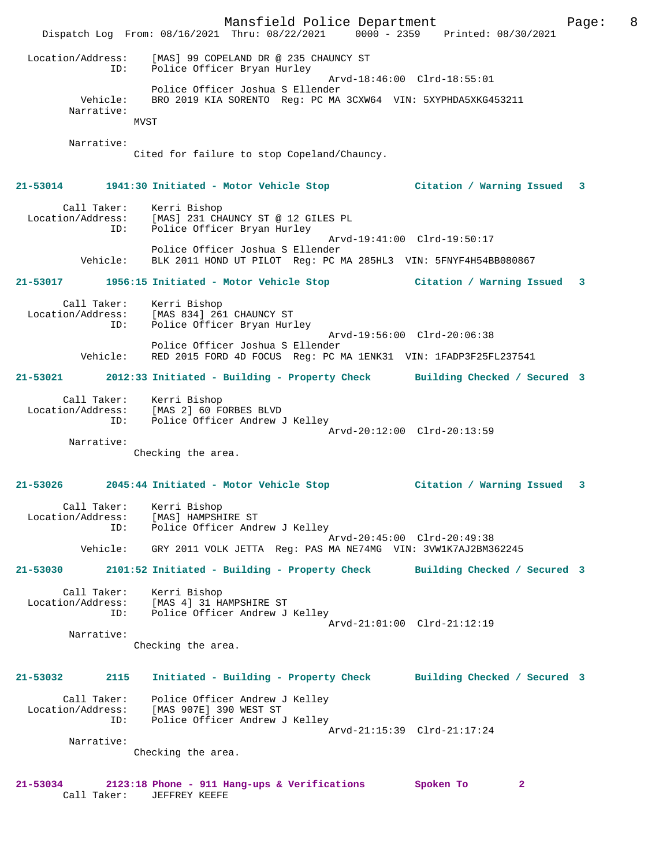Mansfield Police Department The Page: 8 Dispatch Log From: 08/16/2021 Thru: 08/22/2021 0000 - 2359 Printed: 08/30/2021 Location/Address: [MAS] 99 COPELAND DR @ 235 CHAUNCY ST ID: Police Officer Bryan Hurley Arvd-18:46:00 Clrd-18:55:01 Police Officer Joshua S Ellender Vehicle: BRO 2019 KIA SORENTO Reg: PC MA 3CXW64 VIN: 5XYPHDA5XKG453211 Narrative: **MVST**  Narrative: Cited for failure to stop Copeland/Chauncy. **21-53014 1941:30 Initiated - Motor Vehicle Stop Citation / Warning Issued 3** Call Taker: Kerri Bishop Location/Address: [MAS] 231 CHAUNCY ST @ 12 GILES PL ID: Police Officer Bryan Hurley Arvd-19:41:00 Clrd-19:50:17 Police Officer Joshua S Ellender Vehicle: BLK 2011 HOND UT PILOT Reg: PC MA 285HL3 VIN: 5FNYF4H54BB080867 **21-53017 1956:15 Initiated - Motor Vehicle Stop Citation / Warning Issued 3** Call Taker: Kerri Bishop Location/Address: [MAS 834] 261 CHAUNCY ST ID: Police Officer Bryan Hurley Arvd-19:56:00 Clrd-20:06:38 Police Officer Joshua S Ellender Vehicle: RED 2015 FORD 4D FOCUS Reg: PC MA 1ENK31 VIN: 1FADP3F25FL237541 **21-53021 2012:33 Initiated - Building - Property Check Building Checked / Secured 3** Call Taker: Kerri Bishop Location/Address: [MAS 2] 60 FORBES BLVD ID: Police Officer Andrew J Kelley Arvd-20:12:00 Clrd-20:13:59 Narrative: Checking the area. **21-53026 2045:44 Initiated - Motor Vehicle Stop Citation / Warning Issued 3** Call Taker: Kerri Bishop Location/Address: [MAS] HAMPSHIRE ST ID: Police Officer Andrew J Kelley Arvd-20:45:00 Clrd-20:49:38 Vehicle: GRY 2011 VOLK JETTA Reg: PAS MA NE74MG VIN: 3VW1K7AJ2BM362245 **21-53030 2101:52 Initiated - Building - Property Check Building Checked / Secured 3** Call Taker: Kerri Bishop Location/Address: [MAS 4] 31 HAMPSHIRE ST Police Officer Andrew J Kelley Arvd-21:01:00 Clrd-21:12:19 Narrative: Checking the area. **21-53032 2115 Initiated - Building - Property Check Building Checked / Secured 3** Call Taker: Police Officer Andrew J Kelley Location/Address: [MAS 907E] 390 WEST ST ID: Police Officer Andrew J Kelley Arvd-21:15:39 Clrd-21:17:24 Narrative: Checking the area. **21-53034 2123:18 Phone - 911 Hang-ups & Verifications Spoken To 2** 

Call Taker: JEFFREY KEEFE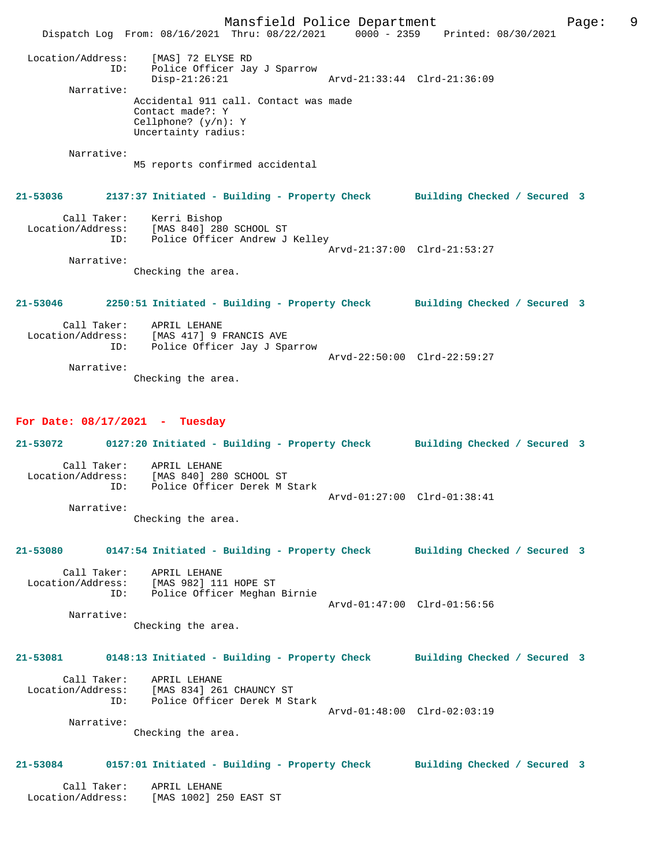Mansfield Police Department Page: 9 Dispatch Log From: 08/16/2021 Thru: 08/22/2021 0000 - 2359 Printed: 08/30/2021 Location/Address: [MAS] 72 ELYSE RD ID: Police Officer Jay J Sparrow Disp-21:26:21 Arvd-21:33:44 Clrd-21:36:09 Narrative: Accidental 911 call. Contact was made Contact made?: Y Cellphone? (y/n): Y Uncertainty radius: Narrative: M5 reports confirmed accidental **21-53036 2137:37 Initiated - Building - Property Check Building Checked / Secured 3** Call Taker: Kerri Bishop Location/Address: [MAS 840] 280 SCHOOL ST ID: Police Officer Andrew J Kelley Arvd-21:37:00 Clrd-21:53:27 Narrative: Checking the area. **21-53046 2250:51 Initiated - Building - Property Check Building Checked / Secured 3** Call Taker: APRIL LEHANE Location/Address: [MAS 417] 9 FRANCIS AVE ID: Police Officer Jay J Sparrow Arvd-22:50:00 Clrd-22:59:27 Narrative: Checking the area.

## **For Date: 08/17/2021 - Tuesday**

**21-53072 0127:20 Initiated - Building - Property Check Building Checked / Secured 3** Call Taker: APRIL LEHANE Location/Address: [MAS 840] 280 SCHOOL ST ID: Police Officer Derek M Stark Arvd-01:27:00 Clrd-01:38:41 Narrative: Checking the area.

### **21-53080 0147:54 Initiated - Building - Property Check Building Checked / Secured 3**

 Call Taker: APRIL LEHANE Location/Address: [MAS 982] 111 HOPE ST ID: Police Officer Meghan Birnie Arvd-01:47:00 Clrd-01:56:56 Narrative:

Checking the area.

## **21-53081 0148:13 Initiated - Building - Property Check Building Checked / Secured 3**

| Call Taker:       | APRIL LEHANE                 |                             |
|-------------------|------------------------------|-----------------------------|
| Location/Address: | [MAS 834] 261 CHAUNCY ST     |                             |
| TD:               | Police Officer Derek M Stark |                             |
|                   |                              | Arvd-01:48:00 Clrd-02:03:19 |

Narrative:

Checking the area.

## **21-53084 0157:01 Initiated - Building - Property Check Building Checked / Secured 3**

 Call Taker: APRIL LEHANE Location/Address: [MAS 1002] 250 EAST ST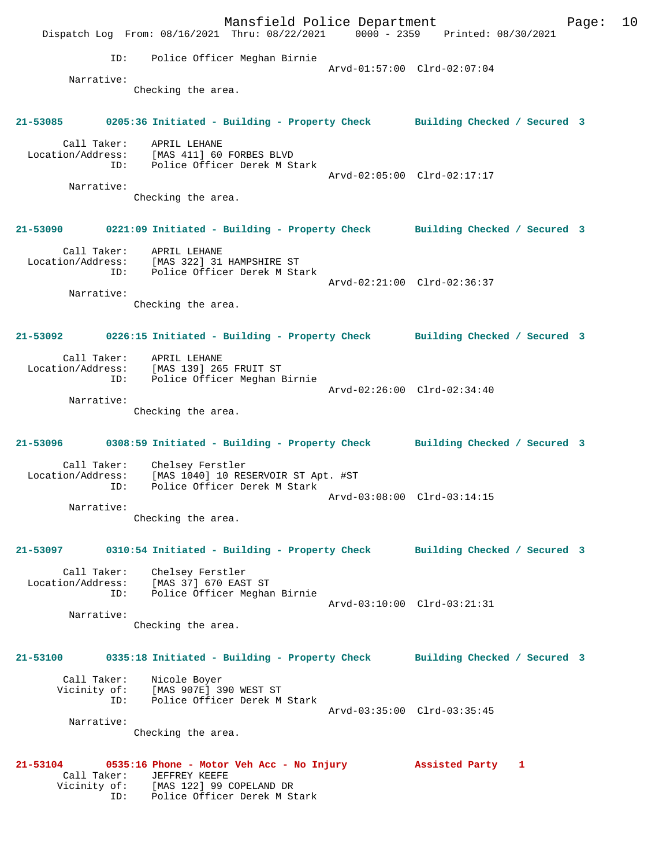Mansfield Police Department Form Page: 10 Dispatch Log From: 08/16/2021 Thru: 08/22/2021 0000 - 2359 Printed: 08/30/2021 ID: Police Officer Meghan Birnie Arvd-01:57:00 Clrd-02:07:04 Narrative: Checking the area. **21-53085 0205:36 Initiated - Building - Property Check Building Checked / Secured 3** Call Taker: APRIL LEHANE Location/Address: [MAS 411] 60 FORBES BLVD ID: Police Officer Derek M Stark Arvd-02:05:00 Clrd-02:17:17 Narrative: Checking the area. **21-53090 0221:09 Initiated - Building - Property Check Building Checked / Secured 3** Call Taker: APRIL LEHANE Location/Address: [MAS 322] 31 HAMPSHIRE ST ID: Police Officer Derek M Stark Arvd-02:21:00 Clrd-02:36:37 Narrative: Checking the area. **21-53092 0226:15 Initiated - Building - Property Check Building Checked / Secured 3** Call Taker: APRIL LEHANE Location/Address: [MAS 139] 265 FRUIT ST ID: Police Officer Meghan Birnie Arvd-02:26:00 Clrd-02:34:40 Narrative: Checking the area. **21-53096 0308:59 Initiated - Building - Property Check Building Checked / Secured 3** Call Taker: Chelsey Ferstler Location/Address: [MAS 1040] 10 RESERVOIR ST Apt. #ST ID: Police Officer Derek M Stark Arvd-03:08:00 Clrd-03:14:15 Narrative: Checking the area. **21-53097 0310:54 Initiated - Building - Property Check Building Checked / Secured 3** Call Taker: Chelsey Ferstler Location/Address: [MAS 37] 670 EAST ST ID: Police Officer Meghan Birnie Arvd-03:10:00 Clrd-03:21:31 Narrative: Checking the area. **21-53100 0335:18 Initiated - Building - Property Check Building Checked / Secured 3** Call Taker: Nicole Boyer Vicinity of: [MAS 907E] 390 WEST ST ID: Police Officer Derek M Stark Arvd-03:35:00 Clrd-03:35:45 Narrative: Checking the area. **21-53104 0535:16 Phone - Motor Veh Acc - No Injury Assisted Party 1**  Call Taker: JEFFREY KEEFE<br>Vicinity of: [MAS 122] 99 ( [MAS 122] 99 COPELAND DR ID: Police Officer Derek M Stark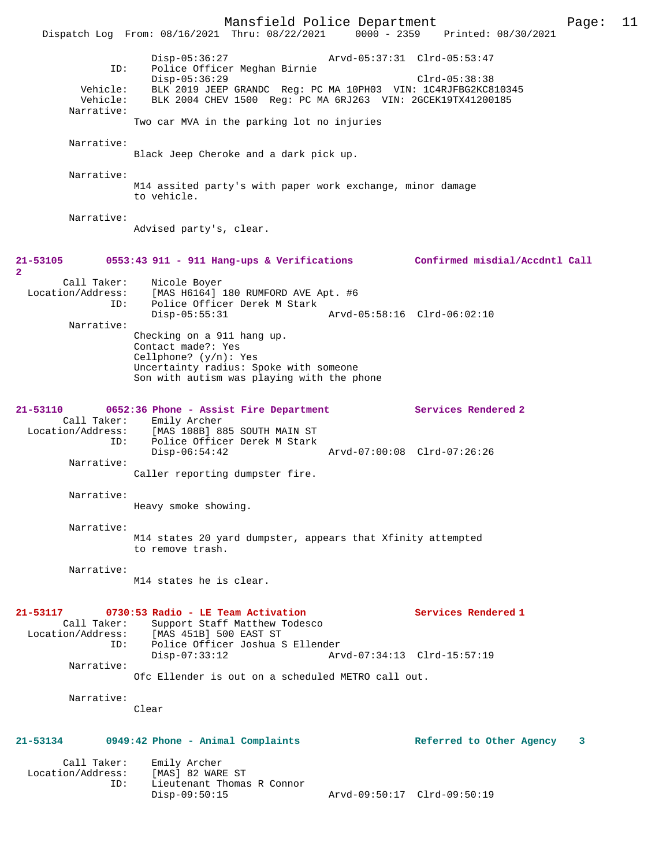Mansfield Police Department Page: 11 Dispatch Log From: 08/16/2021 Thru: 08/22/2021 0000 - 2359 Printed: 08/30/2021 Disp-05:36:27 Arvd-05:37:31 Clrd-05:53:47 ID: Police Officer Meghan Birnie Disp-05:36:29 Clrd-05:38:38 Vehicle: BLK 2019 JEEP GRANDC Reg: PC MA 10PH03 VIN: 1C4RJFBG2KC810345 Vehicle: BLK 2004 CHEV 1500 Reg: PC MA 6RJ263 VIN: 2GCEK19TX41200185 Narrative: Two car MVA in the parking lot no injuries Narrative: Black Jeep Cheroke and a dark pick up. Narrative: M14 assited party's with paper work exchange, minor damage to vehicle. Narrative: Advised party's, clear. **21-53105 0553:43 911 - 911 Hang-ups & Verifications Confirmed misdial/Accdntl Call 2**  Call Taker: Nicole Boyer Location/Address: [MAS H6164] 180 RUMFORD AVE Apt. #6 ID: Police Officer Derek M Stark<br>Disp-05:55:31 Disp-05:55:31 Arvd-05:58:16 Clrd-06:02:10 Narrative: Checking on a 911 hang up. Contact made?: Yes Cellphone? (y/n): Yes Uncertainty radius: Spoke with someone Son with autism was playing with the phone **21-53110 0652:36 Phone - Assist Fire Department Services Rendered 2**  Call Taker: Emily Archer Location/Address: [MAS 108B] 885 SOUTH MAIN ST ID: Police Officer Derek M Stark Disp-06:54:42 Arvd-07:00:08 Clrd-07:26:26 Narrative: Caller reporting dumpster fire. Narrative: Heavy smoke showing. Narrative: M14 states 20 yard dumpster, appears that Xfinity attempted to remove trash. Narrative: M14 states he is clear. **21-53117 0730:53 Radio - LE Team Activation Services Rendered 1**  Call Taker: Support Staff Matthew Todesco Location/Address: [MAS 451B] 500 EAST ST ID: Police Officer Joshua S Ellender Disp-07:33:12 Arvd-07:34:13 Clrd-15:57:19 Narrative: Ofc Ellender is out on a scheduled METRO call out. Narrative: Clear **21-53134 0949:42 Phone - Animal Complaints Referred to Other Agency 3** Call Taker: Emily Archer Location/Address: [MAS] 82 WARE ST ID: Lieutenant Thomas R Connor Disp-09:50:15 Arvd-09:50:17 Clrd-09:50:19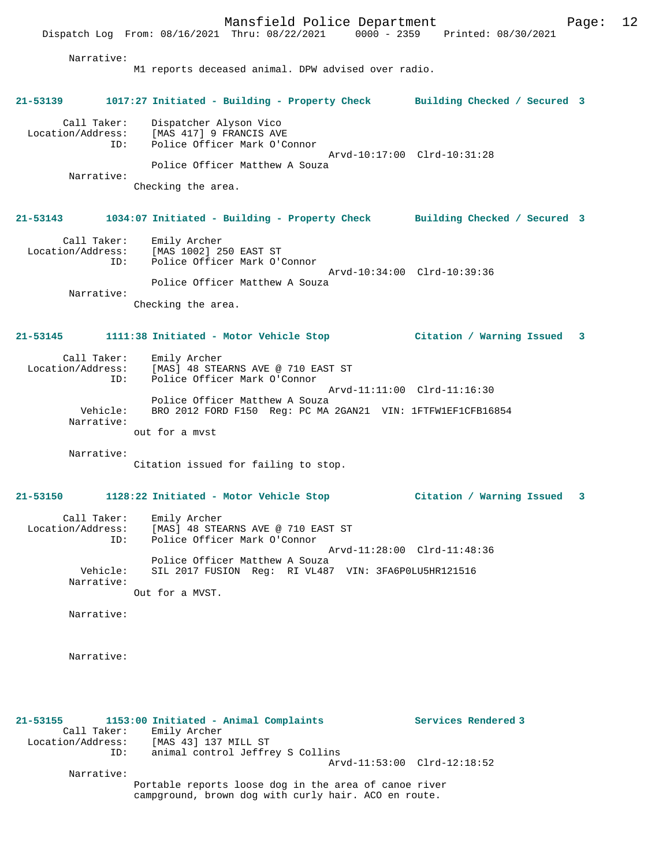Mansfield Police Department Page: 12 Dispatch Log From: 08/16/2021 Thru: 08/22/2021 0000 - 2359 Printed: 08/30/2021 Narrative: M1 reports deceased animal. DPW advised over radio. **21-53139 1017:27 Initiated - Building - Property Check Building Checked / Secured 3** Call Taker: Dispatcher Alyson Vico Location/Address: [MAS 417] 9 FRANCIS AVE ID: Police Officer Mark O'Connor Arvd-10:17:00 Clrd-10:31:28 Police Officer Matthew A Souza Narrative: Checking the area. **21-53143 1034:07 Initiated - Building - Property Check Building Checked / Secured 3** Call Taker: Emily Archer Location/Address: [MAS 1002] 250 EAST ST ID: Police Officer Mark O'Connor Arvd-10:34:00 Clrd-10:39:36 Police Officer Matthew A Souza Narrative: Checking the area. **21-53145 1111:38 Initiated - Motor Vehicle Stop Citation / Warning Issued 3** Call Taker: Emily Archer Location/Address: [MAS] 48 STEARNS AVE @ 710 EAST ST ID: Police Officer Mark O'Connor Arvd-11:11:00 Clrd-11:16:30 Police Officer Matthew A Souza<br>Vehicle: BRO 2012 FORD F150 Reg: PC MA BRO 2012 FORD F150 Reg: PC MA 2GAN21 VIN: 1FTFW1EF1CFB16854 Narrative: out for a mvst Narrative: Citation issued for failing to stop. **21-53150 1128:22 Initiated - Motor Vehicle Stop Citation / Warning Issued 3** Call Taker: Emily Archer Location/Address: [MAS] 48 STEARNS AVE @ 710 EAST ST<br>TD: Police Officer Mark O'Connor Police Officer Mark O'Connor Arvd-11:28:00 Clrd-11:48:36 Police Officer Matthew A Souza<br>Vehicle: SIL 2017 FUSION Reg: RI VL487 SIL 2017 FUSION Reg: RI VL487 VIN: 3FA6P0LU5HR121516 Narrative: Out for a MVST. Narrative: Narrative: **21-53155 1153:00 Initiated - Animal Complaints Services Rendered 3** 

 Call Taker: Emily Archer Location/Address: [MAS 43] 137 MILL ST<br>ID: animal control Jeffre animal control Jeffrey S Collins

Arvd-11:53:00 Clrd-12:18:52

Narrative:

Portable reports loose dog in the area of canoe river campground, brown dog with curly hair. ACO en route.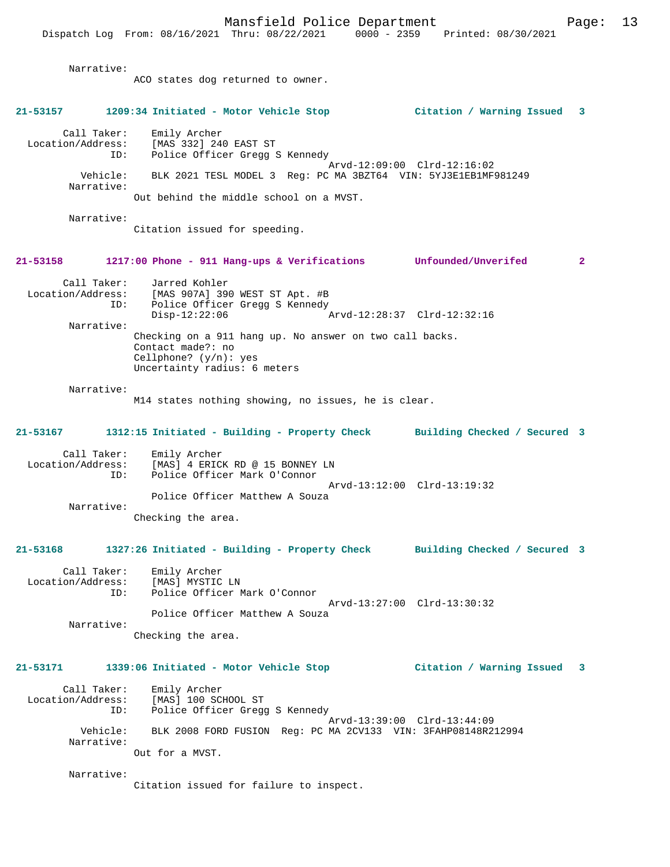Narrative: ACO states dog returned to owner. **21-53157 1209:34 Initiated - Motor Vehicle Stop Citation / Warning Issued 3** Call Taker: Emily Archer Location/Address: [MAS 332] 240 EAST ST Police Officer Gregg S Kennedy Arvd-12:09:00 Clrd-12:16:02 Vehicle: BLK 2021 TESL MODEL 3 Reg: PC MA 3BZT64 VIN: 5YJ3E1EB1MF981249 Narrative: Out behind the middle school on a MVST. Narrative: Citation issued for speeding. **21-53158 1217:00 Phone - 911 Hang-ups & Verifications Unfounded/Unverifed 2** Call Taker: Jarred Kohler<br>Location/Address: [MAS 907A] 39 ess: [MAS 907A] 390 WEST ST Apt. #B<br>ID: Police Officer Greaa S Kennedv Police Officer Gregg S Kennedy Disp-12:22:06 Arvd-12:28:37 Clrd-12:32:16 Narrative: Checking on a 911 hang up. No answer on two call backs. Contact made?: no Cellphone? (y/n): yes Uncertainty radius: 6 meters Narrative: M14 states nothing showing, no issues, he is clear. **21-53167 1312:15 Initiated - Building - Property Check Building Checked / Secured 3** Call Taker: Emily Archer Location/Address: [MAS] 4 ERICK RD @ 15 BONNEY LN<br>ID: Police Officer Mark O'Connor Police Officer Mark O'Connor Arvd-13:12:00 Clrd-13:19:32 Police Officer Matthew A Souza Narrative: Checking the area. **21-53168 1327:26 Initiated - Building - Property Check Building Checked / Secured 3** Call Taker: Emily Archer Location/Address: [MAS] MYSTIC LN ID: Police Officer Mark O'Connor Arvd-13:27:00 Clrd-13:30:32 Police Officer Matthew A Souza Narrative: Checking the area. **21-53171 1339:06 Initiated - Motor Vehicle Stop Citation / Warning Issued 3** Call Taker: Emily Archer Location/Address: [MAS] 100 SCHOOL ST ID: Police Officer Gregg S Kennedy Arvd-13:39:00 Clrd-13:44:09 Vehicle: BLK 2008 FORD FUSION Reg: PC MA 2CV133 VIN: 3FAHP08148R212994 Narrative: Out for a MVST. Narrative:

Citation issued for failure to inspect.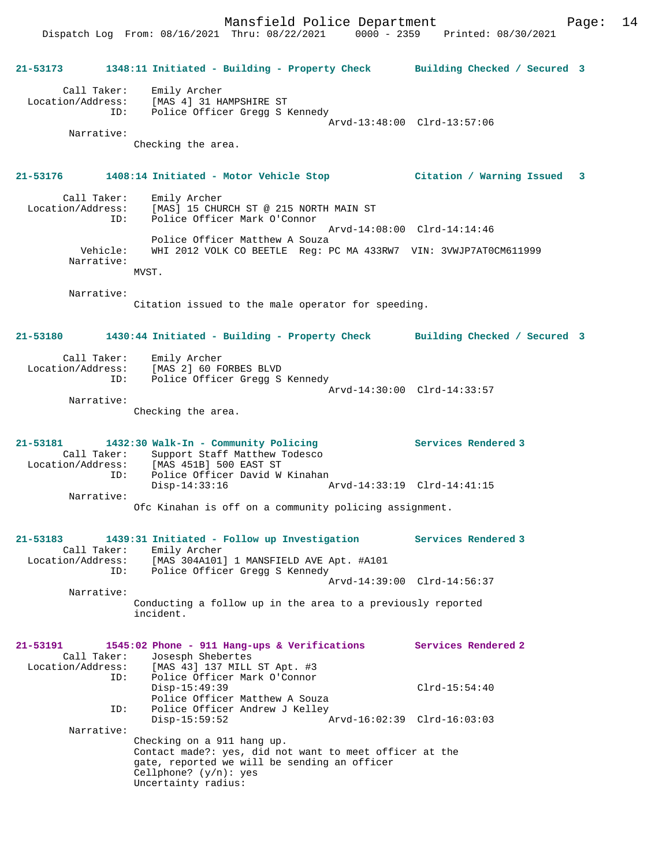| 21-53173                                            | 1348:11 Initiated - Building - Property Check Building Checked / Secured 3                                                                                                               |                              |  |
|-----------------------------------------------------|------------------------------------------------------------------------------------------------------------------------------------------------------------------------------------------|------------------------------|--|
| Call Taker:<br>ID:                                  | Emily Archer<br>Location/Address: [MAS 4] 31 HAMPSHIRE ST<br>Police Officer Gregg S Kennedy                                                                                              |                              |  |
| Narrative:                                          | Checking the area.                                                                                                                                                                       | Arvd-13:48:00 Clrd-13:57:06  |  |
| 21-53176                                            | 1408:14 Initiated - Motor Vehicle Stop                                                                                                                                                   | Citation / Warning Issued 3  |  |
| Call Taker:<br>Location/Address:<br>ID:             | Emily Archer<br>[MAS] 15 CHURCH ST @ 215 NORTH MAIN ST<br>Police Officer Mark O'Connor                                                                                                   |                              |  |
| Vehicle:<br>Narrative:                              | Police Officer Matthew A Souza<br>WHI 2012 VOLK CO BEETLE Req: PC MA 433RW7 VIN: 3VWJP7AT0CM611999<br>MVST.                                                                              | Arvd-14:08:00 Clrd-14:14:46  |  |
| Narrative:                                          | Citation issued to the male operator for speeding.                                                                                                                                       |                              |  |
| 21-53180                                            | 1430:44 Initiated - Building - Property Check                                                                                                                                            | Building Checked / Secured 3 |  |
|                                                     | Call Taker: Emily Archer<br>Location/Address: [MAS 2] 60 FORBES BLVD<br>Police Officer Gregg S Kennedy<br>ID:                                                                            | Arvd-14:30:00 Clrd-14:33:57  |  |
| Narrative:                                          | Checking the area.                                                                                                                                                                       |                              |  |
| 21-53181<br>Call Taker:<br>Location/Address:        | 1432:30 Walk-In - Community Policing<br>Support Staff Matthew Todesco<br>[MAS 451B] 500 EAST ST                                                                                          | Services Rendered 3          |  |
| ID:<br>Narrative:                                   | Police Officer David W Kinahan<br>Disp-14:33:16                                                                                                                                          |                              |  |
|                                                     | Ofc Kinahan is off on a community policing assignment.                                                                                                                                   |                              |  |
| 21-53183<br>Call Taker:<br>Location/Address:<br>ID: | 1439:31 Initiated - Follow up Investigation<br>Emily Archer<br>[MAS 304A101] 1 MANSFIELD AVE Apt. #A101<br>Police Officer Gregg S Kennedy                                                | Services Rendered 3          |  |
| Narrative:                                          |                                                                                                                                                                                          | Arvd-14:39:00 Clrd-14:56:37  |  |
|                                                     | Conducting a follow up in the area to a previously reported<br>incident.                                                                                                                 |                              |  |
| 21-53191<br>Call Taker:<br>Location/Address:        | 1545:02 Phone - 911 Hang-ups & Verifications<br>Josesph Shebertes<br>[MAS 43] 137 MILL ST Apt. #3                                                                                        | Services Rendered 2          |  |
| ID:                                                 | Police Officer Mark O'Connor<br>$Disp-15:49:39$<br>Police Officer Matthew A Souza                                                                                                        | $Clrd-15:54:40$              |  |
| ID:<br>Narrative:                                   | Police Officer Andrew J Kelley<br>$Disp-15:59:52$                                                                                                                                        | Arvd-16:02:39 Clrd-16:03:03  |  |
|                                                     | Checking on a 911 hang up.<br>Contact made?: yes, did not want to meet officer at the<br>gate, reported we will be sending an officer<br>Cellphone? $(y/n)$ : yes<br>Uncertainty radius: |                              |  |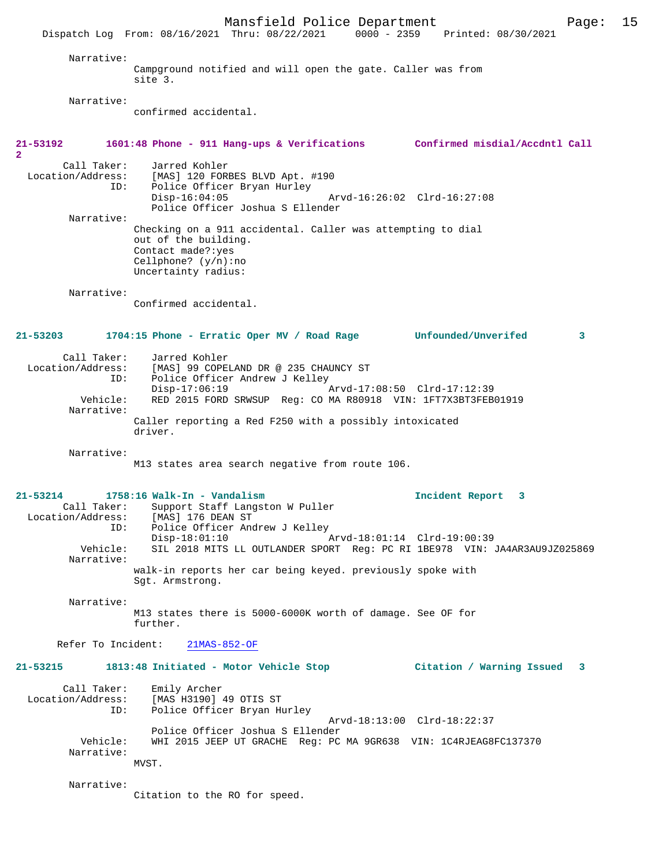Mansfield Police Department Page: 15 Dispatch Log From: 08/16/2021 Thru: 08/22/2021 Narrative: Campground notified and will open the gate. Caller was from site 3. Narrative: confirmed accidental. **21-53192 1601:48 Phone - 911 Hang-ups & Verifications Confirmed misdial/Accdntl Call 2**  Call Taker: Jarred Kohler<br>Location/Address: [MAS] 120 FOR [MAS] 120 FORBES BLVD Apt. #190 ID: Police Officer Bryan Hurley<br>Disp-16:04:05 Disp-16:04:05 Arvd-16:26:02 Clrd-16:27:08 Police Officer Joshua S Ellender Narrative: Checking on a 911 accidental. Caller was attempting to dial out of the building. Contact made?:yes Cellphone? (y/n):no Uncertainty radius: Narrative: Confirmed accidental. **21-53203 1704:15 Phone - Erratic Oper MV / Road Rage Unfounded/Unverifed 3** Call Taker: Jarred Kohler<br>Location/Address: [MAS] 99 COPE ess: [MAS] 99 COPELAND DR @ 235 CHAUNCY ST<br>TD: Police Officer Andrew J Kelley Police Officer Andrew J Kelley<br>Disp-17:06:19 Disp-17:06:19 Arvd-17:08:50 Clrd-17:12:39<br>Vehicle: RED 2015 FORD SRWSUP Reg: CO MA R80918 VIN: 1FT7X3BT3FEB RED 2015 FORD SRWSUP Reg: CO MA R80918 VIN: 1FT7X3BT3FEB01919 Narrative: Caller reporting a Red F250 with a possibly intoxicated driver. Narrative: M13 states area search negative from route 106. **21-53214 1758:16 Walk-In - Vandalism Incident Report 3**  Call Taker: Support Staff Langston W Puller<br>ion/Address: [MAS] 176 DEAN ST Location/Address:<br>ID: ID: Police Officer Andrew J Kelley Disp-18:01:10 Arvd-18:01:14 Clrd-19:00:39<br>Vehicle: SIL 2018 MITS LL OUTLANDER SPORT Req: PC RI 1BE978 VIN: SIL 2018 MITS LL OUTLANDER SPORT Reg: PC RI 1BE978 VIN: JA4AR3AU9JZ025869 Narrative: walk-in reports her car being keyed. previously spoke with Sgt. Armstrong. Narrative: M13 states there is 5000-6000K worth of damage. See OF for further. Refer To Incident: 21MAS-852-OF **21-53215 1813:48 Initiated - Motor Vehicle Stop Citation / Warning Issued 3** Call Taker: Emily Archer<br>Location/Address: [MAS H3190] ess: [MAS H3190] 49 OTIS ST:<br>ID: Police Officer Bryan Hi Police Officer Bryan Hurley Arvd-18:13:00 Clrd-18:22:37 Police Officer Joshua S Ellender Vehicle: WHI 2015 JEEP UT GRACHE Reg: PC MA 9GR638 VIN: 1C4RJEAG8FC137370 Narrative: MVST. Narrative: Citation to the RO for speed.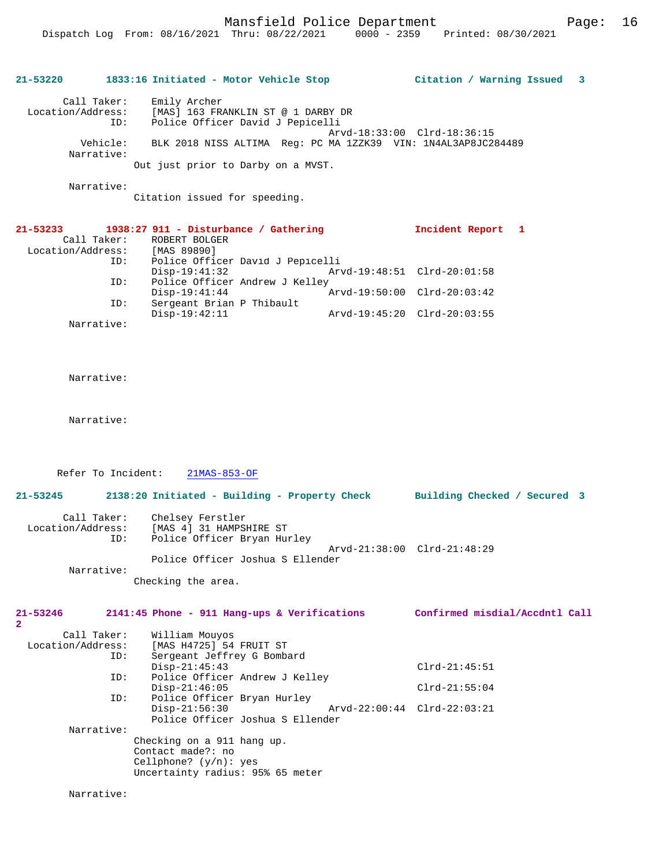| 21-53220          |          | 1833:16 Initiated - Motor Vehicle Stop |                                                               | Citation / Warning Issued 3 |  |
|-------------------|----------|----------------------------------------|---------------------------------------------------------------|-----------------------------|--|
| Call Taker:       |          | Emily Archer                           |                                                               |                             |  |
| Location/Address: |          | [MAS] 163 FRANKLIN ST @ 1 DARBY DR     |                                                               |                             |  |
|                   | ID:      | Police Officer David J Pepicelli       |                                                               |                             |  |
|                   |          |                                        | Arvd-18:33:00 Clrd-18:36:15                                   |                             |  |
|                   | Vehicle: |                                        | BLK 2018 NISS ALTIMA Req: PC MA 1ZZK39 VIN: 1N4AL3AP8JC284489 |                             |  |
| Narrative:        |          |                                        |                                                               |                             |  |
|                   |          | Out just prior to Darby on a MVST.     |                                                               |                             |  |
| Narrative:        |          |                                        |                                                               |                             |  |

Citation issued for speeding.

| $21 - 53233$      | $1938:27$ 911 - Disturbance / Gathering | Incident Report             |  |
|-------------------|-----------------------------------------|-----------------------------|--|
| Call Taker:       | ROBERT BOLGER                           |                             |  |
| Location/Address: | [MAS 89890]                             |                             |  |
| ID:               | Police Officer David J Pepicelli        |                             |  |
|                   | $Disp-19:41:32$                         | Arvd-19:48:51 Clrd-20:01:58 |  |
| ID:               | Police Officer Andrew J Kelley          |                             |  |
|                   | $Disp-19:41:44$                         | Arvd-19:50:00 Clrd-20:03:42 |  |
| ID:               | Sergeant Brian P Thibault               |                             |  |
|                   | $Disp-19:42:11$                         | Arvd-19:45:20 Clrd-20:03:55 |  |
| Narrative:        |                                         |                             |  |

Narrative:

Narrative:

Refer To Incident: 21MAS-853-OF

| $21 - 53245$                     |     | 2138:20 Initiated - Building - Property Check |  |                             | Building Checked / Secured 3 |  |
|----------------------------------|-----|-----------------------------------------------|--|-----------------------------|------------------------------|--|
| Call Taker:<br>Location/Address: |     | Chelsey Ferstler<br>[MAS 4] 31 HAMPSHIRE ST   |  |                             |                              |  |
|                                  | ID: | Police Officer Bryan Hurley                   |  |                             |                              |  |
|                                  |     |                                               |  | Arvd-21:38:00 Clrd-21:48:29 |                              |  |
|                                  |     | Police Officer Joshua S Ellender              |  |                             |                              |  |
| Narrative:                       |     |                                               |  |                             |                              |  |
|                                  |     | Checking the area.                            |  |                             |                              |  |

| 21-53246          |     |                   | 2141:45 Phone - 911 Hang-ups & Verifications |  | Confirmed misdial/Accdntl Call |  |
|-------------------|-----|-------------------|----------------------------------------------|--|--------------------------------|--|
| $\mathbf{2}$      |     |                   |                                              |  |                                |  |
| Call Taker:       |     | William Mouyos    |                                              |  |                                |  |
| Location/Address: |     |                   | [MAS H4725] 54 FRUIT ST                      |  |                                |  |
|                   | ID: |                   | Sergeant Jeffrey G Bombard                   |  |                                |  |
|                   |     | $Disp-21:45:43$   |                                              |  | $Clrd-21:45:51$                |  |
|                   | ID: |                   | Police Officer Andrew J Kelley               |  |                                |  |
|                   |     | $Disp-21:46:05$   |                                              |  | $Clrd-21:55:04$                |  |
|                   | ID: |                   | Police Officer Bryan Hurley                  |  |                                |  |
|                   |     | $Disp-21:56:30$   |                                              |  | Arvd-22:00:44 Clrd-22:03:21    |  |
|                   |     |                   | Police Officer Joshua S Ellender             |  |                                |  |
| Narrative:        |     |                   |                                              |  |                                |  |
|                   |     |                   | Checking on a 911 hang up.                   |  |                                |  |
|                   |     | Contact made?: no |                                              |  |                                |  |
|                   |     |                   | Cellphone? $(y/n)$ : yes                     |  |                                |  |
|                   |     |                   | Uncertainty radius: 95% 65 meter             |  |                                |  |
|                   |     |                   |                                              |  |                                |  |

Narrative: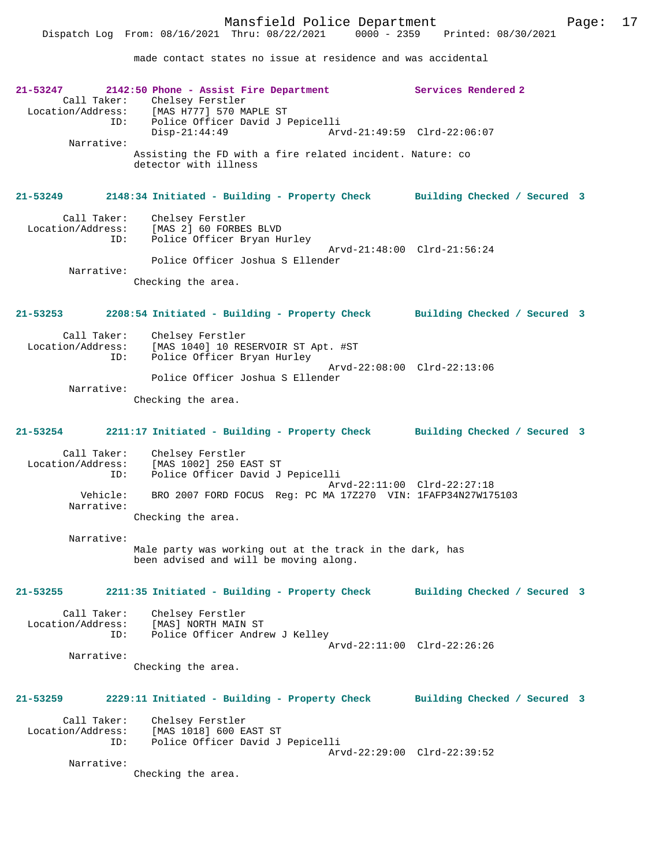made contact states no issue at residence and was accidental

| $21 - 53247$<br>Call Taker:<br>Location/Address:<br>ID: | 2142:50 Phone - Assist Fire Department<br>Chelsey Ferstler<br>[MAS H777] 570 MAPLE ST<br>Police Officer David J Pepicelli | Services Rendered 2          |
|---------------------------------------------------------|---------------------------------------------------------------------------------------------------------------------------|------------------------------|
| Narrative:                                              | $Disp-21:44:49$                                                                                                           | Arvd-21:49:59 Clrd-22:06:07  |
|                                                         | Assisting the FD with a fire related incident. Nature: co<br>detector with illness                                        |                              |
| 21-53249                                                | 2148:34 Initiated - Building - Property Check Building Checked / Secured 3                                                |                              |
| Call Taker:<br>Location/Address:<br>ID:                 | Chelsey Ferstler<br>[MAS 2] 60 FORBES BLVD<br>Police Officer Bryan Hurley                                                 | Arvd-21:48:00 Clrd-21:56:24  |
| Narrative:                                              | Police Officer Joshua S Ellender                                                                                          |                              |
|                                                         | Checking the area.                                                                                                        |                              |
| 21-53253                                                | 2208:54 Initiated - Building - Property Check                                                                             | Building Checked / Secured 3 |
| Call Taker:<br>Location/Address:                        | Chelsey Ferstler<br>[MAS 1040] 10 RESERVOIR ST Apt. #ST                                                                   |                              |
| ID:                                                     | Police Officer Bryan Hurley<br>Police Officer Joshua S Ellender                                                           | Arvd-22:08:00 Clrd-22:13:06  |
| Narrative:                                              | Checking the area.                                                                                                        |                              |
|                                                         |                                                                                                                           |                              |
| 21-53254                                                | 2211:17 Initiated - Building - Property Check                                                                             | Building Checked / Secured 3 |
| Call Taker:<br>Location/Address:<br>ID:                 | Chelsey Ferstler<br>[MAS 1002] 250 EAST ST<br>Police Officer David J Pepicelli                                            |                              |
| Vehicle:<br>Narrative:                                  | BRO 2007 FORD FOCUS Req: PC MA 172270 VIN: 1FAFP34N27W175103                                                              | Arvd-22:11:00 Clrd-22:27:18  |
|                                                         | Checking the area.                                                                                                        |                              |
| Narrative:                                              | Male party was working out at the track in the dark, has<br>been advised and will be moving along.                        |                              |
| 21-53255                                                | 2211:35 Initiated - Building - Property Check Building Checked / Secured 3                                                |                              |
| Call Taker:<br>Location/Address:<br>ID:                 | Chelsey Ferstler<br>[MAS] NORTH MAIN ST<br>Police Officer Andrew J Kelley                                                 |                              |
| Narrative:                                              |                                                                                                                           | Arvd-22:11:00 Clrd-22:26:26  |
|                                                         | Checking the area.                                                                                                        |                              |
| 21-53259                                                | 2229:11 Initiated - Building - Property Check                                                                             | Building Checked / Secured 3 |
| Call Taker:<br>Location/Address:<br>ID:                 | Chelsey Ferstler<br>[MAS 1018] 600 EAST ST<br>Police Officer David J Pepicelli                                            |                              |
| Narrative:                                              |                                                                                                                           | Arvd-22:29:00 Clrd-22:39:52  |
|                                                         | Checking the area.                                                                                                        |                              |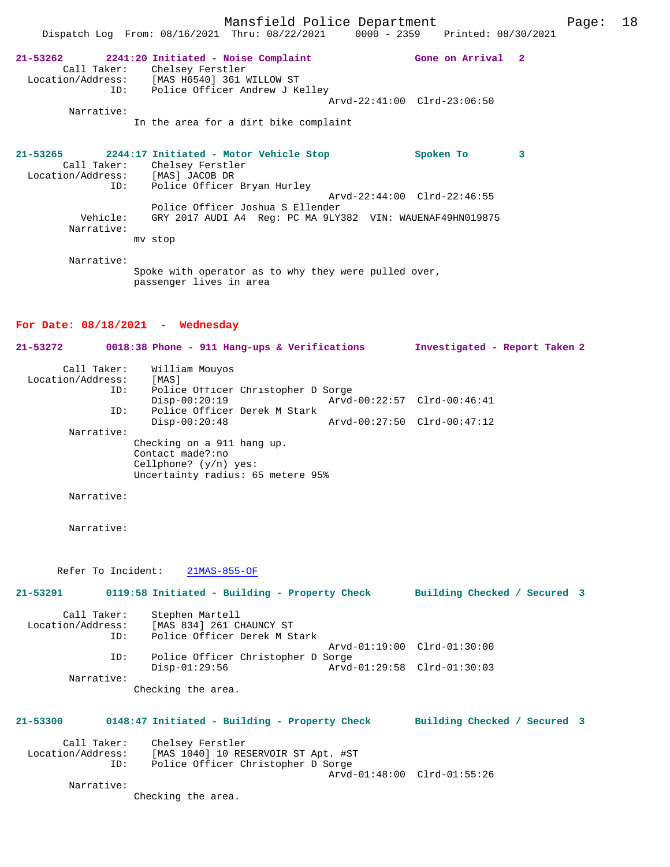Mansfield Police Department Fage: 18 Dispatch Log From: 08/16/2021 Thru: 08/22/2021 0000 - 2359 Printed: 08/30/2021 **21-53262 2241:20 Initiated - Noise Complaint Gone on Arrival 2**  Call Taker: Chelsey Ferstler Location/Address: [MAS H6540] 361 WILLOW ST Tess. The notation is minimum of the ID: Police Officer Andrew J Kelley Arvd-22:41:00 Clrd-23:06:50 Narrative: In the area for a dirt bike complaint **21-53265 2244:17 Initiated - Motor Vehicle Stop Spoken To 3**  Call Taker: Chelsey Ferstler Location/Address: [MAS] JACOB DR ID: Police Officer Bryan Hurley Arvd-22:44:00 Clrd-22:46:55 Police Officer Joshua S Ellender Vehicle: GRY 2017 AUDI A4 Reg: PC MA 9LY382 VIN: WAUENAF49HN019875 Narrative: mv stop Narrative: Spoke with operator as to why they were pulled over, passenger lives in area

# **For Date: 08/18/2021 - Wednesday**

| 21-53272          |                           | 0018:38 Phone - 911 Hang-ups & Verifications                                                                     |                             | Investigated - Report Taken 2 |  |
|-------------------|---------------------------|------------------------------------------------------------------------------------------------------------------|-----------------------------|-------------------------------|--|
| Location/Address: | Call Taker:<br>ID:<br>ID: | William Mouyos<br>[MAS]<br>Police Officer Christopher D Sorge<br>$Disp-00:20:19$<br>Police Officer Derek M Stark |                             | Arvd-00:22:57 Clrd-00:46:41   |  |
|                   | Narrative:                | $Disp-00:20:48$                                                                                                  | Arvd-00:27:50 Clrd-00:47:12 |                               |  |
|                   |                           | Checking on a 911 hang up.<br>Contact made?:no<br>Cellphone? $(y/n)$ yes:<br>Uncertainty radius: 65 metere 95%   |                             |                               |  |
|                   | Narrative:                |                                                                                                                  |                             |                               |  |
|                   | Narrative:                |                                                                                                                  |                             |                               |  |
| 21-53291          |                           | Refer To Incident:<br>$21MAS-855-OF$                                                                             |                             |                               |  |
|                   |                           | 0119:58 Initiated - Building - Property Check Building Checked / Secured 3                                       |                             |                               |  |
| Location/Address: | Call Taker:<br>TD:        | Stephen Martell<br>[MAS 834] 261 CHAUNCY ST<br>Police Officer Derek M Stark                                      |                             |                               |  |
|                   |                           |                                                                                                                  |                             | Arvd-01:19:00 Clrd-01:30:00   |  |
|                   | ID:<br>Narrative:         | Police Officer Christopher D Sorge<br>$Disp-01:29:56$                                                            |                             | Arvd-01:29:58 Clrd-01:30:03   |  |
|                   |                           | Checking the area.                                                                                               |                             |                               |  |
| 21-53300          |                           | 0148:47 Initiated - Building - Property Check Building Checked / Secured 3                                       |                             |                               |  |
| Location/Address: | Call Taker:<br>ID:        | Chelsey Ferstler<br>[MAS 1040] 10 RESERVOIR ST Apt. #ST<br>Police Officer Christopher D Sorge                    |                             | Arvd-01:48:00 Clrd-01:55:26   |  |
|                   | Narrative:                |                                                                                                                  |                             |                               |  |
|                   |                           | Checking the area.                                                                                               |                             |                               |  |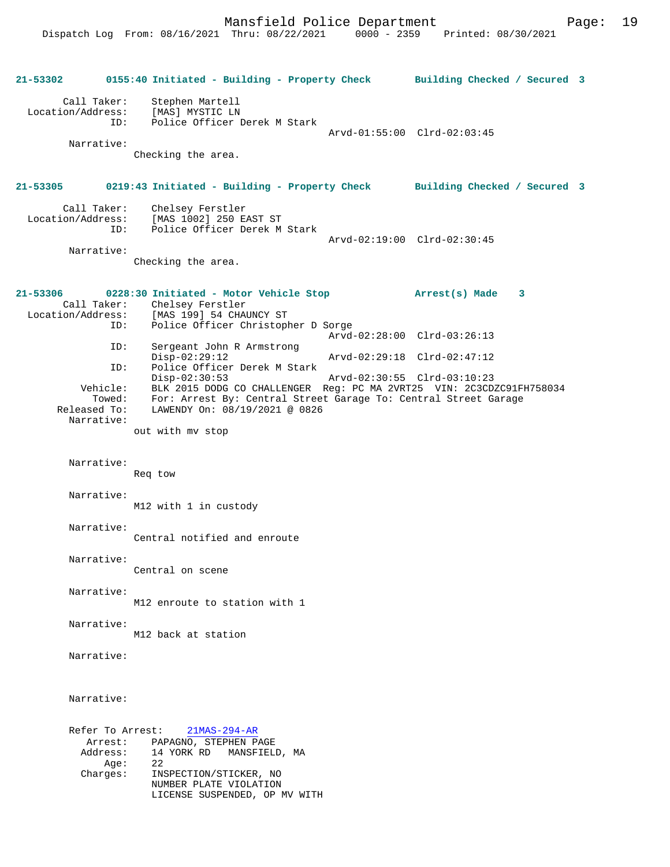**21-53302 0155:40 Initiated - Building - Property Check Building Checked / Secured 3** Call Taker: Stephen Martell Location/Address: [MAS] MYSTIC LN Police Officer Derek M Stark Arvd-01:55:00 Clrd-02:03:45 Narrative: Checking the area. **21-53305 0219:43 Initiated - Building - Property Check Building Checked / Secured 3** Call Taker: Chelsey Ferstler<br>Location/Address: [MAS 1002] 250 E [MAS 1002] 250 EAST ST ID: Police Officer Derek M Stark Arvd-02:19:00 Clrd-02:30:45 Narrative: Checking the area. **21-53306 0228:30 Initiated - Motor Vehicle Stop Arrest(s) Made 3**  Call Taker: Chelsey Ferstler Location/Address: [MAS 199] 54 CHAUNCY ST ID: Police Officer Christopher D Sorge Arvd-02:28:00 Clrd-03:26:13<br>ID: Sergeant John R Armstrong Sergeant John R Armstrong<br>Disp-02:29:12 Disp-02:29:12 Arvd-02:29:18 Clrd-02:47:12<br>ID: Police Officer Derek M Stark Police Officer Derek M Stark<br>Disp-02:30:53 Disp-02:30:53 Arvd-02:30:55 Clrd-03:10:23 Vehicle: BLK 2015 DODG CO CHALLENGER Reg: PC MA 2VRT25 VIN: 2C3CDZC91FH758034 Towed: For: Arrest By: Central Street Garage To: Central Street Garage Released To: LAWENDY On: 08/19/2021 @ 0826 Narrative: out with mv stop Narrative: Req tow Narrative: M12 with 1 in custody Narrative: Central notified and enroute Narrative: Central on scene Narrative: M12 enroute to station with 1 Narrative: M12 back at station Narrative: Narrative: Refer To Arrest: 21MAS-294-AR Arrest: PAPAGNO, STEPHEN PAGE<br>Address: 14 YORK RD MANSFIELI 14 YORK RD MANSFIELD, MA<br>22  $A$ ge: Charges: INSPECTION/STICKER, NO NUMBER PLATE VIOLATION LICENSE SUSPENDED, OP MV WITH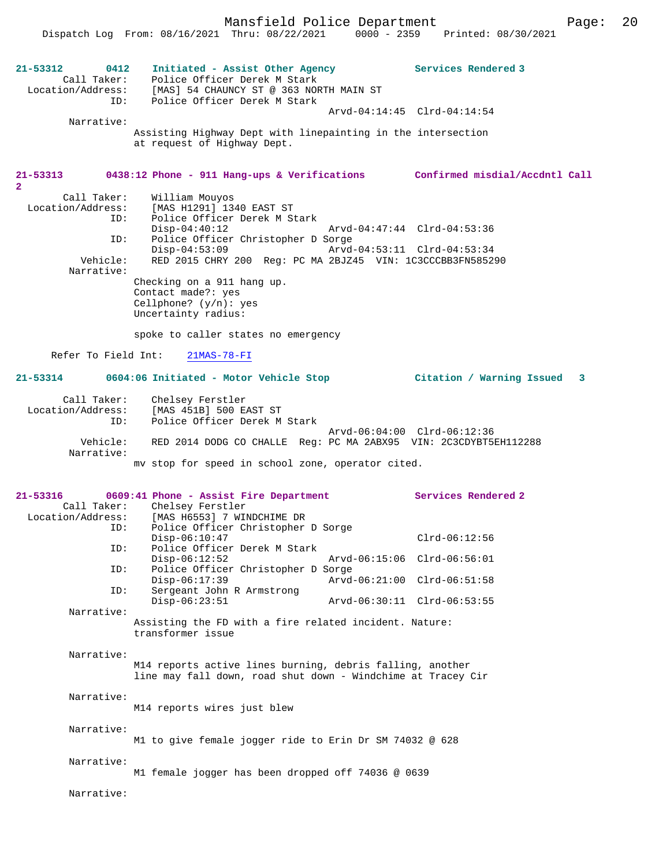Mansfield Police Department Page: 20 Dispatch Log From: 08/16/2021 Thru: 08/22/2021 0000 - 2359 Printed: 08/30/2021 **21-53312 0412 Initiated - Assist Other Agency Services Rendered 3**  Call Taker: Police Officer Derek M Stark Location/Address: [MAS] 54 CHAUNCY ST @ 363 NORTH MAIN ST ID: Police Officer Derek M Stark Arvd-04:14:45 Clrd-04:14:54 Narrative: Assisting Highway Dept with linepainting in the intersection at request of Highway Dept. **21-53313 0438:12 Phone - 911 Hang-ups & Verifications Confirmed misdial/Accdntl Call 2**  Call Taker: William Mouyos<br>Location/Address: [MAS H1291] 134 ess: [MAS H1291] 1340 EAST ST<br>ID: Police Officer Derek M St Police Officer Derek M Stark<br>Disp-04:40:12 Disp-04:40:12 Arvd-04:47:44 Clrd-04:53:36 ID: Police Officer Christopher D Sorge Disp-04:53:09 Arvd-04:53:11 Clrd-04:53:34<br>Vehicle: RED 2015 CHRY 200 Req: PC MA 2BJZ45 VIN: 1C3CCCBB3FN58529 RED 2015 CHRY 200 Reg: PC MA 2BJZ45 VIN: 1C3CCCBB3FN585290 Narrative: Checking on a 911 hang up. Contact made?: yes Cellphone? (y/n): yes Uncertainty radius: spoke to caller states no emergency Refer To Field Int: 21MAS-78-FI **21-53314 0604:06 Initiated - Motor Vehicle Stop Citation / Warning Issued 3** Call Taker: Chelsey Ferstler Location/Address: [MAS 451B] 500 EAST ST ID: Police Officer Derek M Stark Arvd-06:04:00 Clrd-06:12:36 Vehicle: RED 2014 DODG CO CHALLE Reg: PC MA 2ABX95 VIN: 2C3CDYBT5EH112288 Narrative: mv stop for speed in school zone, operator cited. **21-53316 0609:41 Phone - Assist Fire Department Services Rendered 2**  Call Taker: Chelsey Ferstler<br>Location/Address: [MAS H6553] 7 WIN [MAS H6553] 7 WINDCHIME DR ID: Police Officer Christopher D Sorge Disp-06:10:47 Clrd-06:12:56 ID: Police Officer Derek M Stark Disp-06:12:52 Arvd-06:15:06 Clrd-06:56:01 ID: Police Officer Christopher D Sorge Disp-06:17:39 Arvd-06:21:00 Clrd-06:51:58<br>TD: Sergeant John R Armstrong Sergeant John R Armstrong<br>Disp-06:23:51 Disp-06:23:51 Arvd-06:30:11 Clrd-06:53:55 Narrative: Assisting the FD with a fire related incident. Nature: transformer issue Narrative: M14 reports active lines burning, debris falling, another line may fall down, road shut down - Windchime at Tracey Cir Narrative: M14 reports wires just blew Narrative: M1 to give female jogger ride to Erin Dr SM 74032 @ 628 Narrative: M1 female jogger has been dropped off 74036 @ 0639 Narrative: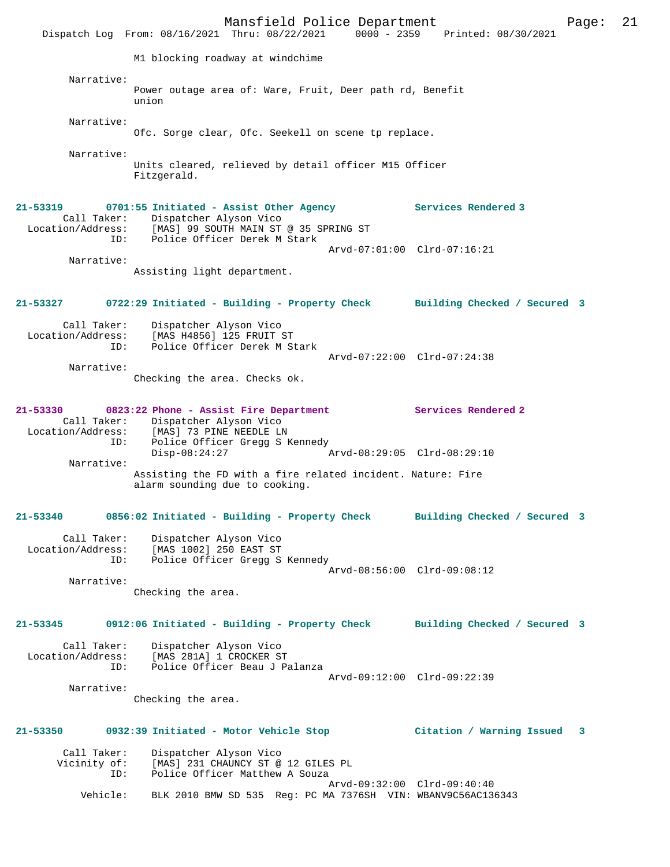Mansfield Police Department Page: 21 Dispatch Log From: 08/16/2021 Thru: 08/22/2021 0000 - 2359 Printed: 08/30/2021 M1 blocking roadway at windchime Narrative: Power outage area of: Ware, Fruit, Deer path rd, Benefit union Narrative: Ofc. Sorge clear, Ofc. Seekell on scene tp replace. Narrative: Units cleared, relieved by detail officer M15 Officer Fitzgerald. **21-53319 0701:55 Initiated - Assist Other Agency Services Rendered 3**  Call Taker: Dispatcher Alyson Vico Location/Address: [MAS] 99 SOUTH MAIN ST @ 35 SPRING ST ID: Police Officer Derek M Stark Arvd-07:01:00 Clrd-07:16:21 Narrative: Assisting light department. **21-53327 0722:29 Initiated - Building - Property Check Building Checked / Secured 3** Call Taker: Dispatcher Alyson Vico<br>Location/Address: [MAS H4856] 125 FRUIT : Location (Address: محمود السيادة)<br>Address: [MAS H4856] 125 FRUIT ST:<br>ID: Police Officer Derek M St Police Officer Derek M Stark Arvd-07:22:00 Clrd-07:24:38 Narrative: Checking the area. Checks ok. **21-53330 0823:22 Phone - Assist Fire Department Services Rendered 2**  Call Taker: Dispatcher Alyson Vico Location/Address: [MAS] 73 PINE NEEDLE LN ID: Police Officer Gregg S Kennedy Disp-08:24:27 Arvd-08:29:05 Clrd-08:29:10 Narrative: Assisting the FD with a fire related incident. Nature: Fire alarm sounding due to cooking. **21-53340 0856:02 Initiated - Building - Property Check Building Checked / Secured 3** Call Taker: Dispatcher Alyson Vico Location/Address: [MAS 1002] 250 EAST ST ID: Police Officer Gregg S Kennedy Arvd-08:56:00 Clrd-09:08:12 Narrative: Checking the area. **21-53345 0912:06 Initiated - Building - Property Check Building Checked / Secured 3** Call Taker: Dispatcher Alyson Vico Location/Address: [MAS 281A] 1 CROCKER ST ID: Police Officer Beau J Palanza Arvd-09:12:00 Clrd-09:22:39 Narrative: Checking the area. **21-53350 0932:39 Initiated - Motor Vehicle Stop Citation / Warning Issued 3** Call Taker: Dispatcher Alyson Vico<br>Vicinity of: [MAS] 231 CHAUNCY ST @ of: [MAS] 231 CHAUNCY ST @ 12 GILES PL<br>ID: Police Officer Matthew A Souza Police Officer Matthew A Souza Arvd-09:32:00 Clrd-09:40:40<br>Vehicle: BLK 2010 BMW SD 535 Req: PC MA 7376SH VIN: WBANV9C56AC13 BLK 2010 BMW SD 535 Reg: PC MA 7376SH VIN: WBANV9C56AC136343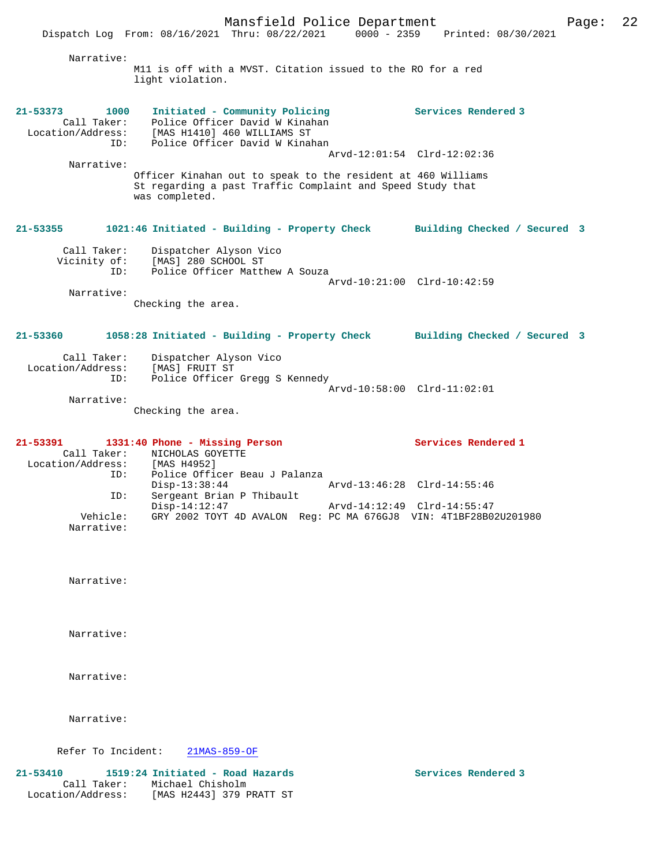Narrative: M11 is off with a MVST. Citation issued to the RO for a red light violation. **21-53373 1000 Initiated - Community Policing Services Rendered 3**  Call Taker: Police Officer David W Kinahan Location/Address: [MAS H1410] 460 WILLIAMS ST ID: Police Officer David W Kinahan Arvd-12:01:54 Clrd-12:02:36 Narrative: Officer Kinahan out to speak to the resident at 460 Williams St regarding a past Traffic Complaint and Speed Study that was completed. **21-53355 1021:46 Initiated - Building - Property Check Building Checked / Secured 3** Call Taker: Dispatcher Alyson Vico Vicinity of: [MAS] 280 SCHOOL ST ID: Police Officer Matthew A Souza Arvd-10:21:00 Clrd-10:42:59 Narrative: Checking the area. **21-53360 1058:28 Initiated - Building - Property Check Building Checked / Secured 3** Call Taker: Dispatcher Alyson Vico Location/Address: [MAS] FRUIT ST ID: Police Officer Gregg S Kennedy Arvd-10:58:00 Clrd-11:02:01 Narrative: Checking the area. **21-53391 1331:40 Phone - Missing Person Services Rendered 1**  Call Taker: NICHOLAS GOYETTE<br>ion/Address: [MAS H4952] Location/Address:<br>ID: Police Officer Beau J Palanza<br>Disp-13:38:44 Arvd-13:46:28 Clrd-14:55:46 Disp-13:38:44 Arvd-13:46:28 Clrd-14:55:46 ID: Sergeant Brian P Thibault Disp-14:12:47 Arvd-14:12:49 Clrd-14:55:47 Vehicle: GRY 2002 TOYT 4D AVALON Reg: PC MA 676GJ8 VIN: 4T1BF28B02U201980 Narrative: Narrative: Narrative: Narrative: Narrative: Refer To Incident: 21MAS-859-OF

**21-53410 1519:24 Initiated - Road Hazards Services Rendered 3**  Call Taker: Michael Chisholm Location/Address: [MAS H2443] 379 PRATT ST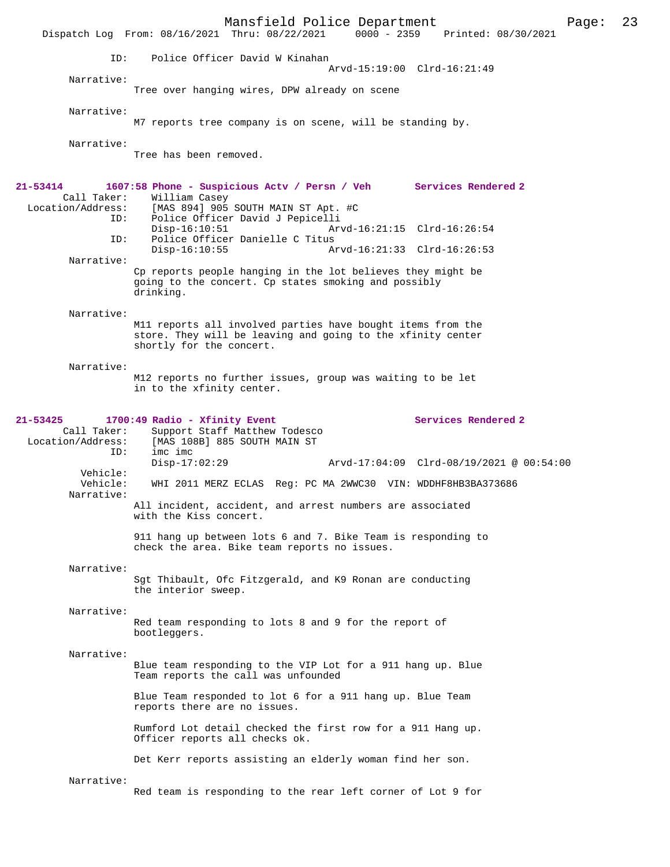Mansfield Police Department Page: 23 Dispatch Log From: 08/16/2021 Thru: 08/22/2021 ID: Police Officer David W Kinahan Arvd-15:19:00 Clrd-16:21:49 Narrative: Tree over hanging wires, DPW already on scene Narrative: M7 reports tree company is on scene, will be standing by. Narrative: Tree has been removed. **21-53414 1607:58 Phone - Suspicious Actv / Persn / Veh Services Rendered 2**  Call Taker: William Casey<br>Location/Address: [MAS 894] 905 [MAS 894] 905 SOUTH MAIN ST Apt. #C ID: Police Officer David J Pepicelli Arvd-16:21:15 Clrd-16:26:54 ID: Police Officer Danielle C Titus Disp-16:10:55 Arvd-16:21:33 Clrd-16:26:53 Narrative: Cp reports people hanging in the lot believes they might be going to the concert. Cp states smoking and possibly drinking. Narrative: M11 reports all involved parties have bought items from the store. They will be leaving and going to the xfinity center shortly for the concert. Narrative: M12 reports no further issues, group was waiting to be let in to the xfinity center. 21-53425 1700:49 Radio - Xfinity Event Services Rendered 2 Call Taker: Support Staff Matthew Todesco<br>Location/Address: [MAS 108B] 885 SOUTH MAIN ST [MAS 108B] 885 SOUTH MAIN ST ID: imc imc Disp-17:02:29 Arvd-17:04:09 Clrd-08/19/2021 @ 00:54:00 Vehicle:<br>Vehicle: WHI 2011 MERZ ECLAS Reg: PC MA 2WWC30 VIN: WDDHF8HB3BA373686 Narrative: All incident, accident, and arrest numbers are associated with the Kiss concert. 911 hang up between lots 6 and 7. Bike Team is responding to check the area. Bike team reports no issues. Narrative: Sgt Thibault, Ofc Fitzgerald, and K9 Ronan are conducting the interior sweep. Narrative: Red team responding to lots 8 and 9 for the report of bootleggers. Narrative: Blue team responding to the VIP Lot for a 911 hang up. Blue Team reports the call was unfounded Blue Team responded to lot 6 for a 911 hang up. Blue Team reports there are no issues. Rumford Lot detail checked the first row for a 911 Hang up. Officer reports all checks ok. Det Kerr reports assisting an elderly woman find her son. Narrative: Red team is responding to the rear left corner of Lot 9 for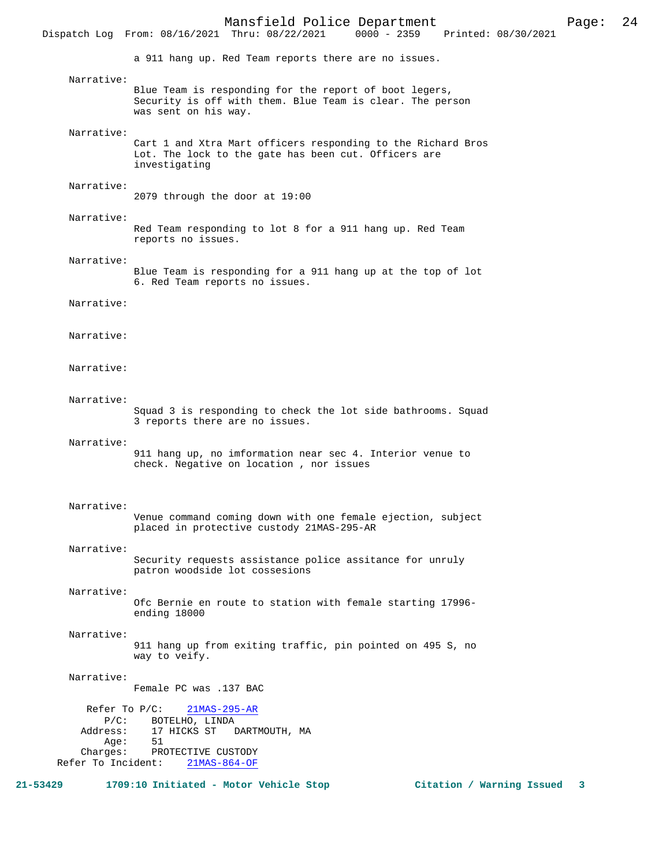Mansfield Police Department Page: 24 Dispatch Log From: 08/16/2021 Thru: 08/22/2021 a 911 hang up. Red Team reports there are no issues. Narrative: Blue Team is responding for the report of boot legers, Security is off with them. Blue Team is clear. The person was sent on his way. Narrative: Cart 1 and Xtra Mart officers responding to the Richard Bros Lot. The lock to the gate has been cut. Officers are investigating Narrative: 2079 through the door at 19:00 Narrative: Red Team responding to lot 8 for a 911 hang up. Red Team reports no issues. Narrative: Blue Team is responding for a 911 hang up at the top of lot 6. Red Team reports no issues. Narrative: Narrative: Narrative: Narrative: Squad 3 is responding to check the lot side bathrooms. Squad 3 reports there are no issues. Narrative: 911 hang up, no imformation near sec 4. Interior venue to check. Negative on location , nor issues Narrative: Venue command coming down with one female ejection, subject placed in protective custody 21MAS-295-AR Narrative: Security requests assistance police assitance for unruly patron woodside lot cossesions Narrative: Ofc Bernie en route to station with female starting 17996 ending 18000 Narrative: 911 hang up from exiting traffic, pin pointed on 495 S, no way to veify. Narrative: Female PC was .137 BAC Refer To P/C: 21MAS-295-AR P/C: BOTELHO, LINDA<br>Address: 17 HICKS ST 17 HICKS ST DARTMOUTH, MA Age: 51 Charges: PROTECTIVE CUSTODY Refer To Incident: 21MAS-864-OF

**21-53429 1709:10 Initiated - Motor Vehicle Stop Citation / Warning Issued 3**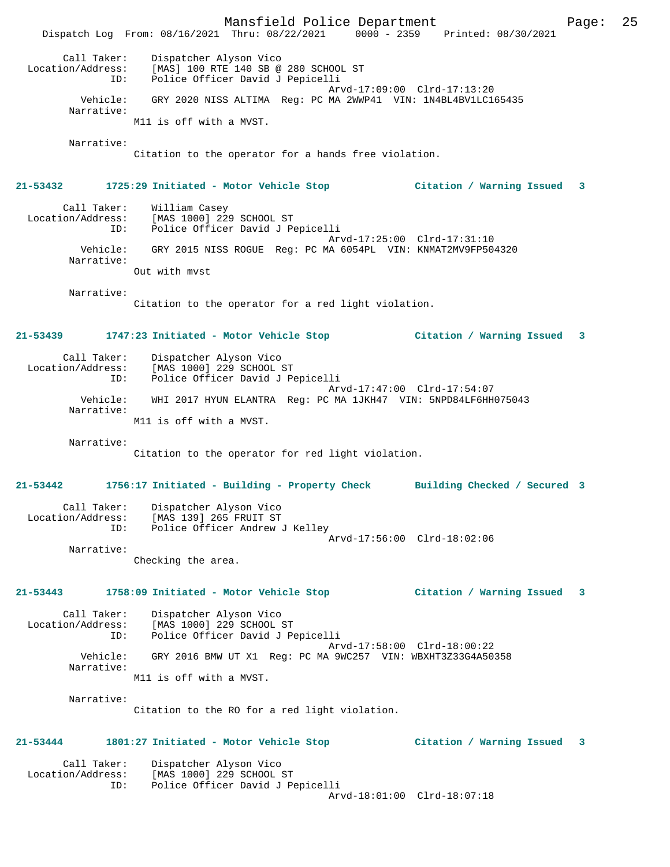Mansfield Police Department Page: 25 Dispatch Log From: 08/16/2021 Thru: 08/22/2021 0000 - 2359 Printed: 08/30/2021 Call Taker: Dispatcher Alyson Vico Location/Address: [MAS] 100 RTE 140 SB @ 280 SCHOOL ST ID: Police Officer David J Pepicelli Arvd-17:09:00 Clrd-17:13:20 Vehicle: GRY 2020 NISS ALTIMA Reg: PC MA 2WWP41 VIN: 1N4BL4BV1LC165435 Narrative: M11 is off with a MVST. Narrative: Citation to the operator for a hands free violation. **21-53432 1725:29 Initiated - Motor Vehicle Stop Citation / Warning Issued 3** Call Taker: William Casey<br>Location/Address: [MAS 1000] 229 [MAS 1000] 229 SCHOOL ST ID: Police Officer David J Pepicelli Arvd-17:25:00 Clrd-17:31:10 Vehicle: GRY 2015 NISS ROGUE Reg: PC MA 6054PL VIN: KNMAT2MV9FP504320 Narrative: Out with mvst Narrative: Citation to the operator for a red light violation. **21-53439 1747:23 Initiated - Motor Vehicle Stop Citation / Warning Issued 3** Call Taker: Dispatcher Alyson Vico Location/Address: [MAS 1000] 229 SCHOOL ST ID: Police Officer David J Pepicelli Arvd-17:47:00 Clrd-17:54:07 Vehicle: WHI 2017 HYUN ELANTRA Reg: PC MA 1JKH47 VIN: 5NPD84LF6HH075043 Narrative: M11 is off with a MVST. Narrative: Citation to the operator for red light violation. **21-53442 1756:17 Initiated - Building - Property Check Building Checked / Secured 3** Call Taker: Dispatcher Alyson Vico Location/Address: [MAS 139] 265 FRUIT ST ID: Police Officer Andrew J Kelley Arvd-17:56:00 Clrd-18:02:06 Narrative: Checking the area. **21-53443 1758:09 Initiated - Motor Vehicle Stop Citation / Warning Issued 3** Call Taker: Dispatcher Alyson Vico Location/Address: [MAS 1000] 229 SCHOOL ST ID: Police Officer David J Pepicelli Arvd-17:58:00 Clrd-18:00:22 Vehicle: GRY 2016 BMW UT X1 Reg: PC MA 9WC257 VIN: WBXHT3Z33G4A50358 Narrative: M11 is off with a MVST. Narrative: Citation to the RO for a red light violation. **21-53444 1801:27 Initiated - Motor Vehicle Stop Citation / Warning Issued 3** Call Taker: Dispatcher Alyson Vico<br>Location/Address: [MAS 1000] 229 SCHOOL Location/Address: [MAS 1000] 229 SCHOOL ST ID: Police Officer David J Pepicelli Arvd-18:01:00 Clrd-18:07:18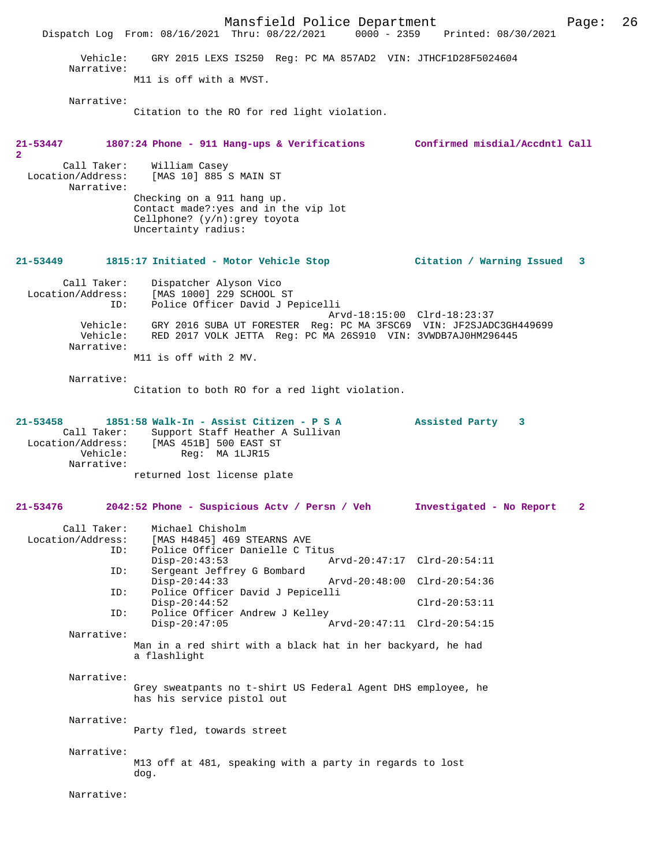Mansfield Police Department Page: 26 Dispatch Log From: 08/16/2021 Thru: 08/22/2021 0000 - 2359 Printed: 08/30/2021 Vehicle: GRY 2015 LEXS IS250 Reg: PC MA 857AD2 VIN: JTHCF1D28F5024604 Narrative: M11 is off with a MVST. Narrative: Citation to the RO for red light violation. **21-53447 1807:24 Phone - 911 Hang-ups & Verifications Confirmed misdial/Accdntl Call 2**  Call Taker: William Casey Location/Address: [MAS 10] 885 S MAIN ST Narrative: Checking on a 911 hang up. Contact made?:yes and in the vip lot Cellphone? (y/n):grey toyota Uncertainty radius: **21-53449 1815:17 Initiated - Motor Vehicle Stop Citation / Warning Issued 3** Call Taker: Dispatcher Alyson Vico Location/Address: [MAS 1000] 229 SCHOOL ST ID: Police Officer David J Pepicelli Arvd-18:15:00 Clrd-18:23:37 Vehicle: GRY 2016 SUBA UT FORESTER Reg: PC MA 3FSC69 VIN: JF2SJADC3GH449699 Vehicle: RED 2017 VOLK JETTA Reg: PC MA 26S910 VIN: 3VWDB7AJ0HM296445 Narrative: M11 is off with 2 MV. Narrative: Citation to both RO for a red light violation. **21-53458 1851:58 Walk-In - Assist Citizen - P S A Assisted Party 3**  Call Taker: Support Staff Heather A Sullivan Location/Address: [MAS 451B] 500 EAST ST Vehicle: Reg: MA 1LJR15 Narrative: returned lost license plate **21-53476 2042:52 Phone - Suspicious Actv / Persn / Veh Investigated - No Report 2** Call Taker: Michael Chisholm<br>Location/Address: [MAS H4845] 469 9 ess: [MAS H4845] 469 STEARNS AVE<br>ID: Police Officer Danielle C T Police Officer Danielle C Titus<br>Disp-20:43:53 Am Disp-20:43:53 Arvd-20:47:17 Clrd-20:54:11<br>ID: Sergeant Jeffrey G Bombard Sergeant Jeffrey G Bombard<br>Disp-20:44:33 Disp-20:44:33 Arvd-20:48:00 Clrd-20:54:36 ID: Police Officer David J Pepicelli Disp-20:44:52 Clrd-20:53:11<br>ID: Police Officer Andrew J Kelley Police Officer Andrew J Kelley Disp-20:47:05 Arvd-20:47:11 Clrd-20:54:15 Narrative: Man in a red shirt with a black hat in her backyard, he had a flashlight Narrative: Grey sweatpants no t-shirt US Federal Agent DHS employee, he has his service pistol out Narrative: Party fled, towards street Narrative: M13 off at 481, speaking with a party in regards to lost dog. Narrative: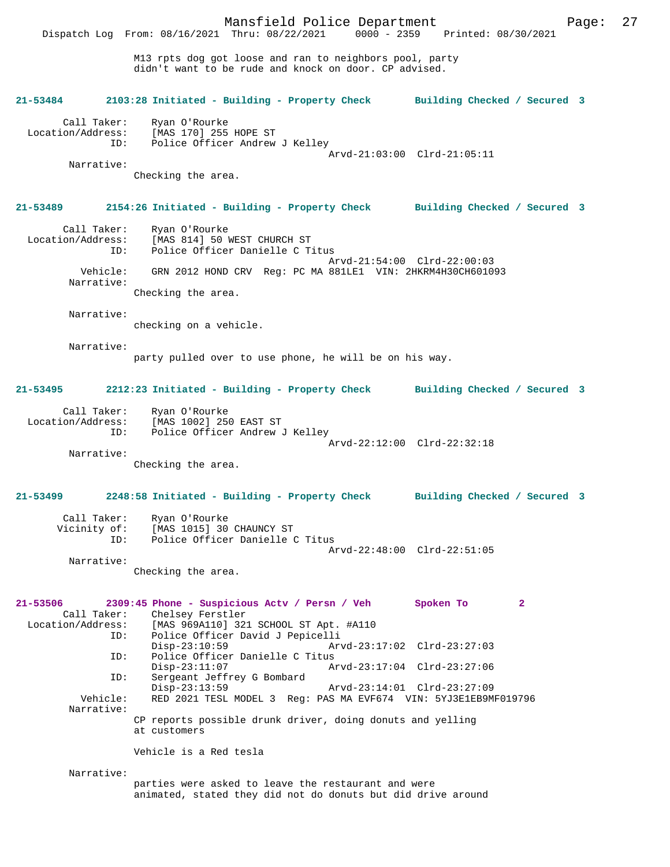Mansfield Police Department Page: 27 Dispatch Log From: 08/16/2021 Thru: 08/22/2021

> M13 rpts dog got loose and ran to neighbors pool, party didn't want to be rude and knock on door. CP advised.

# **21-53484 2103:28 Initiated - Building - Property Check Building Checked / Secured 3** Call Taker: Ryan O'Rourke<br>Location/Address: [MAS 170] 255 Location/Address: [MAS 170] 255 HOPE ST ID: Police Officer Andrew J Kelley Arvd-21:03:00 Clrd-21:05:11 Narrative: Checking the area. **21-53489 2154:26 Initiated - Building - Property Check Building Checked / Secured 3** Call Taker: Ryan O'Rourke Location/Address: [MAS 814] 50 WEST CHURCH ST<br>TD: Police Officer Danielle CT Police Officer Danielle C Titus Arvd-21:54:00 Clrd-22:00:03<br>Vehicle: GRN 2012 HOND CRV Reg: PC MA 881LE1 VIN: 2HKRM4H30CH60109 GRN 2012 HOND CRV Reg: PC MA 881LE1 VIN: 2HKRM4H30CH601093 Narrative: Checking the area. Narrative: checking on a vehicle. Narrative: party pulled over to use phone, he will be on his way. **21-53495 2212:23 Initiated - Building - Property Check Building Checked / Secured 3** Call Taker: Ryan O'Rourke<br>Location/Address: [MAS 1002] 250 ess: [MAS 1002] 250 EAST ST<br>ID: Police Officer Andrew Police Officer Andrew J Kelley Arvd-22:12:00 Clrd-22:32:18 Narrative: Checking the area. **21-53499 2248:58 Initiated - Building - Property Check Building Checked / Secured 3** Call Taker: Ryan O'Rourke Vicinity of: [MAS 1015] 30 CHAUNCY ST<br>TD: Police Officer Danielle C Police Officer Danielle C Titus Arvd-22:48:00 Clrd-22:51:05 Narrative: Checking the area. **21-53506 2309:45 Phone - Suspicious Actv / Persn / Veh Spoken To 2**  Call Taker: Chelsey Ferstler<br>Location/Address: [MAS 969A110] 323 [MAS 969A110] 321 SCHOOL ST Apt. #A110 ID: Police Officer David J Pepicelli Disp-23:10:59 Arvd-23:17:02 Clrd-23:27:03 ID: Police Officer Danielle C Titus Disp-23:11:07 Arvd-23:17:04 Clrd-23:27:06 ID: Sergeant Jeffrey G Bombard Disp-23:13:59 Arvd-23:14:01 Clrd-23:27:09<br>Vehicle: RED 2021 TESL MODEL 3 Reg: PAS MA EVF674 VIN: 5YJ3E1EB9M RED 2021 TESL MODEL 3 Reg: PAS MA EVF674 VIN: 5YJ3E1EB9MF019796 Narrative: CP reports possible drunk driver, doing donuts and yelling at customers Vehicle is a Red tesla Narrative:

parties were asked to leave the restaurant and were animated, stated they did not do donuts but did drive around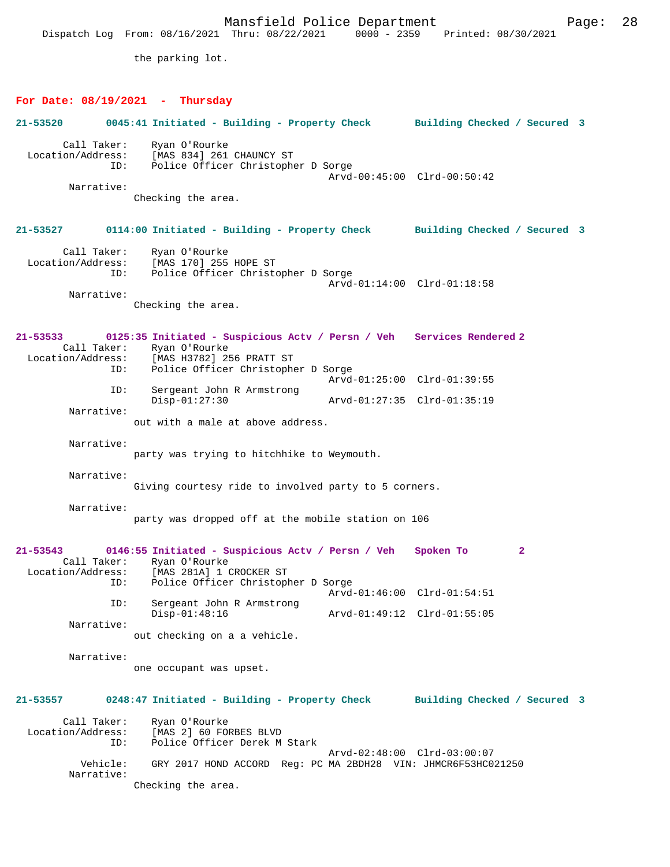Mansfield Police Department Fage: 28 Dispatch Log From: 08/16/2021 Thru: 08/22/2021 0000 - 2359 Printed: 08/30/2021 the parking lot. **For Date: 08/19/2021 - Thursday 21-53520 0045:41 Initiated - Building - Property Check Building Checked / Secured 3** Call Taker: Ryan O'Rourke<br>Location/Address: [MAS 834] 261 ess: [MAS 834] 261 CHAUNCY ST<br>ID: Police Officer Christophe Police Officer Christopher D Sorge Arvd-00:45:00 Clrd-00:50:42 Narrative: Checking the area. **21-53527 0114:00 Initiated - Building - Property Check Building Checked / Secured 3** Call Taker: Ryan O'Rourke Location/Address: [MAS 170] 255 HOPE ST ID: Police Officer Christopher D Sorge Arvd-01:14:00 Clrd-01:18:58 Narrative: Checking the area. **21-53533 0125:35 Initiated - Suspicious Actv / Persn / Veh Services Rendered 2**  Call Taker: Ryan O'Rourke<br>Location/Address: [MAS H3782] 2! [MAS H3782] 256 PRATT ST ID: Police Officer Christopher D Sorge Arvd-01:25:00 Clrd-01:39:55<br>TD: Sergeant John R Armstrong Sergeant John R Armstrong Disp-01:27:30 Arvd-01:27:35 Clrd-01:35:19 Narrative: out with a male at above address. Narrative: party was trying to hitchhike to Weymouth. Narrative: Giving courtesy ride to involved party to 5 corners. Narrative: party was dropped off at the mobile station on 106 **21-53543 0146:55 Initiated - Suspicious Actv / Persn / Veh Spoken To 2**  Call Taker: Ryan O'Rourke<br>Location/Address: [MAS 281A] 1 ( ess: [MAS 281A] 1 CROCKER ST<br>ID: Police Officer Christopl Police Officer Christopher D Sorge Arvd-01:46:00 Clrd-01:54:51<br>ID: Sergeant John R Armstrong Sergeant John R Armstrong<br>Disp-01:48:16 Disp-01:48:16 Arvd-01:49:12 Clrd-01:55:05 Narrative: out checking on a a vehicle. Narrative: one occupant was upset. **21-53557 0248:47 Initiated - Building - Property Check Building Checked / Secured 3** Call Taker: Ryan O'Rourke<br>Location/Address: [MAS 2] 60 FO ess: [MAS 2] 60 FORBES BLVD<br>ID: Police Officer Derek M Police Officer Derek M Stark Arvd-02:48:00 Clrd-03:00:07<br>Vehicle: GRY 2017 HOND ACCORD Reg: PC MA 2BDH28 VIN: JHMCR6F53HC02 Vehicle: GRY 2017 HOND ACCORD Reg: PC MA 2BDH28 VIN: JHMCR6F53HC021250 Narrative: Checking the area.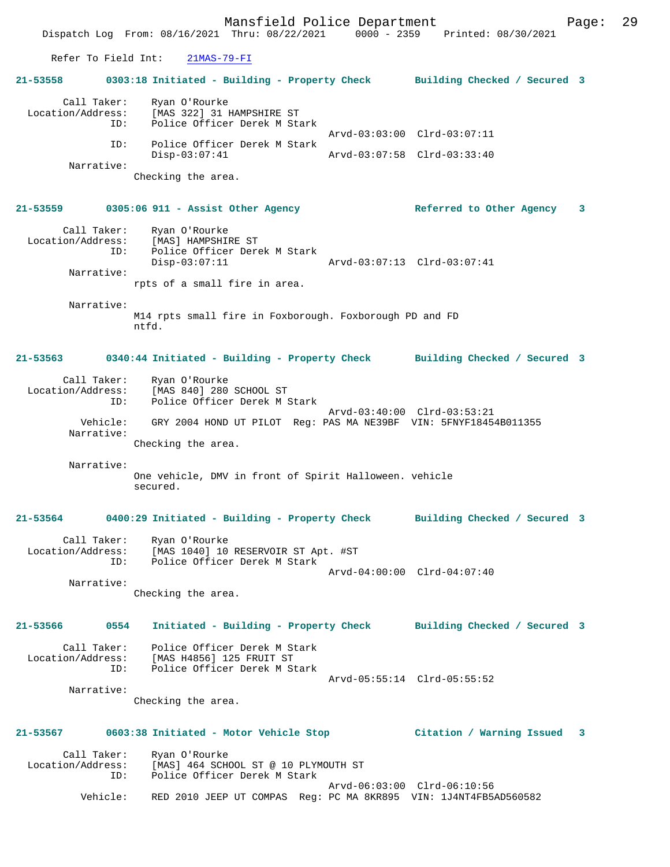Mansfield Police Department Fage: 29 Dispatch Log From: 08/16/2021 Thru: 08/22/2021 0000 - 2359 Printed: 08/30/2021 Refer To Field Int: 21MAS-79-FI **21-53558 0303:18 Initiated - Building - Property Check Building Checked / Secured 3** Call Taker: Ryan O'Rourke Location/Address: [MAS 322] 31 HAMPSHIRE ST ID: Police Officer Derek M Stark Arvd-03:03:00 Clrd-03:07:11 ID: Police Officer Derek M Stark Disp-03:07:41 Arvd-03:07:58 Clrd-03:33:40 Narrative: Checking the area. **21-53559 0305:06 911 - Assist Other Agency Referred to Other Agency 3** Call Taker: Ryan O'Rourke Location/Address: [MAS] HAMPSHIRE ST ID: Police Officer Derek M Stark Disp-03:07:11 Arvd-03:07:13 Clrd-03:07:41 Narrative: rpts of a small fire in area. Narrative: M14 rpts small fire in Foxborough. Foxborough PD and FD ntfd. **21-53563 0340:44 Initiated - Building - Property Check Building Checked / Secured 3** Call Taker: Ryan O'Rourke Location/Address: [MAS 840] 280 SCHOOL ST ID: Police Officer Derek M Stark Arvd-03:40:00 Clrd-03:53:21 Vehicle: GRY 2004 HOND UT PILOT Reg: PAS MA NE39BF VIN: 5FNYF18454B011355 Narrative: Checking the area. Narrative: One vehicle, DMV in front of Spirit Halloween. vehicle secured. **21-53564 0400:29 Initiated - Building - Property Check Building Checked / Secured 3** Call Taker: Ryan O'Rourke Location/Address: [MAS 1040] 10 RESERVOIR ST Apt. #ST Police Officer Derek M Stark Arvd-04:00:00 Clrd-04:07:40 Narrative: Checking the area. **21-53566 0554 Initiated - Building - Property Check Building Checked / Secured 3** Call Taker: Police Officer Derek M Stark Location/Address: [MAS H4856] 125 FRUIT ST<br>ID: Police Officer Derek M St Police Officer Derek M Stark Arvd-05:55:14 Clrd-05:55:52 Narrative: Checking the area. **21-53567 0603:38 Initiated - Motor Vehicle Stop Citation / Warning Issued 3** Call Taker: Ryan O'Rourke<br>Location/Address: [MAS] 464 SCH

ess: [MAS] 464 SCHOOL ST @ 10 PLYMOUTH ST<br>ID: Police Officer Derek M Stark Police Officer Derek M Stark Arvd-06:03:00 Clrd-06:10:56 Vehicle: RED 2010 JEEP UT COMPAS Reg: PC MA 8KR895 VIN: 1J4NT4FB5AD560582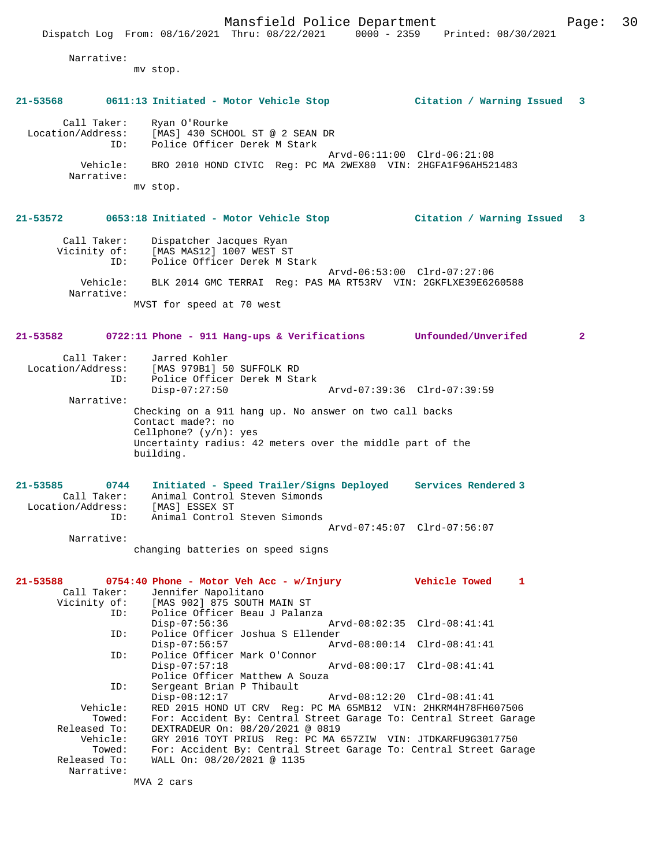Narrative:

mv stop.

# **21-53568 0611:13 Initiated - Motor Vehicle Stop Citation / Warning Issued 3**

 Call Taker: Ryan O'Rourke Location/Address: [MAS] 430 SCHOOL ST @ 2 SEAN DR ID: Police Officer Derek M Stark Arvd-06:11:00 Clrd-06:21:08 Vehicle: BRO 2010 HOND CIVIC Reg: PC MA 2WEX80 VIN: 2HGFA1F96AH521483 Narrative: mv stop.

# **21-53572 0653:18 Initiated - Motor Vehicle Stop Citation / Warning Issued 3**

 Call Taker: Dispatcher Jacques Ryan Vicinity of: [MAS MAS12] 1007 WEST ST ID: Police Officer Derek M Stark Arvd-06:53:00 Clrd-07:27:06 Vehicle: BLK 2014 GMC TERRAI Reg: PAS MA RT53RV VIN: 2GKFLXE39E6260588 Narrative: MVST for speed at 70 west

# **21-53582 0722:11 Phone - 911 Hang-ups & Verifications Unfounded/Unverifed 2**

| Call Taker:       | Jarred Kohler                                             |
|-------------------|-----------------------------------------------------------|
| Location/Address: | [MAS 979B1] 50 SUFFOLK RD                                 |
| ID:               | Police Officer Derek M Stark                              |
|                   | Arvd-07:39:36 Clrd-07:39:59<br>$Disp-07:27:50$            |
| Narrative:        |                                                           |
|                   | Checking on a 911 hang up. No answer on two call backs    |
|                   | Contact made?: no                                         |
|                   | Cellphone? $(y/n)$ : yes                                  |
|                   | Uncertainty radius: 42 meters over the middle part of the |
|                   | building.                                                 |
|                   |                                                           |

| $21 - 53585$      | 0744        | Initiated - Speed Trailer/Signs Deployed |  |                             | Services Rendered 3 |
|-------------------|-------------|------------------------------------------|--|-----------------------------|---------------------|
|                   | Call Taker: | Animal Control Steven Simonds            |  |                             |                     |
| Location/Address: |             | [MAS] ESSEX ST                           |  |                             |                     |
|                   | TD:         | Animal Control Steven Simonds            |  |                             |                     |
|                   |             |                                          |  | Arvd-07:45:07 Clrd-07:56:07 |                     |
|                   | Narrative:  |                                          |  |                             |                     |

changing batteries on speed signs

|              | $21-53588$ 0754:40 Phone - Motor Veh Acc - w/Injury               | Vehicle Towed | $\mathbf{1}$ |
|--------------|-------------------------------------------------------------------|---------------|--------------|
|              | Call Taker: Jennifer Napolitano                                   |               |              |
|              | Vicinity of: [MAS 902] 875 SOUTH MAIN ST                          |               |              |
|              | ID: Police Officer Beau J Palanza                                 |               |              |
|              | Disp-07:56:36 Arvd-08:02:35 Clrd-08:41:41                         |               |              |
| ID:          | Police Officer Joshua S Ellender                                  |               |              |
|              | Disp-07:56:57                                                     |               |              |
| ID:          | Police Officer Mark O'Connor                                      |               |              |
|              | $Disp-07:57:18$                                                   |               |              |
|              | Police Officer Matthew A Souza                                    |               |              |
| ID:          | Sergeant Brian P Thibault                                         |               |              |
|              | Disp-08:12:17 Arvd-08:12:20 Clrd-08:41:41                         |               |              |
| Vehicle:     | RED 2015 HOND UT CRV Req: PC MA 65MB12 VIN: 2HKRM4H78FH607506     |               |              |
| Towed:       | For: Accident By: Central Street Garage To: Central Street Garage |               |              |
| Released To: | DEXTRADEUR On: 08/20/2021 @ 0819                                  |               |              |
| Vehicle:     | GRY 2016 TOYT PRIUS Req: PC MA 657ZIW VIN: JTDKARFU9G3017750      |               |              |
| Towed:       | For: Accident By: Central Street Garage To: Central Street Garage |               |              |
| Released To: | WALL On: 08/20/2021 @ 1135                                        |               |              |
| Narrative:   |                                                                   |               |              |
|              | MVA 2 cars                                                        |               |              |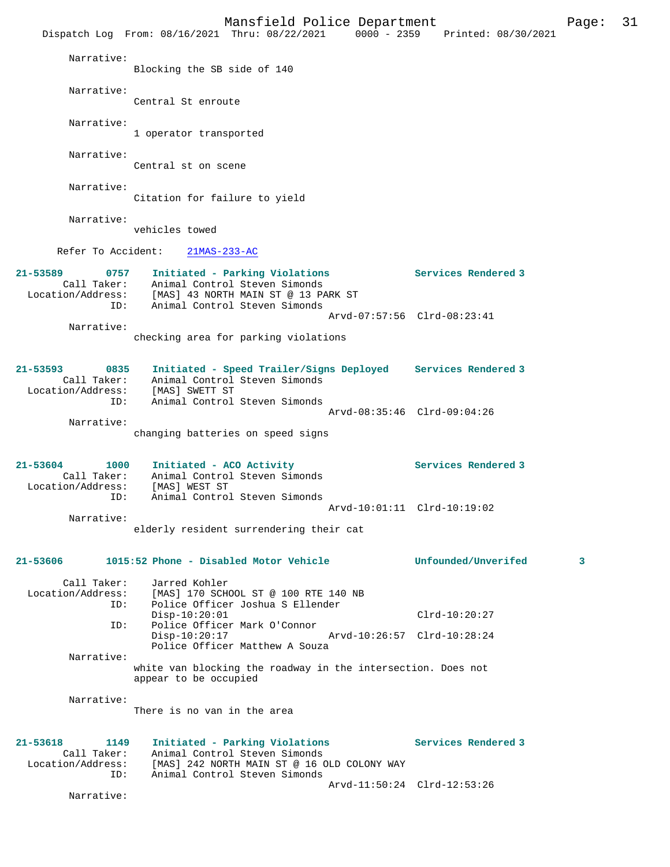Mansfield Police Department Form Page: 31 Dispatch Log From: 08/16/2021 Thru: 08/22/2021 0000 - 2359 Printed: 08/30/2021 Narrative: Blocking the SB side of 140 Narrative: Central St enroute Narrative: 1 operator transported Narrative: Central st on scene Narrative: Citation for failure to yield Narrative: vehicles towed Refer To Accident: 21MAS-233-AC **21-53589 0757 Initiated - Parking Violations Services Rendered 3**  Call Taker: Animal Control Steven Simonds Location/Address: [MAS] 43 NORTH MAIN ST @ 13 PARK ST ID: Animal Control Steven Simonds Arvd-07:57:56 Clrd-08:23:41 Narrative: checking area for parking violations **21-53593 0835 Initiated - Speed Trailer/Signs Deployed Services Rendered 3**  Call Taker: Animal Control Steven Simonds Location/Address: [MAS] SWETT ST ID: Animal Control Steven Simonds Arvd-08:35:46 Clrd-09:04:26 Narrative: changing batteries on speed signs 21-53604 1000 Initiated - ACO Activity **1200 Services Rendered 3**  Call Taker: Animal Control Steven Simonds Location/Address: [MAS] WEST ST ID: Animal Control Steven Simonds Arvd-10:01:11 Clrd-10:19:02 Narrative: elderly resident surrendering their cat **21-53606 1015:52 Phone - Disabled Motor Vehicle Unfounded/Unverifed 3** Call Taker: Jarred Kohler<br>Location/Address: [MAS] 170 SCH [MAS] 170 SCHOOL ST @ 100 RTE 140 NB ID: Police Officer Joshua S Ellender Disp-10:20:01 Clrd-10:20:27 ID: Police Officer Mark O'Connor Disp-10:20:17 Arvd-10:26:57 Clrd-10:28:24 Police Officer Matthew A Souza Narrative: white van blocking the roadway in the intersection. Does not appear to be occupied Narrative: There is no van in the area **21-53618 1149 Initiated - Parking Violations Services Rendered 3**  Call Taker: Animal Control Steven Simonds<br>Location/Address: [MAS] 242 NORTH MAIN ST @ 16 O ess: [MAS] 242 NORTH MAIN ST @ 16 OLD COLONY WAY<br>ID: Animal Control Steven Simonds Animal Control Steven Simonds Arvd-11:50:24 Clrd-12:53:26 Narrative: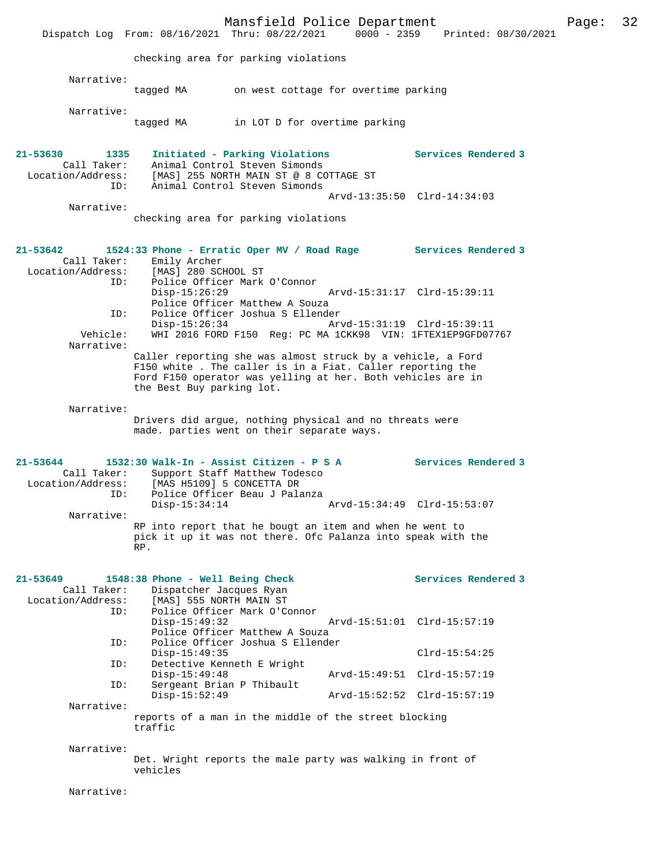|                                                             |                                                                                                                                                                                                                      | Mansfield Police Department                                                                                                                |                             | Dispatch Log From: 08/16/2021 Thru: 08/22/2021 0000 - 2359 Printed: 08/30/2021 | Page: | 32 |
|-------------------------------------------------------------|----------------------------------------------------------------------------------------------------------------------------------------------------------------------------------------------------------------------|--------------------------------------------------------------------------------------------------------------------------------------------|-----------------------------|--------------------------------------------------------------------------------|-------|----|
|                                                             | checking area for parking violations                                                                                                                                                                                 |                                                                                                                                            |                             |                                                                                |       |    |
| Narrative:                                                  | tagged MA on west cottage for overtime parking                                                                                                                                                                       |                                                                                                                                            |                             |                                                                                |       |    |
| Narrative:                                                  | tagged MA in LOT D for overtime parking                                                                                                                                                                              |                                                                                                                                            |                             |                                                                                |       |    |
| 21-53630<br>1335<br>Call Taker:<br>Location/Address:<br>ID: |                                                                                                                                                                                                                      | Initiated - Parking Violations<br>Animal Control Steven Simonds<br>[MAS] 255 NORTH MAIN ST @ 8 COTTAGE ST<br>Animal Control Steven Simonds |                             | Services Rendered 3                                                            |       |    |
| Narrative:                                                  | checking area for parking violations                                                                                                                                                                                 |                                                                                                                                            | Arvd-13:35:50 Clrd-14:34:03 |                                                                                |       |    |
| 21-53642<br>Call Taker:<br>Location/Address:<br>ID:         | 1524:33 Phone - Erratic Oper MV / Road Rage Services Rendered 3<br>Emily Archer<br>[MAS] 280 SCHOOL ST                                                                                                               | Police Officer Mark O'Connor                                                                                                               |                             |                                                                                |       |    |
| ID:                                                         | $Disp-15:26:29$                                                                                                                                                                                                      | Police Officer Matthew A Souza<br>Police Officer Joshua S Ellender                                                                         |                             |                                                                                |       |    |
| Vehicle:<br>Narrative:                                      | $Disp-15:26:34$                                                                                                                                                                                                      | WHI 2016 FORD F150 Reg: PC MA 1CKK98 VIN: 1FTEX1EP9GFD07767                                                                                |                             |                                                                                |       |    |
|                                                             | Caller reporting she was almost struck by a vehicle, a Ford<br>F150 white. The caller is in a Fiat. Caller reporting the<br>Ford F150 operator was yelling at her. Both vehicles are in<br>the Best Buy parking lot. |                                                                                                                                            |                             |                                                                                |       |    |
| Narrative:                                                  | Drivers did argue, nothing physical and no threats were<br>made. parties went on their separate ways.                                                                                                                |                                                                                                                                            |                             |                                                                                |       |    |
| 21-53644<br>Call Taker:<br>Location/Address:                | 1532:30 Walk-In - Assist Citizen - P S A<br>[MAS H5109] 5 CONCETTA DR                                                                                                                                                | Support Staff Matthew Todesco                                                                                                              |                             | <b>Services Rendered 3</b>                                                     |       |    |
| ID:<br>Narrative:                                           | $Disp-15:34:14$                                                                                                                                                                                                      | Police Officer Beau J Palanza                                                                                                              | Arvd-15:34:49 Clrd-15:53:07 |                                                                                |       |    |
|                                                             | RP into report that he bougt an item and when he went to<br>pick it up it was not there. Ofc Palanza into speak with the<br>RP.                                                                                      |                                                                                                                                            |                             |                                                                                |       |    |
| 21-53649<br>Call Taker:<br>Location/Address:                | 1548:38 Phone - Well Being Check<br>Dispatcher Jacques Ryan<br>[MAS] 555 NORTH MAIN ST                                                                                                                               |                                                                                                                                            |                             | Services Rendered 3                                                            |       |    |
| ID:                                                         | $Disp-15:49:32$                                                                                                                                                                                                      | Police Officer Mark O'Connor<br>Police Officer Matthew A Souza                                                                             | Arvd-15:51:01 Clrd-15:57:19 |                                                                                |       |    |
| ID:<br>ID:                                                  | $Disp-15:49:35$                                                                                                                                                                                                      | Police Officer Joshua S Ellender                                                                                                           |                             | $Clrd-15:54:25$                                                                |       |    |
| ID:                                                         | Detective Kenneth E Wright<br>$Disp-15:49:48$<br>Sergeant Brian P Thibault                                                                                                                                           |                                                                                                                                            | Arvd-15:49:51 Clrd-15:57:19 |                                                                                |       |    |
| Narrative:                                                  | $Disp-15:52:49$                                                                                                                                                                                                      |                                                                                                                                            | Arvd-15:52:52 Clrd-15:57:19 |                                                                                |       |    |
|                                                             | reports of a man in the middle of the street blocking<br>traffic                                                                                                                                                     |                                                                                                                                            |                             |                                                                                |       |    |
| Narrative:                                                  | Det. Wright reports the male party was walking in front of<br>vehicles                                                                                                                                               |                                                                                                                                            |                             |                                                                                |       |    |
| Narrative:                                                  |                                                                                                                                                                                                                      |                                                                                                                                            |                             |                                                                                |       |    |
|                                                             |                                                                                                                                                                                                                      |                                                                                                                                            |                             |                                                                                |       |    |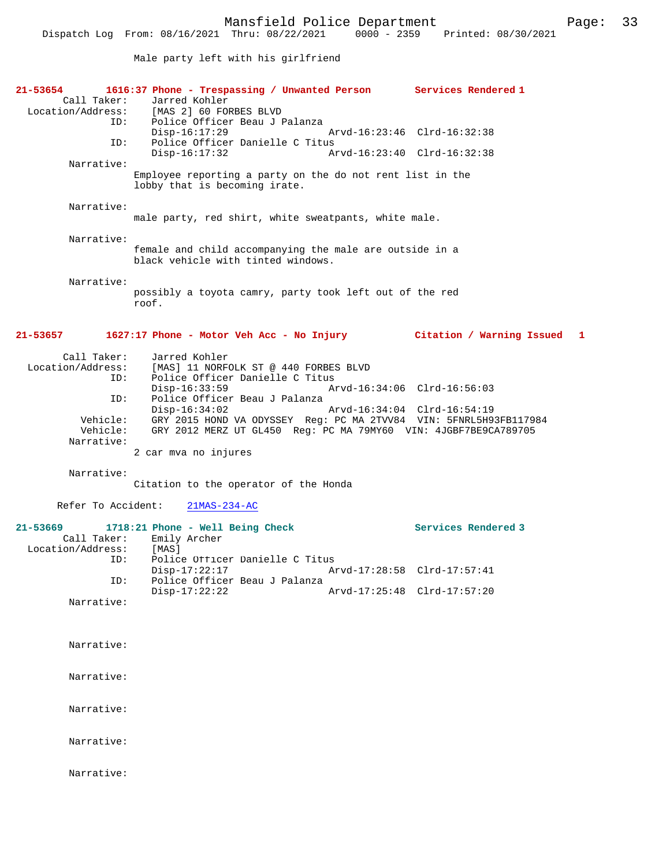Male party left with his girlfriend

| 21-53654<br>Call Taker:<br>ID:       | 1616:37 Phone - Trespassing / Unwanted Person Services Rendered 1<br>Jarred Kohler<br>Location/Address: [MAS 2] 60 FORBES BLVD<br>Police Officer Beau J Palanza<br>$Disp-16:17:29$ | Arvd-16:23:46 Clrd-16:32:38 |
|--------------------------------------|------------------------------------------------------------------------------------------------------------------------------------------------------------------------------------|-----------------------------|
| ID:                                  | Police Officer Danielle C Titus<br>$Disp-16:17:32$                                                                                                                                 | Arvd-16:23:40 Clrd-16:32:38 |
| Narrative:                           | Employee reporting a party on the do not rent list in the                                                                                                                          |                             |
|                                      | lobby that is becoming irate.                                                                                                                                                      |                             |
| Narrative:                           | male party, red shirt, white sweatpants, white male.                                                                                                                               |                             |
| Narrative:                           | female and child accompanying the male are outside in a<br>black vehicle with tinted windows.                                                                                      |                             |
| Narrative:                           | possibly a toyota camry, party took left out of the red<br>roof.                                                                                                                   |                             |
| $21 - 53657$                         | 1627:17 Phone - Motor Veh Acc - No Injury Citation / Warning Issued 1                                                                                                              |                             |
| Call Taker:<br>ID:                   | Jarred Kohler<br>Location/Address: [MAS] 11 NORFOLK ST @ 440 FORBES BLVD<br>Police Officer Danielle C Titus                                                                        | Arvd-16:34:06 Clrd-16:56:03 |
| ID:                                  | $Disp-16:33:59$<br>Police Officer Beau J Palanza                                                                                                                                   |                             |
| Vehicle:                             | $Disp-16:34:02$<br>Vehicle: GRY 2015 HOND VA ODYSSEY Reg: PC MA 2TVV84 VIN: 5FNRL5H93FB117984<br>GRY 2012 MERZ UT GL450 Reg: PC MA 79MY60 VIN: 4JGBF7BE9CA789705                   | Arvd-16:34:04 Clrd-16:54:19 |
| Narrative:                           | 2 car mva no injures                                                                                                                                                               |                             |
| Narrative:                           | Citation to the operator of the Honda                                                                                                                                              |                             |
| Refer To Accident:                   | $21MAS - 234 - AC$                                                                                                                                                                 |                             |
| 21-53669<br>Location/Address:<br>ID: | 1718:21 Phone - Well Being Check<br>Call Taker: Emily Archer<br>[MAS]<br>Police Officer Danielle C Titus                                                                           | Services Rendered 3         |
| ID:                                  | $Disp-17:22:17$<br>Police Officer Beau J Palanza                                                                                                                                   | Arvd-17:28:58 Clrd-17:57:41 |
| Narrative:                           | $Disp-17:22:22$                                                                                                                                                                    | Arvd-17:25:48 Clrd-17:57:20 |
|                                      |                                                                                                                                                                                    |                             |
| Narrative:                           |                                                                                                                                                                                    |                             |
| Narrative:                           |                                                                                                                                                                                    |                             |
| Narrative:                           |                                                                                                                                                                                    |                             |
| Narrative:                           |                                                                                                                                                                                    |                             |
| Narrative:                           |                                                                                                                                                                                    |                             |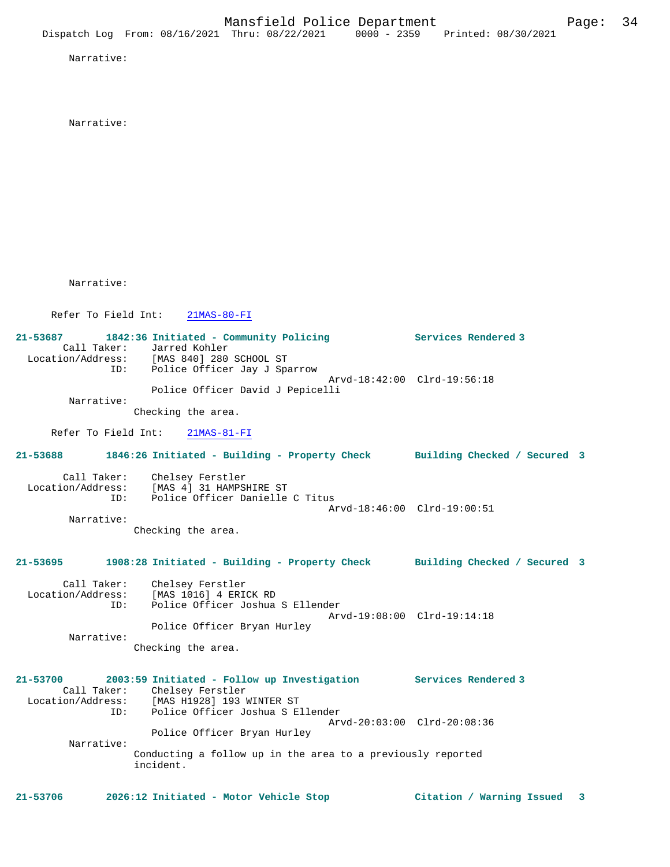Narrative:

Narrative:

Narrative:

Refer To Field Int: 21MAS-80-FI

**21-53687 1842:36 Initiated - Community Policing Services Rendered 3**  Call Taker: Jarred Kohler<br>Location/Address: [MAS 840] 280 [MAS 840] 280 SCHOOL ST ID: Police Officer Jay J Sparrow Arvd-18:42:00 Clrd-19:56:18 Police Officer David J Pepicelli Narrative: Checking the area.

Refer To Field Int: 21MAS-81-FI

**21-53688 1846:26 Initiated - Building - Property Check Building Checked / Secured 3** Call Taker: Chelsey Ferstler Location/Address: [MAS 4] 31 HAMPSHIRE ST ID: Police Officer Danielle C Titus Arvd-18:46:00 Clrd-19:00:51

 Narrative: Checking the area.

# **21-53695 1908:28 Initiated - Building - Property Check Building Checked / Secured 3**

 Call Taker: Chelsey Ferstler Location/Address: [MAS 1016] 4 ERICK RD ID: Police Officer Joshua S Ellender Arvd-19:08:00 Clrd-19:14:18 Police Officer Bryan Hurley Narrative: Checking the area.

# **21-53700 2003:59 Initiated - Follow up Investigation Services Rendered 3**  Call Taker: Chelsey Ferstler Location/Address: [MAS H1928] 193 WINTER ST ID: Police Officer Joshua S Ellender Arvd-20:03:00 Clrd-20:08:36 Police Officer Bryan Hurley Narrative: Conducting a follow up in the area to a previously reported incident.

**21-53706 2026:12 Initiated - Motor Vehicle Stop Citation / Warning Issued 3**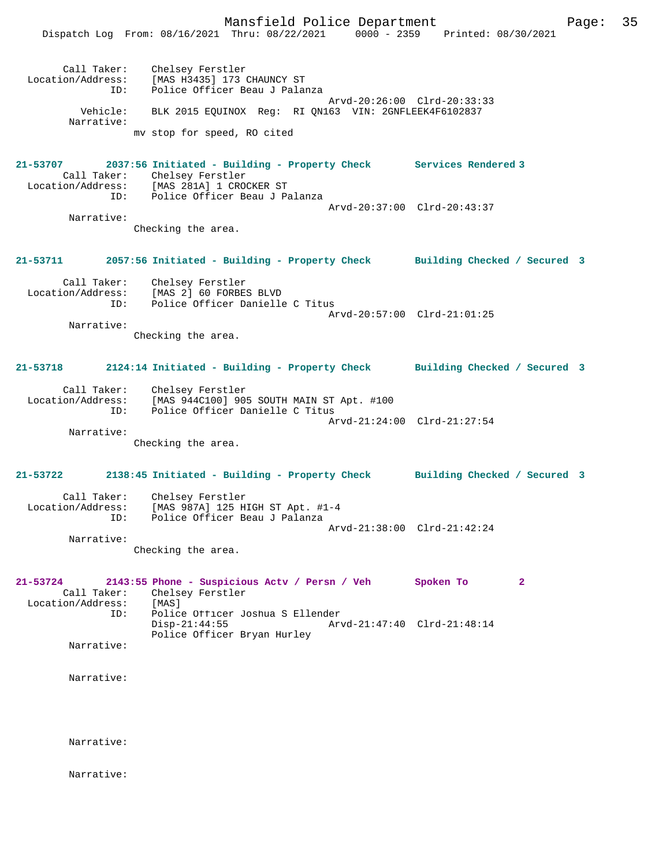Mansfield Police Department Page: 35 Dispatch Log From: 08/16/2021 Thru: 08/22/2021 0000 - 2359 Printed: 08/30/2021 Call Taker: Chelsey Ferstler Location/Address: [MAS H3435] 173 CHAUNCY ST ID: Police Officer Beau J Palanza Arvd-20:26:00 Clrd-20:33:33 Vehicle: BLK 2015 EQUINOX Reg: RI QN163 VIN: 2GNFLEEK4F6102837 Narrative: mv stop for speed, RO cited **21-53707 2037:56 Initiated - Building - Property Check Services Rendered 3**  Call Taker: Chelsey Ferstler Location/Address: [MAS 281A] 1 CROCKER ST ID: Police Officer Beau J Palanza Arvd-20:37:00 Clrd-20:43:37 Narrative: Checking the area. **21-53711 2057:56 Initiated - Building - Property Check Building Checked / Secured 3** Call Taker: Chelsey Ferstler Location/Address: [MAS 2] 60 FORBES BLVD ID: Police Officer Danielle C Titus Arvd-20:57:00 Clrd-21:01:25 Narrative: Checking the area. **21-53718 2124:14 Initiated - Building - Property Check Building Checked / Secured 3** Call Taker: Chelsey Ferstler Location/Address: [MAS 944C100] 905 SOUTH MAIN ST Apt. #100 ID: Police Officer Danielle C Titus Arvd-21:24:00 Clrd-21:27:54 Narrative: Checking the area. **21-53722 2138:45 Initiated - Building - Property Check Building Checked / Secured 3** Call Taker: Chelsey Ferstler Location/Address: [MAS 987A] 125 HIGH ST Apt. #1-4 ID: Police Officer Beau J Palanza Arvd-21:38:00 Clrd-21:42:24 Narrative: Checking the area. **21-53724 2143:55 Phone - Suspicious Actv / Persn / Veh Spoken To 2**  Call Taker: Chelsey Ferstler<br>ion/Address: [MAS] Location/Address: ID: Police Officer Joshua S Ellender Disp-21:44:55 Arvd-21:47:40 Clrd-21:48:14 Police Officer Bryan Hurley Narrative: Narrative: Narrative:

Narrative: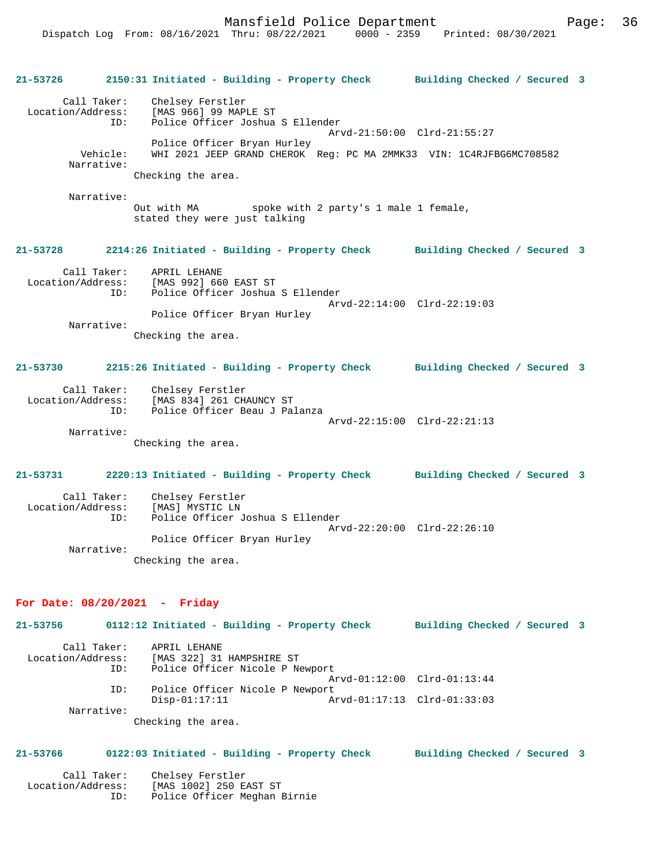Mansfield Police Department Form Page: 36

**21-53726 2150:31 Initiated - Building - Property Check Building Checked / Secured 3** Call Taker: Chelsey Ferstler Location/Address: [MAS 966] 99 MAPLE ST Police Officer Joshua S Ellender Arvd-21:50:00 Clrd-21:55:27 Police Officer Bryan Hurley Vehicle: WHI 2021 JEEP GRAND CHEROK Reg: PC MA 2MMK33 VIN: 1C4RJFBG6MC708582 Narrative: Checking the area. Narrative: Out with MA spoke with 2 party's 1 male 1 female, stated they were just talking **21-53728 2214:26 Initiated - Building - Property Check Building Checked / Secured 3** Call Taker: APRIL LEHANE<br>Location/Address: [MAS 992] 66 [MAS 992] 660 EAST ST ID: Police Officer Joshua S Ellender Arvd-22:14:00 Clrd-22:19:03 Police Officer Bryan Hurley Narrative: Checking the area. **21-53730 2215:26 Initiated - Building - Property Check Building Checked / Secured 3** Call Taker: Chelsey Ferstler Location/Address: [MAS 834] 261 CHAUNCY ST ID: Police Officer Beau J Palanza Arvd-22:15:00 Clrd-22:21:13 Narrative: Checking the area. **21-53731 2220:13 Initiated - Building - Property Check Building Checked / Secured 3** Call Taker: Chelsey Ferstler<br>.on/Address: [MAS] MYSTIC LN Location/Address:

 ID: Police Officer Joshua S Ellender Arvd-22:20:00 Clrd-22:26:10 Police Officer Bryan Hurley Narrative: Checking the area.

#### **For Date: 08/20/2021 - Friday**

**21-53756 0112:12 Initiated - Building - Property Check Building Checked / Secured 3** Call Taker: APRIL LEHANE Location/Address: [MAS 322] 31 HAMPSHIRE ST Police Officer Nicole P Newport Arvd-01:12:00 Clrd-01:13:44 ID: Police Officer Nicole P Newport<br>Disp-01:17:11 A Arvd-01:17:13 Clrd-01:33:03 Narrative: Checking the area.

### **21-53766 0122:03 Initiated - Building - Property Check Building Checked / Secured 3**

| Call Taker:       | Chelsey Ferstler             |
|-------------------|------------------------------|
| Location/Address: | [MAS 1002] 250 EAST ST       |
| TD:               | Police Officer Meghan Birnie |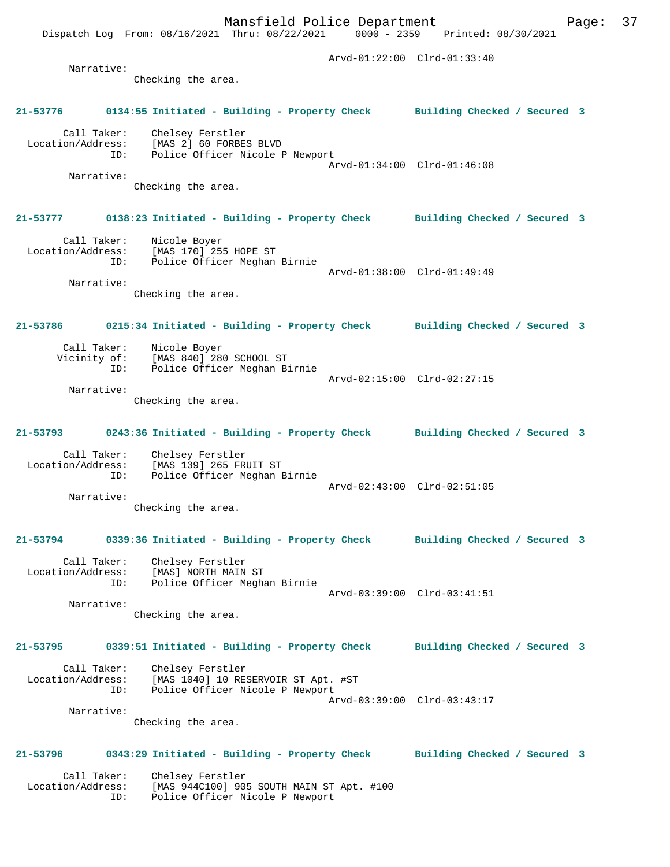Dispatch Log From: 08/16/2021 Thru: 08/22/2021 0000 - 2359 Printed: 08/30/2021 Arvd-01:22:00 Clrd-01:33:40 Narrative: Checking the area. **21-53776 0134:55 Initiated - Building - Property Check Building Checked / Secured 3** Call Taker: Chelsey Ferstler Location/Address: [MAS 2] 60 FORBES BLVD ID: Police Officer Nicole P Newport Arvd-01:34:00 Clrd-01:46:08 Narrative: Checking the area. **21-53777 0138:23 Initiated - Building - Property Check Building Checked / Secured 3** Call Taker: Nicole Boyer Location/Address: [MAS 170] 255 HOPE ST ID: Police Officer Meghan Birnie Arvd-01:38:00 Clrd-01:49:49 Narrative: Checking the area. **21-53786 0215:34 Initiated - Building - Property Check Building Checked / Secured 3** Call Taker: Nicole Boyer<br>Vicinity of: [MAS 840] 28 [MAS 840] 280 SCHOOL ST ID: Police Officer Meghan Birnie Arvd-02:15:00 Clrd-02:27:15 Narrative: Checking the area. **21-53793 0243:36 Initiated - Building - Property Check Building Checked / Secured 3** Call Taker: Chelsey Ferstler Location/Address: [MAS 139] 265 FRUIT ST ID: Police Officer Meghan Birnie Arvd-02:43:00 Clrd-02:51:05 Narrative: Checking the area. **21-53794 0339:36 Initiated - Building - Property Check Building Checked / Secured 3** Call Taker: Chelsey Ferstler Location/Address: [MAS] NORTH MAIN ST ID: Police Officer Meghan Birnie Arvd-03:39:00 Clrd-03:41:51 Narrative: Checking the area. **21-53795 0339:51 Initiated - Building - Property Check Building Checked / Secured 3** Call Taker: Chelsey Ferstler Location/Address: [MAS 1040] 10 RESERVOIR ST Apt. #ST ID: Police Officer Nicole P Newport Arvd-03:39:00 Clrd-03:43:17 Narrative: Checking the area. **21-53796 0343:29 Initiated - Building - Property Check Building Checked / Secured 3** Call Taker: Chelsey Ferstler<br>Location/Address: [MAS 944C100] 909 ess: [MAS 944C100] 905 SOUTH MAIN ST Apt. #100<br>ID: Police Officer Nicole P Newport

Police Officer Nicole P Newport

Mansfield Police Department Fage: 37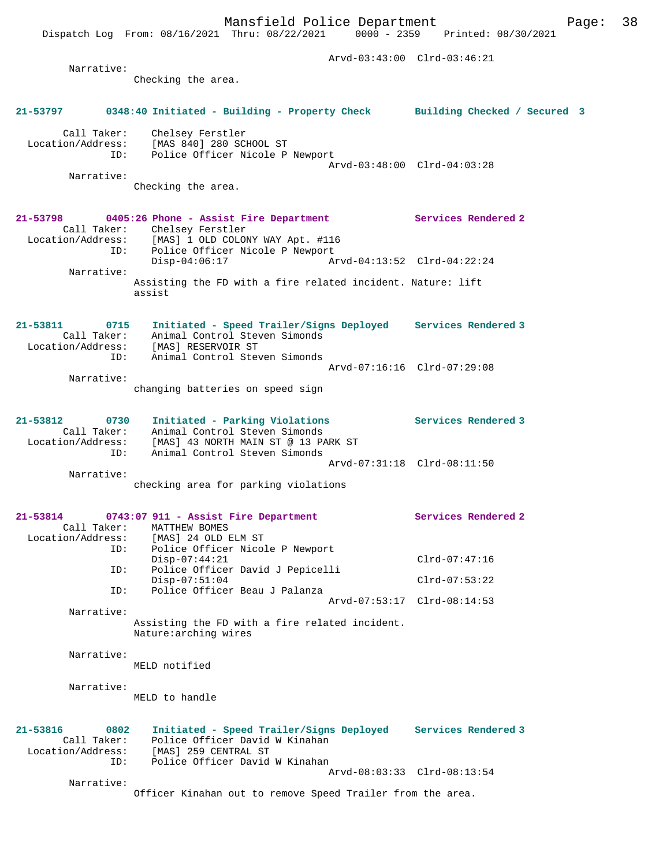Dispatch Log From: 08/16/2021 Thru: 08/22/2021 0000 - 2359 Printed: 08/30/2021

|               |                                                 |                                                                                                                                                                                                       | Arvd-03:43:00 Clrd-03:46:21 |
|---------------|-------------------------------------------------|-------------------------------------------------------------------------------------------------------------------------------------------------------------------------------------------------------|-----------------------------|
|               | Narrative:                                      | Checking the area.                                                                                                                                                                                    |                             |
|               |                                                 | 21-53797 0348:40 Initiated - Building - Property Check Building Checked / Secured 3                                                                                                                   |                             |
|               |                                                 | Call Taker: Chelsey Ferstler<br>Location/Address: [MAS 840] 280 SCHOOL ST<br>ID: Police Officer Nicole P Newport                                                                                      | Arvd-03:48:00 Clrd-04:03:28 |
|               | Narrative:                                      | Checking the area.                                                                                                                                                                                    |                             |
|               | ID:                                             | 21-53798 0405:26 Phone - Assist Fire Department Services Rendered 2<br>Call Taker: Chelsey Ferstler<br>Location/Address: [MAS] 1 OLD COLONY WAY Apt. #116<br>Police Officer Nicole P Newport          |                             |
|               | Narrative:                                      | $Disp-04:06:17$<br>Arvd-04:13:52 Clrd-04:22:24                                                                                                                                                        |                             |
|               |                                                 | Assisting the FD with a fire related incident. Nature: lift<br>assist                                                                                                                                 |                             |
| 21-53811 0715 | Location/Address:                               | Initiated - Speed Trailer/Signs Deployed Services Rendered 3<br>Call Taker: Animal Concrete<br>MAS] RESERVOIR ST [MAS] RESERVOIR ST<br>Animal Control Steven Simonds<br>Animal Control Steven Simonds |                             |
|               | ID:<br>Narrative:                               | Arvd-07:16:16 Clrd-07:29:08                                                                                                                                                                           |                             |
|               |                                                 | changing batteries on speed sign                                                                                                                                                                      |                             |
| 21-53812 0730 | ID:                                             | Initiated - Parking Violations<br>Call Taker: Animal Control Steven Simonds<br>Location/Address: [MAS] 43 NORTH MAIN ST @ 13 PARK ST<br>Animal Control Steven Simonds                                 | Services Rendered 3         |
|               | Narrative:                                      |                                                                                                                                                                                                       | Arvd-07:31:18 Clrd-08:11:50 |
|               |                                                 | checking area for parking violations                                                                                                                                                                  |                             |
|               |                                                 | 21-53814 0743:07 911 - Assist Fire Department<br>Call Taker: MATTHEW BOMES<br>Location/Address: [MAS] 24 OLD ELM ST                                                                                   | Services Rendered 2         |
|               | ID:<br>ID:                                      | Police Officer Nicole P Newport<br>$Disp-07:44:21$<br>Police Officer David J Pepicelli                                                                                                                | $Clrd-07:47:16$             |
|               | ID:                                             | $Disp-07:51:04$<br>Police Officer Beau J Palanza                                                                                                                                                      | $Clrd-07:53:22$             |
|               | Narrative:                                      |                                                                                                                                                                                                       | Arvd-07:53:17 Clrd-08:14:53 |
|               |                                                 | Assisting the FD with a fire related incident.<br>Nature: arching wires                                                                                                                               |                             |
|               | Narrative:                                      | MELD notified                                                                                                                                                                                         |                             |
|               | Narrative:                                      | MELD to handle                                                                                                                                                                                        |                             |
| 21-53816      | 0802<br>Call Taker:<br>Location/Address:<br>ID: | Initiated - Speed Trailer/Signs Deployed<br>Police Officer David W Kinahan<br>[MAS] 259 CENTRAL ST<br>Police Officer David W Kinahan                                                                  | Services Rendered 3         |
|               | Narrative:                                      |                                                                                                                                                                                                       | Arvd-08:03:33 Clrd-08:13:54 |
|               |                                                 | Officer Kinahan out to remove Speed Trailer from the area.                                                                                                                                            |                             |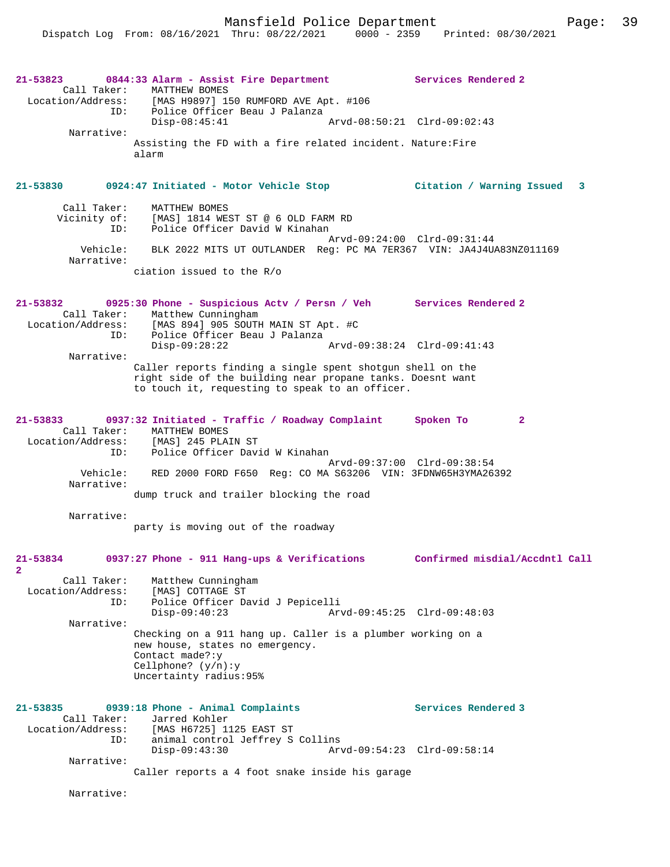| Call Taker:<br>Location/Address:        | 21-53823 0844:33 Alarm - Assist Fire Department<br>MATTHEW BOMES<br>[MAS H9897] 150 RUMFORD AVE Apt. #106                                                                   | Services Rendered 2            |
|-----------------------------------------|-----------------------------------------------------------------------------------------------------------------------------------------------------------------------------|--------------------------------|
|                                         | ID: Police Officer Beau J Palanza<br>$Disp-08:45:41$                                                                                                                        | Arvd-08:50:21 Clrd-09:02:43    |
| Narrative:                              | Assisting the FD with a fire related incident. Nature: Fire<br>alarm                                                                                                        |                                |
| 21-53830                                | 0924:47 Initiated - Motor Vehicle Stop               Citation / Warning Issued                                                                                              | 3                              |
| Call Taker:<br>ID:                      | MATTHEW BOMES<br>Vicinity of: [MAS] 1814 WEST ST @ 6 OLD FARM RD<br>Police Officer David W Kinahan                                                                          |                                |
| Vehicle:<br>Narrative:                  | BLK 2022 MITS UT OUTLANDER Req: PC MA 7ER367 VIN: JA4J4UA83NZ011169                                                                                                         | Arvd-09:24:00 Clrd-09:31:44    |
|                                         | ciation issued to the R/o                                                                                                                                                   |                                |
| 21-53832<br>Location/Address:<br>ID:    | 0925:30 Phone - Suspicious Actv / Persn / Veh Services Rendered 2<br>Call Taker: Matthew Cunningham<br>[MAS 894] 905 SOUTH MAIN ST Apt. #C<br>Police Officer Beau J Palanza |                                |
| Narrative:                              | $Disp-09:28:22$                                                                                                                                                             | Arvd-09:38:24 Clrd-09:41:43    |
|                                         | Caller reports finding a single spent shotgun shell on the<br>right side of the building near propane tanks. Doesnt want<br>to touch it, requesting to speak to an officer. |                                |
| ID:                                     | 21-53833 0937:32 Initiated - Traffic / Roadway Complaint<br>Call Taker: MATTHEW BOMES<br>Location/Address: [MAS] 245 PLAIN ST<br>Police Officer David W Kinahan             | Spoken To<br>$\mathbf{2}$      |
| Vehicle:<br>Narrative:                  | RED 2000 FORD F650 Req: CO MA S63206 VIN: 3FDNW65H3YMA26392                                                                                                                 | Arvd-09:37:00 Clrd-09:38:54    |
| Narrative:                              | dump truck and trailer blocking the road                                                                                                                                    |                                |
|                                         | party is moving out of the roadway                                                                                                                                          |                                |
| 21-53834<br>$\overline{2}$              | 0937:27 Phone - 911 Hang-ups & Verifications                                                                                                                                | Confirmed misdial/Accdntl Call |
| Call Taker:<br>Location/Address:<br>ID: | Matthew Cunningham<br>[MAS] COTTAGE ST<br>Police Officer David J Pepicelli<br>$Disp-09:40:23$                                                                               | Arvd-09:45:25 Clrd-09:48:03    |
| Narrative:                              | Checking on a 911 hang up. Caller is a plumber working on a<br>new house, states no emergency.<br>Contact made?: y<br>Cellphone? $(y/n):y$<br>Uncertainty radius: 95%       |                                |
| 21-53835<br>Call Taker:                 | 0939:18 Phone - Animal Complaints<br>Jarred Kohler                                                                                                                          | Services Rendered 3            |
| ID:                                     | Location/Address: [MAS H6725] 1125 EAST ST<br>animal control Jeffrey S Collins<br>$Disp-09:43:30$                                                                           | Arvd-09:54:23 Clrd-09:58:14    |
| Narrative:                              | Caller reports a 4 foot snake inside his garage                                                                                                                             |                                |
| Narrative:                              |                                                                                                                                                                             |                                |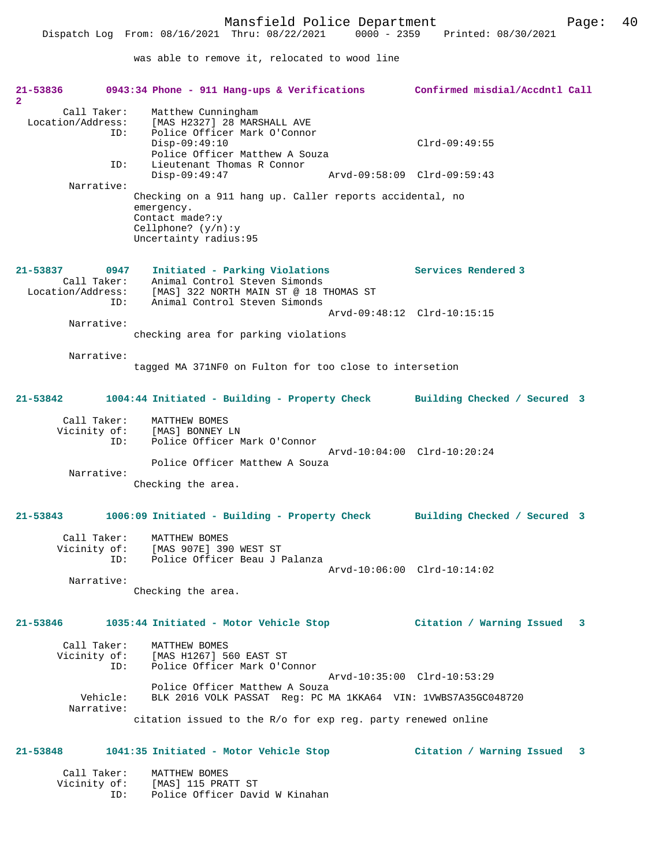was able to remove it, relocated to wood line

| 21-53836<br>$\mathbf{2}$                                    | 0943:34 Phone - 911 Hang-ups & Verifications Confirmed misdial/Accdntl Call                                                                                          |                              |
|-------------------------------------------------------------|----------------------------------------------------------------------------------------------------------------------------------------------------------------------|------------------------------|
| Call Taker:<br>Location/Address:<br>ID:<br>ID:              | Matthew Cunningham<br>[MAS H2327] 28 MARSHALL AVE<br>Police Officer Mark O'Connor<br>$Disp-09:49:10$<br>Police Officer Matthew A Souza<br>Lieutenant Thomas R Connor | $Clrd-09:49:55$              |
|                                                             | $Disp-09:49:47$                                                                                                                                                      | Arvd-09:58:09 Clrd-09:59:43  |
| Narrative:                                                  | Checking on a 911 hang up. Caller reports accidental, no<br>emergency.<br>Contact made?: y<br>Cellphone? $(y/n):y$<br>Uncertainty radius: 95                         |                              |
| 21-53837<br>0947<br>Call Taker:<br>Location/Address:<br>ID: | Initiated - Parking Violations<br>Animal Control Steven Simonds<br>[MAS] 322 NORTH MAIN ST @ 18 THOMAS ST<br>Animal Control Steven Simonds                           | Services Rendered 3          |
|                                                             |                                                                                                                                                                      | Arvd-09:48:12 Clrd-10:15:15  |
| Narrative:                                                  | checking area for parking violations                                                                                                                                 |                              |
| Narrative:                                                  | tagged MA 371NF0 on Fulton for too close to intersetion                                                                                                              |                              |
| 21-53842                                                    | 1004:44 Initiated - Building - Property Check                                                                                                                        | Building Checked / Secured 3 |
| Call Taker:<br>Vicinity of:<br>ID:                          | MATTHEW BOMES<br>[MAS] BONNEY LN<br>Police Officer Mark O'Connor                                                                                                     |                              |
| Narrative:                                                  | Police Officer Matthew A Souza                                                                                                                                       | Arvd-10:04:00 Clrd-10:20:24  |
|                                                             | Checking the area.                                                                                                                                                   |                              |
| $21 - 53843$                                                | 1006:09 Initiated - Building - Property Check                                                                                                                        | Building Checked / Secured 3 |
| Call Taker:<br>Vicinity of:<br>ID:                          | MATTHEW BOMES<br>[MAS 907E] 390 WEST ST<br>Police Officer Beau J Palanza                                                                                             |                              |
| Narrative:                                                  | Checking the area.                                                                                                                                                   | Arvd-10:06:00 Clrd-10:14:02  |
| 21-53846                                                    | 1035:44 Initiated - Motor Vehicle Stop                                                                                                                               | Citation / Warning Issued 3  |
| Call Taker:                                                 | MATTHEW BOMES<br>Vicinity of: [MAS H1267] 560 EAST ST<br>ID:<br>Police Officer Mark O'Connor                                                                         | Arvd-10:35:00 Clrd-10:53:29  |
| Vehicle:<br>Narrative:                                      | Police Officer Matthew A Souza<br>BLK 2016 VOLK PASSAT Req: PC MA 1KKA64 VIN: 1VWBS7A35GC048720                                                                      |                              |
|                                                             | citation issued to the R/o for exp req. party renewed online                                                                                                         |                              |
| 21-53848                                                    |                                                                                                                                                                      |                              |
| Call Taker:                                                 | MATTHEW BOMES<br>Vicinity of: [MAS] 115 PRATT ST<br>Police Officer David W Kinahan<br>ID:                                                                            |                              |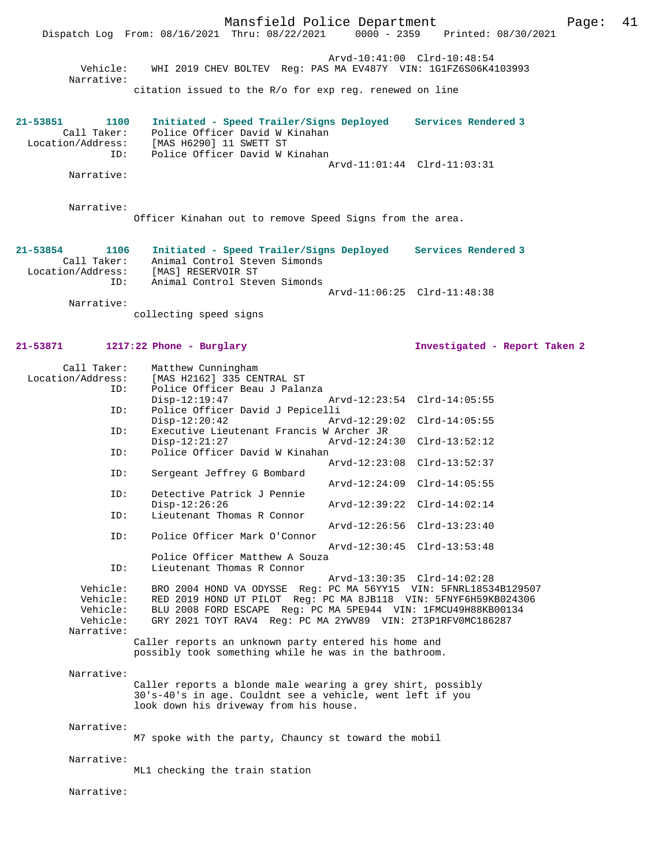Mansfield Police Department Page: 41 Dispatch Log From: 08/16/2021 Thru: 08/22/2021 Arvd-10:41:00 Clrd-10:48:54 Vehicle: WHI 2019 CHEV BOLTEV Reg: PAS MA EV487Y VIN: 1G1FZ6S06K4103993 Narrative: citation issued to the R/o for exp reg. renewed on line **21-53851 1100 Initiated - Speed Trailer/Signs Deployed Services Rendered 3**  Call Taker: Police Officer David W Kinahan Location/Address: [MAS H6290] 11 SWETT ST ID: Police Officer David W Kinahan Arvd-11:01:44 Clrd-11:03:31 Narrative: Narrative: Officer Kinahan out to remove Speed Signs from the area. **21-53854 1106 Initiated - Speed Trailer/Signs Deployed Services Rendered 3**  Call Taker: Animal Control Steven Simonds<br>Location/Address: [MAS] RESERVOIR ST Location/Address: [MAS] RESERVOIR ST ID: Animal Control Steven Simonds Arvd-11:06:25 Clrd-11:48:38 Narrative: collecting speed signs **21-53871 1217:22 Phone - Burglary Investigated - Report Taken 2** Call Taker: Matthew Cunningham<br>Location/Address: [MAS H2162] 335 CEN ess: [MAS H2162] 335 CENTRAL ST<br>ID: Police Officer Beau J Palau Police Officer Beau J Palanza<br>Disp-12:19:47 Disp-12:19:47 Arvd-12:23:54 Clrd-14:05:55 ID: Police Officer David J Pepicelli Disp-12:20:42 Arvd-12:29:02 Clrd-14:05:55<br>ID: Executive Lieutenant Francis W Archer JR Executive Lieutenant Francis W Archer JR<br>Disp-12:21:27  $Arvd-12:24$  Disp-12:21:27 Arvd-12:24:30 Clrd-13:52:12 ID: Police Officer David W Kinahan Arvd-12:23:08 Clrd-13:52:37 ID: Sergeant Jeffrey G Bombard Arvd-12:24:09 Clrd-14:05:55<br>ID: Detective Patrick J Pennie Detective Patrick J Pennie<br>Disp-12:26:26 Disp-12:26:26 Arvd-12:39:22 Clrd-14:02:14 ID: Lieutenant Thomas R Connor Arvd-12:26:56 Clrd-13:23:40<br>TD: Police Officer Mark O'Connor Police Officer Mark O'Connor Arvd-12:30:45 Clrd-13:53:48 Police Officer Matthew A Souza ID: Lieutenant Thomas R Connor Arvd-13:30:35 Clrd-14:02:28<br>Vehicle: BRO 2004 HOND VA ODYSSE Req: PC MA 56YY15 VIN: 5FNRL1853 BRO 2004 HOND VA ODYSSE Reg: PC MA 56YY15 VIN: 5FNRL18534B129507 Vehicle: RED 2019 HOND UT PILOT Reg: PC MA 8JB118 VIN: 5FNYF6H59KB024306<br>Vehicle: BLU 2008 FORD ESCAPE Reg: PC MA 5PE944 VIN: 1FMCU49H88KB00134 Vehicle: BLU 2008 FORD ESCAPE Reg: PC MA 5PE944 VIN: 1FMCU49H88KB00134<br>Vehicle: GRY 2021 TOYT RAV4 Reg: PC MA 2YWV89 VIN: 2T3P1RFV0MC186287 Vehicle: GRY 2021 TOYT RAV4 Reg: PC MA 2YWV89 VIN: 2T3P1RFV0MC186287 Narrative: Caller reports an unknown party entered his home and possibly took something while he was in the bathroom. Narrative: Caller reports a blonde male wearing a grey shirt, possibly 30's-40's in age. Couldnt see a vehicle, went left if you look down his driveway from his house. Narrative: M7 spoke with the party, Chauncy st toward the mobil Narrative: ML1 checking the train station Narrative: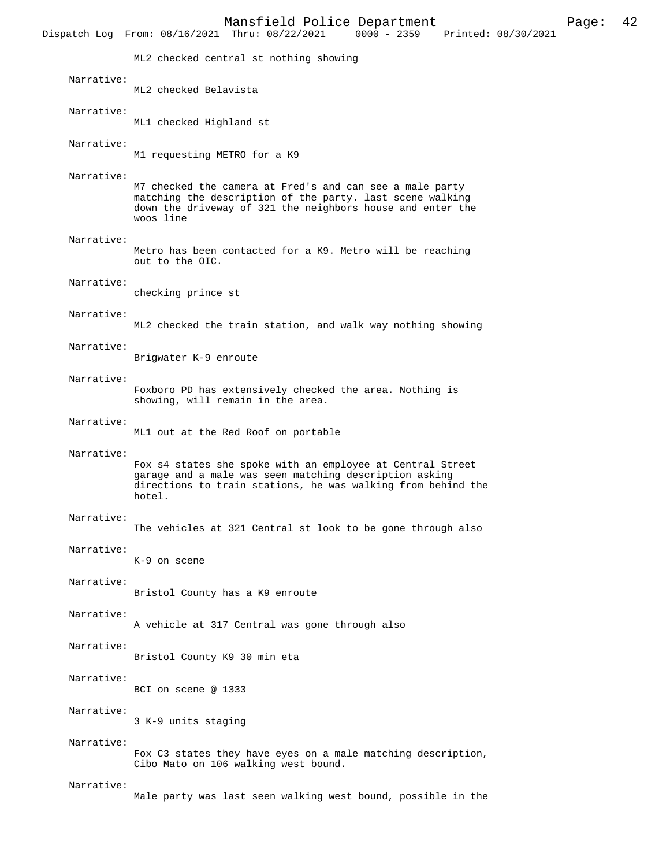|            | Mansfield Police Department<br>42<br>Page:<br>$0000 - 2359$<br>Dispatch Log From: 08/16/2021 Thru: 08/22/2021<br>Printed: 08/30/2021                                                             |
|------------|--------------------------------------------------------------------------------------------------------------------------------------------------------------------------------------------------|
|            | ML2 checked central st nothing showing                                                                                                                                                           |
| Narrative: | ML2 checked Belavista                                                                                                                                                                            |
| Narrative: | ML1 checked Highland st                                                                                                                                                                          |
| Narrative: | M1 requesting METRO for a K9                                                                                                                                                                     |
| Narrative: | M7 checked the camera at Fred's and can see a male party<br>matching the description of the party. last scene walking<br>down the driveway of 321 the neighbors house and enter the<br>woos line |
| Narrative: | Metro has been contacted for a K9. Metro will be reaching<br>out to the OIC.                                                                                                                     |
| Narrative: | checking prince st                                                                                                                                                                               |
| Narrative: | ML2 checked the train station, and walk way nothing showing                                                                                                                                      |
| Narrative: | Brigwater K-9 enroute                                                                                                                                                                            |
| Narrative: | Foxboro PD has extensively checked the area. Nothing is<br>showing, will remain in the area.                                                                                                     |
| Narrative: | ML1 out at the Red Roof on portable                                                                                                                                                              |
| Narrative: | Fox s4 states she spoke with an employee at Central Street<br>garage and a male was seen matching description asking<br>directions to train stations, he was walking from behind the<br>hotel.   |
| Narrative: | The vehicles at 321 Central st look to be gone through also                                                                                                                                      |
| Narrative: | K-9 on scene                                                                                                                                                                                     |
| Narrative: | Bristol County has a K9 enroute                                                                                                                                                                  |
| Narrative: | A vehicle at 317 Central was gone through also                                                                                                                                                   |
| Narrative: | Bristol County K9 30 min eta                                                                                                                                                                     |
| Narrative: | BCI on scene @ 1333                                                                                                                                                                              |
| Narrative: | 3 K-9 units staging                                                                                                                                                                              |
| Narrative: | Fox C3 states they have eyes on a male matching description,<br>Cibo Mato on 106 walking west bound.                                                                                             |
| Narrative: | Male party was last seen walking west bound, possible in the                                                                                                                                     |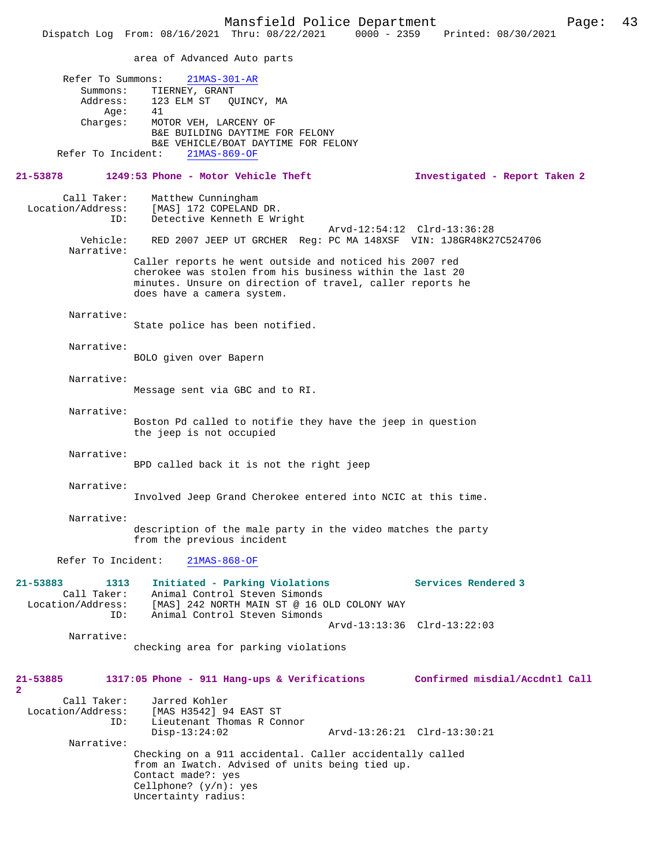area of Advanced Auto parts Refer To Summons: 21MAS-301-AR Summons: TIERNEY, GRANT<br>Address: 123 ELM ST QU 123 ELM ST QUINCY, MA Age: 41<br>Charges: MO' MOTOR VEH, LARCENY OF B&E BUILDING DAYTIME FOR FELONY B&E VEHICLE/BOAT DAYTIME FOR FELONY<br>ht: 21MAS-869-OF Refer To Incident: **21-53878 1249:53 Phone - Motor Vehicle Theft Investigated - Report Taken 2** Call Taker: Matthew Cunningham<br>Location/Address: [MAS] 172 COPELAND ess: [MAS] 172 COPELAND DR.<br>ID: Detective Kenneth E Wr Detective Kenneth E Wright Arvd-12:54:12 Clrd-13:36:28<br>Vebicle: RED 2007 JEEP UT GROHER Reg: PC MA 148XSE VIN: 1J8GR48K2 Vehicle: RED 2007 JEEP UT GRCHER Reg: PC MA 148XSF VIN: 1J8GR48K27C524706 Narrative: Caller reports he went outside and noticed his 2007 red cherokee was stolen from his business within the last 20 minutes. Unsure on direction of travel, caller reports he does have a camera system. Narrative: State police has been notified. Narrative: BOLO given over Bapern Narrative: Message sent via GBC and to RI. Narrative: Boston Pd called to notifie they have the jeep in question the jeep is not occupied Narrative: BPD called back it is not the right jeep Narrative: Involved Jeep Grand Cherokee entered into NCIC at this time. Narrative: description of the male party in the video matches the party from the previous incident Refer To Incident: 21MAS-868-OF **21-53883 1313 Initiated - Parking Violations Services Rendered 3**  Call Taker: Animal Control Steven Simonds Location/Address: [MAS] 242 NORTH MAIN ST @ 16 OLD COLONY WAY ID: Animal Control Steven Simonds Arvd-13:13:36 Clrd-13:22:03 Narrative: checking area for parking violations **21-53885 1317:05 Phone - 911 Hang-ups & Verifications Confirmed misdial/Accdntl Call 2**  Call Taker: Jarred Kohler Location/Address: [MAS H3542] 94 EAST ST Lieutenant Thomas R Connor<br> $Disp-13:24:02$  Disp-13:24:02 Arvd-13:26:21 Clrd-13:30:21 Narrative: Checking on a 911 accidental. Caller accidentally called from an Iwatch. Advised of units being tied up. Contact made?: yes Cellphone? (y/n): yes Uncertainty radius: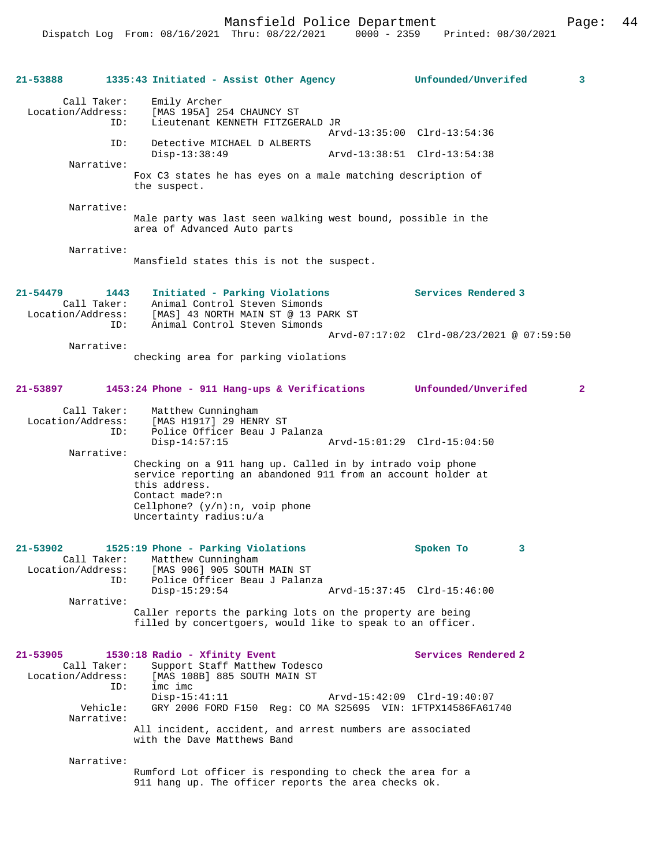| 21-53888                                         | 1335:43 Initiated - Assist Other Agency                                                                                                                                                                                       | Unfounded/Unverifed<br>3                 |
|--------------------------------------------------|-------------------------------------------------------------------------------------------------------------------------------------------------------------------------------------------------------------------------------|------------------------------------------|
| Call Taker:<br>Location/Address:                 | Emily Archer<br>[MAS 195A] 254 CHAUNCY ST<br>Lieutenant KENNETH FITZGERALD JR<br>ID:                                                                                                                                          |                                          |
|                                                  | ID:<br>Detective MICHAEL D ALBERTS                                                                                                                                                                                            | Arvd-13:35:00 Clrd-13:54:36              |
| Narrative:                                       | $Disp-13:38:49$                                                                                                                                                                                                               | Arvd-13:38:51 Clrd-13:54:38              |
|                                                  | Fox C3 states he has eyes on a male matching description of<br>the suspect.                                                                                                                                                   |                                          |
| Narrative:                                       | Male party was last seen walking west bound, possible in the<br>area of Advanced Auto parts                                                                                                                                   |                                          |
| Narrative:                                       | Mansfield states this is not the suspect.                                                                                                                                                                                     |                                          |
| 21-54479<br>Call Taker:<br>Location/Address:     | Initiated - Parking Violations<br>1443<br>Animal Control Steven Simonds<br>[MAS] 43 NORTH MAIN ST @ 13 PARK ST<br>Animal Control Steven Simonds<br>ID:                                                                        | Services Rendered 3                      |
| Narrative:                                       |                                                                                                                                                                                                                               | Arvd-07:17:02 Clrd-08/23/2021 @ 07:59:50 |
|                                                  | checking area for parking violations                                                                                                                                                                                          |                                          |
| 21-53897                                         | 1453:24 Phone - 911 Hang-ups & Verifications Unfounded/Unverifed                                                                                                                                                              | $\mathbf{2}$                             |
| Call Taker:<br>Location/Address:                 | Matthew Cunningham<br>[MAS H1917] 29 HENRY ST<br>Police Officer Beau J Palanza<br>ID:<br>$Disp-14:57:15$                                                                                                                      | Arvd-15:01:29 Clrd-15:04:50              |
| Narrative:                                       | Checking on a 911 hang up. Called in by intrado voip phone<br>service reporting an abandoned 911 from an account holder at<br>this address.<br>Contact made?:n<br>Cellphone? $(y/n):n$ , voip phone<br>Uncertainty radius:u/a |                                          |
| $21 - 53902$<br>Call Taker:<br>Location/Address: | 1525:19 Phone - Parking Violations<br>Matthew Cunningham<br>[MAS 906] 905 SOUTH MAIN ST                                                                                                                                       | Spoken To<br>3                           |
| ID:                                              | Police Officer Beau J Palanza<br>$Disp-15:29:54$                                                                                                                                                                              | Arvd-15:37:45 Clrd-15:46:00              |
| Narrative:                                       | Caller reports the parking lots on the property are being<br>filled by concertgoers, would like to speak to an officer.                                                                                                       |                                          |
| 21-53905<br>Call Taker:<br>Location/Address:     | 1530:18 Radio - Xfinity Event<br>Support Staff Matthew Todesco<br>[MAS 108B] 885 SOUTH MAIN ST<br>imc imc<br>ID:                                                                                                              | Services Rendered 2                      |
| Vehicle:<br>Narrative:                           | $Disp-15:41:11$<br>GRY 2006 FORD F150 Req: CO MA S25695 VIN: 1FTPX14586FA61740                                                                                                                                                | Arvd-15:42:09 Clrd-19:40:07              |
|                                                  | All incident, accident, and arrest numbers are associated<br>with the Dave Matthews Band                                                                                                                                      |                                          |
| Narrative:                                       |                                                                                                                                                                                                                               |                                          |
|                                                  | Rumford Lot officer is responding to check the area for a<br>911 hang up. The officer reports the area checks ok.                                                                                                             |                                          |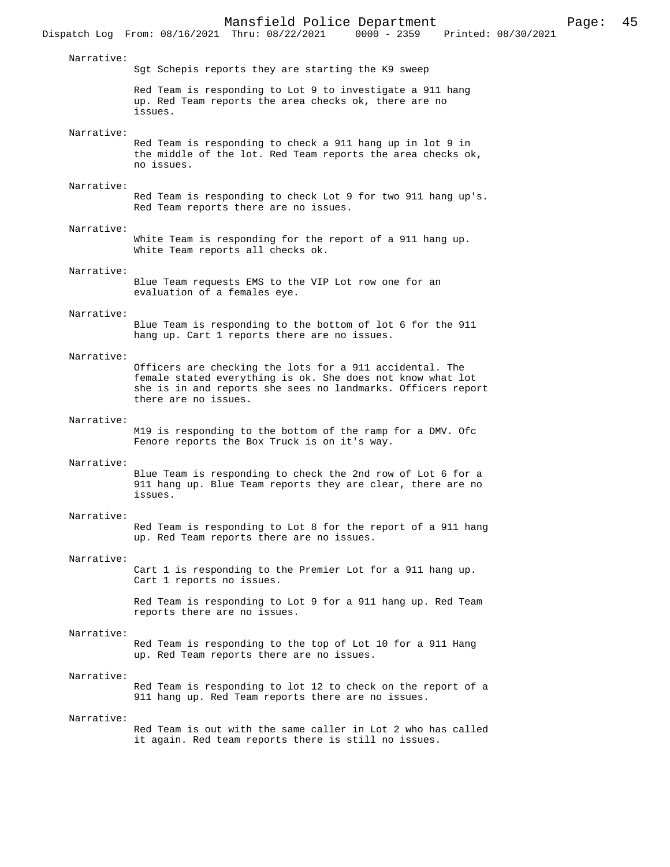Narrative:

Dispatch Log From: 08/16/2021 Thru: 08/22/2021

Sgt Schepis reports they are starting the K9 sweep

Red Team is responding to Lot 9 to investigate a 911 hang up. Red Team reports the area checks ok, there are no issues.

### Narrative:

Red Team is responding to check a 911 hang up in lot 9 in the middle of the lot. Red Team reports the area checks ok, no issues.

## Narrative:

Red Team is responding to check Lot 9 for two 911 hang up's. Red Team reports there are no issues.

# Narrative:

White Team is responding for the report of a 911 hang up. White Team reports all checks ok.

#### Narrative:

Blue Team requests EMS to the VIP Lot row one for an evaluation of a females eye.

## Narrative:

Blue Team is responding to the bottom of lot 6 for the 911 hang up. Cart 1 reports there are no issues.

#### Narrative:

Officers are checking the lots for a 911 accidental. The female stated everything is ok. She does not know what lot she is in and reports she sees no landmarks. Officers report there are no issues.

#### Narrative:

M19 is responding to the bottom of the ramp for a DMV. Ofc Fenore reports the Box Truck is on it's way.

### Narrative:

Blue Team is responding to check the 2nd row of Lot 6 for a 911 hang up. Blue Team reports they are clear, there are no issues.

## Narrative:

Red Team is responding to Lot 8 for the report of a 911 hang up. Red Team reports there are no issues.

### Narrative:

Cart 1 is responding to the Premier Lot for a 911 hang up. Cart 1 reports no issues.

Red Team is responding to Lot 9 for a 911 hang up. Red Team reports there are no issues.

### Narrative:

Red Team is responding to the top of Lot 10 for a 911 Hang up. Red Team reports there are no issues.

# Narrative:

Red Team is responding to lot 12 to check on the report of a 911 hang up. Red Team reports there are no issues.

#### Narrative:

Red Team is out with the same caller in Lot 2 who has called it again. Red team reports there is still no issues.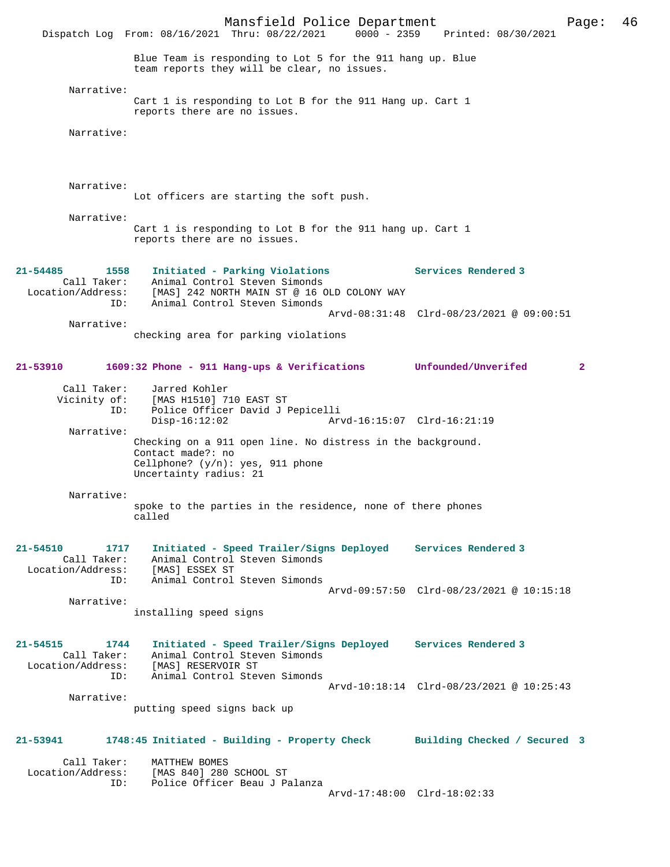Mansfield Police Department Page: 46 Dispatch Log From: 08/16/2021 Thru: 08/22/2021 Blue Team is responding to Lot 5 for the 911 hang up. Blue team reports they will be clear, no issues. Narrative: Cart 1 is responding to Lot B for the 911 Hang up. Cart 1 reports there are no issues. Narrative: Narrative: Lot officers are starting the soft push. Narrative: Cart 1 is responding to Lot B for the 911 hang up. Cart 1 reports there are no issues. **21-54485 1558 Initiated - Parking Violations Services Rendered 3**  Call Taker: Animal Control Steven Simonds Location/Address: [MAS] 242 NORTH MAIN ST @ 16 OLD COLONY WAY ID: Animal Control Steven Simonds Arvd-08:31:48 Clrd-08/23/2021 @ 09:00:51 Narrative: checking area for parking violations **21-53910 1609:32 Phone - 911 Hang-ups & Verifications Unfounded/Unverifed 2** Call Taker: Jarred Kohler<br>Vicinity of: [MAS H1510] 7 [MAS H1510] 710 EAST ST ID: Police Officer David J Pepicelli Disp-16:12:02 Arvd-16:15:07 Clrd-16:21:19 Narrative: Checking on a 911 open line. No distress in the background. Contact made?: no Cellphone? (y/n): yes, 911 phone Uncertainty radius: 21 Narrative: spoke to the parties in the residence, none of there phones called **21-54510 1717 Initiated - Speed Trailer/Signs Deployed Services Rendered 3**  Animal Control Steven Simonds Location/Address: [MAS] ESSEX ST ID: Animal Control Steven Simonds Arvd-09:57:50 Clrd-08/23/2021 @ 10:15:18 Narrative: installing speed signs **21-54515 1744 Initiated - Speed Trailer/Signs Deployed Services Rendered 3**  Call Taker: Animal Control Steven Simonds<br>Location/Address: [MAS] RESERVOIR ST [MAS] RESERVOIR ST ID: Animal Control Steven Simonds Arvd-10:18:14 Clrd-08/23/2021 @ 10:25:43 Narrative: putting speed signs back up **21-53941 1748:45 Initiated - Building - Property Check Building Checked / Secured 3** Call Taker: MATTHEW BOMES<br>Location/Address: [MAS 840] 280 ess: [MAS 840] 280 SCHOOL ST<br>TD: Police Officer Beau J P Police Officer Beau J Palanza Arvd-17:48:00 Clrd-18:02:33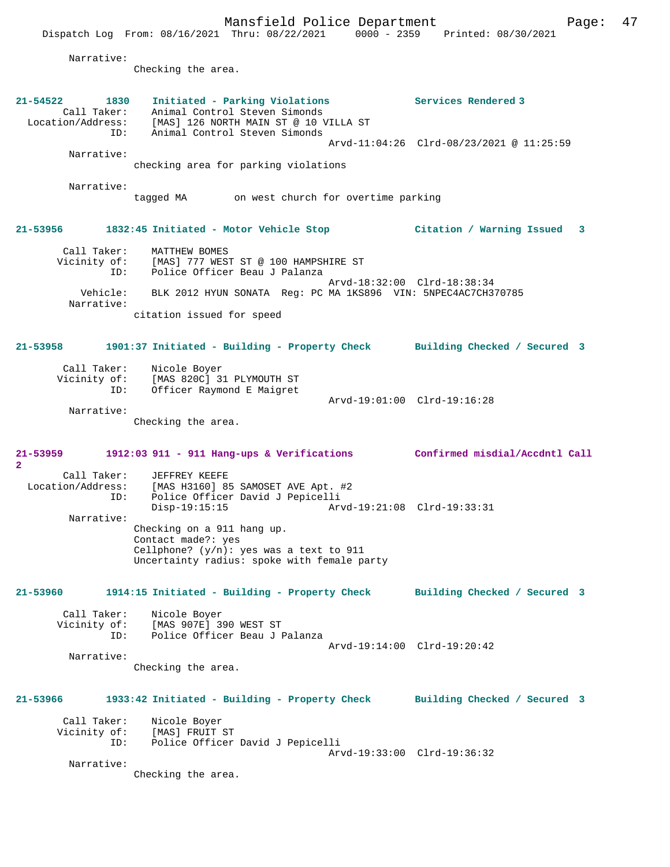Narrative:

**2** 

Checking the area.

**21-54522 1830 Initiated - Parking Violations Services Rendered 3**  Call Taker: Animal Control Steven Simonds Location/Address: [MAS] 126 NORTH MAIN ST @ 10 VILLA ST ID: Animal Control Steven Simonds Arvd-11:04:26 Clrd-08/23/2021 @ 11:25:59 Narrative: checking area for parking violations Narrative: tagged MA on west church for overtime parking **21-53956 1832:45 Initiated - Motor Vehicle Stop Citation / Warning Issued 3** Call Taker: MATTHEW BOMES Vicinity of: [MAS] 777 WEST ST @ 100 HAMPSHIRE ST ID: Police Officer Beau J Palanza Arvd-18:32:00 Clrd-18:38:34 Vehicle: BLK 2012 HYUN SONATA Reg: PC MA 1KS896 VIN: 5NPEC4AC7CH370785 Narrative: citation issued for speed **21-53958 1901:37 Initiated - Building - Property Check Building Checked / Secured 3** Call Taker: Nicole Boyer Vicinity of: [MAS 820C] 31 PLYMOUTH ST ID: Officer Raymond E Maigret Arvd-19:01:00 Clrd-19:16:28 Narrative: Checking the area. **21-53959 1912:03 911 - 911 Hang-ups & Verifications Confirmed misdial/Accdntl Call** Call Taker: JEFFREY KEEFE<br>Location/Address: [MAS H3160] 8 Location/Address: [MAS H3160] 85 SAMOSET AVE Apt. #2 ID: Police Officer David J Pepicelli Disp-19:15:15 Arvd-19:21:08 Clrd-19:33:31 Narrative: Checking on a 911 hang up. Contact made?: yes Cellphone? (y/n): yes was a text to 911 Uncertainty radius: spoke with female party **21-53960 1914:15 Initiated - Building - Property Check Building Checked / Secured 3** Call Taker: Nicole Boyer Vicinity of: [MAS 907E] 390 WEST ST<br>ID: Police Officer Beau J I Police Officer Beau J Palanza Arvd-19:14:00 Clrd-19:20:42 Narrative: Checking the area. **21-53966 1933:42 Initiated - Building - Property Check Building Checked / Secured 3** Call Taker: Nicole Boyer Vicinity of: [MAS] FRUIT ST ID: Police Officer David J Pepicelli Arvd-19:33:00 Clrd-19:36:32 Narrative: Checking the area.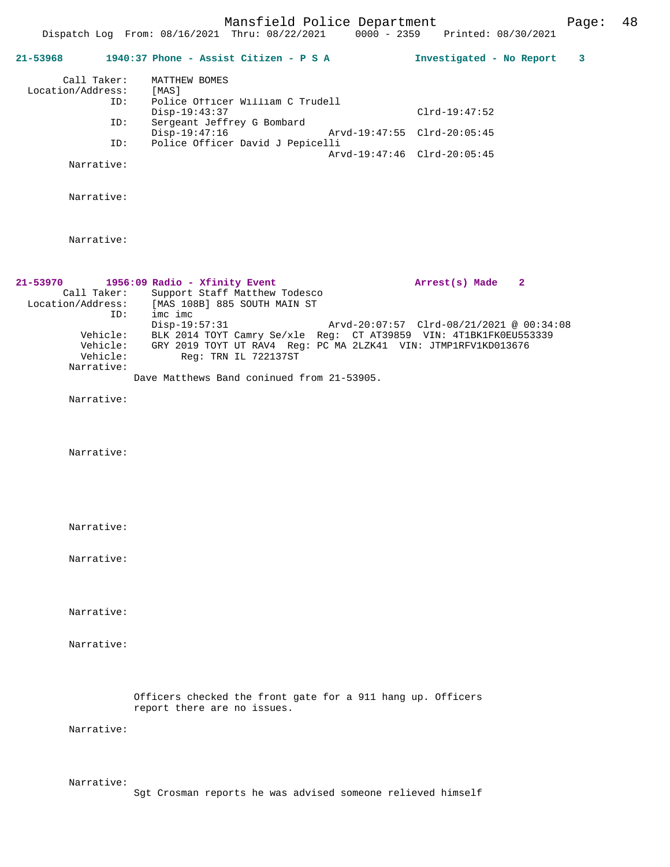Mansfield Police Department Page: 48

|                   |                                    | 21-53968 1940:37 Phone - Assist Citizen - P S A                                                                                                                                         |                             | Investigated - No Report                 | 3 |
|-------------------|------------------------------------|-----------------------------------------------------------------------------------------------------------------------------------------------------------------------------------------|-----------------------------|------------------------------------------|---|
| Location/Address: | Call Taker:<br>ID:                 | MATTHEW BOMES<br>[MAS]<br>Police Officer William C Trudell                                                                                                                              |                             |                                          |   |
|                   | ID:                                | Disp-19:43:37<br>Sergeant Jeffrey G Bombard                                                                                                                                             |                             | $Clrd-19:47:52$                          |   |
|                   | ID:                                | Disp-19:47:16<br>Police Officer David J Pepicelli                                                                                                                                       | Arvd-19:47:55 Clrd-20:05:45 |                                          |   |
|                   | Narrative:                         |                                                                                                                                                                                         | Arvd-19:47:46 Clrd-20:05:45 |                                          |   |
|                   |                                    |                                                                                                                                                                                         |                             |                                          |   |
|                   | Narrative:                         |                                                                                                                                                                                         |                             |                                          |   |
|                   | Narrative:                         |                                                                                                                                                                                         |                             |                                          |   |
| 21-53970          | Call Taker:<br>ID:                 | 1956:09 Radio - Xfinity Event<br>Support Staff Matthew Todesco<br>Location/Address: [MAS 108B] 885 SOUTH MAIN ST<br>imc imc                                                             |                             | Arrest(s) Made<br>$\overline{2}$         |   |
|                   | Vehicle:<br>Vehicle:<br>Narrative: | $Disp-19:57:31$<br>Vehicle: BLK 2014 TOYT Camry Se/xle Reg: CT AT39859 VIN: 4T1BK1FK0EU553339<br>GRY 2019 TOYT UT RAV4 Reg: PC MA 2LZK41 VIN: JTMP1RFV1KD013676<br>Reg: TRN IL 722137ST |                             | Arvd-20:07:57 Clrd-08/21/2021 @ 00:34:08 |   |
|                   |                                    | Dave Matthews Band coninued from 21-53905.                                                                                                                                              |                             |                                          |   |
|                   | Narrative:                         |                                                                                                                                                                                         |                             |                                          |   |
|                   | Narrative:                         |                                                                                                                                                                                         |                             |                                          |   |
|                   | Narrative:                         |                                                                                                                                                                                         |                             |                                          |   |
|                   | Narrative:                         |                                                                                                                                                                                         |                             |                                          |   |
|                   |                                    |                                                                                                                                                                                         |                             |                                          |   |
|                   | Narrative:                         |                                                                                                                                                                                         |                             |                                          |   |
|                   | Narrative:                         |                                                                                                                                                                                         |                             |                                          |   |
|                   |                                    | Officers checked the front gate for a 911 hang up. Officers<br>report there are no issues.                                                                                              |                             |                                          |   |
|                   | Narrative:                         |                                                                                                                                                                                         |                             |                                          |   |
|                   | Narrative:                         |                                                                                                                                                                                         |                             |                                          |   |

Sgt Crosman reports he was advised someone relieved himself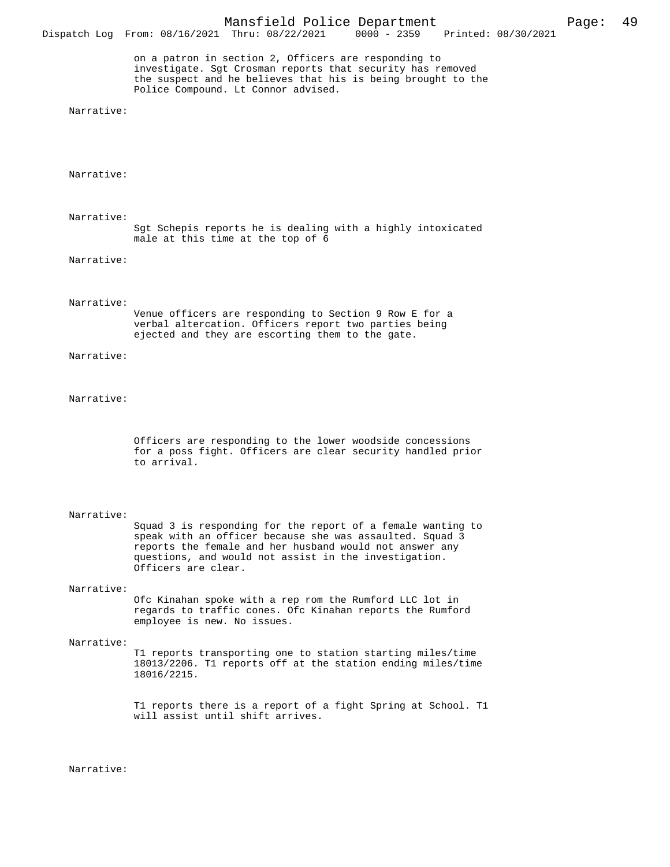on a patron in section 2, Officers are responding to investigate. Sgt Crosman reports that security has removed the suspect and he believes that his is being brought to the Police Compound. Lt Connor advised.

Narrative:

Narrative:

 Narrative: Sgt Schepis reports he is dealing with a highly intoxicated male at this time at the top of 6

Narrative:

#### Narrative:

Venue officers are responding to Section 9 Row E for a verbal altercation. Officers report two parties being ejected and they are escorting them to the gate.

Narrative:

## Narrative:

Officers are responding to the lower woodside concessions for a poss fight. Officers are clear security handled prior to arrival.

#### Narrative:

Squad 3 is responding for the report of a female wanting to speak with an officer because she was assaulted. Squad 3 reports the female and her husband would not answer any questions, and would not assist in the investigation. Officers are clear.

#### Narrative:

Ofc Kinahan spoke with a rep rom the Rumford LLC lot in regards to traffic cones. Ofc Kinahan reports the Rumford employee is new. No issues.

### Narrative:

T1 reports transporting one to station starting miles/time 18013/2206. T1 reports off at the station ending miles/time 18016/2215.

T1 reports there is a report of a fight Spring at School. T1 will assist until shift arrives.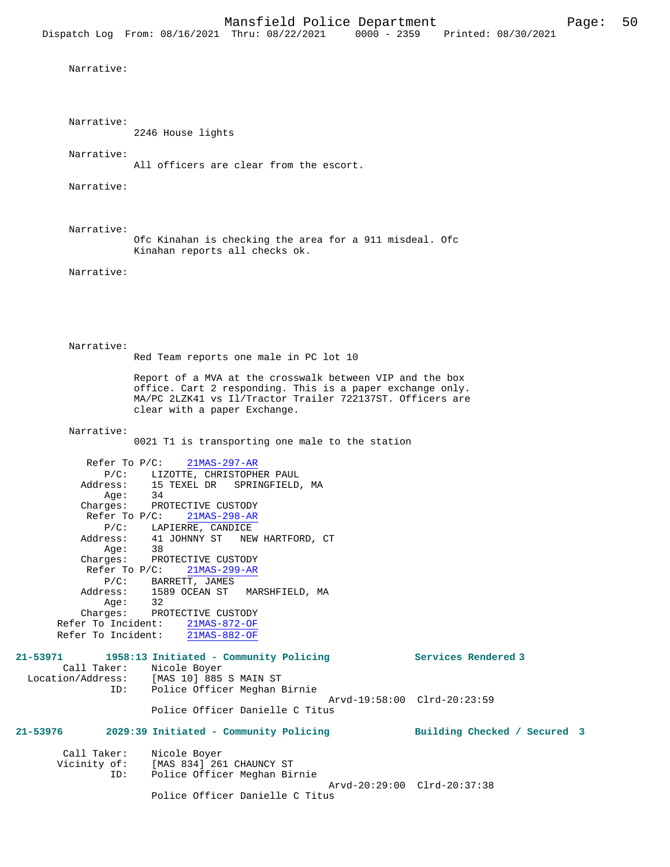```
 Narrative:
```
Narrative:

2246 House lights

Narrative:

All officers are clear from the escort.

Narrative:

Narrative:

Ofc Kinahan is checking the area for a 911 misdeal. Ofc Kinahan reports all checks ok.

Narrative:

 Narrative: Red Team reports one male in PC lot 10 Report of a MVA at the crosswalk between VIP and the box office. Cart 2 responding. This is a paper exchange only. MA/PC 2LZK41 vs Il/Tractor Trailer 722137ST. Officers are clear with a paper Exchange.

Narrative:

0021 T1 is transporting one male to the station

 Refer To P/C: 21MAS-297-AR P/C: LIZOTTE, CHRISTOPHER PAUL Address: 15 TEXEL DR SPRINGFIELD, MA Age:<br>Charges: PROTECTIVE CUSTODY Refer To P/C: 21MAS-298-AR P/C: LAPIERRE, CANDICE Address: 41 JOHNNY ST NEW HARTFORD, CT Age: 38 Charges: PROTECTIVE CUSTODY Refer To P/C: 21MAS-299-AR P/C: BARRETT, JAMES<br>Address: 1589 OCEAN ST 1589 OCEAN ST MARSHFIELD, MA : Age<br>: Charqes 32<br>PROTECTIVE CUSTODY Refer To Incident:  $\frac{21\text{MAS}-872-\text{OF}}{21\text{MAS}-882-\text{OF}}$ Refer To Incident:

| 21-53971          |     | 1958:13 Initiated - Community Policing | Services Rendered 3          |  |
|-------------------|-----|----------------------------------------|------------------------------|--|
| Call Taker:       |     | Nicole Boyer                           |                              |  |
| Location/Address: |     | [MAS 10] 885 S MAIN ST                 |                              |  |
|                   | ID: | Police Officer Meghan Birnie           |                              |  |
|                   |     |                                        | Arvd-19:58:00 Clrd-20:23:59  |  |
|                   |     | Police Officer Danielle C Titus        |                              |  |
| 21-53976          |     | 2029:39 Initiated - Community Policing | Building Checked / Secured 3 |  |

| Call Taker:<br>Vicinity of: | Nicole Boyer<br>[MAS 834] 261 CHAUNCY ST                    |  |
|-----------------------------|-------------------------------------------------------------|--|
| ID:                         | Police Officer Meghan Birnie<br>Arvd-20:29:00 Clrd-20:37:38 |  |
|                             | Police Officer Danielle C Titus                             |  |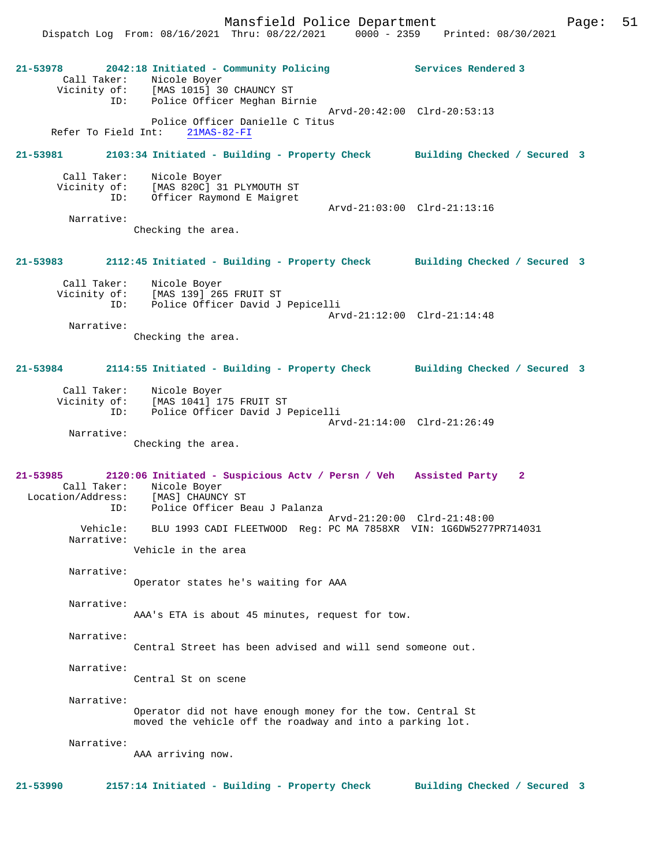Dispatch Log From: 08/16/2021 Thru: 08/22/2021 0000 - 2359 Printed: 08/30/2021

**21-53978 2042:18 Initiated - Community Policing Services Rendered 3**  Call Taker: Nicole Boyer Vicinity of: [MAS 1015] 30 CHAUNCY ST ID: Police Officer Meghan Birnie Arvd-20:42:00 Clrd-20:53:13 Police Officer Danielle C Titus<br>ht: 21MAS-82-FI Refer To Field Int: **21-53981 2103:34 Initiated - Building - Property Check Building Checked / Secured 3** Call Taker: Nicole Boyer Vicinity of: [MAS 820C] 31 PLYMOUTH ST ID: Officer Raymond E Maigret Arvd-21:03:00 Clrd-21:13:16 Narrative: Checking the area. **21-53983 2112:45 Initiated - Building - Property Check Building Checked / Secured 3** Call Taker: Nicole Boyer Vicinity of: [MAS 139] 265 FRUIT ST ID: Police Officer David J Pepicelli Arvd-21:12:00 Clrd-21:14:48 Narrative: Checking the area. **21-53984 2114:55 Initiated - Building - Property Check Building Checked / Secured 3** Call Taker: Nicole Boyer Vicinity of: [MAS 1041] 175 FRUIT ST ID: Police Officer David J Pepicelli Arvd-21:14:00 Clrd-21:26:49 Narrative: Checking the area. **21-53985 2120:06 Initiated - Suspicious Actv / Persn / Veh Assisted Party 2**  Call Taker: Nicole Boyer Location/Address: [MAS] CHAUNCY ST ID: Police Officer Beau J Palanza ID: Police Officer Beau J Palanza<br>Arvd-21:20:00 Clrd-21:48:00 Vehicle: BLU 1993 CADI FLEETWOOD Reg: PC MA 7858XR VIN: 1G6DW5277PR714031 Narrative: Vehicle in the area Narrative: Operator states he's waiting for AAA Narrative: AAA's ETA is about 45 minutes, request for tow. Narrative: Central Street has been advised and will send someone out. Narrative: Central St on scene Narrative: Operator did not have enough money for the tow. Central St moved the vehicle off the roadway and into a parking lot. Narrative: AAA arriving now. **21-53990 2157:14 Initiated - Building - Property Check Building Checked / Secured 3**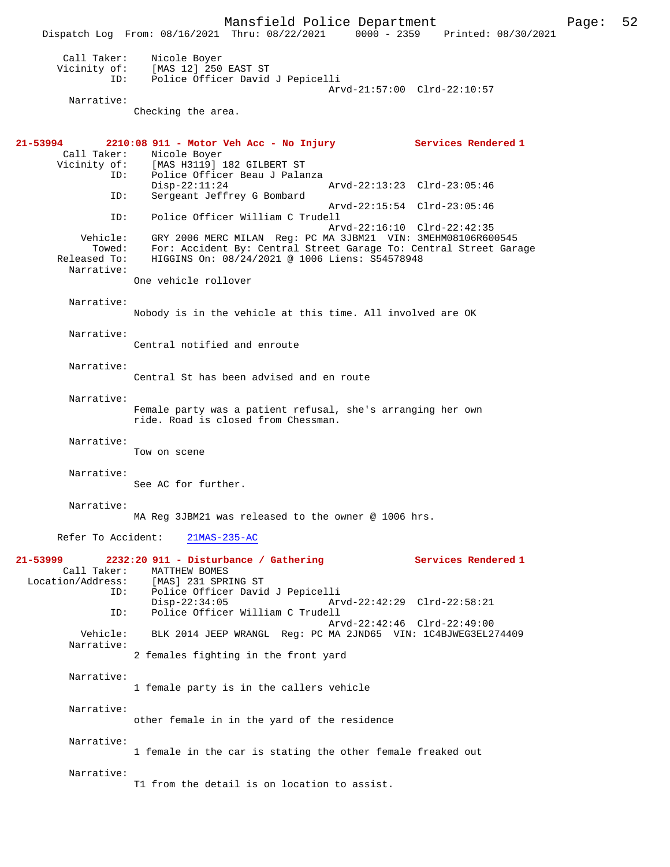Mansfield Police Department Page: 52 Dispatch Log From: 08/16/2021 Thru: 08/22/2021 Call Taker: Nicole Boyer Vicinity of: [MAS 12] 250 EAST ST<br>ID: Police Officer David Police Officer David J Pepicelli Arvd-21:57:00 Clrd-22:10:57 Narrative: Checking the area. **21-53994 2210:08 911 - Motor Veh Acc - No Injury Services Rendered 1**  Nicole Boyer Vicinity of: [MAS H3119] 182 GILBERT ST<br>ID: Police Officer Beau J Pala Police Officer Beau J Palanza<br>Disp-22:11:24 Disp-22:11:24 Arvd-22:13:23 Clrd-23:05:46<br>ID: Sergeant Jeffrey G Bombard Sergeant Jeffrey G Bombard Arvd-22:15:54 Clrd-23:05:46<br>TD: Police Officer William C Trudell Police Officer William C Trudell Arvd-22:16:10 Clrd-22:42:35 Vehicle: GRY 2006 MERC MILAN Reg: PC MA 3JBM21 VIN: 3MEHM08106R600545<br>Towed: For: Accident By: Central Street Garage To: Central Street Gara For: Accident By: Central Street Garage To: Central Street Garage Released To: HIGGINS On: 08/24/2021 @ 1006 Liens: S54578948 Narrative: One vehicle rollover Narrative: Nobody is in the vehicle at this time. All involved are OK Narrative: Central notified and enroute Narrative: Central St has been advised and en route Narrative: Female party was a patient refusal, she's arranging her own ride. Road is closed from Chessman. Narrative: Tow on scene Narrative: See AC for further. Narrative: MA Reg 3JBM21 was released to the owner @ 1006 hrs. Refer To Accident: 21MAS-235-AC **21-53999 2232:20 911 - Disturbance / Gathering Services Rendered 1**  Call Taker: MATTHEW BOMES<br>Location/Address: [MAS] 231 SPR [MAS] 231 SPRING ST ID: Police Officer David J Pepicelli Disp-22:34:05 Arvd-22:42:29 Clrd-22:58:21<br>TD: Police Officer William C Trudell Police Officer William C Trudell Arvd-22:42:46 Clrd-22:49:00<br>Vehicle: BLK 2014 JEEP WRANGL Reg: PC MA 2JND65 VIN: 1C4BJWEG3EL2 BLK 2014 JEEP WRANGL Reg: PC MA 2JND65 VIN: 1C4BJWEG3EL274409 Narrative: 2 females fighting in the front yard Narrative: 1 female party is in the callers vehicle Narrative: other female in in the yard of the residence Narrative: 1 female in the car is stating the other female freaked out Narrative: T1 from the detail is on location to assist.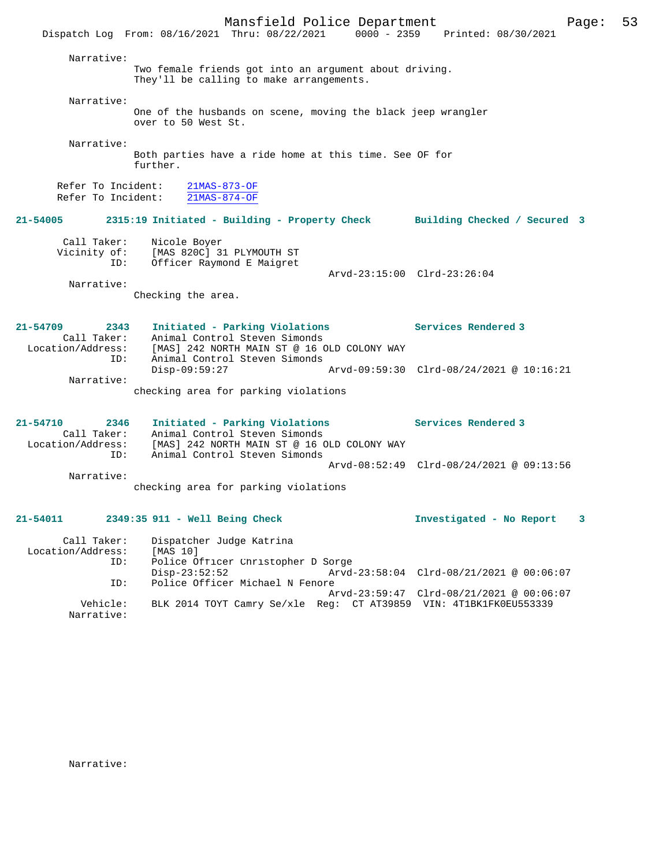Mansfield Police Department Page: 53 Dispatch Log From: 08/16/2021 Thru: 08/22/2021 0000 - 2359 Printed: 08/30/2021 Narrative: Two female friends got into an argument about driving. They'll be calling to make arrangements. Narrative: One of the husbands on scene, moving the black jeep wrangler over to 50 West St. Narrative: Both parties have a ride home at this time. See OF for further. Refer To Incident: 21MAS-873-OF<br>Refer To Incident: 21MAS-874-OF Refer To Incident: **21-54005 2315:19 Initiated - Building - Property Check Building Checked / Secured 3** Call Taker: Nicole Boyer Vicinity of: [MAS 820C] 31 PLYMOUTH ST ID: Officer Raymond E Maigret Arvd-23:15:00 Clrd-23:26:04 Narrative: Checking the area. **21-54709 2343 Initiated - Parking Violations Services Rendered 3**  Call Taker: Animal Control Steven Simonds Location/Address: [MAS] 242 NORTH MAIN ST @ 16 OLD COLONY WAY ID: Animal Control Steven Simonds Disp-09:59:27 Arvd-09:59:30 Clrd-08/24/2021 @ 10:16:21 Narrative: checking area for parking violations **21-54710 2346 Initiated - Parking Violations Services Rendered 3**  Call Taker: Animal Control Steven Simonds Location/Address: [MAS] 242 NORTH MAIN ST @ 16 OLD COLONY WAY ID: Animal Control Steven Simonds Arvd-08:52:49 Clrd-08/24/2021 @ 09:13:56 Narrative: checking area for parking violations **21-54011 2349:35 911 - Well Being Check Investigated - No Report 3** Call Taker: Dispatcher Judge Katrina Location/Address: [MAS 10] ID: Police Officer Christopher D Sorge Disp-23:52:52 <br>Disp-23:52:52 Arvd-23:58:04 Clrd-08/21/2021 @ 00:06:07<br>D: Police Officer Michael N Fenore Police Officer Michael N Fenore Arvd-23:59:47 Clrd-08/21/2021 @ 00:06:07 Vehicle: BLK 2014 TOYT Camry Se/xle Reg: CT AT39859 VIN: 4T1BK1FK0EU553339 Narrative: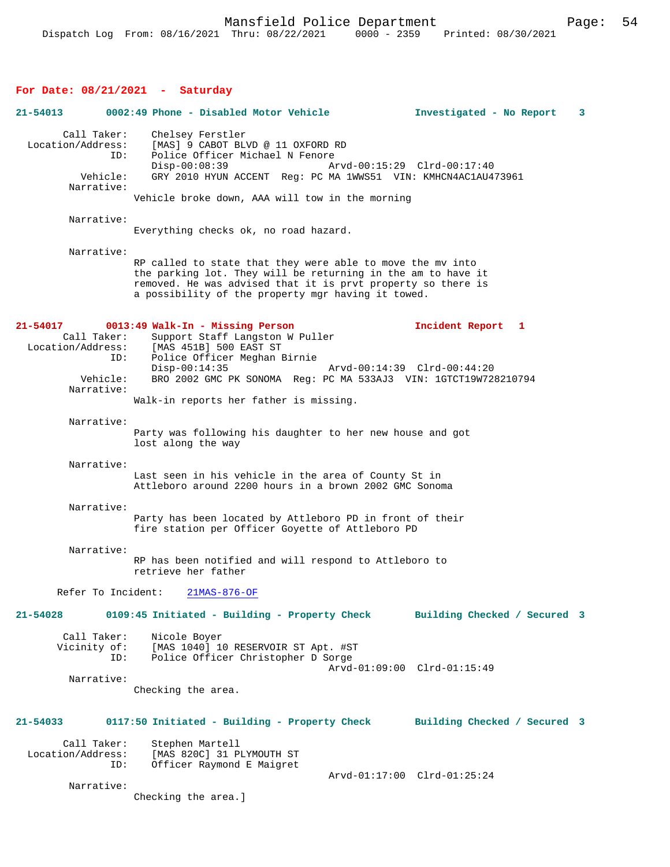## **For Date: 08/21/2021 - Saturday**

| $21 - 54013$                                                      | 0002:49 Phone - Disabled Motor Vehicle                                                                                                                                                                                                                               | 3<br>Investigated - No Report |
|-------------------------------------------------------------------|----------------------------------------------------------------------------------------------------------------------------------------------------------------------------------------------------------------------------------------------------------------------|-------------------------------|
| Call Taker:<br>Location/Address:<br>ID:<br>Vehicle:<br>Narrative: | Chelsey Ferstler<br>[MAS] 9 CABOT BLVD @ 11 OXFORD RD<br>Police Officer Michael N Fenore<br>$Disp-00:08:39$<br>Arvd-00:15:29 Clrd-00:17:40<br>GRY 2010 HYUN ACCENT Reg: PC MA 1WWS51 VIN: KMHCN4AC1AU473961<br>Vehicle broke down, AAA will tow in the morning       |                               |
| Narrative:                                                        | Everything checks ok, no road hazard.                                                                                                                                                                                                                                |                               |
| Narrative:                                                        | RP called to state that they were able to move the my into<br>the parking lot. They will be returning in the am to have it<br>removed. He was advised that it is prvt property so there is<br>a possibility of the property mgr having it towed.                     |                               |
| 21-54017<br>Call Taker:<br>ID:<br>Vehicle:                        | 0013:49 Walk-In - Missing Person<br>Support Staff Langston W Puller<br>Location/Address: [MAS 451B] 500 EAST ST<br>Police Officer Meghan Birnie<br>$Disp-00:14:35$<br>Arvd-00:14:39 Clrd-00:44:20<br>BRO 2002 GMC PK SONOMA Reg: PC MA 533AJ3 VIN: 1GTCT19W728210794 | Incident Report 1             |
| Narrative:                                                        | Walk-in reports her father is missing.                                                                                                                                                                                                                               |                               |
| Narrative:                                                        | Party was following his daughter to her new house and got<br>lost along the way                                                                                                                                                                                      |                               |
| Narrative:                                                        | Last seen in his vehicle in the area of County St in<br>Attleboro around 2200 hours in a brown 2002 GMC Sonoma                                                                                                                                                       |                               |
| Narrative:                                                        | Party has been located by Attleboro PD in front of their<br>fire station per Officer Goyette of Attleboro PD                                                                                                                                                         |                               |
| Narrative:                                                        | RP has been notified and will respond to Attleboro to<br>retrieve her father                                                                                                                                                                                         |                               |
| Refer To Incident:                                                | $21MAS-876-OF$                                                                                                                                                                                                                                                       |                               |
| 21-54028<br>Call Taker:<br>ID:                                    | 0109:45 Initiated - Building - Property Check<br>Nicole Boyer<br>Vicinity of: [MAS 1040] 10 RESERVOIR ST Apt. #ST<br>Police Officer Christopher D Sorge                                                                                                              | Building Checked / Secured 3  |
| Narrative:                                                        | Checking the area.                                                                                                                                                                                                                                                   | Arvd-01:09:00 Clrd-01:15:49   |
| $21 - 54033$                                                      | 0117:50 Initiated - Building - Property Check                                                                                                                                                                                                                        | Building Checked / Secured 3  |
| Call Taker:<br>Location/Address:<br>ID:                           | Stephen Martell<br>[MAS 820C] 31 PLYMOUTH ST<br>Officer Raymond E Maigret                                                                                                                                                                                            | Arvd-01:17:00 Clrd-01:25:24   |
| Narrative:                                                        | Checking the area.]                                                                                                                                                                                                                                                  |                               |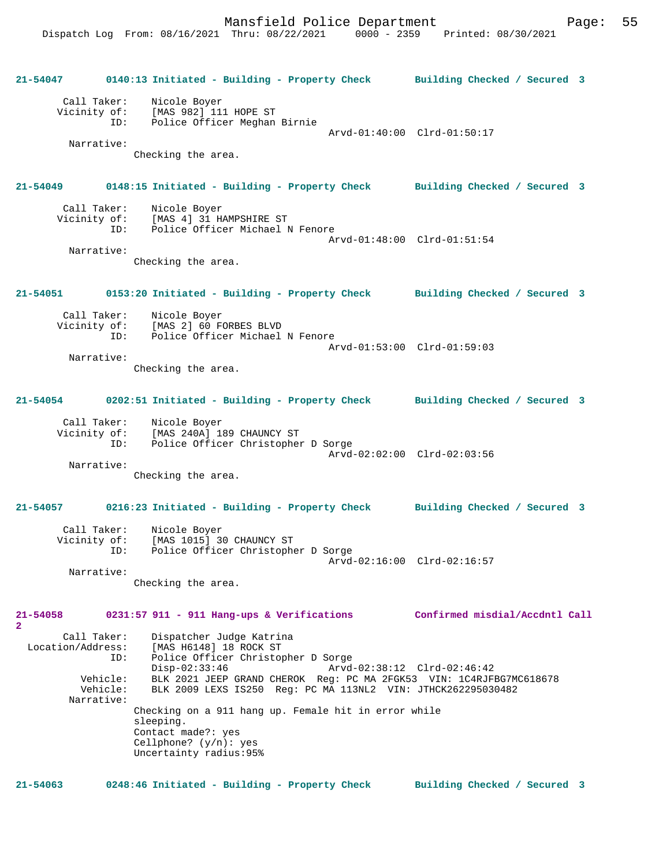Dispatch Log From: 08/16/2021 Thru: 08/22/2021 0000 - 2359 Printed: 08/30/2021

|                             |                      | 21-54047 0140:13 Initiated - Building - Property Check Building Checked / Secured 3                                                 |                                |
|-----------------------------|----------------------|-------------------------------------------------------------------------------------------------------------------------------------|--------------------------------|
| Call Taker:                 |                      | Nicole Boyer<br>Vicinity of: [MAS 982] 111 HOPE ST                                                                                  |                                |
|                             | ID:                  | Police Officer Meghan Birnie                                                                                                        | Arvd-01:40:00 Clrd-01:50:17    |
| Narrative:                  |                      | Checking the area.                                                                                                                  |                                |
| 21-54049                    |                      | 0148:15 Initiated - Building - Property Check Building Checked / Secured 3                                                          |                                |
|                             |                      |                                                                                                                                     |                                |
|                             |                      | Call Taker: Nicole Boyer                                                                                                            |                                |
|                             |                      | Vicinity of: [MAS 4] 31 HAMPSHIRE ST<br>ID: Police Officer Michael N Fenore                                                         | Arvd-01:48:00 Clrd-01:51:54    |
| Narrative:                  |                      |                                                                                                                                     |                                |
|                             |                      | Checking the area.                                                                                                                  |                                |
| 21-54051                    |                      | 0153:20 Initiated - Building - Property Check Building Checked / Secured 3                                                          |                                |
|                             |                      |                                                                                                                                     |                                |
| Call Taker:                 |                      | Nicole Boyer<br>Vicinity of: [MAS 2] 60 FORBES BLVD                                                                                 |                                |
|                             | ID:                  | Police Officer Michael N Fenore                                                                                                     |                                |
| Narrative:                  |                      | Arvd-01:53:00 Clrd-01:59:03                                                                                                         |                                |
|                             |                      | Checking the area.                                                                                                                  |                                |
|                             |                      | 0202:51 Initiated - Building - Property Check Building Checked / Secured 3                                                          |                                |
| 21-54054                    |                      |                                                                                                                                     |                                |
| Call Taker:<br>Vicinity of: |                      | Nicole Boyer<br>[MAS 240A] 189 CHAUNCY ST                                                                                           |                                |
|                             | ID:                  | Police Officer Christopher D Sorge                                                                                                  |                                |
| Narrative:                  |                      |                                                                                                                                     | Arvd-02:02:00 Clrd-02:03:56    |
|                             |                      | Checking the area.                                                                                                                  |                                |
|                             |                      | 21-54057 0216:23 Initiated - Building - Property Check Building Checked / Secured 3                                                 |                                |
|                             |                      |                                                                                                                                     |                                |
| Call Taker:<br>Vicinity of: |                      | Nicole Boyer<br>[MAS 1015] 30 CHAUNCY ST                                                                                            |                                |
|                             | ID:                  | Police Officer Christopher D Sorge                                                                                                  |                                |
| Narrative:                  |                      |                                                                                                                                     | Arvd-02:16:00 Clrd-02:16:57    |
|                             |                      | Checking the area.                                                                                                                  |                                |
| 21-54058<br>$\overline{a}$  |                      | $0231:57$ 911 - 911 Hang-ups & Verifications                                                                                        | Confirmed misdial/Accdntl Call |
| Call Taker:                 |                      | Dispatcher Judge Katrina                                                                                                            |                                |
| Location/Address:           | ID:                  | [MAS H6148] 18 ROCK ST<br>Police Officer Christopher D Sorge                                                                        |                                |
|                             |                      | $Disp-02:33:46$                                                                                                                     | Arvd-02:38:12 Clrd-02:46:42    |
|                             | Vehicle:<br>Vehicle: | BLK 2021 JEEP GRAND CHEROK Req: PC MA 2FGK53 VIN: 1C4RJFBG7MC618678<br>BLK 2009 LEXS IS250 Req: PC MA 113NL2 VIN: JTHCK262295030482 |                                |
| Narrative:                  |                      | Checking on a 911 hang up. Female hit in error while                                                                                |                                |
|                             |                      | sleeping.                                                                                                                           |                                |
|                             |                      | Contact made?: yes<br>Cellphone? $(y/n)$ : yes                                                                                      |                                |
|                             |                      | Uncertainty radius: 95%                                                                                                             |                                |
|                             |                      |                                                                                                                                     |                                |

**21-54063 0248:46 Initiated - Building - Property Check Building Checked / Secured 3**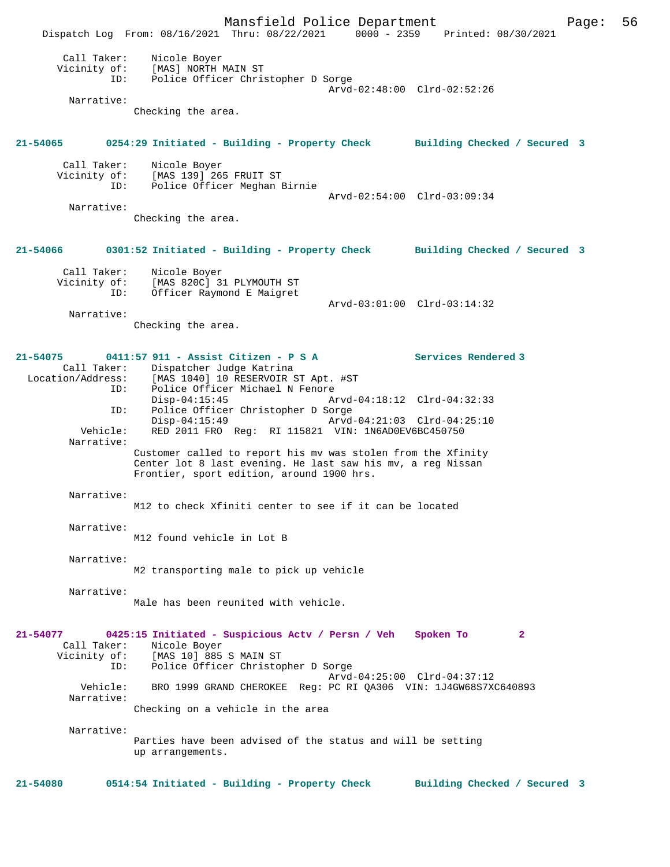Mansfield Police Department Page: 56 Dispatch Log From: 08/16/2021 Thru: 08/22/2021 0000 - 2359 Printed: 08/30/2021 Call Taker: Nicole Boyer Vicinity of: [MAS] NORTH MAIN ST ID: Police Officer Christopher D Sorge Arvd-02:48:00 Clrd-02:52:26 Narrative: Checking the area. **21-54065 0254:29 Initiated - Building - Property Check Building Checked / Secured 3** Call Taker: Nicole Boyer<br>Vicinity of: [MAS 139] 26! of: [MAS 139] 265 FRUIT ST<br>ID: Police Officer Meghan I Police Officer Meghan Birnie Arvd-02:54:00 Clrd-03:09:34 Narrative: Checking the area. **21-54066 0301:52 Initiated - Building - Property Check Building Checked / Secured 3** Call Taker: Nicole Boyer Vicinity of: [MAS 820C] 31 PLYMOUTH ST ID: Officer Raymond E Maigret Arvd-03:01:00 Clrd-03:14:32 Narrative: Checking the area. **21-54075 0411:57 911 - Assist Citizen - P S A Services Rendered 3**  Call Taker: Dispatcher Judge Katrina Location/Address: [MAS 1040] 10 RESERVOIR ST Apt. #ST ID: Police Officer Michael N Fenore Arvd-04:18:12 Clrd-04:32:33 ID: Police Officer Christopher D Sorge Disp-04:15:49 Arvd-04:21:03 Clrd-04:25:10 Vehicle: RED 2011 FRO Reg: RI 115821 VIN: 1N6AD0EV6BC450750 Narrative: Customer called to report his mv was stolen from the Xfinity Center lot 8 last evening. He last saw his mv, a reg Nissan Frontier, sport edition, around 1900 hrs. Narrative: M12 to check Xfiniti center to see if it can be located Narrative: M12 found vehicle in Lot B Narrative: M2 transporting male to pick up vehicle Narrative: Male has been reunited with vehicle. **21-54077 0425:15 Initiated - Suspicious Actv / Persn / Veh Spoken To 2**  Call Taker: Nicole Boyer Vicinity of: [MAS 10] 885 S MAIN ST ID: Police Officer Christopher D Sorge Arvd-04:25:00 Clrd-04:37:12<br>Vehicle: BRO 1999 GRAND CHEROKEE Req: PC RI QA306 VIN: 1J4GW68S7X BRO 1999 GRAND CHEROKEE Reg: PC RI QA306 VIN: 1J4GW68S7XC640893 Narrative: Checking on a vehicle in the area Narrative: Parties have been advised of the status and will be setting up arrangements. **21-54080 0514:54 Initiated - Building - Property Check Building Checked / Secured 3**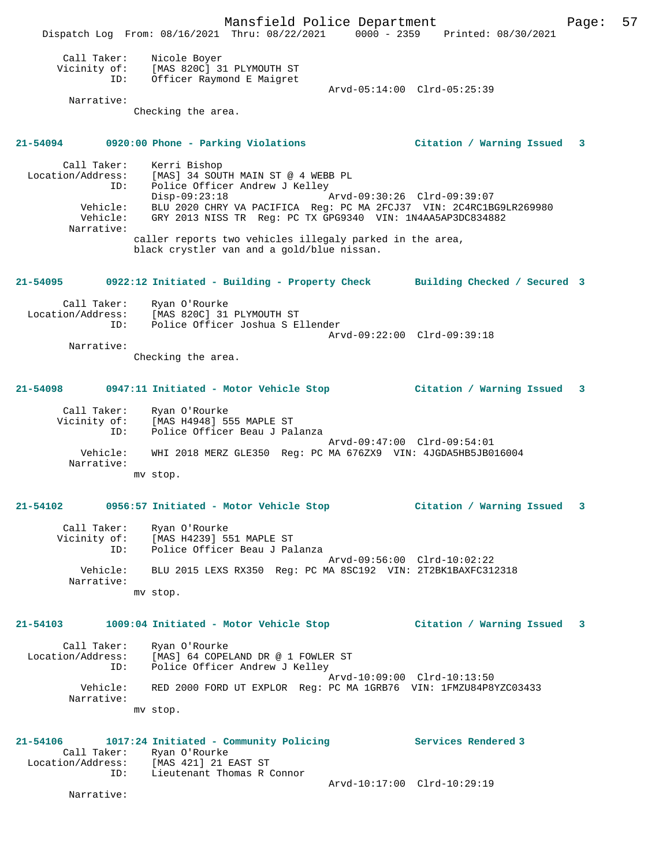Mansfield Police Department Form Page: 57 Dispatch Log From: 08/16/2021 Thru: 08/22/2021 0000 - 2359 Printed: 08/30/2021 Call Taker: Nicole Boyer Vicinity of: [MAS 820C] 31 PLYMOUTH ST ID: Officer Raymond E Maigret Arvd-05:14:00 Clrd-05:25:39 Narrative: Checking the area. **21-54094 0920:00 Phone - Parking Violations Citation / Warning Issued 3** Call Taker: Kerri Bishop Location/Address: [MAS] 34 SOUTH MAIN ST @ 4 WEBB PL ID: Police Officer Andrew J Kelley Disp-09:23:18 Arvd-09:30:26 Clrd-09:39:07 Vehicle: BLU 2020 CHRY VA PACIFICA Reg: PC MA 2FCJ37 VIN: 2C4RC1BG9LR269980 Vehicle: GRY 2013 NISS TR Reg: PC TX GPG9340 VIN: 1N4AA5AP3DC834882 Narrative: caller reports two vehicles illegaly parked in the area, black crystler van and a gold/blue nissan. **21-54095 0922:12 Initiated - Building - Property Check Building Checked / Secured 3** Call Taker: Ryan O'Rourke Location/Address: [MAS 820C] 31 PLYMOUTH ST ID: Police Officer Joshua S Ellender Arvd-09:22:00 Clrd-09:39:18 Narrative: Checking the area. **21-54098 0947:11 Initiated - Motor Vehicle Stop Citation / Warning Issued 3** Call Taker: Ryan O'Rourke Vicinity of: [MAS H4948] 555 MAPLE ST ID: IPHO ITALLY CONTRACT CONTRACT CONTRACT POLICE Arvd-09:47:00 Clrd-09:54:01 Vehicle: WHI 2018 MERZ GLE350 Reg: PC MA 676ZX9 VIN: 4JGDA5HB5JB016004 Narrative: mv stop. **21-54102 0956:57 Initiated - Motor Vehicle Stop Citation / Warning Issued 3** Call Taker: Ryan O'Rourke Vicinity of: [MAS H4239] 551 MAPLE ST ID: Police Officer Beau J Palanza Arvd-09:56:00 Clrd-10:02:22 Vehicle: BLU 2015 LEXS RX350 Reg: PC MA 8SC192 VIN: 2T2BK1BAXFC312318 Narrative: mv stop. **21-54103 1009:04 Initiated - Motor Vehicle Stop Citation / Warning Issued 3** Call Taker: Ryan O'Rourke Location/Address: [MAS] 64 COPELAND DR @ 1 FOWLER ST ID: Police Officer Andrew J Kelley Arvd-10:09:00 Clrd-10:13:50 Vehicle: RED 2000 FORD UT EXPLOR Reg: PC MA 1GRB76 VIN: 1FMZU84P8YZC03433 Narrative: mv stop. **21-54106 1017:24 Initiated - Community Policing Services Rendered 3**  Call Taker: Ryan O'Rourke<br>Location/Address: [MAS 421] 21 E [MAS 421] 21 EAST ST ID: Lieutenant Thomas R Connor Arvd-10:17:00 Clrd-10:29:19 Narrative: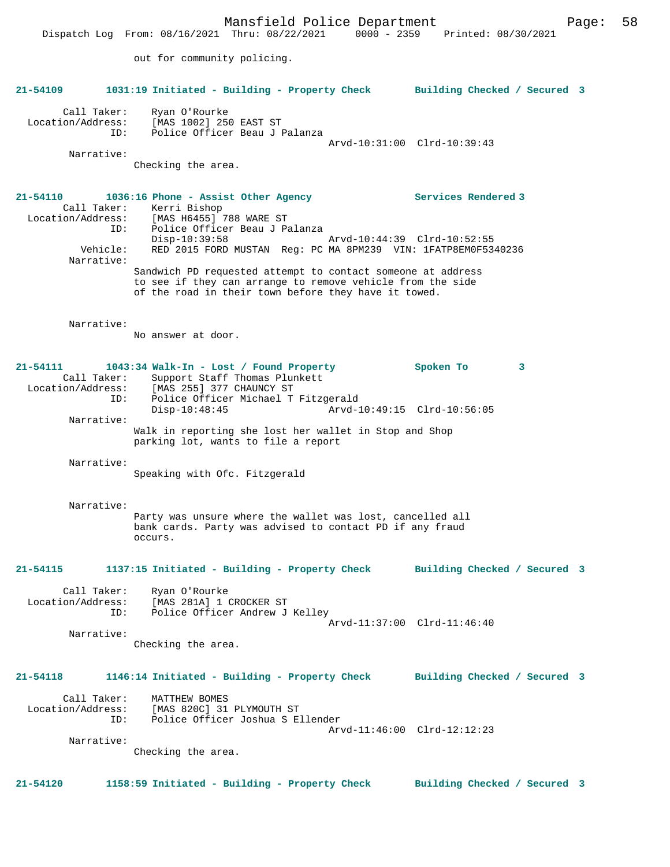Mansfield Police Department Fage: 58 Dispatch Log From: 08/16/2021 Thru: 08/22/2021 0000 - 2359 Printed: 08/30/2021 out for community policing. **21-54109 1031:19 Initiated - Building - Property Check Building Checked / Secured 3** Call Taker: Ryan O'Rourke Location/Address: [MAS 1002] 250 EAST ST ID: Police Officer Beau J Palanza Arvd-10:31:00 Clrd-10:39:43 Narrative: Checking the area. **21-54110 1036:16 Phone - Assist Other Agency Services Rendered 3**  Call Taker: Kerri Bishop Location/Address: [MAS H6455] 788 WARE ST ID: Police Officer Beau J Palanza Disp-10:39:58 Arvd-10:44:39 Clrd-10:52:55 Vehicle: RED 2015 FORD MUSTAN Reg: PC MA 8PM239 VIN: 1FATP8EM0F5340236 Narrative: Sandwich PD requested attempt to contact someone at address to see if they can arrange to remove vehicle from the side of the road in their town before they have it towed. Narrative: No answer at door. **21-54111 1043:34 Walk-In - Lost / Found Property Spoken To 3**  Call Taker: Support Staff Thomas Plunkett<br>Location/Address: [MAS 255] 377 CHAUNCY ST ess: [MAS 255] 377 CHAUNCY ST<br>ID: Police Officer Michael T Police Officer Michael T Fitzgerald<br>Disp-10:48:45 Arvd-1 Arvd-10:49:15 Clrd-10:56:05 Narrative: Walk in reporting she lost her wallet in Stop and Shop parking lot, wants to file a report Narrative: Speaking with Ofc. Fitzgerald Narrative: Party was unsure where the wallet was lost, cancelled all bank cards. Party was advised to contact PD if any fraud occurs. **21-54115 1137:15 Initiated - Building - Property Check Building Checked / Secured 3** Call Taker: Ryan O'Rourke Location/Address: [MAS 281A] 1 CROCKER ST<br>TD: Police Officer Andrew J Police Officer Andrew J Kelley Arvd-11:37:00 Clrd-11:46:40 Narrative: Checking the area. **21-54118 1146:14 Initiated - Building - Property Check Building Checked / Secured 3** Call Taker: MATTHEW BOMES Location/Address: [MAS 820C] 31 PLYMOUTH ST ID: Police Officer Joshua S Ellender Arvd-11:46:00 Clrd-12:12:23 Narrative: Checking the area. **21-54120 1158:59 Initiated - Building - Property Check Building Checked / Secured 3**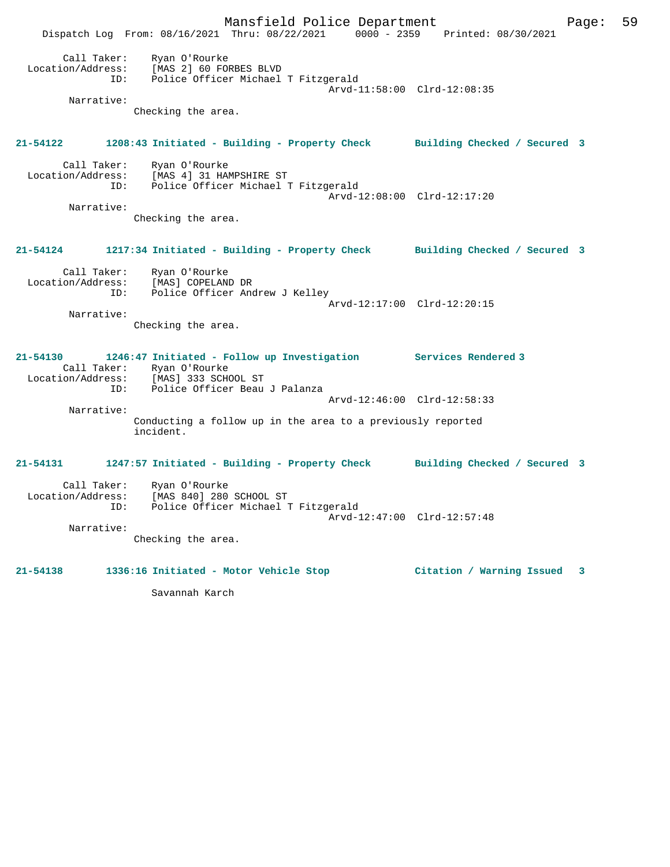Mansfield Police Department Fage: 59 Dispatch Log From: 08/16/2021 Thru: 08/22/2021 0000 - 2359 Printed: 08/30/2021 Call Taker: Ryan O'Rourke Location/Address: [MAS 2] 60 FORBES BLVD ID: Police Officer Michael T Fitzgerald Arvd-11:58:00 Clrd-12:08:35 Narrative: Checking the area. **21-54122 1208:43 Initiated - Building - Property Check Building Checked / Secured 3** Call Taker: Ryan O'Rourke Location/Address: [MAS 4] 31 HAMPSHIRE ST ID: Police Officer Michael T Fitzgerald Arvd-12:08:00 Clrd-12:17:20 Narrative: Checking the area. **21-54124 1217:34 Initiated - Building - Property Check Building Checked / Secured 3** Call Taker: Ryan O'Rourke Location/Address: [MAS] COPELAND DR ID: Police Officer Andrew J Kelley Arvd-12:17:00 Clrd-12:20:15 Narrative: Checking the area. **21-54130 1246:47 Initiated - Follow up Investigation Services Rendered 3**  Call Taker: Ryan O'Rourke Location/Address: [MAS] 333 SCHOOL ST ID: Police Officer Beau J Palanza Arvd-12:46:00 Clrd-12:58:33 Narrative: Conducting a follow up in the area to a previously reported incident. **21-54131 1247:57 Initiated - Building - Property Check Building Checked / Secured 3** Call Taker: Ryan O'Rourke<br>ion/Address: The Location/Address: [MAS 840] 280 SCHOOL ST ID: Police Officer Michael T Fitzgerald Arvd-12:47:00 Clrd-12:57:48 Narrative: Checking the area. **21-54138 1336:16 Initiated - Motor Vehicle Stop Citation / Warning Issued 3**

Savannah Karch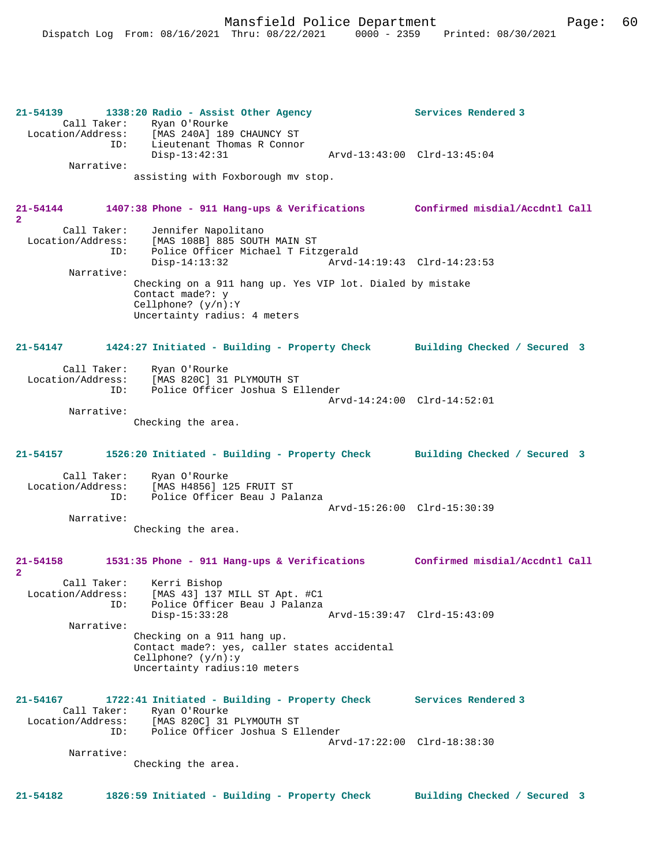**21-54139 1338:20 Radio - Assist Other Agency Services Rendered 3**  Call Taker: Ryan O'Rourke<br>Location/Address: [MAS 240A] 189 ess: [MAS 240A] 189 CHAUNCY ST<br>ID: Lieutenant Thomas R Connor Lieutenant Thomas R Connor<br>Disp-13:42:31 Disp-13:42:31 Arvd-13:43:00 Clrd-13:45:04 Narrative: assisting with Foxborough mv stop. **21-54144 1407:38 Phone - 911 Hang-ups & Verifications Confirmed misdial/Accdntl Call 2**  Call Taker: Jennifer Napolitano<br>Location/Address: [MAS 108B] 885 SOUTI [MAS 108B] 885 SOUTH MAIN ST ID: Police Officer Michael T Fitzgerald Disp-14:13:32 Arvd-14:19:43 Clrd-14:23:53 Narrative: Checking on a 911 hang up. Yes VIP lot. Dialed by mistake Contact made?: y Cellphone? (y/n):Y Uncertainty radius: 4 meters **21-54147 1424:27 Initiated - Building - Property Check Building Checked / Secured 3** Call Taker: Ryan O'Rourke Location/Address: [MAS 820C] 31 PLYMOUTH ST ID: Police Officer Joshua S Ellender Arvd-14:24:00 Clrd-14:52:01 Narrative: Checking the area. **21-54157 1526:20 Initiated - Building - Property Check Building Checked / Secured 3** Call Taker: Ryan O'Rourke Location/Address: [MAS H4856] 125 FRUIT ST Police Officer Beau J Palanza Arvd-15:26:00 Clrd-15:30:39 Narrative: Checking the area. **21-54158 1531:35 Phone - 911 Hang-ups & Verifications Confirmed misdial/Accdntl Call 2**  Call Taker: Kerri Bishop Location/Address: [MAS 43] 137 MILL ST Apt. #C1 ID: Police Officer Beau J Palanza Disp-15:33:28 Arvd-15:39:47 Clrd-15:43:09 Narrative: Checking on a 911 hang up. Contact made?: yes, caller states accidental Cellphone? (y/n):y Uncertainty radius:10 meters **21-54167 1722:41 Initiated - Building - Property Check Services Rendered 3**  Call Taker: Ryan O'Rourke Location/Address: [MAS 820C] 31 PLYMOUTH ST ID: Police Officer Joshua S Ellender Arvd-17:22:00 Clrd-18:38:30 Narrative: Checking the area. **21-54182 1826:59 Initiated - Building - Property Check Building Checked / Secured 3**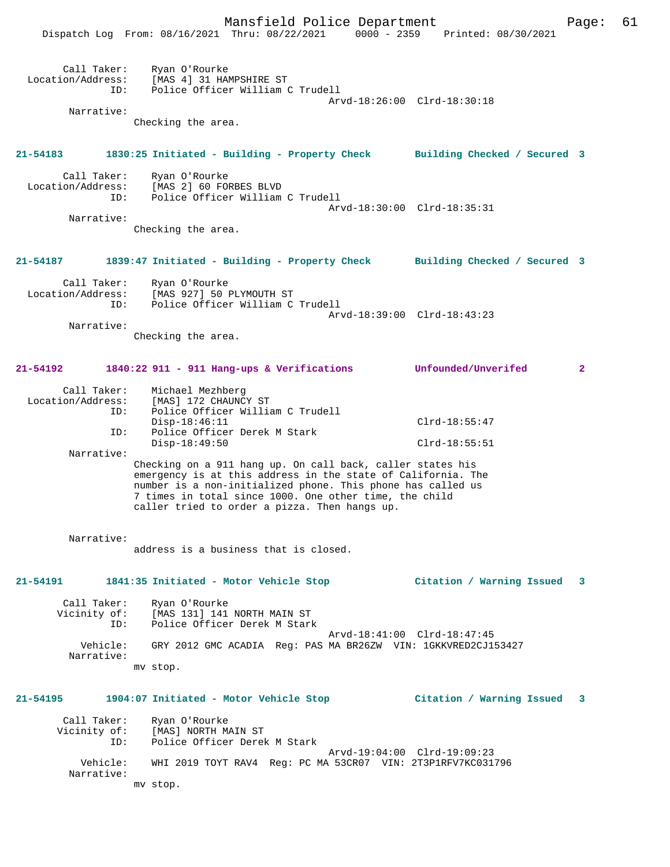|                                         | Mansfield Police Department<br>Dispatch Log From: 08/16/2021 Thru: 08/22/2021                                                                                                                                                                                                                        |                             | 0000 - 2359 Printed: 08/30/2021 | Page:        | 61 |
|-----------------------------------------|------------------------------------------------------------------------------------------------------------------------------------------------------------------------------------------------------------------------------------------------------------------------------------------------------|-----------------------------|---------------------------------|--------------|----|
| Call Taker:<br>Location/Address:<br>ID: | Ryan O'Rourke<br>[MAS 4] 31 HAMPSHIRE ST<br>Police Officer William C Trudell                                                                                                                                                                                                                         | Arvd-18:26:00 Clrd-18:30:18 |                                 |              |    |
| Narrative:                              | Checking the area.                                                                                                                                                                                                                                                                                   |                             |                                 |              |    |
|                                         |                                                                                                                                                                                                                                                                                                      |                             |                                 |              |    |
| 21-54183                                | 1830:25 Initiated - Building - Property Check Building Checked / Secured 3                                                                                                                                                                                                                           |                             |                                 |              |    |
| Call Taker:<br>Location/Address:<br>ID: | Ryan O'Rourke<br>[MAS 2] 60 FORBES BLVD<br>Police Officer William C Trudell                                                                                                                                                                                                                          | Arvd-18:30:00 Clrd-18:35:31 |                                 |              |    |
| Narrative:                              | Checking the area.                                                                                                                                                                                                                                                                                   |                             |                                 |              |    |
| 21-54187                                | 1839:47 Initiated - Building - Property Check Building Checked / Secured 3                                                                                                                                                                                                                           |                             |                                 |              |    |
| Call Taker:<br>Location/Address:<br>ID: | Ryan O'Rourke<br>[MAS 927] 50 PLYMOUTH ST<br>Police Officer William C Trudell                                                                                                                                                                                                                        | Arvd-18:39:00 Clrd-18:43:23 |                                 |              |    |
| Narrative:                              |                                                                                                                                                                                                                                                                                                      |                             |                                 |              |    |
|                                         | Checking the area.                                                                                                                                                                                                                                                                                   |                             |                                 |              |    |
| 21-54192                                | 1840:22 911 - 911 Hang-ups & Verifications                                                                                                                                                                                                                                                           |                             | Unfounded/Unverifed             | $\mathbf{2}$ |    |
| Call Taker:<br>Location/Address:<br>ID: | Michael Mezhberg<br>[MAS] 172 CHAUNCY ST<br>Police Officer William C Trudell                                                                                                                                                                                                                         |                             |                                 |              |    |
| ID:                                     | $Disp-18:46:11$<br>Police Officer Derek M Stark                                                                                                                                                                                                                                                      |                             | $Clrd-18:55:47$                 |              |    |
| Narrative:                              | $Disp-18:49:50$                                                                                                                                                                                                                                                                                      |                             | $Clrd-18:55:51$                 |              |    |
|                                         | Checking on a 911 hang up. On call back, caller states his<br>emergency is at this address in the state of California. The<br>number is a non-initialized phone. This phone has called us<br>7 times in total since 1000. One other time, the child<br>caller tried to order a pizza. Then hangs up. |                             |                                 |              |    |
| Narrative:                              | address is a business that is closed.                                                                                                                                                                                                                                                                |                             |                                 |              |    |
| 21-54191                                | 1841:35 Initiated - Motor Vehicle Stop                                                                                                                                                                                                                                                               |                             | Citation / Warning Issued       | 3            |    |
| Call Taker:<br>Vicinity of:<br>ID:      | Ryan O'Rourke<br>[MAS 131] 141 NORTH MAIN ST<br>Police Officer Derek M Stark                                                                                                                                                                                                                         | Arvd-18:41:00 Clrd-18:47:45 |                                 |              |    |
| Vehicle:<br>Narrative:                  | GRY 2012 GMC ACADIA Req: PAS MA BR26ZW VIN: 1GKKVRED2CJ153427                                                                                                                                                                                                                                        |                             |                                 |              |    |
|                                         | mv stop.                                                                                                                                                                                                                                                                                             |                             |                                 |              |    |
|                                         | 21-54195 1904:07 Initiated - Motor Vehicle Stop                                                                                                                                                                                                                                                      |                             | Citation / Warning Issued       | 3            |    |
| Call Taker:<br>Vicinity of:<br>ID:      | Ryan O'Rourke<br>[MAS] NORTH MAIN ST<br>Police Officer Derek M Stark                                                                                                                                                                                                                                 |                             |                                 |              |    |
| Vehicle:<br>Narrative:                  | WHI 2019 TOYT RAV4 Req: PC MA 53CR07 VIN: 2T3P1RFV7KC031796                                                                                                                                                                                                                                          | Arvd-19:04:00 Clrd-19:09:23 |                                 |              |    |
|                                         | mv stop.                                                                                                                                                                                                                                                                                             |                             |                                 |              |    |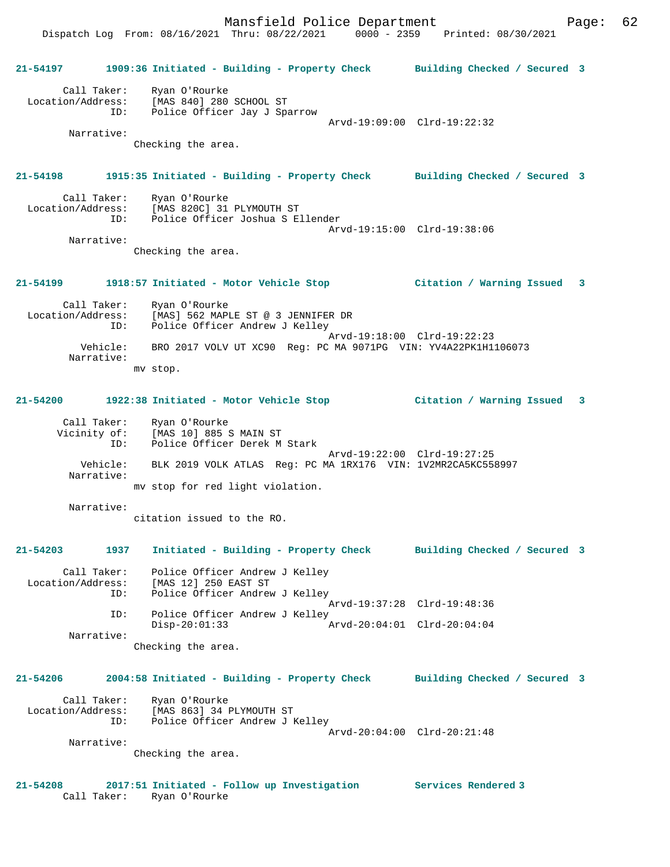Dispatch Log From: 08/16/2021 Thru: 08/22/2021 0000 - 2359 Printed: 08/30/2021

**21-54197 1909:36 Initiated - Building - Property Check Building Checked / Secured 3** Call Taker: Ryan O'Rourke Location/Address: [MAS 840] 280 SCHOOL ST ID: Police Officer Jay J Sparrow Arvd-19:09:00 Clrd-19:22:32 Narrative: Checking the area. **21-54198 1915:35 Initiated - Building - Property Check Building Checked / Secured 3** Call Taker: Ryan O'Rourke Location/Address: [MAS 820C] 31 PLYMOUTH ST ID: Police Officer Joshua S Ellender Arvd-19:15:00 Clrd-19:38:06 Narrative: Checking the area. **21-54199 1918:57 Initiated - Motor Vehicle Stop Citation / Warning Issued 3** Call Taker: Ryan O'Rourke Location/Address: [MAS] 562 MAPLE ST @ 3 JENNIFER DR ID: Police Officer Andrew J Kelley Arvd-19:18:00 Clrd-19:22:23 Vehicle: BRO 2017 VOLV UT XC90 Reg: PC MA 9071PG VIN: YV4A22PK1H1106073 Narrative: mv stop. **21-54200 1922:38 Initiated - Motor Vehicle Stop Citation / Warning Issued 3** Call Taker: Ryan O'Rourke Vicinity of: [MAS 10] 885 S MAIN ST ID: Police Officer Derek M Stark Arvd-19:22:00 Clrd-19:27:25 Vehicle: BLK 2019 VOLK ATLAS Reg: PC MA 1RX176 VIN: 1V2MR2CA5KC558997 Narrative: mv stop for red light violation. Narrative: citation issued to the RO. **21-54203 1937 Initiated - Building - Property Check Building Checked / Secured 3** Call Taker: Police Officer Andrew J Kelley Location/Address: [MAS 12] 250 EAST ST ID: Police Officer Andrew J Kelley Arvd-19:37:28 Clrd-19:48:36 ID: Police Officer Andrew J Kelley<br>Disp-20:01:33 Arvd-20:04:01 Clrd-20:04:04  $Disp-20:01:33$  Narrative: Checking the area. **21-54206 2004:58 Initiated - Building - Property Check Building Checked / Secured 3** Call Taker: Ryan O'Rourke Location/Address: [MAS 863] 34 PLYMOUTH ST ID: Police Officer Andrew J Kelley Arvd-20:04:00 Clrd-20:21:48 Narrative: Checking the area. **21-54208 2017:51 Initiated - Follow up Investigation Services Rendered 3**  Call Taker: Ryan O'Rourke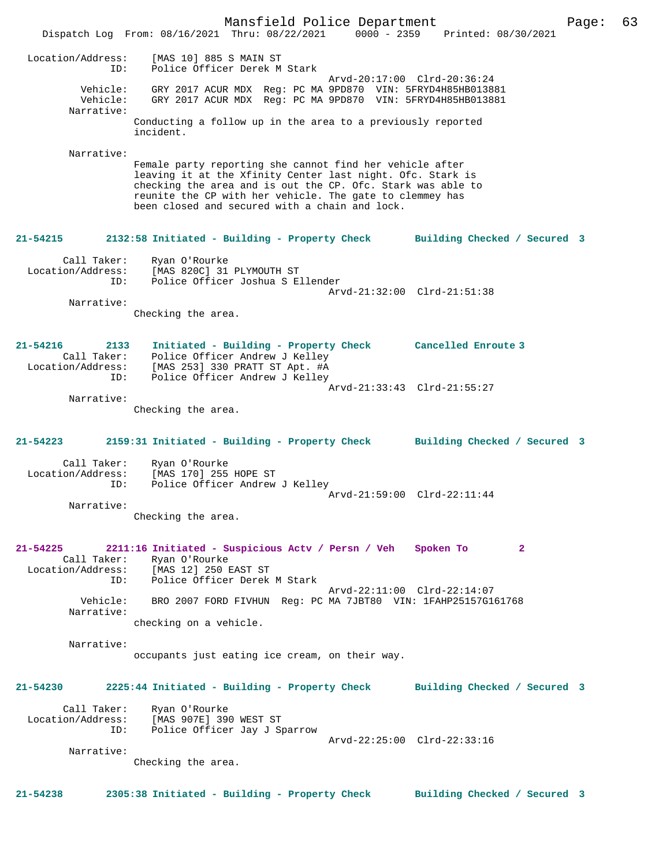Mansfield Police Department Fage: 63 Dispatch Log From: 08/16/2021 Thru: 08/22/2021 0000 - 2359 Printed: 08/30/2021 Location/Address: [MAS 10] 885 S MAIN ST ID: Police Officer Derek M Stark Arvd-20:17:00 Clrd-20:36:24 Vehicle: GRY 2017 ACUR MDX Reg: PC MA 9PD870 VIN: 5FRYD4H85HB013881 Vehicle: GRY 2017 ACUR MDX Reg: PC MA 9PD870 VIN: 5FRYD4H85HB013881 Narrative: Conducting a follow up in the area to a previously reported incident. Narrative: Female party reporting she cannot find her vehicle after leaving it at the Xfinity Center last night. Ofc. Stark is checking the area and is out the CP. Ofc. Stark was able to reunite the CP with her vehicle. The gate to clemmey has been closed and secured with a chain and lock. **21-54215 2132:58 Initiated - Building - Property Check Building Checked / Secured 3** Call Taker: Ryan O'Rourke Location/Address: [MAS 820C] 31 PLYMOUTH ST ID: Police Officer Joshua S Ellender Arvd-21:32:00 Clrd-21:51:38 Narrative: Checking the area. **21-54216 2133 Initiated - Building - Property Check Cancelled Enroute 3**  Call Taker: Police Officer Andrew J Kelley Location/Address: [MAS 253] 330 PRATT ST Apt. #A ID: Police Officer Andrew J Kelley Arvd-21:33:43 Clrd-21:55:27 Narrative: Checking the area. **21-54223 2159:31 Initiated - Building - Property Check Building Checked / Secured 3** Call Taker: Ryan O'Rourke Location/Address: [MAS 170] 255 HOPE ST ID: Police Officer Andrew J Kelley Arvd-21:59:00 Clrd-22:11:44 Narrative: Checking the area. **21-54225 2211:16 Initiated - Suspicious Actv / Persn / Veh Spoken To 2**  Call Taker: Ryan O'Rourke Location/Address: [MAS 12] 250 EAST ST ID: Police Officer Derek M Stark Arvd-22:11:00 Clrd-22:14:07<br>Vehicle: RRO 2007 FORD FIVHIN Reg: PC MA 7JRT80 VIN: 1FAHP25157G16 BRO 2007 FORD FIVHUN Reg: PC MA 7JBT80 VIN: 1FAHP25157G161768 Narrative: checking on a vehicle. Narrative: occupants just eating ice cream, on their way. **21-54230 2225:44 Initiated - Building - Property Check Building Checked / Secured 3** Call Taker: Ryan O'Rourke Location/Address: [MAS 907E] 390 WEST ST ID: Police Officer Jay J Sparrow Arvd-22:25:00 Clrd-22:33:16 Narrative: Checking the area. **21-54238 2305:38 Initiated - Building - Property Check Building Checked / Secured 3**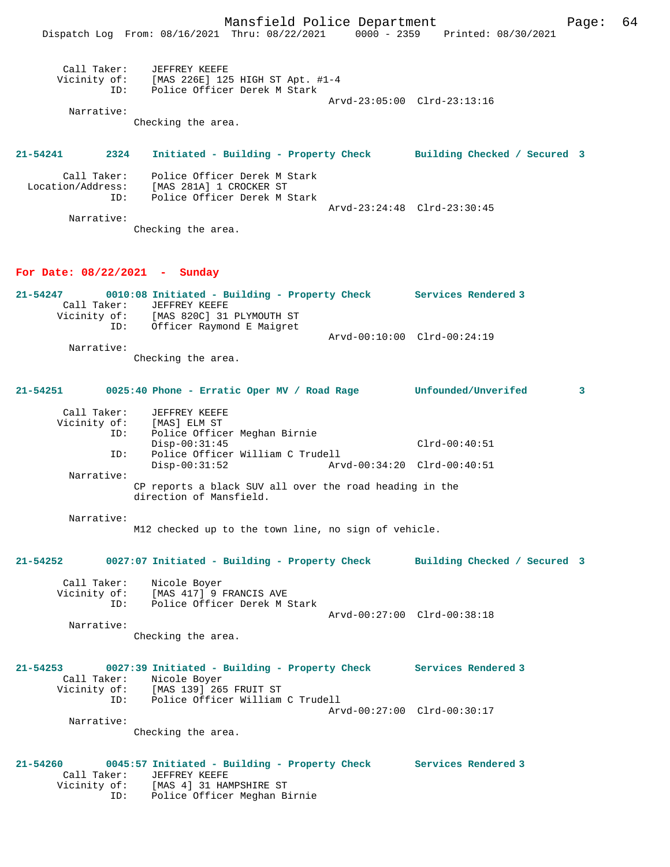|                                                | Mansfield Police Department                                                                                                                                                     |                             |                                 | Page: 64 |
|------------------------------------------------|---------------------------------------------------------------------------------------------------------------------------------------------------------------------------------|-----------------------------|---------------------------------|----------|
|                                                | Dispatch Log From: 08/16/2021 Thru: 08/22/2021                                                                                                                                  |                             | 0000 - 2359 Printed: 08/30/2021 |          |
| Call Taker:                                    | <b>JEFFREY KEEFE</b><br>Vicinity of: [MAS 226E] 125 HIGH ST Apt. #1-4                                                                                                           |                             |                                 |          |
| ID:                                            | Police Officer Derek M Stark                                                                                                                                                    |                             |                                 |          |
| Narrative:                                     |                                                                                                                                                                                 |                             | Arvd-23:05:00 Clrd-23:13:16     |          |
|                                                | Checking the area.                                                                                                                                                              |                             |                                 |          |
| 21-54241<br>2324                               | Initiated - Building - Property Check Building Checked / Secured 3                                                                                                              |                             |                                 |          |
| Call Taker:<br>Location/Address:<br>ID:        | Police Officer Derek M Stark<br>[MAS 281A] 1 CROCKER ST<br>Police Officer Derek M Stark                                                                                         |                             |                                 |          |
|                                                |                                                                                                                                                                                 | Arvd-23:24:48 Clrd-23:30:45 |                                 |          |
| Narrative:                                     | Checking the area.                                                                                                                                                              |                             |                                 |          |
| For Date: $08/22/2021$ - Sunday                |                                                                                                                                                                                 |                             |                                 |          |
| 21-54247<br>Call Taker:<br>Vicinity of:<br>ID: | 0010:08 Initiated - Building - Property Check Services Rendered 3<br>JEFFREY KEEFE<br>[MAS 820C] 31 PLYMOUTH ST<br>Officer Raymond E Maigret                                    |                             |                                 |          |
|                                                |                                                                                                                                                                                 | Arvd-00:10:00 Clrd-00:24:19 |                                 |          |
| Narrative:                                     | Checking the area.                                                                                                                                                              |                             |                                 |          |
| 21-54251                                       | 0025:40 Phone - Erratic Oper MV / Road Rage                                                                                                                                     |                             | <b>Unfounded/Unverifed</b>      | 3        |
| Call Taker:<br>Vicinity of:<br>ID:             | JEFFREY KEEFE<br>[MAS] ELM ST<br>Police Officer Meghan Birnie                                                                                                                   |                             |                                 |          |
| ID:                                            | $Disp-00:31:45$<br>Police Officer William C Trudell                                                                                                                             |                             | $Clrd-00:40:51$                 |          |
|                                                | $Disp-00:31:52$                                                                                                                                                                 | Arvd-00:34:20 Clrd-00:40:51 |                                 |          |
| Narrative:                                     | CP reports a black SUV all over the road heading in the<br>direction of Mansfield.                                                                                              |                             |                                 |          |
| Narrative:                                     | M12 checked up to the town line, no sign of vehicle.                                                                                                                            |                             |                                 |          |
| 21-54252                                       | 0027:07 Initiated - Building - Property Check Building Checked / Secured 3                                                                                                      |                             |                                 |          |
| Call Taker:                                    | Nicole Boyer<br>Vicinity of: [MAS 417] 9 FRANCIS AVE<br>ID: Police Officer Derek M Stark                                                                                        |                             |                                 |          |
|                                                |                                                                                                                                                                                 | Arvd-00:27:00 Clrd-00:38:18 |                                 |          |
| Narrative:                                     | Checking the area.                                                                                                                                                              |                             |                                 |          |
| 21-54253                                       | 0027:39 Initiated - Building - Property Check Services Rendered 3<br>Call Taker: Nicole Boyer<br>Vicinity of: [MAS 139] 265 FRUIT ST<br>Police Officer William C Trudell<br>ID: |                             |                                 |          |
| Narrative:                                     |                                                                                                                                                                                 | Arvd-00:27:00 Clrd-00:30:17 |                                 |          |
|                                                | Checking the area.                                                                                                                                                              |                             |                                 |          |
| 21-54260<br>Call Taker:                        | 0045:57 Initiated - Building - Property Check Services Rendered 3<br>JEFFREY KEEFE<br>Vicinity of: [MAS 4] 31 HAMPSHIRE ST<br>Police Officer Meghan Birnie<br>ID:               |                             |                                 |          |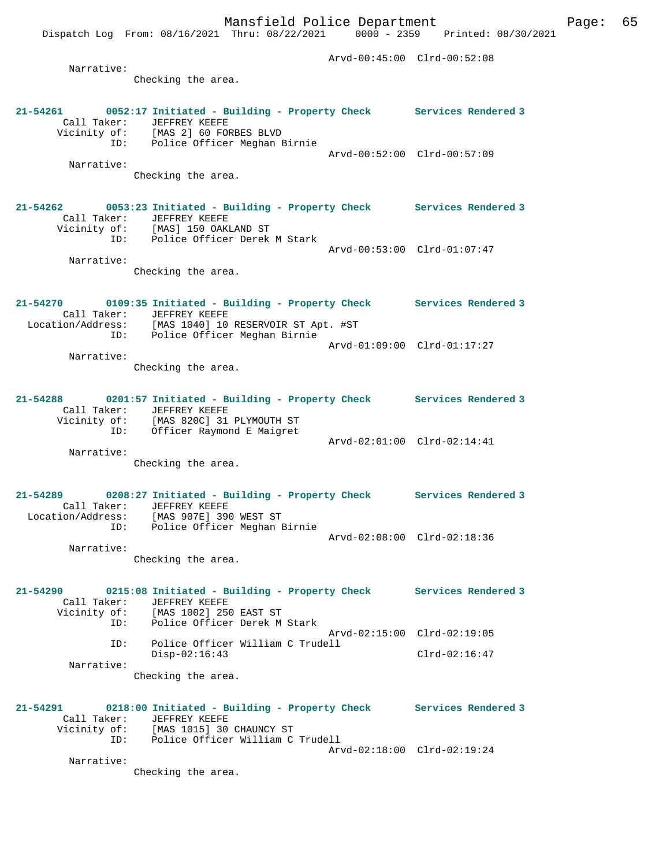Dispatch Log From: 08/16/2021 Thru: 08/22/2021 0000 - 2359 Printed: 08/30/2021

 Arvd-00:45:00 Clrd-00:52:08 Narrative: Checking the area. **21-54261 0052:17 Initiated - Building - Property Check Services Rendered 3**  Call Taker: JEFFREY KEEFE Vicinity of: [MAS 2] 60 FORBES BLVD of: [MAS 2] 60 FORBES BLVD<br>ID: Police Officer Meghan Birnie Arvd-00:52:00 Clrd-00:57:09 Narrative: Checking the area. **21-54262 0053:23 Initiated - Building - Property Check Services Rendered 3**  Call Taker: JEFFREY KEEFE Vicinity of: [MAS] 150 OAKLAND ST ID: Police Officer Derek M Stark Arvd-00:53:00 Clrd-01:07:47 Narrative: Checking the area. **21-54270 0109:35 Initiated - Building - Property Check Services Rendered 3**  Call Taker: JEFFREY KEEFE Location/Address: [MAS 1040] 10 RESERVOIR ST Apt. #ST ID: Police Officer Meghan Birnie Arvd-01:09:00 Clrd-01:17:27 Narrative: Checking the area. **21-54288 0201:57 Initiated - Building - Property Check Services Rendered 3**  Call Taker: JEFFREY KEEFE Vicinity of: [MAS 820C] 31 PLYMOUTH ST ID: Officer Raymond E Maigret Arvd-02:01:00 Clrd-02:14:41 Narrative: Checking the area. **21-54289 0208:27 Initiated - Building - Property Check Services Rendered 3**  Call Taker: JEFFREY KEEFE Location/Address: [MAS 907E] 390 WEST ST ID: Police Officer Meghan Birnie Arvd-02:08:00 Clrd-02:18:36 Narrative: Checking the area. **21-54290 0215:08 Initiated - Building - Property Check Services Rendered 3**  Call Taker: JEFFREY KEEFE<br>Vicinity of: [MAS 1002] 250 EAST ST Vicinity of: [MAS 1002] 250 EAST ST ID: Police Officer Derek M Stark Arvd-02:15:00 Clrd-02:19:05 ID: Police Officer William C Trudell Disp-02:16:43 Clrd-02:16:47 Narrative: Checking the area. **21-54291 0218:00 Initiated - Building - Property Check Services Rendered 3**  Call Taker: JEFFREY KEEFE Vicinity of: [MAS 1015] 30 CHAUNCY ST ID: Police Officer William C Trudell Arvd-02:18:00 Clrd-02:19:24 Narrative: Checking the area.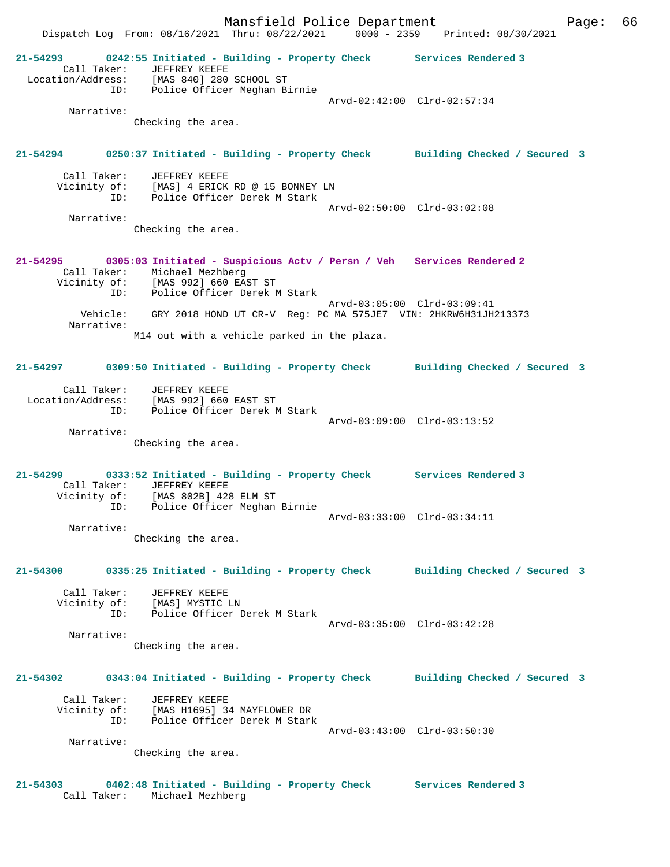Mansfield Police Department Page: 66 Dispatch Log From: 08/16/2021 Thru: 08/22/2021 0000 - 2359 Printed: 08/30/2021 **21-54293 0242:55 Initiated - Building - Property Check Services Rendered 3**  Call Taker: JEFFREY KEEFE Location/Address: [MAS 840] 280 SCHOOL ST ID: Police Officer Meghan Birnie Arvd-02:42:00 Clrd-02:57:34 Narrative: Checking the area. **21-54294 0250:37 Initiated - Building - Property Check Building Checked / Secured 3** Call Taker: JEFFREY KEEFE Vicinity of: [MAS] 4 ERICK RD @ 15 BONNEY LN<br>ID: Police Officer Derek M Stark Police Officer Derek M Stark Arvd-02:50:00 Clrd-03:02:08 Narrative: Checking the area. **21-54295 0305:03 Initiated - Suspicious Actv / Persn / Veh Services Rendered 2**  Call Taker: Michael Mezhberg Vicinity of: [MAS 992] 660 EAST ST ID: Police Officer Derek M Stark Arvd-03:05:00 Clrd-03:09:41 Vehicle: GRY 2018 HOND UT CR-V Reg: PC MA 575JE7 VIN: 2HKRW6H31JH213373 Narrative: M14 out with a vehicle parked in the plaza. **21-54297 0309:50 Initiated - Building - Property Check Building Checked / Secured 3** Call Taker: JEFFREY KEEFE Location/Address: [MAS 992] 660 EAST ST ID: Police Officer Derek M Stark Arvd-03:09:00 Clrd-03:13:52 Narrative: Checking the area. **21-54299 0333:52 Initiated - Building - Property Check Services Rendered 3**  Call Taker: JEFFREY KEEFE Vicinity of: [MAS 802B] 428 ELM ST ID: Police Officer Meghan Birnie Arvd-03:33:00 Clrd-03:34:11 Narrative: Checking the area. **21-54300 0335:25 Initiated - Building - Property Check Building Checked / Secured 3** Call Taker: JEFFREY KEEFE Vicinity of: [MAS] MYSTIC LN ID: Police Officer Derek M Stark Arvd-03:35:00 Clrd-03:42:28 Narrative: Checking the area. **21-54302 0343:04 Initiated - Building - Property Check Building Checked / Secured 3** Call Taker: JEFFREY KEEFE Vicinity of: [MAS H1695] 34 MAYFLOWER DR Vicinity of: [MAS H1695] 34 MAYFLOWER DR<br>ID: Police Officer Derek M Stark Arvd-03:43:00 Clrd-03:50:30 Narrative: Checking the area.

**21-54303 0402:48 Initiated - Building - Property Check Services Rendered 3**  Call Taker: Michael Mezhberg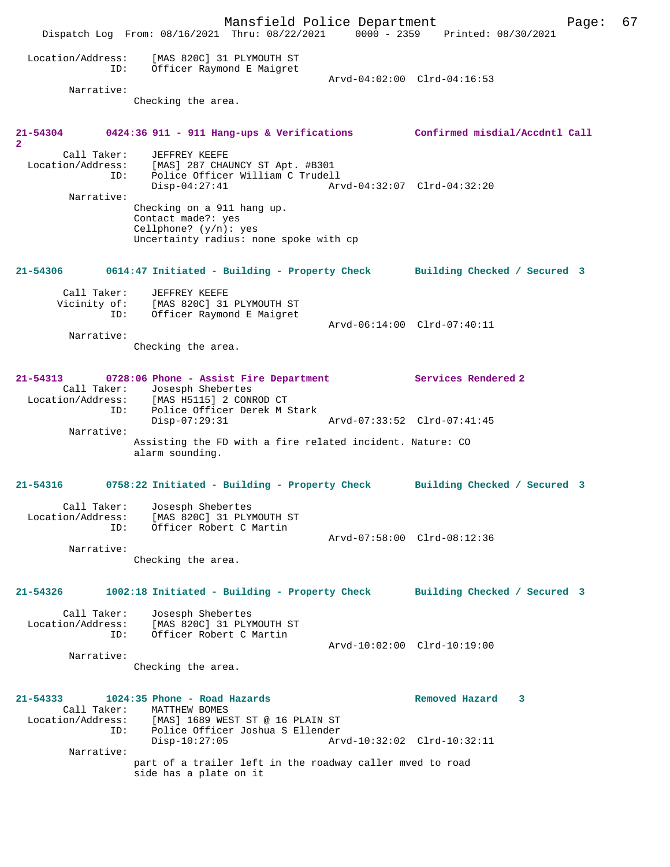Mansfield Police Department Fage: 67 Dispatch Log From: 08/16/2021 Thru: 08/22/2021 0000 - 2359 Printed: 08/30/2021 Location/Address: [MAS 820C] 31 PLYMOUTH ST ID: Officer Raymond E Maigret Arvd-04:02:00 Clrd-04:16:53 Narrative: Checking the area. **21-54304 0424:36 911 - 911 Hang-ups & Verifications Confirmed misdial/Accdntl Call 2**  Call Taker: JEFFREY KEEFE Location/Address: [MAS] 287 CHAUNCY ST Apt. #B301 ID: Police Officer William C Trudell Disp-04:27:41 Arvd-04:32:07 Clrd-04:32:20 Narrative: Checking on a 911 hang up. Contact made?: yes Cellphone? (y/n): yes Uncertainty radius: none spoke with cp **21-54306 0614:47 Initiated - Building - Property Check Building Checked / Secured 3** Call Taker: JEFFREY KEEFE Vicinity of: [MAS 820C] 31 PLYMOUTH ST ID: Officer Raymond E Maigret Arvd-06:14:00 Clrd-07:40:11 Narrative: Checking the area. **21-54313 0728:06 Phone - Assist Fire Department Services Rendered 2**  Call Taker: Josesph Shebertes<br>Location/Address: [MAS H5115] 2 CONE [MAS H5115] 2 CONROD CT ID: Police Officer Derek M Stark Disp-07:29:31 Arvd-07:33:52 Clrd-07:41:45 Narrative: Assisting the FD with a fire related incident. Nature: CO alarm sounding. **21-54316 0758:22 Initiated - Building - Property Check Building Checked / Secured 3** Call Taker: Josesph Shebertes Location/Address: [MAS 820C] 31 PLYMOUTH ST ID: Officer Robert C Martin Arvd-07:58:00 Clrd-08:12:36 Narrative: Checking the area. **21-54326 1002:18 Initiated - Building - Property Check Building Checked / Secured 3** Call Taker: Josesph Shebertes<br>Location/Address: [MAS 820C] 31 PLY ess: [MAS 820C] 31 PLYMOUTH ST<br>ID: Officer Robert C Martin Officer Robert C Martin Arvd-10:02:00 Clrd-10:19:00 Narrative: Checking the area. **21-54333 1024:35 Phone - Road Hazards Removed Hazard 3**  Call Taker: MATTHEW BOMES<br>Location/Address: [MAS] 1689 WES [MAS] 1689 WEST ST @ 16 PLAIN ST ID: Police Officer Joshua S Ellender Disp-10:27:05 Arvd-10:32:02 Clrd-10:32:11 Narrative: part of a trailer left in the roadway caller mved to road side has a plate on it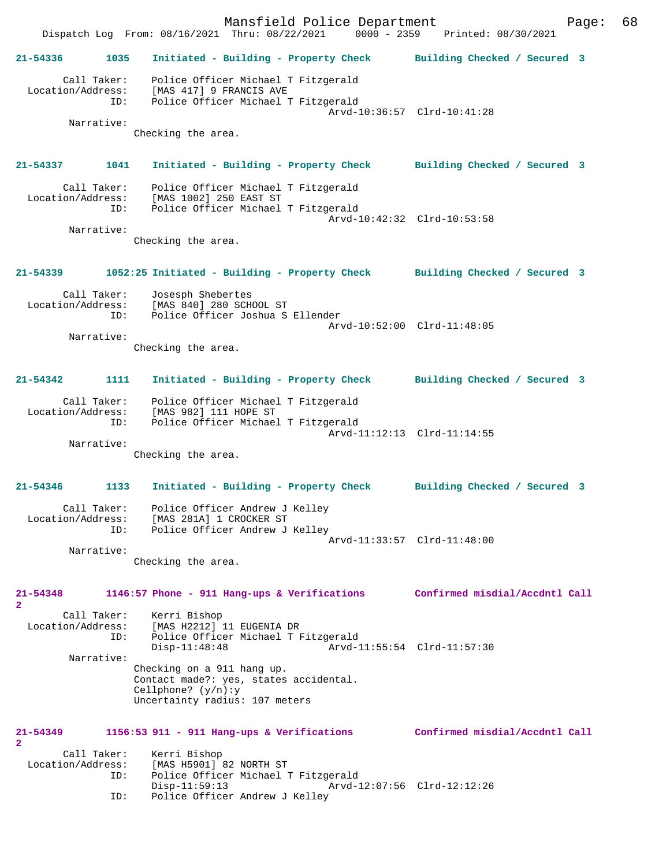Mansfield Police Department Page: 68 Dispatch Log From: 08/16/2021 Thru: 08/22/2021 **21-54336 1035 Initiated - Building - Property Check Building Checked / Secured 3** Call Taker: Police Officer Michael T Fitzgerald Location/Address: [MAS 417] 9 FRANCIS AVE ID: Police Officer Michael T Fitzgerald Arvd-10:36:57 Clrd-10:41:28 Narrative: Checking the area. **21-54337 1041 Initiated - Building - Property Check Building Checked / Secured 3** Call Taker: Police Officer Michael T Fitzgerald Location/Address: [MAS 1002] 250 EAST ST Police Officer Michael T Fitzgerald Arvd-10:42:32 Clrd-10:53:58 Narrative: Checking the area. **21-54339 1052:25 Initiated - Building - Property Check Building Checked / Secured 3** Call Taker: Josesph Shebertes Location/Address: [MAS 840] 280 SCHOOL ST ID: Police Officer Joshua S Ellender Arvd-10:52:00 Clrd-11:48:05 Narrative: Checking the area. **21-54342 1111 Initiated - Building - Property Check Building Checked / Secured 3** Call Taker: Police Officer Michael T Fitzgerald Location/Address: [MAS 982] 111 HOPE ST Police Officer Michael T Fitzgerald Arvd-11:12:13 Clrd-11:14:55 Narrative: Checking the area. **21-54346 1133 Initiated - Building - Property Check Building Checked / Secured 3** Call Taker: Police Officer Andrew J Kelley Location/Address: [MAS 281A] 1 CROCKER ST ID: Police Officer Andrew J Kelley Arvd-11:33:57 Clrd-11:48:00 Narrative: Checking the area. **21-54348 1146:57 Phone - 911 Hang-ups & Verifications Confirmed misdial/Accdntl Call 2**  Call Taker: Kerri Bishop<br>Location/Address: [MAS H2212] [MAS H2212] 11 EUGENIA DR ID: Police Officer Michael T Fitzgerald Arvd-11:55:54 Clrd-11:57:30 Narrative: Checking on a 911 hang up. Contact made?: yes, states accidental. Cellphone? (y/n):y Uncertainty radius: 107 meters **21-54349 1156:53 911 - 911 Hang-ups & Verifications Confirmed misdial/Accdntl Call 2**  Call Taker: Kerri Bishop Location/Address: [MAS H5901] 82 NORTH ST<br>ID: Police Officer Michael 1 Police Officer Michael T Fitzgerald<br>Disp-11:59:13 Arvd-1 Disp-11:59:13 Arvd-12:07:56 Clrd-12:12:26<br>ID: Police Officer Andrew J Kellev Police Officer Andrew J Kelley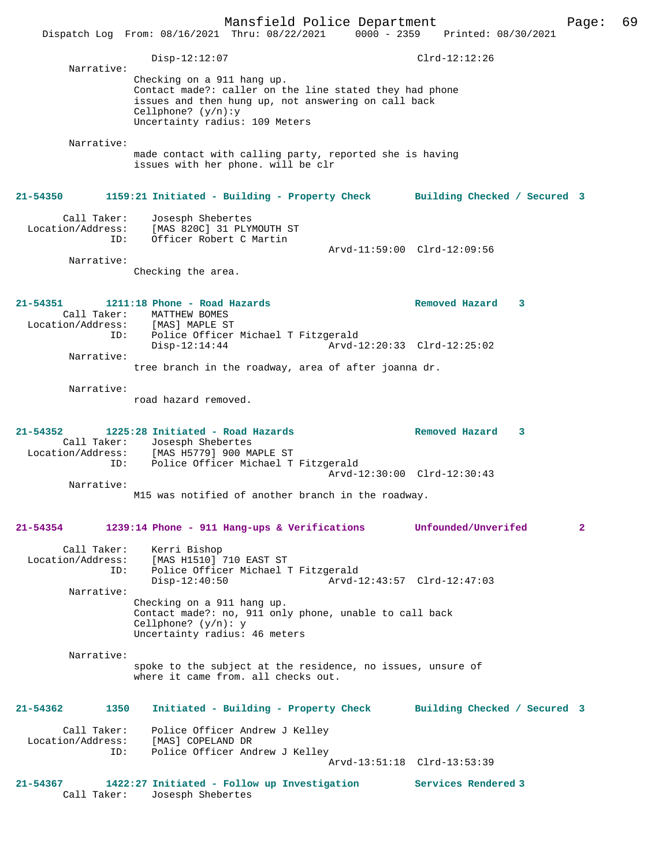Mansfield Police Department Page: 69 Dispatch Log From: 08/16/2021 Thru: 08/22/2021 0000 - 2359 Printed: 08/30/2021 Disp-12:12:07 Clrd-12:12:26 Narrative: Checking on a 911 hang up. Contact made?: caller on the line stated they had phone issues and then hung up, not answering on call back Cellphone? (y/n):y Uncertainty radius: 109 Meters Narrative: made contact with calling party, reported she is having issues with her phone. will be clr **21-54350 1159:21 Initiated - Building - Property Check Building Checked / Secured 3** Call Taker: Josesph Shebertes Location/Address: [MAS 820C] 31 PLYMOUTH ST ID: Officer Robert C Martin Arvd-11:59:00 Clrd-12:09:56 Narrative: Checking the area. **21-54351 1211:18 Phone - Road Hazards Removed Hazard 3**  Call Taker: MATTHEW BOMES<br>ion/Address: [MAS] MAPLE ST Location/Address:<br>ID: Police Officer Michael T Fitzgerald<br>Disp-12:14:44 Arvd-1 Disp-12:14:44 Arvd-12:20:33 Clrd-12:25:02 Narrative: tree branch in the roadway, area of after joanna dr. Narrative: road hazard removed. **21-54352 1225:28 Initiated - Road Hazards Removed Hazard 3**  Call Taker: Josesph Shebertes Location/Address: [MAS H5779] 900 MAPLE ST Police Officer Michael T Fitzgerald Arvd-12:30:00 Clrd-12:30:43 Narrative: M15 was notified of another branch in the roadway. **21-54354 1239:14 Phone - 911 Hang-ups & Verifications Unfounded/Unverifed 2** Call Taker: Kerri Bishop<br>Location/Address: [MAS H1510] [MAS H1510] 710 EAST ST ID: Police Officer Michael T Fitzgerald Disp-12:40:50 Arvd-12:43:57 Clrd-12:47:03 Narrative: Checking on a 911 hang up. Contact made?: no, 911 only phone, unable to call back Cellphone? (y/n): y Uncertainty radius: 46 meters Narrative: spoke to the subject at the residence, no issues, unsure of where it came from. all checks out. **21-54362 1350 Initiated - Building - Property Check Building Checked / Secured 3** Call Taker: Police Officer Andrew J Kelley Location/Address: [MAS] COPELAND DR<br>ID: Police Officer And Police Officer Andrew J Kelley Arvd-13:51:18 Clrd-13:53:39 **21-54367 1422:27 Initiated - Follow up Investigation Services Rendered 3**  Call Taker: Josesph Shebertes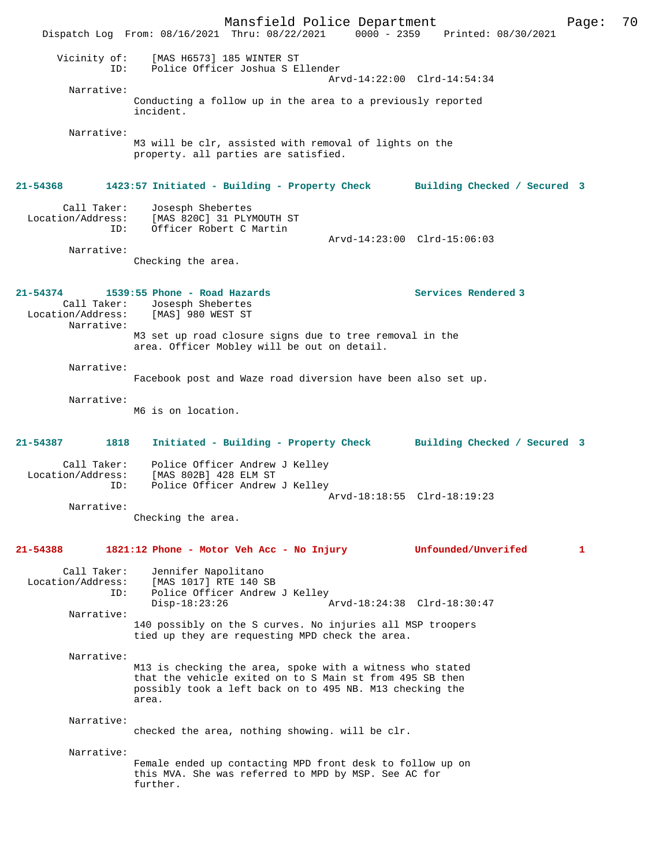Mansfield Police Department Page: 70 Dispatch Log From: 08/16/2021 Thru: 08/22/2021 Vicinity of: [MAS H6573] 185 WINTER ST ID: Police Officer Joshua S Ellender Arvd-14:22:00 Clrd-14:54:34 Narrative: Conducting a follow up in the area to a previously reported incident. Narrative: M3 will be clr, assisted with removal of lights on the property. all parties are satisfied. **21-54368 1423:57 Initiated - Building - Property Check Building Checked / Secured 3** Call Taker: Josesph Shebertes Location/Address: [MAS 820C] 31 PLYMOUTH ST ID: Officer Robert C Martin Arvd-14:23:00 Clrd-15:06:03 Narrative: Checking the area. **21-54374 1539:55 Phone - Road Hazards Services Rendered 3**  Call Taker: Josesph Shebertes<br>ion/Address: [MAS] 980 WEST ST Location/Address: Narrative: M3 set up road closure signs due to tree removal in the area. Officer Mobley will be out on detail. Narrative: Facebook post and Waze road diversion have been also set up. Narrative: M6 is on location. **21-54387 1818 Initiated - Building - Property Check Building Checked / Secured 3** Call Taker: Police Officer Andrew J Kelley Location/Address: [MAS 802B] 428 ELM ST<br>ID: Police Officer Andrew Police Officer Andrew J Kelley Arvd-18:18:55 Clrd-18:19:23 Narrative: Checking the area. **21-54388 1821:12 Phone - Motor Veh Acc - No Injury Unfounded/Unverifed 1** Call Taker: Jennifer Napolitano Location/Address: [MAS 1017] RTE 140 SB ID: Police Officer Andrew J Kelley<br>Disp-18:23:26 Disp-18:23:26 Arvd-18:24:38 Clrd-18:30:47 Narrative: 140 possibly on the S curves. No injuries all MSP troopers tied up they are requesting MPD check the area. Narrative: M13 is checking the area, spoke with a witness who stated that the vehicle exited on to S Main st from 495 SB then possibly took a left back on to 495 NB. M13 checking the area. Narrative: checked the area, nothing showing. will be clr. Narrative: Female ended up contacting MPD front desk to follow up on this MVA. She was referred to MPD by MSP. See AC for further.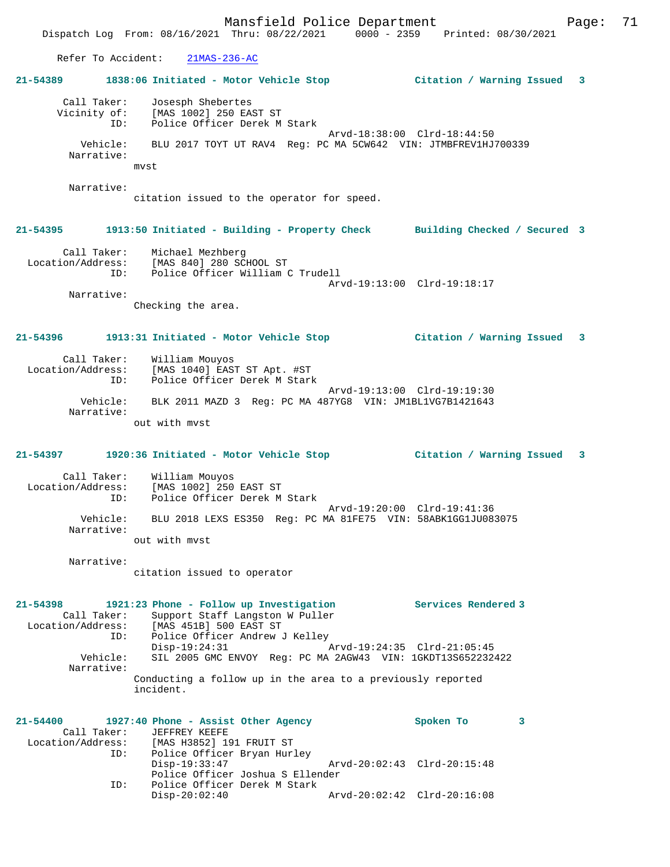Mansfield Police Department Form Page: 71 Dispatch Log From: 08/16/2021 Thru: 08/22/2021 0000 - 2359 Printed: 08/30/2021 Refer To Accident: 21MAS-236-AC **21-54389 1838:06 Initiated - Motor Vehicle Stop Citation / Warning Issued 3** Call Taker: Josesph Shebertes Vicinity of: [MAS 1002] 250 EAST ST ID: Police Officer Derek M Stark Arvd-18:38:00 Clrd-18:44:50 Vehicle: BLU 2017 TOYT UT RAV4 Reg: PC MA 5CW642 VIN: JTMBFREV1HJ700339 Narrative: mvst Narrative: citation issued to the operator for speed. **21-54395 1913:50 Initiated - Building - Property Check Building Checked / Secured 3** Call Taker: Michael Mezhberg Location/Address: [MAS 840] 280 SCHOOL ST ID: Police Officer William C Trudell Arvd-19:13:00 Clrd-19:18:17 Narrative: Checking the area. **21-54396 1913:31 Initiated - Motor Vehicle Stop Citation / Warning Issued 3** Call Taker: William Mouyos Location/Address: [MAS 1040] EAST ST Apt. #ST ID: Police Officer Derek M Stark Arvd-19:13:00 Clrd-19:19:30 Vehicle: BLK 2011 MAZD 3 Reg: PC MA 487YG8 VIN: JM1BL1VG7B1421643 Narrative: out with mvst

## **21-54397 1920:36 Initiated - Motor Vehicle Stop Citation / Warning Issued 3**

 Call Taker: William Mouyos Location/Address: [MAS 1002] 250 EAST ST Police Officer Derek M Stark Arvd-19:20:00 Clrd-19:41:36<br>Vehicle: BLU 2018 LEXS ES350 Req: PC MA 81FE75 VIN: 58ABK1GG1JU08 BLU 2018 LEXS ES350 Reg: PC MA 81FE75 VIN: 58ABK1GG1JU083075 Narrative:

out with mvst

Narrative:

citation issued to operator

**21-54398 1921:23 Phone - Follow up Investigation Services Rendered 3**  Call Taker: Support Staff Langston W Puller Location/Address: [MAS 451B] 500 EAST ST ID: Police Officer Andrew J Kelley<br>Disp-19:24:31 Disp-19:24:31 Arvd-19:24:35 Clrd-21:05:45<br>Vehicle: SIL 2005 GMC ENVOY Reg: PC MA 2AGW43 VIN: 1GKDT13S6522324 Vehicle: SIL 2005 GMC ENVOY Reg: PC MA 2AGW43 VIN: 1GKDT13S652232422 Narrative: Conducting a follow up in the area to a previously reported incident.

| 21-54400          |     | 1927:40 Phone - Assist Other Agency |  |                             | Spoken To |  |
|-------------------|-----|-------------------------------------|--|-----------------------------|-----------|--|
|                   |     | Call Taker: JEFFREY KEEFE           |  |                             |           |  |
| Location/Address: |     | [MAS H3852] 191 FRUIT ST            |  |                             |           |  |
|                   | ID: | Police Officer Bryan Hurley         |  |                             |           |  |
|                   |     | $Disp-19:33:47$                     |  | Arvd-20:02:43 Clrd-20:15:48 |           |  |
|                   |     | Police Officer Joshua S Ellender    |  |                             |           |  |
|                   | ID: | Police Officer Derek M Stark        |  |                             |           |  |
|                   |     | $Disp-20:02:40$                     |  | Arvd-20:02:42 Clrd-20:16:08 |           |  |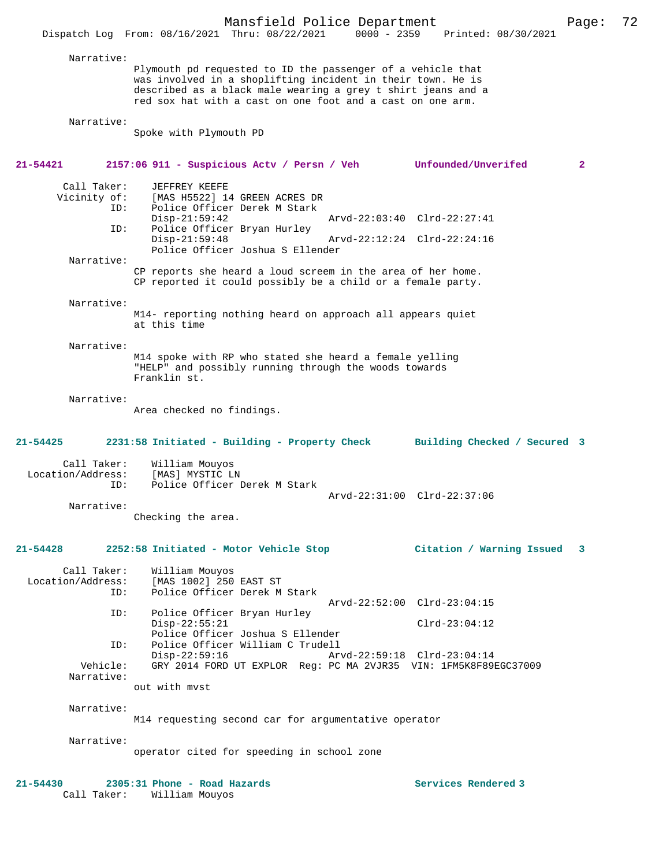| inted: 08/30/2021 |  |
|-------------------|--|
|                   |  |

 Narrative: Plymouth pd requested to ID the passenger of a vehicle that was involved in a shoplifting incident in their town. He is described as a black male wearing a grey t shirt jeans and a red sox hat with a cast on one foot and a cast on one arm.

```
 Narrative:
```
Spoke with Plymouth PD

**21-54421 2157:06 911 - Suspicious Actv / Persn / Veh Unfounded/Unverifed 2** Call Taker: JEFFREY KEEFE<br>Vicinity of: [MAS H5522] 1 of: [MAS H5522] 14 GREEN ACRES DR<br>ID: Police Officer Derek M Stark Police Officer Derek M Stark Disp-21:59:42 Arvd-22:03:40 Clrd-22:27:41<br>ID: Police Officer Brvan Hurley Police Officer Bryan Hurley<br>Disp-21:59:48 Arvd-22:12:24 Clrd-22:24:16 Police Officer Joshua S Ellender Narrative: CP reports she heard a loud screem in the area of her home. CP reported it could possibly be a child or a female party. Narrative: M14- reporting nothing heard on approach all appears quiet at this time Narrative: M14 spoke with RP who stated she heard a female yelling "HELP" and possibly running through the woods towards Franklin st. Narrative: Area checked no findings. **21-54425 2231:58 Initiated - Building - Property Check Building Checked / Secured 3** Call Taker: William Mouyos<br>.on/Address: [MAS] MYSTIC LN Location/Address:<br>ID: Police Officer Derek M Stark Arvd-22:31:00 Clrd-22:37:06 Narrative: Checking the area. **21-54428 2252:58 Initiated - Motor Vehicle Stop Citation / Warning Issued 3** Call Taker: William Mouyos<br>Location/Address: [MAS 1002] 250 [MAS 1002] 250 EAST ST ID: Police Officer Derek M Stark Arvd-22:52:00 Clrd-23:04:15<br>ID: Police Officer Brvan Hurley Police Officer Bryan Hurley Disp-22:55:21 Clrd-23:04:12 Police Officer Joshua S Ellender<br>TD: Police Officer William C Trudell Police Officer William C Trudell<br>Disp-22:59:16 Art Disp-22:59:16 Arvd-22:59:18 Clrd-23:04:14<br>Vehicle: GRY 2014 FORD UT EXPLOR Reg: PC MA 2VJR35 VIN: 1EM5K8E891 GRY 2014 FORD UT EXPLOR Reg: PC MA 2VJR35 VIN: 1FM5K8F89EGC37009 Narrative: out with mvst Narrative: M14 requesting second car for argumentative operator Narrative: operator cited for speeding in school zone **21-54430 2305:31 Phone - Road Hazards Services Rendered 3**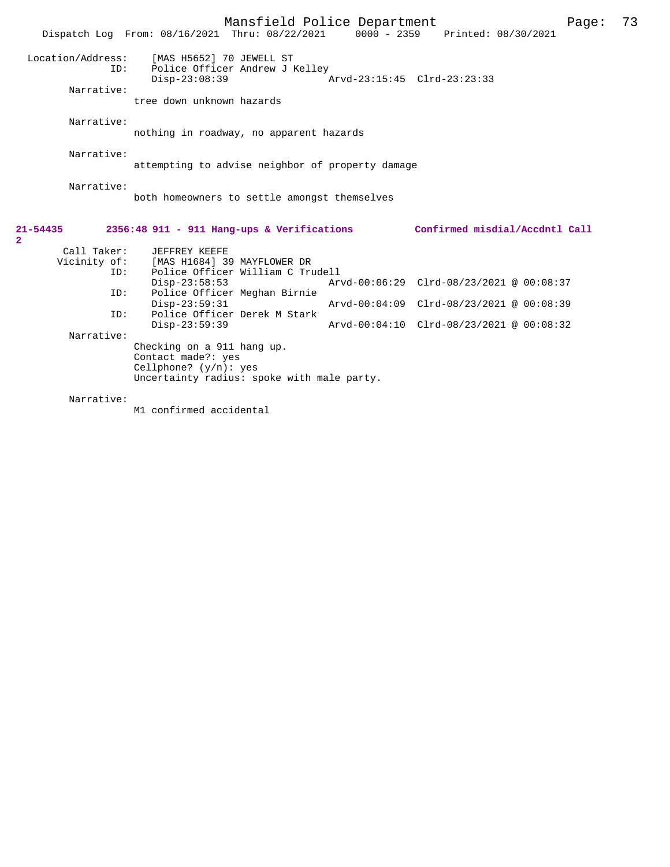|                                | Mansfield Police Department<br>Dispatch Log From: 08/16/2021 Thru: 08/22/2021 0000 - 2359 Printed: 08/30/2021                                 |                             |                                                                                                                 |                                | 73<br>Page: |
|--------------------------------|-----------------------------------------------------------------------------------------------------------------------------------------------|-----------------------------|-----------------------------------------------------------------------------------------------------------------|--------------------------------|-------------|
| Location/Address:<br>ID:       | [MAS H5652] 70 JEWELL ST<br>Police Officer Andrew J Kelley<br>$Disp-23:08:39$                                                                 | Arvd-23:15:45 Clrd-23:23:33 |                                                                                                                 |                                |             |
| Narrative:                     | tree down unknown hazards                                                                                                                     |                             |                                                                                                                 |                                |             |
| Narrative:                     | nothing in roadway, no apparent hazards                                                                                                       |                             |                                                                                                                 |                                |             |
| Narrative:                     | attempting to advise neighbor of property damage                                                                                              |                             |                                                                                                                 |                                |             |
| Narrative:                     | both homeowners to settle amongst themselves                                                                                                  |                             |                                                                                                                 |                                |             |
| $21 - 54435$<br>$\overline{2}$ | $2356:48$ 911 - 911 Hang-ups & Verifications                                                                                                  |                             |                                                                                                                 | Confirmed misdial/Accdntl Call |             |
| Call Taker:<br>ID:             | JEFFREY KEEFE<br>Vicinity of: [MAS H1684] 39 MAYFLOWER DR<br>Police Officer William C Trudell                                                 |                             |                                                                                                                 |                                |             |
| ID:                            | $Disp-23:58:53$<br>Police Officer Meghan Birnie                                                                                               |                             | Arvd-00:06:29 Clrd-08/23/2021 @ 00:08:37                                                                        |                                |             |
| ID:                            | $Disp-23:59:31$<br>Police Officer Derek M Stark                                                                                               |                             | Arvd-00:04:09 Clrd-08/23/2021 @ 00:08:39<br>$Arvd-00:04:10 \quad CLrd-08/23/2021 \quad \text{Q} \quad 00:08:32$ |                                |             |
| Narrative:                     | $Disp-23:59:39$<br>Checking on a 911 hang up.<br>Contact made?: yes<br>Cellphone? $(y/n)$ : yes<br>Uncertainty radius: spoke with male party. |                             |                                                                                                                 |                                |             |
| Narrative:                     |                                                                                                                                               |                             |                                                                                                                 |                                |             |

M1 confirmed accidental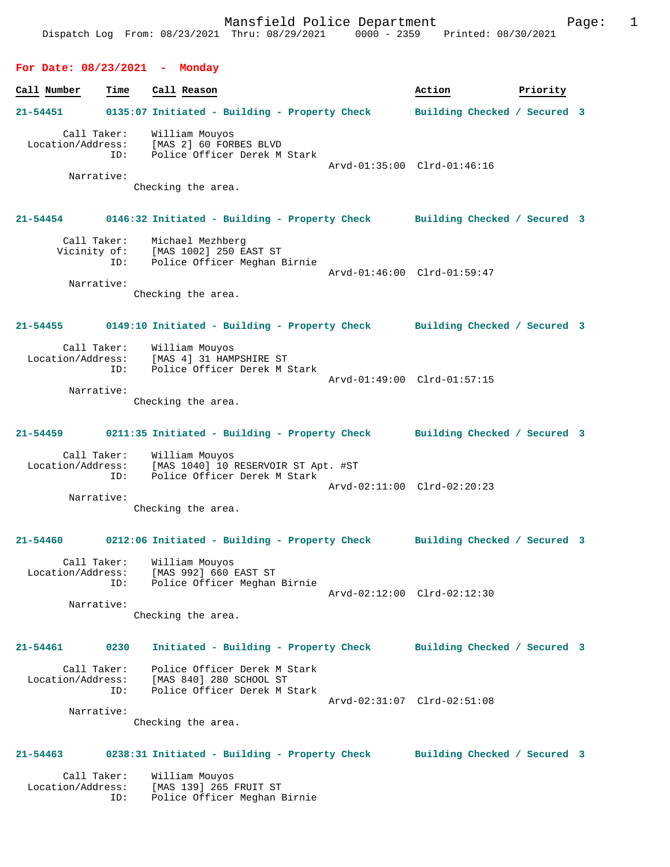## **For Date: 08/23/2021 - Monday**

**Call Number Time Call Reason 6 and Call Reason Action Action Priority 21-54451 0135:07 Initiated - Building - Property Check Building Checked / Secured 3** Call Taker: William Mouyos Location/Address: [MAS 2] 60 FORBES BLVD ID: Police Officer Derek M Stark Arvd-01:35:00 Clrd-01:46:16 Narrative: Checking the area. **21-54454 0146:32 Initiated - Building - Property Check Building Checked / Secured 3** Call Taker: Michael Mezhberg Vicinity of: [MAS 1002] 250 EAST ST ID: Police Officer Meghan Birnie Arvd-01:46:00 Clrd-01:59:47 Narrative: Checking the area. **21-54455 0149:10 Initiated - Building - Property Check Building Checked / Secured 3** Call Taker: William Mouyos<br>Location/Address: [MAS 4] 31 HAM Location (MAS 4) 31 HAMPSHIRE ST ID: Police Officer Derek M Stark Arvd-01:49:00 Clrd-01:57:15 Narrative: Checking the area. **21-54459 0211:35 Initiated - Building - Property Check Building Checked / Secured 3** Call Taker: William Mouyos Location/Address: [MAS 1040] 10 RESERVOIR ST Apt. #ST ID: Police Officer Derek M Stark Arvd-02:11:00 Clrd-02:20:23 Narrative: Checking the area. **21-54460 0212:06 Initiated - Building - Property Check Building Checked / Secured 3** Call Taker: William Mouyos Location/Address: [MAS 992] 660 EAST ST ID: Police Officer Meghan Birnie Arvd-02:12:00 Clrd-02:12:30 Narrative: Checking the area. **21-54461 0230 Initiated - Building - Property Check Building Checked / Secured 3** Call Taker: Police Officer Derek M Stark Location/Address: [MAS 840] 280 SCHOOL ST ID: Police Officer Derek M Stark Arvd-02:31:07 Clrd-02:51:08 Narrative: Checking the area. **21-54463 0238:31 Initiated - Building - Property Check Building Checked / Secured 3** Call Taker: William Mouyos<br>Location/Address: [MAS 139] 265

 Location/Address: [MAS 139] 265 FRUIT ST Police Officer Meghan Birnie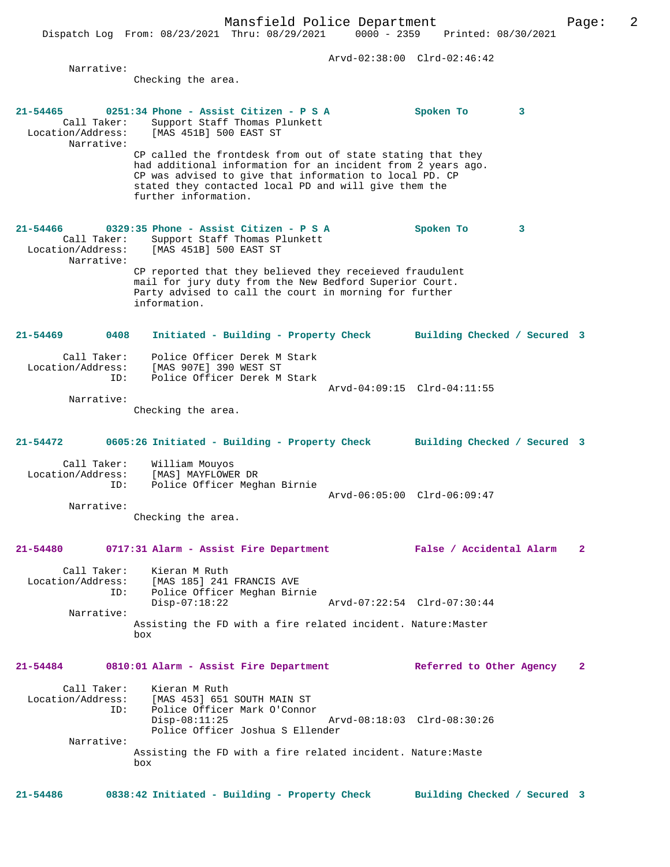Dispatch Log From: 08/23/2021 Thru: 08/29/2021 0000 - 2359 Printed: 08/30/2021 Arvd-02:38:00 Clrd-02:46:42 Narrative: Checking the area. **21-54465 0251:34 Phone - Assist Citizen - P S A Spoken To 3**  Call Taker: Support Staff Thomas Plunkett<br>Location/Address: [MAS 451B] 500 EAST ST [MAS 451B] 500 EAST ST Narrative: CP called the frontdesk from out of state stating that they had additional information for an incident from 2 years ago. CP was advised to give that information to local PD. CP stated they contacted local PD and will give them the further information. **21-54466 0329:35 Phone - Assist Citizen - P S A Spoken To 3**  Call Taker: Support Staff Thomas Plunkett<br>Location/Address: [MAS 451B] 500 EAST ST [MAS 451B] 500 EAST ST Narrative: CP reported that they believed they receieved fraudulent mail for jury duty from the New Bedford Superior Court. Party advised to call the court in morning for further information. **21-54469 0408 Initiated - Building - Property Check Building Checked / Secured 3** Call Taker: Police Officer Derek M Stark Location/Address: [MAS 907E] 390 WEST ST ID: Police Officer Derek M Stark Arvd-04:09:15 Clrd-04:11:55 Narrative: Checking the area. **21-54472 0605:26 Initiated - Building - Property Check Building Checked / Secured 3** Call Taker: William Mouyos<br>Location/Address: [MAS] MAYFLOWE ess: [MAS] MAYFLOWER DR<br>ID: Police Officer Megh Police Officer Meghan Birnie Arvd-06:05:00 Clrd-06:09:47 Narrative: Checking the area. **21-54480 0717:31 Alarm - Assist Fire Department False / Accidental Alarm 2** Call Taker: Kieran M Ruth<br>Location/Address: [MAS 185] 241 [MAS 185] 241 FRANCIS AVE ID: Police Officer Meghan Birnie Disp-07:18:22 Arvd-07:22:54 Clrd-07:30:44 Narrative: Assisting the FD with a fire related incident. Nature:Master box **21-54484 0810:01 Alarm - Assist Fire Department Referred to Other Agency 2** Call Taker: Kieran M Ruth Location/Address: [MAS 453] 651 SOUTH MAIN ST ID: Police Officer Mark O'Connor Disp-08:11:25 Arvd-08:18:03 Clrd-08:30:26 Police Officer Joshua S Ellender Narrative: Assisting the FD with a fire related incident. Nature:Maste box

**21-54486 0838:42 Initiated - Building - Property Check Building Checked / Secured 3**

## Mansfield Police Department Page: 2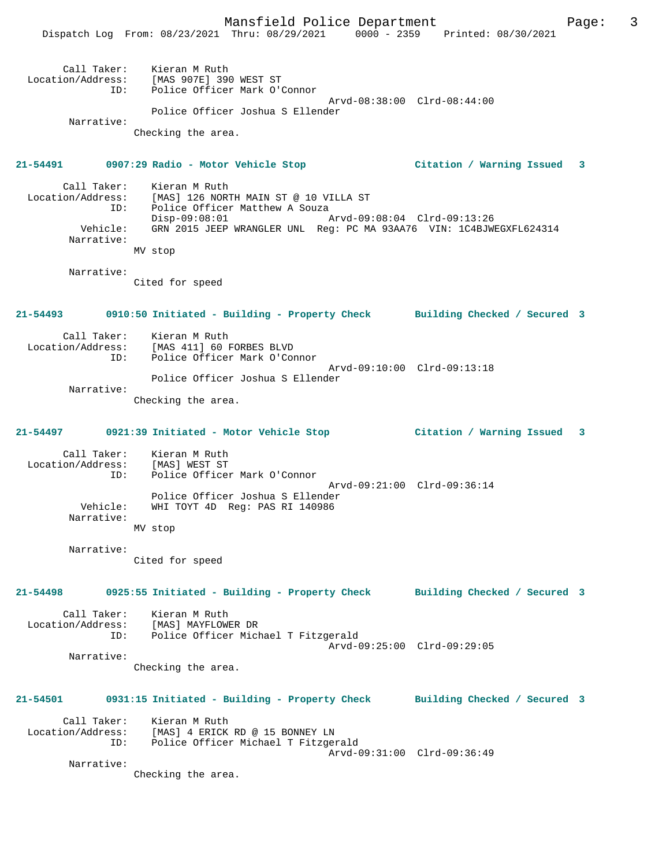Mansfield Police Department Form Page: 3 Dispatch Log From: 08/23/2021 Thru: 08/29/2021 0000 - 2359 Printed: 08/30/2021 Call Taker: Kieran M Ruth Location/Address: [MAS 907E] 390 WEST ST ID: Police Officer Mark O'Connor Arvd-08:38:00 Clrd-08:44:00 Police Officer Joshua S Ellender Narrative: Checking the area. **21-54491 0907:29 Radio - Motor Vehicle Stop Citation / Warning Issued 3** Call Taker: Kieran M Ruth<br>Location/Address: [MAS] 126 NOR Location/Address: [MAS] 126 NORTH MAIN ST @ 10 VILLA ST ID: Police Officer Matthew A Souza Disp-09:08:01 Arvd-09:08:04 Clrd-09:13:26 Vehicle: GRN 2015 JEEP WRANGLER UNL Reg: PC MA 93AA76 VIN: 1C4BJWEGXFL624314 Narrative: MV stop Narrative: Cited for speed **21-54493 0910:50 Initiated - Building - Property Check Building Checked / Secured 3** Call Taker: Kieran M Ruth Location/Address: [MAS 411] 60 FORBES BLVD ID: Police Officer Mark O'Connor Arvd-09:10:00 Clrd-09:13:18 Police Officer Joshua S Ellender Narrative: Checking the area. **21-54497 0921:39 Initiated - Motor Vehicle Stop Citation / Warning Issued 3** Call Taker: Kieran M Ruth Location/Address: [MAS] WEST ST ID: Police Officer Mark O'Connor Arvd-09:21:00 Clrd-09:36:14 Police Officer Joshua S Ellender Vehicle: WHI TOYT 4D Reg: PAS RI 140986 Narrative: MV stop Narrative: Cited for speed **21-54498 0925:55 Initiated - Building - Property Check Building Checked / Secured 3** Call Taker: Kieran M Ruth Location/Address: [MAS] MAYFLOWER DR ID: Police Officer Michael T Fitzgerald Arvd-09:25:00 Clrd-09:29:05 Narrative: Checking the area. **21-54501 0931:15 Initiated - Building - Property Check Building Checked / Secured 3** Call Taker: Kieran M Ruth Location/Address: [MAS] 4 ERICK RD @ 15 BONNEY LN ID: Police Officer Michael T Fitzgerald Arvd-09:31:00 Clrd-09:36:49 Narrative: Checking the area.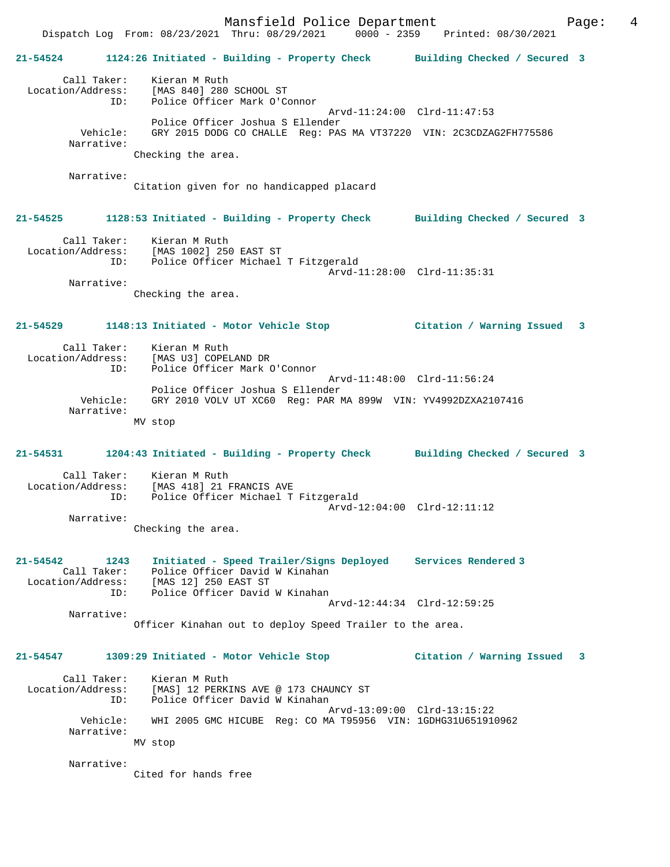Mansfield Police Department Fage: 4

 Dispatch Log From: 08/23/2021 Thru: 08/29/2021 0000 - 2359 Printed: 08/30/2021 **21-54524 1124:26 Initiated - Building - Property Check Building Checked / Secured 3** Call Taker: Kieran M Ruth Location/Address: [MAS 840] 280 SCHOOL ST ID: Police Officer Mark O'Connor Arvd-11:24:00 Clrd-11:47:53 Police Officer Joshua S Ellender Vehicle: GRY 2015 DODG CO CHALLE Reg: PAS MA VT37220 VIN: 2C3CDZAG2FH775586 Narrative: Checking the area. Narrative: Citation given for no handicapped placard **21-54525 1128:53 Initiated - Building - Property Check Building Checked / Secured 3** Call Taker: Kieran M Ruth Location/Address: [MAS 1002] 250 EAST ST ID: Police Officer Michael T Fitzgerald Arvd-11:28:00 Clrd-11:35:31 Narrative: Checking the area. **21-54529 1148:13 Initiated - Motor Vehicle Stop Citation / Warning Issued 3** Call Taker: Kieran M Ruth<br>Location/Address: [MAS U3] COPEI [MAS U3] COPELAND DR ID: Police Officer Mark O'Connor Arvd-11:48:00 Clrd-11:56:24 Police Officer Joshua S Ellender Vehicle: GRY 2010 VOLV UT XC60 Reg: PAR MA 899W VIN: YV4992DZXA2107416 Narrative: MV stop **21-54531 1204:43 Initiated - Building - Property Check Building Checked / Secured 3** Call Taker: Kieran M Ruth Location/Address: [MAS 418] 21 FRANCIS AVE ID: Police Officer Michael T Fitzgerald Arvd-12:04:00 Clrd-12:11:12 Narrative: Checking the area. **21-54542 1243 Initiated - Speed Trailer/Signs Deployed Services Rendered 3**  Call Taker: Police Officer David W Kinahan Location/Address: [MAS 12] 250 EAST ST ID: Police Officer David W Kinahan Arvd-12:44:34 Clrd-12:59:25 Narrative: Officer Kinahan out to deploy Speed Trailer to the area. **21-54547 1309:29 Initiated - Motor Vehicle Stop Citation / Warning Issued 3** Call Taker: Kieran M Ruth Location/Address: [MAS] 12 PERKINS AVE @ 173 CHAUNCY ST ID: Police Officer David W Kinahan Arvd-13:09:00 Clrd-13:15:22 Vehicle: WHI 2005 GMC HICUBE Reg: CO MA T95956 VIN: 1GDHG31U651910962 Narrative: MV stop Narrative:

Cited for hands free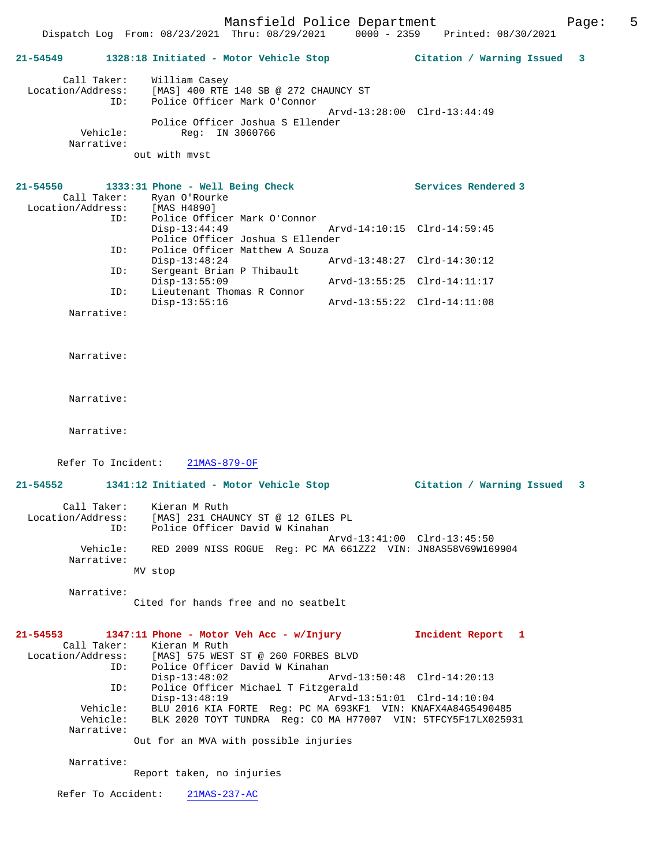Mansfield Police Department Page: 5 Dispatch Log From: 08/23/2021 Thru: 08/29/2021 0000 - 2359 Printed: 08/30/2021 **21-54549 1328:18 Initiated - Motor Vehicle Stop Citation / Warning Issued 3** Call Taker: William Casey Location/Address: [MAS] 400 RTE 140 SB @ 272 CHAUNCY ST ID: Police Officer Mark O'Connor Arvd-13:28:00 Clrd-13:44:49 Police Officer Joshua S Ellender<br>Vehicle: Reg: IN 3060766 Reg: IN 3060766 Narrative: out with mvst **21-54550 1333:31 Phone - Well Being Check Services Rendered 3**  Call Taker: Ryan O'Rourke<br>tion/Address: [MAS H4890] Location/Address:<br>ID: Id: France Officer Mark O'Connor<br>Disp-13:44:49 Arvd-14:10:15 Clrd-14:59:45 Police Officer Joshua S Ellender<br>ID: Police Officer Matthew A Souza Police Officer Matthew A Souza<br>Disp-13:48:24 Disp-13:48:24 Arvd-13:48:27 Clrd-14:30:12<br>ID: Sergeant Brian P Thibault Sergeant Brian P Thibault<br>Disp-13:55:09 Disp-13:55:09 Arvd-13:55:25 Clrd-14:11:17 ID: Lieutenant Thomas R Connor Disp-13:55:16 Arvd-13:55:22 Clrd-14:11:08 Narrative: Narrative: Narrative: Narrative: Refer To Incident: 21MAS-879-OF **21-54552 1341:12 Initiated - Motor Vehicle Stop Citation / Warning Issued 3** Call Taker: Kieran M Ruth Location/Address: [MAS] 231 CHAUNCY ST @ 12 GILES PL ID: Police Officer David W Kinahan Arvd-13:41:00 Clrd-13:45:50 Vehicle: RED 2009 NISS ROGUE Reg: PC MA 661ZZ2 VIN: JN8AS58V69W169904 Narrative: MV stop Narrative: Cited for hands free and no seatbelt **21-54553 1347:11 Phone - Motor Veh Acc - w/Injury Incident Report 1**  Call Taker: Kieran M Ruth<br>Location/Address: [MAS] 575 WEST [MAS] 575 WEST ST @ 260 FORBES BLVD ID: Police Officer David W Kinahan<br>Disp-13:48:02 Arvd-13:50:48 Clrd-14:20:13 ID: Police Officer Michael T Fitzgerald Disp-13:48:19 Arvd-13:51:01 Clrd-14:10:04 Vehicle: BLU 2016 KIA FORTE Reg: PC MA 693KF1 VIN: KNAFX4A84G5490485 Vehicle: BLK 2020 TOYT TUNDRA Reg: CO MA H77007 VIN: 5TFCY5F17LX025931 Narrative: Out for an MVA with possible injuries Narrative: Report taken, no injuries

Refer To Accident: 21MAS-237-AC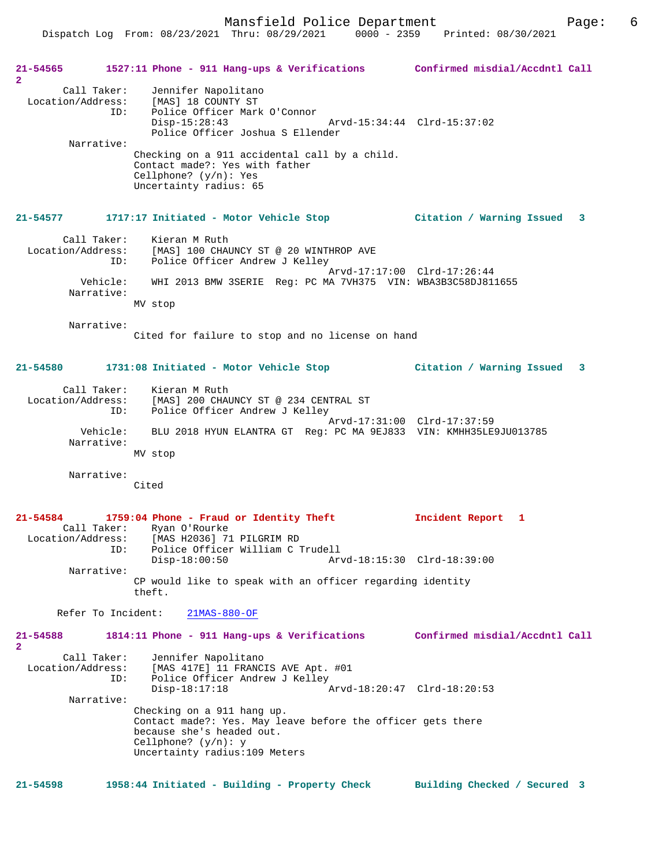Dispatch Log From: 08/23/2021 Thru: 08/29/2021 0000 - 2359 Printed: 08/30/2021

**21-54565 1527:11 Phone - 911 Hang-ups & Verifications Confirmed misdial/Accdntl Call 2**  Call Taker: Jennifer Napolitano Location/Address: [MAS] 18 COUNTY ST ID: Police Officer Mark O'Connor Disp-15:28:43 Arvd-15:34:44 Clrd-15:37:02 Police Officer Joshua S Ellender Narrative: Checking on a 911 accidental call by a child. Contact made?: Yes with father Cellphone? (y/n): Yes Uncertainty radius: 65 **21-54577 1717:17 Initiated - Motor Vehicle Stop Citation / Warning Issued 3** Call Taker: Kieran M Ruth Location/Address: [MAS] 100 CHAUNCY ST @ 20 WINTHROP AVE ID: Police Officer Andrew J Kelley Arvd-17:17:00 Clrd-17:26:44 Vehicle: WHI 2013 BMW 3SERIE Reg: PC MA 7VH375 VIN: WBA3B3C58DJ811655 Narrative: MV stop Narrative: Cited for failure to stop and no license on hand **21-54580 1731:08 Initiated - Motor Vehicle Stop Citation / Warning Issued 3** Call Taker: Kieran M Ruth Location/Address: [MAS] 200 CHAUNCY ST @ 234 CENTRAL ST Police Officer Andrew J Kelley Arvd-17:31:00 Clrd-17:37:59 Vehicle: BLU 2018 HYUN ELANTRA GT Reg: PC MA 9EJ833 VIN: KMHH35LE9JU013785 Narrative: MV stop Narrative: Cited **21-54584 1759:04 Phone - Fraud or Identity Theft Incident Report 1**  Call Taker: Ryan O'Rourke<br>Location/Address: [MAS H2036] 71 Location/Address: [MAS H2036] 71 PILGRIM RD Police Officer William C Trudell<br>Disp-18:00:50 Art Disp-18:00:50 Arvd-18:15:30 Clrd-18:39:00 Narrative: CP would like to speak with an officer regarding identity theft. Refer To Incident: 21MAS-880-OF **21-54588 1814:11 Phone - 911 Hang-ups & Verifications Confirmed misdial/Accdntl Call 2**  Call Taker: Jennifer Napolitano Location/Address: [MAS 417E] 11 FRANCIS AVE Apt. #01 ID: Police Officer Andrew J Kelley<br>Disp-18:17:18 Arvd-18:20:47 Clrd-18:20:53 Narrative: Checking on a 911 hang up. Contact made?: Yes. May leave before the officer gets there because she's headed out. Cellphone? (y/n): y Uncertainty radius:109 Meters **21-54598 1958:44 Initiated - Building - Property Check Building Checked / Secured 3**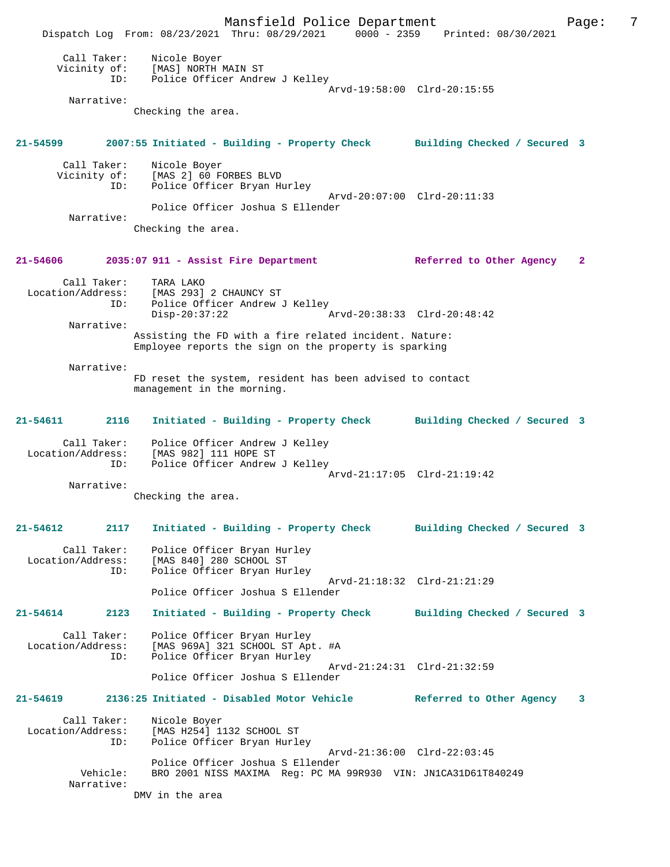Mansfield Police Department Fage: 7 Dispatch Log From: 08/23/2021 Thru: 08/29/2021 0000 - 2359 Printed: 08/30/2021 Call Taker: Nicole Boyer Vicinity of: [MAS] NORTH MAIN ST ID: Police Officer Andrew J Kelley Arvd-19:58:00 Clrd-20:15:55 Narrative: Checking the area. **21-54599 2007:55 Initiated - Building - Property Check Building Checked / Secured 3** Call Taker: Nicole Boyer Vicinity of: [MAS 2] 60 FORBES BLVD ID: Police Officer Bryan Hurley Arvd-20:07:00 Clrd-20:11:33 Police Officer Joshua S Ellender Narrative: Checking the area. **21-54606 2035:07 911 - Assist Fire Department Referred to Other Agency 2** Call Taker: TARA LAKO Location/Address: [MAS 293] 2 CHAUNCY ST ID: Police Officer Andrew J Kelley<br>Disp-20:37:22 A Disp-20:37:22 Arvd-20:38:33 Clrd-20:48:42 Narrative: Assisting the FD with a fire related incident. Nature: Employee reports the sign on the property is sparking Narrative: FD reset the system, resident has been advised to contact management in the morning. **21-54611 2116 Initiated - Building - Property Check Building Checked / Secured 3** Call Taker: Police Officer Andrew J Kelley Location/Address: [MAS 982] 111 HOPE ST ID: Police Officer Andrew J Kelley Arvd-21:17:05 Clrd-21:19:42 Narrative: Checking the area. **21-54612 2117 Initiated - Building - Property Check Building Checked / Secured 3** Call Taker: Police Officer Bryan Hurley Location/Address: [MAS 840] 280 SCHOOL ST ID: Police Officer Bryan Hurley Arvd-21:18:32 Clrd-21:21:29 Police Officer Joshua S Ellender **21-54614 2123 Initiated - Building - Property Check Building Checked / Secured 3** Call Taker: Police Officer Bryan Hurley Location/Address: [MAS 969A] 321 SCHOOL ST Apt. #A ID: Police Officer Bryan Hurley Arvd-21:24:31 Clrd-21:32:59 Police Officer Joshua S Ellender **21-54619 2136:25 Initiated - Disabled Motor Vehicle Referred to Other Agency 3** Call Taker: Nicole Boyer Location/Address: [MAS H254] 1132 SCHOOL ST ID: Police Officer Bryan Hurley Arvd-21:36:00 Clrd-22:03:45 Police Officer Joshua S Ellender Vehicle: BRO 2001 NISS MAXIMA Reg: PC MA 99R930 VIN: JN1CA31D61T840249 Narrative: DMV in the area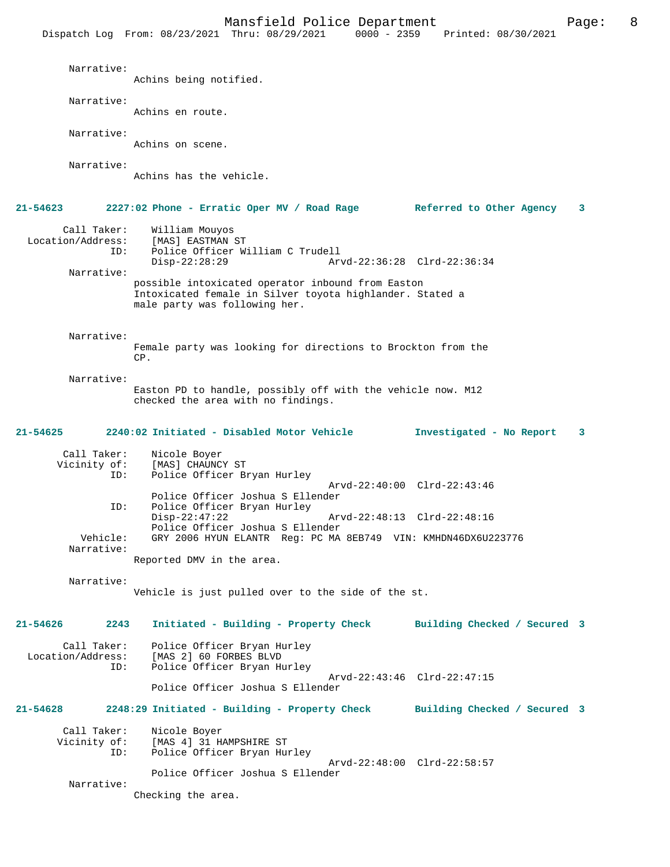Narrative: Achins being notified. Narrative: Achins en route. Narrative: Achins on scene. Narrative: Achins has the vehicle. **21-54623 2227:02 Phone - Erratic Oper MV / Road Rage Referred to Other Agency 3** Call Taker: William Mouyos<br>.on/Address: [MAS] EASTMAN ST Location/Address:<br>TD: Police Officer William C Trudell Disp-22:28:29 Arvd-22:36:28 Clrd-22:36:34 Narrative: possible intoxicated operator inbound from Easton Intoxicated female in Silver toyota highlander. Stated a male party was following her. Narrative: Female party was looking for directions to Brockton from the CP. Narrative: Easton PD to handle, possibly off with the vehicle now. M12 checked the area with no findings. **21-54625 2240:02 Initiated - Disabled Motor Vehicle Investigated - No Report 3** Call Taker: Nicole Boyer<br>Vicinity of: [MAS] CHAUNCY of: [MAS] CHAUNCY ST<br>ID: Police Officer Br Police Officer Bryan Hurley Arvd-22:40:00 Clrd-22:43:46 Police Officer Joshua S Ellender<br>TD: Police Officer Bryan Hurley Police Officer Bryan Hurley<br>Disp-22:47:22 Disp-22:47:22 Arvd-22:48:13 Clrd-22:48:16 Police Officer Joshua S Ellender Vehicle: GRY 2006 HYUN ELANTR Reg: PC MA 8EB749 VIN: KMHDN46DX6U223776 Narrative: Reported DMV in the area. Narrative: Vehicle is just pulled over to the side of the st. **21-54626 2243 Initiated - Building - Property Check Building Checked / Secured 3** Call Taker: Police Officer Bryan Hurley Location/Address: [MAS 2] 60 FORBES BLVD Police Officer Bryan Hurley Arvd-22:43:46 Clrd-22:47:15 Police Officer Joshua S Ellender **21-54628 2248:29 Initiated - Building - Property Check Building Checked / Secured 3** Call Taker: Nicole Boyer Vicinity of: [MAS 4] 31 HAMPSHIRE ST<br>TD: Police Officer Bryan Hu Police Officer Bryan Hurley Arvd-22:48:00 Clrd-22:58:57 Police Officer Joshua S Ellender Narrative: Checking the area.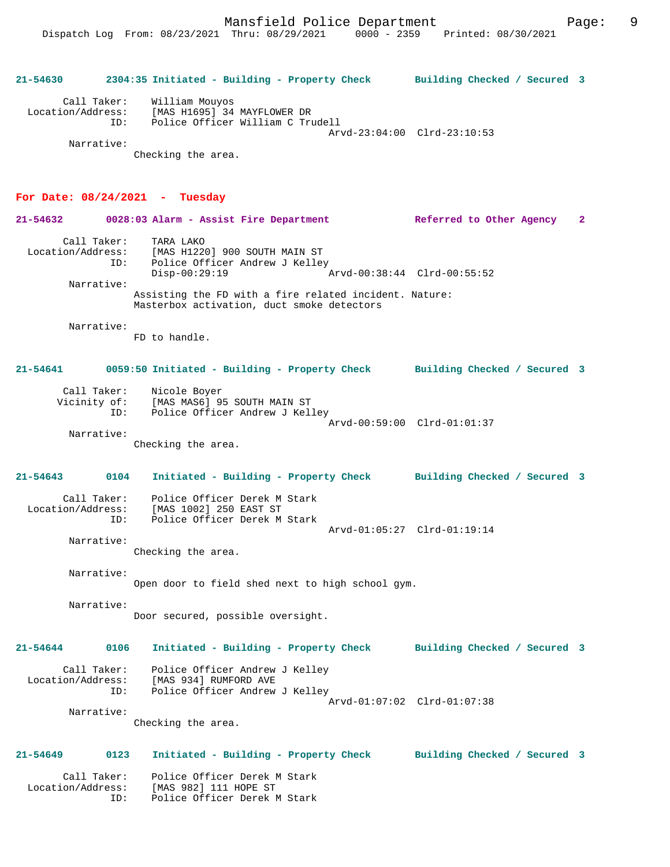|                                  | 21-54630 2304:35 Initiated - Building - Property Check Building Checked / Secured 3                                                       |                             |
|----------------------------------|-------------------------------------------------------------------------------------------------------------------------------------------|-----------------------------|
| Narrative:                       | Call Taker: William Mouyos<br>Location/Address: [MAS H1695] 34 MAYFLOWER DR<br>ID: Police Officer William C Trudell<br>Checking the area. | Arvd-23:04:00 Clrd-23:10:53 |
| For Date: $08/24/2021$ - Tuesday | 21-54632 0028:03 Alarm - Assist Fire Department Referred to Other Agency                                                                  | $\mathbf{2}$                |
| Narrative:                       | Call Taker: TARA LAKO<br>Location/Address: [MAS H1220] 900 SOUTH MAIN ST<br>ID: Police Officer Andrew J Kelley<br>$Disp-00:29:19$         | Arvd-00:38:44 Clrd-00:55:52 |
|                                  | Assisting the FD with a fire related incident. Nature:<br>Masterbox activation, duct smoke detectors                                      |                             |
| Narrative:                       | FD to handle.                                                                                                                             |                             |
|                                  | 21-54641 0059:50 Initiated - Building - Property Check Building Checked / Secured 3                                                       |                             |
| Narrative:                       | Call Taker: Nicole Boyer<br>Vicinity of: [MAS MAS6] 95 SOUTH MAIN ST<br>ID: Police Officer Andrew J Kelley<br>Checking the area.          | Arvd-00:59:00 Clrd-01:01:37 |
|                                  |                                                                                                                                           |                             |

**21-54643 0104 Initiated - Building - Property Check Building Checked / Secured 3** Call Taker: Police Officer Derek M Stark

 Location/Address: [MAS 1002] 250 EAST ST ID: Police Officer Derek M Stark Arvd-01:05:27 Clrd-01:19:14 Narrative:

Checking the area.

 Narrative: Open door to field shed next to high school gym.

 Narrative: Door secured, possible oversight.

**21-54644 0106 Initiated - Building - Property Check Building Checked / Secured 3** Call Taker: Police Officer Andrew J Kelley

 Location/Address: [MAS 934] RUMFORD AVE ID: Police Officer Andrew J Kelley Arvd-01:07:02 Clrd-01:07:38

> Narrative: Checking the area.

**21-54649 0123 Initiated - Building - Property Check Building Checked / Secured 3** Call Taker: Police Officer Derek M Stark Location/Address: [MAS 982] 111 HOPE ST

ID: Police Officer Derek M Stark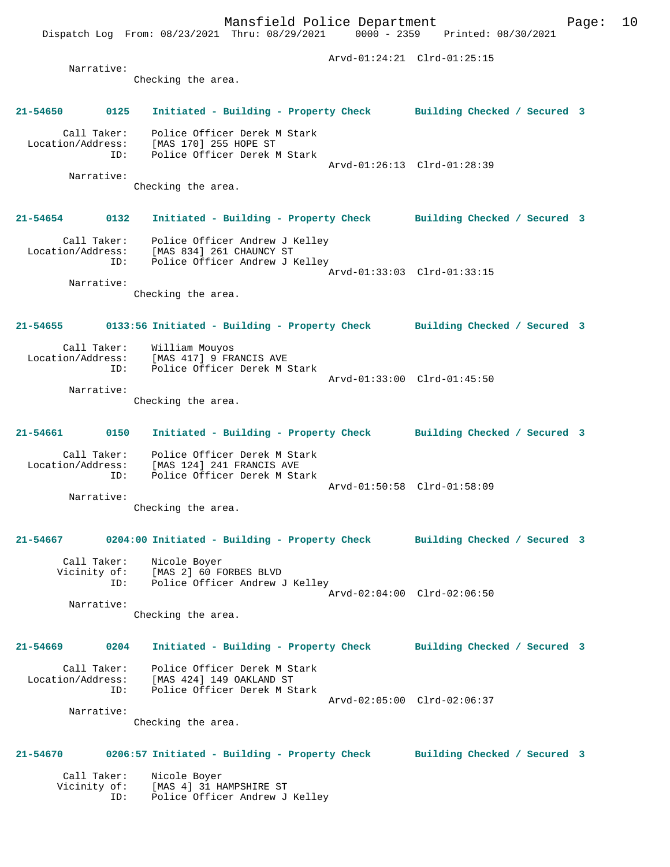Mansfield Police Department Form Page: 10 Dispatch Log From: 08/23/2021 Thru: 08/29/2021 0000 - 2359 Printed: 08/30/2021 Arvd-01:24:21 Clrd-01:25:15 Narrative: Checking the area. **21-54650 0125 Initiated - Building - Property Check Building Checked / Secured 3** Call Taker: Police Officer Derek M Stark Location/Address: [MAS 170] 255 HOPE ST ID: Police Officer Derek M Stark Arvd-01:26:13 Clrd-01:28:39 Narrative: Checking the area. **21-54654 0132 Initiated - Building - Property Check Building Checked / Secured 3** Call Taker: Police Officer Andrew J Kelley Location/Address: [MAS 834] 261 CHAUNCY ST ID: Police Officer Andrew J Kelley Arvd-01:33:03 Clrd-01:33:15 Narrative: Checking the area. **21-54655 0133:56 Initiated - Building - Property Check Building Checked / Secured 3** Call Taker: William Mouyos Location/Address: [MAS 417] 9 FRANCIS AVE ID: Police Officer Derek M Stark Arvd-01:33:00 Clrd-01:45:50 Narrative: Checking the area. **21-54661 0150 Initiated - Building - Property Check Building Checked / Secured 3** Call Taker: Police Officer Derek M Stark Location/Address: [MAS 124] 241 FRANCIS AVE ID: Police Officer Derek M Stark Arvd-01:50:58 Clrd-01:58:09 Narrative: Checking the area. **21-54667 0204:00 Initiated - Building - Property Check Building Checked / Secured 3** Call Taker: Nicole Boyer Vicinity of: [MAS 2] 60 FORBES BLVD ID: Police Officer Andrew J Kelley Arvd-02:04:00 Clrd-02:06:50 Narrative: Checking the area. **21-54669 0204 Initiated - Building - Property Check Building Checked / Secured 3** Call Taker: Police Officer Derek M Stark Location/Address: [MAS 424] 149 OAKLAND ST ID: Police Officer Derek M Stark Arvd-02:05:00 Clrd-02:06:37 Narrative: Checking the area. **21-54670 0206:57 Initiated - Building - Property Check Building Checked / Secured 3** Call Taker: Nicole Boyer Vicinity of: [MAS 4] 31 HAMPSHIRE ST ID: Police Officer Andrew J Kelley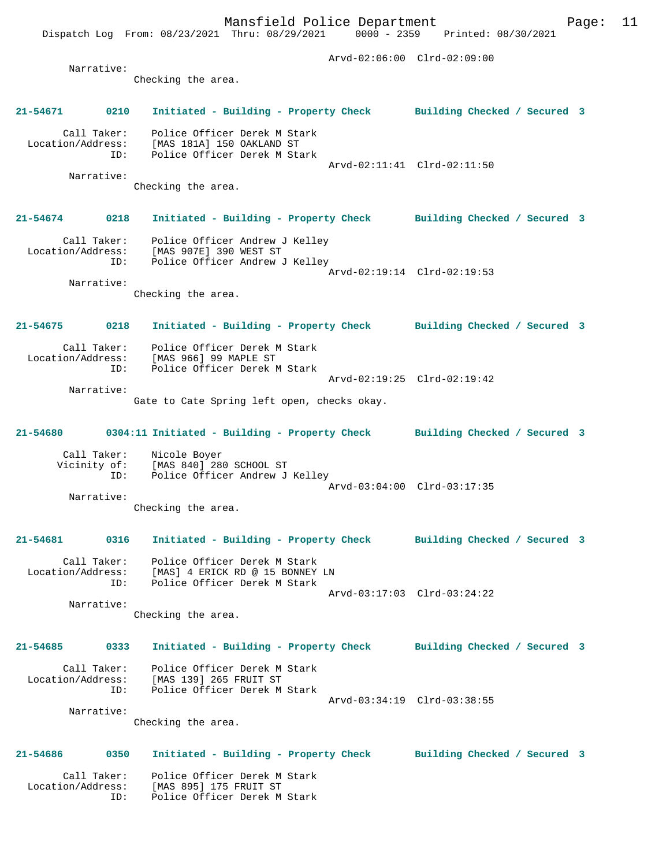Mansfield Police Department Fage: 11 Dispatch Log From: 08/23/2021 Thru: 08/29/2021 0000 - 2359 Printed: 08/30/2021 Arvd-02:06:00 Clrd-02:09:00 Narrative: Checking the area. **21-54671 0210 Initiated - Building - Property Check Building Checked / Secured 3** Call Taker: Police Officer Derek M Stark Location/Address: [MAS 181A] 150 OAKLAND ST ID: Police Officer Derek M Stark Arvd-02:11:41 Clrd-02:11:50 Narrative: Checking the area. **21-54674 0218 Initiated - Building - Property Check Building Checked / Secured 3** Call Taker: Police Officer Andrew J Kelley Location/Address: [MAS 907E] 390 WEST ST ID: Police Officer Andrew J Kelley Arvd-02:19:14 Clrd-02:19:53 Narrative: Checking the area. **21-54675 0218 Initiated - Building - Property Check Building Checked / Secured 3** Call Taker: Police Officer Derek M Stark Location/Address: [MAS 966] 99 MAPLE ST ID: Police Officer Derek M Stark Arvd-02:19:25 Clrd-02:19:42 Narrative: Gate to Cate Spring left open, checks okay. **21-54680 0304:11 Initiated - Building - Property Check Building Checked / Secured 3** Call Taker: Nicole Boyer Vicinity of: [MAS 840] 280 SCHOOL ST ID: Police Officer Andrew J Kelley Arvd-03:04:00 Clrd-03:17:35 Narrative: Checking the area. **21-54681 0316 Initiated - Building - Property Check Building Checked / Secured 3** Call Taker: Police Officer Derek M Stark Location/Address: [MAS] 4 ERICK RD @ 15 BONNEY LN ID: Police Officer Derek M Stark Arvd-03:17:03 Clrd-03:24:22 Narrative: Checking the area. **21-54685 0333 Initiated - Building - Property Check Building Checked / Secured 3** Call Taker: Police Officer Derek M Stark Location/Address: [MAS 139] 265 FRUIT ST ID: Police Officer Derek M Stark Arvd-03:34:19 Clrd-03:38:55 Narrative: Checking the area. **21-54686 0350 Initiated - Building - Property Check Building Checked / Secured 3** Call Taker: Police Officer Derek M Stark Location/Address: [MAS 895] 175 FRUIT ST ID: Police Officer Derek M Stark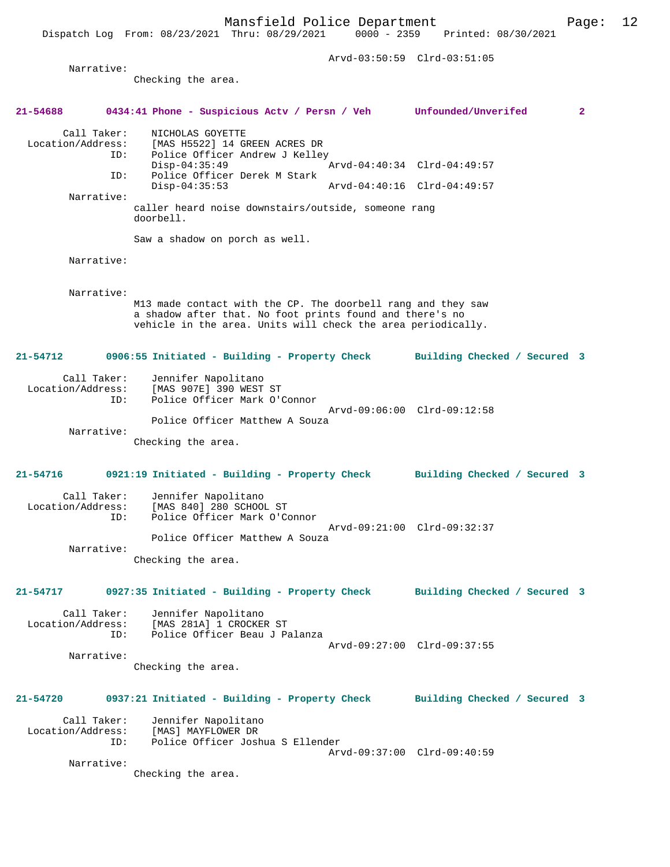Dispatch Log From: 08/23/2021 Thru: 08/29/2021 0000 - 2359 Printed: 08/30/2021

|                                         |                                                                                                                                                                                          | Arvd-03:50:59 Clrd-03:51:05  |              |
|-----------------------------------------|------------------------------------------------------------------------------------------------------------------------------------------------------------------------------------------|------------------------------|--------------|
| Narrative:                              | Checking the area.                                                                                                                                                                       |                              |              |
|                                         |                                                                                                                                                                                          |                              |              |
| 21-54688                                | 0434:41 Phone - Suspicious Actv / Persn / Veh Unfounded/Unverifed                                                                                                                        |                              | $\mathbf{2}$ |
| Call Taker:<br>ID:                      | NICHOLAS GOYETTE<br>Location/Address: [MAS H5522] 14 GREEN ACRES DR<br>Police Officer Andrew J Kelley<br>$Disp-04:35:49$                                                                 | Arvd-04:40:34 Clrd-04:49:57  |              |
| ID:                                     | Police Officer Derek M Stark                                                                                                                                                             |                              |              |
| Narrative:                              | $Disp-04:35:53$                                                                                                                                                                          | Arvd-04:40:16 Clrd-04:49:57  |              |
|                                         | caller heard noise downstairs/outside, someone rang<br>doorbell.                                                                                                                         |                              |              |
|                                         | Saw a shadow on porch as well.                                                                                                                                                           |                              |              |
| Narrative:                              |                                                                                                                                                                                          |                              |              |
| Narrative:                              | M13 made contact with the CP. The doorbell rang and they saw<br>a shadow after that. No foot prints found and there's no<br>vehicle in the area. Units will check the area periodically. |                              |              |
| 21-54712                                | 0906:55 Initiated - Building - Property Check                                                                                                                                            | Building Checked / Secured 3 |              |
| Call Taker:<br>Location/Address:<br>ID: | Jennifer Napolitano<br>[MAS 907E] 390 WEST ST<br>Police Officer Mark O'Connor                                                                                                            |                              |              |
|                                         | Police Officer Matthew A Souza                                                                                                                                                           | Arvd-09:06:00 Clrd-09:12:58  |              |
| Narrative:                              | Checking the area.                                                                                                                                                                       |                              |              |
|                                         |                                                                                                                                                                                          | Building Checked / Secured 3 |              |
| Call Taker:<br>Location/Address:<br>ID: | Jennifer Napolitano<br>[MAS 840] 280 SCHOOL ST<br>Police Officer Mark O'Connor                                                                                                           | Arvd-09:21:00 Clrd-09:32:37  |              |
| Narrative:                              | Police Officer Matthew A Souza                                                                                                                                                           |                              |              |
|                                         | Checking the area.                                                                                                                                                                       |                              |              |
| 21-54717                                | 0927:35 Initiated - Building - Property Check Building Checked / Secured 3                                                                                                               |                              |              |
|                                         | Call Taker: Jennifer Napolitano<br>Location/Address: [MAS 281A] 1 CROCKER ST<br>ID: Police Officer Beau J Palanza                                                                        | Arvd-09:27:00 Clrd-09:37:55  |              |
| Narrative:                              | Checking the area.                                                                                                                                                                       |                              |              |
| 21-54720                                | 0937:21 Initiated - Building - Property Check Building Checked / Secured 3                                                                                                               |                              |              |
| Call Taker:                             | Jennifer Napolitano<br>Location/Address: [MAS] MAYFLOWER DR<br>ID: Police Officer Joshua S Ellender                                                                                      | Arvd-09:37:00 Clrd-09:40:59  |              |
| Narrative:                              | Checking the area.                                                                                                                                                                       |                              |              |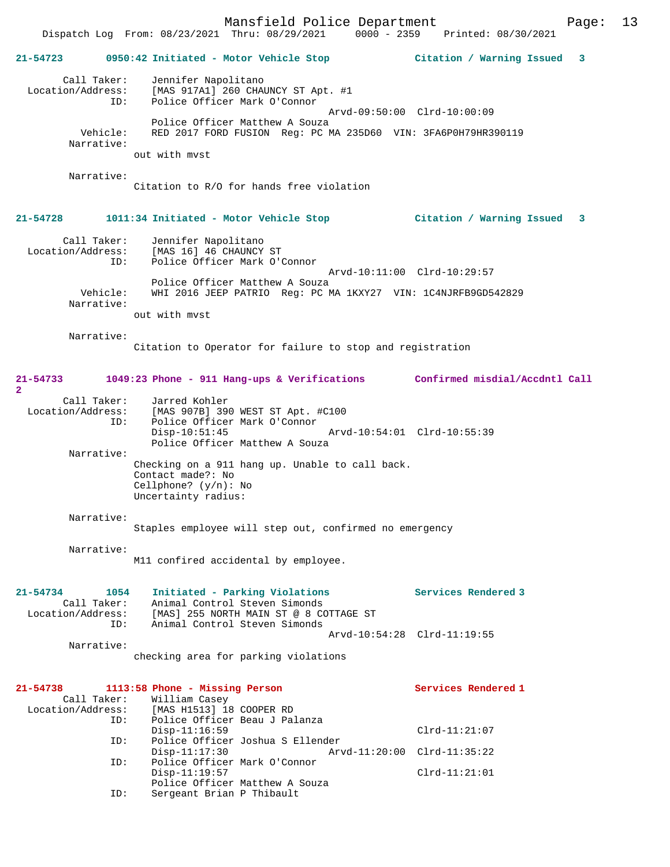Mansfield Police Department Page: 13

Dispatch Log From: 08/23/2021 Thru: 08/29/2021 0000 - 2359 Printed: 08/30/2021

**21-54723 0950:42 Initiated - Motor Vehicle Stop Citation / Warning Issued 3** Call Taker: Jennifer Napolitano Location/Address: [MAS 917A1] 260 CHAUNCY ST Apt. #1 ID: Police Officer Mark O'Connor Arvd-09:50:00 Clrd-10:00:09 Police Officer Matthew A Souza<br>Vehicle: RED 2017 FORD FUSTON Reg: PC N RED 2017 FORD FUSION Reg: PC MA 235D60 VIN: 3FA6P0H79HR390119 Narrative: out with mvst Narrative: Citation to R/O for hands free violation **21-54728 1011:34 Initiated - Motor Vehicle Stop Citation / Warning Issued 3** Call Taker: Jennifer Napolitano Location/Address: [MAS 16] 46 CHAUNCY ST ID: Police Officer Mark O'Connor Arvd-10:11:00 Clrd-10:29:57 Police Officer Matthew A Souza Vehicle: WHI 2016 JEEP PATRIO Reg: PC MA 1KXY27 VIN: 1C4NJRFB9GD542829 Narrative: out with mvst Narrative: Citation to Operator for failure to stop and registration **21-54733 1049:23 Phone - 911 Hang-ups & Verifications Confirmed misdial/Accdntl Call 2**  Call Taker: Jarred Kohler Location/Address: [MAS 907B] 390 WEST ST Apt. #C100 ID: Police Officer Mark O'Connor Disp-10:51:45 Arvd-10:54:01 Clrd-10:55:39 Police Officer Matthew A Souza Narrative: Checking on a 911 hang up. Unable to call back. Contact made?: No Cellphone? (y/n): No Uncertainty radius: Narrative: Staples employee will step out, confirmed no emergency Narrative: M11 confired accidental by employee. **21-54734 1054 Initiated - Parking Violations Services Rendered 3**  Call Taker: Animal Control Steven Simonds Location/Address: [MAS] 255 NORTH MAIN ST @ 8 COTTAGE ST ID: Animal Control Steven Simonds Arvd-10:54:28 Clrd-11:19:55 Narrative: checking area for parking violations **21-54738 1113:58 Phone - Missing Person Services Rendered 1**  Call Taker: William Casey Location/Address: [MAS H1513] 18 COOPER RD ID: Police Officer Beau J Palanza Disp-11:16:59 Clrd-11:21:07 ID: Police Officer Joshua S Ellender<br>Disp-11:17:30 Ary Disp-11:17:30 Arvd-11:20:00 Clrd-11:35:22<br>ID: Police Officer Mark O'Connor Police Officer Mark O'Connor Disp-11:19:57 Clrd-11:21:01 Police Officer Matthew A Souza ID: Sergeant Brian P Thibault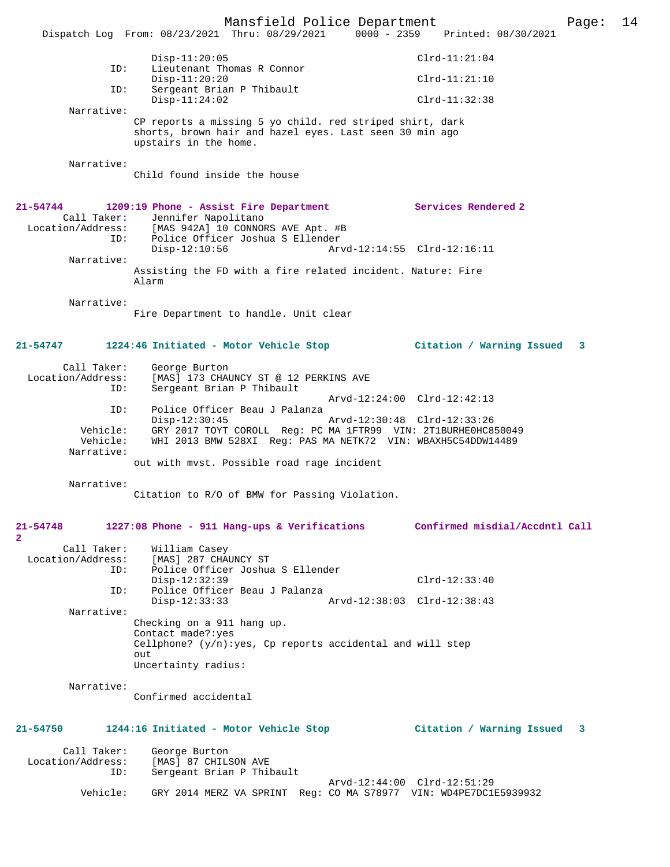Mansfield Police Department Page: 14 Dispatch Log From: 08/23/2021 Thru: 08/29/2021 0000 - 2359 Printed: 08/30/2021 Disp-11:20:05 Clrd-11:21:04 ID: Lieutenant Thomas R Connor Disp-11:20:20 Clrd-11:21:10<br>TD: Sergeant Brian P Thibault Sergeant Brian P Thibault Disp-11:24:02 Clrd-11:32:38 Narrative: CP reports a missing 5 yo child. red striped shirt, dark shorts, brown hair and hazel eyes. Last seen 30 min ago upstairs in the home. Narrative: Child found inside the house **21-54744 1209:19 Phone - Assist Fire Department Services Rendered 2**  Call Taker: Jennifer Napolitano<br>Location/Address: [MAS 942A] 10 CONNOP [MAS 942A] 10 CONNORS AVE Apt. #B ID: Police Officer Joshua S Ellender Disp-12:10:56 Arvd-12:14:55 Clrd-12:16:11 Narrative: Assisting the FD with a fire related incident. Nature: Fire Alarm Narrative: Fire Department to handle. Unit clear **21-54747 1224:46 Initiated - Motor Vehicle Stop Citation / Warning Issued 3** Call Taker: George Burton<br>Location/Address: [MAS] 173 CHAU ess: [MAS] 173 CHAUNCY ST @ 12 PERKINS AVE<br>ID: Sergeant Brian P Thibault Sergeant Brian P Thibault Arvd-12:24:00 Clrd-12:42:13 ID: Police Officer Beau J Palanza Disp-12:30:45 Arvd-12:30:48 Clrd-12:33:26 Vehicle: GRY 2017 TOYT COROLL Reg: PC MA 1FTR99 VIN: 2T1BURHE0HC850049 Vehicle: WHI 2013 BMW 528XI Reg: PAS MA NETK72 VIN: WBAXH5C54DDW14489 Narrative: out with mvst. Possible road rage incident Narrative: Citation to R/O of BMW for Passing Violation. **21-54748 1227:08 Phone - 911 Hang-ups & Verifications Confirmed misdial/Accdntl Call 2**  Call Taker: William Casey<br>Location/Address: [MAS] 287 CHA [MAS] 287 CHAUNCY ST ID: Police Officer Joshua S Ellender Disp-12:32:39 Clrd-12:33:40 ID: Police Officer Beau J Palanza Disp-12:33:33 Arvd-12:38:03 Clrd-12:38:43 Narrative: Checking on a 911 hang up. Contact made?:yes Cellphone?  $(y/n):yes, Cp$  reports accidental and will step out Uncertainty radius: Narrative: Confirmed accidental **21-54750 1244:16 Initiated - Motor Vehicle Stop Citation / Warning Issued 3** Call Taker: George Burton Location/Address: [MAS] 87 CHILSON AVE<br>TD: Sergeant Brian P Thib Sergeant Brian P Thibault Arvd-12:44:00 Clrd-12:51:29<br>Vehicle: GRY 2014 MERZ VA SPRINT Reg: CO MA S78977 VIN: WD4PE7DC11 GRY 2014 MERZ VA SPRINT Reg: CO MA S78977 VIN: WD4PE7DC1E5939932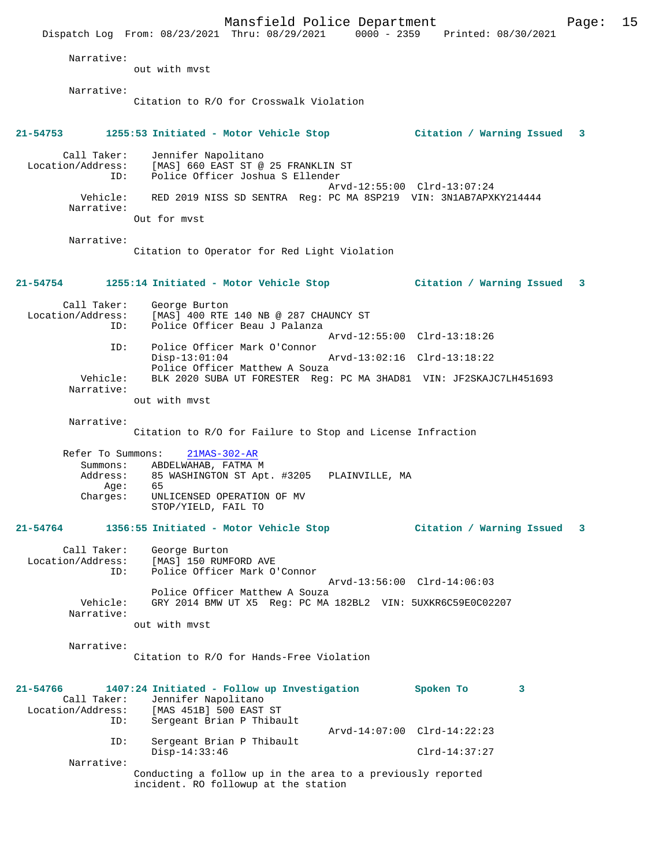|                                                     | Mansfield Police Department<br>Dispatch Log From: 08/23/2021 Thru: 08/29/2021 0000 - 2359 Printed: 08/30/2021             |                             | Page: | 15 |
|-----------------------------------------------------|---------------------------------------------------------------------------------------------------------------------------|-----------------------------|-------|----|
| Narrative:                                          | out with myst                                                                                                             |                             |       |    |
| Narrative:                                          | Citation to R/O for Crosswalk Violation                                                                                   |                             |       |    |
| 21-54753                                            | 1255:53 Initiated - Motor Vehicle Stop                 Citation / Warning Issued                                          |                             | 3     |    |
| Call Taker:<br>ID:                                  | Jennifer Napolitano<br>Location/Address: [MAS] 660 EAST ST @ 25 FRANKLIN ST<br>Police Officer Joshua S Ellender           |                             |       |    |
| Vehicle:                                            | RED 2019 NISS SD SENTRA Reg: PC MA 8SP219 VIN: 3N1AB7APXKY214444                                                          | Arvd-12:55:00 Clrd-13:07:24 |       |    |
| Narrative:                                          | Out for myst                                                                                                              |                             |       |    |
| Narrative:                                          | Citation to Operator for Red Light Violation                                                                              |                             |       |    |
|                                                     | 21-54754               1255:14 Initiated - Motor Vehicle Stop                                                             | Citation / Warning Issued   | 3     |    |
| Call Taker:<br>Location/Address:<br>ID:             | George Burton<br>[MAS] 400 RTE 140 NB @ 287 CHAUNCY ST<br>Police Officer Beau J Palanza                                   |                             |       |    |
| ID:                                                 | Police Officer Mark O'Connor                                                                                              | Arvd-12:55:00 Clrd-13:18:26 |       |    |
|                                                     | $Disp-13:01:04$<br>Police Officer Matthew A Souza                                                                         | Arvd-13:02:16 Clrd-13:18:22 |       |    |
| Vehicle:<br>Narrative:                              | BLK 2020 SUBA UT FORESTER Reg: PC MA 3HAD81 VIN: JF2SKAJC7LH451693<br>out with myst                                       |                             |       |    |
| Narrative:                                          | Citation to R/O for Failure to Stop and License Infraction                                                                |                             |       |    |
| Refer To Summons:                                   | $21MAS-302-AR$                                                                                                            |                             |       |    |
| Summons:                                            | ABDELWAHAB, FATMA M                                                                                                       |                             |       |    |
| Address:<br>Age:                                    | 85 WASHINGTON ST Apt. #3205<br>PLAINVILLE, MA<br>65                                                                       |                             |       |    |
| Charges:                                            | UNLICENSED OPERATION OF MV<br>STOP/YIELD, FAIL TO                                                                         |                             |       |    |
| 21-54764                                            | 1356:55 Initiated - Motor Vehicle Stop                                                                                    | Citation / Warning Issued   | 3     |    |
| Call Taker:<br>Location/Address:<br>ID:             | George Burton<br>[MAS] 150 RUMFORD AVE<br>Police Officer Mark O'Connor                                                    |                             |       |    |
| Vehicle:                                            | Police Officer Matthew A Souza<br>GRY 2014 BMW UT X5 Req: PC MA 182BL2 VIN: 5UXKR6C59E0C02207                             | Arvd-13:56:00 Clrd-14:06:03 |       |    |
| Narrative:                                          | out with myst                                                                                                             |                             |       |    |
| Narrative:                                          | Citation to R/O for Hands-Free Violation                                                                                  |                             |       |    |
| 21-54766<br>Call Taker:<br>Location/Address:<br>ID: | 1407:24 Initiated - Follow up Investigation<br>Jennifer Napolitano<br>[MAS 451B] 500 EAST ST<br>Sergeant Brian P Thibault | Spoken To<br>3              |       |    |
| ID:                                                 | Sergeant Brian P Thibault                                                                                                 | Arvd-14:07:00 Clrd-14:22:23 |       |    |
| Narrative:                                          | $Disp-14:33:46$                                                                                                           | $Clrd-14:37:27$             |       |    |
|                                                     | Conducting a follow up in the area to a previously reported<br>incident. RO followup at the station                       |                             |       |    |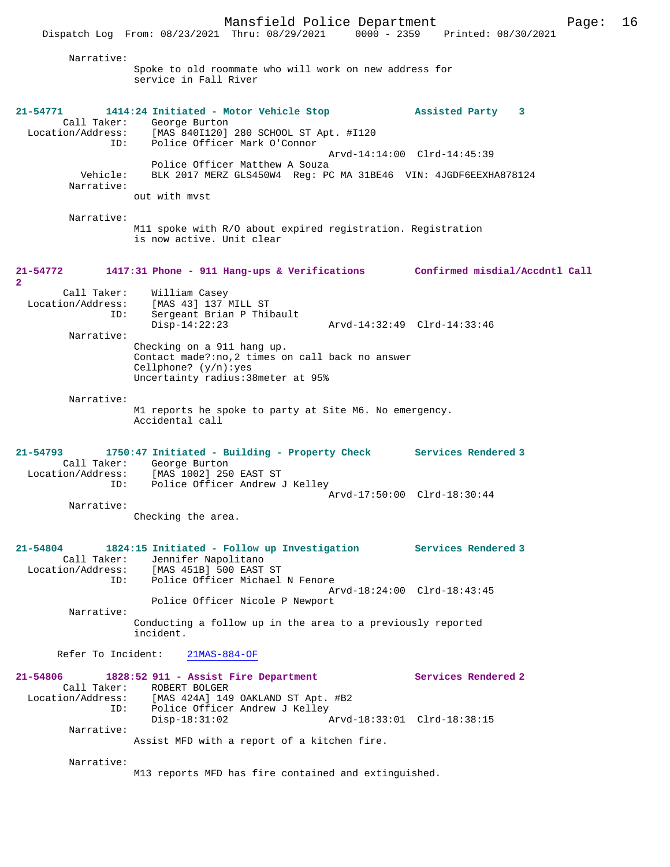Narrative: Spoke to old roommate who will work on new address for service in Fall River **21-54771 1414:24 Initiated - Motor Vehicle Stop Assisted Party 3**  Call Taker: George Burton<br>Location/Address: [MAS 840I120] Location/Address: [MAS 840I120] 280 SCHOOL ST Apt. #I120 ID: Police Officer Mark O'Connor Arvd-14:14:00 Clrd-14:45:39 Police Officer Matthew A Souza<br>Vehicle: BLK 2017 MERZ GLS450W4 Req: PO BLK 2017 MERZ GLS450W4 Reg: PC MA 31BE46 VIN: 4JGDF6EEXHA878124 Narrative: out with mvst Narrative: M11 spoke with R/O about expired registration. Registration is now active. Unit clear **21-54772 1417:31 Phone - 911 Hang-ups & Verifications Confirmed misdial/Accdntl Call 2**  Call Taker: William Casey Location/Address: [MAS 43] 137 MILL ST ID: Sergeant Brian P Thibault Disp-14:22:23 Arvd-14:32:49 Clrd-14:33:46 Narrative: Checking on a 911 hang up. Contact made?:no,2 times on call back no answer Cellphone? (y/n):yes Uncertainty radius:38meter at 95% Narrative: M1 reports he spoke to party at Site M6. No emergency. Accidental call **21-54793 1750:47 Initiated - Building - Property Check Services Rendered 3**  Call Taker: George Burton<br>Location/Address: [MAS 1002] 250 ess: [MAS 1002] 250 EAST ST<br>ID: Police Officer Andrew .....<br>Police Officer Andrew J Kelley Arvd-17:50:00 Clrd-18:30:44 Narrative: Checking the area. **21-54804 1824:15 Initiated - Follow up Investigation Services Rendered 3**  Call Taker: Jennifer Napolitano<br>Location/Address: [MAS 451B] 500 EAST [MAS 451B] 500 EAST ST ID: Police Officer Michael N Fenore Arvd-18:24:00 Clrd-18:43:45 Police Officer Nicole P Newport Narrative: Conducting a follow up in the area to a previously reported incident. Refer To Incident: 21MAS-884-OF **21-54806 1828:52 911 - Assist Fire Department Services Rendered 2**  Call Taker: ROBERT BOLGER Location/Address: [MAS 424A] 149 OAKLAND ST Apt. #B2 ID: Police Officer Andrew J Kelley<br>Disp-18:31:02 A Disp-18:31:02 Arvd-18:33:01 Clrd-18:38:15 Narrative: Assist MFD with a report of a kitchen fire. Narrative: M13 reports MFD has fire contained and extinguished.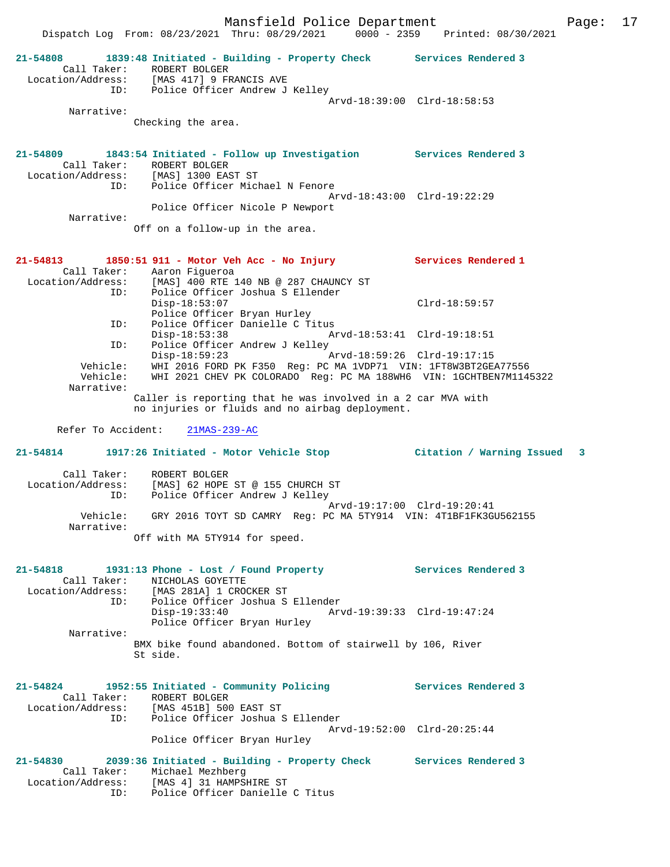|                                    |                                                                                                                                      | Dispatch Log From: 08/23/2021 Thru: 08/29/2021 0000 - 2359 Printed: 08/30/2021 |  |
|------------------------------------|--------------------------------------------------------------------------------------------------------------------------------------|--------------------------------------------------------------------------------|--|
| 21-54808<br>Call Taker:            | 1839:48 Initiated - Building - Property Check Services Rendered 3<br>ROBERT BOLGER<br>Location/Address: [MAS 417] 9 FRANCIS AVE      |                                                                                |  |
|                                    | ID: Police Officer Andrew J Kelley                                                                                                   | Arvd-18:39:00 Clrd-18:58:53                                                    |  |
| Narrative:                         |                                                                                                                                      |                                                                                |  |
|                                    | Checking the area.                                                                                                                   |                                                                                |  |
|                                    | 21-54809 1843:54 Initiated - Follow up Investigation Services Rendered 3<br>Call Taker: ROBERT BOLGER                                |                                                                                |  |
|                                    | Location/Address: [MAS] 1300 EAST ST<br>ID: Police Officer Michael N Fenore                                                          | Arvd-18:43:00 Clrd-19:22:29                                                    |  |
| Narrative:                         | Police Officer Nicole P Newport                                                                                                      |                                                                                |  |
|                                    | Off on a follow-up in the area.                                                                                                      |                                                                                |  |
|                                    | 21-54813 1850:51 911 - Motor Veh Acc - No Injury Services Rendered 1<br>Call Taker: Aaron Figueroa                                   |                                                                                |  |
| ID:                                | Location/Address: [MAS] 400 RTE 140 NB @ 287 CHAUNCY ST<br>Police Officer Joshua S Ellender                                          |                                                                                |  |
|                                    | $Disp-18:53:07$<br>Police Officer Bryan Hurley                                                                                       | $Clrd-18:59:57$                                                                |  |
| ID:<br>ID:                         | Police Officer Danielle C Titus<br>$Disp-18:53:38$<br>Police Officer Andrew J Kelley                                                 |                                                                                |  |
|                                    | Disp-18:59:23                                                                                                                        |                                                                                |  |
| Vehicle:<br>Vehicle:<br>Narrative: | WHI 2016 FORD PK F350 Reg: PC MA 1VDP71 VIN: 1FT8W3BT2GEA77556<br>WHI 2021 CHEV PK COLORADO Req: PC MA 188WH6 VIN: 1GCHTBEN7M1145322 |                                                                                |  |
|                                    | Caller is reporting that he was involved in a 2 car MVA with<br>no injuries or fluids and no airbag deployment.                      |                                                                                |  |
|                                    | Refer To Accident: 21MAS-239-AC                                                                                                      |                                                                                |  |
| 21-54814                           |                                                                                                                                      |                                                                                |  |
| Call Taker:                        | ROBERT BOLGER<br>Location/Address: [MAS] 62 HOPE ST @ 155 CHURCH ST<br>ID: Police Officer Andrew J Kelley                            |                                                                                |  |
|                                    |                                                                                                                                      | Arvd-19:17:00 Clrd-19:20:41                                                    |  |
| Vehicle:                           |                                                                                                                                      |                                                                                |  |
| Narrative:                         | GRY 2016 TOYT SD CAMRY Req: PC MA 5TY914 VIN: 4T1BF1FK3GU562155                                                                      |                                                                                |  |
|                                    | Off with MA 5TY914 for speed.                                                                                                        |                                                                                |  |
|                                    | 21-54818 1931:13 Phone - Lost / Found Property Services Rendered 3                                                                   |                                                                                |  |
|                                    | Call Taker: NICHOLAS GOYETTE<br>Location/Address: [MAS 281A] 1 CROCKER ST                                                            |                                                                                |  |
| ID:                                | Police Officer Joshua S Ellender<br>$Disp-19:33:40$                                                                                  | Arvd-19:39:33 Clrd-19:47:24                                                    |  |
| Narrative:                         | Police Officer Bryan Hurley                                                                                                          |                                                                                |  |
|                                    | BMX bike found abandoned. Bottom of stairwell by 106, River<br>St side.                                                              |                                                                                |  |
|                                    | 21-54824 1952:55 Initiated - Community Policing                                                                                      | Services Rendered 3                                                            |  |
|                                    | Call Taker: ROBERT BOLGER<br>Location/Address: [MAS 451B] 500 EAST ST<br>ID: Police Officer Joshua S Ellender                        |                                                                                |  |
|                                    | Police Officer Bryan Hurley                                                                                                          | Arvd-19:52:00 Clrd-20:25:44                                                    |  |
|                                    | 21-54830 2039:36 Initiated - Building - Property Check Services Rendered 3                                                           |                                                                                |  |
|                                    | Call Taker: Michael Mezhberg<br>Location/Address: [MAS 4] 31 HAMPSHIRE ST<br>Police Officer Danielle C Titus<br>ID:                  |                                                                                |  |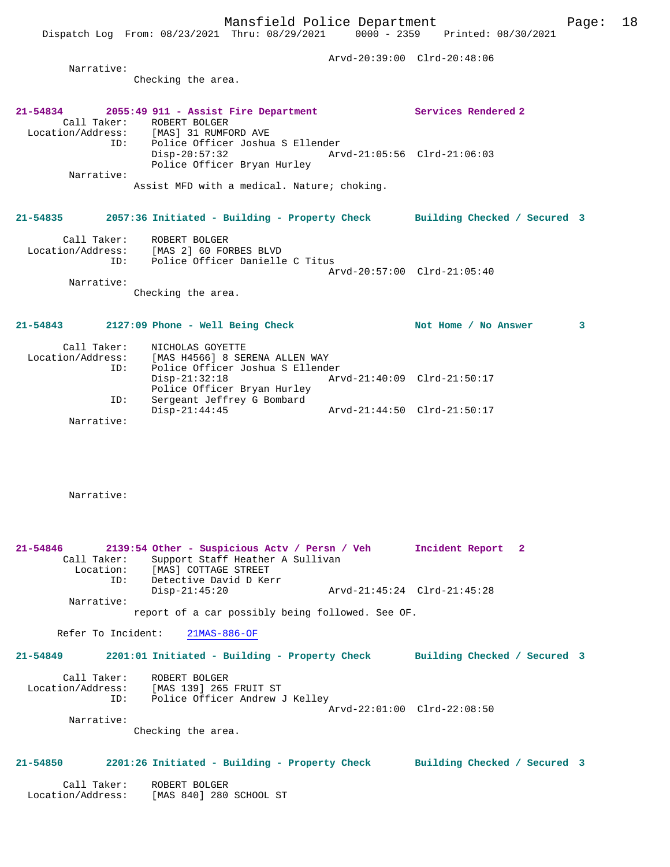Arvd-20:39:00 Clrd-20:48:06 Narrative: Checking the area. **21-54834 2055:49 911 - Assist Fire Department Services Rendered 2**  Call Taker: ROBERT BOLGER<br>Location/Address: [MAS] 31 RUMFC Location/Address: [MAS] 31 RUMFORD AVE ID: Police Officer Joshua S Ellender Disp-20:57:32 Arvd-21:05:56 Clrd-21:06:03 Police Officer Bryan Hurley Narrative: Assist MFD with a medical. Nature; choking. **21-54835 2057:36 Initiated - Building - Property Check Building Checked / Secured 3** Call Taker: ROBERT BOLGER Location/Address: [MAS 2] 60 FORBES BLVD ID: Police Officer Danielle C Titus Arvd-20:57:00 Clrd-21:05:40 Narrative: Checking the area. 21-54843 2127:09 Phone - Well Being Check Not Home / No Answer 3 Call Taker: NICHOLAS GOYETTE Location/Address: [MAS H4566] 8 SERENA ALLEN WAY ID: Police Officer Joshua S Ellender Disp-21:32:18 Arvd-21:40:09 Clrd-21:50:17 Police Officer Bryan Hurley ID: Sergeant Jeffrey G Bombard Disp-21:44:45 Arvd-21:44:50 Clrd-21:50:17 Narrative: Narrative: **21-54846 2139:54 Other - Suspicious Actv / Persn / Veh Incident Report 2**  Call Taker: Support Staff Heather A Sullivan Location: [MAS] COTTAGE STREET ID: [MAS] CULLAGE DINSEL<br>ID: Detective David D Kerr

 Disp-21:45:20 Arvd-21:45:24 Clrd-21:45:28 Narrative:

report of a car possibly being followed. See OF.

Refer To Incident: 21MAS-886-OF

**21-54849 2201:01 Initiated - Building - Property Check Building Checked / Secured 3** Call Taker: ROBERT BOLGER Location/Address: [MAS 139] 265 FRUIT ST ID: Police Officer Andrew J Kelley Arvd-22:01:00 Clrd-22:08:50 Narrative: Checking the area.

#### **21-54850 2201:26 Initiated - Building - Property Check Building Checked / Secured 3**

 Call Taker: ROBERT BOLGER Location/Address: [MAS 840] 280 SCHOOL ST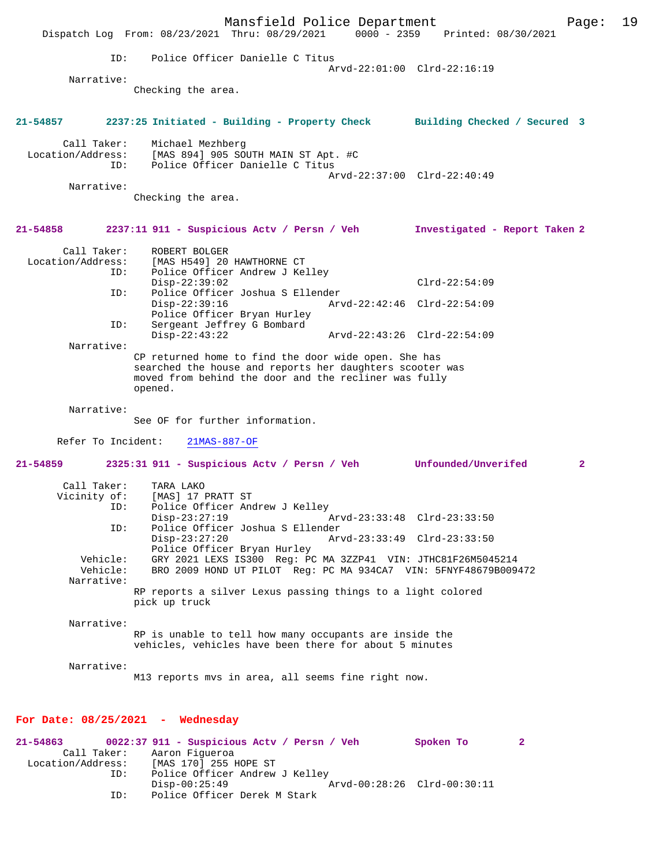Mansfield Police Department Page: 19 Dispatch Log From: 08/23/2021 Thru: 08/29/2021 0000 - 2359 ID: Police Officer Danielle C Titus Arvd-22:01:00 Clrd-22:16:19 Narrative: Checking the area. **21-54857 2237:25 Initiated - Building - Property Check Building Checked / Secured 3** Call Taker: Michael Mezhberg Location/Address: [MAS 894] 905 SOUTH MAIN ST Apt. #C ID: Police Officer Danielle C Titus Arvd-22:37:00 Clrd-22:40:49 Narrative: Checking the area. **21-54858 2237:11 911 - Suspicious Actv / Persn / Veh Investigated - Report Taken 2** Call Taker: ROBERT BOLGER Location/Address: [MAS H549] 20 HAWTHORNE CT ID: Police Officer Andrew J Kelley Disp-22:39:02 Clrd-22:54:09<br>Th: Police Officer Joshua S Ellender ID: Police Officer Joshua S Ellender Disp-22:39:16 Arvd-22:42:46 Clrd-22:54:09 Police Officer Bryan Hurley<br>ID: Sergeant Jeffrey G Bombard Sergeant Jeffrey G Bombard<br>Disp-22:43:22 Disp-22:43:22 Arvd-22:43:26 Clrd-22:54:09 Narrative: CP returned home to find the door wide open. She has searched the house and reports her daughters scooter was moved from behind the door and the recliner was fully opened. Narrative: See OF for further information. Refer To Incident: 21MAS-887-OF **21-54859 2325:31 911 - Suspicious Actv / Persn / Veh Unfounded/Unverifed 2** Call Taker: TARA LAKO<br>Vicinity of: [MAS] 17 I [MAS] 17 PRATT ST ID: Police Officer Andrew J Kelley<br>Disp-23:27:19 Disp-23:27:19 <br>Disp-23:27:19 Arvd-23:33:48 Clrd-23:33:50<br>Dice Officer Joshua S Ellender ID: Police Officer Joshua S Ellender Disp-23:27:20 Arvd-23:33:49 Clrd-23:33:50 Police Officer Bryan Hurley Vehicle: GRY 2021 LEXS IS300 Reg: PC MA 3ZZP41 VIN: JTHC81F26M5045214 BRO 2009 HOND UT PILOT Reg: PC MA 934CA7 VIN: 5FNYF48679B009472 Narrative: RP reports a silver Lexus passing things to a light colored pick up truck Narrative: RP is unable to tell how many occupants are inside the vehicles, vehicles have been there for about 5 minutes Narrative: M13 reports mvs in area, all seems fine right now. **For Date: 08/25/2021 - Wednesday 21-54863 0022:37 911 - Suspicious Actv / Persn / Veh Spoken To 2**  Call Taker: Aaron Figueroa<br>Location/Address: [MAS 170] 255 I ess: [MAS 170] 255 HOPE ST<br>ID: Police Officer Andrew

Police Officer Andrew J Kelley<br>Disp-00:25:49

Police Officer Derek M Stark

Disp-00:25:49 Arvd-00:28:26 Clrd-00:30:11<br>TD: Police Officer Derek M Stark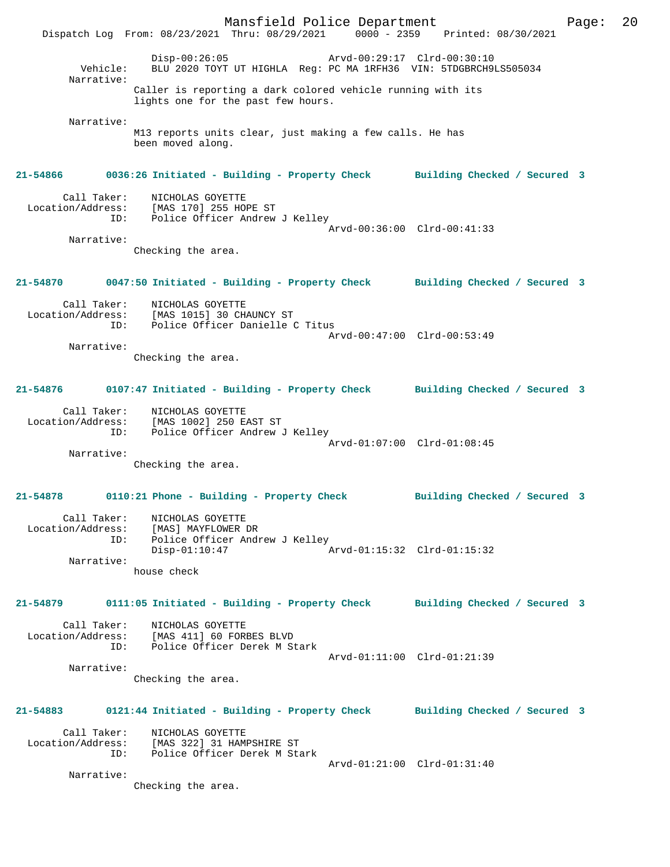Mansfield Police Department Page: 20 Dispatch Log From: 08/23/2021 Thru: 08/29/2021 0000 - 2359 Printed: 08/30/2021 Disp-00:26:05 Arvd-00:29:17 Clrd-00:30:10 Vehicle: BLU 2020 TOYT UT HIGHLA Reg: PC MA 1RFH36 VIN: 5TDGBRCH9LS505034 Narrative: Caller is reporting a dark colored vehicle running with its lights one for the past few hours. Narrative: M13 reports units clear, just making a few calls. He has been moved along. **21-54866 0036:26 Initiated - Building - Property Check Building Checked / Secured 3** Call Taker: NICHOLAS GOYETTE Location/Address: [MAS 170] 255 HOPE ST ID: Police Officer Andrew J Kelley Arvd-00:36:00 Clrd-00:41:33 Narrative: Checking the area. **21-54870 0047:50 Initiated - Building - Property Check Building Checked / Secured 3** Call Taker: NICHOLAS GOYETTE Location/Address: [MAS 1015] 30 CHAUNCY ST ID: Police Officer Danielle C Titus Arvd-00:47:00 Clrd-00:53:49 Narrative: Checking the area. **21-54876 0107:47 Initiated - Building - Property Check Building Checked / Secured 3** Call Taker: NICHOLAS GOYETTE Location/Address: [MAS 1002] 250 EAST ST ID: Police Officer Andrew J Kelley Arvd-01:07:00 Clrd-01:08:45 Narrative: Checking the area. **21-54878 0110:21 Phone - Building - Property Check Building Checked / Secured 3** Call Taker: NICHOLAS GOYETTE Location/Address: [MAS] MAYFLOWER DR ID: Police Officer Andrew J Kelley<br>Disp-01:10:47 A Disp-01:10:47 Arvd-01:15:32 Clrd-01:15:32 Narrative: house check **21-54879 0111:05 Initiated - Building - Property Check Building Checked / Secured 3** Call Taker: NICHOLAS GOYETTE Location/Address: [MAS 411] 60 FORBES BLVD<br>This Doline Officer Derek M.St ID: Police Officer Derek M Stark Arvd-01:11:00 Clrd-01:21:39 Narrative: Checking the area. **21-54883 0121:44 Initiated - Building - Property Check Building Checked / Secured 3** Call Taker: NICHOLAS GOYETTE Location/Address: [MAS 322] 31 HAMPSHIRE ST ID: Police Officer Derek M Stark Arvd-01:21:00 Clrd-01:31:40 Narrative: Checking the area.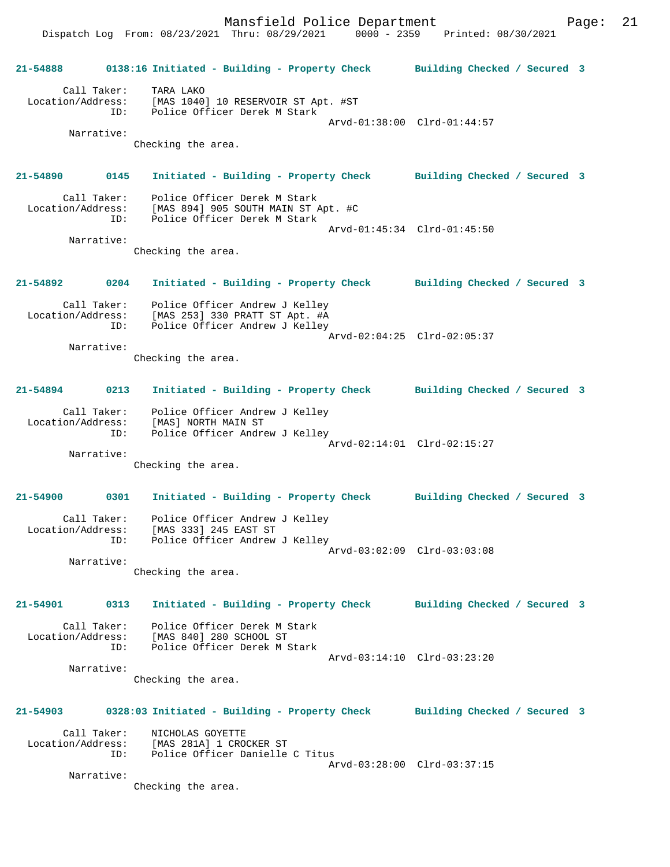Dispatch Log From: 08/23/2021 Thru: 08/29/2021 0000 - 2359 Printed: 08/30/2021 **21-54888 0138:16 Initiated - Building - Property Check Building Checked / Secured 3** Call Taker: TARA LAKO Location/Address: [MAS 1040] 10 RESERVOIR ST Apt. #ST ID: Police Officer Derek M Stark Arvd-01:38:00 Clrd-01:44:57 Narrative: Checking the area. **21-54890 0145 Initiated - Building - Property Check Building Checked / Secured 3** Call Taker: Police Officer Derek M Stark Location/Address: [MAS 894] 905 SOUTH MAIN ST Apt. #C ID: Police Officer Derek M Stark Arvd-01:45:34 Clrd-01:45:50 Narrative: Checking the area. **21-54892 0204 Initiated - Building - Property Check Building Checked / Secured 3** Call Taker: Police Officer Andrew J Kelley Location/Address: [MAS 253] 330 PRATT ST Apt. #A ID: Police Officer Andrew J Kelley Arvd-02:04:25 Clrd-02:05:37 Narrative: Checking the area. **21-54894 0213 Initiated - Building - Property Check Building Checked / Secured 3** Call Taker: Police Officer Andrew J Kelley Location/Address: [MAS] NORTH MAIN ST ID: Police Officer Andrew J Kelley Arvd-02:14:01 Clrd-02:15:27 Narrative: Checking the area. **21-54900 0301 Initiated - Building - Property Check Building Checked / Secured 3** Call Taker: Police Officer Andrew J Kelley Location/Address: [MAS 333] 245 EAST ST ID: Police Officer Andrew J Kelley Arvd-03:02:09 Clrd-03:03:08 Narrative: Checking the area. **21-54901 0313 Initiated - Building - Property Check Building Checked / Secured 3** Call Taker: Police Officer Derek M Stark Location/Address: [MAS 840] 280 SCHOOL ST ID: Police Officer Derek M Stark Arvd-03:14:10 Clrd-03:23:20 Narrative: Checking the area. **21-54903 0328:03 Initiated - Building - Property Check Building Checked / Secured 3** Call Taker: NICHOLAS GOYETTE Location/Address: [MAS 281A] 1 CROCKER ST ID: Police Officer Danielle C Titus Arvd-03:28:00 Clrd-03:37:15 Narrative: Checking the area.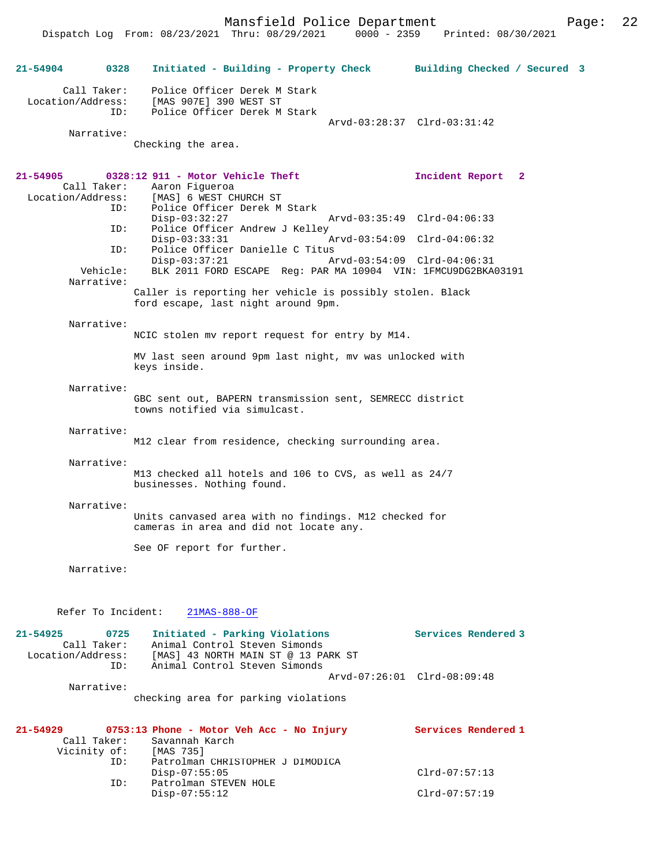Dispatch Log From: 08/23/2021 Thru: 08/29/2021

**21-54904 0328 Initiated - Building - Property Check Building Checked / Secured 3** Call Taker: Police Officer Derek M Stark Location/Address: [MAS 907E] 390 WEST ST ID: Police Officer Derek M Stark Arvd-03:28:37 Clrd-03:31:42 Narrative: Checking the area. **21-54905 0328:12 911 - Motor Vehicle Theft Incident Report 2**  Call Taker: Aaron Figueroa<br>Location/Address: [MAS] 6 WEST C Location/Address: [MAS] 6 WEST CHURCH ST ID: Police Officer Derek M Stark Disp-03:32:27 Arvd-03:35:49 Clrd-04:06:33<br>ID: Police Officer Andrew J Kelley Police Officer Andrew J Kelley<br>Disp-03:33:31 P Disp-03:33:31 Arvd-03:54:09 Clrd-04:06:32 ID: Police Officer Danielle C Titus<br>Disp-03:37:21 A Disp-03:37:21 Arvd-03:54:09 Clrd-04:06:31<br>Vehicle: BLK 2011 FORD ESCAPE Req: PAR MA 10904 VIN: 1FMCU9DG2BKA BLK 2011 FORD ESCAPE Reg: PAR MA 10904 VIN: 1FMCU9DG2BKA03191 Narrative: Caller is reporting her vehicle is possibly stolen. Black ford escape, last night around 9pm. Narrative: NCIC stolen mv report request for entry by M14. MV last seen around 9pm last night, mv was unlocked with keys inside. Narrative: GBC sent out, BAPERN transmission sent, SEMRECC district towns notified via simulcast. Narrative: M12 clear from residence, checking surrounding area. Narrative: M13 checked all hotels and 106 to CVS, as well as 24/7 businesses. Nothing found. Narrative: Units canvased area with no findings. M12 checked for cameras in area and did not locate any. See OF report for further. Narrative: Refer To Incident: 21MAS-888-OF **21-54925 0725 Initiated - Parking Violations Services Rendered 3**  Call Taker: Animal Control Steven Simonds Location/Address: [MAS] 43 NORTH MAIN ST @ 13 PARK ST ID: Animal Control Steven Simonds Arvd-07:26:01 Clrd-08:09:48 Narrative: checking area for parking violations **21-54929 0753:13 Phone - Motor Veh Acc - No Injury Services Rendered 1**  Call Taker: Savannah Karch<br>Vicinity of: [MAS 735] Vicinity of: ID: Patrolman CHRISTOPHER J DIMODICA Disp-07:55:05 Clrd-07:57:13<br>ID: Patrolman STEVEN HOLE Patrolman STEVEN HOLE Disp-07:55:12 Clrd-07:57:19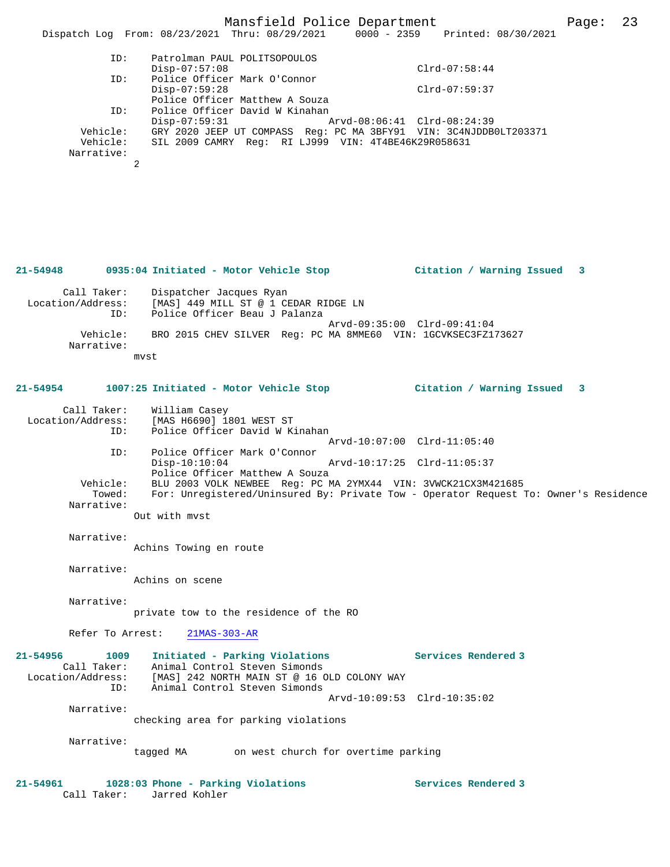## Mansfield Police Department Page: 23

|                                    | Dispatch Log From: 08/23/2021 Thru: 08/29/2021                                                                                                        |                             | 0000 - 2359 Printed: 08/30/2021 |   |
|------------------------------------|-------------------------------------------------------------------------------------------------------------------------------------------------------|-----------------------------|---------------------------------|---|
| ID:                                | Patrolman PAUL POLITSOPOULOS                                                                                                                          |                             |                                 |   |
| ID:                                | $Disp-07:57:08$<br>Police Officer Mark O'Connor                                                                                                       |                             | $Clrd-07:58:44$                 |   |
|                                    | $Disp-07:59:28$                                                                                                                                       |                             | $Clrd-07:59:37$                 |   |
| ID:                                | Police Officer Matthew A Souza<br>Police Officer David W Kinahan                                                                                      |                             |                                 |   |
|                                    | $Disp-07:59:31$                                                                                                                                       | Arvd-08:06:41 Clrd-08:24:39 |                                 |   |
| Vehicle:<br>Vehicle:<br>Narrative: | GRY 2020 JEEP UT COMPASS Reg: PC MA 3BFY91 VIN: 3C4NJDDB0LT203371<br>SIL 2009 CAMRY Req: RI LJ999 VIN: 4T4BE46K29R058631                              |                             |                                 |   |
|                                    | 2                                                                                                                                                     |                             |                                 |   |
|                                    |                                                                                                                                                       |                             |                                 |   |
|                                    |                                                                                                                                                       |                             |                                 |   |
|                                    |                                                                                                                                                       |                             |                                 |   |
|                                    | 21-54948     0935:04 Initiated - Motor Vehicle Stop        Citation / Warning Issued                                                                  |                             |                                 | 3 |
| Call Taker:<br>Location/Address:   | Dispatcher Jacques Ryan<br>[MAS] 449 MILL ST @ 1 CEDAR RIDGE LN                                                                                       |                             |                                 |   |
| ID:                                | Police Officer Beau J Palanza                                                                                                                         | Arvd-09:35:00 Clrd-09:41:04 |                                 |   |
| Vehicle:<br>Narrative:             | BRO 2015 CHEV SILVER Req: PC MA 8MME60 VIN: 1GCVKSEC3FZ173627                                                                                         |                             |                                 |   |
|                                    | mvst                                                                                                                                                  |                             |                                 |   |
| 21-54954                           | 1007:25 Initiated - Motor Vehicle Stop (Citation / Warning Issued 3                                                                                   |                             |                                 |   |
|                                    |                                                                                                                                                       |                             |                                 |   |
| Call Taker:<br>Location/Address:   | William Casey<br>[MAS H6690] 1801 WEST ST                                                                                                             |                             |                                 |   |
| ID:                                | Police Officer David W Kinahan                                                                                                                        | Arvd-10:07:00 Clrd-11:05:40 |                                 |   |
| ID:                                | Police Officer Mark O'Connor                                                                                                                          |                             |                                 |   |
|                                    | $Disp-10:10:04$<br>Police Officer Matthew A Souza                                                                                                     | Arvd-10:17:25 Clrd-11:05:37 |                                 |   |
| Vehicle:<br>Towed:                 | BLU 2003 VOLK NEWBEE Req: PC MA 2YMX44 VIN: 3VWCK21CX3M421685<br>For: Unregistered/Uninsured By: Private Tow - Operator Request To: Owner's Residence |                             |                                 |   |
| Narrative:                         |                                                                                                                                                       |                             |                                 |   |
|                                    | Out with myst                                                                                                                                         |                             |                                 |   |
| Narrative:                         | Achins Towing en route                                                                                                                                |                             |                                 |   |
|                                    |                                                                                                                                                       |                             |                                 |   |
| Narrative:                         | Achins on scene                                                                                                                                       |                             |                                 |   |
| Narrative:                         |                                                                                                                                                       |                             |                                 |   |
|                                    | private tow to the residence of the RO                                                                                                                |                             |                                 |   |
| Refer To Arrest:                   | $21MAS-303-AR$                                                                                                                                        |                             |                                 |   |
| 21-54956<br>1009                   | Initiated - Parking Violations                                                                                                                        |                             | Services Rendered 3             |   |
| Call Taker:                        | Animal Control Steven Simonds<br>Location/Address: [MAS] 242 NORTH MAIN ST @ 16 OLD COLONY WAY                                                        |                             |                                 |   |
| ID:                                | Animal Control Steven Simonds                                                                                                                         |                             |                                 |   |
| Narrative:                         |                                                                                                                                                       | Arvd-10:09:53 Clrd-10:35:02 |                                 |   |
|                                    | checking area for parking violations                                                                                                                  |                             |                                 |   |
| Narrative:                         |                                                                                                                                                       |                             |                                 |   |
|                                    | tagged MA on west church for overtime parking                                                                                                         |                             |                                 |   |
| 21-54961                           | 1028:03 Phone - Parking Violations                                                                                                                    |                             | Services Rendered 3             |   |
| Call Taker:                        | Jarred Kohler                                                                                                                                         |                             |                                 |   |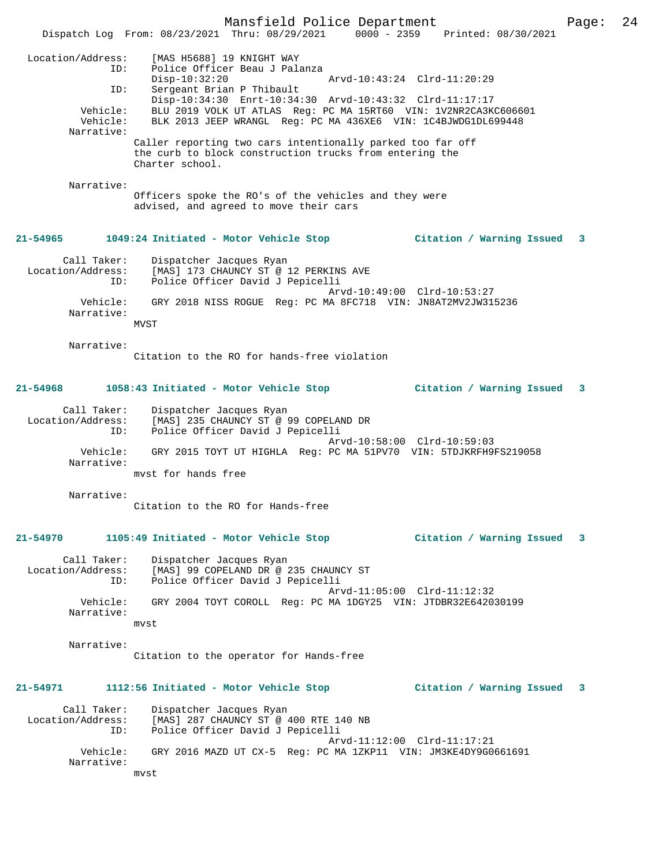Mansfield Police Department Page: 24 Dispatch Log From: 08/23/2021 Thru: 08/29/2021 0000 - 2359 Printed: 08/30/2021 Location/Address: [MAS H5688] 19 KNIGHT WAY ID: Police Officer Beau J Palanza Disp-10:32:20 Arvd-10:43:24 Clrd-11:20:29 ID: Sergeant Brian P Thibault Disp-10:34:30 Enrt-10:34:30 Arvd-10:43:32 Clrd-11:17:17 Vehicle: BLU 2019 VOLK UT ATLAS Reg: PC MA 15RT60 VIN: 1V2NR2CA3KC606601 Vehicle: BLK 2013 JEEP WRANGL Reg: PC MA 436XE6 VIN: 1C4BJWDG1DL699448 Narrative: Caller reporting two cars intentionally parked too far off the curb to block construction trucks from entering the Charter school. Narrative: Officers spoke the RO's of the vehicles and they were advised, and agreed to move their cars **21-54965 1049:24 Initiated - Motor Vehicle Stop Citation / Warning Issued 3** Call Taker: Dispatcher Jacques Ryan Location/Address: [MAS] 173 CHAUNCY ST @ 12 PERKINS AVE ID: Police Officer David J Pepicelli Arvd-10:49:00 Clrd-10:53:27 Vehicle: GRY 2018 NISS ROGUE Reg: PC MA 8FC718 VIN: JN8AT2MV2JW315236 Narrative: MVST Narrative: Citation to the RO for hands-free violation **21-54968 1058:43 Initiated - Motor Vehicle Stop Citation / Warning Issued 3** Call Taker: Dispatcher Jacques Ryan Location/Address: [MAS] 235 CHAUNCY ST @ 99 COPELAND DR ID: Police Officer David J Pepicelli Arvd-10:58:00 Clrd-10:59:03 Vehicle: GRY 2015 TOYT UT HIGHLA Reg: PC MA 51PV70 VIN: 5TDJKRFH9FS219058 Narrative: mvst for hands free Narrative: Citation to the RO for Hands-free **21-54970 1105:49 Initiated - Motor Vehicle Stop Citation / Warning Issued 3** Call Taker: Dispatcher Jacques Ryan Location/Address: [MAS] 99 COPELAND DR @ 235 CHAUNCY ST ID: Police Officer David J Pepicelli Arvd-11:05:00 Clrd-11:12:32<br>Vehicle: GRY 2004 TOYT COROLL Reg: PC MA 1DGY25 VIN: JTDRR32E6420 GRY 2004 TOYT COROLL Reg: PC MA 1DGY25 VIN: JTDBR32E642030199 Narrative: mvst Narrative: Citation to the operator for Hands-free **21-54971 1112:56 Initiated - Motor Vehicle Stop Citation / Warning Issued 3** Call Taker: Dispatcher Jacques Ryan Location/Address: [MAS] 287 CHAUNCY ST @ 400 RTE 140 NB ID: Police Officer David J Pepicelli Arvd-11:12:00 Clrd-11:17:21 Vehicle: GRY 2016 MAZD UT CX-5 Reg: PC MA 1ZKP11 VIN: JM3KE4DY9G0661691 Narrative: mvst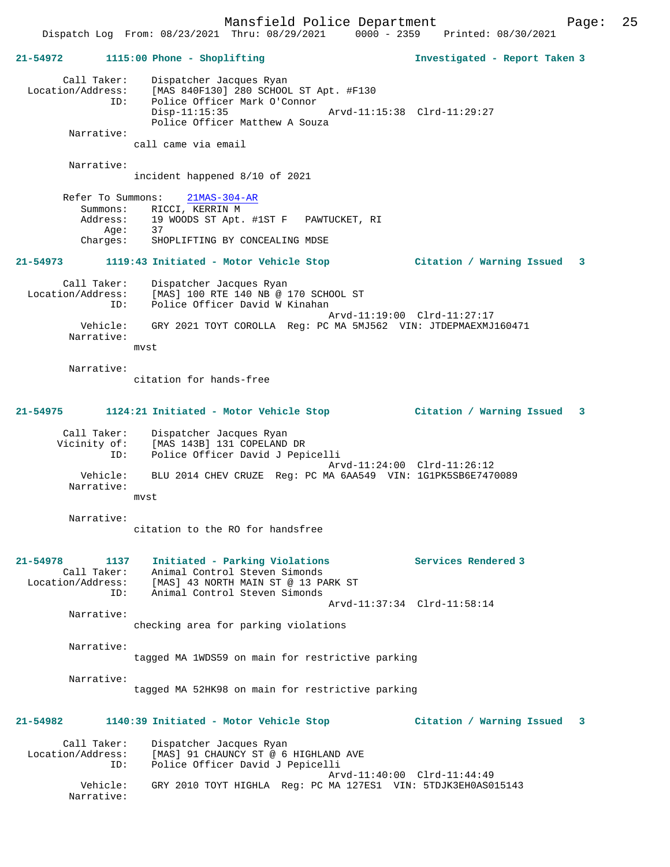Mansfield Police Department Form Page: 25 Dispatch Log From: 08/23/2021 Thru: 08/29/2021 0000 - 2359 Printed: 08/30/2021 **21-54972 1115:00 Phone - Shoplifting Investigated - Report Taken 3** Call Taker: Dispatcher Jacques Ryan Location/Address: [MAS 840F130] 280 SCHOOL ST Apt. #F130 ID: Police Officer Mark O'Connor Arvd-11:15:38 Clrd-11:29:27 Police Officer Matthew A Souza Narrative: call came via email Narrative: incident happened 8/10 of 2021 Refer To Summons: 21MAS-304-AR Summons: RICCI, KERRIN M Address: 19 WOODS ST Apt. #1ST F PAWTUCKET, RI<br>Age: 37 Age:<br>:Charges SHOPLIFTING BY CONCEALING MDSE **21-54973 1119:43 Initiated - Motor Vehicle Stop Citation / Warning Issued 3** Call Taker: Dispatcher Jacques Ryan Location/Address: [MAS] 100 RTE 140 NB @ 170 SCHOOL ST ID: Police Officer David W Kinahan Arvd-11:19:00 Clrd-11:27:17 Vehicle: GRY 2021 TOYT COROLLA Reg: PC MA 5MJ562 VIN: JTDEPMAEXMJ160471 Narrative: mvst Narrative: citation for hands-free **21-54975 1124:21 Initiated - Motor Vehicle Stop Citation / Warning Issued 3** Call Taker: Dispatcher Jacques Ryan Vicinity of: [MAS 143B] 131 COPELAND DR Vicinity of: [MAS 143B] 131 COPELAND DR<br>ID: Police Officer David J Pepicelli Arvd-11:24:00 Clrd-11:26:12 Vehicle: BLU 2014 CHEV CRUZE Reg: PC MA 6AA549 VIN: 1G1PK5SB6E7470089 Narrative: mvst Narrative: citation to the RO for handsfree **21-54978 1137 Initiated - Parking Violations Services Rendered 3**  Call Taker: Animal Control Steven Simonds Location/Address: [MAS] 43 NORTH MAIN ST @ 13 PARK ST ID: Animal Control Steven Simonds Arvd-11:37:34 Clrd-11:58:14 Narrative: checking area for parking violations Narrative: tagged MA 1WDS59 on main for restrictive parking Narrative: tagged MA 52HK98 on main for restrictive parking **21-54982 1140:39 Initiated - Motor Vehicle Stop Citation / Warning Issued 3** Call Taker: Dispatcher Jacques Ryan<br>Location/Address: [MAS] 91 CHAUNCY ST @ 6 [MAS] 91 CHAUNCY ST @ 6 HIGHLAND AVE ID: Police Officer David J Pepicelli Arvd-11:40:00 Clrd-11:44:49 Vehicle: GRY 2010 TOYT HIGHLA Reg: PC MA 127ES1 VIN: 5TDJK3EH0AS015143

Narrative: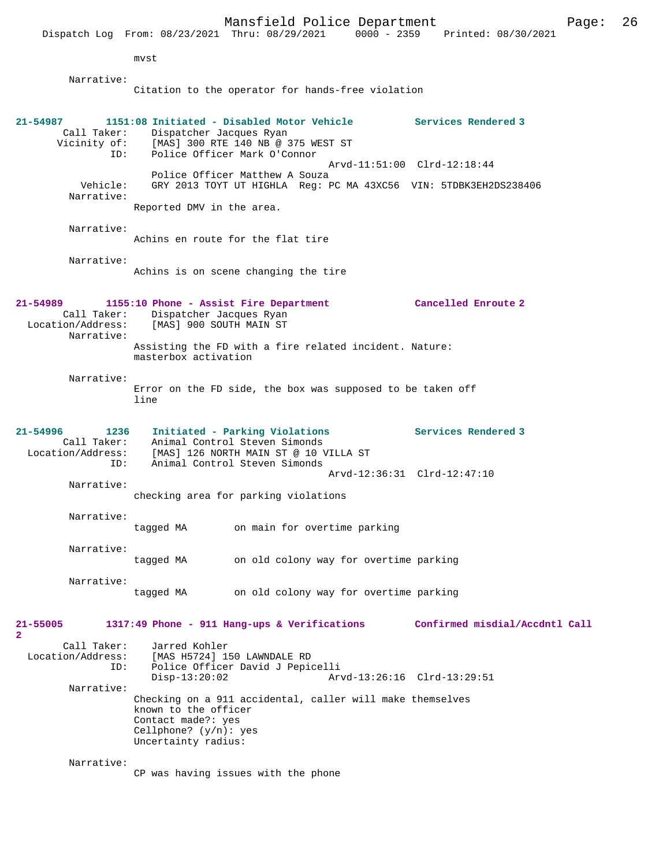|                                                             |                                                                                               | Mansfield Police Department<br>Dispatch Log From: 08/23/2021 Thru: 08/29/2021                                                             | 0000 - 2359 Printed: 08/30/2021 | Page: | 26 |
|-------------------------------------------------------------|-----------------------------------------------------------------------------------------------|-------------------------------------------------------------------------------------------------------------------------------------------|---------------------------------|-------|----|
|                                                             | mvst                                                                                          |                                                                                                                                           |                                 |       |    |
| Narrative:                                                  |                                                                                               |                                                                                                                                           |                                 |       |    |
|                                                             |                                                                                               | Citation to the operator for hands-free violation                                                                                         |                                 |       |    |
| $21 - 54987$<br>Call Taker:<br>Vicinity of:<br>ID:          | Dispatcher Jacques Ryan                                                                       | 1151:08 Initiated - Disabled Motor Vehicle<br>[MAS] 300 RTE 140 NB @ 375 WEST ST<br>Police Officer Mark O'Connor                          | Services Rendered 3             |       |    |
| Vehicle:<br>Narrative:                                      |                                                                                               | Police Officer Matthew A Souza<br>GRY 2013 TOYT UT HIGHLA Reg: PC MA 43XC56 VIN: 5TDBK3EH2DS238406                                        | Arvd-11:51:00 Clrd-12:18:44     |       |    |
|                                                             | Reported DMV in the area.                                                                     |                                                                                                                                           |                                 |       |    |
| Narrative:                                                  |                                                                                               | Achins en route for the flat tire                                                                                                         |                                 |       |    |
| Narrative:                                                  |                                                                                               | Achins is on scene changing the tire                                                                                                      |                                 |       |    |
| 21-54989<br>Location/Address:<br>Narrative:                 | Call Taker: Dispatcher Jacques Ryan<br>[MAS] 900 SOUTH MAIN ST                                | 1155:10 Phone - Assist Fire Department                                                                                                    | Cancelled Enroute 2             |       |    |
|                                                             | masterbox activation                                                                          | Assisting the FD with a fire related incident. Nature:                                                                                    |                                 |       |    |
| Narrative:                                                  | line                                                                                          | Error on the FD side, the box was supposed to be taken off                                                                                |                                 |       |    |
| 21-54996<br>1236<br>Call Taker:<br>Location/Address:<br>ID: |                                                                                               | Initiated - Parking Violations<br>Animal Control Steven Simonds<br>[MAS] 126 NORTH MAIN ST @ 10 VILLA ST<br>Animal Control Steven Simonds | Services Rendered 3             |       |    |
| Narrative:                                                  |                                                                                               | checking area for parking violations                                                                                                      | Arvd-12:36:31 Clrd-12:47:10     |       |    |
|                                                             |                                                                                               |                                                                                                                                           |                                 |       |    |
| Narrative:                                                  | tagged MA                                                                                     | on main for overtime parking                                                                                                              |                                 |       |    |
| Narrative:                                                  | tagged MA                                                                                     | on old colony way for overtime parking                                                                                                    |                                 |       |    |
| Narrative:                                                  | tagged MA                                                                                     | on old colony way for overtime parking                                                                                                    |                                 |       |    |
| 21-55005<br>$\overline{\mathbf{2}}$                         |                                                                                               | 1317:49 Phone - 911 Hang-ups & Verifications                                                                                              | Confirmed misdial/Accdntl Call  |       |    |
| Call Taker:<br>Location/Address:<br>ID:                     | Jarred Kohler<br>$Disp-13:20:02$                                                              | [MAS H5724] 150 LAWNDALE RD<br>Police Officer David J Pepicelli                                                                           | Arvd-13:26:16 Clrd-13:29:51     |       |    |
| Narrative:                                                  | known to the officer<br>Contact made?: yes<br>Cellphone? $(y/n)$ : yes<br>Uncertainty radius: | Checking on a 911 accidental, caller will make themselves                                                                                 |                                 |       |    |
| Narrative:                                                  |                                                                                               | CP was having issues with the phone                                                                                                       |                                 |       |    |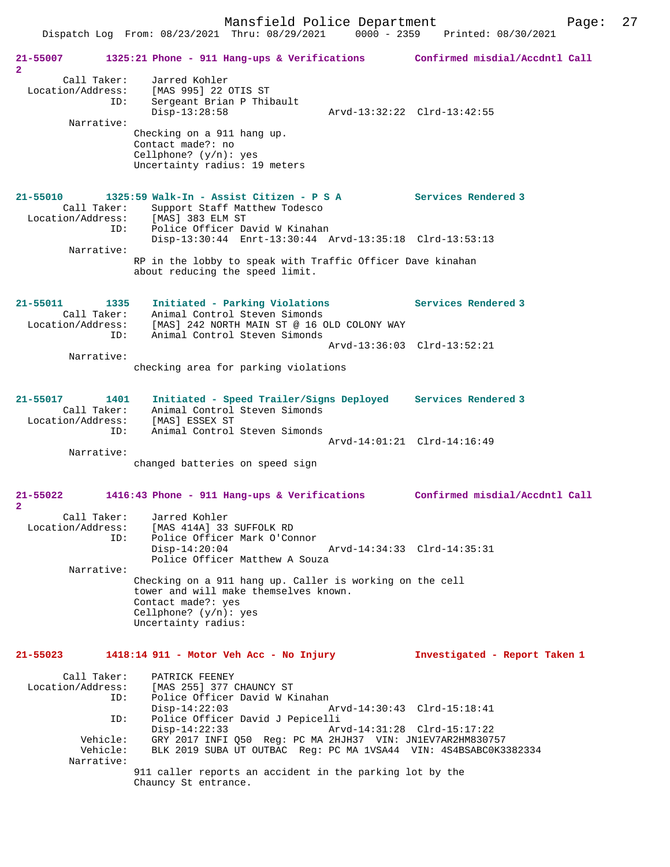|                                                             | Dispatch Log From: 08/23/2021 Thru: 08/29/2021 0000 - 2359                                                                                                                                                   | Printed: 08/30/2021            |
|-------------------------------------------------------------|--------------------------------------------------------------------------------------------------------------------------------------------------------------------------------------------------------------|--------------------------------|
| 21-55007<br>$\overline{2}$                                  | 1325:21 Phone - 911 Hang-ups & Verifications Confirmed misdial/Accdntl Call                                                                                                                                  |                                |
| Call Taker:<br>Location/Address:<br>ID:<br>Narrative:       | Jarred Kohler<br>[MAS 995] 22 OTIS ST<br>Sergeant Brian P Thibault<br>$Disp-13:28:58$<br>Checking on a 911 hang up.<br>Contact made?: no<br>Cellphone? $(y/n)$ : yes<br>Uncertainty radius: 19 meters        | Arvd-13:32:22 Clrd-13:42:55    |
| 21-55010<br>Call Taker:                                     | $1325:59$ Walk-In - Assist Citizen - P S A<br>Support Staff Matthew Todesco<br>Location/Address: [MAS] 383 ELM ST                                                                                            | Services Rendered 3            |
| ID:<br>Narrative:                                           | Police Officer David W Kinahan<br>Disp-13:30:44 Enrt-13:30:44 Arvd-13:35:18 Clrd-13:53:13                                                                                                                    |                                |
|                                                             | RP in the lobby to speak with Traffic Officer Dave kinahan<br>about reducing the speed limit.                                                                                                                |                                |
| 21-55011<br>1335<br>Call Taker:<br>Location/Address:<br>ID: | Initiated - Parking Violations<br>Animal Control Steven Simonds<br>[MAS] 242 NORTH MAIN ST @ 16 OLD COLONY WAY<br>Animal Control Steven Simonds                                                              | Services Rendered 3            |
| Narrative:                                                  | checking area for parking violations                                                                                                                                                                         | Arvd-13:36:03 Clrd-13:52:21    |
| 21-55017<br>1401<br>Call Taker:<br>Location/Address:<br>ID: | Initiated - Speed Trailer/Signs Deployed Services Rendered 3<br>Animal Control Steven Simonds<br>[MAS] ESSEX ST<br>Animal Control Steven Simonds                                                             |                                |
| Narrative:                                                  | changed batteries on speed sign                                                                                                                                                                              | Arvd-14:01:21 Clrd-14:16:49    |
| 21-55022<br>$\overline{2}$                                  | 1416:43 Phone - 911 Hang-ups & Verifications                                                                                                                                                                 | Confirmed misdial/Accdntl Call |
| Call Taker:<br>Location/Address:<br>ID:                     | Jarred Kohler<br>[MAS 414A] 33 SUFFOLK RD<br>Police Officer Mark O'Connor<br>$Disp-14:20:04$                                                                                                                 | Arvd-14:34:33 Clrd-14:35:31    |
| Narrative:                                                  | Police Officer Matthew A Souza<br>Checking on a 911 hang up. Caller is working on the cell<br>tower and will make themselves known.<br>Contact made?: yes<br>Cellphone? $(y/n)$ : yes<br>Uncertainty radius: |                                |
| 21-55023                                                    | 1418:14 911 - Motor Veh Acc - No Injury                                                                                                                                                                      | Investigated - Report Taken 1  |
| Call Taker:<br>Location/Address:<br>ID:<br>ID:              | PATRICK FEENEY<br>[MAS 255] 377 CHAUNCY ST<br>Police Officer David W Kinahan<br>$Disp-14:22:03$<br>Police Officer David J Pepicelli                                                                          | Arvd-14:30:43 Clrd-15:18:41    |
| Vehicle:<br>Vehicle:<br>Narrative:                          | $Disp-14:22:33$<br>GRY 2017 INFI Q50 Req: PC MA 2HJH37 VIN: JN1EV7AR2HM830757<br>BLK 2019 SUBA UT OUTBAC Req: PC MA 1VSA44 VIN: 4S4BSABC0K3382334                                                            | Arvd-14:31:28 Clrd-15:17:22    |
|                                                             | 911 caller reports an accident in the parking lot by the<br>Chauncy St entrance.                                                                                                                             |                                |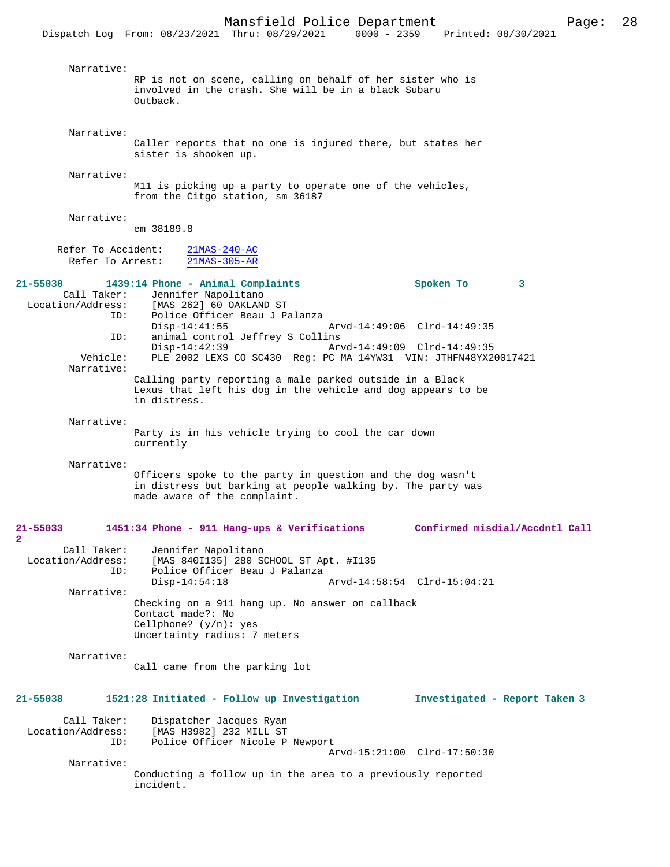Dispatch Log From: 08/23/2021 Thru: 08/29/2021

 Narrative: RP is not on scene, calling on behalf of her sister who is involved in the crash. She will be in a black Subaru Outback. Narrative: Caller reports that no one is injured there, but states her sister is shooken up. Narrative: M11 is picking up a party to operate one of the vehicles, from the Citgo station, sm 36187 Narrative: em 38189.8 Refer To Accident:  $\frac{21\text{MAS}-240-\text{AC}}{21\text{MAS}-305-\text{AR}}$ Refer To Arrest: **21-55030 1439:14 Phone - Animal Complaints Spoken To 3**  Call Taker: Jennifer Napolitano<br>Location/Address: [MAS 262] 60 OAKLANI [MAS 262] 60 OAKLAND ST ID: Police Officer Beau J Palanza Disp-14:41:55 Arvd-14:49:06 Clrd-14:49:35<br>TD: animal control Jeffrey S Collins animal control Jeffrey S Collins<br>Disp-14:42:39 Ar Disp-14:42:39 Arvd-14:49:09 Clrd-14:49:35 PLE 2002 LEXS CO SC430 Reg: PC MA 14YW31 VIN: JTHFN48YX20017421 Narrative: Calling party reporting a male parked outside in a Black Lexus that left his dog in the vehicle and dog appears to be in distress. Narrative: Party is in his vehicle trying to cool the car down currently Narrative: Officers spoke to the party in question and the dog wasn't in distress but barking at people walking by. The party was made aware of the complaint. **21-55033 1451:34 Phone - 911 Hang-ups & Verifications Confirmed misdial/Accdntl Call 2**  Call Taker: Jennifer Napolitano<br>Location/Address: [MAS 840I135] 280 SO ess: [MAS 840I135] 280 SCHOOL ST Apt. #I135<br>ID: Police Officer Beau J Palanza Police Officer Beau J Palanza<br>Disp-14:54:18 Disp-14:54:18 Arvd-14:58:54 Clrd-15:04:21 Narrative: Checking on a 911 hang up. No answer on callback Contact made?: No Cellphone? (y/n): yes Uncertainty radius: 7 meters Narrative: Call came from the parking lot **21-55038 1521:28 Initiated - Follow up Investigation Investigated - Report Taken 3** Call Taker: Dispatcher Jacques Ryan<br>Location/Address: [MAS H3982] 232 MILL ST Location/Address: [MAS H3982] 232 MILL ST ID: Police Officer Nicole P Newport Arvd-15:21:00 Clrd-17:50:30 Narrative: Conducting a follow up in the area to a previously reported incident.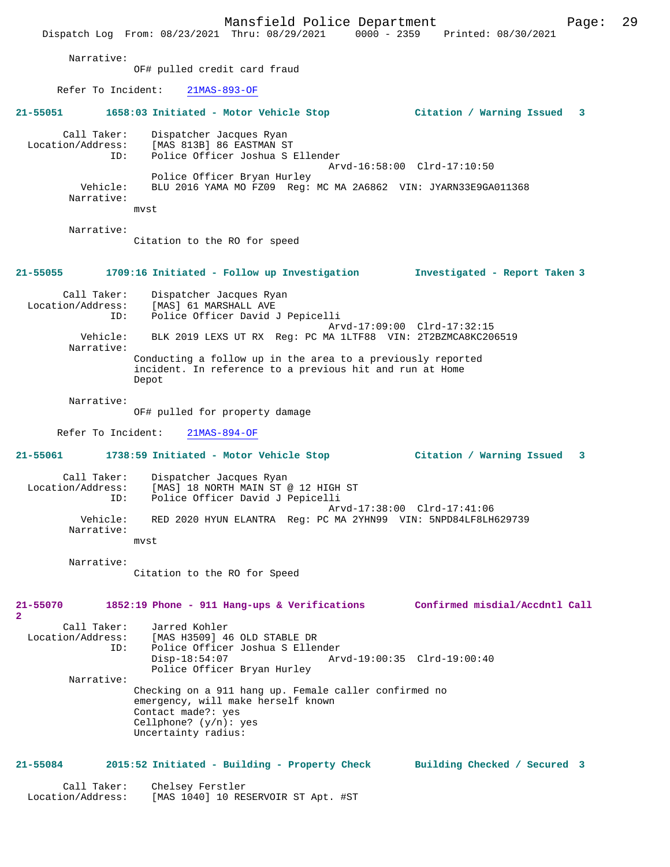Mansfield Police Department Fage: 29 Dispatch Log From: 08/23/2021 Thru: 08/29/2021 0000 - 2359 Printed: 08/30/2021 Narrative: OF# pulled credit card fraud Refer To Incident: 21MAS-893-OF **21-55051 1658:03 Initiated - Motor Vehicle Stop Citation / Warning Issued 3** Call Taker: Dispatcher Jacques Ryan<br>Location/Address: [MAS 813B] 86 EASTMAN ST Location/Address: [MAS 813B] 86 EASTMAN ST ID: Police Officer Joshua S Ellender Arvd-16:58:00 Clrd-17:10:50 Police Officer Bryan Hurley<br>Vehicle: BLU 2016 YAMA MO FZ09 Req: BLU 2016 YAMA MO FZ09 Reg: MC MA 2A6862 VIN: JYARN33E9GA011368 Narrative: mvst Narrative: Citation to the RO for speed **21-55055 1709:16 Initiated - Follow up Investigation Investigated - Report Taken 3** Call Taker: Dispatcher Jacques Ryan<br>Location/Address: [MAS] 61 MARSHALL AVE ess: [MAS] 61 MARSHALL AVE<br>ID: Police Officer David Police Officer David J Pepicelli Arvd-17:09:00 Clrd-17:32:15<br>Vebicle: RLK 2019 LEXS UT RX Req: PC MA 1LTE88 VIN: 2T2RZMCA8KC20 BLK 2019 LEXS UT RX Reg: PC MA 1LTF88 VIN: 2T2BZMCA8KC206519 Narrative: Conducting a follow up in the area to a previously reported incident. In reference to a previous hit and run at Home Depot Narrative: OF# pulled for property damage Refer To Incident: 21MAS-894-OF **21-55061 1738:59 Initiated - Motor Vehicle Stop Citation / Warning Issued 3** Call Taker: Dispatcher Jacques Ryan<br>Location/Address: [MAS] 18 NORTH MAIN ST ess: [MAS] 18 NORTH MAIN ST @ 12 HIGH ST<br>ID: Police Officer David J Pepicelli Police Officer David J Pepicelli Arvd-17:38:00 Clrd-17:41:06<br>Vehicle: RED 2020 HYUN ELANTRA Reg: PC MA 2YHN99 VIN: 5NPD84LE8LH RED 2020 HYUN ELANTRA Reg: PC MA 2YHN99 VIN: 5NPD84LF8LH629739 Narrative: mvst Narrative: Citation to the RO for Speed **21-55070 1852:19 Phone - 911 Hang-ups & Verifications Confirmed misdial/Accdntl Call 2**  Call Taker: Jarred Kohler<br>Location/Address: [MAS H3509] 4 ess: [MAS H3509] 46 OLD STABLE DR<br>ID: Police Officer Joshua S Eller Police Officer Joshua S Ellender<br>Disp-18:54:07 Arv Disp-18:54:07 Arvd-19:00:35 Clrd-19:00:40 Police Officer Bryan Hurley Narrative: Checking on a 911 hang up. Female caller confirmed no emergency, will make herself known Contact made?: yes Cellphone? (y/n): yes Uncertainty radius: **21-55084 2015:52 Initiated - Building - Property Check Building Checked / Secured 3** Call Taker: Chelsey Ferstler<br>Location/Address: [MAS 1040] 10 RE: [MAS 1040] 10 RESERVOIR ST Apt. #ST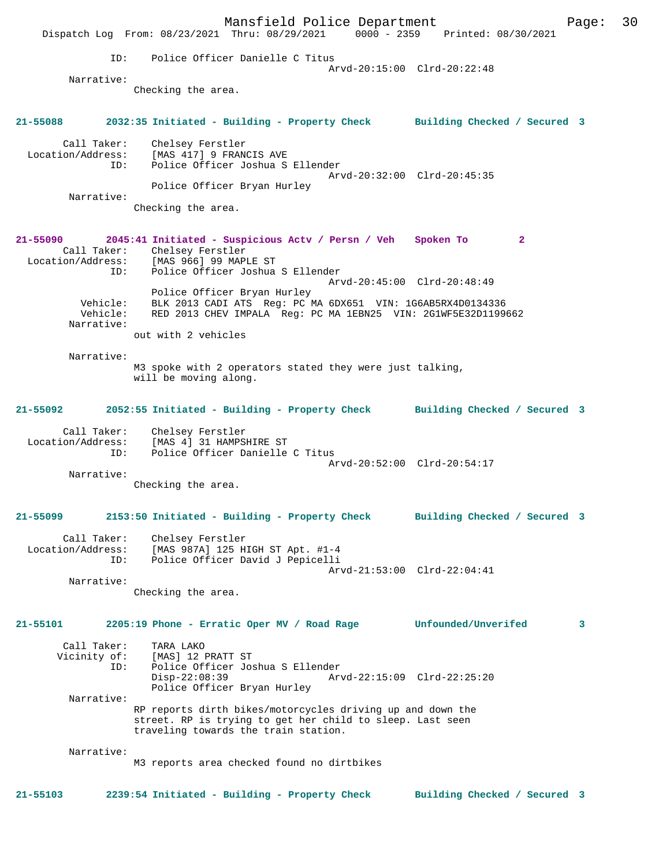Mansfield Police Department Fage: 30 Dispatch Log From: 08/23/2021 Thru: 08/29/2021 0000 - 2359 Printed: 08/30/2021 ID: Police Officer Danielle C Titus Arvd-20:15:00 Clrd-20:22:48 Narrative: Checking the area. **21-55088 2032:35 Initiated - Building - Property Check Building Checked / Secured 3** Call Taker: Chelsey Ferstler Location/Address: [MAS 417] 9 FRANCIS AVE ID: Police Officer Joshua S Ellender Arvd-20:32:00 Clrd-20:45:35 Police Officer Bryan Hurley Narrative: Checking the area. **21-55090 2045:41 Initiated - Suspicious Actv / Persn / Veh Spoken To 2**  Call Taker: Chelsey Ferstler<br>.on/Address: [MAS 966] 99 MAPLE ST Call .....<br>Location/Address:<br>ID: Police Officer Joshua S Ellender Arvd-20:45:00 Clrd-20:48:49 Police Officer Bryan Hurley Vehicle: BLK 2013 CADI ATS Reg: PC MA 6DX651 VIN: 1G6AB5RX4D0134336 Vehicle: RED 2013 CHEV IMPALA Reg: PC MA 1EBN25 VIN: 2G1WF5E32D1199662 Narrative: out with 2 vehicles Narrative: M3 spoke with 2 operators stated they were just talking, will be moving along. **21-55092 2052:55 Initiated - Building - Property Check Building Checked / Secured 3** Call Taker: Chelsey Ferstler Location/Address: [MAS 4] 31 HAMPSHIRE ST ID: Police Officer Danielle C Titus Arvd-20:52:00 Clrd-20:54:17 Narrative: Checking the area. **21-55099 2153:50 Initiated - Building - Property Check Building Checked / Secured 3** Call Taker: Chelsey Ferstler Location/Address: [MAS 987A] 125 HIGH ST Apt. #1-4 ID: Police Officer David J Pepicelli Arvd-21:53:00 Clrd-22:04:41 Narrative: Checking the area. **21-55101 2205:19 Phone - Erratic Oper MV / Road Rage Unfounded/Unverifed 3** Call Taker: TARA LAKO<br>Vicinity of: [MAS] 12 I of: [MAS] 12 PRATT ST<br>ID: Police Officer Jos ID: Police Officer Joshua S Ellender Disp-22:08:39 Arvd-22:15:09 Clrd-22:25:20 Police Officer Bryan Hurley Narrative: RP reports dirth bikes/motorcycles driving up and down the street. RP is trying to get her child to sleep. Last seen traveling towards the train station. Narrative: M3 reports area checked found no dirtbikes **21-55103 2239:54 Initiated - Building - Property Check Building Checked / Secured 3**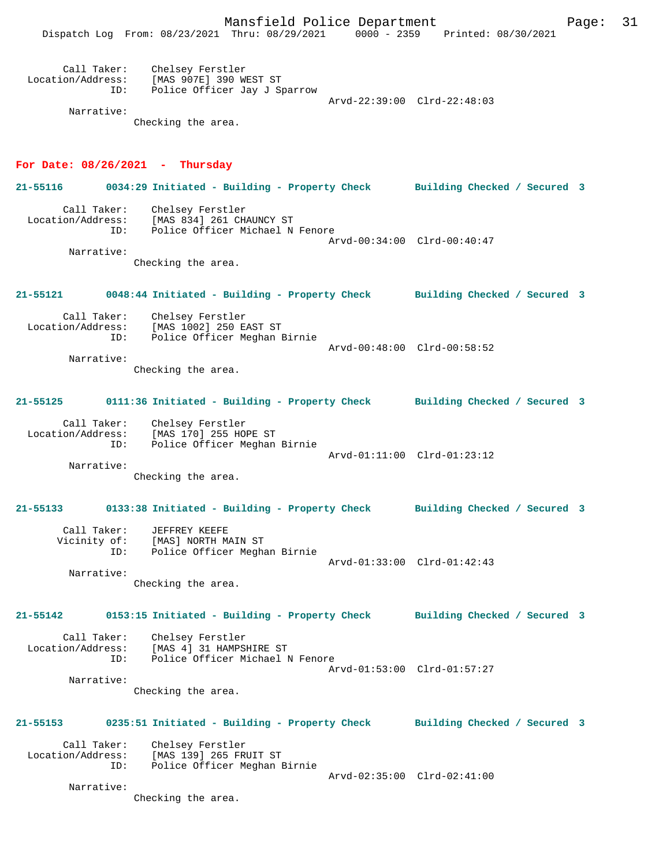Mansfield Police Department Page: 31

| Call Taker:<br>Location/Address:<br>ID: | Chelsey Ferstler<br>[MAS 907E] 390 WEST ST<br>Police Officer Jay J Sparrow | Arvd-22:39:00 Clrd-22:48:03 |  |
|-----------------------------------------|----------------------------------------------------------------------------|-----------------------------|--|
| Narrative:                              |                                                                            |                             |  |

Checking the area.

## **For Date: 08/26/2021 - Thursday**

**21-55116 0034:29 Initiated - Building - Property Check Building Checked / Secured 3** Call Taker: Chelsey Ferstler<br>Location/Address: [MAS 834] 261 CH Location (Address: [MAS 834] 261 CHAUNCY ST<br>ID: Police Officer Michael N Police Officer Michael N Fenore Arvd-00:34:00 Clrd-00:40:47 Narrative: Checking the area.

**21-55121 0048:44 Initiated - Building - Property Check Building Checked / Secured 3**

 Call Taker: Chelsey Ferstler Location/Address: [MAS 1002] 250 EAST ST ID: Police Officer Meghan Birnie Arvd-00:48:00 Clrd-00:58:52 Narrative:

Checking the area.

### **21-55125 0111:36 Initiated - Building - Property Check Building Checked / Secured 3**

 Call Taker: Chelsey Ferstler Location/Address: [MAS 170] 255 HOPE ST ID: Police Officer Meghan Birnie Arvd-01:11:00 Clrd-01:23:12 Narrative:

Checking the area.

## **21-55133 0133:38 Initiated - Building - Property Check Building Checked / Secured 3** Call Taker: JEFFREY KEEFE

 Vicinity of: [MAS] NORTH MAIN ST ID: Police Officer Meghan Birnie Arvd-01:33:00 Clrd-01:42:43 Narrative:

Checking the area.

#### **21-55142 0153:15 Initiated - Building - Property Check Building Checked / Secured 3**

Call Taker: Chelsey Ferstler<br>Location/Address: [MAS 4] 31 HAMPS: ess: [MAS 4] 31 HAMPSHIRE ST<br>ID: Police Officer Michael I Police Officer Michael N Fenore Arvd-01:53:00 Clrd-01:57:27 Narrative:

Checking the area.

# **21-55153 0235:51 Initiated - Building - Property Check Building Checked / Secured 3**

 Call Taker: Chelsey Ferstler Location/Address: [MAS 139] 265 FRUIT ST ID: Police Officer Meghan Birnie Arvd-02:35:00 Clrd-02:41:00

Narrative:

Checking the area.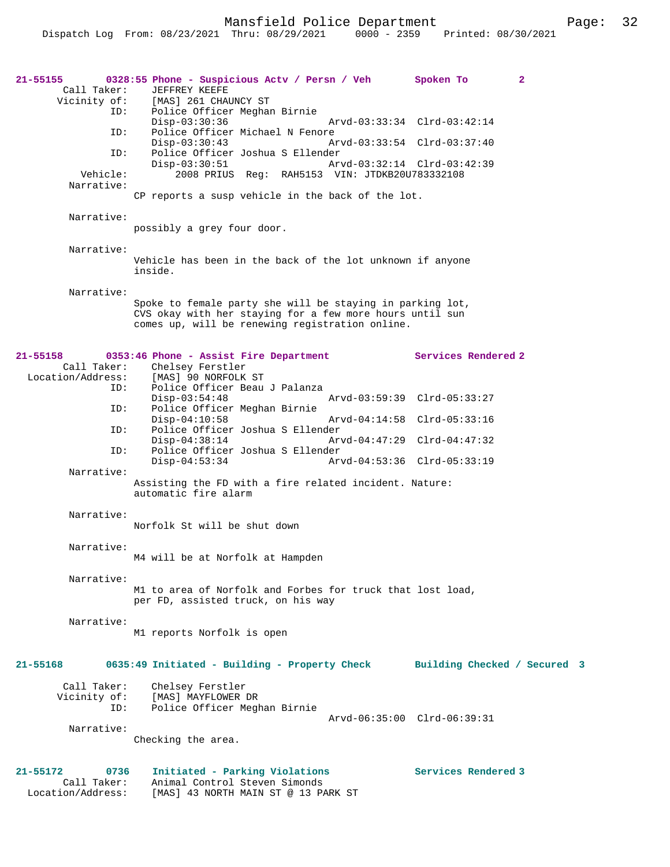Mansfield Police Department Fage: 32

| 21-55155<br>Call Taker:<br>Vicinity of:              | 0328:55 Phone - Suspicious Actv / Persn / Veh<br><b>JEFFREY KEEFE</b><br>[MAS] 261 CHAUNCY ST                                                                            | $\mathbf{2}$<br>Spoken To    |
|------------------------------------------------------|--------------------------------------------------------------------------------------------------------------------------------------------------------------------------|------------------------------|
| ID:<br>ID:                                           | Police Officer Meghan Birnie<br>Disp-03:30:36<br>Arvd-03:33:34 Clrd-03:42:14<br>Police Officer Michael N Fenore                                                          |                              |
| ID:                                                  | $Disp-03:30:43$<br>Police Officer Joshua S Ellender                                                                                                                      | Arvd-03:33:54 Clrd-03:37:40  |
| Vehicle:                                             | $Disp-03:30:51$<br>Arvd-03:32:14 Clrd-03:42:39<br>2008 PRIUS Reg: RAH5153 VIN: JTDKB20U783332108                                                                         |                              |
| Narrative:                                           | CP reports a susp vehicle in the back of the lot.                                                                                                                        |                              |
| Narrative:                                           | possibly a grey four door.                                                                                                                                               |                              |
| Narrative:                                           | Vehicle has been in the back of the lot unknown if anyone<br>inside.                                                                                                     |                              |
| Narrative:                                           | Spoke to female party she will be staying in parking lot,<br>CVS okay with her staying for a few more hours until sun<br>comes up, will be renewing registration online. |                              |
| $21 - 55158$<br>Call Taker:<br>Location/Address:     | 0353:46 Phone - Assist Fire Department<br>Chelsey Ferstler<br>[MAS] 90 NORFOLK ST                                                                                        | Services Rendered 2          |
| ID:                                                  | Police Officer Beau J Palanza<br>Arvd-03:59:39 Clrd-05:33:27<br>$Disp-03:54:48$                                                                                          |                              |
| ID:<br>ID:                                           | Police Officer Meghan Birnie<br>$Disp-04:10:58$<br>Police Officer Joshua S Ellender                                                                                      | Arvd-04:14:58 Clrd-05:33:16  |
| ID:                                                  | $Disp-04:38:14$<br>Police Officer Joshua S Ellender                                                                                                                      | Arvd-04:47:29 Clrd-04:47:32  |
| Narrative:                                           | $Disp-04:53:34$                                                                                                                                                          | Arvd-04:53:36 Clrd-05:33:19  |
|                                                      | Assisting the FD with a fire related incident. Nature:<br>automatic fire alarm                                                                                           |                              |
| Narrative:                                           | Norfolk St will be shut down                                                                                                                                             |                              |
| Narrative:                                           | M4 will be at Norfolk at Hampden                                                                                                                                         |                              |
| Narrative:                                           | M1 to area of Norfolk and Forbes for truck that lost load,<br>per FD, assisted truck, on his way                                                                         |                              |
| Narrative:                                           | M1 reports Norfolk is open                                                                                                                                               |                              |
| 21-55168                                             | 0635:49 Initiated - Building - Property Check                                                                                                                            | Building Checked / Secured 3 |
| Call Taker:<br>Vicinity of:<br>ID:                   | Chelsey Ferstler<br>[MAS] MAYFLOWER DR<br>Police Officer Meghan Birnie                                                                                                   |                              |
| Narrative:                                           | Checking the area.                                                                                                                                                       | Arvd-06:35:00 Clrd-06:39:31  |
| 21-55172<br>0736<br>Call Taker:<br>Location/Address: | Initiated - Parking Violations<br>Animal Control Steven Simonds<br>[MAS] 43 NORTH MAIN ST @ 13 PARK ST                                                                   | Services Rendered 3          |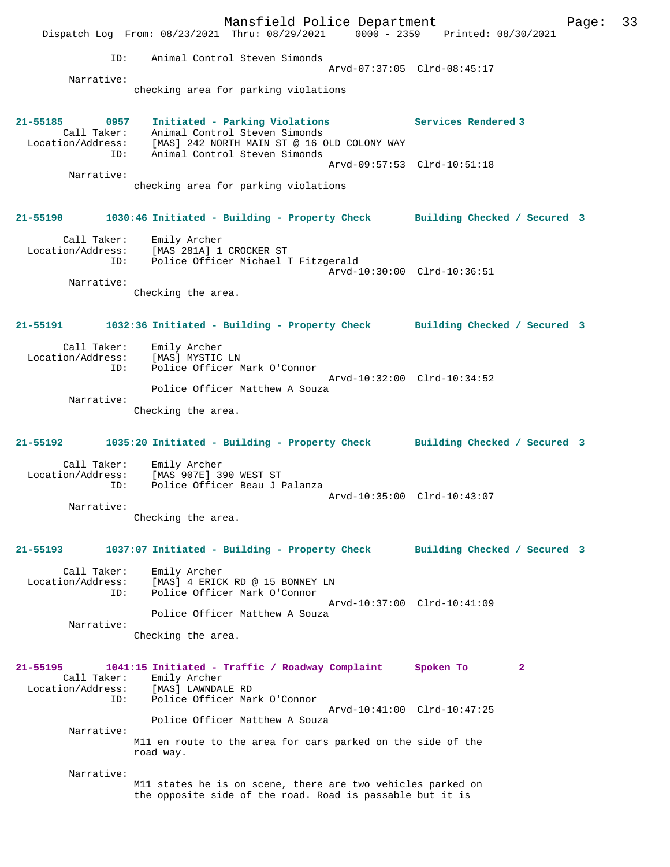Mansfield Police Department Fage: 33 Dispatch Log From: 08/23/2021 Thru: 08/29/2021 0000 - 2359 Printed: 08/30/2021 ID: Animal Control Steven Simonds Arvd-07:37:05 Clrd-08:45:17 Narrative: checking area for parking violations **21-55185 0957 Initiated - Parking Violations Services Rendered 3**  Call Taker: Animal Control Steven Simonds Location/Address: [MAS] 242 NORTH MAIN ST @ 16 OLD COLONY WAY ID: Animal Control Steven Simonds Arvd-09:57:53 Clrd-10:51:18 Narrative: checking area for parking violations **21-55190 1030:46 Initiated - Building - Property Check Building Checked / Secured 3** Call Taker: Emily Archer Location/Address: [MAS 281A] 1 CROCKER ST ID: Police Officer Michael T Fitzgerald Arvd-10:30:00 Clrd-10:36:51 Narrative: Checking the area. **21-55191 1032:36 Initiated - Building - Property Check Building Checked / Secured 3** Call Taker: Emily Archer<br>ion/Address: Location/Address: [MAS] MYSTIC LN ID: Police Officer Mark O'Connor Arvd-10:32:00 Clrd-10:34:52 Police Officer Matthew A Souza Narrative: Checking the area. **21-55192 1035:20 Initiated - Building - Property Check Building Checked / Secured 3** Call Taker: Emily Archer Location/Address: [MAS 907E] 390 WEST ST Police Officer Beau J Palanza Arvd-10:35:00 Clrd-10:43:07 Narrative: Checking the area. **21-55193 1037:07 Initiated - Building - Property Check Building Checked / Secured 3** Call Taker: Emily Archer Location/Address: [MAS] 4 ERICK RD @ 15 BONNEY LN ID: Police Officer Mark O'Connor Arvd-10:37:00 Clrd-10:41:09 Police Officer Matthew A Souza Narrative: Checking the area. **21-55195 1041:15 Initiated - Traffic / Roadway Complaint Spoken To 2**  Call Taker: Emily Archer<br>Location/Address: [MAS] LAWNDAI [MAS] LAWNDALE RD ID: Police Officer Mark O'Connor Arvd-10:41:00 Clrd-10:47:25 Police Officer Matthew A Souza Narrative: M11 en route to the area for cars parked on the side of the road way. Narrative: M11 states he is on scene, there are two vehicles parked on the opposite side of the road. Road is passable but it is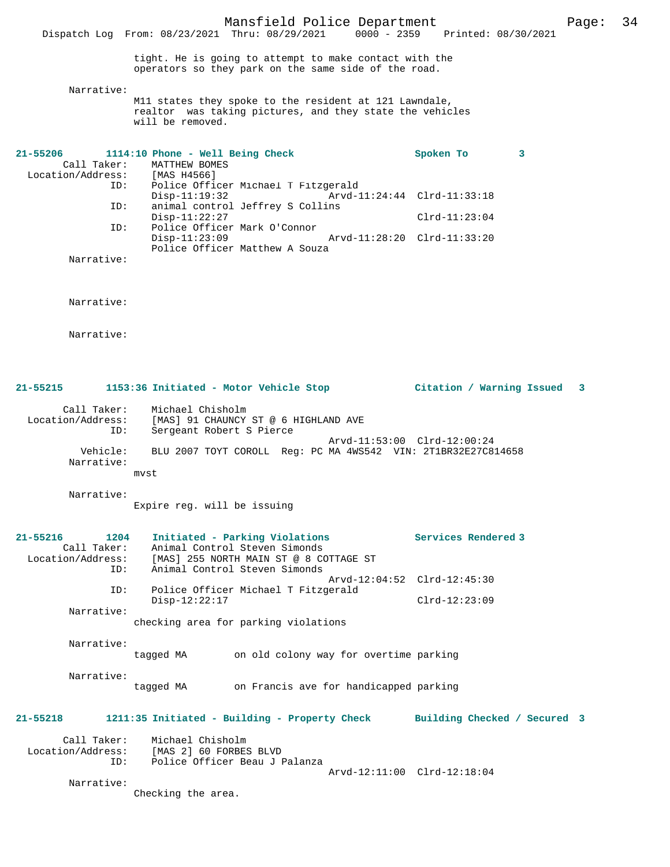tight. He is going to attempt to make contact with the operators so they park on the same side of the road.

Dispatch Log From: 08/23/2021 Thru: 08/29/2021

Narrative:

M11 states they spoke to the resident at 121 Lawndale, realtor was taking pictures, and they state the vehicles will be removed.

| 21-55206 |            | 1114:10 Phone - Well Being Check    |  |                             | Spoken To                   |  |
|----------|------------|-------------------------------------|--|-----------------------------|-----------------------------|--|
|          |            | Call Taker: MATTHEW BOMES           |  |                             |                             |  |
|          |            | Location/Address: [MAS H4566]       |  |                             |                             |  |
|          | ID:        | Police Officer Michael T Fitzgerald |  |                             |                             |  |
|          |            | $Disp-11:19:32$                     |  | Arvd-11:24:44 Clrd-11:33:18 |                             |  |
|          | ID:        | animal control Jeffrey S Collins    |  |                             |                             |  |
|          |            | $Disp-11:22:27$                     |  |                             | $Clrd-11:23:04$             |  |
|          | ID:        | Police Officer Mark O'Connor        |  |                             |                             |  |
|          |            | $Disp-11:23:09$                     |  |                             | Arvd-11:28:20 Clrd-11:33:20 |  |
|          |            | Police Officer Matthew A Souza      |  |                             |                             |  |
|          | Narrative: |                                     |  |                             |                             |  |

Narrative:

Narrative:

| 21-55215 | 1153:36 Initiated - Motor Vehicle Stop |  | Citation / Warning Issued 3 |  |
|----------|----------------------------------------|--|-----------------------------|--|
|          |                                        |  |                             |  |

 Call Taker: Michael Chisholm Location/Address: [MAS] 91 CHAUNCY ST @ 6 HIGHLAND AVE ID: Sergeant Robert S Pierce Arvd-11:53:00 Clrd-12:00:24 Vehicle: BLU 2007 TOYT COROLL Reg: PC MA 4WS542 VIN: 2T1BR32E27C814658 Narrative:

Narrative:

mvst

Expire reg. will be issuing

| $21 - 55216$<br>1204<br>Call Taker:<br>ID: | Initiated - Parking Violations<br>Animal Control Steven Simonds<br>Location/Address: $[MAS]$ 255 NORTH MAIN ST @ 8 COTTAGE ST<br>Animal Control Steven Simonds | Services Rendered 3          |
|--------------------------------------------|----------------------------------------------------------------------------------------------------------------------------------------------------------------|------------------------------|
| ID:                                        | Arvd-12:04:52 Clrd-12:45:30<br>Police Officer Michael T Fitzgerald                                                                                             |                              |
| Narrative:                                 | $Disp-12:22:17$                                                                                                                                                | $Clrd-12:23:09$              |
|                                            | checking area for parking violations                                                                                                                           |                              |
| Narrative:                                 | on old colony way for overtime parking<br>tagged MA                                                                                                            |                              |
| Narrative:                                 | on Francis ave for handicapped parking<br>tagged MA                                                                                                            |                              |
| $21 - 55218$                               | 1211:35 Initiated - Building - Property Check                                                                                                                  | Building Checked / Secured 3 |
| ID:                                        | Call Taker: Michael Chisholm<br>Location/Address: [MAS 2] 60 FORBES BLVD<br>Police Officer Beau J Palanza<br>Arvd-12:11:00 Clrd-12:18:04                       |                              |

Narrative:

Checking the area.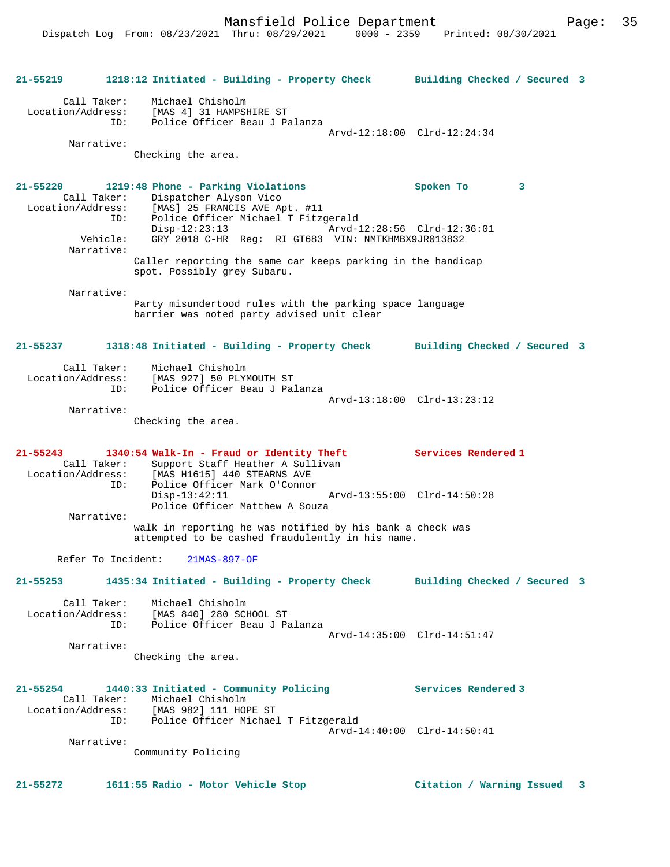Mansfield Police Department Page: 35

**21-55219 1218:12 Initiated - Building - Property Check Building Checked / Secured 3** Call Taker: Michael Chisholm Location/Address: [MAS 4] 31 HAMPSHIRE ST ID: Police Officer Beau J Palanza Arvd-12:18:00 Clrd-12:24:34 Narrative: Checking the area. **21-55220 1219:48 Phone - Parking Violations Spoken To 3**  Call Taker: Dispatcher Alyson Vico<br>Location/Address: [MAS] 25 FRANCIS AVE Ap Location/Address: [MAS] 25 FRANCIS AVE Apt. #11 ID: Police Officer Michael T Fitzgerald Disp-12:23:13 Arvd-12:28:56 Clrd-12:36:01 Vehicle: GRY 2018 C-HR Reg: RI GT683 VIN: NMTKHMBX9JR013832 Narrative: Caller reporting the same car keeps parking in the handicap spot. Possibly grey Subaru. Narrative: Party misundertood rules with the parking space language barrier was noted party advised unit clear **21-55237 1318:48 Initiated - Building - Property Check Building Checked / Secured 3** Call Taker: Michael Chisholm Location/Address: [MAS 927] 50 PLYMOUTH ST ID: Police Officer Beau J Palanza Arvd-13:18:00 Clrd-13:23:12 Narrative: Checking the area. **21-55243 1340:54 Walk-In - Fraud or Identity Theft Services Rendered 1**  Call Taker: Support Staff Heather A Sullivan<br>Location/Address: [MAS H1615] 440 STEARNS AVE Location/Address: [MAS H1615] 440 STEARNS AVE ID: Police Officer Mark O'Connor Disp-13:42:11 Arvd-13:55:00 Clrd-14:50:28 Police Officer Matthew A Souza Narrative: walk in reporting he was notified by his bank a check was attempted to be cashed fraudulently in his name. Refer To Incident: 21MAS-897-OF **21-55253 1435:34 Initiated - Building - Property Check Building Checked / Secured 3** Call Taker: Michael Chisholm Location/Address: [MAS 840] 280 SCHOOL ST ID: Police Officer Beau J Palanza Arvd-14:35:00 Clrd-14:51:47 Narrative: Checking the area. **21-55254 1440:33 Initiated - Community Policing Services Rendered 3**  Call Taker: Michael Chisholm Location/Address: [MAS 982] 111 HOPE ST ID: Police Officer Michael T Fitzgerald Arvd-14:40:00 Clrd-14:50:41 Narrative: Community Policing **21-55272 1611:55 Radio - Motor Vehicle Stop Citation / Warning Issued 3**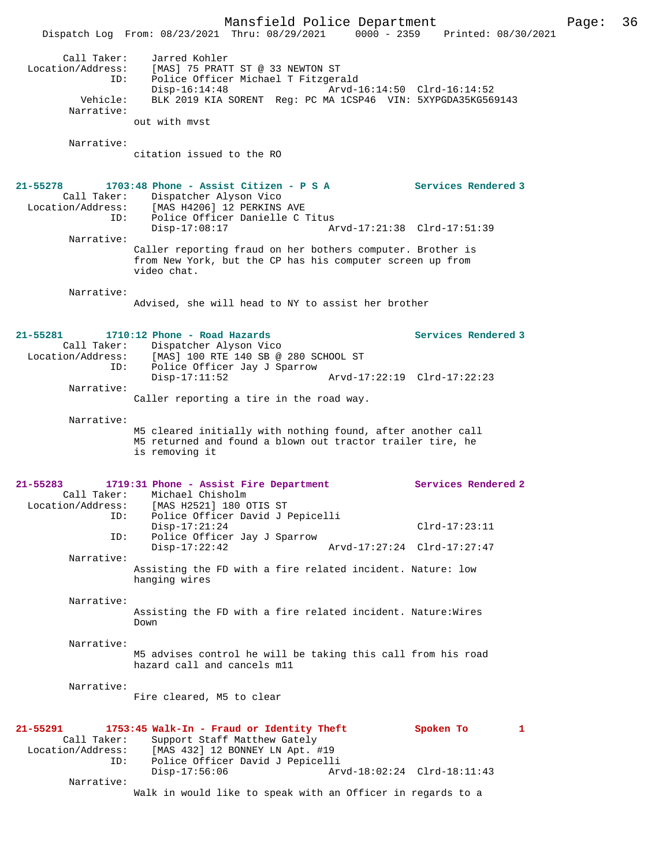Mansfield Police Department Page: 36 Dispatch Log From: 08/23/2021 Thru: 08/29/2021 0000 - 2359 Printed: 08/30/2021 Call Taker: Jarred Kohler Location/Address: [MAS] 75 PRATT ST @ 33 NEWTON ST ID: Police Officer Michael T Fitzgerald Disp-16:14:48 Arvd-16:14:50 Clrd-16:14:52 Vehicle: BLK 2019 KIA SORENT Reg: PC MA 1CSP46 VIN: 5XYPGDA35KG569143 Narrative: out with mvst Narrative: citation issued to the RO **21-55278 1703:48 Phone - Assist Citizen - P S A Services Rendered 3**  Call Taker: Dispatcher Alyson Vico Location/Address: [MAS H4206] 12 PERKINS AVE ID: Police Officer Danielle C Titus<br>Disp-17:08:17 Ar Disp-17:08:17 Arvd-17:21:38 Clrd-17:51:39 Narrative: Caller reporting fraud on her bothers computer. Brother is from New York, but the CP has his computer screen up from video chat. Narrative: Advised, she will head to NY to assist her brother **21-55281 1710:12 Phone - Road Hazards Services Rendered 3**  Call Taker: Dispatcher Alyson Vico Location/Address: [MAS] 100 RTE 140 SB @ 280 SCHOOL ST ID: Police Officer Jay J Sparrow Disp-17:11:52 Arvd-17:22:19 Clrd-17:22:23 Narrative: Caller reporting a tire in the road way. Narrative: M5 cleared initially with nothing found, after another call M5 returned and found a blown out tractor trailer tire, he is removing it **21-55283 1719:31 Phone - Assist Fire Department Services Rendered 2**  Call Taker: Michael Chisholm Location/Address: [MAS H2521] 180 OTIS ST ID: Police Officer David J Pepicelli Disp-17:21:24 Clrd-17:23:11 ID: Police Officer Jay J Sparrow Disp-17:22:42 Arvd-17:27:24 Clrd-17:27:47 Narrative: Assisting the FD with a fire related incident. Nature: low hanging wires Narrative: Assisting the FD with a fire related incident. Nature:Wires Down Narrative: M5 advises control he will be taking this call from his road hazard call and cancels m11 Narrative: Fire cleared, M5 to clear **21-55291 1753:45 Walk-In - Fraud or Identity Theft Spoken To 1**  Call Taker: Support Staff Matthew Gately<br>Location/Address: [MAS 432] 12 BONNEY LN Apt. # [MAS 432] 12 BONNEY LN Apt. #19 ID: Police Officer David J Pepicelli Disp-17:56:06 Arvd-18:02:24 Clrd-18:11:43 Narrative: Walk in would like to speak with an Officer in regards to a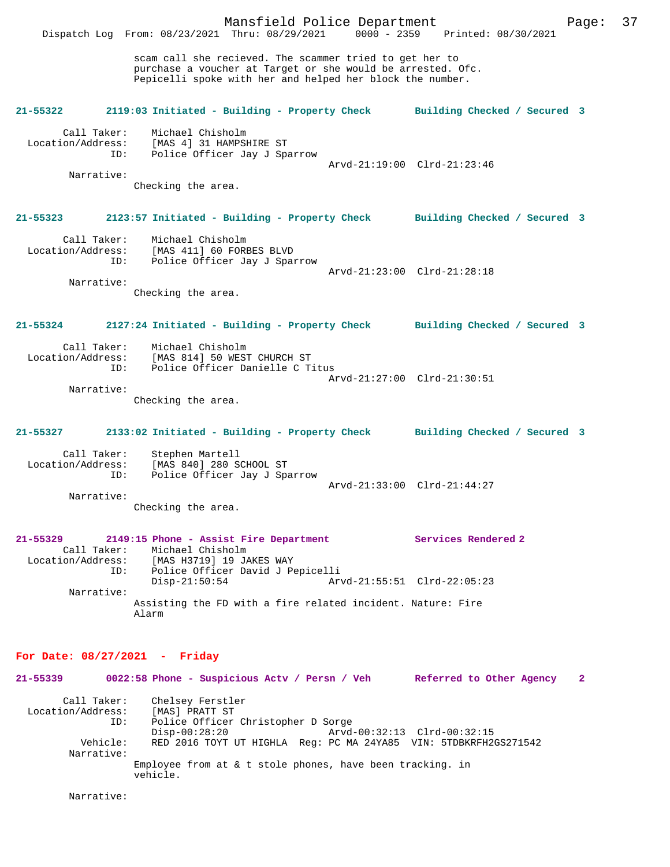Mansfield Police Department Page: 37 Dispatch Log From: 08/23/2021 Thru: 08/29/2021 scam call she recieved. The scammer tried to get her to purchase a voucher at Target or she would be arrested. Ofc. Pepicelli spoke with her and helped her block the number. **21-55322 2119:03 Initiated - Building - Property Check Building Checked / Secured 3** Call Taker: Michael Chisholm<br>Location/Address: [MAS 4] 31 HAMPSI [MAS 4] 31 HAMPSHIRE ST ID: Police Officer Jay J Sparrow Arvd-21:19:00 Clrd-21:23:46 Narrative: Checking the area. **21-55323 2123:57 Initiated - Building - Property Check Building Checked / Secured 3** Call Taker: Michael Chisholm Location/Address: [MAS 411] 60 FORBES BLVD ID: Police Officer Jay J Sparrow Arvd-21:23:00 Clrd-21:28:18 Narrative: Checking the area. **21-55324 2127:24 Initiated - Building - Property Check Building Checked / Secured 3** Call Taker: Michael Chisholm Location/Address: [MAS 814] 50 WEST CHURCH ST<br>ID: Police Officer Danielle C T Police Officer Danielle C Titus Arvd-21:27:00 Clrd-21:30:51 Narrative: Checking the area. **21-55327 2133:02 Initiated - Building - Property Check Building Checked / Secured 3** Call Taker: Stephen Martell<br>Location/Address: [MAS 840] 280 S ess: [MAS 840] 280 SCHOOL ST<br>ID: Police Officer Jay J Spa Police Officer Jay J Sparrow Arvd-21:33:00 Clrd-21:44:27 Narrative: Checking the area. **21-55329 2149:15 Phone - Assist Fire Department Services Rendered 2**  Call Taker: Michael Chisholm<br>Location/Address: [MAS H3719] 19 JA [MAS H3719] 19 JAKES WAY ID: Police Officer David J Pepicelli Disp-21:50:54 Arvd-21:55:51 Clrd-22:05:23 Narrative: Assisting the FD with a fire related incident. Nature: Fire Alarm **For Date: 08/27/2021 - Friday 21-55339 0022:58 Phone - Suspicious Actv / Persn / Veh Referred to Other Agency 2**

Call Taker: Chelsey Ferstler<br>.on/Address: [MAS] PRATT ST Location/Address:<br>TD: Police Officer Christopher D Sorge<br>Disp-00:28:20 Arvd Disp-00:28:20 Arvd-00:32:13 Clrd-00:32:15<br>Vehicle: RED 2016 TOYT UT HIGHLA Req: PC MA 24YA85 VIN: 5TDBKRFH2 RED 2016 TOYT UT HIGHLA Reg: PC MA 24YA85 VIN: 5TDBKRFH2GS271542 Narrative: Employee from at & t stole phones, have been tracking. in vehicle.

Narrative: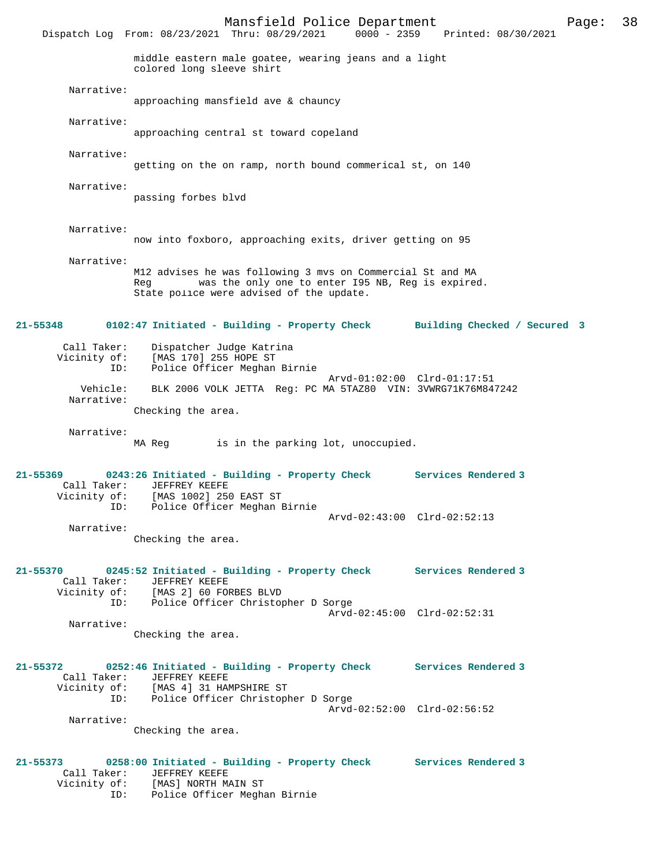Mansfield Police Department Page: 38 Dispatch Log From: 08/23/2021 Thru: 08/29/2021 0000 - 2359 middle eastern male goatee, wearing jeans and a light colored long sleeve shirt Narrative: approaching mansfield ave & chauncy Narrative: approaching central st toward copeland Narrative: getting on the on ramp, north bound commerical st, on 140 Narrative: passing forbes blvd Narrative: now into foxboro, approaching exits, driver getting on 95 Narrative: M12 advises he was following 3 mvs on Commercial St and MA Reg was the only one to enter I95 NB, Reg is expired. State police were advised of the update. **21-55348 0102:47 Initiated - Building - Property Check Building Checked / Secured 3** Call Taker: Dispatcher Judge Katrina Vicinity of: [MAS 170] 255 HOPE ST ID: Police Officer Meghan Birnie Arvd-01:02:00 Clrd-01:17:51 Vehicle: BLK 2006 VOLK JETTA Reg: PC MA 5TAZ80 VIN: 3VWRG71K76M847242 Narrative: Checking the area. Narrative: MA Reg is in the parking lot, unoccupied. **21-55369 0243:26 Initiated - Building - Property Check Services Rendered 3**  Call Taker: JEFFREY KEEFE Vicinity of: [MAS 1002] 250 EAST ST ID: Police Officer Meghan Birnie Arvd-02:43:00 Clrd-02:52:13 Narrative: Checking the area. **21-55370 0245:52 Initiated - Building - Property Check Services Rendered 3**  Call Taker: JEFFREY KEEFE<br>Vicinity of: [MAS 2] 60 FOI of: [MAS 2] 60 FORBES BLVD<br>TD: Police Officer Christop Police Officer Christopher D Sorge Arvd-02:45:00 Clrd-02:52:31 Narrative: Checking the area. **21-55372 0252:46 Initiated - Building - Property Check Services Rendered 3**  Call Taker: JEFFREY KEEFE<br>Vicinity of: [MAS 4] 31 HAN Vicinity of: [MAS 4] 31 HAMPSHIRE ST ID: Police Officer Christopher D Sorge Arvd-02:52:00 Clrd-02:56:52 Narrative: Checking the area. **21-55373 0258:00 Initiated - Building - Property Check Services Rendered 3**  Call Taker: JEFFREY KEEFE

- Vicinity of: [MAS] NORTH MAIN ST
	- ID: Police Officer Meghan Birnie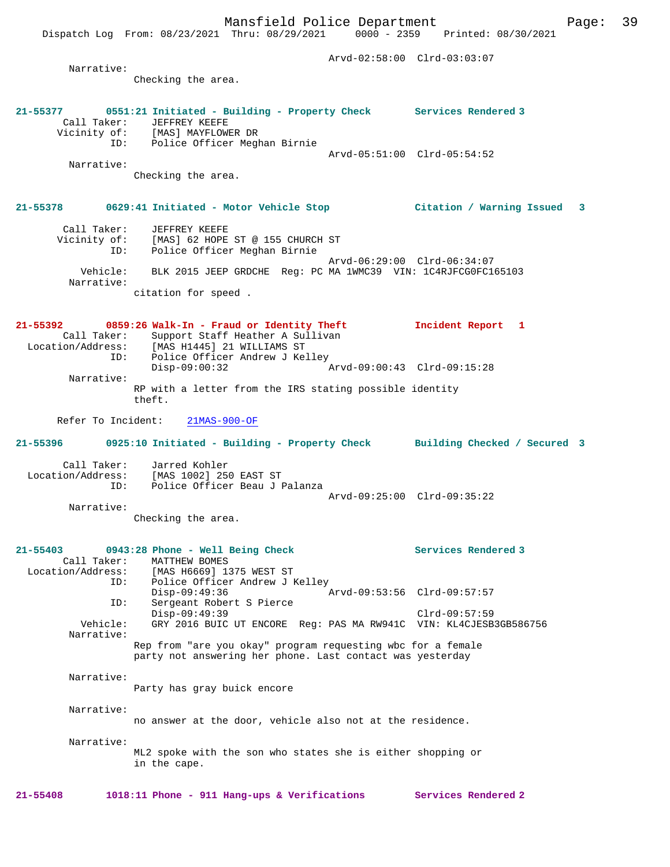Narrative: Checking the area. **21-55377 0551:21 Initiated - Building - Property Check Services Rendered 3**  Call Taker: JEFFREY KEEFE Vicinity of: [MAS] MAYFLOWER DR of: [MAS] MAYFLOWER DR<br>ID: Police Officer Meghan Birnie Arvd-05:51:00 Clrd-05:54:52

Narrative:

Checking the area.

#### **21-55378 0629:41 Initiated - Motor Vehicle Stop Citation / Warning Issued 3**

 Call Taker: JEFFREY KEEFE Vicinity of: [MAS] 62 HOPE ST @ 155 CHURCH ST ID: Police Officer Meghan Birnie Arvd-06:29:00 Clrd-06:34:07 Vehicle: BLK 2015 JEEP GRDCHE Reg: PC MA 1WMC39 VIN: 1C4RJFCG0FC165103 Narrative: citation for speed .

**21-55392 0859:26 Walk-In - Fraud or Identity Theft Incident Report 1**  Call Taker: Support Staff Heather A Sullivan<br>Location/Address: [MAS H1445] 21 WILLIAMS ST Location/Address: [MAS H1445] 21 WILLIAMS ST ID: Police Officer Andrew J Kelley Disp-09:00:32 Arvd-09:00:43 Clrd-09:15:28 Narrative: RP with a letter from the IRS stating possible identity theft.

Refer To Incident: 21MAS-900-OF

**21-55396 0925:10 Initiated - Building - Property Check Building Checked / Secured 3**

 Call Taker: Jarred Kohler Location/Address: [MAS 1002] 250 EAST ST ID: Police Officer Beau J Palanza Arvd-09:25:00 Clrd-09:35:22

Checking the area.

Narrative:

## **21-55403 0943:28 Phone - Well Being Check Services Rendered 3**  Call Taker: MATTHEW BOMES Location/Address: [MAS H6669] 1375 WEST ST ID: Police Officer Andrew J Kelley Disp-09:49:36 Arvd-09:53:56 Clrd-09:57:57 ID: Sergeant Robert S Pierce Disp-09:49:39 Clrd-09:57:59 Vehicle: GRY 2016 BUIC UT ENCORE Reg: PAS MA RW941C VIN: KL4CJESB3GB586756 Narrative: Rep from "are you okay" program requesting wbc for a female party not answering her phone. Last contact was yesterday Narrative: Party has gray buick encore Narrative: no answer at the door, vehicle also not at the residence. Narrative: ML2 spoke with the son who states she is either shopping or in the cape.

**21-55408 1018:11 Phone - 911 Hang-ups & Verifications Services Rendered 2**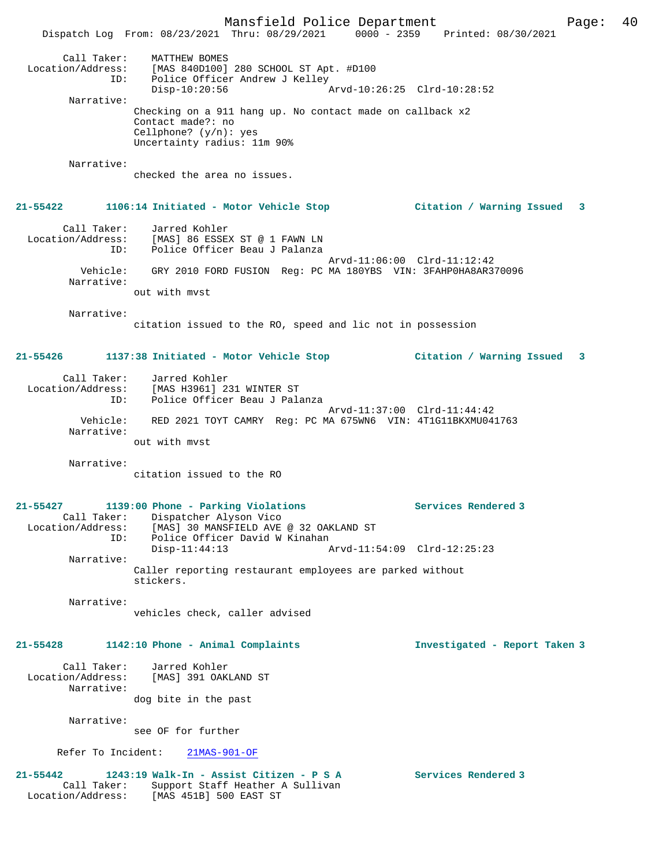Mansfield Police Department Page: 40 Dispatch Log From: 08/23/2021 Thru: 08/29/2021 0000 - 2359 Printed: 08/30/2021 Call Taker: MATTHEW BOMES Location/Address: [MAS 840D100] 280 SCHOOL ST Apt. #D100 ID: Police Officer Andrew J Kelley Disp-10:20:56 Arvd-10:26:25 Clrd-10:28:52 Narrative: Checking on a 911 hang up. No contact made on callback x2 Contact made?: no Cellphone? (y/n): yes Uncertainty radius: 11m 90% Narrative: checked the area no issues. **21-55422 1106:14 Initiated - Motor Vehicle Stop Citation / Warning Issued 3** Call Taker: Jarred Kohler Location/Address: [MAS] 86 ESSEX ST @ 1 FAWN LN ID: Police Officer Beau J Palanza Arvd-11:06:00 Clrd-11:12:42 Vehicle: GRY 2010 FORD FUSION Reg: PC MA 180YBS VIN: 3FAHP0HA8AR370096 Narrative: out with mvst Narrative: citation issued to the RO, speed and lic not in possession **21-55426 1137:38 Initiated - Motor Vehicle Stop Citation / Warning Issued 3** Call Taker: Jarred Kohler Location/Address: [MAS H3961] 231 WINTER ST ID: Police Officer Beau J Palanza Arvd-11:37:00 Clrd-11:44:42 Vehicle: RED 2021 TOYT CAMRY Reg: PC MA 675WN6 VIN: 4T1G11BKXMU041763 Narrative: out with mvst Narrative: citation issued to the RO **21-55427 1139:00 Phone - Parking Violations Services Rendered 3**  Call Taker: Dispatcher Alyson Vico Location/Address: [MAS] 30 MANSFIELD AVE @ 32 OAKLAND ST ID: Police Officer David W Kinahan<br>Disp-11:44:13 A Disp-11:44:13 Arvd-11:54:09 Clrd-12:25:23 Narrative: Caller reporting restaurant employees are parked without stickers. Narrative: vehicles check, caller advised **21-55428 1142:10 Phone - Animal Complaints Investigated - Report Taken 3** Call Taker: Jarred Kohler Location/Address: [MAS] 391 OAKLAND ST Narrative: dog bite in the past Narrative: see OF for further Refer To Incident: 21MAS-901-OF **21-55442 1243:19 Walk-In - Assist Citizen - P S A Services Rendered 3**  Call Taker: Support Staff Heather A Sullivan Location/Address: [MAS 451B] 500 EAST ST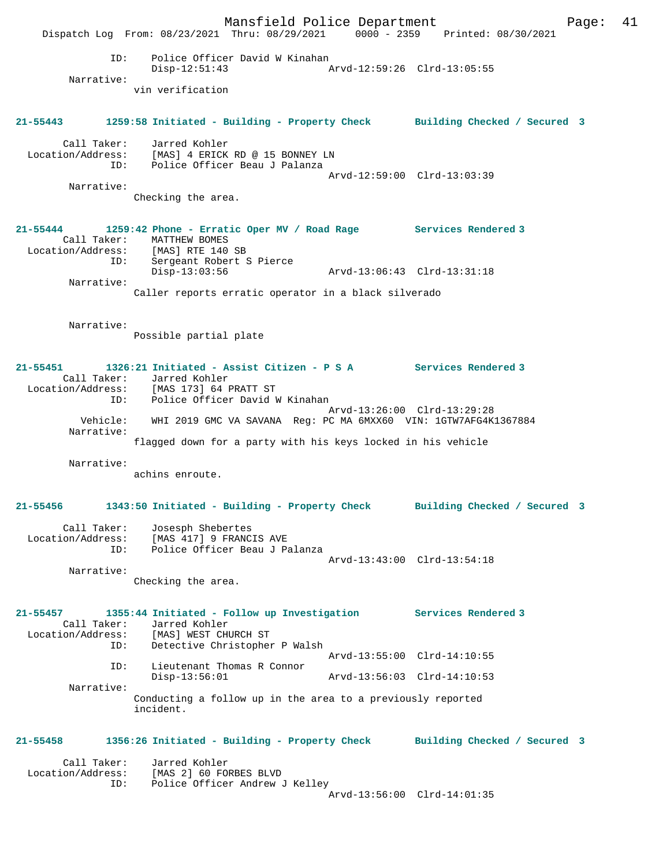Mansfield Police Department Fage: 41 Dispatch Log From: 08/23/2021 Thru: 08/29/2021 0000 - 2359 Printed: 08/30/2021 ID: Police Officer David W Kinahan Disp-12:51:43 Arvd-12:59:26 Clrd-13:05:55 Narrative: vin verification **21-55443 1259:58 Initiated - Building - Property Check Building Checked / Secured 3** Call Taker: Jarred Kohler Location/Address: [MAS] 4 ERICK RD @ 15 BONNEY LN ID: Police Officer Beau J Palanza Arvd-12:59:00 Clrd-13:03:39 Narrative: Checking the area. **21-55444 1259:42 Phone - Erratic Oper MV / Road Rage Services Rendered 3**  Call Taker: MATTHEW BOMES Location/Address: [MAS] RTE 140 SB ID: Sergeant Robert S Pierce Disp-13:03:56 Arvd-13:06:43 Clrd-13:31:18 Narrative: Caller reports erratic operator in a black silverado Narrative: Possible partial plate **21-55451 1326:21 Initiated - Assist Citizen - P S A Services Rendered 3**  Call Taker: Jarred Kohler Location/Address: [MAS 173] 64 PRATT ST ID: Police Officer David W Kinahan Arvd-13:26:00 Clrd-13:29:28 Vehicle: WHI 2019 GMC VA SAVANA Reg: PC MA 6MXX60 VIN: 1GTW7AFG4K1367884 Narrative: flagged down for a party with his keys locked in his vehicle Narrative: achins enroute. **21-55456 1343:50 Initiated - Building - Property Check Building Checked / Secured 3** Call Taker: Josesph Shebertes Location/Address: [MAS 417] 9 FRANCIS AVE ID: Police Officer Beau J Palanza Arvd-13:43:00 Clrd-13:54:18 Narrative: Checking the area. **21-55457 1355:44 Initiated - Follow up Investigation Services Rendered 3**  Call Taker: Jarred Kohler Location/Address: [MAS] WEST CHURCH ST ID: Detective Christopher P Walsh Arvd-13:55:00 Clrd-14:10:55 ID: Lieutenant Thomas R Connor Disp-13:56:01 Arvd-13:56:03 Clrd-14:10:53 Narrative: Conducting a follow up in the area to a previously reported incident. **21-55458 1356:26 Initiated - Building - Property Check Building Checked / Secured 3** Call Taker: Jarred Kohler<br>ion/Address: [MAS 2] 60 FORBES BLVD  $Location/Address:$  ID: Police Officer Andrew J Kelley Arvd-13:56:00 Clrd-14:01:35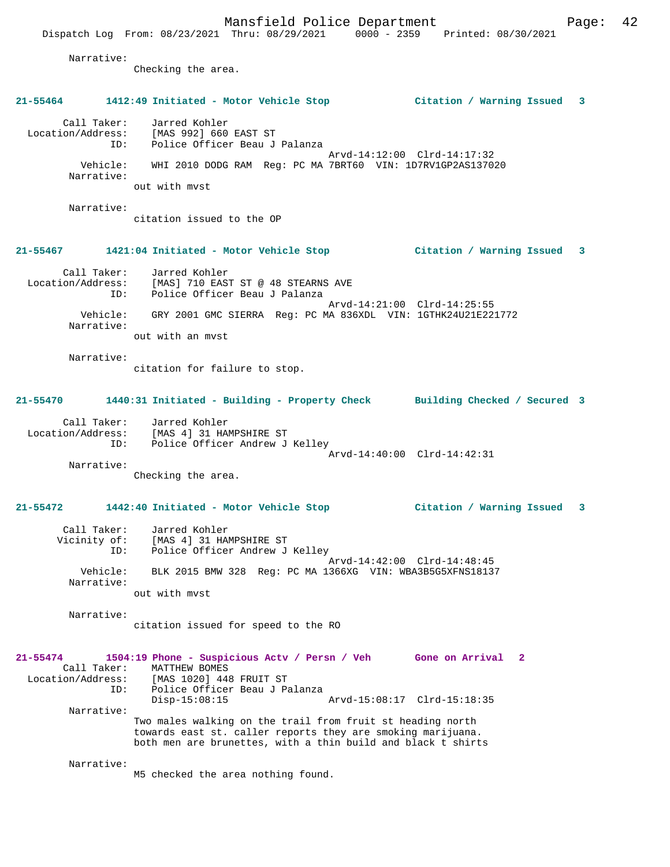Mansfield Police Department Page: 42 Dispatch Log From: 08/23/2021 Thru: 08/29/2021 0000 - 2359 Printed: 08/30/2021 Narrative: Checking the area. **21-55464 1412:49 Initiated - Motor Vehicle Stop Citation / Warning Issued 3** Call Taker: Jarred Kohler Location/Address: [MAS 992] 660 EAST ST ID: Police Officer Beau J Palanza Arvd-14:12:00 Clrd-14:17:32 Vehicle: WHI 2010 DODG RAM Reg: PC MA 7BRT60 VIN: 1D7RV1GP2AS137020 Narrative: out with mvst Narrative: citation issued to the OP **21-55467 1421:04 Initiated - Motor Vehicle Stop Citation / Warning Issued 3** Call Taker: Jarred Kohler<br>Location/Address: [MAS] 710 EAST Location/Address: [MAS] 710 EAST ST @ 48 STEARNS AVE ID: Police Officer Beau J Palanza Arvd-14:21:00 Clrd-14:25:55 Vehicle: GRY 2001 GMC SIERRA Reg: PC MA 836XDL VIN: 1GTHK24U21E221772 Narrative: out with an mvst Narrative: citation for failure to stop. **21-55470 1440:31 Initiated - Building - Property Check Building Checked / Secured 3** Call Taker: Jarred Kohler Location/Address: [MAS 4] 31 HAMPSHIRE ST ID: Police Officer Andrew J Kelley Arvd-14:40:00 Clrd-14:42:31 Narrative: Checking the area. **21-55472 1442:40 Initiated - Motor Vehicle Stop Citation / Warning Issued 3** Call Taker: Jarred Kohler Vicinity of: [MAS 4] 31 HAMPSHIRE ST ID: Police Officer Andrew J Kelley Arvd-14:42:00 Clrd-14:48:45 Vehicle: BLK 2015 BMW 328 Reg: PC MA 1366XG VIN: WBA3B5G5XFNS18137 Narrative: out with mvst Narrative: citation issued for speed to the RO **21-55474 1504:19 Phone - Suspicious Actv / Persn / Veh Gone on Arrival 2**  Call Taker: MATTHEW BOMES<br>Location/Address: [MAS 1020] 448 [MAS 1020] 448 FRUIT ST ID: Police Officer Beau J Palanza Disp-15:08:15 Arvd-15:08:17 Clrd-15:18:35 Narrative: Two males walking on the trail from fruit st heading north towards east st. caller reports they are smoking marijuana. both men are brunettes, with a thin build and black t shirts Narrative: M5 checked the area nothing found.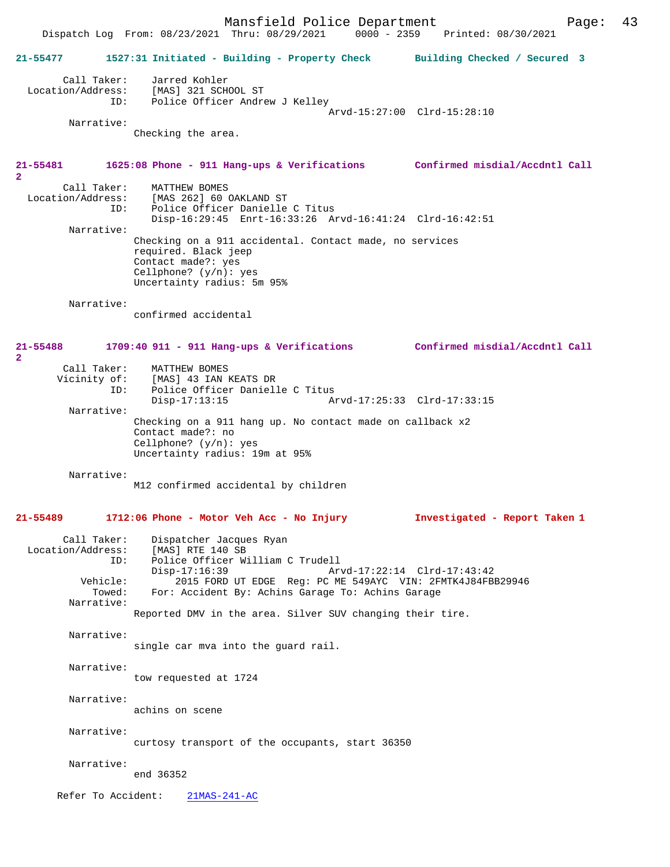Mansfield Police Department Page: 43 Dispatch Log From: 08/23/2021 Thru: 08/29/2021 **21-55477 1527:31 Initiated - Building - Property Check Building Checked / Secured 3** Call Taker: Jarred Kohler<br>Location/Address: [MAS] 321 SCH [MAS] 321 SCHOOL ST ID: Police Officer Andrew J Kelley Arvd-15:27:00 Clrd-15:28:10 Narrative: Checking the area. **21-55481 1625:08 Phone - 911 Hang-ups & Verifications Confirmed misdial/Accdntl Call 2**  Call Taker: MATTHEW BOMES<br>Location/Address: [MAS 262] 60 0 ess: [MAS 262] 60 OAKLAND ST<br>ID: Police Officer Danielle Police Officer Danielle C Titus Disp-16:29:45 Enrt-16:33:26 Arvd-16:41:24 Clrd-16:42:51 Narrative: Checking on a 911 accidental. Contact made, no services required. Black jeep Contact made?: yes Cellphone? (y/n): yes Uncertainty radius: 5m 95% Narrative: confirmed accidental **21-55488 1709:40 911 - 911 Hang-ups & Verifications Confirmed misdial/Accdntl Call 2**  Call Taker: MATTHEW BOMES<br>Vicinity of: [MAS] 43 IAN 1 of: [MAS] 43 IAN KEATS DR<br>ID: Police Officer Daniell Police Officer Danielle C Titus Disp-17:13:15 Arvd-17:25:33 Clrd-17:33:15 Narrative: Checking on a 911 hang up. No contact made on callback x2 Contact made?: no Cellphone? (y/n): yes Uncertainty radius: 19m at 95% Narrative: M12 confirmed accidental by children **21-55489 1712:06 Phone - Motor Veh Acc - No Injury Investigated - Report Taken 1** Call Taker: Dispatcher Jacques Ryan<br>Location/Address: [MAS] RTE 140 SB ess: [MAS] RTE 140 SB<br>ID: Police Officer Wi Police Officer William C Trudell Disp-17:16:39 Arvd-17:22:14 Clrd-17:43:42<br>Vehicle: 2015 FORD UT EDGE Req: PC ME 549AYC VIN: 2FMTK4J84FB  $12015$  FORD UT EDGE Reg: PC ME 549AYC VIN: 2FMTK4J84FBB29946 Towed: For: Accident By: Achins Garage To: Achins Garage Narrative: Reported DMV in the area. Silver SUV changing their tire. Narrative: single car mva into the guard rail. Narrative: tow requested at 1724 Narrative: achins on scene Narrative: curtosy transport of the occupants, start 36350 Narrative: end 36352 Refer To Accident: 21MAS-241-AC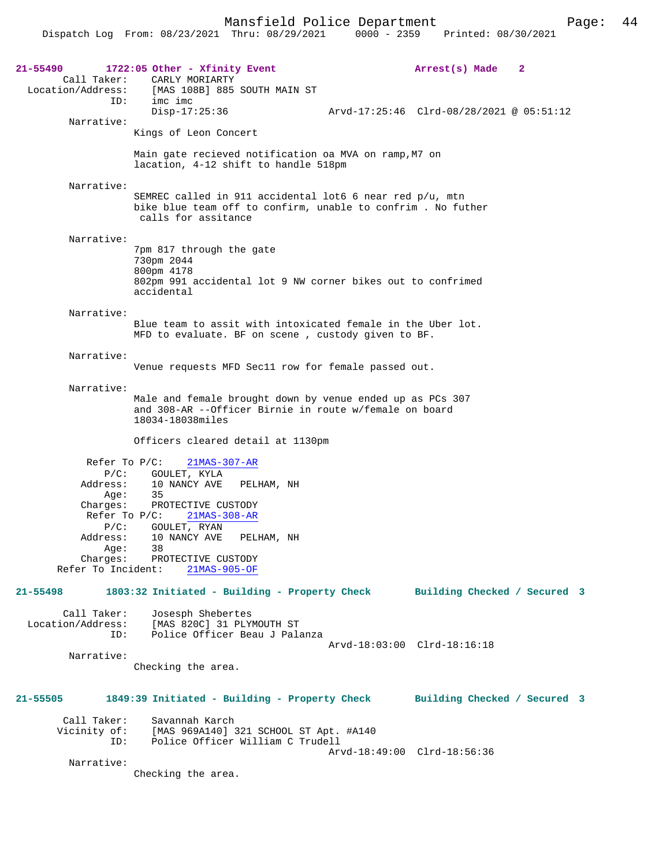| 21-55490<br>Call Taker:                                                                                                      | 1722:05 Other - Xfinity Event<br>CARLY MORIARTY                                                                                                                                                                          | Arrest(s) Made<br>2                      |
|------------------------------------------------------------------------------------------------------------------------------|--------------------------------------------------------------------------------------------------------------------------------------------------------------------------------------------------------------------------|------------------------------------------|
| Location/Address:<br>ID:                                                                                                     | [MAS 108B] 885 SOUTH MAIN ST<br>imc imc<br>$Disp-17:25:36$                                                                                                                                                               | Arvd-17:25:46 Clrd-08/28/2021 @ 05:51:12 |
| Narrative:                                                                                                                   | Kings of Leon Concert                                                                                                                                                                                                    |                                          |
|                                                                                                                              | Main gate recieved notification oa MVA on ramp, M7 on<br>lacation, 4-12 shift to handle 518pm                                                                                                                            |                                          |
| Narrative:                                                                                                                   | SEMREC called in 911 accidental lot6 6 near red p/u, mtn<br>bike blue team off to confirm, unable to confrim. No futher<br>calls for assitance                                                                           |                                          |
| Narrative:                                                                                                                   | 7pm 817 through the gate<br>730pm 2044<br>800pm 4178<br>802pm 991 accidental lot 9 NW corner bikes out to confrimed                                                                                                      |                                          |
|                                                                                                                              | accidental                                                                                                                                                                                                               |                                          |
| Narrative:                                                                                                                   | Blue team to assit with intoxicated female in the Uber lot.<br>MFD to evaluate. BF on scene, custody given to BF.                                                                                                        |                                          |
| Narrative:                                                                                                                   | Venue requests MFD Secll row for female passed out.                                                                                                                                                                      |                                          |
| Narrative:                                                                                                                   | Male and female brought down by venue ended up as PCs 307<br>and 308-AR --Officer Birnie in route w/female on board<br>18034-18038miles                                                                                  |                                          |
|                                                                                                                              | Officers cleared detail at 1130pm                                                                                                                                                                                        |                                          |
| Refer To $P/C$ :<br>$P/C$ :<br>Address:<br>Aqe:<br>Charges:<br>$P/C$ :<br>Address:<br>Age:<br>Charges:<br>Refer To Incident: | $21MAS-307-AR$<br>GOULET, KYLA<br>10 NANCY AVE<br>PELHAM, NH<br>35<br>PROTECTIVE CUSTODY<br>Refer To $P/C$ :<br>$21MAS-308-AR$<br>GOULET, RYAN<br>10 NANCY AVE<br>PELHAM, NH<br>38<br>PROTECTIVE CUSTODY<br>21MAS-905-OF |                                          |
| 21-55498                                                                                                                     | 1803:32 Initiated - Building - Property Check                                                                                                                                                                            | Building Checked / Secured 3             |
| Call Taker:<br>Location/Address:<br>ID:                                                                                      | Josesph Shebertes<br>[MAS 820C] 31 PLYMOUTH ST<br>Police Officer Beau J Palanza                                                                                                                                          | Arvd-18:03:00 Clrd-18:16:18              |
| Narrative:                                                                                                                   | Checking the area.                                                                                                                                                                                                       |                                          |
| 21-55505                                                                                                                     | 1849:39 Initiated - Building - Property Check                                                                                                                                                                            | Building Checked / Secured 3             |
| Call Taker:<br>Vicinity of:<br>ID:                                                                                           | Savannah Karch<br>[MAS 969A140] 321 SCHOOL ST Apt. #A140<br>Police Officer William C Trudell                                                                                                                             |                                          |
| Narrative:                                                                                                                   | Checking the area.                                                                                                                                                                                                       | Arvd-18:49:00 Clrd-18:56:36              |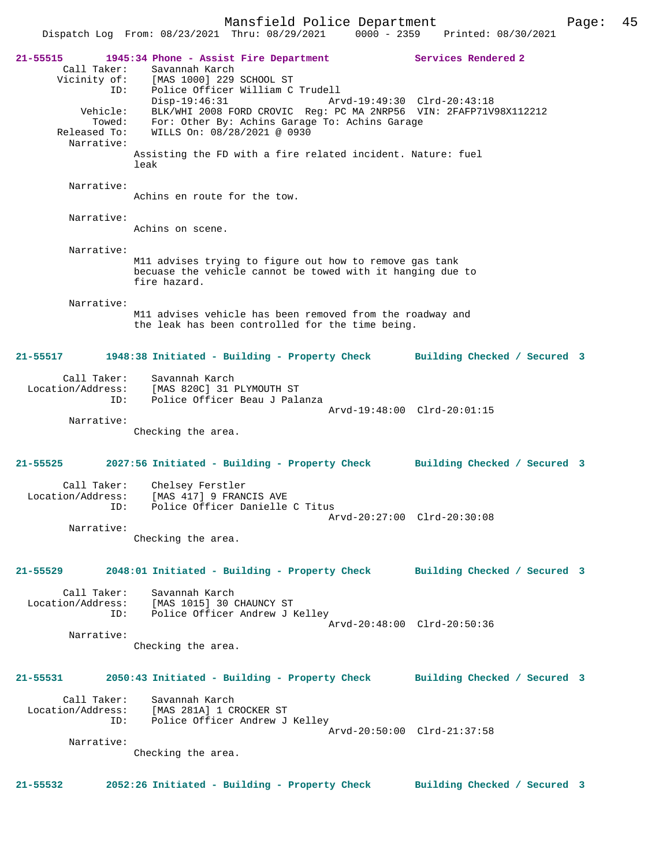Mansfield Police Department Page: 45 Dispatch Log From: 08/23/2021 Thru: 08/29/2021 0000 - 2359 **21-55515 1945:34 Phone - Assist Fire Department Services Rendered 2**  Call Taker: Savannah Karch Vicinity of: [MAS 1000] 229 SCHOOL ST ID: Police Officer William C Trudell Disp-19:46:31 Arvd-19:49:30 Clrd-20:43:18 Vehicle: BLK/WHI 2008 FORD CROVIC Reg: PC MA 2NRP56 VIN: 2FAFP71V98X112212 Towed: For: Other By: Achins Garage To: Achins Garage Released To: WILLS On: 08/28/2021 @ 0930 Narrative: Assisting the FD with a fire related incident. Nature: fuel leak Narrative: Achins en route for the tow. Narrative: Achins on scene. Narrative: M11 advises trying to figure out how to remove gas tank becuase the vehicle cannot be towed with it hanging due to fire hazard. Narrative: M11 advises vehicle has been removed from the roadway and the leak has been controlled for the time being. **21-55517 1948:38 Initiated - Building - Property Check Building Checked / Secured 3** Call Taker: Savannah Karch Location/Address: [MAS 820C] 31 PLYMOUTH ST Police Officer Beau J Palanza Arvd-19:48:00 Clrd-20:01:15 Narrative: Checking the area. **21-55525 2027:56 Initiated - Building - Property Check Building Checked / Secured 3** Call Taker: Chelsey Ferstler Location/Address: [MAS 417] 9 FRANCIS AVE ID: Police Officer Danielle C Titus Arvd-20:27:00 Clrd-20:30:08 Narrative: Checking the area. **21-55529 2048:01 Initiated - Building - Property Check Building Checked / Secured 3** Call Taker: Savannah Karch Location/Address: [MAS 1015] 30 CHAUNCY ST ID: Police Officer Andrew J Kelley Arvd-20:48:00 Clrd-20:50:36 Narrative: Checking the area. **21-55531 2050:43 Initiated - Building - Property Check Building Checked / Secured 3** Call Taker: Savannah Karch Location/Address: [MAS 281A] 1 CROCKER ST ID: Police Officer Andrew J Kelley Arvd-20:50:00 Clrd-21:37:58 Narrative: Checking the area.

**21-55532 2052:26 Initiated - Building - Property Check Building Checked / Secured 3**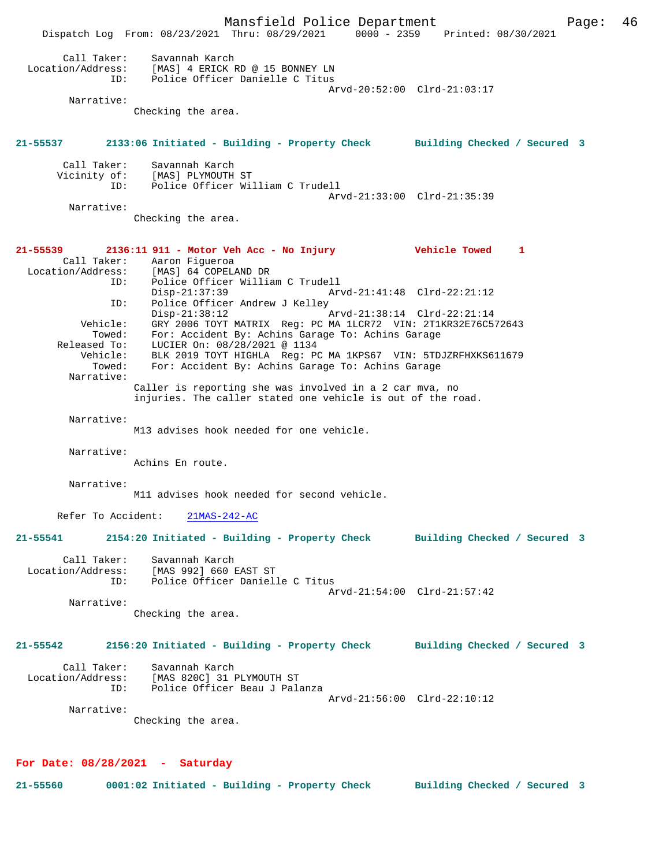Mansfield Police Department Page: 46 Dispatch Log From: 08/23/2021 Thru: 08/29/2021 0000 - 2359 Printed: 08/30/2021 Call Taker: Savannah Karch Location/Address: [MAS] 4 ERICK RD @ 15 BONNEY LN ID: Police Officer Danielle C Titus Arvd-20:52:00 Clrd-21:03:17 Narrative: Checking the area. **21-55537 2133:06 Initiated - Building - Property Check Building Checked / Secured 3** Call Taker: Savannah Karch Vicinity of: [MAS] PLYMOUTH ST<br>ID: Police Officer Wil Police Officer William C Trudell Arvd-21:33:00 Clrd-21:35:39 Narrative: Checking the area. **21-55539 2136:11 911 - Motor Veh Acc - No Injury Vehicle Towed 1**  Call Taker: Aaron Figueroa<br>Location/Address: [MAS] 64 COPELI Location/Address: [MAS] 64 COPELAND DR ID: Police Officer William C Trudell Disp-21:37:39 Arvd-21:41:48 Clrd-22:21:12 ID: Police Officer Andrew J Kelley<br>Disp-21:38:12 Disp-21:38:12 Arvd-21:38:14 Clrd-22:21:14 Vehicle: GRY 2006 TOYT MATRIX Reg: PC MA 1LCR72 VIN: 2T1KR32E76C572643 Towed: For: Accident By: Achins Garage To: Achins Garage Released To: LUCIER On: 08/28/2021 @ 1134 Vehicle: BLK 2019 TOYT HIGHLA Reg: PC MA 1KPS67 VIN: 5TDJZRFHXKS611679 Towed: For: Accident By: Achins Garage To: Achins Garage Narrative: Caller is reporting she was involved in a 2 car mva, no injuries. The caller stated one vehicle is out of the road. Narrative: M13 advises hook needed for one vehicle. Narrative: Achins En route. Narrative: M11 advises hook needed for second vehicle. Refer To Accident: 21MAS-242-AC **21-55541 2154:20 Initiated - Building - Property Check Building Checked / Secured 3** Call Taker: Savannah Karch Location/Address: [MAS 992] 660 EAST ST ID: Police Officer Danielle C Titus Arvd-21:54:00 Clrd-21:57:42 Narrative: Checking the area. **21-55542 2156:20 Initiated - Building - Property Check Building Checked / Secured 3** Call Taker: Savannah Karch Location/Address: [MAS 820C] 31 PLYMOUTH ST ID: Police Officer Beau J Palanza Arvd-21:56:00 Clrd-22:10:12 Narrative: Checking the area.

### **For Date: 08/28/2021 - Saturday**

**21-55560 0001:02 Initiated - Building - Property Check Building Checked / Secured 3**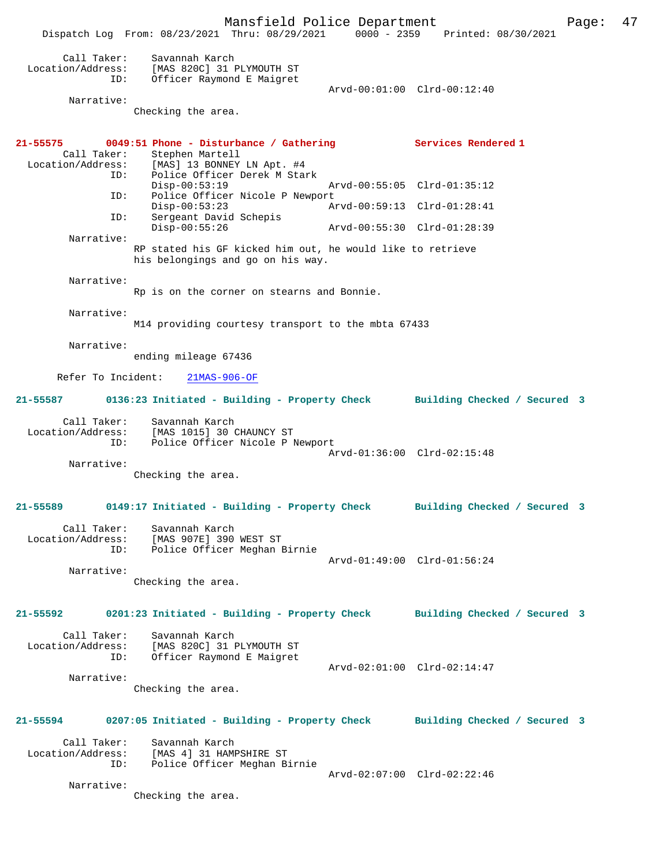Mansfield Police Department Fage: 47 Dispatch Log From: 08/23/2021 Thru: 08/29/2021 0000 - 2359 Printed: 08/30/2021 Call Taker: Savannah Karch<br>ion/Address: '''' Location/Address: [MAS 820C] 31 PLYMOUTH ST<br>ID: Officer Raymond E Maigret Officer Raymond E Maigret Arvd-00:01:00 Clrd-00:12:40 Narrative: Checking the area. **21-55575 0049:51 Phone - Disturbance / Gathering Services Rendered 1**  Call Taker: Stephen Martell<br>Location/Address: [MAS] 13 BONNEY ess: [MAS] 13 BONNEY LN Apt. #4<br>ID: Police Officer Derek M Sta: Police Officer Derek M Stark<br>Disp-00:53:19 Disp-00:53:19 Arvd-00:55:05 Clrd-01:35:12<br>ID: Police Officer Nicole P Newport Police Officer Nicole P Newport Disp-00:53:23 Arvd-00:59:13 Clrd-01:28:41 ID: Sergeant David Schepis<br>Disp-00:55:26 Disp-00:55:26 Arvd-00:55:30 Clrd-01:28:39 Narrative: RP stated his GF kicked him out, he would like to retrieve his belongings and go on his way. Narrative: Rp is on the corner on stearns and Bonnie. Narrative: M14 providing courtesy transport to the mbta 67433 Narrative: ending mileage 67436 Refer To Incident: 21MAS-906-OF **21-55587 0136:23 Initiated - Building - Property Check Building Checked / Secured 3** Call Taker: Savannah Karch Location/Address: [MAS 1015] 30 CHAUNCY ST ID: Police Officer Nicole P Newport Arvd-01:36:00 Clrd-02:15:48 Narrative: Checking the area. **21-55589 0149:17 Initiated - Building - Property Check Building Checked / Secured 3** Call Taker: Savannah Karch Location/Address: [MAS 907E] 390 WEST ST ID: Police Officer Meghan Birnie Arvd-01:49:00 Clrd-01:56:24 Narrative: Checking the area. **21-55592 0201:23 Initiated - Building - Property Check Building Checked / Secured 3** Call Taker: Savannah Karch Location/Address: [MAS 820C] 31 PLYMOUTH ST ID: Officer Raymond E Maigret Arvd-02:01:00 Clrd-02:14:47 Narrative: Checking the area. **21-55594 0207:05 Initiated - Building - Property Check Building Checked / Secured 3** Call Taker: Savannah Karch Location/Address: [MAS 4] 31 HAMPSHIRE ST Police Officer Meghan Birnie Arvd-02:07:00 Clrd-02:22:46 Narrative: Checking the area.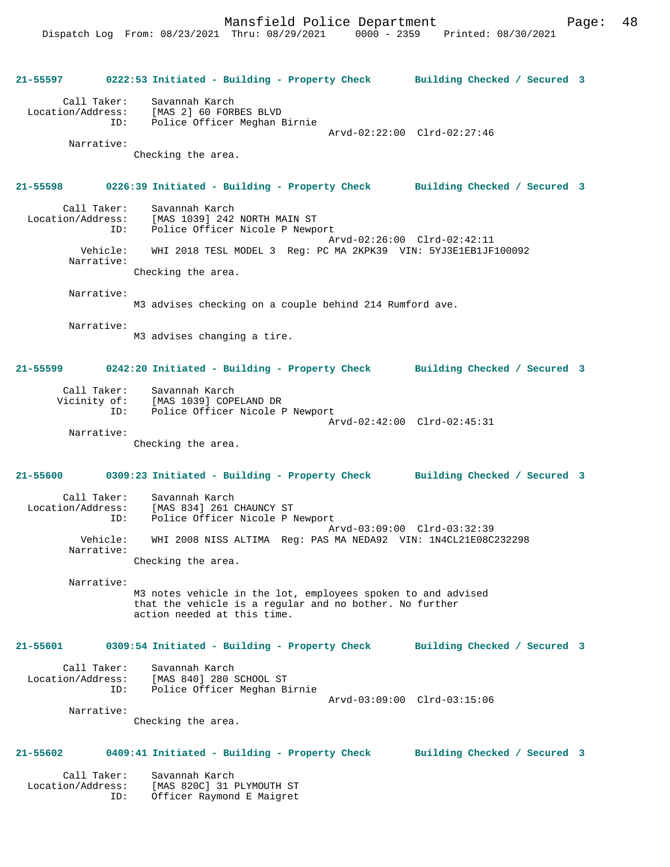Mansfield Police Department Page: 48

**21-55597 0222:53 Initiated - Building - Property Check Building Checked / Secured 3** Call Taker: Savannah Karch Location/Address: [MAS 2] 60 FORBES BLVD ID: Police Officer Meghan Birnie Arvd-02:22:00 Clrd-02:27:46 Narrative: Checking the area. **21-55598 0226:39 Initiated - Building - Property Check Building Checked / Secured 3** Call Taker: Savannah Karch<br>Location/Address: [MAS 1039] 242 ess: [MAS 1039] 242 NORTH MAIN ST<br>ID: Police Officer Nicole P Newma Police Officer Nicole P Newport Arvd-02:26:00 Clrd-02:42:11 Vehicle: WHI 2018 TESL MODEL 3 Reg: PC MA 2KPK39 VIN: 5YJ3E1EB1JF100092 Narrative: Checking the area. Narrative: M3 advises checking on a couple behind 214 Rumford ave. Narrative: M3 advises changing a tire. **21-55599 0242:20 Initiated - Building - Property Check Building Checked / Secured 3** Call Taker: Savannah Karch Vicinity of: [MAS 1039] COPELAND DR ID: Police Officer Nicole P Newport Arvd-02:42:00 Clrd-02:45:31 Narrative: Checking the area. **21-55600 0309:23 Initiated - Building - Property Check Building Checked / Secured 3** Call Taker: Savannah Karch Location/Address: [MAS 834] 261 CHAUNCY ST ID: Police Officer Nicole P Newport Arvd-03:09:00 Clrd-03:32:39 Vehicle: WHI 2008 NISS ALTIMA Reg: PAS MA NEDA92 VIN: 1N4CL21E08C232298 Narrative: Checking the area. Narrative: M3 notes vehicle in the lot, employees spoken to and advised that the vehicle is a regular and no bother. No further action needed at this time. **21-55601 0309:54 Initiated - Building - Property Check Building Checked / Secured 3** Call Taker: Savannah Karch Location/Address: [MAS 840] 280 SCHOOL ST ID: Police Officer Meghan Birnie Arvd-03:09:00 Clrd-03:15:06 Narrative: Checking the area. **21-55602 0409:41 Initiated - Building - Property Check Building Checked / Secured 3** Call Taker: Savannah Karch Location/Address: [MAS 820C] 31 PLYMOUTH ST ID: Officer Raymond E Maigret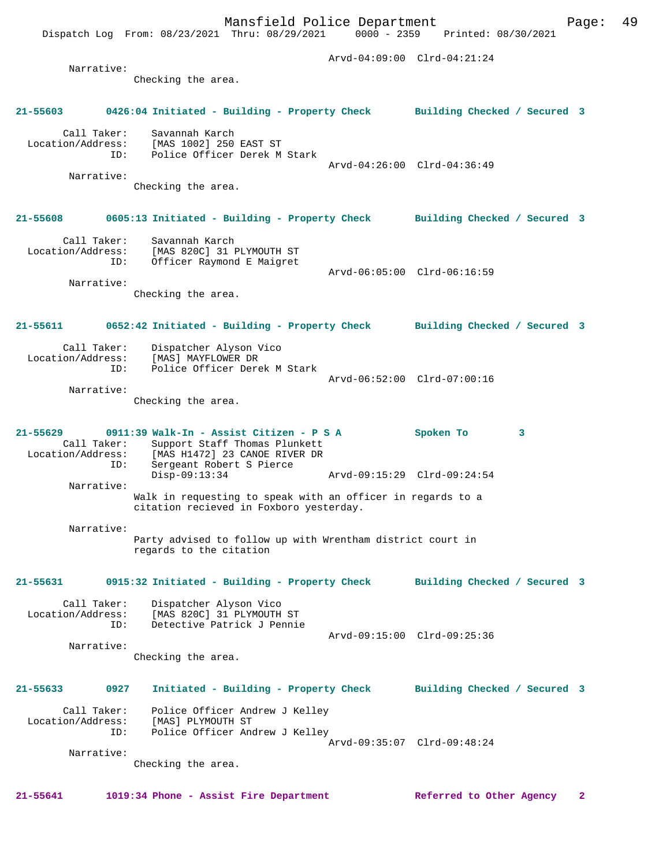Mansfield Police Department Page: 49 Dispatch Log From: 08/23/2021 Thru: 08/29/2021 Arvd-04:09:00 Clrd-04:21:24 Narrative: Checking the area. **21-55603 0426:04 Initiated - Building - Property Check Building Checked / Secured 3** Call Taker: Savannah Karch<br>ion/Address: [MAS 1002] 250 EAST ST Location/Address: [MAS 1002] 250 EAST ST ID: Police Officer Derek M Stark Arvd-04:26:00 Clrd-04:36:49 Narrative: Checking the area. **21-55608 0605:13 Initiated - Building - Property Check Building Checked / Secured 3** Call Taker: Savannah Karch Location/Address: [MAS 820C] 31 PLYMOUTH ST ID: Officer Raymond E Maigret Arvd-06:05:00 Clrd-06:16:59 Narrative: Checking the area. **21-55611 0652:42 Initiated - Building - Property Check Building Checked / Secured 3** Call Taker: Dispatcher Alyson Vico<br>Location/Address: [MAS] MAYFLOWER DR [MAS] MAYFLOWER DR ID: Police Officer Derek M Stark Arvd-06:52:00 Clrd-07:00:16 Narrative: Checking the area. **21-55629 0911:39 Walk-In - Assist Citizen - P S A Spoken To 3**  Call Taker: Support Staff Thomas Plunkett<br>Location/Address: [MAS H1472] 23 CANOE RIVER DR ess: [MAS H1472] 23 CANOE RIVER DR<br>ID: Sergeant Robert S Pierce Sergeant Robert S Pierce<br>Disp-09:13:34 Disp-09:13:34 Arvd-09:15:29 Clrd-09:24:54 Narrative: Walk in requesting to speak with an officer in regards to a citation recieved in Foxboro yesterday. Narrative: Party advised to follow up with Wrentham district court in regards to the citation **21-55631 0915:32 Initiated - Building - Property Check Building Checked / Secured 3** Call Taker: Dispatcher Alyson Vico<br>Location/Address: [MAS 820C] 31 PLYMOUTH ess: [MAS 820C] 31 PLYMOUTH ST<br>ID: Detective Patrick J Pennie Detective Patrick J Pennie Arvd-09:15:00 Clrd-09:25:36 Narrative: Checking the area. **21-55633 0927 Initiated - Building - Property Check Building Checked / Secured 3** Call Taker: Police Officer Andrew J Kelley Location/Address: [MAS] PLYMOUTH ST ID: Police Officer Andrew J Kelley Arvd-09:35:07 Clrd-09:48:24 Narrative: Checking the area.

**21-55641 1019:34 Phone - Assist Fire Department Referred to Other Agency 2**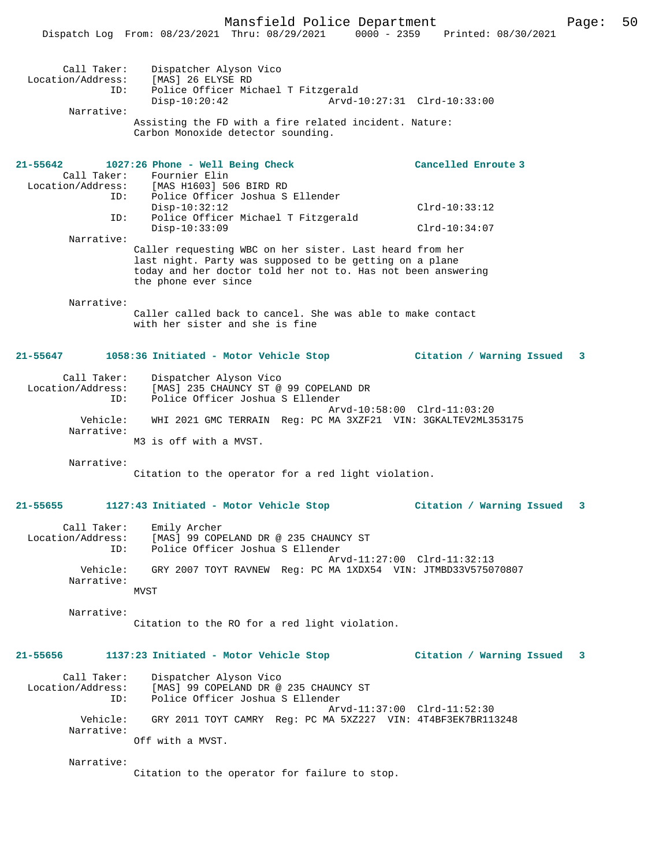|                                         | Dispatch Log From: 08/23/2021 Thru: 08/29/2021<br>$0000 - 2359$                                                                                                                                             | Printed: 08/30/2021                                  |   |
|-----------------------------------------|-------------------------------------------------------------------------------------------------------------------------------------------------------------------------------------------------------------|------------------------------------------------------|---|
| Call Taker:<br>Location/Address:<br>ID: | Dispatcher Alyson Vico<br>[MAS] 26 ELYSE RD<br>Police Officer Michael T Fitzgerald<br>$Disp-10:20:42$                                                                                                       | Arvd-10:27:31 Clrd-10:33:00                          |   |
| Narrative:                              |                                                                                                                                                                                                             |                                                      |   |
|                                         | Assisting the FD with a fire related incident. Nature:<br>Carbon Monoxide detector sounding.                                                                                                                |                                                      |   |
| 21-55642                                | 1027:26 Phone - Well Being Check                                                                                                                                                                            | Cancelled Enroute 3                                  |   |
| Call Taker:                             | Fournier Elin                                                                                                                                                                                               |                                                      |   |
| Location/Address:<br>ID:                | [MAS H1603] 506 BIRD RD<br>Police Officer Joshua S Ellender                                                                                                                                                 |                                                      |   |
|                                         | $Disp-10:32:12$                                                                                                                                                                                             | $Clrd-10:33:12$                                      |   |
| ID:                                     | Police Officer Michael T Fitzgerald                                                                                                                                                                         |                                                      |   |
|                                         | $Disp-10:33:09$                                                                                                                                                                                             | $Clrd-10:34:07$                                      |   |
| Narrative:                              | Caller requesting WBC on her sister. Last heard from her<br>last night. Party was supposed to be getting on a plane<br>today and her doctor told her not to. Has not been answering<br>the phone ever since |                                                      |   |
| Narrative:                              |                                                                                                                                                                                                             |                                                      |   |
|                                         | Caller called back to cancel. She was able to make contact<br>with her sister and she is fine                                                                                                               |                                                      |   |
| 21-55647                                | 1058:36 Initiated - Motor Vehicle Stop                                                                                                                                                                      | Citation / Warning Issued                            | 3 |
| Call Taker:<br>Location/Address:<br>ID: | Dispatcher Alyson Vico<br>[MAS] 235 CHAUNCY ST @ 99 COPELAND DR<br>Police Officer Joshua S Ellender                                                                                                         |                                                      |   |
| Vehicle:<br>Narrative:                  | WHI 2021 GMC TERRAIN Reg: PC MA 3XZF21 VIN: 3GKALTEV2ML353175                                                                                                                                               | Arvd-10:58:00 Clrd-11:03:20                          |   |
|                                         | M3 is off with a MVST.                                                                                                                                                                                      |                                                      |   |
| Narrative:                              | Citation to the operator for a red light violation.                                                                                                                                                         |                                                      |   |
|                                         |                                                                                                                                                                                                             |                                                      |   |
| 21-55655                                | 1127:43 Initiated - Motor Vehicle Stop                                                                                                                                                                      | Citation / Warning Issued                            | 3 |
| Call Taker:<br>Location/Address:<br>ID: | Emily Archer<br>[MAS] 99 COPELAND DR @ 235 CHAUNCY ST<br>Police Officer Joshua S Ellender                                                                                                                   |                                                      |   |
| Vehicle:                                | GRY 2007 TOYT RAVNEW Reg: PC MA 1XDX54 VIN: JTMBD33V575070807                                                                                                                                               | Arvd-11:27:00 Clrd-11:32:13                          |   |
| Narrative:                              | MVST                                                                                                                                                                                                        |                                                      |   |
| Narrative:                              |                                                                                                                                                                                                             |                                                      |   |
|                                         | Citation to the RO for a red light violation.                                                                                                                                                               |                                                      |   |
| 21-55656                                | 1137:23 Initiated - Motor Vehicle Stop                                                                                                                                                                      | Citation / Warning Issued<br>$\overline{\mathbf{3}}$ |   |
| Call Taker:<br>Location/Address:<br>ID: | Dispatcher Alyson Vico<br>[MAS] 99 COPELAND DR @ 235 CHAUNCY ST<br>Police Officer Joshua S Ellender                                                                                                         |                                                      |   |
| Vehicle:<br>Narrative:                  | GRY 2011 TOYT CAMRY Reg: PC MA 5XZ227 VIN: 4T4BF3EK7BR113248<br>Off with a MVST.                                                                                                                            | Arvd-11:37:00 Clrd-11:52:30                          |   |
| Narrative:                              |                                                                                                                                                                                                             |                                                      |   |

Citation to the operator for failure to stop.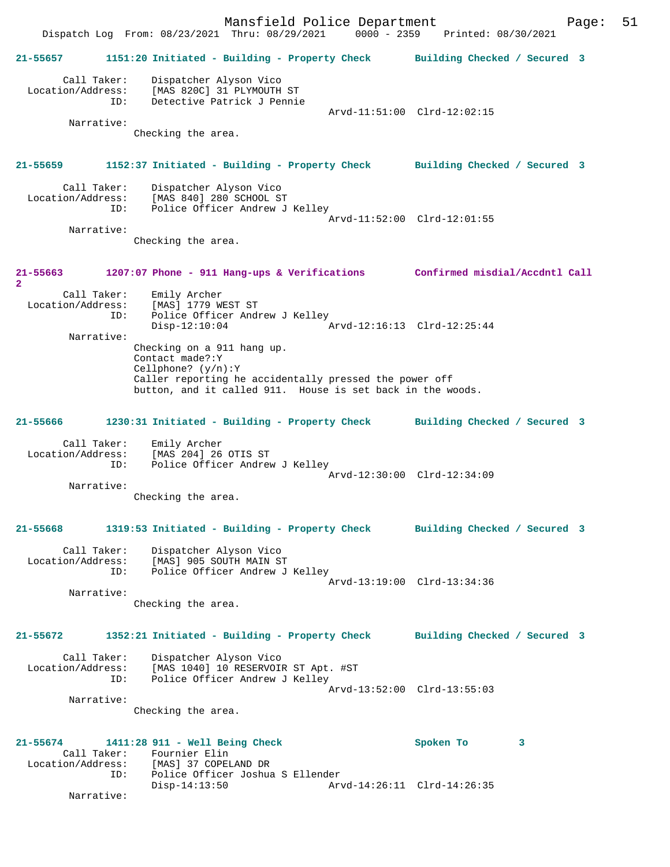Mansfield Police Department Fage: 51 Dispatch Log From: 08/23/2021 Thru: 08/29/2021 0000 - 2359 Printed: 08/30/2021 **21-55657 1151:20 Initiated - Building - Property Check Building Checked / Secured 3** Call Taker: Dispatcher Alyson Vico Location/Address: [MAS 820C] 31 PLYMOUTH ST ID: Detective Patrick J Pennie Arvd-11:51:00 Clrd-12:02:15 Narrative: Checking the area. **21-55659 1152:37 Initiated - Building - Property Check Building Checked / Secured 3** Call Taker: Dispatcher Alyson Vico<br>Location/Address: [MAS 840] 280 SCHOOL S ess: [MAS 840] 280 SCHOOL ST<br>ID: Police Officer Andrew J Police Officer Andrew J Kelley Arvd-11:52:00 Clrd-12:01:55 Narrative: Checking the area. **21-55663 1207:07 Phone - 911 Hang-ups & Verifications Confirmed misdial/Accdntl Call 2**  Call Taker: Emily Archer Location/Address: [MAS] 1779 WEST ST<br>TD: Police Officer Andr Police Officer Andrew J Kelley<br>Disp-12:10:04 Arvd-12:16:13 Clrd-12:25:44 Narrative: Checking on a 911 hang up. Contact made?:Y Cellphone? (y/n):Y Caller reporting he accidentally pressed the power off button, and it called 911. House is set back in the woods. **21-55666 1230:31 Initiated - Building - Property Check Building Checked / Secured 3** Call Taker: Emily Archer Location/Address: [MAS 204] 26 OTIS ST ID: Police Officer Andrew J Kelley Arvd-12:30:00 Clrd-12:34:09 Narrative: Checking the area. **21-55668 1319:53 Initiated - Building - Property Check Building Checked / Secured 3** Call Taker: Dispatcher Alyson Vico Location/Address: [MAS] 905 SOUTH MAIN ST<br>TD: Police Officer Andrew J Police Officer Andrew J Kelley Arvd-13:19:00 Clrd-13:34:36 Narrative: Checking the area. **21-55672 1352:21 Initiated - Building - Property Check Building Checked / Secured 3** Call Taker: Dispatcher Alyson Vico Location/Address: [MAS 1040] 10 RESERVOIR ST Apt. #ST ID: Police Officer Andrew J Kelley Arvd-13:52:00 Clrd-13:55:03 Narrative: Checking the area. **21-55674 1411:28 911 - Well Being Check Spoken To 3**  Call Taker: Fournier Elin<br>Location/Address: [MAS] 37 COPEI ess: [MAS] 37 COPELAND DR<br>ID: Police Officer Joshua Police Officer Joshua S Ellender Disp-14:13:50 Arvd-14:26:11 Clrd-14:26:35 Narrative: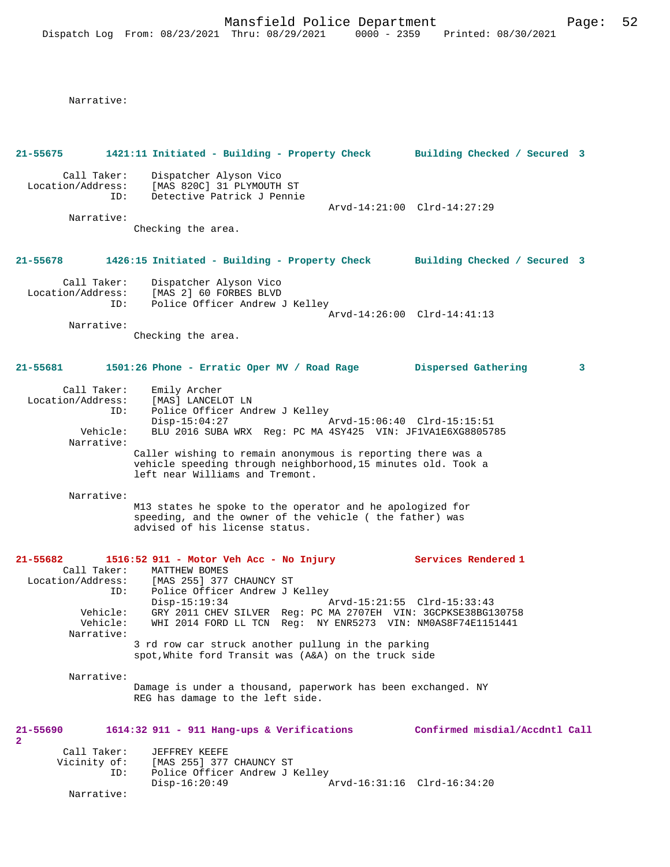Narrative:

| 21-55675                                       |                 | 1421:11 Initiated - Building - Property Check Building Checked / Secured 3                                                                                                                                                                                              |                                |
|------------------------------------------------|-----------------|-------------------------------------------------------------------------------------------------------------------------------------------------------------------------------------------------------------------------------------------------------------------------|--------------------------------|
| Call Taker:<br>Location/Address:<br>Narrative: | ID:             | Dispatcher Alyson Vico<br>[MAS 820C] 31 PLYMOUTH ST<br>Detective Patrick J Pennie<br>Checking the area.                                                                                                                                                                 | Arvd-14:21:00 Clrd-14:27:29    |
| 21-55678                                       |                 | 1426:15 Initiated - Building - Property Check                                                                                                                                                                                                                           | Building Checked / Secured 3   |
| Call Taker:<br>Location/Address:               | ID:             | Dispatcher Alyson Vico<br>[MAS 2] 60 FORBES BLVD<br>Police Officer Andrew J Kelley                                                                                                                                                                                      | Arvd-14:26:00 Clrd-14:41:13    |
| Narrative:                                     |                 | Checking the area.                                                                                                                                                                                                                                                      |                                |
|                                                |                 |                                                                                                                                                                                                                                                                         |                                |
| 21-55681                                       |                 | 1501:26 Phone - Erratic Oper MV / Road Rage Dispersed Gathering                                                                                                                                                                                                         | 3                              |
| Call Taker:<br>Location/Address:               | ID:             | Emily Archer<br>[MAS] LANCELOT LN<br>Police Officer Andrew J Kelley<br>$Disp-15:04:27$                                                                                                                                                                                  |                                |
| Narrative:                                     | Vehicle:        | BLU 2016 SUBA WRX Reg: PC MA 4SY425 VIN: JF1VA1E6XG8805785                                                                                                                                                                                                              |                                |
|                                                |                 | Caller wishing to remain anonymous is reporting there was a<br>vehicle speeding through neighborhood, 15 minutes old. Took a<br>left near Williams and Tremont.                                                                                                         |                                |
| Narrative:                                     |                 | M13 states he spoke to the operator and he apologized for<br>speeding, and the owner of the vehicle (the father) was<br>advised of his license status.                                                                                                                  |                                |
| 21-55682                                       | ID:<br>Vehicle: | 1516:52 911 - Motor Veh Acc - No Injury<br>Call Taker: MATTHEW BOMES<br>Location/Address: [MAS 255] 377 CHAUNCY ST<br>Police Officer Andrew J Kelley<br>$Disp-15:19:34$<br>Arvd-15:21:55 Clrd-15:33:43<br>GRY 2011 CHEV SILVER Req: PC MA 2707EH VIN: 3GCPKSE38BG130758 | Services Rendered 1            |
| Narrative:                                     | Vehicle:        | WHI 2014 FORD LL TCN Reg: NY ENR5273 VIN: NM0AS8F74E1151441<br>3 rd row car struck another pullung in the parking                                                                                                                                                       |                                |
|                                                |                 | spot, White ford Transit was (A&A) on the truck side                                                                                                                                                                                                                    |                                |
| Narrative:                                     |                 | Damage is under a thousand, paperwork has been exchanged. NY<br>REG has damage to the left side.                                                                                                                                                                        |                                |
| 21-55690<br>$\overline{2}$                     |                 | 1614:32 911 - 911 Hang-ups & Verifications                                                                                                                                                                                                                              | Confirmed misdial/Accdntl Call |
| Call Taker:                                    | ID:             | JEFFREY KEEFE<br>Vicinity of: [MAS 255] 377 CHAUNCY ST<br>Police Officer Andrew J Kelley<br>$Disp-16:20:49$                                                                                                                                                             | Arvd-16:31:16 Clrd-16:34:20    |
| Narrative:                                     |                 |                                                                                                                                                                                                                                                                         |                                |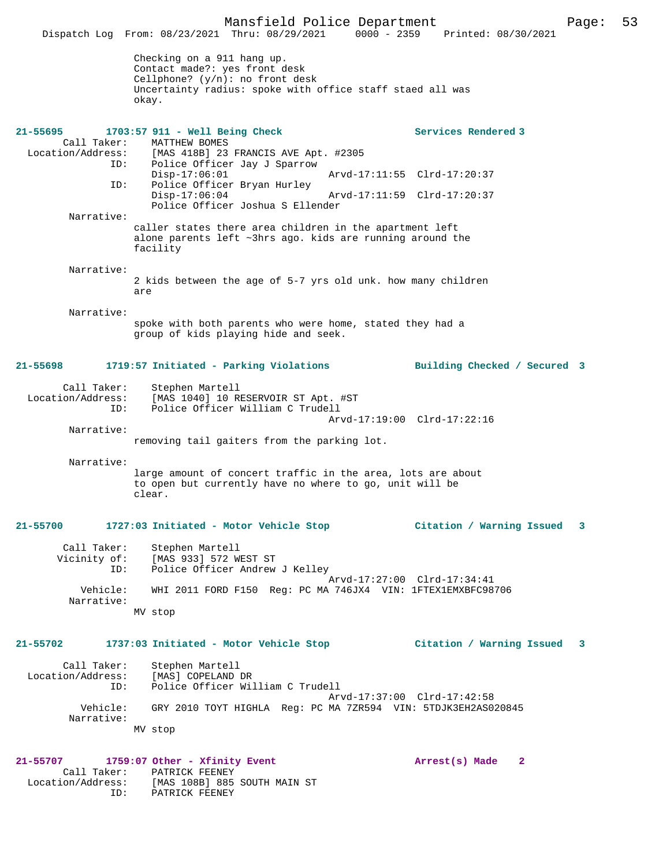Mansfield Police Department Page: 53 Dispatch Log From: 08/23/2021 Thru: 08/29/2021 Checking on a 911 hang up. Contact made?: yes front desk Cellphone? (y/n): no front desk Uncertainty radius: spoke with office staff staed all was okay. **21-55695 1703:57 911 - Well Being Check Services Rendered 3**  Call Taker: MATTHEW BOMES<br>Location/Address: [MAS 418B] 23 [MAS 418B] 23 FRANCIS AVE Apt. #2305 ID: Police Officer Jay J Sparrow Disp-17:06:01 Arvd-17:11:55 Clrd-17:20:37<br>TD: Police Officer Bryan Hurley Police Officer Bryan Hurley Disp-17:06:04 Arvd-17:11:59 Clrd-17:20:37 Police Officer Joshua S Ellender Narrative: caller states there area children in the apartment left alone parents left ~3hrs ago. kids are running around the facility Narrative: 2 kids between the age of 5-7 yrs old unk. how many children are Narrative: spoke with both parents who were home, stated they had a group of kids playing hide and seek. **21-55698 1719:57 Initiated - Parking Violations Building Checked / Secured 3** Call Taker: Stephen Martell<br>Location/Address: [MAS 1040] 10 R ess: [MAS 1040] 10 RESERVOIR ST Apt. #ST<br>ID: Police Officer William C Trudell Police Officer William C Trudell Arvd-17:19:00 Clrd-17:22:16 Narrative: removing tail gaiters from the parking lot. Narrative: large amount of concert traffic in the area, lots are about to open but currently have no where to go, unit will be clear. **21-55700 1727:03 Initiated - Motor Vehicle Stop Citation / Warning Issued 3** Call Taker: Stephen Martell<br>Vicinity of: [MAS 933] 572 W of: [MAS 933] 572 WEST ST<br>ID: Police Officer Andrew Police Officer Andrew J Kelley Arvd-17:27:00 Clrd-17:34:41<br>Vehicle: WHI 2011 FORD F150 Reg: PC MA 746JX4 VIN: 1FTEX1EMXBFC98 WHI 2011 FORD F150 Reg: PC MA 746JX4 VIN: 1FTEX1EMXBFC98706 Narrative: MV stop **21-55702 1737:03 Initiated - Motor Vehicle Stop Citation / Warning Issued 3** Call Taker: Stephen Martell Location/Address: [MAS] COPELAND DR ID: Police Officer William C Trudell Arvd-17:37:00 Clrd-17:42:58<br>Vehicle: GRY 2010 TOYT HIGHLA Reg: PC MA 7ZR594 VIN: 5TDJK3EH2AS0 Vehicle: GRY 2010 TOYT HIGHLA Reg: PC MA 7ZR594 VIN: 5TDJK3EH2AS020845 Narrative: MV stop **21-55707 1759:07 Other - Xfinity Event Arrest(s) Made 2**  Call Taker: PATRICK FEENEY<br>Location/Address: [MAS 108B] 885 ess: [MAS 108B] 885 SOUTH MAIN ST<br>ID: PATRICK FEENEY PATRICK FEENEY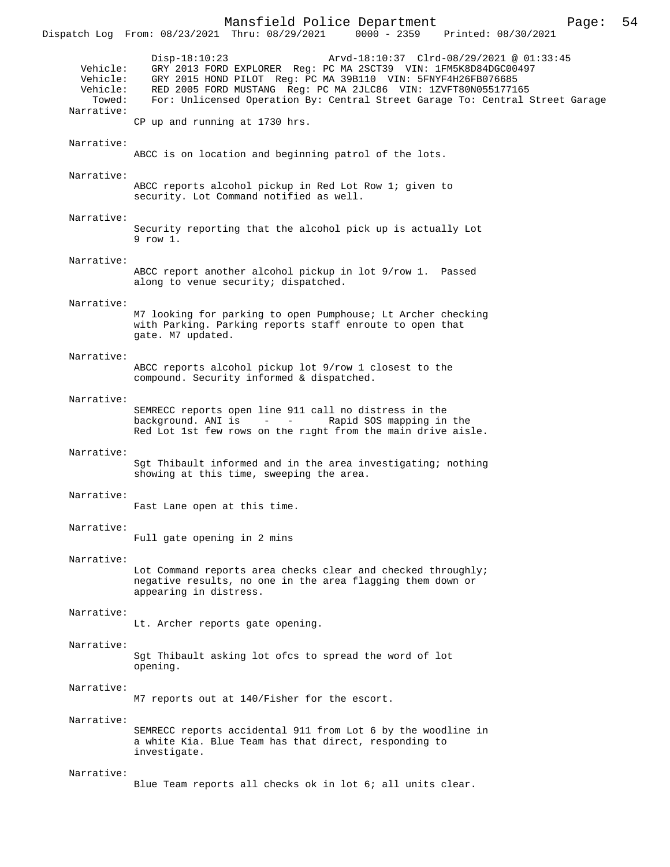Mansfield Police Department Page: 54 Dispatch Log From: 08/23/2021 Thru: 08/29/2021 Disp-18:10:23 Arvd-18:10:37 Clrd-08/29/2021 @ 01:33:45 Vehicle: GRY 2013 FORD EXPLORER Reg: PC MA 2SCT39 VIN: 1FM5K8D84DGC00497 Vehicle: GRY 2015 HOND PILOT Reg: PC MA 39B110 VIN: 5FNYF4H26FB076685<br>Vehicle: RED 2005 FORD MUSTANG Reg: PC MA 2JLC86 VIN: 1ZVFT80N05517710 hicle: RED 2005 FORD MUSTANG Reg: PC MA 2JLC86 VIN: 1ZVFT80N055177165<br>Towed: For: Unlicensed Operation By: Central Street Garage To: Central ; For: Unlicensed Operation By: Central Street Garage To: Central Street Garage Narrative: CP up and running at 1730 hrs. Narrative: ABCC is on location and beginning patrol of the lots. Narrative: ABCC reports alcohol pickup in Red Lot Row 1; given to security. Lot Command notified as well. Narrative: Security reporting that the alcohol pick up is actually Lot 9 row 1. Narrative: ABCC report another alcohol pickup in lot 9/row 1. Passed along to venue security; dispatched. Narrative: M7 looking for parking to open Pumphouse; Lt Archer checking with Parking. Parking reports staff enroute to open that gate. M7 updated. Narrative: ABCC reports alcohol pickup lot 9/row 1 closest to the compound. Security informed & dispatched. Narrative: SEMRECC reports open line 911 call no distress in the background. ANI is - - Rapid SOS mapping in the Red Lot 1st few rows on the right from the main drive aisle. Narrative: Sgt Thibault informed and in the area investigating; nothing showing at this time, sweeping the area. Narrative: Fast Lane open at this time. Narrative: Full gate opening in 2 mins Narrative: Lot Command reports area checks clear and checked throughly; negative results, no one in the area flagging them down or appearing in distress. Narrative: Lt. Archer reports gate opening. Narrative: Sgt Thibault asking lot ofcs to spread the word of lot opening. Narrative: M7 reports out at 140/Fisher for the escort. Narrative: SEMRECC reports accidental 911 from Lot 6 by the woodline in a white Kia. Blue Team has that direct, responding to investigate. Narrative: Blue Team reports all checks ok in lot 6; all units clear.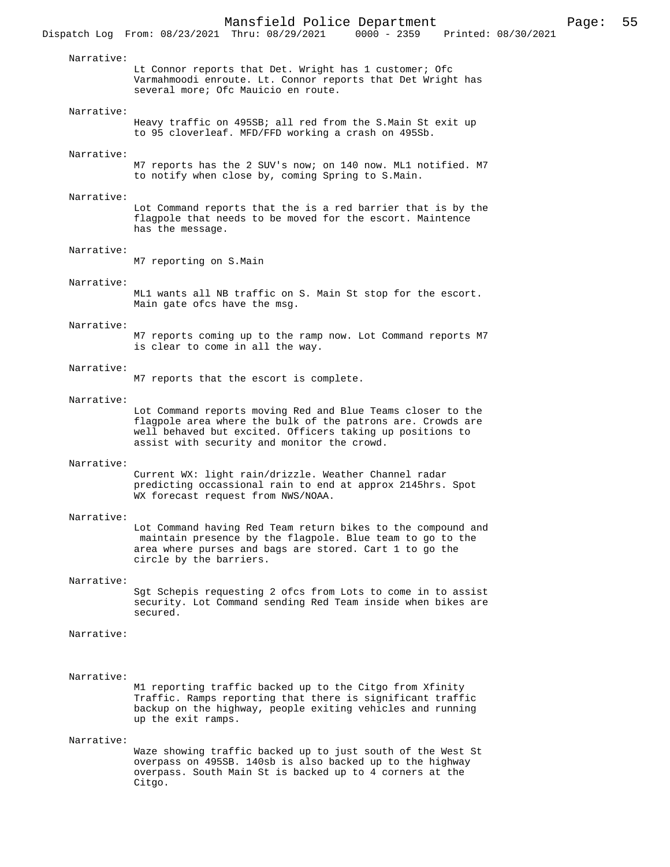Lt Connor reports that Det. Wright has 1 customer; Ofc Varmahmoodi enroute. Lt. Connor reports that Det Wright has several more; Ofc Mauicio en route.

#### Narrative:

Narrative:

Heavy traffic on 495SB; all red from the S.Main St exit up to 95 cloverleaf. MFD/FFD working a crash on 495Sb.

#### Narrative:

M7 reports has the 2 SUV's now; on 140 now. ML1 notified. M7 to notify when close by, coming Spring to S.Main.

#### Narrative:

Lot Command reports that the is a red barrier that is by the flagpole that needs to be moved for the escort. Maintence has the message.

#### Narrative:

M7 reporting on S.Main

#### Narrative:

ML1 wants all NB traffic on S. Main St stop for the escort. Main gate ofcs have the msg.

#### Narrative:

M7 reports coming up to the ramp now. Lot Command reports M7 is clear to come in all the way.

#### Narrative:

M7 reports that the escort is complete.

#### Narrative:

Lot Command reports moving Red and Blue Teams closer to the flagpole area where the bulk of the patrons are. Crowds are well behaved but excited. Officers taking up positions to assist with security and monitor the crowd.

#### Narrative:

Current WX: light rain/drizzle. Weather Channel radar predicting occassional rain to end at approx 2145hrs. Spot WX forecast request from NWS/NOAA.

#### Narrative:

Lot Command having Red Team return bikes to the compound and maintain presence by the flagpole. Blue team to go to the area where purses and bags are stored. Cart 1 to go the circle by the barriers.

## Narrative:

Sgt Schepis requesting 2 ofcs from Lots to come in to assist security. Lot Command sending Red Team inside when bikes are secured.

#### Narrative:

#### Narrative:

M1 reporting traffic backed up to the Citgo from Xfinity Traffic. Ramps reporting that there is significant traffic backup on the highway, people exiting vehicles and running up the exit ramps.

#### Narrative:

Waze showing traffic backed up to just south of the West St overpass on 495SB. 140sb is also backed up to the highway overpass. South Main St is backed up to 4 corners at the Citgo.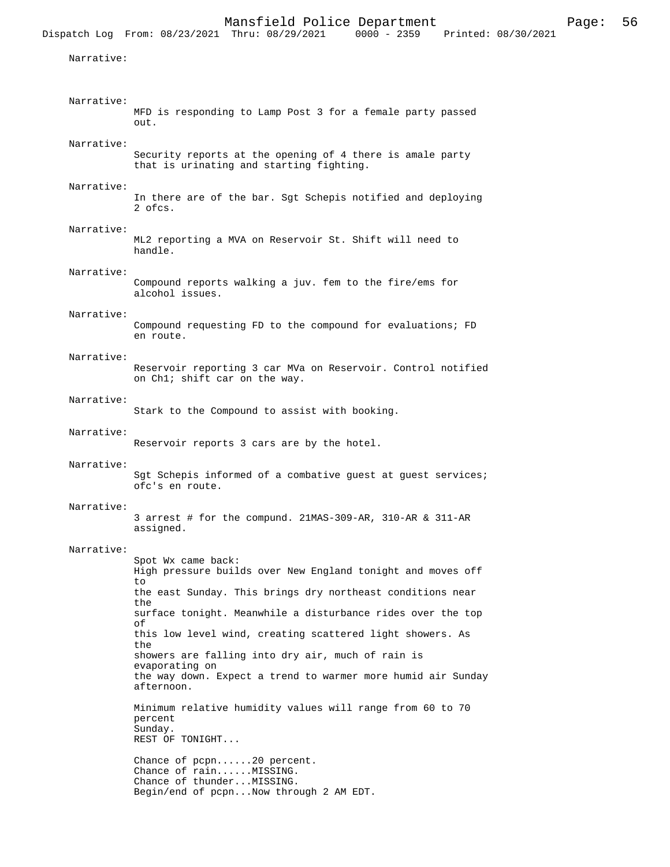```
 Narrative:
```
 Narrative: MFD is responding to Lamp Post 3 for a female party passed out. Narrative: Security reports at the opening of 4 there is amale party that is urinating and starting fighting. Narrative: In there are of the bar. Sgt Schepis notified and deploying 2 ofcs. Narrative: ML2 reporting a MVA on Reservoir St. Shift will need to handle. Narrative: Compound reports walking a juv. fem to the fire/ems for alcohol issues. Narrative: Compound requesting FD to the compound for evaluations; FD en route. Narrative: Reservoir reporting 3 car MVa on Reservoir. Control notified on Ch1; shift car on the way. Narrative: Stark to the Compound to assist with booking. Narrative: Reservoir reports 3 cars are by the hotel. Narrative: Sgt Schepis informed of a combative guest at guest services; ofc's en route. Narrative: 3 arrest # for the compund. 21MAS-309-AR, 310-AR & 311-AR assigned. Narrative: Spot Wx came back: High pressure builds over New England tonight and moves off  $t \circ$ the east Sunday. This brings dry northeast conditions near the surface tonight. Meanwhile a disturbance rides over the top of this low level wind, creating scattered light showers. As the showers are falling into dry air, much of rain is evaporating on the way down. Expect a trend to warmer more humid air Sunday afternoon. Minimum relative humidity values will range from 60 to 70 percent Sunday. REST OF TONIGHT... Chance of pcpn......20 percent. Chance of rain......MISSING. Chance of thunder...MISSING. Begin/end of pcpn...Now through 2 AM EDT.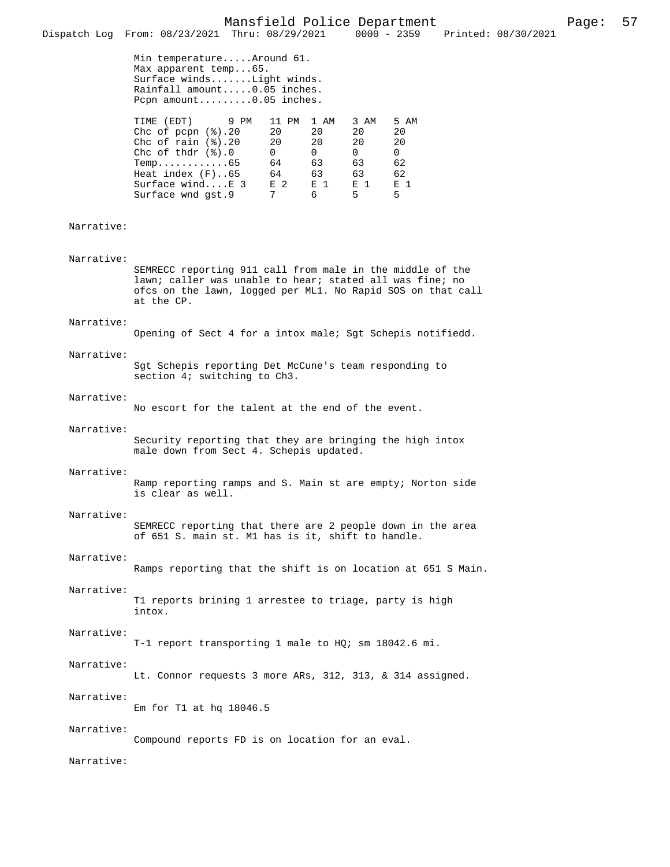Max apparent temp...65. Surface winds.......Light winds. Rainfall amount.....0.05 inches. Pcpn amount.........0.05 inches.

| TIME (EDT) 9 PM                 | 11 PM | 1 AM         | 3 AM           | 5 AM           |
|---------------------------------|-------|--------------|----------------|----------------|
| Chc of pcpn $(\frac{1}{2})$ .20 | 20    | 20           | 20             | 20             |
| Chc of rain $(\frac{1}{6})$ .20 | 20    | 20           | 20             | 20             |
| Chc of thdr $(\frac{1}{6})$ .0  | 0     | <sup>0</sup> | 0              | 0              |
| $Temp.$ 65                      | 64    | 63           | 63             | 62             |
| Heat index $(F)$ 65             | 64    | 63           | 63             | 62             |
| Surface windE 3                 | F. 2  | E 1          | E <sub>1</sub> | E <sub>1</sub> |
| Surface wnd qst.9               | 7     | 6            | 5.             | 5.             |

### Narrative:

Narrative:

SEMRECC reporting 911 call from male in the middle of the lawn; caller was unable to hear; stated all was fine; no ofcs on the lawn, logged per ML1. No Rapid SOS on that call at the CP.

#### Narrative:

Opening of Sect 4 for a intox male; Sgt Schepis notifiedd.

 Narrative: Sgt Schepis reporting Det McCune's team responding to section 4; switching to Ch3.

#### Narrative:

No escort for the talent at the end of the event.

#### Narrative:

Security reporting that they are bringing the high intox male down from Sect 4. Schepis updated.

#### Narrative:

Ramp reporting ramps and S. Main st are empty; Norton side is clear as well.

## Narrative:

SEMRECC reporting that there are 2 people down in the area of 651 S. main st. M1 has is it, shift to handle.

## Narrative:

Ramps reporting that the shift is on location at 651 S Main.

#### Narrative:

T1 reports brining 1 arrestee to triage, party is high intox.

### Narrative:

T-1 report transporting 1 male to HQ; sm 18042.6 mi.

#### Narrative:

Lt. Connor requests 3 more ARs, 312, 313, & 314 assigned.

## Narrative:

Em for T1 at hq 18046.5

#### Narrative:

Compound reports FD is on location for an eval.

## Narrative: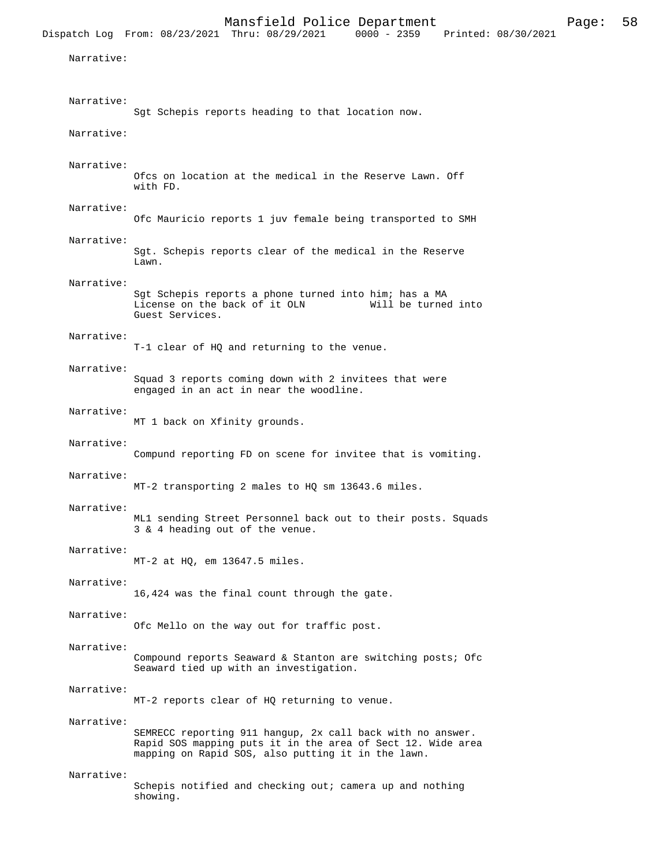Narrative:

| Narrative: | Sgt Schepis reports heading to that location now.                                                                                                                               |
|------------|---------------------------------------------------------------------------------------------------------------------------------------------------------------------------------|
| Narrative: |                                                                                                                                                                                 |
| Narrative: | Ofcs on location at the medical in the Reserve Lawn. Off<br>with FD.                                                                                                            |
| Narrative: | Ofc Mauricio reports 1 juv female being transported to SMH                                                                                                                      |
| Narrative: | Sgt. Schepis reports clear of the medical in the Reserve<br>Lawn.                                                                                                               |
| Narrative: | Sgt Schepis reports a phone turned into him; has a MA<br>License on the back of it OLN<br>Will be turned into<br>Guest Services.                                                |
| Narrative: | T-1 clear of HQ and returning to the venue.                                                                                                                                     |
| Narrative: | Squad 3 reports coming down with 2 invitees that were<br>engaged in an act in near the woodline.                                                                                |
| Narrative: | MT 1 back on Xfinity grounds.                                                                                                                                                   |
| Narrative: | Compund reporting FD on scene for invitee that is vomiting.                                                                                                                     |
| Narrative: | MT-2 transporting 2 males to HQ sm 13643.6 miles.                                                                                                                               |
| Narrative: | ML1 sending Street Personnel back out to their posts. Squads<br>3 & 4 heading out of the venue.                                                                                 |
| Narrative: | $MT-2$ at HQ, em 13647.5 miles.                                                                                                                                                 |
| Narrative: | 16,424 was the final count through the gate.                                                                                                                                    |
| Narrative: | Ofc Mello on the way out for traffic post.                                                                                                                                      |
| Narrative: | Compound reports Seaward & Stanton are switching posts; Ofc<br>Seaward tied up with an investigation.                                                                           |
| Narrative: | MT-2 reports clear of HQ returning to venue.                                                                                                                                    |
| Narrative: | SEMRECC reporting 911 hangup, 2x call back with no answer.<br>Rapid SOS mapping puts it in the area of Sect 12. Wide area<br>mapping on Rapid SOS, also putting it in the lawn. |
| Narrative: | Schepis notified and checking out; camera up and nothing<br>showing.                                                                                                            |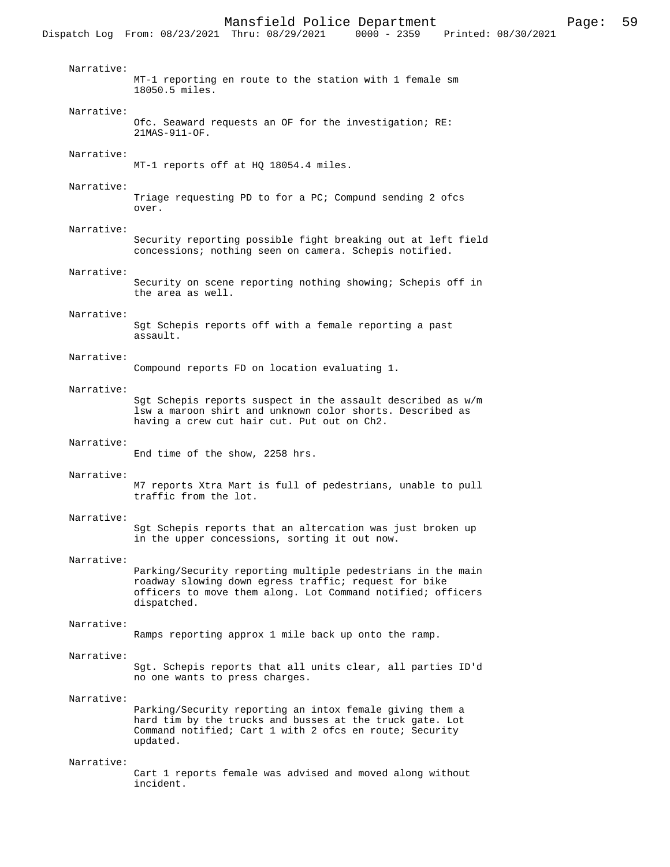Dispatch Log From: 08/23/2021 Thru: 08/29/2021 Narrative: MT-1 reporting en route to the station with 1 female sm 18050.5 miles. Narrative: Ofc. Seaward requests an OF for the investigation; RE: 21MAS-911-OF. Narrative: MT-1 reports off at HQ 18054.4 miles. Narrative: Triage requesting PD to for a PC; Compund sending 2 ofcs over. Narrative: Security reporting possible fight breaking out at left field concessions; nothing seen on camera. Schepis notified. Narrative: Security on scene reporting nothing showing; Schepis off in the area as well. Narrative: Sgt Schepis reports off with a female reporting a past assault. Narrative: Compound reports FD on location evaluating 1. Narrative: Sgt Schepis reports suspect in the assault described as w/m lsw a maroon shirt and unknown color shorts. Described as having a crew cut hair cut. Put out on Ch2. Narrative: End time of the show, 2258 hrs. Narrative: M7 reports Xtra Mart is full of pedestrians, unable to pull traffic from the lot. Narrative: Sgt Schepis reports that an altercation was just broken up in the upper concessions, sorting it out now. Narrative: Parking/Security reporting multiple pedestrians in the main roadway slowing down egress traffic; request for bike officers to move them along. Lot Command notified; officers dispatched. Narrative: Ramps reporting approx 1 mile back up onto the ramp. Narrative: Sgt. Schepis reports that all units clear, all parties ID'd no one wants to press charges. Narrative: Parking/Security reporting an intox female giving them a hard tim by the trucks and busses at the truck gate. Lot Command notified; Cart 1 with 2 ofcs en route; Security updated. Narrative: Cart 1 reports female was advised and moved along without

incident.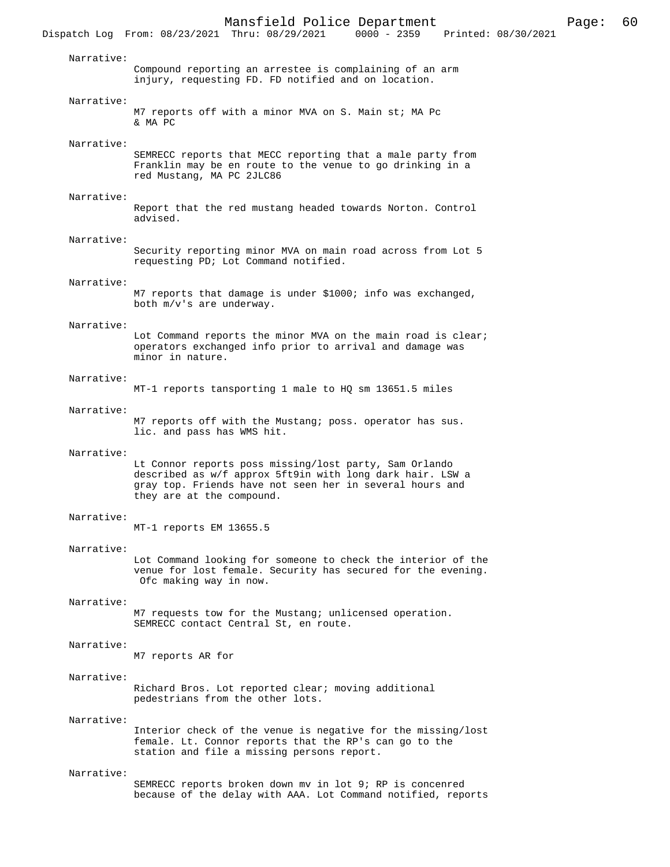Narrative: Compound reporting an arrestee is complaining of an arm injury, requesting FD. FD notified and on location. Narrative: M7 reports off with a minor MVA on S. Main st; MA Pc & MA PC Narrative: SEMRECC reports that MECC reporting that a male party from Franklin may be en route to the venue to go drinking in a red Mustang, MA PC 2JLC86 Narrative: Report that the red mustang headed towards Norton. Control advised. Narrative: Security reporting minor MVA on main road across from Lot 5 requesting PD; Lot Command notified. Narrative: M7 reports that damage is under \$1000; info was exchanged, both m/v's are underway. Narrative: Lot Command reports the minor MVA on the main road is clear; operators exchanged info prior to arrival and damage was minor in nature. Narrative: MT-1 reports tansporting 1 male to HQ sm 13651.5 miles Narrative: M7 reports off with the Mustang; poss. operator has sus. lic. and pass has WMS hit. Narrative: Lt Connor reports poss missing/lost party, Sam Orlando described as w/f approx 5ft9in with long dark hair. LSW a gray top. Friends have not seen her in several hours and they are at the compound. Narrative: MT-1 reports EM 13655.5 Narrative: Lot Command looking for someone to check the interior of the venue for lost female. Security has secured for the evening. Ofc making way in now. Narrative: M7 requests tow for the Mustang; unlicensed operation. SEMRECC contact Central St, en route. Narrative: M7 reports AR for Narrative: Richard Bros. Lot reported clear; moving additional pedestrians from the other lots. Narrative: Interior check of the venue is negative for the missing/lost female. Lt. Connor reports that the RP's can go to the station and file a missing persons report. Narrative: SEMRECC reports broken down mv in lot 9; RP is concenred

because of the delay with AAA. Lot Command notified, reports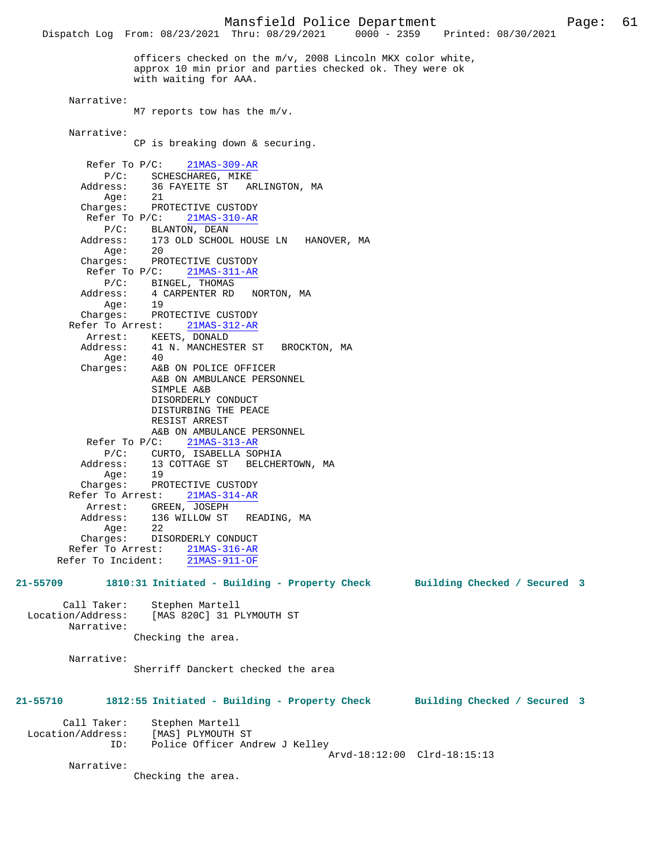Dispatch Log From: 08/23/2021 Thru: 08/29/2021 0000 - 2359 Printed: 08/30/2021 officers checked on the m/v, 2008 Lincoln MKX color white, approx 10 min prior and parties checked ok. They were ok with waiting for AAA. Narrative: M7 reports tow has the m/v. Narrative: CP is breaking down & securing. Refer To P/C: 21MAS-309-AR P/C: SCHESCHAREG, MIKE<br>Address: 36 FAYEITE ST AF 36 FAYEITE ST ARLINGTON, MA<br>21  $A$ a $\ominus$  : Charges: PROTECTIVE CUSTODY Refer To P/C: 21MAS-310-AR P/C: BLANTON, DEAN Address: 173 OLD SCHOOL HOUSE LN HANOVER, MA Age: 20 Charges: PROTECTIVE CUSTODY Refer To P/C:  $\frac{21 \text{MAS}-311-\text{AR}}{}$  P/C: BINGEL, THOMAS Address: 4 CARPENTER RD NORTON, MA  $Age: 19$  Charges: PROTECTIVE CUSTODY Refer To Arrest: 21MAS-312-AR Arrest: KEETS, DONALD<br>Address: 41 N. MANCHEST 41 N. MANCHESTER ST BROCKTON, MA Age:<br>:Charges A&B ON POLICE OFFICER A&B ON AMBULANCE PERSONNEL SIMPLE A&B DISORDERLY CONDUCT DISTURBING THE PEACE RESIST ARREST A&B ON AMBULANCE PERSONNEL Refer To P/C: 21MAS-313-AR P/C: CURTO, ISABELLA SOPHIA Address: 13 COTTAGE ST BELCHERTOWN, MA Age: 19 Charges: PROTECTIVE CUSTODY Refer To Arrest: 21MAS-314-AR Arrest: GREEN, JOSEPH Address: 136 WILLOW ST READING, MA Age: 22<br>Charges: DIS DISORDERLY CONDUCT Refer To Arrest: 21MAS-316-AR Refer To Incident: 21MAS-911-OF **21-55709 1810:31 Initiated - Building - Property Check Building Checked / Secured 3** Call Taker: Stephen Martell<br>Location/Address: [MAS 820C] 31 P [MAS 820C] 31 PLYMOUTH ST Narrative: Checking the area. Narrative: Sherriff Danckert checked the area **21-55710 1812:55 Initiated - Building - Property Check Building Checked / Secured 3** Call Taker: Stephen Martell<br>.on/Address: [MAS] PLYMOUTH ST Location/Address: ID: Police Officer Andrew J Kelley Arvd-18:12:00 Clrd-18:15:13 Narrative: Checking the area.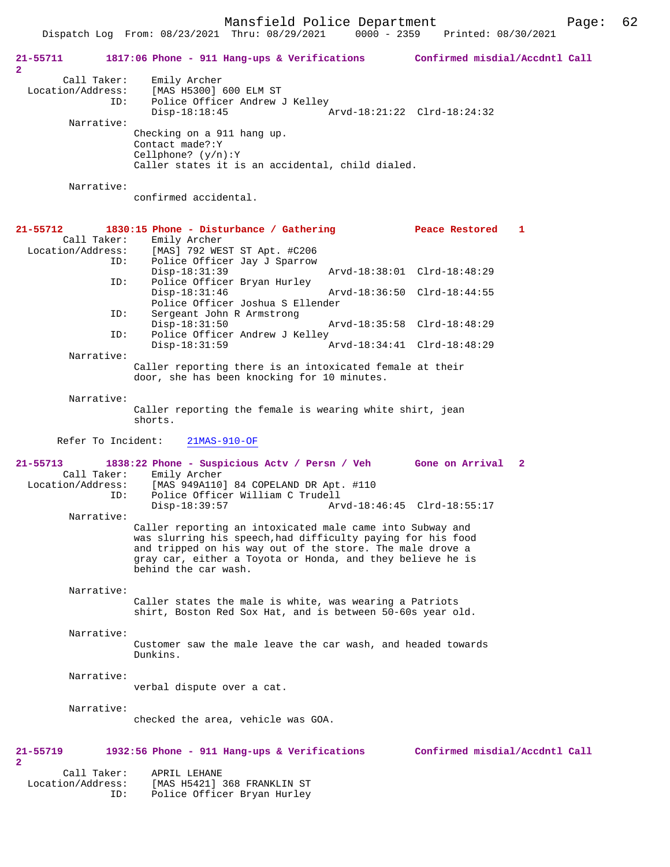Mansfield Police Department Fage: 62

|  | - - - - - <del>- - - - - - -</del> |                    |  |
|--|------------------------------------|--------------------|--|
|  | $0000 - 2359$                      | Printed: 08/30/202 |  |

|                                                         | Dispatch Log From: 08/23/2021 Thru: 08/29/2021<br>$0000 - 2359$                                                                                                                                                                                                             | Printed: 08/30/2021            |
|---------------------------------------------------------|-----------------------------------------------------------------------------------------------------------------------------------------------------------------------------------------------------------------------------------------------------------------------------|--------------------------------|
| 21-55711<br>$\overline{a}$                              | 1817:06 Phone - 911 Hang-ups & Verifications Confirmed misdial/Accdntl Call                                                                                                                                                                                                 |                                |
| Call Taker:<br>Location/Address:<br>ID:                 | Emily Archer<br>[MAS H5300] 600 ELM ST<br>Police Officer Andrew J Kelley<br>$Disp-18:18:45$                                                                                                                                                                                 | Arvd-18:21:22 Clrd-18:24:32    |
| Narrative:                                              | Checking on a 911 hang up.<br>Contact made?: Y<br>Cellphone? $(y/n):Y$<br>Caller states it is an accidental, child dialed.                                                                                                                                                  |                                |
| Narrative:                                              | confirmed accidental.                                                                                                                                                                                                                                                       |                                |
| 21-55712                                                | 1830:15 Phone - Disturbance / Gathering                                                                                                                                                                                                                                     | -1<br>Peace Restored           |
| Call Taker:<br>Location/Address:<br>ID:                 | Emily Archer<br>[MAS] 792 WEST ST Apt. #C206<br>Police Officer Jay J Sparrow<br>$Disp-18:31:39$                                                                                                                                                                             | Arvd-18:38:01 Clrd-18:48:29    |
| ID:                                                     | Police Officer Bryan Hurley<br>$Disp-18:31:46$<br>Police Officer Joshua S Ellender                                                                                                                                                                                          | Arvd-18:36:50 Clrd-18:44:55    |
| ID:<br>ID:                                              | Sergeant John R Armstrong<br>$Disp-18:31:50$<br>Police Officer Andrew J Kelley                                                                                                                                                                                              | Arvd-18:35:58 Clrd-18:48:29    |
| Narrative:                                              | Disp-18:31:59                                                                                                                                                                                                                                                               | Arvd-18:34:41 Clrd-18:48:29    |
|                                                         | Caller reporting there is an intoxicated female at their<br>door, she has been knocking for 10 minutes.                                                                                                                                                                     |                                |
| Narrative:                                              | Caller reporting the female is wearing white shirt, jean<br>shorts.                                                                                                                                                                                                         |                                |
| Refer To Incident:                                      | $21MAS-910-OF$                                                                                                                                                                                                                                                              |                                |
| $21 - 55713$<br>Call Taker:<br>Location/Address:<br>ID: | 1838:22 Phone - Suspicious Actv / Persn / Veh Gone on Arrival 2<br>Emily Archer<br>[MAS 949A110] 84 COPELAND DR Apt. #110<br>Police Officer William C Trudell<br>$Disp-18:39:57$                                                                                            | Arvd-18:46:45 Clrd-18:55:17    |
| Narrative:                                              | Caller reporting an intoxicated male came into Subway and<br>was slurring his speech, had difficulty paying for his food<br>and tripped on his way out of the store. The male drove a<br>gray car, either a Toyota or Honda, and they believe he is<br>behind the car wash. |                                |
| Narrative:                                              | Caller states the male is white, was wearing a Patriots<br>shirt, Boston Red Sox Hat, and is between 50-60s year old.                                                                                                                                                       |                                |
| Narrative:                                              | Customer saw the male leave the car wash, and headed towards<br>Dunkins.                                                                                                                                                                                                    |                                |
| Narrative:                                              | verbal dispute over a cat.                                                                                                                                                                                                                                                  |                                |
| Narrative:                                              | checked the area, vehicle was GOA.                                                                                                                                                                                                                                          |                                |
| 21-55719<br>2                                           | 1932:56 Phone - 911 Hang-ups & Verifications                                                                                                                                                                                                                                | Confirmed misdial/Accdntl Call |
| Call Taker:<br>Location/Address:<br>ID:                 | APRIL LEHANE<br>[MAS H5421] 368 FRANKLIN ST<br>Police Officer Bryan Hurley                                                                                                                                                                                                  |                                |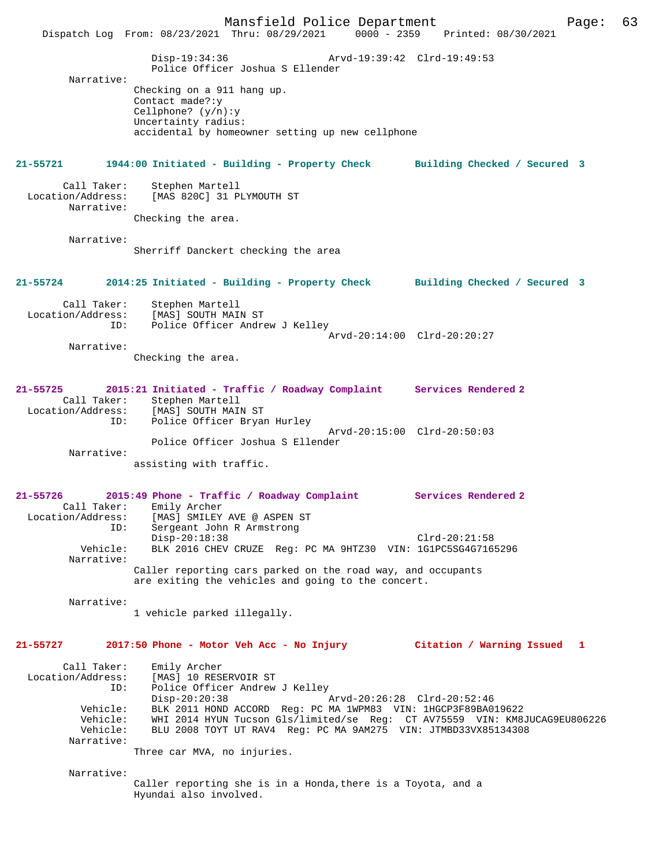Mansfield Police Department Page: 63 Dispatch Log From: 08/23/2021 Thru: 08/29/2021 Disp-19:34:36 Arvd-19:39:42 Clrd-19:49:53 Police Officer Joshua S Ellender Narrative: Checking on a 911 hang up. Contact made?:y Cellphone? (y/n):y Uncertainty radius: accidental by homeowner setting up new cellphone **21-55721 1944:00 Initiated - Building - Property Check Building Checked / Secured 3** Call Taker: Stephen Martell<br>Location/Address: [MAS 820C] 31 PI [MAS 820C] 31 PLYMOUTH ST Narrative: Checking the area. Narrative: Sherriff Danckert checking the area **21-55724 2014:25 Initiated - Building - Property Check Building Checked / Secured 3** Call Taker: Stephen Martell Location/Address: [MAS] SOUTH MAIN ST ID: Police Officer Andrew J Kelley Arvd-20:14:00 Clrd-20:20:27 Narrative: Checking the area. **21-55725 2015:21 Initiated - Traffic / Roadway Complaint Services Rendered 2**  Call Taker: Stephen Martell<br>Location/Address: [MAS] SOUTH MAI Location/Address: [MAS] SOUTH MAIN ST ID: Police Officer Bryan Hurley Arvd-20:15:00 Clrd-20:50:03 Police Officer Joshua S Ellender Narrative: assisting with traffic. **21-55726 2015:49 Phone - Traffic / Roadway Complaint Services Rendered 2**  Call Taker: Emily Archer Location/Address: [MAS] SMILEY AVE @ ASPEN ST ID: Sergeant John R Armstrong Disp-20:18:38 Clrd-20:21:58<br>Vehicle: BLK 2016 CHEV CRUZE Req: PC MA 9HTZ30 VIN: 1GlPC5SG4G716 BLK 2016 CHEV CRUZE Reg: PC MA 9HTZ30 VIN: 1G1PC5SG4G7165296 Narrative: Caller reporting cars parked on the road way, and occupants are exiting the vehicles and going to the concert. Narrative: 1 vehicle parked illegally. **21-55727 2017:50 Phone - Motor Veh Acc - No Injury Citation / Warning Issued 1** Call Taker: Emily Archer<br>Location/Address: [MAS] 10 RESI ess: [MAS] 10 RESERVOIR ST<br>ID: Police Officer Andrew Police Officer Andrew J Kelley<br>Disp-20:20:38 Disp-20:20:38 Arvd-20:26:28 Clrd-20:52:46 Vehicle: BLK 2011 HOND ACCORD Reg: PC MA 1WPM83 VIN: 1HGCP3F89BA019622 Vehicle: WHI 2014 HYUN Tucson Gls/limited/se Reg: CT AV75559 VIN: KM8JUCAG9EU806226 Vehicle: BLU 2008 TOYT UT RAV4 Reg: PC MA 9AM275 VIN: JTMBD33VX85134308 Narrative: Three car MVA, no injuries. Narrative: Caller reporting she is in a Honda,there is a Toyota, and a Hyundai also involved.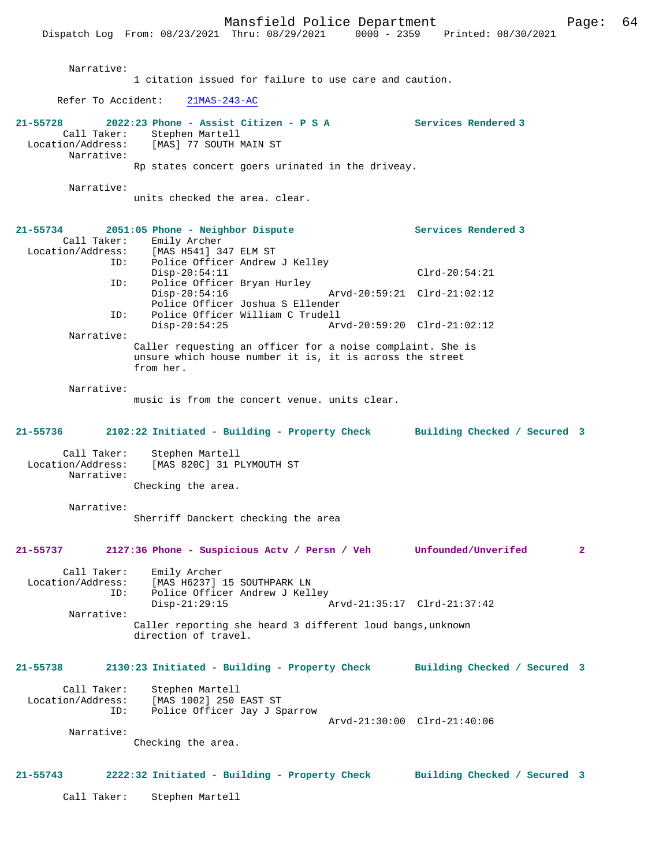Narrative: 1 citation issued for failure to use care and caution. Refer To Accident: 21MAS-243-AC **21-55728 2022:23 Phone - Assist Citizen - P S A Services Rendered 3**  Call Taker: Stephen Martell<br>Location/Address: [MAS] 77 SOUTH M [MAS] 77 SOUTH MAIN ST Narrative: Rp states concert goers urinated in the driveay. Narrative: units checked the area. clear. **21-55734 2051:05 Phone - Neighbor Dispute Services Rendered 3**  Call Taker: Emily Archer<br>Location/Address: [MAS H541] 34 [MAS H541] 347 ELM ST ID: Police Officer Andrew J Kelley Disp-20:54:11 Clrd-20:54:21<br>TD: Police Officer Brvan Hurley Police Officer Bryan Hurley Disp-20:54:16 Arvd-20:59:21 Clrd-21:02:12 Police Officer Joshua S Ellender<br>ID: Police Officer William C Trudell Police Officer William C Trudell<br>Disp-20:54:25 Arv Disp-20:54:25 Arvd-20:59:20 Clrd-21:02:12 Narrative: Caller requesting an officer for a noise complaint. She is unsure which house number it is, it is across the street from her. Narrative: music is from the concert venue. units clear. **21-55736 2102:22 Initiated - Building - Property Check Building Checked / Secured 3** Call Taker: Stephen Martell Location/Address: [MAS 820C] 31 PLYMOUTH ST Narrative: Checking the area. Narrative: Sherriff Danckert checking the area **21-55737 2127:36 Phone - Suspicious Actv / Persn / Veh Unfounded/Unverifed 2** Call Taker: Emily Archer Location/Address: [MAS H6237] 15 SOUTHPARK LN Police Officer Andrew J Kelley<br>Disp-21:29:15 Disp-21:29:15 Arvd-21:35:17 Clrd-21:37:42 Narrative: Caller reporting she heard 3 different loud bangs,unknown direction of travel. **21-55738 2130:23 Initiated - Building - Property Check Building Checked / Secured 3** Call Taker: Stephen Martell<br>Location/Address: [MAS 1002] 250 [MAS 1002] 250 EAST ST ID: Police Officer Jay J Sparrow Arvd-21:30:00 Clrd-21:40:06 Narrative: Checking the area. **21-55743 2222:32 Initiated - Building - Property Check Building Checked / Secured 3** Call Taker: Stephen Martell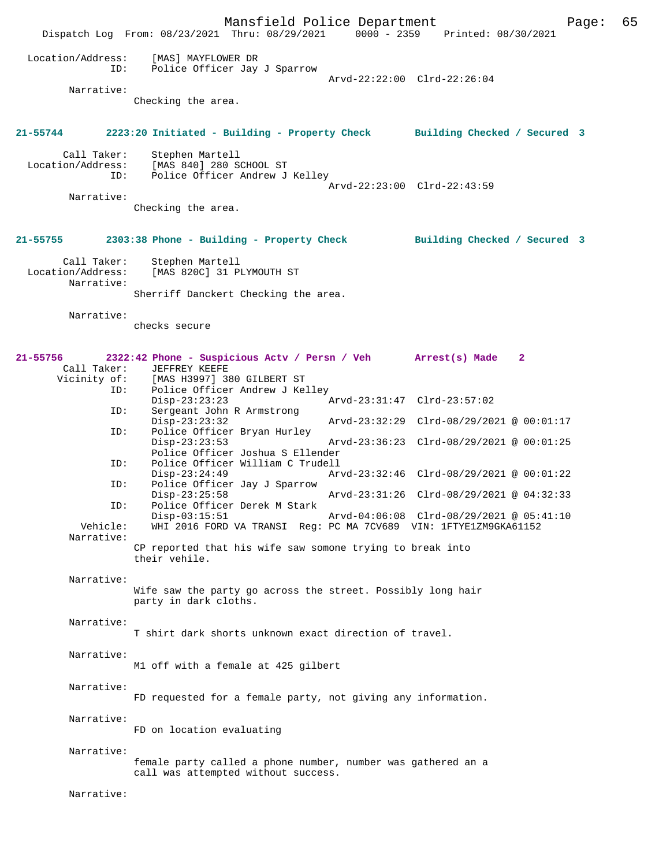Mansfield Police Department Page: 65 Dispatch Log From: 08/23/2021 Thru: 08/29/2021 Location/Address: [MAS] MAYFLOWER DR ID: Police Officer Jay J Sparrow Arvd-22:22:00 Clrd-22:26:04 Narrative: Checking the area. **21-55744 2223:20 Initiated - Building - Property Check Building Checked / Secured 3** Call Taker: Stephen Martell<br>Location/Address: [MAS 840] 280 S <code>[MAS 840] 280 SCHOOL ST</code> ID: Police Officer Andrew J Kelley Arvd-22:23:00 Clrd-22:43:59 Narrative: Checking the area. **21-55755 2303:38 Phone - Building - Property Check Building Checked / Secured 3** Call Taker: Stephen Martell Location/Address: [MAS 820C] 31 PLYMOUTH ST Narrative: Sherriff Danckert Checking the area. Narrative: checks secure **21-55756 2322:42 Phone - Suspicious Actv / Persn / Veh Arrest(s) Made 2**  Call Taker: JEFFREY KEEFE<br>Vicinity of: [MAS H3997] 3 of: [MAS H3997] 380 GILBERT ST<br>ID: Police Officer Andrew J Ke Police Officer Andrew J Kelley Disp-23:23:23 <br>Disp-23:23:23 Arvd-23:31:47 Clrd-23:57:02<br>Displayment John R Armstrong Sergeant John R Armstrong<br>Disp-23:23:32 Disp-23:23:32 Arvd-23:32:29 Clrd-08/29/2021 @ 00:01:17<br>TD: Police Officer Bryan Hurley Police Officer Bryan Hurley<br>Disp-23:23:53 Disp-23:23:53 Arvd-23:36:23 Clrd-08/29/2021 @ 00:01:25 Police Officer Joshua S Ellender<br>ID: Police Officer William C Trudell Police Officer William C Trudell<br>Disp-23:24:49 Ar Disp-23:24:49 Arvd-23:32:46 Clrd-08/29/2021 @ 00:01:22 ID: Police Officer Jay J Sparrow Disp-23:25:58 Arvd-23:31:26 Clrd-08/29/2021 @ 04:32:33 ID: Police Officer Derek M Stark Disp-03:15:51 Arvd-04:06:08 Clrd-08/29/2021 @ 05:41:10<br>Vehicle: WHI 2016 FORD VA TRANSI Req: PC MA 7CV689 VIN: 1FTYE1ZM9GKA61152 WHI 2016 FORD VA TRANSI Reg: PC MA 7CV689 VIN: 1FTYE1ZM9GKA61152 Narrative: CP reported that his wife saw somone trying to break into their vehile. Narrative: Wife saw the party go across the street. Possibly long hair party in dark cloths. Narrative: T shirt dark shorts unknown exact direction of travel. Narrative: M1 off with a female at 425 gilbert Narrative: FD requested for a female party, not giving any information. Narrative: FD on location evaluating Narrative: female party called a phone number, number was gathered an a call was attempted without success. Narrative: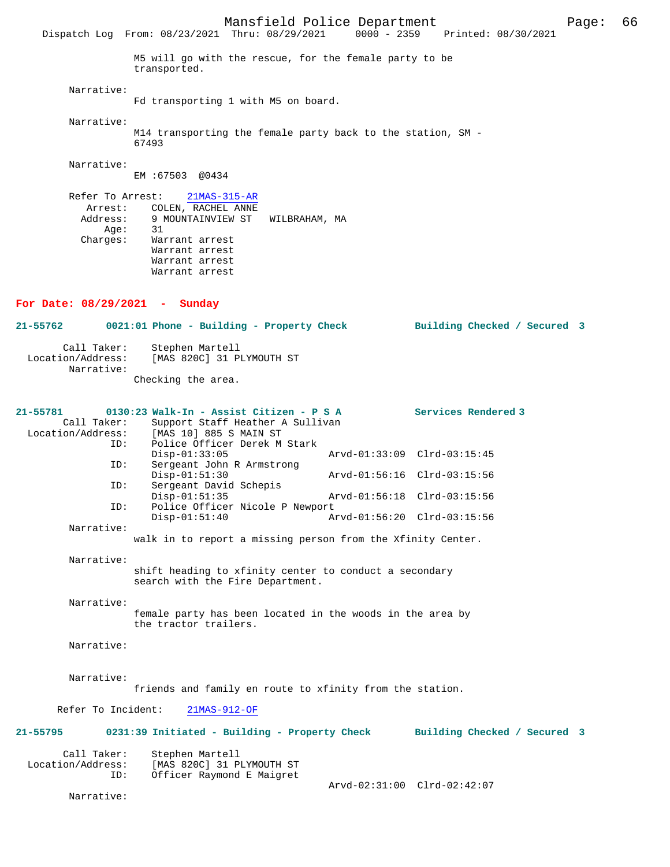Narrative:

Fd transporting 1 with M5 on board.

Narrative:

M14 transporting the female party back to the station, SM - 67493

Narrative:

EM :67503 @0434

 Refer To Arrest: 21MAS-315-AR Arrest: COLEN, RACHEL ANNE Address: 9 MOUNTAINVIEW ST WILBRAHAM, MA<br>Aqe: 31 Age:<br>:Charges Warrant arrest Warrant arrest Warrant arrest Warrant arrest

## **For Date: 08/29/2021 - Sunday**

**21-55762 0021:01 Phone - Building - Property Check Building Checked / Secured 3** Call Taker: Stephen Martell<br>Location/Address: [MAS 820C] 31 PI [MAS 820C] 31 PLYMOUTH ST Narrative: Checking the area.

| 21-55781          | 0130:23 Walk-In - Assist Citizen - P S A                    |                             | Services Rendered 3 |
|-------------------|-------------------------------------------------------------|-----------------------------|---------------------|
| Call Taker:       | Support Staff Heather A Sullivan                            |                             |                     |
| Location/Address: | [MAS 10] 885 S MAIN ST                                      |                             |                     |
| ID:               | Police Officer Derek M Stark                                |                             |                     |
|                   | $Disp-01:33:05$                                             | Arvd-01:33:09 Clrd-03:15:45 |                     |
| ID:               | Sergeant John R Armstrong                                   |                             |                     |
|                   | $Disp-01:51:30$                                             | Arvd-01:56:16 Clrd-03:15:56 |                     |
| ID:               | Sergeant David Schepis                                      |                             |                     |
|                   | $Disp-01:51:35$                                             | Arvd-01:56:18 Clrd-03:15:56 |                     |
| ID:               | Police Officer Nicole P Newport                             |                             |                     |
|                   | $Disp-01:51:40$                                             | Arvd-01:56:20 Clrd-03:15:56 |                     |
| Narrative:        |                                                             |                             |                     |
|                   | walk in to report a missing person from the Xfinity Center. |                             |                     |

Narrative:

shift heading to xfinity center to conduct a secondary search with the Fire Department.

Narrative:

female party has been located in the woods in the area by the tractor trailers.

# Narrative:

Narrative:

friends and family en route to xfinity from the station.

Refer To Incident: 21MAS-912-OF

| 21-55795 | 0231:39 Initiated - Building - Property Check | Building Checked / Secured 3 |
|----------|-----------------------------------------------|------------------------------|
|          |                                               |                              |

| Call Taker:       | Stephen Martell           |                             |  |
|-------------------|---------------------------|-----------------------------|--|
| Location/Address: | [MAS 820C] 31 PLYMOUTH ST |                             |  |
| ID:               | Officer Raymond E Maigret |                             |  |
|                   |                           | Arvd-02:31:00 Clrd-02:42:07 |  |

Narrative: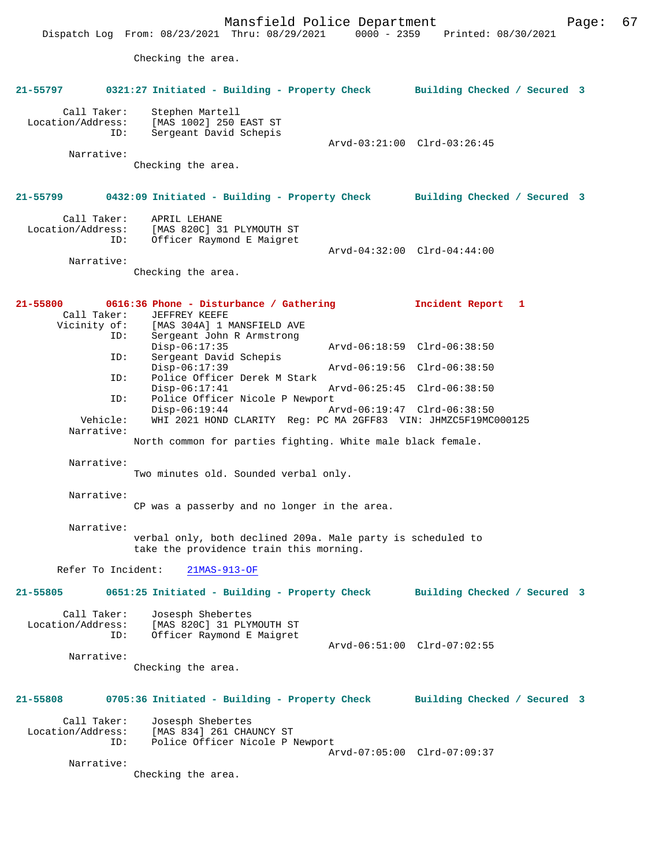Mansfield Police Department Form Page: 67 Dispatch Log From: 08/23/2021 Thru: 08/29/2021 0000 - 2359 Printed: 08/30/2021 Checking the area. **21-55797 0321:27 Initiated - Building - Property Check Building Checked / Secured 3** Call Taker: Stephen Martell Location/Address: [MAS 1002] 250 EAST ST Sergeant David Schepis Arvd-03:21:00 Clrd-03:26:45 Narrative: Checking the area. **21-55799 0432:09 Initiated - Building - Property Check Building Checked / Secured 3** Call Taker: APRIL LEHANE Location/Address: [MAS 820C] 31 PLYMOUTH ST ID: Officer Raymond E Maigret Arvd-04:32:00 Clrd-04:44:00 Narrative: Checking the area. **21-55800 0616:36 Phone - Disturbance / Gathering Incident Report 1**  Call Taker: JEFFREY KEEFE Vicinity of: [MAS 304A] 1 MANSFIELD AVE<br>ID: Sergeant John R Armstrong Sergeant John R Armstrong<br>Disp-06:17:35 Disp-06:17:35 Arvd-06:18:59 Clrd-06:38:50 ID: Sergeant David Schepis<br>Disp-06:17:39 Disp-06:17:39 <br>Disp-06:17:39 <br>Dice Officer Derek M Stark<br>Displace Officer Derek M Stark Police Officer Derek M Stark<br>Disp-06:17:41 Disp-06:17:41 Arvd-06:25:45 Clrd-06:38:50<br>TD: Police Officer Nicole P Newport Police Officer Nicole P Newport<br>Disp-06:19:44 A Disp-06:19:44 Arvd-06:19:47 Clrd-06:38:50 Vehicle: WHI 2021 HOND CLARITY Reg: PC MA 2GFF83 VIN: JHMZC5F19MC000125 Narrative: North common for parties fighting. White male black female. Narrative: Two minutes old. Sounded verbal only. Narrative: CP was a passerby and no longer in the area. Narrative: verbal only, both declined 209a. Male party is scheduled to take the providence train this morning. Refer To Incident: 21MAS-913-OF **21-55805 0651:25 Initiated - Building - Property Check Building Checked / Secured 3** Call Taker: Josesph Shebertes<br>Location/Address: [MAS 820C] 31 PLY [MAS 820C] 31 PLYMOUTH ST ID: Officer Raymond E Maigret Arvd-06:51:00 Clrd-07:02:55 Narrative: Checking the area. **21-55808 0705:36 Initiated - Building - Property Check Building Checked / Secured 3** Call Taker: Josesph Shebertes<br>Location/Address: [MAS 834] 261 CHA [MAS 834] 261 CHAUNCY ST ID: Police Officer Nicole P Newport Arvd-07:05:00 Clrd-07:09:37 Narrative: Checking the area.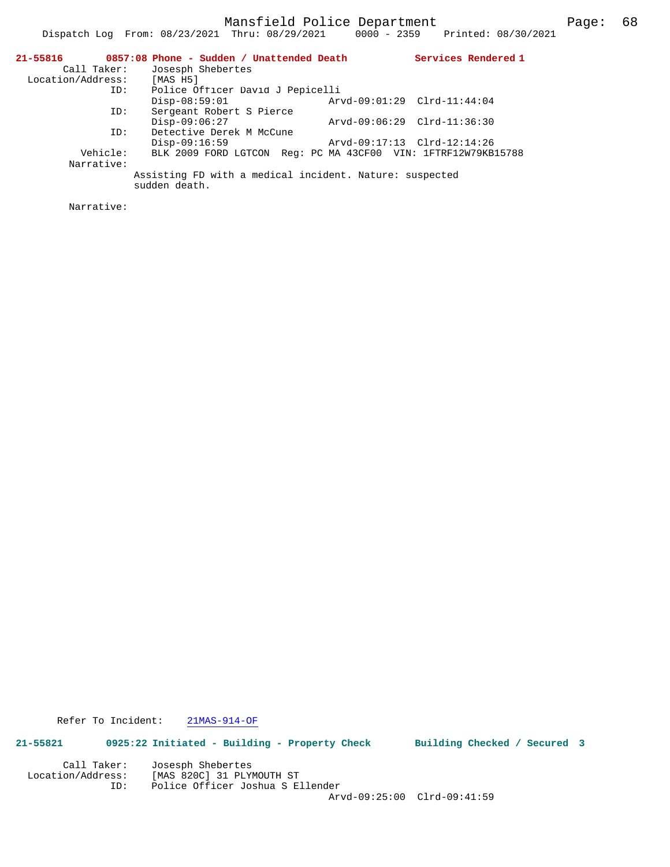Mansfield Police Department Page: 68

|                            | Dispatch Log From: $08/23/2021$ Thru: $08/29/2021$ 0000 - 2359           |                             | Printed: 08/30/2021 |  |
|----------------------------|--------------------------------------------------------------------------|-----------------------------|---------------------|--|
|                            | $21-55816$ 0857:08 Phone - Sudden / Unattended Death                     |                             | Services Rendered 1 |  |
| Call Taker:                | Josesph Shebertes                                                        |                             |                     |  |
| Location/Address: [MAS H5] |                                                                          |                             |                     |  |
| ID:                        | Police Officer David J Pepicelli                                         |                             |                     |  |
|                            | $Disp-08:59:01$                                                          | Arvd-09:01:29 Clrd-11:44:04 |                     |  |
| ID:                        | Sergeant Robert S Pierce                                                 |                             |                     |  |
|                            | $Disp-09:06:27$                                                          | Arvd-09:06:29 Clrd-11:36:30 |                     |  |
| ID:                        | Detective Derek M McCune                                                 |                             |                     |  |
|                            | $Disp-09:16:59$                                                          | Arvd-09:17:13 Clrd-12:14:26 |                     |  |
| Vehicle:                   | BLK 2009 FORD LGTCON Req: PC MA 43CF00 VIN: 1FTRF12W79KB15788            |                             |                     |  |
| Narrative:                 |                                                                          |                             |                     |  |
|                            | Assisting FD with a medical incident. Nature: suspected<br>sudden death. |                             |                     |  |

Narrative:

Refer To Incident: 21MAS-914-OF

**21-55821 0925:22 Initiated - Building - Property Check Building Checked / Secured 3** Call Taker: Josesph Shebertes

 Location/Address: [MAS 820C] 31 PLYMOUTH ST ID: Police Officer Joshua S Ellender Arvd-09:25:00 Clrd-09:41:59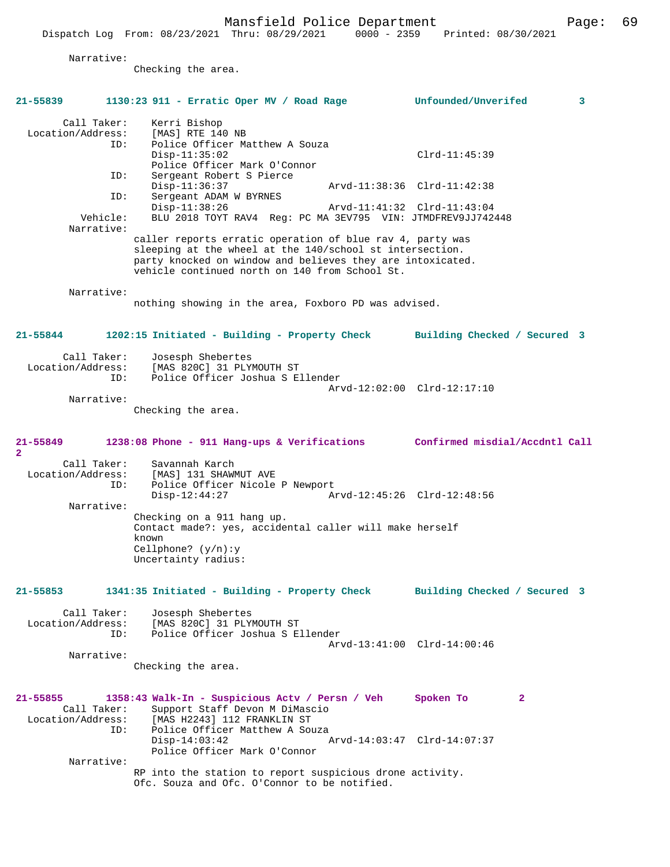Narrative:

Checking the area.

# **21-55839 1130:23 911 - Erratic Oper MV / Road Rage Unfounded/Unverifed 3** Call Taker: Kerri Bishop<br>on/Address: [MAS] RTE 140 NB Location/Address: ID: Police Officer Matthew A Souza Disp-11:35:02 Clrd-11:45:39 Police Officer Mark O'Connor<br>ID: Sergeant Robert S Pierce Sergeant Robert S Pierce<br>Disp-11:36:37 Disp-11:36:37 <br>
D: Sergeant ADAM W BYRNES <br>
D: Sergeant ADAM W BYRNES Sergeant ADAM W BYRNES Disp-11:38:26 Arvd-11:41:32 Clrd-11:43:04<br>Vehicle: BLU 2018 TOYT RAV4 Reg: PC MA 3EV795 VIN: JTMDFREV9JJJ742 BLU 2018 TOYT RAV4 Reg: PC MA 3EV795 VIN: JTMDFREV9JJ742448 Narrative: caller reports erratic operation of blue rav 4, party was sleeping at the wheel at the 140/school st intersection. party knocked on window and believes they are intoxicated. vehicle continued north on 140 from School St. Narrative: nothing showing in the area, Foxboro PD was advised. **21-55844 1202:15 Initiated - Building - Property Check Building Checked / Secured 3** Call Taker: Josesph Shebertes<br>Location/Address: [MAS 820C] 31 PLY ess: [MAS 820C] 31 PLYMOUTH ST<br>ID: Police Officer Joshua S.E. Police Officer Joshua S Ellender Arvd-12:02:00 Clrd-12:17:10 Narrative: Checking the area. **21-55849 1238:08 Phone - 911 Hang-ups & Verifications Confirmed misdial/Accdntl Call 2**  Call Taker: Savannah Karch<br>Location/Address: [MAS] 131 SHAW ess: [MAS] 131 SHAWMUT AVE<br>ID: Police Officer Nicole Police Officer Nicole P Newport Disp-12:44:27 Arvd-12:45:26 Clrd-12:48:56 Narrative: Checking on a 911 hang up. Contact made?: yes, accidental caller will make herself known Cellphone? (y/n):y Uncertainty radius: **21-55853 1341:35 Initiated - Building - Property Check Building Checked / Secured 3** Call Taker: Josesph Shebertes Location/Address: [MAS 820C] 31 PLYMOUTH ST ID: Police Officer Joshua S Ellender Arvd-13:41:00 Clrd-14:00:46 Narrative: Checking the area. **21-55855 1358:43 Walk-In - Suspicious Actv / Persn / Veh Spoken To 2**  Call Taker: Support Staff Devon M DiMascio<br>Location/Address: [MAS H2243] 112 FRANKLIN ST [MAS H2243] 112 FRANKLIN ST ID: Police Officer Matthew A Souza<br>Disp-14:03:42 Disp-14:03:42 Arvd-14:03:47 Clrd-14:07:37 Police Officer Mark O'Connor Narrative: RP into the station to report suspicious drone activity. Ofc. Souza and Ofc. O'Connor to be notified.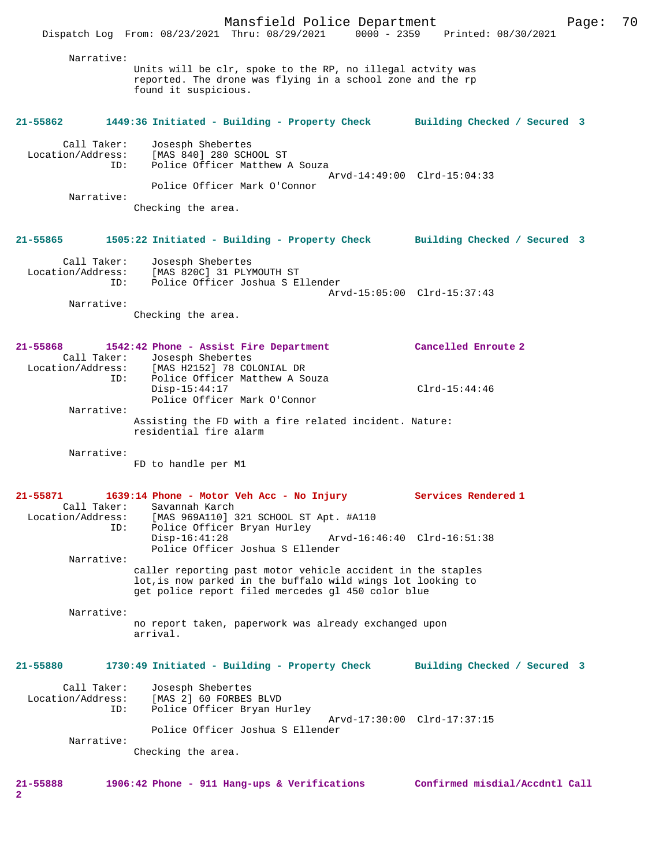Mansfield Police Department Page: 70 Dispatch Log From: 08/23/2021 Thru: 08/29/2021 0000 - 2359 Printed: 08/30/2021 Narrative: Units will be clr, spoke to the RP, no illegal actvity was reported. The drone was flying in a school zone and the rp found it suspicious. **21-55862 1449:36 Initiated - Building - Property Check Building Checked / Secured 3** Call Taker: Josesph Shebertes Location/Address: [MAS 840] 280 SCHOOL ST ID: Police Officer Matthew A Souza Arvd-14:49:00 Clrd-15:04:33 Police Officer Mark O'Connor Narrative: Checking the area. **21-55865 1505:22 Initiated - Building - Property Check Building Checked / Secured 3** Call Taker: Josesph Shebertes Location/Address: [MAS 820C] 31 PLYMOUTH ST ID: Police Officer Joshua S Ellender Arvd-15:05:00 Clrd-15:37:43 Narrative: Checking the area. **21-55868 1542:42 Phone - Assist Fire Department Cancelled Enroute 2**  Call Taker: Josesph Shebertes<br>Location/Address: [MAS H2152] 78 CO [MAS H2152] 78 COLONIAL DR ID: Police Officer Matthew A Souza Disp-15:44:17 Clrd-15:44:46 Police Officer Mark O'Connor Narrative: Assisting the FD with a fire related incident. Nature: residential fire alarm Narrative: FD to handle per M1 **21-55871 1639:14 Phone - Motor Veh Acc - No Injury Services Rendered 1**  Call Taker: Savannah Karch<br>Location/Address: [MAS 969A110] 3 ess: [MAS 969A110] 321 SCHOOL ST Apt. #A110<br>ID: Police Officer Bryan Hurley Police Officer Bryan Hurley<br>Disp-16:41:28 Arvd-16:46:40 Clrd-16:51:38 Police Officer Joshua S Ellender Narrative: caller reporting past motor vehicle accident in the staples lot,is now parked in the buffalo wild wings lot looking to get police report filed mercedes gl 450 color blue Narrative: no report taken, paperwork was already exchanged upon arrival. **21-55880 1730:49 Initiated - Building - Property Check Building Checked / Secured 3** Call Taker: Josesph Shebertes<br>Location/Address: [MAS 2] 60 FORBES Rocation: [MAS 2] 60 FORBES BLVD<br>ID: Police Officer Brvan H Police Officer Bryan Hurley Arvd-17:30:00 Clrd-17:37:15 Police Officer Joshua S Ellender Narrative: Checking the area. **21-55888 1906:42 Phone - 911 Hang-ups & Verifications Confirmed misdial/Accdntl Call**

**2**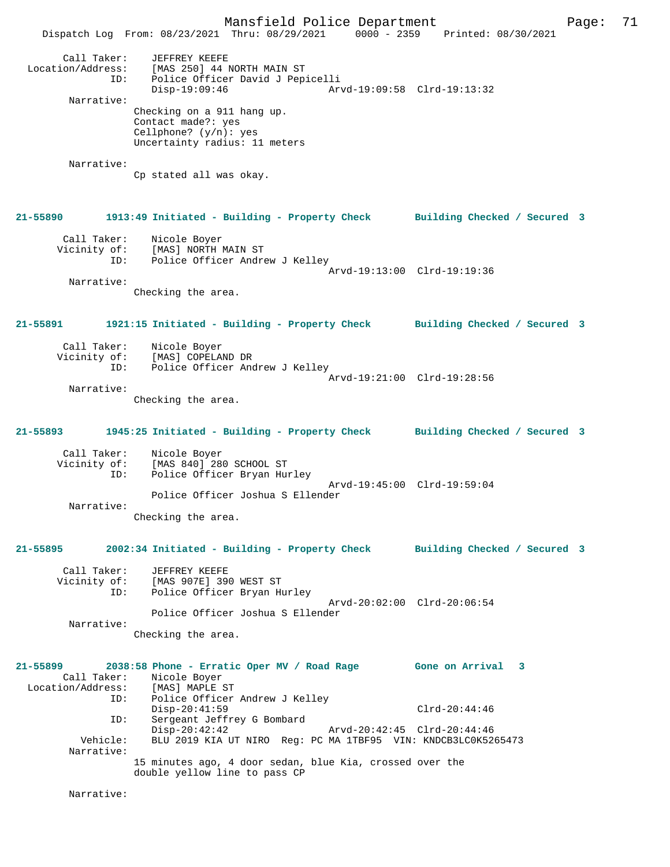Mansfield Police Department Page: 71 Dispatch Log From: 08/23/2021 Thru: 08/29/2021 0000 - 2359 Printed: 08/30/2021 Call Taker: JEFFREY KEEFE Location/Address: [MAS 250] 44 NORTH MAIN ST ID: Police Officer David J Pepicelli<br>Disp-19:09:46 Arv Disp-19:09:46 Arvd-19:09:58 Clrd-19:13:32 Narrative: Checking on a 911 hang up. Contact made?: yes Cellphone? (y/n): yes Uncertainty radius: 11 meters Narrative: Cp stated all was okay. **21-55890 1913:49 Initiated - Building - Property Check Building Checked / Secured 3** Call Taker: Nicole Boyer Vicinity of: [MAS] NORTH MAIN ST ID: Police Officer Andrew J Kelley Arvd-19:13:00 Clrd-19:19:36 Narrative: Checking the area. **21-55891 1921:15 Initiated - Building - Property Check Building Checked / Secured 3** Call Taker: Nicole Boyer Vicinity of: [MAS] COPELAND DR<br>ID: Police Officer And Police Officer Andrew J Kelley Arvd-19:21:00 Clrd-19:28:56 Narrative: Checking the area. **21-55893 1945:25 Initiated - Building - Property Check Building Checked / Secured 3** Call Taker: Nicole Boyer Vicinity of: [MAS 840] 280 SCHOOL ST<br>ID: Police Officer Bryan Hum Police Officer Bryan Hurley Arvd-19:45:00 Clrd-19:59:04 Police Officer Joshua S Ellender Narrative: Checking the area. **21-55895 2002:34 Initiated - Building - Property Check Building Checked / Secured 3** Call Taker: JEFFREY KEEFE<br>Vicinity of: [MAS 907E] 39 of: [MAS 907E] 390 WEST ST<br>ID: Police Officer Bryan H Police Officer Bryan Hurley Arvd-20:02:00 Clrd-20:06:54 Police Officer Joshua S Ellender Narrative: Checking the area. **21-55899 2038:58 Phone - Erratic Oper MV / Road Rage Gone on Arrival 3**  Call Taker: Nicole Boyer<br>ion/Address: [MAS] MAPLE ST Location/Address:<br>ID: Police Officer Andrew J Kelley Disp-20:41:59 Clrd-20:44:46 ID: Sergeant Jeffrey G Bombard Disp-20:42:42<br>
Disp-20:42:42<br>
Vehicle: BLU 2019 KIA UT NIRO Reg: PC MA 1TRE95 VIN: KNDCB3LC0K526 BLU 2019 KIA UT NIRO Reg: PC MA 1TBF95 VIN: KNDCB3LC0K5265473 Narrative: 15 minutes ago, 4 door sedan, blue Kia, crossed over the double yellow line to pass CP Narrative: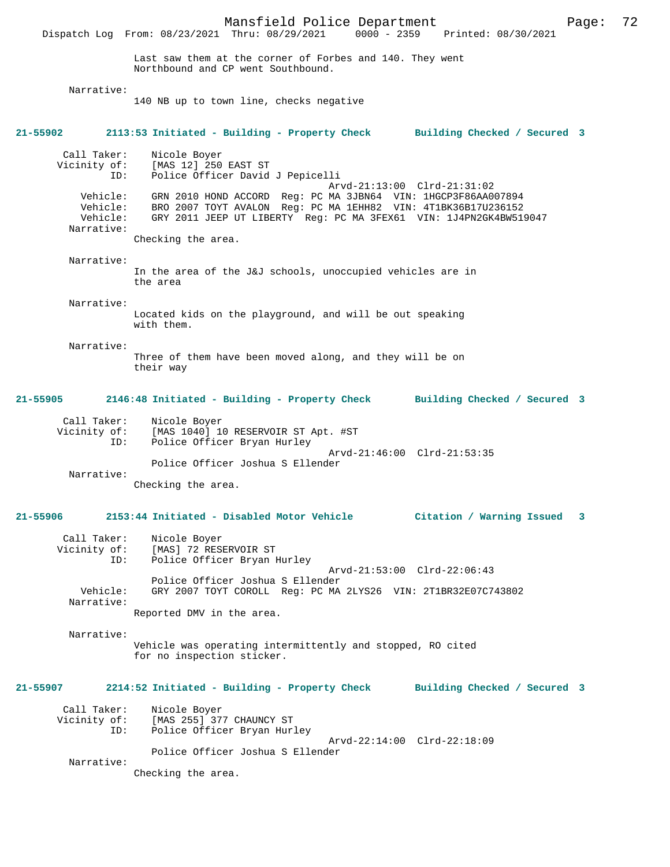Mansfield Police Department Page: 72 Dispatch Log From: 08/23/2021 Thru: 08/29/2021 0000 - 2359 Last saw them at the corner of Forbes and 140. They went Northbound and CP went Southbound. Narrative: 140 NB up to town line, checks negative **21-55902 2113:53 Initiated - Building - Property Check Building Checked / Secured 3** Call Taker: Nicole Boyer Vicinity of: [MAS 12] 250 EAST ST ID: Police Officer David J Pepicelli Arvd-21:13:00 Clrd-21:31:02 Vehicle: GRN 2010 HOND ACCORD Reg: PC MA 3JBN64 VIN: 1HGCP3F86AA007894 Vehicle: BRO 2007 TOYT AVALON Reg: PC MA 1EHH82 VIN: 4T1BK36B17U236152 Vehicle: GRY 2011 JEEP UT LIBERTY Reg: PC MA 3FEX61 VIN: 1J4PN2GK4BW519047 Narrative: Checking the area. Narrative: In the area of the J&J schools, unoccupied vehicles are in the area Narrative: Located kids on the playground, and will be out speaking with them. Narrative: Three of them have been moved along, and they will be on their way **21-55905 2146:48 Initiated - Building - Property Check Building Checked / Secured 3** Call Taker: Nicole Boyer Vicinity of: [MAS 1040] 10 RESERVOIR ST Apt. #ST ID: Police Officer Bryan Hurley Arvd-21:46:00 Clrd-21:53:35 Police Officer Joshua S Ellender Narrative: Checking the area. **21-55906 2153:44 Initiated - Disabled Motor Vehicle Citation / Warning Issued 3** Call Taker: Nicole Boyer<br>Vicinity of: [MAS] 72 RESI Vicinity of: [MAS] 72 RESERVOIR ST ID: Police Officer Bryan Hurley Arvd-21:53:00 Clrd-22:06:43 Police Officer Joshua S Ellender Vehicle: GRY 2007 TOYT COROLL Reg: PC MA 2LYS26 VIN: 2T1BR32E07C743802 Narrative: Reported DMV in the area. Narrative: Vehicle was operating intermittently and stopped, RO cited for no inspection sticker. **21-55907 2214:52 Initiated - Building - Property Check Building Checked / Secured 3** Call Taker: Nicole Boyer<br>Vicinity of: [MAS 255] 37 MAS 2551 377 CHAUNCY ST ID: Police Officer Bryan Hurley Arvd-22:14:00 Clrd-22:18:09 Police Officer Joshua S Ellender Narrative:

Checking the area.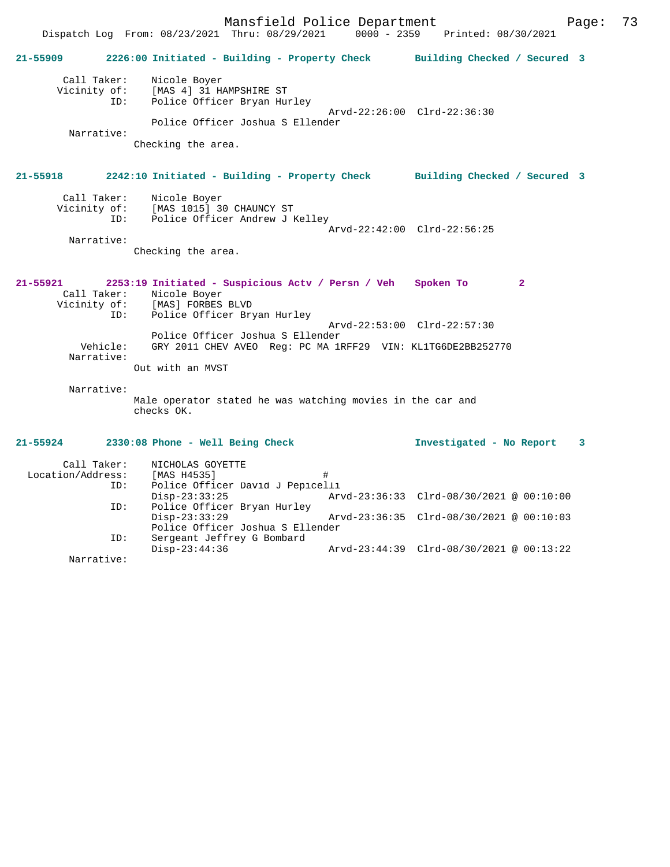Mansfield Police Department Page: 73 Dispatch Log From: 08/23/2021 Thru: 08/29/2021 **21-55909 2226:00 Initiated - Building - Property Check Building Checked / Secured 3** Call Taker: Nicole Boyer Vicinity of: [MAS 4] 31 HAMPSHIRE ST ID: Police Officer Bryan Hurley Arvd-22:26:00 Clrd-22:36:30 Police Officer Joshua S Ellender Narrative: Checking the area. **21-55918 2242:10 Initiated - Building - Property Check Building Checked / Secured 3** Call Taker: Nicole Boyer Vicinity of: [MAS 1015] 30 CHAUNCY ST<br>ID: Police Officer Andrew J P Police Officer Andrew J Kelley Arvd-22:42:00 Clrd-22:56:25 Narrative: Checking the area. **21-55921 2253:19 Initiated - Suspicious Actv / Persn / Veh Spoken To 2**  Call Taker: Nicole Boyer Vicinity of: [MAS] FORBES BLVD Vicinity of: [MAS] FORBES BLVD<br>ID: Police Officer Bryan Hurley Arvd-22:53:00 Clrd-22:57:30 Police Officer Joshua S Ellender Vehicle: GRY 2011 CHEV AVEO Reg: PC MA 1RFF29 VIN: KL1TG6DE2BB252770 Narrative: Out with an MVST Narrative: Male operator stated he was watching movies in the car and checks OK. **21-55924 2330:08 Phone - Well Being Check Investigated - No Report 3** Call Taker: NICHOLAS GOYETTE<br>ion/Address: [MAS H4535] Location/Address: [MAS H4535] #<br>ID: Police Officer David J Pepicel Police Officer David J Pepicelli Disp-23:33:25 Arvd-23:36:33 Clrd-08/30/2021 @ 00:10:00<br>TD: Police Officer Bryan Hurley Police Officer Bryan Hurley<br>Disp-23:33:29 Disp-23:33:29 Arvd-23:36:35 Clrd-08/30/2021 @ 00:10:03 Police Officer Joshua S Ellender

 ID: Sergeant Jeffrey G Bombard Disp-23:44:36 Arvd-23:44:39 Clrd-08/30/2021 @ 00:13:22

Narrative: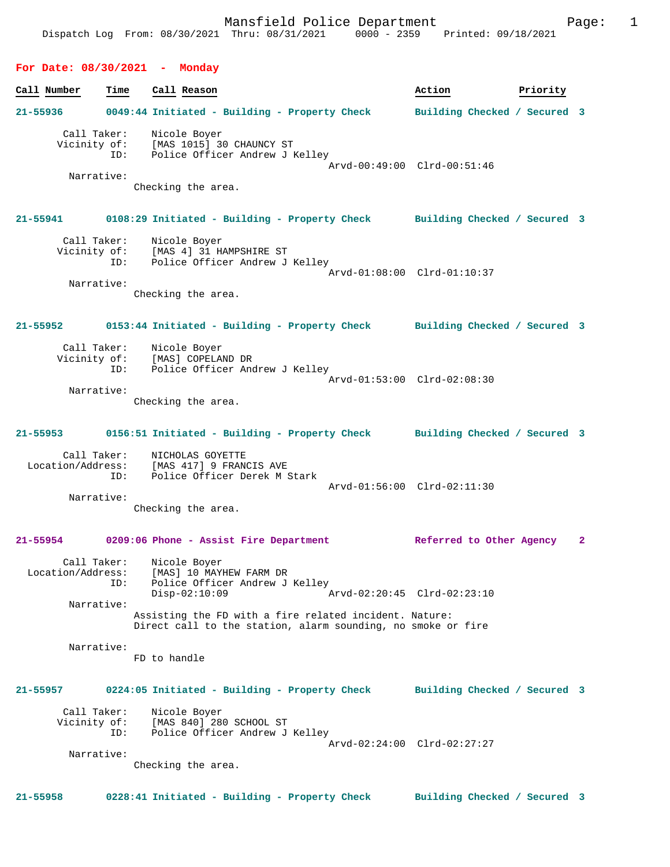### **For Date: 08/30/2021 - Monday**

# **Call Number Time Call Reason 6 and Call Reason Action Action Priority 21-55936 0049:44 Initiated - Building - Property Check Building Checked / Secured 3** Call Taker: Nicole Boyer Vicinity of: [MAS 1015] 30 CHAUNCY ST ID: Police Officer Andrew J Kelley Arvd-00:49:00 Clrd-00:51:46 Narrative: Checking the area. **21-55941 0108:29 Initiated - Building - Property Check Building Checked / Secured 3** Call Taker: Nicole Boyer Vicinity of: [MAS 4] 31 HAMPSHIRE ST ID: Police Officer Andrew J Kelley Arvd-01:08:00 Clrd-01:10:37 Narrative: Checking the area. **21-55952 0153:44 Initiated - Building - Property Check Building Checked / Secured 3** Call Taker: Nicole Boyer<br>Vicinity of: [MAS] COPELAI Vicinity of: [MAS] COPELAND DR ID: Police Officer Andrew J Kelley Arvd-01:53:00 Clrd-02:08:30 Narrative: Checking the area. **21-55953 0156:51 Initiated - Building - Property Check Building Checked / Secured 3** Call Taker: NICHOLAS GOYETTE Location/Address: [MAS 417] 9 FRANCIS AVE ID: Police Officer Derek M Stark Arvd-01:56:00 Clrd-02:11:30 Narrative: Checking the area. **21-55954 0209:06 Phone - Assist Fire Department Referred to Other Agency 2** Call Taker: Nicole Boyer Location/Address: [MAS] 10 MAYHEW FARM DR<br>ID: Police Officer Andrew J Police Officer Andrew J Kelley<br>Disp-02:10:09 A Disp-02:10:09 Arvd-02:20:45 Clrd-02:23:10 Narrative: Assisting the FD with a fire related incident. Nature: Direct call to the station, alarm sounding, no smoke or fire Narrative: FD to handle **21-55957 0224:05 Initiated - Building - Property Check Building Checked / Secured 3** Call Taker: Nicole Boyer<br>Vicinity of: [MAS 840] 28 Vicinity of: [MAS 840] 280 SCHOOL ST ID: Police Officer Andrew J Kelley ID: Police Officer Andrew J Kelley<br>Arvd-02:24:00 Clrd-02:27:27 Narrative: Checking the area. **21-55958 0228:41 Initiated - Building - Property Check Building Checked / Secured 3**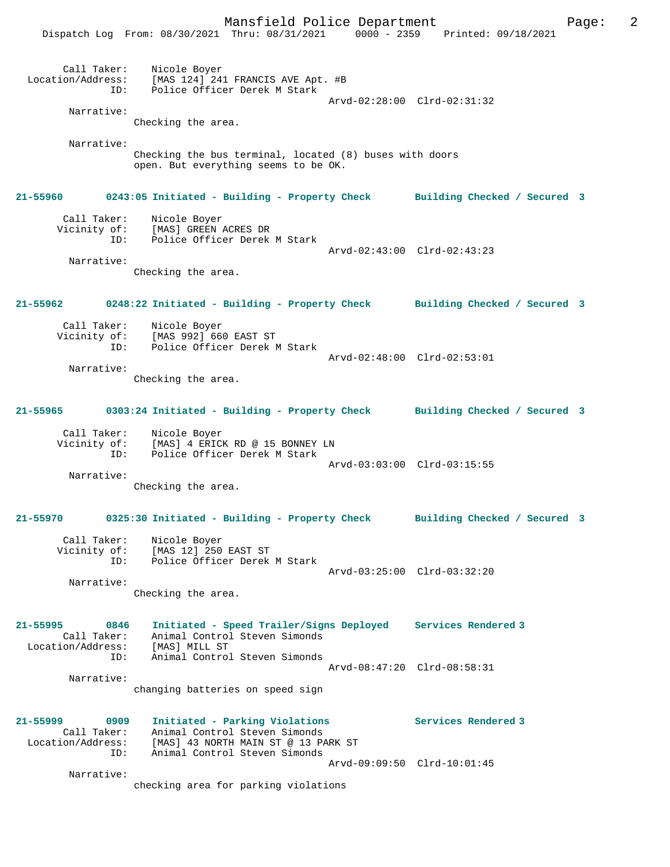|                                                             | Dispatch Log From: 08/30/2021 Thru: 08/31/2021 0000 - 2359 Printed: 09/18/2021                                                                  |                              |
|-------------------------------------------------------------|-------------------------------------------------------------------------------------------------------------------------------------------------|------------------------------|
| Call Taker:<br>ID:                                          | Nicole Boyer<br>Location/Address: [MAS 124] 241 FRANCIS AVE Apt. #B<br>Police Officer Derek M Stark                                             | Arvd-02:28:00 Clrd-02:31:32  |
| Narrative:                                                  |                                                                                                                                                 |                              |
|                                                             | Checking the area.                                                                                                                              |                              |
| Narrative:                                                  | Checking the bus terminal, located (8) buses with doors<br>open. But everything seems to be OK.                                                 |                              |
|                                                             | 21-55960 0243:05 Initiated - Building - Property Check Building Checked / Secured 3                                                             |                              |
| Call Taker:<br>ID:                                          | Nicole Boyer<br>Vicinity of: [MAS] GREEN ACRES DR<br>Police Officer Derek M Stark                                                               |                              |
| Narrative:                                                  | Checking the area.                                                                                                                              | Arvd-02:43:00 Clrd-02:43:23  |
| 21-55962                                                    | 0248:22 Initiated - Building - Property Check Building Checked / Secured 3                                                                      |                              |
|                                                             | Call Taker: Nicole Boyer<br>Vicinity of: [MAS 992] 660 EAST ST<br>ID: Police Officer Derek M Stark                                              | Arvd-02:48:00 Clrd-02:53:01  |
| Narrative:                                                  | Checking the area.                                                                                                                              |                              |
| 21-55965                                                    | 0303:24 Initiated - Building - Property Check Building Checked / Secured 3                                                                      |                              |
| Vicinity of:<br>ID:                                         | Call Taker: Nicole Boyer<br>[MAS] 4 ERICK RD @ 15 BONNEY LN<br>Police Officer Derek M Stark                                                     | Arvd-03:03:00 Clrd-03:15:55  |
| Narrative:                                                  | Checking the area.                                                                                                                              |                              |
| 21-55970                                                    | 0325:30 Initiated - Building - Property Check                                                                                                   | Building Checked / Secured 3 |
| Call Taker:<br>ID:                                          | Nicole Boyer<br>Vicinity of: [MAS 12] 250 EAST ST<br>Police Officer Derek M Stark                                                               | Arvd-03:25:00 Clrd-03:32:20  |
| Narrative:                                                  | Checking the area.                                                                                                                              |                              |
| 21-55995<br>0846<br>Call Taker:<br>Location/Address:<br>ID: | Initiated - Speed Trailer/Signs Deployed Services Rendered 3<br>Animal Control Steven Simonds<br>[MAS] MILL ST<br>Animal Control Steven Simonds |                              |
| Narrative:                                                  | changing batteries on speed sign                                                                                                                | Arvd-08:47:20 Clrd-08:58:31  |
| 21-55999<br>0909<br>Call Taker:<br>Location/Address:<br>ID: | Initiated - Parking Violations<br>Animal Control Steven Simonds<br>[MAS] 43 NORTH MAIN ST @ 13 PARK ST<br>Animal Control Steven Simonds         | Services Rendered 3          |
| Narrative:                                                  | checking area for parking violations                                                                                                            | Arvd-09:09:50 Clrd-10:01:45  |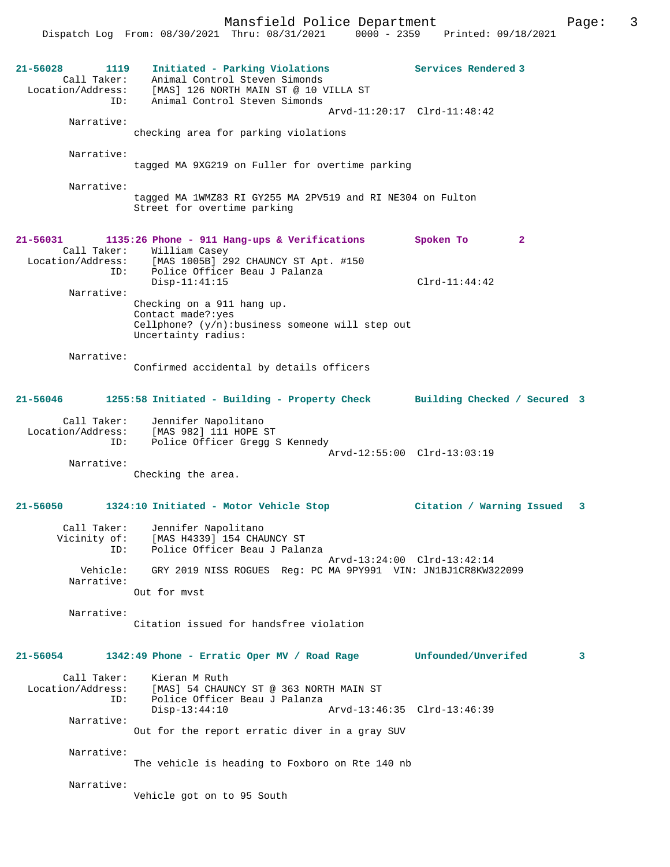Mansfield Police Department Form Page: 3 Dispatch Log From: 08/30/2021 Thru: 08/31/2021 0000 - 2359 Printed: 09/18/2021 **21-56028 1119 Initiated - Parking Violations Services Rendered 3**  Call Taker: Animal Control Steven Simonds Location/Address: [MAS] 126 NORTH MAIN ST @ 10 VILLA ST ID: Animal Control Steven Simonds Arvd-11:20:17 Clrd-11:48:42 Narrative: checking area for parking violations Narrative: tagged MA 9XG219 on Fuller for overtime parking Narrative: tagged MA 1WMZ83 RI GY255 MA 2PV519 and RI NE304 on Fulton Street for overtime parking **21-56031 1135:26 Phone - 911 Hang-ups & Verifications Spoken To 2**  Call Taker: William Casey<br>Location/Address: [MAS 1005B] 29 ess: [MAS 1005B] 292 CHAUNCY ST Apt. #150<br>ID: Police Officer Beau J Palanza Police Officer Beau J Palanza Disp-11:41:15 Clrd-11:44:42 Narrative: Checking on a 911 hang up. Contact made?:yes Cellphone? (y/n):business someone will step out Uncertainty radius: Narrative: Confirmed accidental by details officers **21-56046 1255:58 Initiated - Building - Property Check Building Checked / Secured 3** Call Taker: Jennifer Napolitano Location/Address: [MAS 982] 111 HOPE ST ID: Police Officer Gregg S Kennedy Arvd-12:55:00 Clrd-13:03:19 Narrative: Checking the area. **21-56050 1324:10 Initiated - Motor Vehicle Stop Citation / Warning Issued 3** Call Taker: Jennifer Napolitano<br>Vicinity of: [MAS H4339] 154 CHAN of: [MAS H4339] 154 CHAUNCY ST<br>TD: Police Officer Beau J Palau Police Officer Beau J Palanza Arvd-13:24:00 Clrd-13:42:14<br>Vehicle: GRY 2019 NISS ROGUES Reg: PC MA 9PY991 VIN: JN1BJ1CR8KW3 GRY 2019 NISS ROGUES Reg: PC MA 9PY991 VIN: JN1BJ1CR8KW322099 Narrative: Out for mvst Narrative: Citation issued for handsfree violation **21-56054 1342:49 Phone - Erratic Oper MV / Road Rage Unfounded/Unverifed 3** Call Taker: Kieran M Ruth<br>Location/Address: [MAS] 54 CHAUI [MAS] 54 CHAUNCY ST @ 363 NORTH MAIN ST ID: Police Officer Beau J Palanza Disp-13:44:10 Arvd-13:46:35 Clrd-13:46:39 Narrative: Out for the report erratic diver in a gray SUV Narrative: The vehicle is heading to Foxboro on Rte 140 nb Narrative: Vehicle got on to 95 South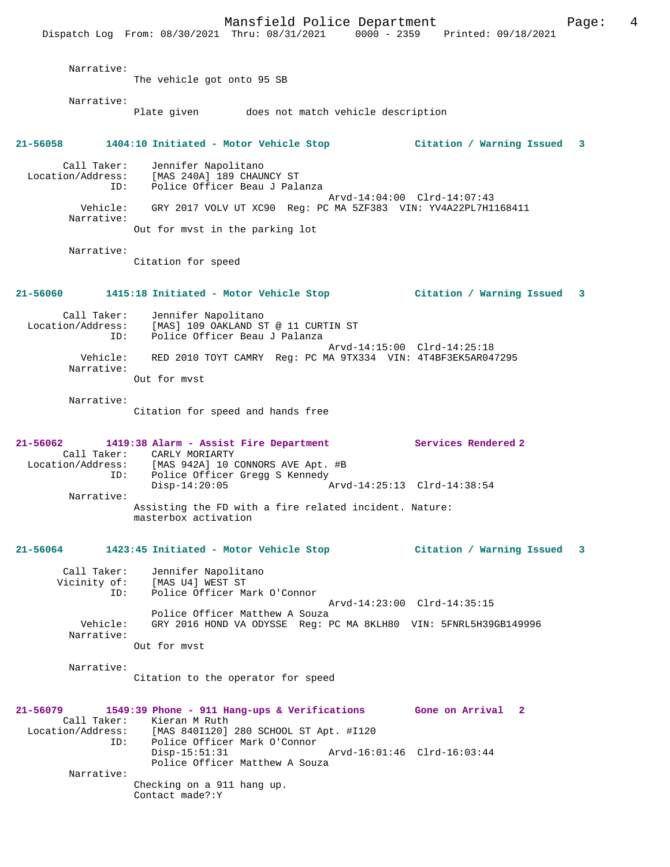Mansfield Police Department Form Page: 4 Dispatch Log From: 08/30/2021 Thru: 08/31/2021 0000 - 2359 Printed: 09/18/2021 Narrative: The vehicle got onto 95 SB Narrative: Plate given does not match vehicle description **21-56058 1404:10 Initiated - Motor Vehicle Stop Citation / Warning Issued 3** Call Taker: Jennifer Napolitano Location/Address: [MAS 240A] 189 CHAUNCY ST ID: Police Officer Beau J Palanza Arvd-14:04:00 Clrd-14:07:43<br>Vehicle: GRY 2017 VOLV UT XC90 Req: PC MA 5ZF383 VIN: YV4A22PL7H1 Vehicle: GRY 2017 VOLV UT XC90 Reg: PC MA 5ZF383 VIN: YV4A22PL7H1168411 Narrative: Out for mvst in the parking lot Narrative: Citation for speed **21-56060 1415:18 Initiated - Motor Vehicle Stop Citation / Warning Issued 3** Call Taker: Jennifer Napolitano Location/Address: [MAS] 109 OAKLAND ST @ 11 CURTIN ST ID: Police Officer Beau J Palanza Arvd-14:15:00 Clrd-14:25:18 Vehicle: RED 2010 TOYT CAMRY Reg: PC MA 9TX334 VIN: 4T4BF3EK5AR047295 Narrative: Out for mvst Narrative: Citation for speed and hands free **21-56062 1419:38 Alarm - Assist Fire Department Services Rendered 2**  Call Taker: CARLY MORIARTY Location/Address: [MAS 942A] 10 CONNORS AVE Apt. #B ID: Police Officer Gregg S Kennedy<br>Disp-14:20:05 Disp-14:20:05 Arvd-14:25:13 Clrd-14:38:54 Narrative: Assisting the FD with a fire related incident. Nature: masterbox activation **21-56064 1423:45 Initiated - Motor Vehicle Stop Citation / Warning Issued 3** Call Taker: Jennifer Napolitano Vicinity of: [MAS U4] WEST ST ID: Police Officer Mark O'Connor Arvd-14:23:00 Clrd-14:35:15 Police Officer Matthew A Souza<br>Vehicle: GRY 2016 HOND VA ODYSSE Req: E GRY 2016 HOND VA ODYSSE Reg: PC MA 8KLH80 VIN: 5FNRL5H39GB149996 Narrative: Out for mvst Narrative: Citation to the operator for speed **21-56079 1549:39 Phone - 911 Hang-ups & Verifications Gone on Arrival 2**  Call Taker: Kieran M Ruth<br>Location/Address: [MAS 840I120] [MAS 840I120] 280 SCHOOL ST Apt. #I120 ID: Police Officer Mark O'Connor Disp-15:51:31 Arvd-16:01:46 Clrd-16:03:44 Police Officer Matthew A Souza Narrative: Checking on a 911 hang up. Contact made?:Y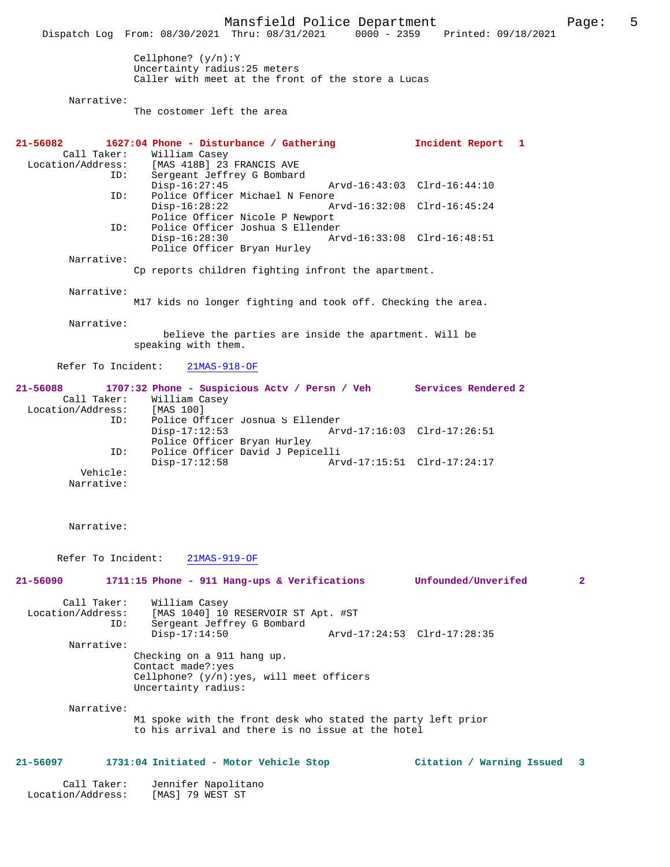Mansfield Police Department Page: 5 Dispatch Log From: 08/30/2021 Thru: 08/31/2021 Cellphone? (y/n):Y Uncertainty radius:25 meters Caller with meet at the front of the store a Lucas Narrative: The costomer left the area **21-56082 1627:04 Phone - Disturbance / Gathering Incident Report 1**  Call Taker: William Casey<br>Location/Address: [MAS 418B] 23 ess: [MAS 418B] 23 FRANCIS AVE<br>TD: Sergeant Jeffrey G Bombard Sergeant Jeffrey G Bombard<br>Disp-16:27:45 Disp-16:27:45 Arvd-16:43:03 Clrd-16:44:10<br>ID: Police Officer Michael N Fenore Police Officer Michael N Fenore Disp-16:28:22 Arvd-16:32:08 Clrd-16:45:24 Police Officer Nicole P Newport<br>TD: Police Officer Joshua S Ellender ID: Police Officer Joshua S Ellender Disp-16:28:30 Arvd-16:33:08 Clrd-16:48:51 Police Officer Bryan Hurley Narrative: Cp reports children fighting infront the apartment. Narrative: M17 kids no longer fighting and took off. Checking the area. Narrative: believe the parties are inside the apartment. Will be speaking with them. Refer To Incident: 21MAS-918-OF **21-56088 1707:32 Phone - Suspicious Actv / Persn / Veh Services Rendered 2**  Call Taker: William Casey<br>ion/Address: [MAS 100] Location/Address:<br>
ID: ID: Police Officer Joshua S Ellender Arvd-17:16:03 Clrd-17:26:51 Police Officer Bryan Hurley<br>ID: Police Officer David J Pepic Police Officer David J Pepicelli<br>Disp-17:12:58 Ar Arvd-17:15:51 Clrd-17:24:17 Vehicle: Narrative: Narrative: Refer To Incident: 21MAS-919-OF **21-56090 1711:15 Phone - 911 Hang-ups & Verifications Unfounded/Unverifed 2** Call Taker: William Casey<br>Location/Address: [MAS 1040] 10 ess: [MAS 1040] 10 RESERVOIR ST Apt. #ST<br>ID: Sergeant Jeffrey G Bombard Sergeant Jeffrey G Bombard<br>Disp-17:14:50 Disp-17:14:50 Arvd-17:24:53 Clrd-17:28:35 Narrative: Checking on a 911 hang up. Contact made?:yes Cellphone? (y/n):yes, will meet officers Uncertainty radius: Narrative: M1 spoke with the front desk who stated the party left prior to his arrival and there is no issue at the hotel **21-56097 1731:04 Initiated - Motor Vehicle Stop Citation / Warning Issued 3**

 Call Taker: Jennifer Napolitano Location/Address: [MAS] 79 WEST ST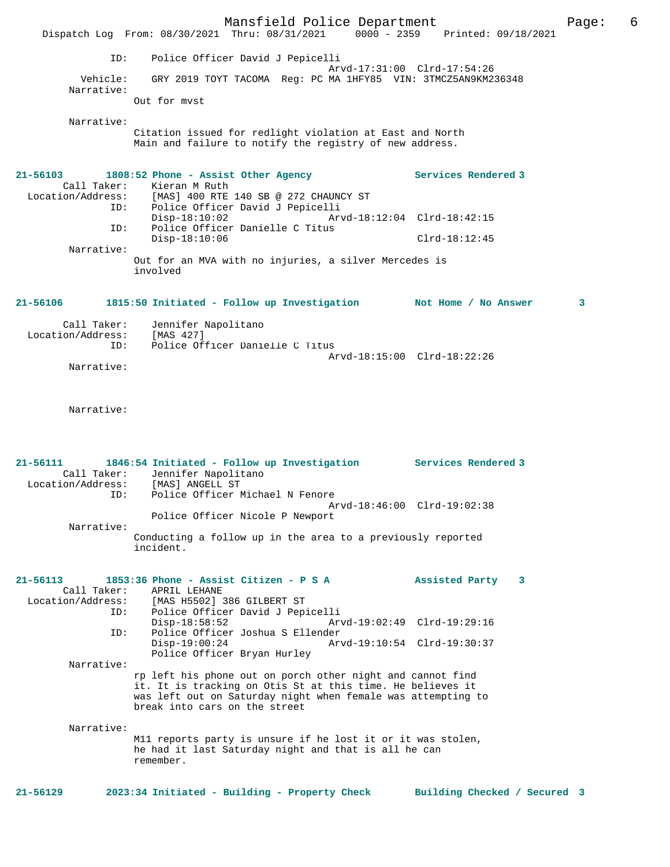|                                                            | Mansfield Police Department                                                                                                                                                                                                       |                                                                                | Page: | 6 |
|------------------------------------------------------------|-----------------------------------------------------------------------------------------------------------------------------------------------------------------------------------------------------------------------------------|--------------------------------------------------------------------------------|-------|---|
|                                                            | Dispatch Log From: 08/30/2021 Thru: 08/31/2021 0000 - 2359 Printed: 09/18/2021                                                                                                                                                    |                                                                                |       |   |
| ID:                                                        | Police Officer David J Pepicelli                                                                                                                                                                                                  | Arvd-17:31:00 Clrd-17:54:26                                                    |       |   |
| Vehicle:<br>Narrative:                                     | GRY 2019 TOYT TACOMA Req: PC MA 1HFY85 VIN: 3TMCZ5AN9KM236348                                                                                                                                                                     |                                                                                |       |   |
|                                                            | Out for myst                                                                                                                                                                                                                      |                                                                                |       |   |
| Narrative:                                                 | Citation issued for redlight violation at East and North<br>Main and failure to notify the registry of new address.                                                                                                               |                                                                                |       |   |
| $21 - 56103$<br>Call Taker:<br>ID:                         | 1808:52 Phone - Assist Other Agency<br>Kieran M Ruth<br>Location/Address: [MAS] 400 RTE 140 SB @ 272 CHAUNCY ST<br>Police Officer David J Pepicelli                                                                               | Services Rendered 3                                                            |       |   |
|                                                            | $Disp-18:10:02$                                                                                                                                                                                                                   | Arvd-18:12:04 Clrd-18:42:15                                                    |       |   |
| ID:                                                        | Police Officer Danielle C Titus<br>$Disp-18:10:06$                                                                                                                                                                                | $Clrd-18:12:45$                                                                |       |   |
| Narrative:                                                 | Out for an MVA with no injuries, a silver Mercedes is<br>involved                                                                                                                                                                 |                                                                                |       |   |
| 21-56106                                                   | 1815:50 Initiated - Follow up Investigation Mot Home / No Answer                                                                                                                                                                  |                                                                                | 3     |   |
| Call Taker:<br>Location/Address:<br>ID:                    | Jennifer Napolitano<br>[MAS 427]<br>Police Officer Danielle C Titus                                                                                                                                                               |                                                                                |       |   |
| Narrative:                                                 |                                                                                                                                                                                                                                   | Arvd-18:15:00 Clrd-18:22:26                                                    |       |   |
| Narrative:                                                 |                                                                                                                                                                                                                                   |                                                                                |       |   |
| 21-56111<br>Location/Address:<br>ID:                       | 1846:54 Initiated - Follow up Investigation Services Rendered 3<br>Call Taker: Jennifer Napolitano<br>[MAS] ANGELL ST<br>Police Officer Michael N Fenore                                                                          |                                                                                |       |   |
|                                                            | Police Officer Nicole P Newport                                                                                                                                                                                                   | Arvd-18:46:00 Clrd-19:02:38                                                    |       |   |
| Narrative:                                                 | Conducting a follow up in the area to a previously reported<br>incident.                                                                                                                                                          |                                                                                |       |   |
| 21-56113<br>Call Taker:<br>Location/Address:<br>ID:<br>ID: | 1853:36 Phone - Assist Citizen - P S A<br>APRIL LEHANE<br>[MAS H5502] 386 GILBERT ST<br>Police Officer David J Pepicelli<br>$Disp-18:58:52$<br>Police Officer Joshua S Ellender<br>$Disp-19:00:24$<br>Police Officer Bryan Hurley | Assisted Party 3<br>Arvd-19:02:49 Clrd-19:29:16<br>Arvd-19:10:54 Clrd-19:30:37 |       |   |
| Narrative:                                                 | rp left his phone out on porch other night and cannot find<br>it. It is tracking on Otis St at this time. He believes it<br>was left out on Saturday night when female was attempting to<br>break into cars on the street         |                                                                                |       |   |
| Narrative:                                                 | M11 reports party is unsure if he lost it or it was stolen,<br>he had it last Saturday night and that is all he can<br>remember.                                                                                                  |                                                                                |       |   |
| $21 - 56129$                                               | 2023:34 Initiated - Building - Property Check                                                                                                                                                                                     | Building Checked / Secured 3                                                   |       |   |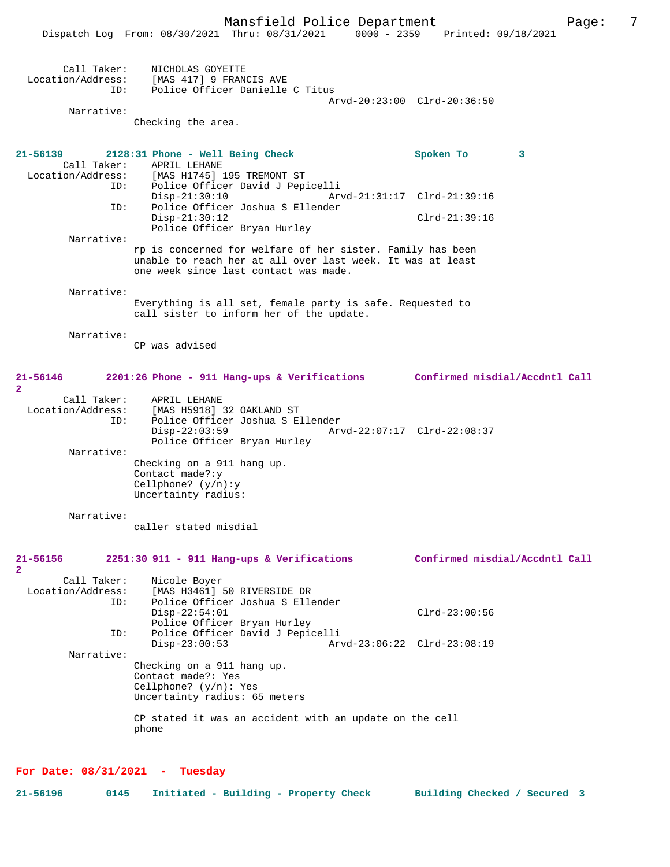|                                                | Dispatch Log From: 08/30/2021 Thru: 08/31/2021<br>$0000 - 2359$                                                                                                                                                                               | Printed: 09/18/2021                                              |
|------------------------------------------------|-----------------------------------------------------------------------------------------------------------------------------------------------------------------------------------------------------------------------------------------------|------------------------------------------------------------------|
| Call Taker:<br>Location/Address:<br>ID:        | NICHOLAS GOYETTE<br>[MAS 417] 9 FRANCIS AVE<br>Police Officer Danielle C Titus                                                                                                                                                                | Arvd-20:23:00 Clrd-20:36:50                                      |
| Narrative:                                     |                                                                                                                                                                                                                                               |                                                                  |
|                                                | Checking the area.                                                                                                                                                                                                                            |                                                                  |
| 21-56139<br>Call Taker:<br>ID:<br>ID:          | 2128:31 Phone - Well Being Check<br>APRIL LEHANE<br>Location/Address: [MAS H1745] 195 TREMONT ST<br>Police Officer David J Pepicelli<br>$Disp-21:30:10$<br>Police Officer Joshua S Ellender<br>$Disp-21:30:12$<br>Police Officer Bryan Hurley | Spoken To<br>3<br>Arvd-21:31:17 Clrd-21:39:16<br>$Clrd-21:39:16$ |
| Narrative:                                     | rp is concerned for welfare of her sister. Family has been<br>unable to reach her at all over last week. It was at least<br>one week since last contact was made.                                                                             |                                                                  |
| Narrative:                                     |                                                                                                                                                                                                                                               |                                                                  |
|                                                | Everything is all set, female party is safe. Requested to<br>call sister to inform her of the update.                                                                                                                                         |                                                                  |
| Narrative:                                     | CP was advised                                                                                                                                                                                                                                |                                                                  |
| 21-56146<br>$\mathbf{2}$                       | 2201:26 Phone - 911 Hang-ups & Verifications Confirmed misdial/Accdntl Call                                                                                                                                                                   |                                                                  |
| Call Taker:<br>Location/Address:<br>ID:        | APRIL LEHANE<br>[MAS H5918] 32 OAKLAND ST<br>Police Officer Joshua S Ellender<br>$Disp-22:03:59$<br>Police Officer Bryan Hurley                                                                                                               | Arvd-22:07:17 Clrd-22:08:37                                      |
| Narrative:                                     | Checking on a 911 hang up.<br>Contact made?: y<br>Cellphone? $(y/n):y$<br>Uncertainty radius:                                                                                                                                                 |                                                                  |
| Narrative:                                     |                                                                                                                                                                                                                                               |                                                                  |
|                                                | caller stated misdial                                                                                                                                                                                                                         |                                                                  |
| 21-56156<br>$\overline{2}$                     | 2251:30 911 - 911 Hang-ups & Verifications                                                                                                                                                                                                    | Confirmed misdial/Accdntl Call                                   |
| Call Taker:<br>Location/Address:<br>ID:<br>ID: | Nicole Boyer<br>[MAS H3461] 50 RIVERSIDE DR<br>Police Officer Joshua S Ellender<br>$Disp-22:54:01$<br>Police Officer Bryan Hurley<br>Police Officer David J Pepicelli                                                                         | $Clrd-23:00:56$                                                  |
|                                                | $Disp-23:00:53$                                                                                                                                                                                                                               | Arvd-23:06:22 Clrd-23:08:19                                      |
| Narrative:                                     | Checking on a 911 hang up.<br>Contact made?: Yes<br>Cellphone? $(y/n)$ : Yes<br>Uncertainty radius: 65 meters                                                                                                                                 |                                                                  |
|                                                | CP stated it was an accident with an update on the cell<br>phone                                                                                                                                                                              |                                                                  |

# **For Date: 08/31/2021 - Tuesday**

**21-56196 0145 Initiated - Building - Property Check Building Checked / Secured 3**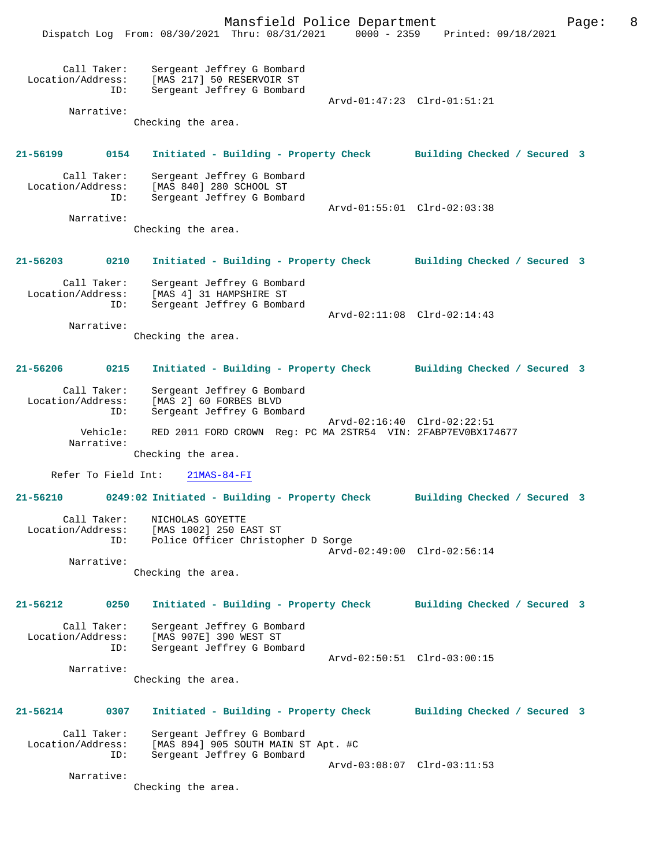Mansfield Police Department Page: 8 Dispatch Log From: 08/30/2021 Thru: 08/31/2021 0000 - 2359 Printed: 09/18/2021 Call Taker: Sergeant Jeffrey G Bombard Location/Address: [MAS 217] 50 RESERVOIR ST<br>ID: Sergeant Jeffrey G Bombard Sergeant Jeffrey G Bombard Arvd-01:47:23 Clrd-01:51:21 Narrative: Checking the area. **21-56199 0154 Initiated - Building - Property Check Building Checked / Secured 3** Call Taker: Sergeant Jeffrey G Bombard Location/Address: [MAS 840] 280 SCHOOL ST Sergeant Jeffrey G Bombard Arvd-01:55:01 Clrd-02:03:38 Narrative: Checking the area. **21-56203 0210 Initiated - Building - Property Check Building Checked / Secured 3** Call Taker: Sergeant Jeffrey G Bombard Location/Address: [MAS 4] 31 HAMPSHIRE ST ID: Sergeant Jeffrey G Bombard Arvd-02:11:08 Clrd-02:14:43 Narrative: Checking the area. **21-56206 0215 Initiated - Building - Property Check Building Checked / Secured 3** Call Taker: Sergeant Jeffrey G Bombard<br>Location/Address: [MAS 2] 60 FORBES BLVD ess: [MAS 2] 60 FORBES BLVD<br>ID: Sergeant Jeffrey G Bomb Sergeant Jeffrey G Bombard Arvd-02:16:40 Clrd-02:22:51<br>Vehicle: RED 2011 FORD CROWN Reg: PC MA 2STR54 VIN: 2FABP7EV0BX17 RED 2011 FORD CROWN Reg: PC MA 2STR54 VIN: 2FABP7EV0BX174677 Narrative: Checking the area. Refer To Field Int: 21MAS-84-FI **21-56210 0249:02 Initiated - Building - Property Check Building Checked / Secured 3** Call Taker: NICHOLAS GOYETTE Location/Address: [MAS 1002] 250 EAST ST Police Officer Christopher D Sorge Arvd-02:49:00 Clrd-02:56:14 Narrative: Checking the area. **21-56212 0250 Initiated - Building - Property Check Building Checked / Secured 3** Call Taker: Sergeant Jeffrey G Bombard<br>Location/Address: [MAS 907E] 390 WEST ST ess: [MAS 907E] 390 WEST ST<br>ID: Sergeant Jeffrey G Bomk Sergeant Jeffrey G Bombard Arvd-02:50:51 Clrd-03:00:15 Narrative: Checking the area. **21-56214 0307 Initiated - Building - Property Check Building Checked / Secured 3** Call Taker: Sergeant Jeffrey G Bombard<br>Location/Address: [MAS 894] 905 SOUTH MAIN S ess: [MAS 894] 905 SOUTH MAIN ST Apt. #C<br>ID: Sergeant Jeffrey G Bombard Sergeant Jeffrey G Bombard Arvd-03:08:07 Clrd-03:11:53 Narrative: Checking the area.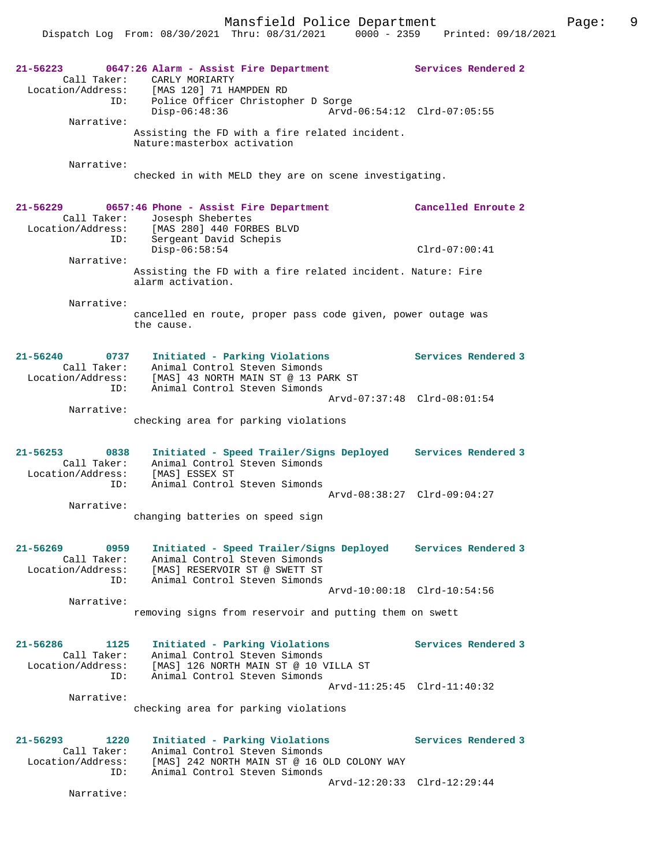Mansfield Police Department Fage: 9

| 21-56223<br>Call Taker:<br>Location/Address:                | 0647:26 Alarm - Assist Fire Department<br>CARLY MORIARTY<br>[MAS 120] 71 HAMPDEN RD                                                                             | Services Rendered 2         |
|-------------------------------------------------------------|-----------------------------------------------------------------------------------------------------------------------------------------------------------------|-----------------------------|
| ID:<br>Narrative:                                           | Police Officer Christopher D Sorge<br>Disp-06:48:36                                                                                                             | Arvd-06:54:12 Clrd-07:05:55 |
|                                                             | Assisting the FD with a fire related incident.<br>Nature: masterbox activation                                                                                  |                             |
| Narrative:                                                  | checked in with MELD they are on scene investigating.                                                                                                           |                             |
| $21 - 56229$<br>Call Taker:<br>Location/Address:            | 0657:46 Phone - Assist Fire Department<br>Josesph Shebertes<br>[MAS 280] 440 FORBES BLVD                                                                        | Cancelled Enroute 2         |
| ID:<br>Narrative:                                           | Sergeant David Schepis<br>Disp-06:58:54                                                                                                                         | $Clrd-07:00:41$             |
|                                                             | Assisting the FD with a fire related incident. Nature: Fire<br>alarm activation.                                                                                |                             |
| Narrative:                                                  | cancelled en route, proper pass code given, power outage was<br>the cause.                                                                                      |                             |
| 21-56240<br>0737<br>Call Taker:<br>Location/Address:<br>ID: | Initiated - Parking Violations<br>Animal Control Steven Simonds<br>[MAS] 43 NORTH MAIN ST @ 13 PARK ST<br>Animal Control Steven Simonds                         | Services Rendered 3         |
|                                                             |                                                                                                                                                                 | Arvd-07:37:48 Clrd-08:01:54 |
| Narrative:                                                  | checking area for parking violations                                                                                                                            |                             |
| $21 - 56253$<br>0838<br>Call Taker:<br>Location/Address:    | Initiated - Speed Trailer/Signs Deployed Services Rendered 3<br>Animal Control Steven Simonds<br>[MAS] ESSEX ST                                                 |                             |
| ID:<br>Narrative:                                           | Animal Control Steven Simonds                                                                                                                                   | Arvd-08:38:27 Clrd-09:04:27 |
|                                                             | changing batteries on speed sign                                                                                                                                |                             |
| 0959<br>21-56269<br>Call Taker:<br>Location/Address:<br>ID: | Initiated - Speed Trailer/Signs Deployed Services Rendered 3<br>Animal Control Steven Simonds<br>[MAS] RESERVOIR ST @ SWETT ST<br>Animal Control Steven Simonds |                             |
| Narrative:                                                  |                                                                                                                                                                 | Arvd-10:00:18 Clrd-10:54:56 |
|                                                             | removing signs from reservoir and putting them on swett                                                                                                         |                             |
| 21-56286<br>1125<br>Call Taker:<br>Location/Address:<br>ID: | Initiated - Parking Violations<br>Animal Control Steven Simonds<br>[MAS] 126 NORTH MAIN ST @ 10 VILLA ST<br>Animal Control Steven Simonds                       | Services Rendered 3         |
| Narrative:                                                  | checking area for parking violations                                                                                                                            | Arvd-11:25:45 Clrd-11:40:32 |
| 21-56293<br>1220<br>Call Taker:<br>Location/Address:        | Initiated - Parking Violations<br>Animal Control Steven Simonds<br>[MAS] 242 NORTH MAIN ST @ 16 OLD COLONY WAY                                                  | Services Rendered 3         |
| ID:<br>Narrative:                                           | Animal Control Steven Simonds                                                                                                                                   | Arvd-12:20:33 Clrd-12:29:44 |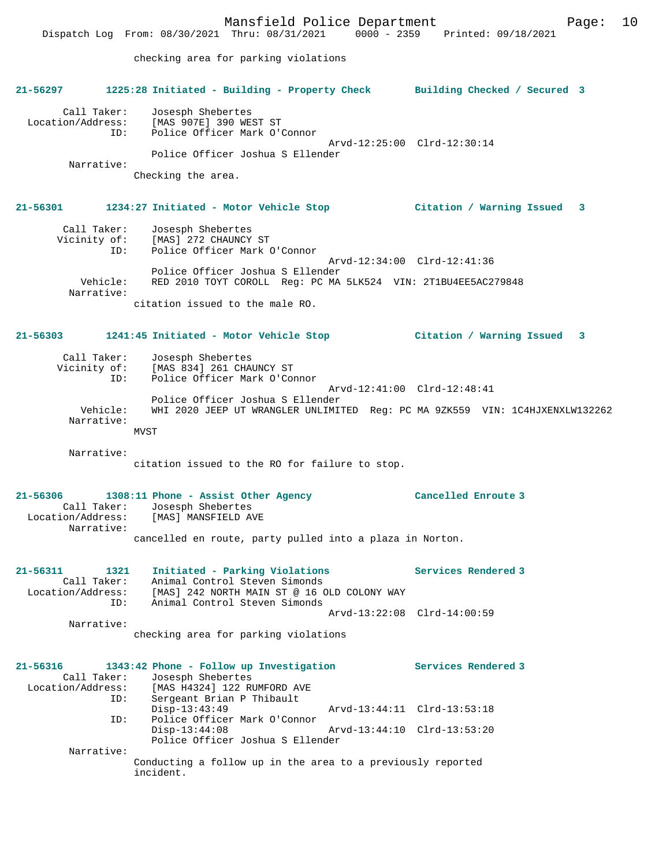Call Taker: Josesph Shebertes Location/Address: [MAS 907E] 390 WEST ST<br>ID: Police Officer Mark O'O Police Officer Mark O'Connor Arvd-12:25:00 Clrd-12:30:14 Police Officer Joshua S Ellender Narrative: Checking the area.

# **21-56301 1234:27 Initiated - Motor Vehicle Stop Citation / Warning Issued 3**

| Call Taker:<br>Vicinity of:<br>ID: | Josesph Shebertes<br>[MAS] 272 CHAUNCY ST<br>Police Officer Mark O'Connor                                                        |
|------------------------------------|----------------------------------------------------------------------------------------------------------------------------------|
| Vehicle:<br>Narrative:             | Arvd-12:34:00 Clrd-12:41:36<br>Police Officer Joshua S Ellender<br>RED 2010 TOYT COROLL Req: PC MA 5LK524 VIN: 2T1BU4EE5AC279848 |
|                                    | citation issued to the male RO.                                                                                                  |

# **21-56303 1241:45 Initiated - Motor Vehicle Stop Citation / Warning Issued 3**

| Call Taker:            | Josesph Shebertes                                                            |
|------------------------|------------------------------------------------------------------------------|
| Vicinity of:           | [MAS 834] 261 CHAUNCY ST                                                     |
|                        | Police Officer Mark O'Connor<br>ID:                                          |
|                        | Arvd-12:41:00 Clrd-12:48:41                                                  |
|                        | Police Officer Joshua S Ellender                                             |
| Vehicle:<br>Narrative: | WHI 2020 JEEP UT WRANGLER UNLIMITED Req: PC MA 9ZK559 VIN: 1C4HJXENXLW132262 |
|                        | MVST                                                                         |

Narrative:

citation issued to the RO for failure to stop.

## **21-56306 1308:11 Phone - Assist Other Agency Cancelled Enroute 3**  Call Taker: Josesph Shebertes<br>Location/Address: [MAS] MANSFIELD A [MAS] MANSFIELD AVE Narrative: cancelled en route, party pulled into a plaza in Norton.

| 21-56311          | 1321        | Initiated - Parking Violations              | Services Rendered 3 |
|-------------------|-------------|---------------------------------------------|---------------------|
|                   | Call Taker: | Animal Control Steven Simonds               |                     |
| Location/Address: |             | [MAS] 242 NORTH MAIN ST @ 16 OLD COLONY WAY |                     |
|                   | ID:         | Animal Control Steven Simonds               |                     |
|                   |             | Arvd-13:22:08 Clrd-14:00:59                 |                     |
|                   | Narrative:  |                                             |                     |

checking area for parking violations

| 21-56316          |     |                                                                          |                               | 1343:42 Phone - Follow up Investigation |                             | Services Rendered 3 |  |
|-------------------|-----|--------------------------------------------------------------------------|-------------------------------|-----------------------------------------|-----------------------------|---------------------|--|
|                   |     |                                                                          | Call Taker: Josesph Shebertes |                                         |                             |                     |  |
| Location/Address: |     |                                                                          | [MAS H4324] 122 RUMFORD AVE   |                                         |                             |                     |  |
|                   | ID: |                                                                          | Sergeant Brian P Thibault     |                                         |                             |                     |  |
|                   |     | $Disp-13:43:49$                                                          |                               |                                         | Arvd-13:44:11 Clrd-13:53:18 |                     |  |
|                   | ID: |                                                                          | Police Officer Mark O'Connor  |                                         |                             |                     |  |
|                   |     | $Disp-13:44:08$                                                          |                               |                                         | Arvd-13:44:10 Clrd-13:53:20 |                     |  |
|                   |     |                                                                          |                               | Police Officer Joshua S Ellender        |                             |                     |  |
| Narrative:        |     |                                                                          |                               |                                         |                             |                     |  |
|                   |     | Conducting a follow up in the area to a previously reported<br>incident. |                               |                                         |                             |                     |  |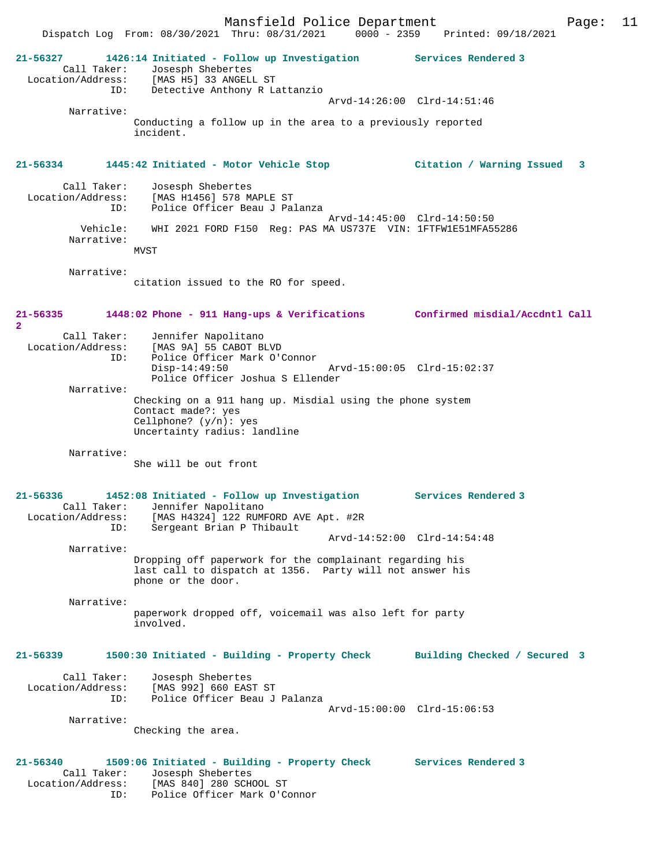**21-56327 1426:14 Initiated - Follow up Investigation Services Rendered 3**  Call Taker: Josesph Shebertes Location/Address: [MAS H5] 33 ANGELL ST ID: Detective Anthony R Lattanzio Arvd-14:26:00 Clrd-14:51:46 Narrative: Conducting a follow up in the area to a previously reported incident. **21-56334 1445:42 Initiated - Motor Vehicle Stop Citation / Warning Issued 3** Call Taker: Josesph Shebertes<br>Location/Address: [MAS H1456] 578 M [MAS H1456] 578 MAPLE ST ID: Police Officer Beau J Palanza Arvd-14:45:00 Clrd-14:50:50 Vehicle: WHI 2021 FORD F150 Reg: PAS MA US737E VIN: 1FTFW1E51MFA55286 Narrative: **MVST**  Narrative: citation issued to the RO for speed. **21-56335 1448:02 Phone - 911 Hang-ups & Verifications Confirmed misdial/Accdntl Call 2**  Call Taker: Jennifer Napolitano<br>Location/Address: [MAS 9A] 55 CABOT BI Location Wapolitano<br>[MAS 9A] 55 CABOT BLVD<br>Police Off' ID: Police Officer Mark O'Connor Disp-14:49:50 Arvd-15:00:05 Clrd-15:02:37 Police Officer Joshua S Ellender Narrative: Checking on a 911 hang up. Misdial using the phone system Contact made?: yes Cellphone? (y/n): yes Uncertainty radius: landline Narrative: She will be out front **21-56336 1452:08 Initiated - Follow up Investigation Services Rendered 3**  Call Taker: Jennifer Napolitano<br>Location/Address: [MAS H4324] 122 RUME [MAS H4324] 122 RUMFORD AVE Apt. #2R ID: Sergeant Brian P Thibault Arvd-14:52:00 Clrd-14:54:48 Narrative: Dropping off paperwork for the complainant regarding his last call to dispatch at 1356. Party will not answer his phone or the door. Narrative: paperwork dropped off, voicemail was also left for party involved. **21-56339 1500:30 Initiated - Building - Property Check Building Checked / Secured 3** Call Taker: Josesph Shebertes<br>Location/Address: [MAS 992] 660 EAS Location/Address: [MAS 992] 660 EAST ST ID: Police Officer Beau J Palanza Arvd-15:00:00 Clrd-15:06:53 Narrative: Checking the area. **21-56340 1509:06 Initiated - Building - Property Check Services Rendered 3**  Call Taker: Josesph Shebertes

 Location/Address: [MAS 840] 280 SCHOOL ST ID: Police Officer Mark O'Connor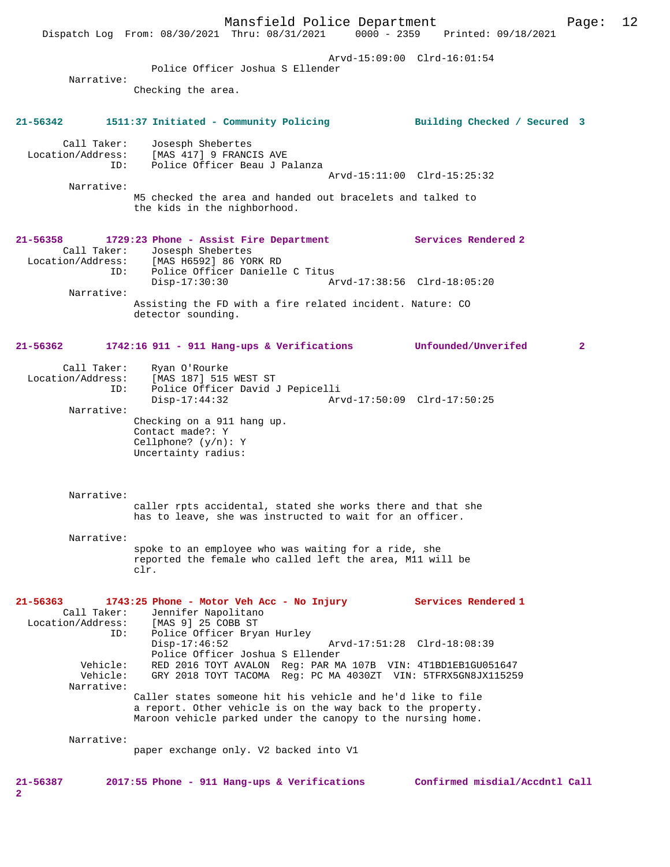Mansfield Police Department Page: 12 Dispatch Log From: 08/30/2021 Thru: 08/31/2021 Arvd-15:09:00 Clrd-16:01:54 Police Officer Joshua S Ellender Narrative: Checking the area. **21-56342 1511:37 Initiated - Community Policing Building Checked / Secured 3** Call Taker: Josesph Shebertes Location/Address: [MAS 417] 9 FRANCIS AVE ID: Police Officer Beau J Palanza Arvd-15:11:00 Clrd-15:25:32 Narrative: M5 checked the area and handed out bracelets and talked to the kids in the nighborhood. **21-56358 1729:23 Phone - Assist Fire Department Services Rendered 2**  Call Taker: Josesph Shebertes<br>Location/Address: [MAS H6592] 86 YOR ess: [MAS H6592] 86 YORK RD<br>ID: Police Officer Danielle ID: Police Officer Danielle C Titus Disp-17:30:30 Arvd-17:38:56 Clrd-18:05:20 Narrative: Assisting the FD with a fire related incident. Nature: CO detector sounding. **21-56362 1742:16 911 - 911 Hang-ups & Verifications Unfounded/Unverifed 2** Call Taker: Ryan O'Rourke Location/Address: [MAS 187] 515 WEST ST ID: Police Officer David J Pepicelli Disp-17:44:32 Arvd-17:50:09 Clrd-17:50:25 Narrative: Checking on a 911 hang up. Contact made?: Y Cellphone? (y/n): Y Uncertainty radius: Narrative: caller rpts accidental, stated she works there and that she has to leave, she was instructed to wait for an officer. Narrative: spoke to an employee who was waiting for a ride, she reported the female who called left the area, M11 will be clr. **21-56363 1743:25 Phone - Motor Veh Acc - No Injury Services Rendered 1**  Call Taker: Jennifer Napolitano Location/Address: [MAS 9] 25 COBB ST ID: Police Officer Bryan Hurley Arvd-17:51:28 Clrd-18:08:39 Police Officer Joshua S Ellender<br>Vehicle: RED 2016 TOYT AVALON Reg: PAR MA Vehicle: RED 2016 TOYT AVALON Reg: PAR MA 107B VIN: 4T1BD1EB1GU051647 Vehicle: GRY 2018 TOYT TACOMA Reg: PC MA 4030ZT VIN: 5TFRX5GN8JX115259 Narrative: Caller states someone hit his vehicle and he'd like to file a report. Other vehicle is on the way back to the property. Maroon vehicle parked under the canopy to the nursing home. Narrative: paper exchange only. V2 backed into V1 **21-56387 2017:55 Phone - 911 Hang-ups & Verifications Confirmed misdial/Accdntl Call 2**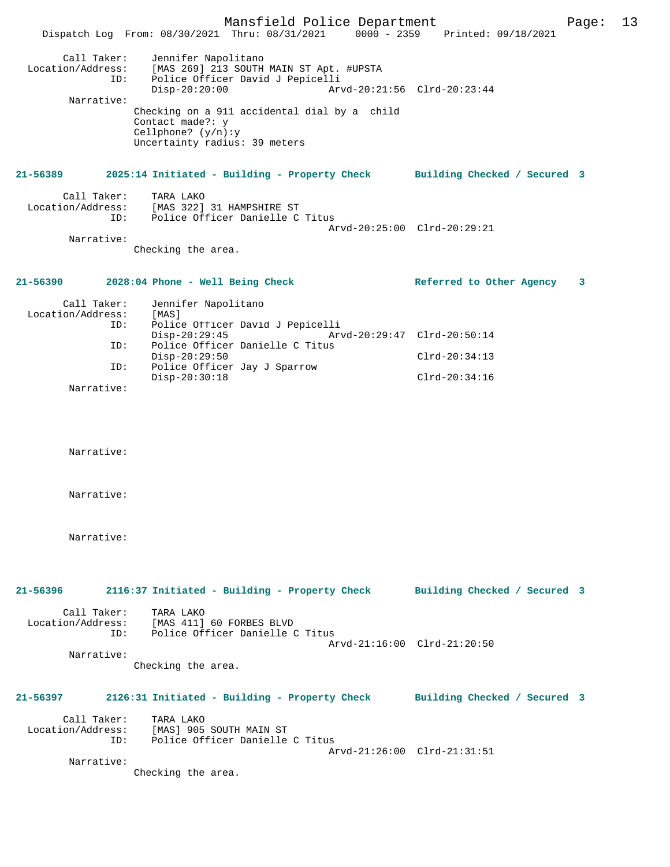|                                                                     | Mansfield Police Department<br>Dispatch Log From: 08/30/2021 Thru: 08/31/2021 0000 - 2359 Printed: 09/18/2021                                                                                                                                      |                                                                   | 13<br>Page: |
|---------------------------------------------------------------------|----------------------------------------------------------------------------------------------------------------------------------------------------------------------------------------------------------------------------------------------------|-------------------------------------------------------------------|-------------|
| Call Taker:<br>Location/Address:<br>ID:<br>Narrative:               | Jennifer Napolitano<br>[MAS 269] 213 SOUTH MAIN ST Apt. #UPSTA<br>Police Officer David J Pepicelli<br>$Disp-20:20:00$<br>Checking on a 911 accidental dial by a child<br>Contact made?: y<br>Cellphone? $(y/n):y$<br>Uncertainty radius: 39 meters | Arvd-20:21:56 Clrd-20:23:44                                       |             |
| 21-56389                                                            | 2025:14 Initiated - Building - Property Check Building Checked / Secured 3                                                                                                                                                                         |                                                                   |             |
| Call Taker:<br>ID:                                                  | TARA LAKO<br>Location/Address: [MAS 322] 31 HAMPSHIRE ST<br>Police Officer Danielle C Titus                                                                                                                                                        |                                                                   |             |
| Narrative:                                                          | Checking the area.                                                                                                                                                                                                                                 | Arvd-20:25:00 Clrd-20:29:21                                       |             |
| 21-56390                                                            | 2028:04 Phone - Well Being Check                                                                                                                                                                                                                   | Referred to Other Agency                                          | 3           |
| Call Taker:<br>Location/Address:<br>ID:<br>ID:<br>ID:<br>Narrative: | Jennifer Napolitano<br>[MAS]<br>Police Officer David J Pepicelli<br>$Disp-20:29:45$<br>Police Officer Danielle C Titus<br>Disp-20:29:50<br>Police Officer Jay J Sparrow<br>Disp-20:30:18                                                           | Arvd-20:29:47 Clrd-20:50:14<br>$Clrd-20:34:13$<br>$Clrd-20:34:16$ |             |
| Narrative:                                                          |                                                                                                                                                                                                                                                    |                                                                   |             |
| Narrative:                                                          |                                                                                                                                                                                                                                                    |                                                                   |             |
| Narrative:                                                          |                                                                                                                                                                                                                                                    |                                                                   |             |
| 21-56396                                                            | 2116:37 Initiated - Building - Property Check                                                                                                                                                                                                      | Building Checked / Secured 3                                      |             |
| Call Taker:                                                         | TARA LAKO<br>Location/Address: [MAS 411] 60 FORBES BLVD<br>ID: Police Officer Danielle C Titus                                                                                                                                                     | Arvd-21:16:00 Clrd-21:20:50                                       |             |
| Narrative:                                                          | Checking the area.                                                                                                                                                                                                                                 |                                                                   |             |
| 21-56397                                                            | 2126:31 Initiated - Building - Property Check Building Checked / Secured 3                                                                                                                                                                         |                                                                   |             |
| Call Taker:<br>Location/Address:                                    | TARA LAKO<br>[MAS] 905 SOUTH MAIN ST<br>ID: Police Officer Danielle C Titus                                                                                                                                                                        | Arvd-21:26:00 Clrd-21:31:51                                       |             |
| Narrative:                                                          | Checking the area.                                                                                                                                                                                                                                 |                                                                   |             |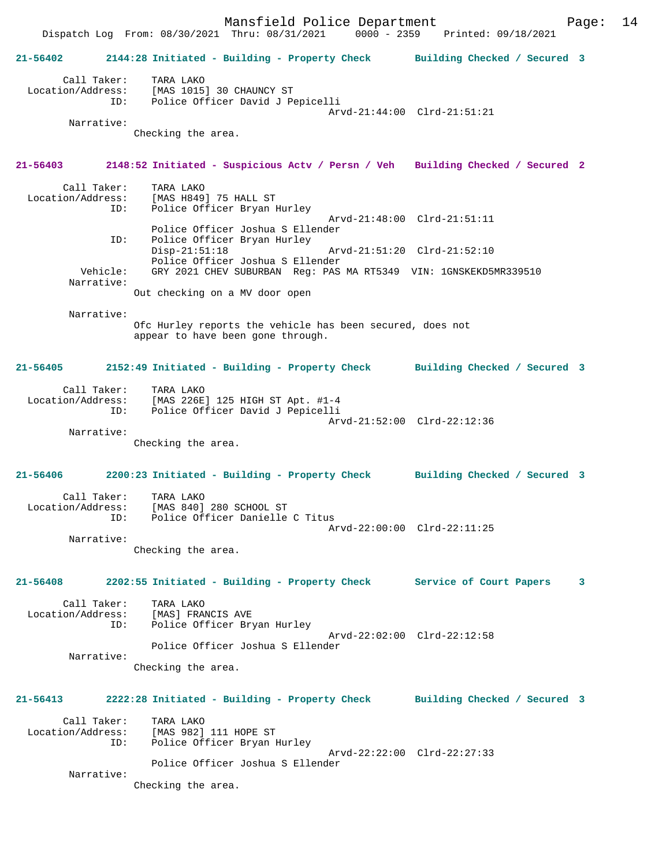Dispatch Log From: 08/30/2021 Thru: 08/31/2021 0000 - 2359 Printed: 09/18/2021 **21-56402 2144:28 Initiated - Building - Property Check Building Checked / Secured 3** Call Taker: TARA LAKO Location/Address: [MAS 1015] 30 CHAUNCY ST ID: Police Officer David J Pepicelli Arvd-21:44:00 Clrd-21:51:21 Narrative: Checking the area. **21-56403 2148:52 Initiated - Suspicious Actv / Persn / Veh Building Checked / Secured 2** Call Taker: TARA LAKO Location/Address: [MAS H849] 75 HALL ST Police Officer Bryan Hurley Arvd-21:48:00 Clrd-21:51:11 Police Officer Joshua S Ellender ID: Police Officer Bryan Hurley Arvd-21:51:20 Clrd-21:52:10 Police Officer Joshua S Ellender<br>Vehicle: GRY 2021 CHEV SUBURBAN Reg: PAS GRY 2021 CHEV SUBURBAN Reg: PAS MA RT5349 VIN: 1GNSKEKD5MR339510 Narrative: Out checking on a MV door open Narrative: Ofc Hurley reports the vehicle has been secured, does not appear to have been gone through. **21-56405 2152:49 Initiated - Building - Property Check Building Checked / Secured 3** Call Taker: TARA LAKO Location/Address: [MAS 226E] 125 HIGH ST Apt. #1-4 ID: Police Officer David J Pepicelli Arvd-21:52:00 Clrd-22:12:36 Narrative: Checking the area. **21-56406 2200:23 Initiated - Building - Property Check Building Checked / Secured 3** Call Taker: TARA LAKO Location/Address: [MAS 840] 280 SCHOOL ST ID: Police Officer Danielle C Titus Arvd-22:00:00 Clrd-22:11:25 Narrative: Checking the area. **21-56408 2202:55 Initiated - Building - Property Check Service of Court Papers 3** Call Taker: TARA LAKO Location/Address: [MAS] FRANCIS AVE Police Officer Bryan Hurley Arvd-22:02:00 Clrd-22:12:58 Police Officer Joshua S Ellender Narrative: Checking the area. **21-56413 2222:28 Initiated - Building - Property Check Building Checked / Secured 3** Call Taker: TARA LAKO Location/Address: [MAS 982] 111 HOPE ST ID: Police Officer Bryan Hurley Arvd-22:22:00 Clrd-22:27:33 Police Officer Joshua S Ellender Narrative: Checking the area.

Mansfield Police Department Form Page: 14